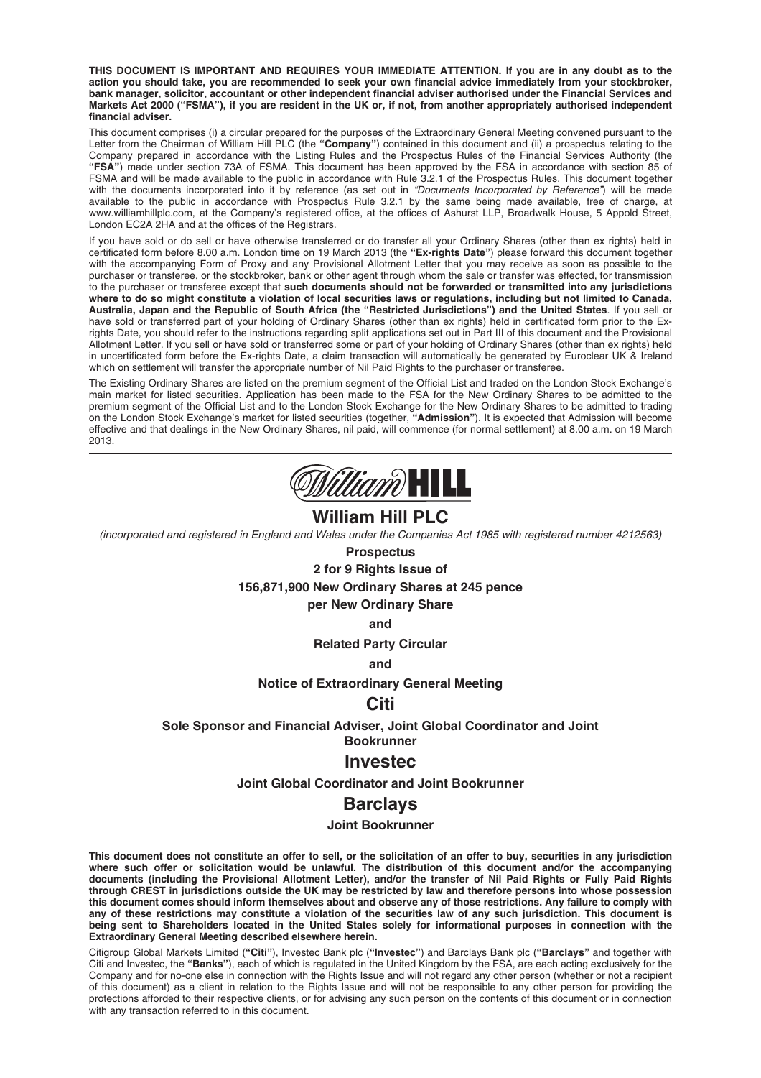**THIS DOCUMENT IS IMPORTANT AND REQUIRES YOUR IMMEDIATE ATTENTION. If you are in any doubt as to the action you should take, you are recommended to seek your own financial advice immediately from your stockbroker, bank manager, solicitor, accountant or other independent financial adviser authorised under the Financial Services and Markets Act 2000 ("FSMA"), if you are resident in the UK or, if not, from another appropriately authorised independent financial adviser.**

This document comprises (i) a circular prepared for the purposes of the Extraordinary General Meeting convened pursuant to the Letter from the Chairman of William Hill PLC (the **"Company"**) contained in this document and (ii) a prospectus relating to the Company prepared in accordance with the Listing Rules and the Prospectus Rules of the Financial Services Authority (the **"FSA"**) made under section 73A of FSMA. This document has been approved by the FSA in accordance with section 85 of FSMA and will be made available to the public in accordance with Rule 3.2.1 of the Prospectus Rules. This document together with the documents incorporated into it by reference (as set out in "Documents Incorporated by Reference") will be made available to the public in accordance with Prospectus Rule 3.2.1 by the same being made available, free of charge, at www.williamhillplc.com, at the Company's registered office, at the offices of Ashurst LLP, Broadwalk House, 5 Appold Street, London EC2A 2HA and at the offices of the Registrars.

If you have sold or do sell or have otherwise transferred or do transfer all your Ordinary Shares (other than ex rights) held in certificated form before 8.00 a.m. London time on 19 March 2013 (the **"Ex-rights Date"**) please forward this document together with the accompanying Form of Proxy and any Provisional Allotment Letter that you may receive as soon as possible to the purchaser or transferee, or the stockbroker, bank or other agent through whom the sale or transfer was effected, for transmission to the purchaser or transferee except that **such documents should not be forwarded or transmitted into any jurisdictions where to do so might constitute a violation of local securities laws or regulations, including but not limited to Canada, Australia, Japan and the Republic of South Africa (the "Restricted Jurisdictions") and the United States**. If you sell or have sold or transferred part of your holding of Ordinary Shares (other than ex rights) held in certificated form prior to the Exrights Date, you should refer to the instructions regarding split applications set out in Part III of this document and the Provisional Allotment Letter. If you sell or have sold or transferred some or part of your holding of Ordinary Shares (other than ex rights) held in uncertificated form before the Ex-rights Date, a claim transaction will automatically be generated by Euroclear UK & Ireland which on settlement will transfer the appropriate number of Nil Paid Rights to the purchaser or transferee.

The Existing Ordinary Shares are listed on the premium segment of the Official List and traded on the London Stock Exchange's main market for listed securities. Application has been made to the FSA for the New Ordinary Shares to be admitted to the premium segment of the Official List and to the London Stock Exchange for the New Ordinary Shares to be admitted to trading on the London Stock Exchange's market for listed securities (together, **"Admission"**). It is expected that Admission will become effective and that dealings in the New Ordinary Shares, nil paid, will commence (for normal settlement) at 8.00 a.m. on 19 March 2013.



# **William Hill PLC**

(incorporated and registered in England and Wales under the Companies Act 1985 with registered number 4212563)

# **Prospectus**

**2 for 9 Rights Issue of**

**156,871,900 New Ordinary Shares at 245 pence**

**per New Ordinary Share**

**and**

**Related Party Circular**

**and**

**Notice of Extraordinary General Meeting**

# **Citi**

**Sole Sponsor and Financial Adviser, Joint Global Coordinator and Joint Bookrunner**

# **Investec**

**Joint Global Coordinator and Joint Bookrunner**

# **Barclays**

### **Joint Bookrunner**

**This document does not constitute an offer to sell, or the solicitation of an offer to buy, securities in any jurisdiction where such offer or solicitation would be unlawful. The distribution of this document and/or the accompanying documents (including the Provisional Allotment Letter), and/or the transfer of Nil Paid Rights or Fully Paid Rights through CREST in jurisdictions outside the UK may be restricted by law and therefore persons into whose possession this document comes should inform themselves about and observe any of those restrictions. Any failure to comply with any of these restrictions may constitute a violation of the securities law of any such jurisdiction. This document is being sent to Shareholders located in the United States solely for informational purposes in connection with the Extraordinary General Meeting described elsewhere herein.**

Citigroup Global Markets Limited (**"Citi"**), Investec Bank plc (**"Investec"**) and Barclays Bank plc (**"Barclays"** and together with Citi and Investec, the **"Banks"**), each of which is regulated in the United Kingdom by the FSA, are each acting exclusively for the Company and for no-one else in connection with the Rights Issue and will not regard any other person (whether or not a recipient of this document) as a client in relation to the Rights Issue and will not be responsible to any other person for providing the protections afforded to their respective clients, or for advising any such person on the contents of this document or in connection with any transaction referred to in this document.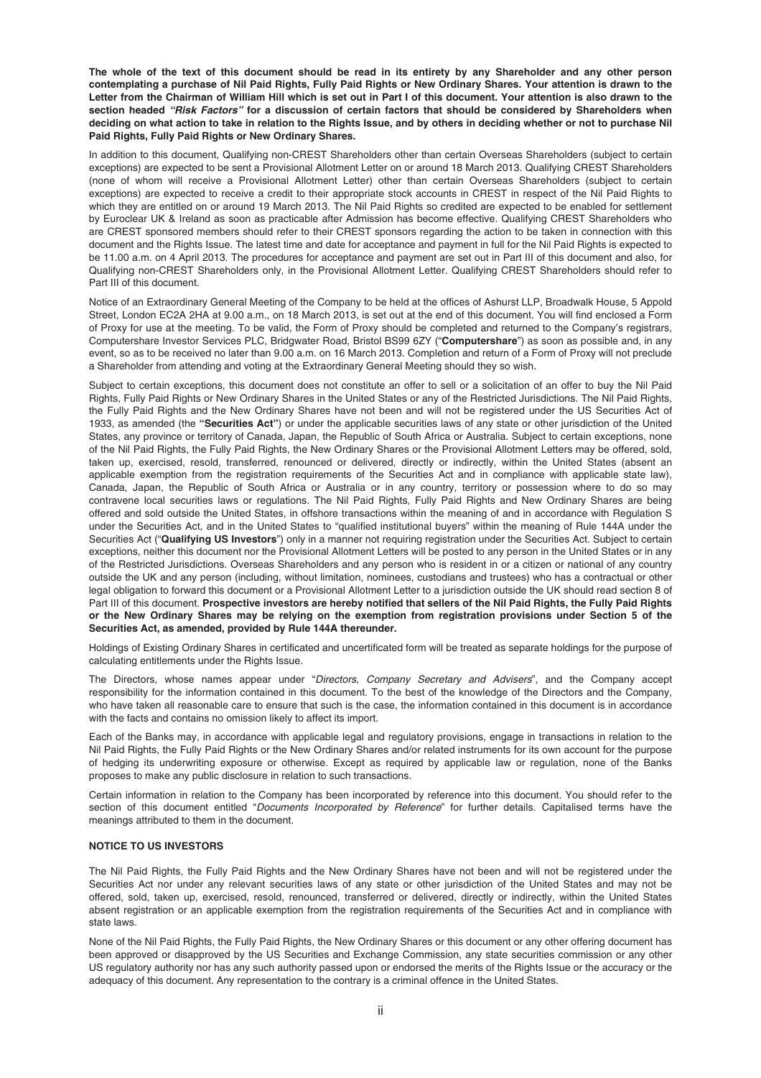**The whole of the text of this document should be read in its entirety by any Shareholder and any other person contemplating a purchase of Nil Paid Rights, Fully Paid Rights or New Ordinary Shares. Your attention is drawn to the Letter from the Chairman of William Hill which is set out in Part I of this document. Your attention is also drawn to the section headed** *"Risk Factors"* **for a discussion of certain factors that should be considered by Shareholders when deciding on what action to take in relation to the Rights Issue, and by others in deciding whether or not to purchase Nil Paid Rights, Fully Paid Rights or New Ordinary Shares.**

In addition to this document, Qualifying non-CREST Shareholders other than certain Overseas Shareholders (subject to certain exceptions) are expected to be sent a Provisional Allotment Letter on or around 18 March 2013. Qualifying CREST Shareholders (none of whom will receive a Provisional Allotment Letter) other than certain Overseas Shareholders (subject to certain exceptions) are expected to receive a credit to their appropriate stock accounts in CREST in respect of the Nil Paid Rights to which they are entitled on or around 19 March 2013. The Nil Paid Rights so credited are expected to be enabled for settlement by Euroclear UK & Ireland as soon as practicable after Admission has become effective. Qualifying CREST Shareholders who are CREST sponsored members should refer to their CREST sponsors regarding the action to be taken in connection with this document and the Rights Issue. The latest time and date for acceptance and payment in full for the Nil Paid Rights is expected to be 11.00 a.m. on 4 April 2013. The procedures for acceptance and payment are set out in Part III of this document and also, for Qualifying non-CREST Shareholders only, in the Provisional Allotment Letter. Qualifying CREST Shareholders should refer to Part III of this document.

Notice of an Extraordinary General Meeting of the Company to be held at the offices of Ashurst LLP, Broadwalk House, 5 Appold Street, London EC2A 2HA at 9.00 a.m., on 18 March 2013, is set out at the end of this document. You will find enclosed a Form of Proxy for use at the meeting. To be valid, the Form of Proxy should be completed and returned to the Company's registrars, Computershare Investor Services PLC, Bridgwater Road, Bristol BS99 6ZY ("**Computershare**") as soon as possible and, in any event, so as to be received no later than 9.00 a.m. on 16 March 2013. Completion and return of a Form of Proxy will not preclude a Shareholder from attending and voting at the Extraordinary General Meeting should they so wish.

Subject to certain exceptions, this document does not constitute an offer to sell or a solicitation of an offer to buy the Nil Paid Rights, Fully Paid Rights or New Ordinary Shares in the United States or any of the Restricted Jurisdictions. The Nil Paid Rights, the Fully Paid Rights and the New Ordinary Shares have not been and will not be registered under the US Securities Act of 1933, as amended (the **"Securities Act"**) or under the applicable securities laws of any state or other jurisdiction of the United States, any province or territory of Canada, Japan, the Republic of South Africa or Australia. Subject to certain exceptions, none of the Nil Paid Rights, the Fully Paid Rights, the New Ordinary Shares or the Provisional Allotment Letters may be offered, sold, taken up, exercised, resold, transferred, renounced or delivered, directly or indirectly, within the United States (absent an applicable exemption from the registration requirements of the Securities Act and in compliance with applicable state law), Canada, Japan, the Republic of South Africa or Australia or in any country, territory or possession where to do so may contravene local securities laws or regulations. The Nil Paid Rights, Fully Paid Rights and New Ordinary Shares are being offered and sold outside the United States, in offshore transactions within the meaning of and in accordance with Regulation S under the Securities Act, and in the United States to "qualified institutional buyers" within the meaning of Rule 144A under the Securities Act ("**Qualifying US Investors**") only in a manner not requiring registration under the Securities Act. Subject to certain exceptions, neither this document nor the Provisional Allotment Letters will be posted to any person in the United States or in any of the Restricted Jurisdictions. Overseas Shareholders and any person who is resident in or a citizen or national of any country outside the UK and any person (including, without limitation, nominees, custodians and trustees) who has a contractual or other legal obligation to forward this document or a Provisional Allotment Letter to a jurisdiction outside the UK should read section 8 of Part III of this document. **Prospective investors are hereby notified that sellers of the Nil Paid Rights, the Fully Paid Rights or the New Ordinary Shares may be relying on the exemption from registration provisions under Section 5 of the Securities Act, as amended, provided by Rule 144A thereunder.**

Holdings of Existing Ordinary Shares in certificated and uncertificated form will be treated as separate holdings for the purpose of calculating entitlements under the Rights Issue.

The Directors, whose names appear under "Directors, Company Secretary and Advisers", and the Company accept responsibility for the information contained in this document. To the best of the knowledge of the Directors and the Company, who have taken all reasonable care to ensure that such is the case, the information contained in this document is in accordance with the facts and contains no omission likely to affect its import.

Each of the Banks may, in accordance with applicable legal and regulatory provisions, engage in transactions in relation to the Nil Paid Rights, the Fully Paid Rights or the New Ordinary Shares and/or related instruments for its own account for the purpose of hedging its underwriting exposure or otherwise. Except as required by applicable law or regulation, none of the Banks proposes to make any public disclosure in relation to such transactions.

Certain information in relation to the Company has been incorporated by reference into this document. You should refer to the section of this document entitled "Documents Incorporated by Reference" for further details. Capitalised terms have the meanings attributed to them in the document.

#### **NOTICE TO US INVESTORS**

The Nil Paid Rights, the Fully Paid Rights and the New Ordinary Shares have not been and will not be registered under the Securities Act nor under any relevant securities laws of any state or other jurisdiction of the United States and may not be offered, sold, taken up, exercised, resold, renounced, transferred or delivered, directly or indirectly, within the United States absent registration or an applicable exemption from the registration requirements of the Securities Act and in compliance with state laws.

None of the Nil Paid Rights, the Fully Paid Rights, the New Ordinary Shares or this document or any other offering document has been approved or disapproved by the US Securities and Exchange Commission, any state securities commission or any other US regulatory authority nor has any such authority passed upon or endorsed the merits of the Rights Issue or the accuracy or the adequacy of this document. Any representation to the contrary is a criminal offence in the United States.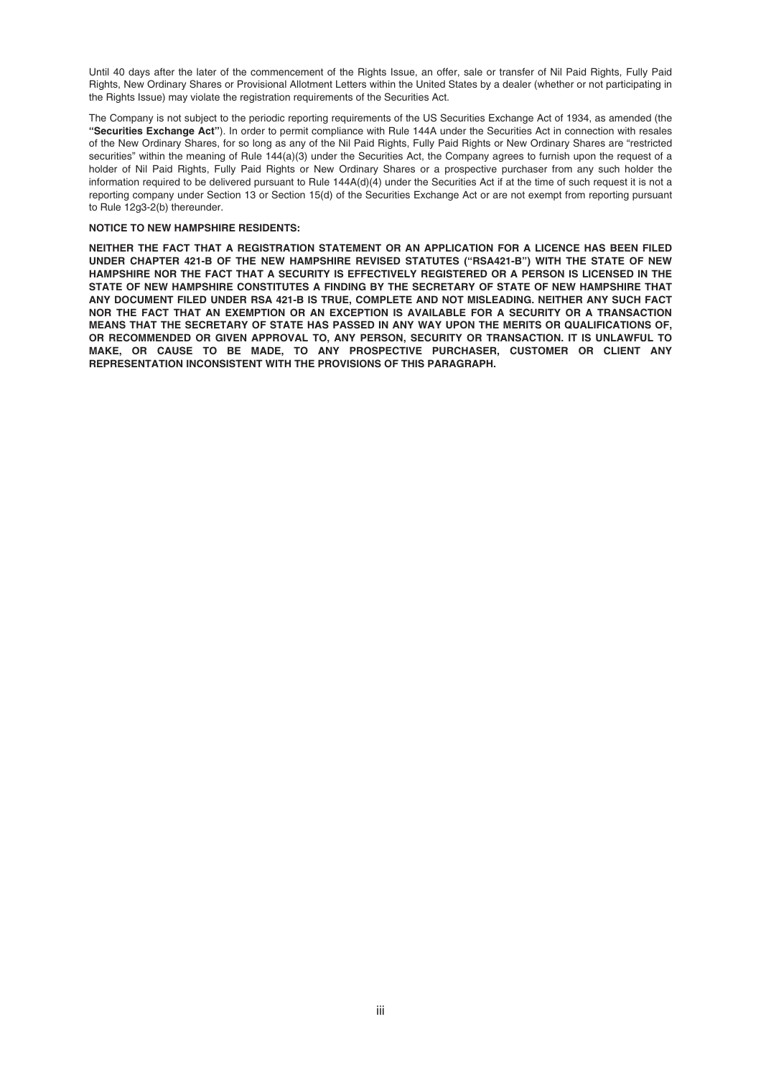Until 40 days after the later of the commencement of the Rights Issue, an offer, sale or transfer of Nil Paid Rights, Fully Paid Rights, New Ordinary Shares or Provisional Allotment Letters within the United States by a dealer (whether or not participating in the Rights Issue) may violate the registration requirements of the Securities Act.

The Company is not subject to the periodic reporting requirements of the US Securities Exchange Act of 1934, as amended (the **"Securities Exchange Act"**). In order to permit compliance with Rule 144A under the Securities Act in connection with resales of the New Ordinary Shares, for so long as any of the Nil Paid Rights, Fully Paid Rights or New Ordinary Shares are "restricted securities" within the meaning of Rule 144(a)(3) under the Securities Act, the Company agrees to furnish upon the request of a holder of Nil Paid Rights, Fully Paid Rights or New Ordinary Shares or a prospective purchaser from any such holder the information required to be delivered pursuant to Rule 144A(d)(4) under the Securities Act if at the time of such request it is not a reporting company under Section 13 or Section 15(d) of the Securities Exchange Act or are not exempt from reporting pursuant to Rule 12g3-2(b) thereunder.

#### **NOTICE TO NEW HAMPSHIRE RESIDENTS:**

**NEITHER THE FACT THAT A REGISTRATION STATEMENT OR AN APPLICATION FOR A LICENCE HAS BEEN FILED UNDER CHAPTER 421-B OF THE NEW HAMPSHIRE REVISED STATUTES ("RSA421-B") WITH THE STATE OF NEW HAMPSHIRE NOR THE FACT THAT A SECURITY IS EFFECTIVELY REGISTERED OR A PERSON IS LICENSED IN THE STATE OF NEW HAMPSHIRE CONSTITUTES A FINDING BY THE SECRETARY OF STATE OF NEW HAMPSHIRE THAT ANY DOCUMENT FILED UNDER RSA 421-B IS TRUE, COMPLETE AND NOT MISLEADING. NEITHER ANY SUCH FACT NOR THE FACT THAT AN EXEMPTION OR AN EXCEPTION IS AVAILABLE FOR A SECURITY OR A TRANSACTION MEANS THAT THE SECRETARY OF STATE HAS PASSED IN ANY WAY UPON THE MERITS OR QUALIFICATIONS OF, OR RECOMMENDED OR GIVEN APPROVAL TO, ANY PERSON, SECURITY OR TRANSACTION. IT IS UNLAWFUL TO MAKE, OR CAUSE TO BE MADE, TO ANY PROSPECTIVE PURCHASER, CUSTOMER OR CLIENT ANY REPRESENTATION INCONSISTENT WITH THE PROVISIONS OF THIS PARAGRAPH.**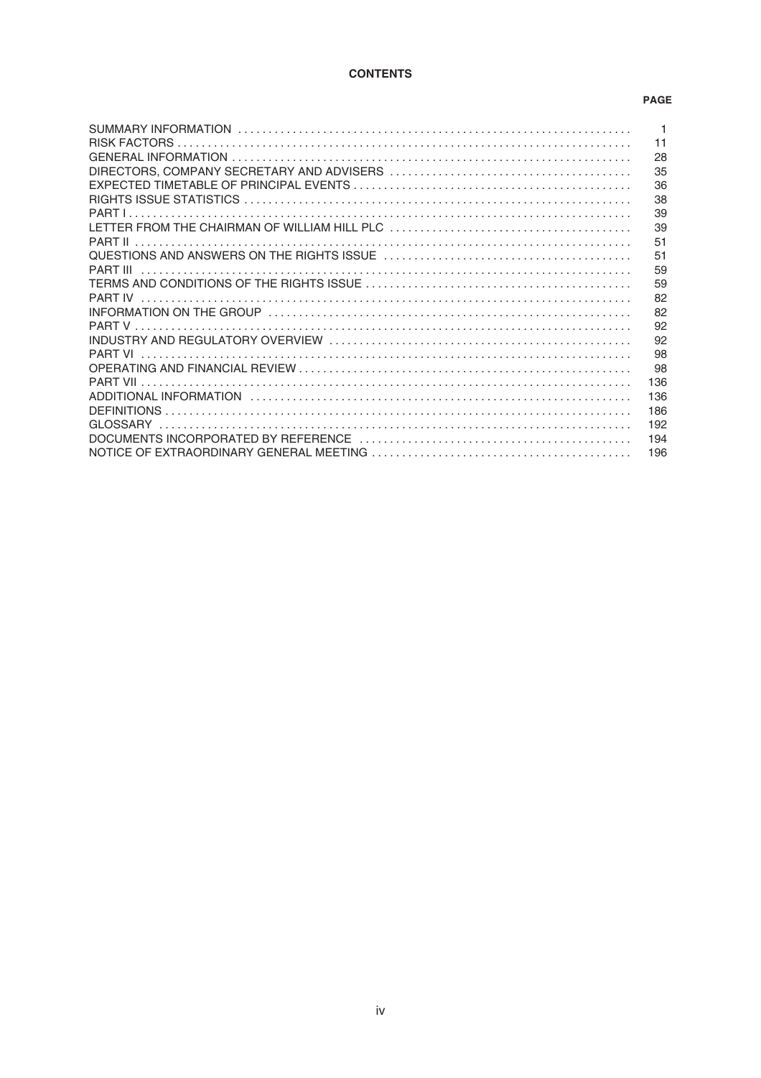# **CONTENTS**

### **PAGE**

| $\overline{1}$ |
|----------------|
| 11             |
| 28             |
| 35             |
| 36             |
| 38             |
| 39             |
| 39             |
| 51             |
| 51             |
| 59             |
| 59             |
| 82             |
| 82             |
| 92             |
| 92             |
| 98             |
| 98             |
| 136            |
| 136            |
| 186            |
| 192            |
| 194            |
| 196            |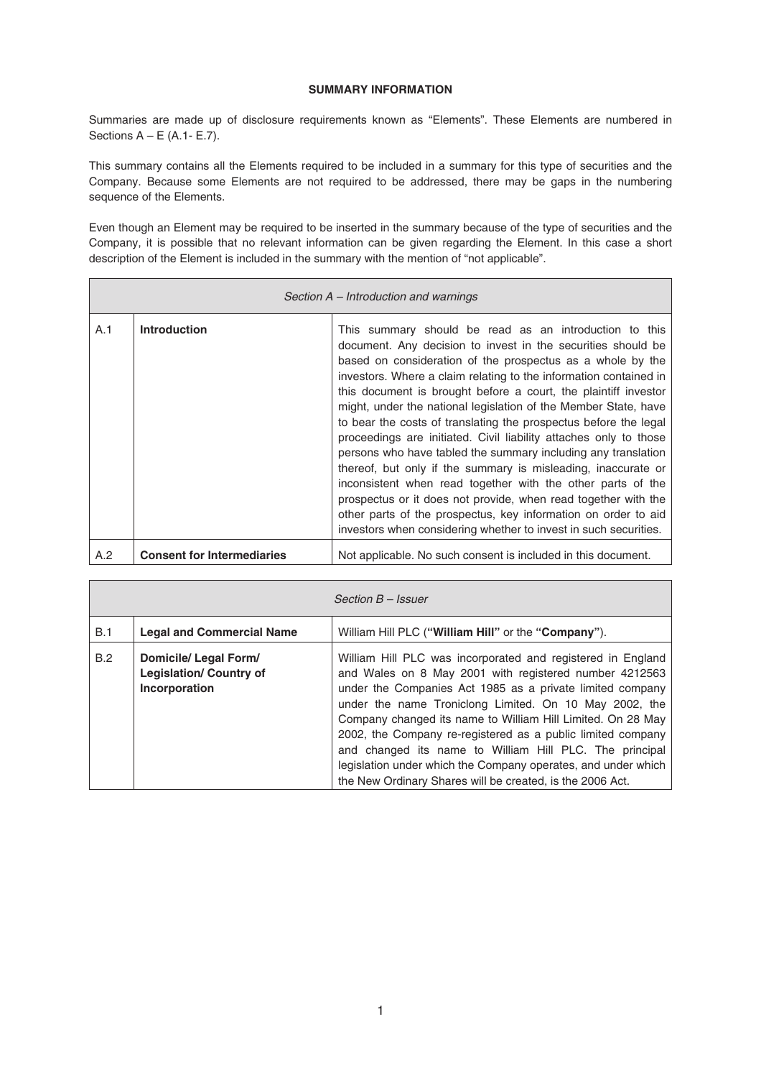# **SUMMARY INFORMATION**

Summaries are made up of disclosure requirements known as "Elements". These Elements are numbered in Sections  $A - E$  (A.1- E.7).

This summary contains all the Elements required to be included in a summary for this type of securities and the Company. Because some Elements are not required to be addressed, there may be gaps in the numbering sequence of the Elements.

Even though an Element may be required to be inserted in the summary because of the type of securities and the Company, it is possible that no relevant information can be given regarding the Element. In this case a short description of the Element is included in the summary with the mention of "not applicable".

| Section A – Introduction and warnings |                                   |                                                                                                                                                                                                                                                                                                                                                                                                                                                                                                                                                                                                                                                                                                                                                                                                                                                                                                                                                   |  |
|---------------------------------------|-----------------------------------|---------------------------------------------------------------------------------------------------------------------------------------------------------------------------------------------------------------------------------------------------------------------------------------------------------------------------------------------------------------------------------------------------------------------------------------------------------------------------------------------------------------------------------------------------------------------------------------------------------------------------------------------------------------------------------------------------------------------------------------------------------------------------------------------------------------------------------------------------------------------------------------------------------------------------------------------------|--|
| A.1                                   | <b>Introduction</b>               | This summary should be read as an introduction to this<br>document. Any decision to invest in the securities should be<br>based on consideration of the prospectus as a whole by the<br>investors. Where a claim relating to the information contained in<br>this document is brought before a court, the plaintiff investor<br>might, under the national legislation of the Member State, have<br>to bear the costs of translating the prospectus before the legal<br>proceedings are initiated. Civil liability attaches only to those<br>persons who have tabled the summary including any translation<br>thereof, but only if the summary is misleading, inaccurate or<br>inconsistent when read together with the other parts of the<br>prospectus or it does not provide, when read together with the<br>other parts of the prospectus, key information on order to aid<br>investors when considering whether to invest in such securities. |  |
| A.2                                   | <b>Consent for Intermediaries</b> | Not applicable. No such consent is included in this document.                                                                                                                                                                                                                                                                                                                                                                                                                                                                                                                                                                                                                                                                                                                                                                                                                                                                                     |  |

| Section B - Issuer |                                                                          |                                                                                                                                                                                                                                                                                                                                                                                                                                                                                                                                                                     |
|--------------------|--------------------------------------------------------------------------|---------------------------------------------------------------------------------------------------------------------------------------------------------------------------------------------------------------------------------------------------------------------------------------------------------------------------------------------------------------------------------------------------------------------------------------------------------------------------------------------------------------------------------------------------------------------|
| B.1                | <b>Legal and Commercial Name</b>                                         | William Hill PLC ("William Hill" or the "Company").                                                                                                                                                                                                                                                                                                                                                                                                                                                                                                                 |
| B.2                | Domicile/ Legal Form/<br><b>Legislation/ Country of</b><br>Incorporation | William Hill PLC was incorporated and registered in England<br>and Wales on 8 May 2001 with registered number 4212563<br>under the Companies Act 1985 as a private limited company<br>under the name Troniclong Limited. On 10 May 2002, the<br>Company changed its name to William Hill Limited. On 28 May<br>2002, the Company re-registered as a public limited company<br>and changed its name to William Hill PLC. The principal<br>legislation under which the Company operates, and under which<br>the New Ordinary Shares will be created, is the 2006 Act. |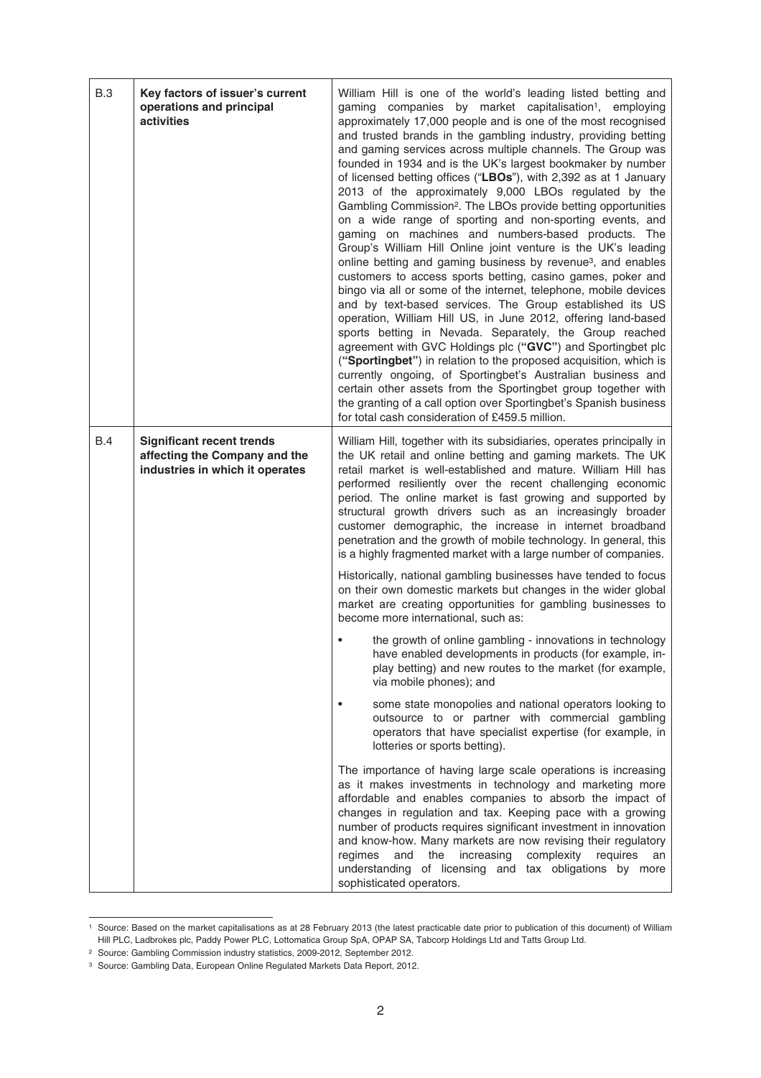| <b>B.3</b> | Key factors of issuer's current<br>operations and principal<br>activities                            | William Hill is one of the world's leading listed betting and<br>gaming companies by market capitalisation <sup>1</sup> , employing<br>approximately 17,000 people and is one of the most recognised<br>and trusted brands in the gambling industry, providing betting<br>and gaming services across multiple channels. The Group was<br>founded in 1934 and is the UK's largest bookmaker by number<br>of licensed betting offices ("LBOs"), with 2,392 as at 1 January<br>2013 of the approximately 9,000 LBOs regulated by the<br>Gambling Commission <sup>2</sup> . The LBOs provide betting opportunities<br>on a wide range of sporting and non-sporting events, and<br>gaming on machines and numbers-based products. The<br>Group's William Hill Online joint venture is the UK's leading<br>online betting and gaming business by revenue <sup>3</sup> , and enables<br>customers to access sports betting, casino games, poker and<br>bingo via all or some of the internet, telephone, mobile devices<br>and by text-based services. The Group established its US<br>operation, William Hill US, in June 2012, offering land-based<br>sports betting in Nevada. Separately, the Group reached<br>agreement with GVC Holdings plc ("GVC") and Sportingbet plc<br>("Sportingbet") in relation to the proposed acquisition, which is<br>currently ongoing, of Sportingbet's Australian business and<br>certain other assets from the Sportingbet group together with<br>the granting of a call option over Sportingbet's Spanish business<br>for total cash consideration of £459.5 million. |
|------------|------------------------------------------------------------------------------------------------------|------------------------------------------------------------------------------------------------------------------------------------------------------------------------------------------------------------------------------------------------------------------------------------------------------------------------------------------------------------------------------------------------------------------------------------------------------------------------------------------------------------------------------------------------------------------------------------------------------------------------------------------------------------------------------------------------------------------------------------------------------------------------------------------------------------------------------------------------------------------------------------------------------------------------------------------------------------------------------------------------------------------------------------------------------------------------------------------------------------------------------------------------------------------------------------------------------------------------------------------------------------------------------------------------------------------------------------------------------------------------------------------------------------------------------------------------------------------------------------------------------------------------------------------------------------------------------------------------------|
| B.4        | <b>Significant recent trends</b><br>affecting the Company and the<br>industries in which it operates | William Hill, together with its subsidiaries, operates principally in<br>the UK retail and online betting and gaming markets. The UK<br>retail market is well-established and mature. William Hill has<br>performed resiliently over the recent challenging economic<br>period. The online market is fast growing and supported by<br>structural growth drivers such as an increasingly broader<br>customer demographic, the increase in internet broadband<br>penetration and the growth of mobile technology. In general, this<br>is a highly fragmented market with a large number of companies.                                                                                                                                                                                                                                                                                                                                                                                                                                                                                                                                                                                                                                                                                                                                                                                                                                                                                                                                                                                                  |
|            |                                                                                                      | Historically, national gambling businesses have tended to focus<br>on their own domestic markets but changes in the wider global<br>market are creating opportunities for gambling businesses to<br>become more international, such as:                                                                                                                                                                                                                                                                                                                                                                                                                                                                                                                                                                                                                                                                                                                                                                                                                                                                                                                                                                                                                                                                                                                                                                                                                                                                                                                                                              |
|            |                                                                                                      | the growth of online gambling - innovations in technology<br>have enabled developments in products (for example, in-<br>play betting) and new routes to the market (for example,<br>via mobile phones); and                                                                                                                                                                                                                                                                                                                                                                                                                                                                                                                                                                                                                                                                                                                                                                                                                                                                                                                                                                                                                                                                                                                                                                                                                                                                                                                                                                                          |
|            |                                                                                                      | some state monopolies and national operators looking to<br>outsource to or partner with commercial gambling<br>operators that have specialist expertise (for example, in<br>lotteries or sports betting).                                                                                                                                                                                                                                                                                                                                                                                                                                                                                                                                                                                                                                                                                                                                                                                                                                                                                                                                                                                                                                                                                                                                                                                                                                                                                                                                                                                            |
|            |                                                                                                      | The importance of having large scale operations is increasing<br>as it makes investments in technology and marketing more<br>affordable and enables companies to absorb the impact of<br>changes in regulation and tax. Keeping pace with a growing<br>number of products requires significant investment in innovation<br>and know-how. Many markets are now revising their regulatory<br>the<br>increasing<br>complexity<br>requires<br>regimes<br>and<br>an<br>understanding of licensing and tax obligations by more<br>sophisticated operators.                                                                                                                                                                                                                                                                                                                                                                                                                                                                                                                                                                                                                                                                                                                                                                                                                                                                                                                                                                                                                                                 |

<sup>1</sup> Source: Based on the market capitalisations as at 28 February 2013 (the latest practicable date prior to publication of this document) of William Hill PLC, Ladbrokes plc, Paddy Power PLC, Lottomatica Group SpA, OPAP SA, Tabcorp Holdings Ltd and Tatts Group Ltd.

<sup>2</sup> Source: Gambling Commission industry statistics, 2009-2012, September 2012.

<sup>3</sup> Source: Gambling Data, European Online Regulated Markets Data Report, 2012.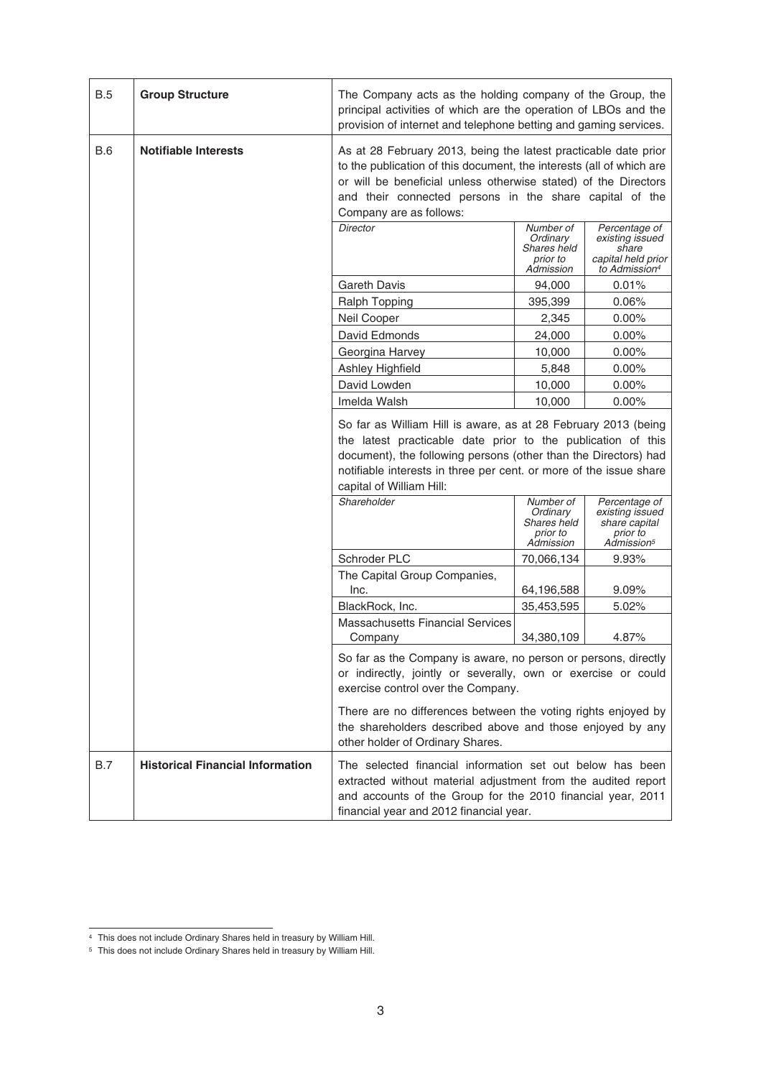| <b>B.5</b> | <b>Group Structure</b>                  | The Company acts as the holding company of the Group, the<br>principal activities of which are the operation of LBOs and the<br>provision of internet and telephone betting and gaming services.                                                                                                    |                                                               |                                                                                              |
|------------|-----------------------------------------|-----------------------------------------------------------------------------------------------------------------------------------------------------------------------------------------------------------------------------------------------------------------------------------------------------|---------------------------------------------------------------|----------------------------------------------------------------------------------------------|
| <b>B.6</b> | <b>Notifiable Interests</b>             | As at 28 February 2013, being the latest practicable date prior<br>to the publication of this document, the interests (all of which are<br>or will be beneficial unless otherwise stated) of the Directors<br>and their connected persons in the share capital of the<br>Company are as follows:    |                                                               |                                                                                              |
|            |                                         | <b>Director</b>                                                                                                                                                                                                                                                                                     | Number of<br>Ordinary<br>Shares held<br>prior to<br>Admission | Percentage of<br>existing issued<br>share<br>capital held prior<br>to Admission <sup>4</sup> |
|            |                                         | <b>Gareth Davis</b>                                                                                                                                                                                                                                                                                 | 94,000                                                        | 0.01%                                                                                        |
|            |                                         | Ralph Topping                                                                                                                                                                                                                                                                                       | 395,399                                                       | 0.06%                                                                                        |
|            |                                         | Neil Cooper                                                                                                                                                                                                                                                                                         | 2,345                                                         | $0.00\%$                                                                                     |
|            |                                         | David Edmonds                                                                                                                                                                                                                                                                                       | 24,000                                                        | $0.00\%$                                                                                     |
|            |                                         | Georgina Harvey                                                                                                                                                                                                                                                                                     | 10,000                                                        | $0.00\%$                                                                                     |
|            |                                         | Ashley Highfield                                                                                                                                                                                                                                                                                    | 5,848                                                         | $0.00\%$                                                                                     |
|            |                                         | David Lowden                                                                                                                                                                                                                                                                                        | 10,000                                                        | 0.00%                                                                                        |
|            |                                         | Imelda Walsh                                                                                                                                                                                                                                                                                        | 10,000                                                        | $0.00\%$                                                                                     |
|            |                                         | So far as William Hill is aware, as at 28 February 2013 (being<br>the latest practicable date prior to the publication of this<br>document), the following persons (other than the Directors) had<br>notifiable interests in three per cent. or more of the issue share<br>capital of William Hill: |                                                               |                                                                                              |
|            |                                         | Shareholder                                                                                                                                                                                                                                                                                         | Number of<br>Ordinary<br>Shares held<br>prior to<br>Admission | Percentage of<br>existing issued<br>share capital<br>prior to<br>Admission <sup>5</sup>      |
|            |                                         | Schroder PLC                                                                                                                                                                                                                                                                                        | 70,066,134                                                    | 9.93%                                                                                        |
|            |                                         | The Capital Group Companies,                                                                                                                                                                                                                                                                        |                                                               |                                                                                              |
|            |                                         | Inc.<br>BlackRock, Inc.                                                                                                                                                                                                                                                                             | 64,196,588<br>35,453,595                                      | 9.09%<br>5.02%                                                                               |
|            |                                         | <b>Massachusetts Financial Services</b>                                                                                                                                                                                                                                                             |                                                               |                                                                                              |
|            |                                         | Company                                                                                                                                                                                                                                                                                             | 34,380,109                                                    | 4.87%                                                                                        |
|            |                                         | So far as the Company is aware, no person or persons, directly<br>or indirectly, jointly or severally, own or exercise or could<br>exercise control over the Company.                                                                                                                               |                                                               |                                                                                              |
|            |                                         | There are no differences between the voting rights enjoyed by<br>the shareholders described above and those enjoyed by any<br>other holder of Ordinary Shares.                                                                                                                                      |                                                               |                                                                                              |
| B.7        | <b>Historical Financial Information</b> | The selected financial information set out below has been<br>extracted without material adjustment from the audited report<br>and accounts of the Group for the 2010 financial year, 2011<br>financial year and 2012 financial year.                                                                |                                                               |                                                                                              |

<sup>4</sup> This does not include Ordinary Shares held in treasury by William Hill.

<sup>5</sup> This does not include Ordinary Shares held in treasury by William Hill.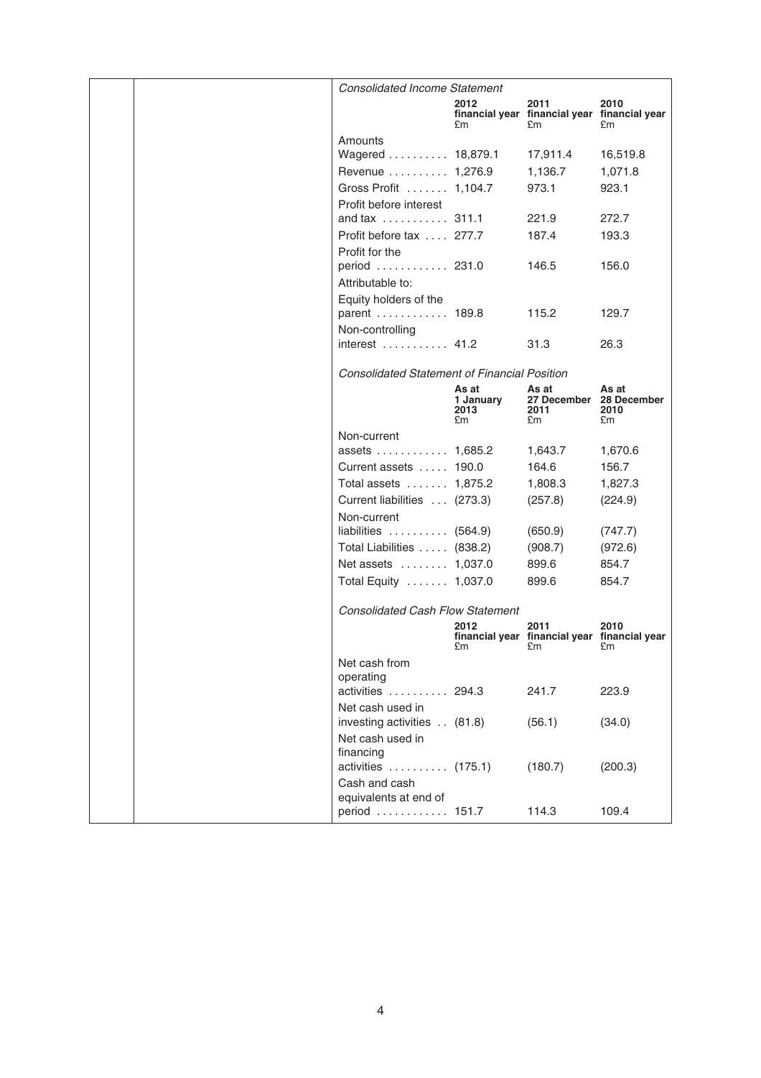|  | <b>Consolidated Income Statement</b>                |                                  |                                                                                                                                                                                                                                |                     |
|--|-----------------------------------------------------|----------------------------------|--------------------------------------------------------------------------------------------------------------------------------------------------------------------------------------------------------------------------------|---------------------|
|  |                                                     | 2012<br>£m                       | 2011<br>financial year financial year financial year<br>£m                                                                                                                                                                     | 2010<br>£m          |
|  | Amounts                                             |                                  |                                                                                                                                                                                                                                |                     |
|  | Wagered  18,879.1                                   |                                  | 17,911.4                                                                                                                                                                                                                       | 16,519.8            |
|  | Revenue  1,276.9                                    |                                  | 1,136.7                                                                                                                                                                                                                        | 1,071.8             |
|  | Gross Profit  1,104.7                               |                                  | 973.1                                                                                                                                                                                                                          | 923.1               |
|  | Profit before interest                              |                                  |                                                                                                                                                                                                                                |                     |
|  | and tax  311.1                                      |                                  | 221.9                                                                                                                                                                                                                          | 272.7               |
|  | Profit before tax  277.7                            |                                  | 187.4                                                                                                                                                                                                                          | 193.3               |
|  | Profit for the                                      |                                  |                                                                                                                                                                                                                                |                     |
|  | period  231.0<br>Attributable to:                   |                                  | 146.5                                                                                                                                                                                                                          | 156.0               |
|  | Equity holders of the                               |                                  |                                                                                                                                                                                                                                |                     |
|  | parent  189.8                                       |                                  | 115.2                                                                                                                                                                                                                          | 129.7               |
|  | Non-controlling                                     |                                  |                                                                                                                                                                                                                                | 26.3                |
|  | interest  41.2                                      |                                  | 31.3                                                                                                                                                                                                                           |                     |
|  | <b>Consolidated Statement of Financial Position</b> |                                  |                                                                                                                                                                                                                                |                     |
|  |                                                     | As at<br>1 January<br>2013<br>£m | As at<br>27 December 28 December<br>2011<br>£m                                                                                                                                                                                 | As at<br>2010<br>£m |
|  | Non-current                                         |                                  |                                                                                                                                                                                                                                |                     |
|  | assets  1,685.2                                     |                                  | 1,643.7                                                                                                                                                                                                                        | 1,670.6             |
|  | Current assets  190.0                               |                                  | 164.6                                                                                                                                                                                                                          | 156.7               |
|  | Total assets  1,875.2                               |                                  | 1,808.3                                                                                                                                                                                                                        | 1,827.3             |
|  | Current liabilities  (273.3)                        |                                  | (257.8)                                                                                                                                                                                                                        | (224.9)             |
|  | Non-current                                         |                                  |                                                                                                                                                                                                                                |                     |
|  | liabilities $(564.9)$                               |                                  | (650.9)                                                                                                                                                                                                                        | (747.7)             |
|  | Total Liabilities  (838.2)                          |                                  | (908.7)                                                                                                                                                                                                                        | (972.6)             |
|  | Net assets  1,037.0                                 |                                  | 899.6                                                                                                                                                                                                                          | 854.7               |
|  | Total Equity  1,037.0                               |                                  | 899.6                                                                                                                                                                                                                          | 854.7               |
|  | <b>Consolidated Cash Flow Statement</b>             |                                  |                                                                                                                                                                                                                                |                     |
|  |                                                     | 2012                             | 2011<br>financial year financial year financial year                                                                                                                                                                           | 2010                |
|  |                                                     | £m                               | £m and the state of the state of the state of the state of the state of the state of the state of the state of the state of the state of the state of the state of the state of the state of the state of the state of the sta | £m                  |
|  | Net cash from                                       |                                  |                                                                                                                                                                                                                                |                     |
|  | operating                                           |                                  |                                                                                                                                                                                                                                |                     |
|  | activities  294.3<br>Net cash used in               |                                  | 241.7                                                                                                                                                                                                                          | 223.9               |
|  | investing activities (81.8)                         |                                  | (56.1)                                                                                                                                                                                                                         | (34.0)              |
|  | Net cash used in<br>financing                       |                                  |                                                                                                                                                                                                                                |                     |
|  | activities  (175.1)                                 |                                  | (180.7)                                                                                                                                                                                                                        | (200.3)             |
|  | Cash and cash                                       |                                  |                                                                                                                                                                                                                                |                     |
|  | equivalents at end of                               |                                  |                                                                                                                                                                                                                                |                     |
|  | period  151.7                                       |                                  | 114.3                                                                                                                                                                                                                          | 109.4               |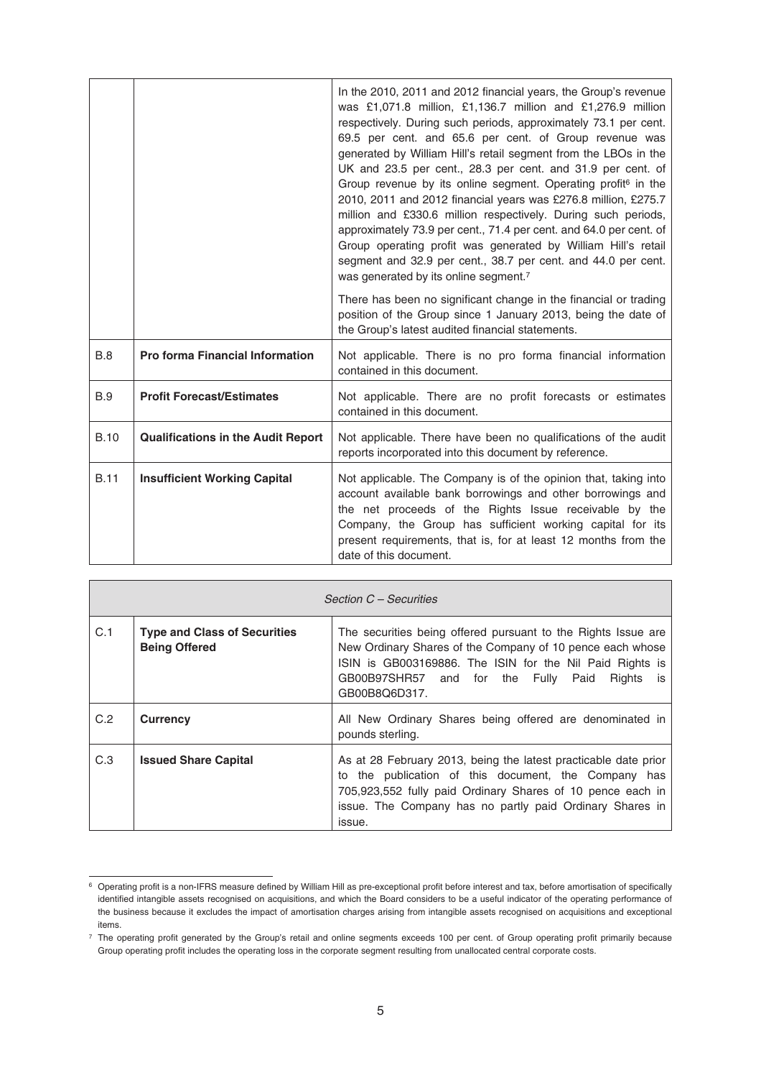|             |                                           | In the 2010, 2011 and 2012 financial years, the Group's revenue<br>was £1,071.8 million, £1,136.7 million and £1,276.9 million<br>respectively. During such periods, approximately 73.1 per cent.<br>69.5 per cent. and 65.6 per cent. of Group revenue was<br>generated by William Hill's retail segment from the LBOs in the<br>UK and 23.5 per cent., 28.3 per cent. and 31.9 per cent. of<br>Group revenue by its online segment. Operating profit <sup>6</sup> in the<br>2010, 2011 and 2012 financial years was £276.8 million, £275.7<br>million and £330.6 million respectively. During such periods,<br>approximately 73.9 per cent., 71.4 per cent. and 64.0 per cent. of<br>Group operating profit was generated by William Hill's retail<br>segment and 32.9 per cent., 38.7 per cent. and 44.0 per cent.<br>was generated by its online segment. <sup>7</sup> |
|-------------|-------------------------------------------|----------------------------------------------------------------------------------------------------------------------------------------------------------------------------------------------------------------------------------------------------------------------------------------------------------------------------------------------------------------------------------------------------------------------------------------------------------------------------------------------------------------------------------------------------------------------------------------------------------------------------------------------------------------------------------------------------------------------------------------------------------------------------------------------------------------------------------------------------------------------------|
|             |                                           | There has been no significant change in the financial or trading<br>position of the Group since 1 January 2013, being the date of<br>the Group's latest audited financial statements.                                                                                                                                                                                                                                                                                                                                                                                                                                                                                                                                                                                                                                                                                      |
| B.8         | <b>Pro forma Financial Information</b>    | Not applicable. There is no pro forma financial information<br>contained in this document.                                                                                                                                                                                                                                                                                                                                                                                                                                                                                                                                                                                                                                                                                                                                                                                 |
| <b>B.9</b>  | <b>Profit Forecast/Estimates</b>          | Not applicable. There are no profit forecasts or estimates<br>contained in this document.                                                                                                                                                                                                                                                                                                                                                                                                                                                                                                                                                                                                                                                                                                                                                                                  |
| <b>B.10</b> | <b>Qualifications in the Audit Report</b> | Not applicable. There have been no qualifications of the audit<br>reports incorporated into this document by reference.                                                                                                                                                                                                                                                                                                                                                                                                                                                                                                                                                                                                                                                                                                                                                    |
| <b>B.11</b> | <b>Insufficient Working Capital</b>       | Not applicable. The Company is of the opinion that, taking into<br>account available bank borrowings and other borrowings and<br>the net proceeds of the Rights Issue receivable by the<br>Company, the Group has sufficient working capital for its<br>present requirements, that is, for at least 12 months from the<br>date of this document.                                                                                                                                                                                                                                                                                                                                                                                                                                                                                                                           |

|     | Section C - Securities                                      |                                                                                                                                                                                                                                                                   |  |  |
|-----|-------------------------------------------------------------|-------------------------------------------------------------------------------------------------------------------------------------------------------------------------------------------------------------------------------------------------------------------|--|--|
| C.1 | <b>Type and Class of Securities</b><br><b>Being Offered</b> | The securities being offered pursuant to the Rights Issue are<br>New Ordinary Shares of the Company of 10 pence each whose<br>ISIN is GB003169886. The ISIN for the Nil Paid Rights is<br>GB00B97SHR57 and for the Fully<br>Rights<br>Paid<br>is<br>GB00B8Q6D317. |  |  |
| C.2 | <b>Currency</b>                                             | All New Ordinary Shares being offered are denominated in<br>pounds sterling.                                                                                                                                                                                      |  |  |
| C.3 | <b>Issued Share Capital</b>                                 | As at 28 February 2013, being the latest practicable date prior<br>the publication of this document, the Company has<br>to<br>705,923,552 fully paid Ordinary Shares of 10 pence each in<br>issue. The Company has no partly paid Ordinary Shares in<br>issue.    |  |  |

<sup>6</sup> Operating profit is a non-IFRS measure defined by William Hill as pre-exceptional profit before interest and tax, before amortisation of specifically identified intangible assets recognised on acquisitions, and which the Board considers to be a useful indicator of the operating performance of the business because it excludes the impact of amortisation charges arising from intangible assets recognised on acquisitions and exceptional items.

<sup>7</sup> The operating profit generated by the Group's retail and online segments exceeds 100 per cent. of Group operating profit primarily because Group operating profit includes the operating loss in the corporate segment resulting from unallocated central corporate costs.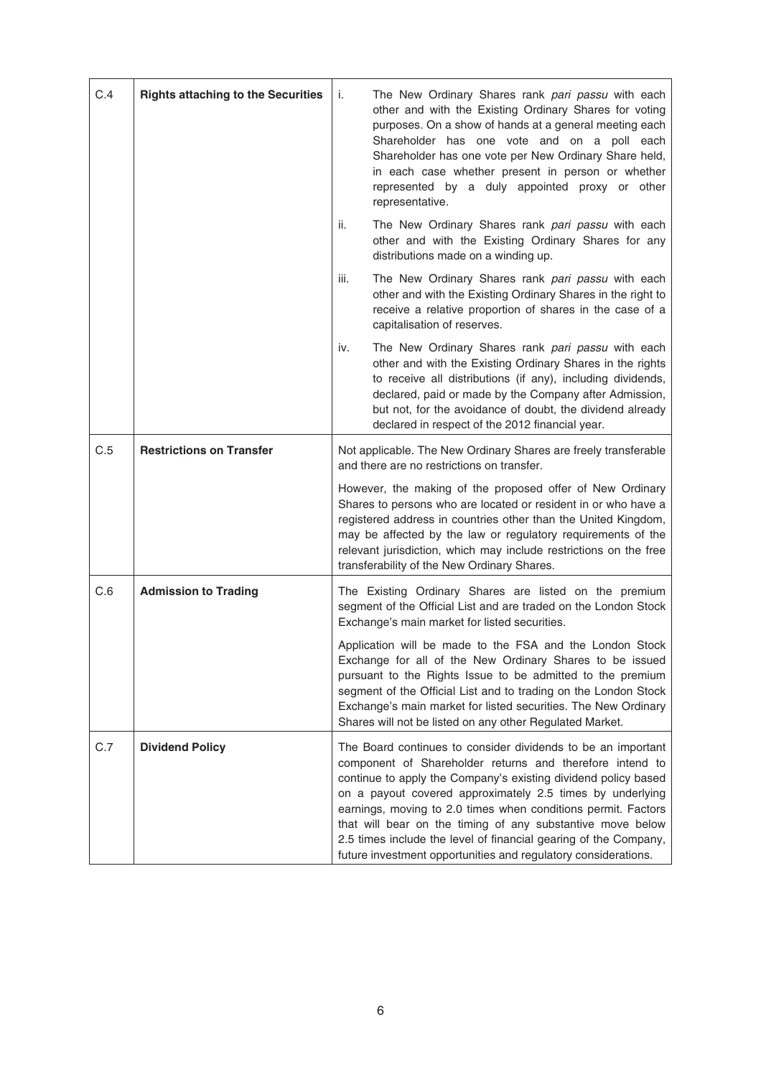| C.4 | <b>Rights attaching to the Securities</b> | i.<br>The New Ordinary Shares rank pari passu with each<br>other and with the Existing Ordinary Shares for voting<br>purposes. On a show of hands at a general meeting each<br>Shareholder has one vote and on a poll each<br>Shareholder has one vote per New Ordinary Share held,<br>in each case whether present in person or whether<br>represented by a duly appointed proxy or other<br>representative.                                                                                                                |  |
|-----|-------------------------------------------|------------------------------------------------------------------------------------------------------------------------------------------------------------------------------------------------------------------------------------------------------------------------------------------------------------------------------------------------------------------------------------------------------------------------------------------------------------------------------------------------------------------------------|--|
|     |                                           | ii.<br>The New Ordinary Shares rank pari passu with each<br>other and with the Existing Ordinary Shares for any<br>distributions made on a winding up.                                                                                                                                                                                                                                                                                                                                                                       |  |
|     |                                           | iii.<br>The New Ordinary Shares rank pari passu with each<br>other and with the Existing Ordinary Shares in the right to<br>receive a relative proportion of shares in the case of a<br>capitalisation of reserves.                                                                                                                                                                                                                                                                                                          |  |
|     |                                           | The New Ordinary Shares rank pari passu with each<br>iv.<br>other and with the Existing Ordinary Shares in the rights<br>to receive all distributions (if any), including dividends,<br>declared, paid or made by the Company after Admission,<br>but not, for the avoidance of doubt, the dividend already<br>declared in respect of the 2012 financial year.                                                                                                                                                               |  |
| C.5 | <b>Restrictions on Transfer</b>           | Not applicable. The New Ordinary Shares are freely transferable<br>and there are no restrictions on transfer.                                                                                                                                                                                                                                                                                                                                                                                                                |  |
|     |                                           | However, the making of the proposed offer of New Ordinary<br>Shares to persons who are located or resident in or who have a<br>registered address in countries other than the United Kingdom,<br>may be affected by the law or regulatory requirements of the<br>relevant jurisdiction, which may include restrictions on the free<br>transferability of the New Ordinary Shares.                                                                                                                                            |  |
| C.6 | <b>Admission to Trading</b>               | The Existing Ordinary Shares are listed on the premium<br>segment of the Official List and are traded on the London Stock<br>Exchange's main market for listed securities.                                                                                                                                                                                                                                                                                                                                                   |  |
|     |                                           | Application will be made to the FSA and the London Stock<br>Exchange for all of the New Ordinary Shares to be issued<br>pursuant to the Rights Issue to be admitted to the premium<br>segment of the Official List and to trading on the London Stock<br>Exchange's main market for listed securities. The New Ordinary<br>Shares will not be listed on any other Regulated Market.                                                                                                                                          |  |
| C.7 | <b>Dividend Policy</b>                    | The Board continues to consider dividends to be an important<br>component of Shareholder returns and therefore intend to<br>continue to apply the Company's existing dividend policy based<br>on a payout covered approximately 2.5 times by underlying<br>earnings, moving to 2.0 times when conditions permit. Factors<br>that will bear on the timing of any substantive move below<br>2.5 times include the level of financial gearing of the Company,<br>future investment opportunities and regulatory considerations. |  |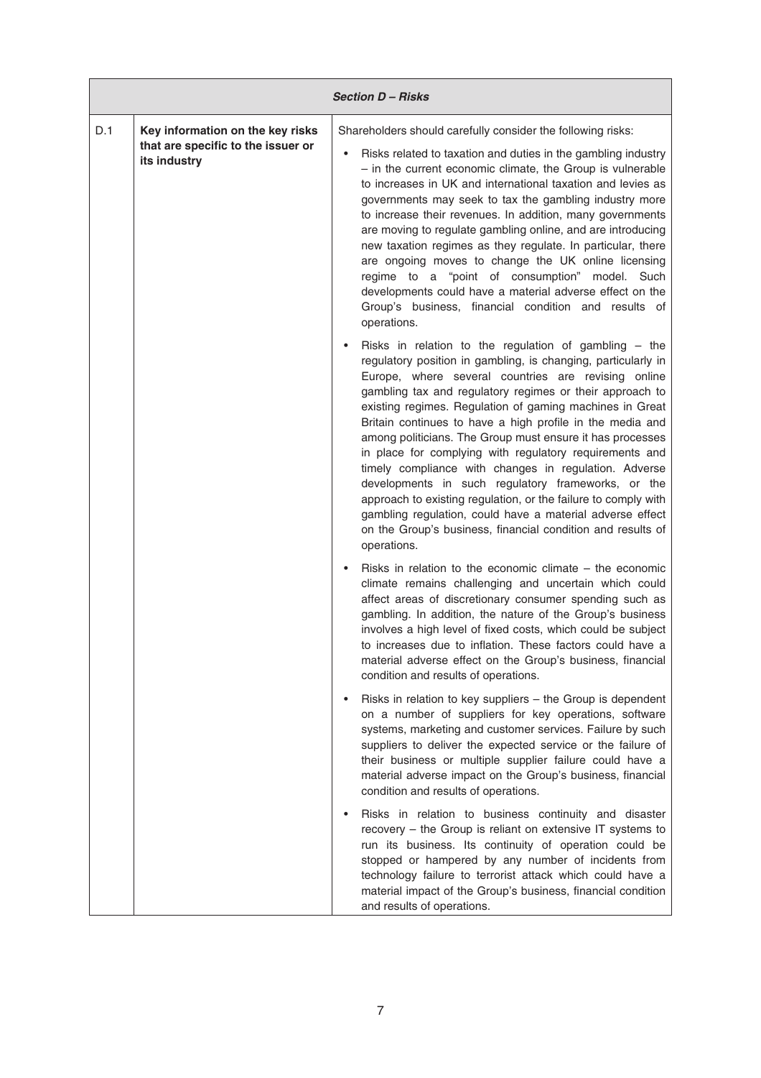|     | <b>Section D-Risks</b>                                                                 |                                                                                                                                                                                                                                                                                                                                                                                                                                                                                                                                                                                                                                                                                                                                                                                                                          |  |  |
|-----|----------------------------------------------------------------------------------------|--------------------------------------------------------------------------------------------------------------------------------------------------------------------------------------------------------------------------------------------------------------------------------------------------------------------------------------------------------------------------------------------------------------------------------------------------------------------------------------------------------------------------------------------------------------------------------------------------------------------------------------------------------------------------------------------------------------------------------------------------------------------------------------------------------------------------|--|--|
| D.1 | Key information on the key risks<br>that are specific to the issuer or<br>its industry | Shareholders should carefully consider the following risks:<br>Risks related to taxation and duties in the gambling industry<br>- in the current economic climate, the Group is vulnerable<br>to increases in UK and international taxation and levies as<br>governments may seek to tax the gambling industry more<br>to increase their revenues. In addition, many governments<br>are moving to regulate gambling online, and are introducing<br>new taxation regimes as they regulate. In particular, there<br>are ongoing moves to change the UK online licensing<br>regime to a "point of consumption" model. Such<br>developments could have a material adverse effect on the<br>Group's business, financial condition and results of<br>operations.                                                               |  |  |
|     |                                                                                        | Risks in relation to the regulation of gambling $-$ the<br>regulatory position in gambling, is changing, particularly in<br>Europe, where several countries are revising online<br>gambling tax and regulatory regimes or their approach to<br>existing regimes. Regulation of gaming machines in Great<br>Britain continues to have a high profile in the media and<br>among politicians. The Group must ensure it has processes<br>in place for complying with regulatory requirements and<br>timely compliance with changes in regulation. Adverse<br>developments in such regulatory frameworks, or the<br>approach to existing regulation, or the failure to comply with<br>gambling regulation, could have a material adverse effect<br>on the Group's business, financial condition and results of<br>operations. |  |  |
|     |                                                                                        | Risks in relation to the economic climate $-$ the economic<br>climate remains challenging and uncertain which could<br>affect areas of discretionary consumer spending such as<br>gambling. In addition, the nature of the Group's business<br>involves a high level of fixed costs, which could be subject<br>to increases due to inflation. These factors could have a<br>material adverse effect on the Group's business, financial<br>condition and results of operations.                                                                                                                                                                                                                                                                                                                                           |  |  |
|     |                                                                                        | Risks in relation to key suppliers - the Group is dependent<br>$\bullet$<br>on a number of suppliers for key operations, software<br>systems, marketing and customer services. Failure by such<br>suppliers to deliver the expected service or the failure of<br>their business or multiple supplier failure could have a<br>material adverse impact on the Group's business, financial<br>condition and results of operations.                                                                                                                                                                                                                                                                                                                                                                                          |  |  |
|     |                                                                                        | Risks in relation to business continuity and disaster<br>recovery - the Group is reliant on extensive IT systems to<br>run its business. Its continuity of operation could be<br>stopped or hampered by any number of incidents from<br>technology failure to terrorist attack which could have a<br>material impact of the Group's business, financial condition<br>and results of operations.                                                                                                                                                                                                                                                                                                                                                                                                                          |  |  |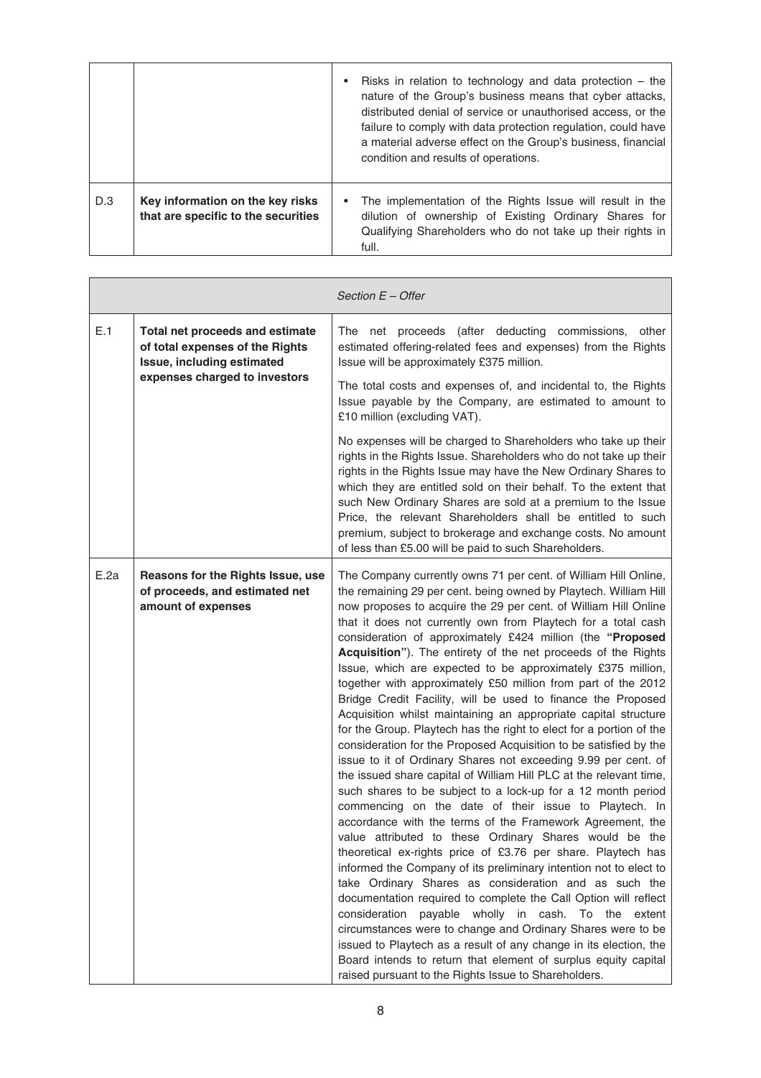|     |                                                                         | Risks in relation to technology and data protection $-$ the<br>nature of the Group's business means that cyber attacks,<br>distributed denial of service or unauthorised access, or the<br>failure to comply with data protection regulation, could have<br>a material adverse effect on the Group's business, financial<br>condition and results of operations. |
|-----|-------------------------------------------------------------------------|------------------------------------------------------------------------------------------------------------------------------------------------------------------------------------------------------------------------------------------------------------------------------------------------------------------------------------------------------------------|
| D.3 | Key information on the key risks<br>that are specific to the securities | The implementation of the Rights Issue will result in the<br>dilution of ownership of Existing Ordinary Shares for<br>Qualifying Shareholders who do not take up their rights in<br>full.                                                                                                                                                                        |

|      |                                                                                                  | Section $E -$ Offer                                                                                                                                                                                                                                                                                                                                                                                                                                                                                                                                                                                                                                                                                                                                                                                                                                                                                                                                                                                                                                                                                                                                                                                                                                                                                                                                                                                                                                                                                                                                                                                                                                                                                                                                                                                    |
|------|--------------------------------------------------------------------------------------------------|--------------------------------------------------------------------------------------------------------------------------------------------------------------------------------------------------------------------------------------------------------------------------------------------------------------------------------------------------------------------------------------------------------------------------------------------------------------------------------------------------------------------------------------------------------------------------------------------------------------------------------------------------------------------------------------------------------------------------------------------------------------------------------------------------------------------------------------------------------------------------------------------------------------------------------------------------------------------------------------------------------------------------------------------------------------------------------------------------------------------------------------------------------------------------------------------------------------------------------------------------------------------------------------------------------------------------------------------------------------------------------------------------------------------------------------------------------------------------------------------------------------------------------------------------------------------------------------------------------------------------------------------------------------------------------------------------------------------------------------------------------------------------------------------------------|
| E.1  | Total net proceeds and estimate<br>of total expenses of the Rights<br>Issue, including estimated | The net proceeds (after deducting commissions,<br>other<br>estimated offering-related fees and expenses) from the Rights<br>Issue will be approximately £375 million.                                                                                                                                                                                                                                                                                                                                                                                                                                                                                                                                                                                                                                                                                                                                                                                                                                                                                                                                                                                                                                                                                                                                                                                                                                                                                                                                                                                                                                                                                                                                                                                                                                  |
|      | expenses charged to investors                                                                    | The total costs and expenses of, and incidental to, the Rights<br>Issue payable by the Company, are estimated to amount to<br>£10 million (excluding VAT).                                                                                                                                                                                                                                                                                                                                                                                                                                                                                                                                                                                                                                                                                                                                                                                                                                                                                                                                                                                                                                                                                                                                                                                                                                                                                                                                                                                                                                                                                                                                                                                                                                             |
|      |                                                                                                  | No expenses will be charged to Shareholders who take up their<br>rights in the Rights Issue. Shareholders who do not take up their<br>rights in the Rights Issue may have the New Ordinary Shares to<br>which they are entitled sold on their behalf. To the extent that<br>such New Ordinary Shares are sold at a premium to the Issue<br>Price, the relevant Shareholders shall be entitled to such<br>premium, subject to brokerage and exchange costs. No amount<br>of less than £5.00 will be paid to such Shareholders.                                                                                                                                                                                                                                                                                                                                                                                                                                                                                                                                                                                                                                                                                                                                                                                                                                                                                                                                                                                                                                                                                                                                                                                                                                                                          |
| E.2a | Reasons for the Rights Issue, use<br>of proceeds, and estimated net<br>amount of expenses        | The Company currently owns 71 per cent. of William Hill Online,<br>the remaining 29 per cent. being owned by Playtech. William Hill<br>now proposes to acquire the 29 per cent. of William Hill Online<br>that it does not currently own from Playtech for a total cash<br>consideration of approximately £424 million (the "Proposed<br>Acquisition"). The entirety of the net proceeds of the Rights<br>Issue, which are expected to be approximately £375 million,<br>together with approximately £50 million from part of the 2012<br>Bridge Credit Facility, will be used to finance the Proposed<br>Acquisition whilst maintaining an appropriate capital structure<br>for the Group. Playtech has the right to elect for a portion of the<br>consideration for the Proposed Acquisition to be satisfied by the<br>issue to it of Ordinary Shares not exceeding 9.99 per cent. of<br>the issued share capital of William Hill PLC at the relevant time,<br>such shares to be subject to a lock-up for a 12 month period<br>commencing on the date of their issue to Playtech. In<br>accordance with the terms of the Framework Agreement, the<br>value attributed to these Ordinary Shares would be the<br>theoretical ex-rights price of £3.76 per share. Playtech has<br>informed the Company of its preliminary intention not to elect to<br>take Ordinary Shares as consideration and as such the<br>documentation required to complete the Call Option will reflect<br>consideration<br>payable wholly in cash. To the extent<br>circumstances were to change and Ordinary Shares were to be<br>issued to Playtech as a result of any change in its election, the<br>Board intends to return that element of surplus equity capital<br>raised pursuant to the Rights Issue to Shareholders. |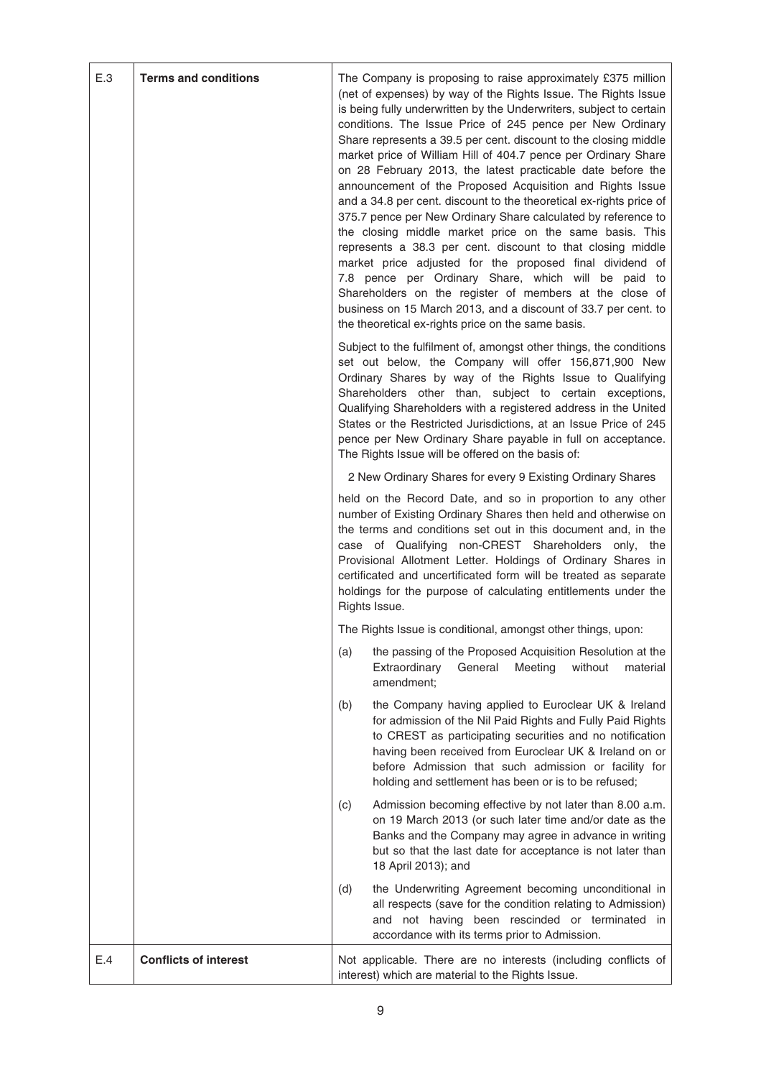| E.3 | <b>Terms and conditions</b>  | The Company is proposing to raise approximately £375 million<br>(net of expenses) by way of the Rights Issue. The Rights Issue<br>is being fully underwritten by the Underwriters, subject to certain<br>conditions. The Issue Price of 245 pence per New Ordinary<br>Share represents a 39.5 per cent. discount to the closing middle<br>market price of William Hill of 404.7 pence per Ordinary Share<br>on 28 February 2013, the latest practicable date before the<br>announcement of the Proposed Acquisition and Rights Issue<br>and a 34.8 per cent. discount to the theoretical ex-rights price of<br>375.7 pence per New Ordinary Share calculated by reference to<br>the closing middle market price on the same basis. This<br>represents a 38.3 per cent. discount to that closing middle<br>market price adjusted for the proposed final dividend of<br>7.8 pence per Ordinary Share, which will be paid to<br>Shareholders on the register of members at the close of<br>business on 15 March 2013, and a discount of 33.7 per cent. to<br>the theoretical ex-rights price on the same basis.<br>Subject to the fulfilment of, amongst other things, the conditions<br>set out below, the Company will offer 156,871,900 New |
|-----|------------------------------|---------------------------------------------------------------------------------------------------------------------------------------------------------------------------------------------------------------------------------------------------------------------------------------------------------------------------------------------------------------------------------------------------------------------------------------------------------------------------------------------------------------------------------------------------------------------------------------------------------------------------------------------------------------------------------------------------------------------------------------------------------------------------------------------------------------------------------------------------------------------------------------------------------------------------------------------------------------------------------------------------------------------------------------------------------------------------------------------------------------------------------------------------------------------------------------------------------------------------------------------|
|     |                              | Ordinary Shares by way of the Rights Issue to Qualifying<br>Shareholders other than, subject to certain exceptions,<br>Qualifying Shareholders with a registered address in the United<br>States or the Restricted Jurisdictions, at an Issue Price of 245<br>pence per New Ordinary Share payable in full on acceptance.<br>The Rights Issue will be offered on the basis of:                                                                                                                                                                                                                                                                                                                                                                                                                                                                                                                                                                                                                                                                                                                                                                                                                                                              |
|     |                              | 2 New Ordinary Shares for every 9 Existing Ordinary Shares                                                                                                                                                                                                                                                                                                                                                                                                                                                                                                                                                                                                                                                                                                                                                                                                                                                                                                                                                                                                                                                                                                                                                                                  |
|     |                              | held on the Record Date, and so in proportion to any other<br>number of Existing Ordinary Shares then held and otherwise on<br>the terms and conditions set out in this document and, in the<br>case of Qualifying non-CREST Shareholders only, the<br>Provisional Allotment Letter. Holdings of Ordinary Shares in<br>certificated and uncertificated form will be treated as separate<br>holdings for the purpose of calculating entitlements under the<br>Rights Issue.                                                                                                                                                                                                                                                                                                                                                                                                                                                                                                                                                                                                                                                                                                                                                                  |
|     |                              | The Rights Issue is conditional, amongst other things, upon:                                                                                                                                                                                                                                                                                                                                                                                                                                                                                                                                                                                                                                                                                                                                                                                                                                                                                                                                                                                                                                                                                                                                                                                |
|     |                              | the passing of the Proposed Acquisition Resolution at the<br>(a)<br>Extraordinary<br>without<br>General<br>Meeting<br>material<br>amendment;                                                                                                                                                                                                                                                                                                                                                                                                                                                                                                                                                                                                                                                                                                                                                                                                                                                                                                                                                                                                                                                                                                |
|     |                              | the Company having applied to Euroclear UK & Ireland<br>(b)<br>for admission of the Nil Paid Rights and Fully Paid Rights<br>to CREST as participating securities and no notification<br>having been received from Euroclear UK & Ireland on or<br>before Admission that such admission or facility for<br>holding and settlement has been or is to be refused;                                                                                                                                                                                                                                                                                                                                                                                                                                                                                                                                                                                                                                                                                                                                                                                                                                                                             |
|     |                              | Admission becoming effective by not later than 8.00 a.m.<br>(c)<br>on 19 March 2013 (or such later time and/or date as the<br>Banks and the Company may agree in advance in writing<br>but so that the last date for acceptance is not later than<br>18 April 2013); and                                                                                                                                                                                                                                                                                                                                                                                                                                                                                                                                                                                                                                                                                                                                                                                                                                                                                                                                                                    |
|     |                              | the Underwriting Agreement becoming unconditional in<br>(d)<br>all respects (save for the condition relating to Admission)<br>and not having been rescinded or terminated in<br>accordance with its terms prior to Admission.                                                                                                                                                                                                                                                                                                                                                                                                                                                                                                                                                                                                                                                                                                                                                                                                                                                                                                                                                                                                               |
| E.4 | <b>Conflicts of interest</b> | Not applicable. There are no interests (including conflicts of<br>interest) which are material to the Rights Issue.                                                                                                                                                                                                                                                                                                                                                                                                                                                                                                                                                                                                                                                                                                                                                                                                                                                                                                                                                                                                                                                                                                                         |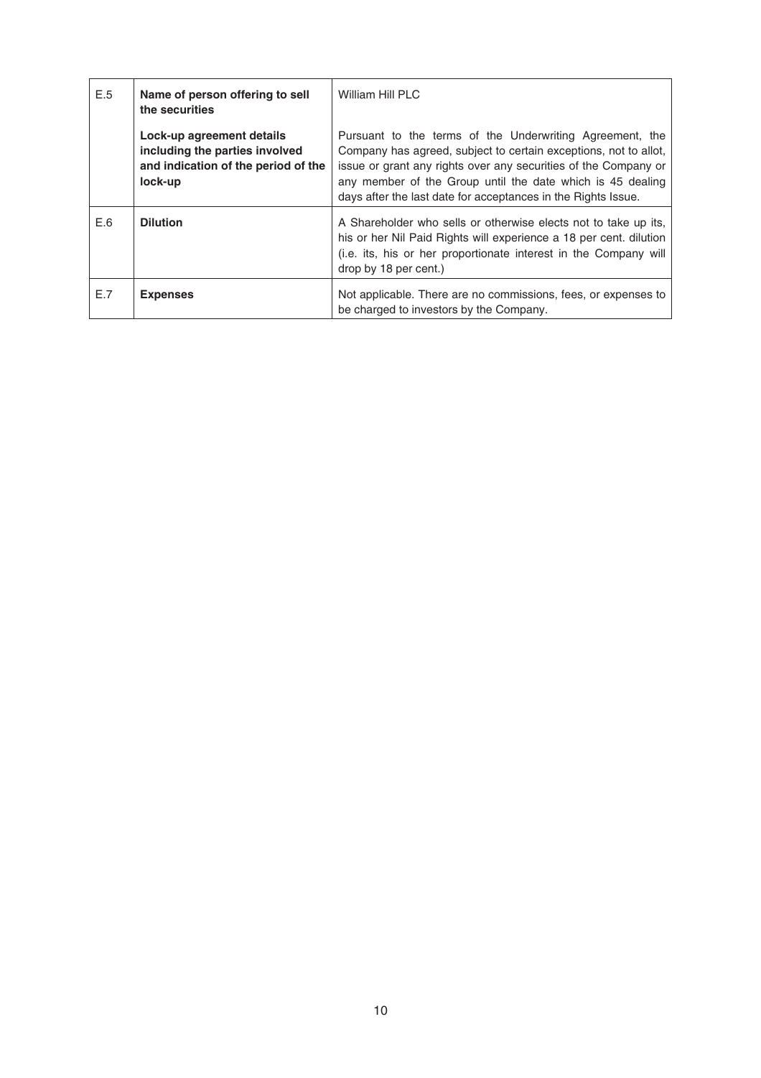| E.5 | Name of person offering to sell<br>the securities                                                             | William Hill PLC                                                                                                                                                                                                                                                                                                               |
|-----|---------------------------------------------------------------------------------------------------------------|--------------------------------------------------------------------------------------------------------------------------------------------------------------------------------------------------------------------------------------------------------------------------------------------------------------------------------|
|     | Lock-up agreement details<br>including the parties involved<br>and indication of the period of the<br>lock-up | Pursuant to the terms of the Underwriting Agreement, the<br>Company has agreed, subject to certain exceptions, not to allot,<br>issue or grant any rights over any securities of the Company or<br>any member of the Group until the date which is 45 dealing<br>days after the last date for acceptances in the Rights Issue. |
| E.6 | <b>Dilution</b>                                                                                               | A Shareholder who sells or otherwise elects not to take up its,<br>his or her Nil Paid Rights will experience a 18 per cent. dilution<br>(i.e. its, his or her proportionate interest in the Company will<br>drop by 18 per cent.)                                                                                             |
| E.7 | <b>Expenses</b>                                                                                               | Not applicable. There are no commissions, fees, or expenses to<br>be charged to investors by the Company.                                                                                                                                                                                                                      |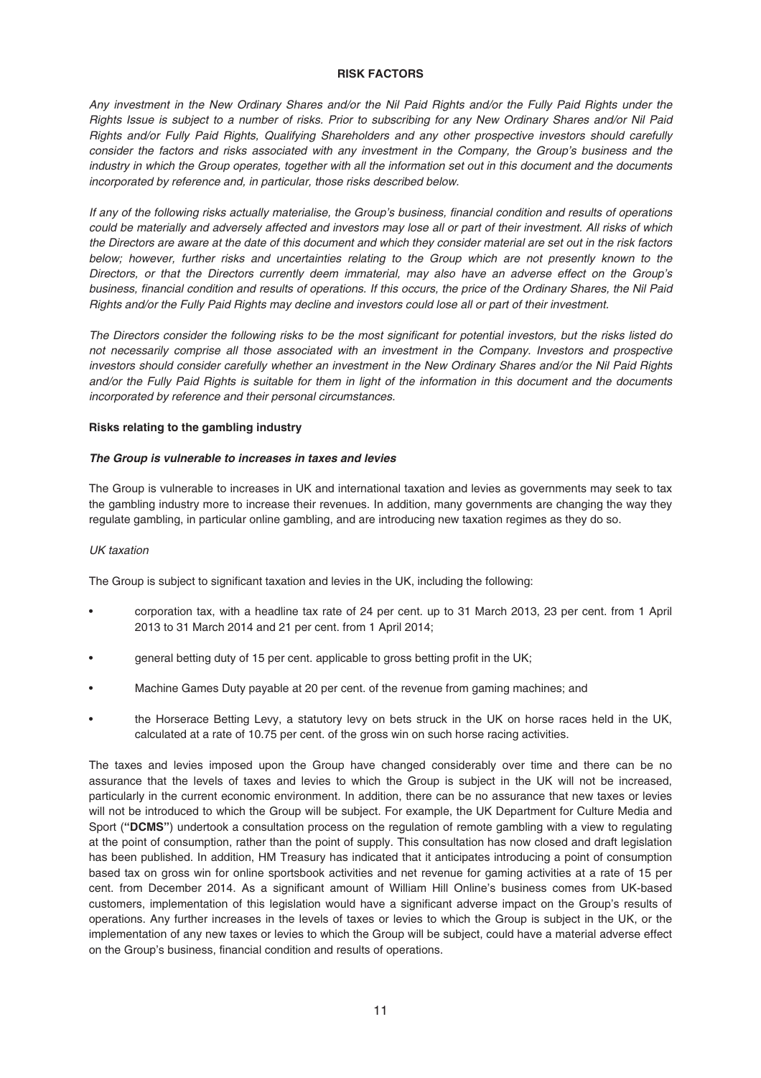### **RISK FACTORS**

Any investment in the New Ordinary Shares and/or the Nil Paid Rights and/or the Fully Paid Rights under the Rights Issue is subject to a number of risks. Prior to subscribing for any New Ordinary Shares and/or Nil Paid Rights and/or Fully Paid Rights, Qualifying Shareholders and any other prospective investors should carefully consider the factors and risks associated with any investment in the Company, the Group's business and the industry in which the Group operates, together with all the information set out in this document and the documents incorporated by reference and, in particular, those risks described below.

If any of the following risks actually materialise, the Group's business, financial condition and results of operations could be materially and adversely affected and investors may lose all or part of their investment. All risks of which the Directors are aware at the date of this document and which they consider material are set out in the risk factors below; however, further risks and uncertainties relating to the Group which are not presently known to the Directors, or that the Directors currently deem immaterial, may also have an adverse effect on the Group's business, financial condition and results of operations. If this occurs, the price of the Ordinary Shares, the Nil Paid Rights and/or the Fully Paid Rights may decline and investors could lose all or part of their investment.

The Directors consider the following risks to be the most significant for potential investors, but the risks listed do not necessarily comprise all those associated with an investment in the Company. Investors and prospective investors should consider carefully whether an investment in the New Ordinary Shares and/or the Nil Paid Rights and/or the Fully Paid Rights is suitable for them in light of the information in this document and the documents incorporated by reference and their personal circumstances.

#### **Risks relating to the gambling industry**

### *The Group is vulnerable to increases in taxes and levies*

The Group is vulnerable to increases in UK and international taxation and levies as governments may seek to tax the gambling industry more to increase their revenues. In addition, many governments are changing the way they regulate gambling, in particular online gambling, and are introducing new taxation regimes as they do so.

#### UK taxation

The Group is subject to significant taxation and levies in the UK, including the following:

- corporation tax, with a headline tax rate of 24 per cent. up to 31 March 2013, 23 per cent. from 1 April 2013 to 31 March 2014 and 21 per cent. from 1 April 2014;
- general betting duty of 15 per cent. applicable to gross betting profit in the UK;
- Machine Games Duty payable at 20 per cent. of the revenue from gaming machines; and
- the Horserace Betting Levy, a statutory levy on bets struck in the UK on horse races held in the UK, calculated at a rate of 10.75 per cent. of the gross win on such horse racing activities.

The taxes and levies imposed upon the Group have changed considerably over time and there can be no assurance that the levels of taxes and levies to which the Group is subject in the UK will not be increased, particularly in the current economic environment. In addition, there can be no assurance that new taxes or levies will not be introduced to which the Group will be subject. For example, the UK Department for Culture Media and Sport (**"DCMS"**) undertook a consultation process on the regulation of remote gambling with a view to regulating at the point of consumption, rather than the point of supply. This consultation has now closed and draft legislation has been published. In addition, HM Treasury has indicated that it anticipates introducing a point of consumption based tax on gross win for online sportsbook activities and net revenue for gaming activities at a rate of 15 per cent. from December 2014. As a significant amount of William Hill Online's business comes from UK-based customers, implementation of this legislation would have a significant adverse impact on the Group's results of operations. Any further increases in the levels of taxes or levies to which the Group is subject in the UK, or the implementation of any new taxes or levies to which the Group will be subject, could have a material adverse effect on the Group's business, financial condition and results of operations.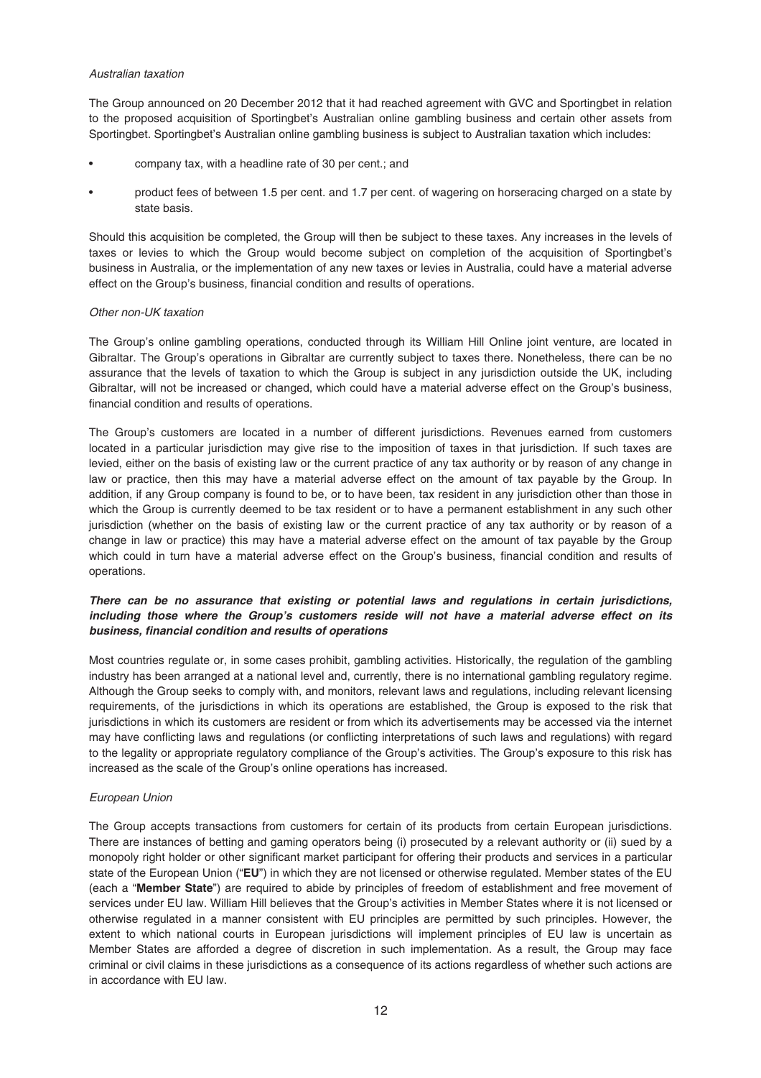#### Australian taxation

The Group announced on 20 December 2012 that it had reached agreement with GVC and Sportingbet in relation to the proposed acquisition of Sportingbet's Australian online gambling business and certain other assets from Sportingbet. Sportingbet's Australian online gambling business is subject to Australian taxation which includes:

- company tax, with a headline rate of 30 per cent.; and
- product fees of between 1.5 per cent. and 1.7 per cent. of wagering on horseracing charged on a state by state basis.

Should this acquisition be completed, the Group will then be subject to these taxes. Any increases in the levels of taxes or levies to which the Group would become subject on completion of the acquisition of Sportingbet's business in Australia, or the implementation of any new taxes or levies in Australia, could have a material adverse effect on the Group's business, financial condition and results of operations.

### Other non-UK taxation

The Group's online gambling operations, conducted through its William Hill Online joint venture, are located in Gibraltar. The Group's operations in Gibraltar are currently subject to taxes there. Nonetheless, there can be no assurance that the levels of taxation to which the Group is subject in any jurisdiction outside the UK, including Gibraltar, will not be increased or changed, which could have a material adverse effect on the Group's business, financial condition and results of operations.

The Group's customers are located in a number of different jurisdictions. Revenues earned from customers located in a particular jurisdiction may give rise to the imposition of taxes in that jurisdiction. If such taxes are levied, either on the basis of existing law or the current practice of any tax authority or by reason of any change in law or practice, then this may have a material adverse effect on the amount of tax payable by the Group. In addition, if any Group company is found to be, or to have been, tax resident in any jurisdiction other than those in which the Group is currently deemed to be tax resident or to have a permanent establishment in any such other jurisdiction (whether on the basis of existing law or the current practice of any tax authority or by reason of a change in law or practice) this may have a material adverse effect on the amount of tax payable by the Group which could in turn have a material adverse effect on the Group's business, financial condition and results of operations.

# *There can be no assurance that existing or potential laws and regulations in certain jurisdictions, including those where the Group's customers reside will not have a material adverse effect on its business, financial condition and results of operations*

Most countries regulate or, in some cases prohibit, gambling activities. Historically, the regulation of the gambling industry has been arranged at a national level and, currently, there is no international gambling regulatory regime. Although the Group seeks to comply with, and monitors, relevant laws and regulations, including relevant licensing requirements, of the jurisdictions in which its operations are established, the Group is exposed to the risk that jurisdictions in which its customers are resident or from which its advertisements may be accessed via the internet may have conflicting laws and regulations (or conflicting interpretations of such laws and regulations) with regard to the legality or appropriate regulatory compliance of the Group's activities. The Group's exposure to this risk has increased as the scale of the Group's online operations has increased.

# European Union

The Group accepts transactions from customers for certain of its products from certain European jurisdictions. There are instances of betting and gaming operators being (i) prosecuted by a relevant authority or (ii) sued by a monopoly right holder or other significant market participant for offering their products and services in a particular state of the European Union ("**EU**") in which they are not licensed or otherwise regulated. Member states of the EU (each a "**Member State**") are required to abide by principles of freedom of establishment and free movement of services under EU law. William Hill believes that the Group's activities in Member States where it is not licensed or otherwise regulated in a manner consistent with EU principles are permitted by such principles. However, the extent to which national courts in European jurisdictions will implement principles of EU law is uncertain as Member States are afforded a degree of discretion in such implementation. As a result, the Group may face criminal or civil claims in these jurisdictions as a consequence of its actions regardless of whether such actions are in accordance with EU law.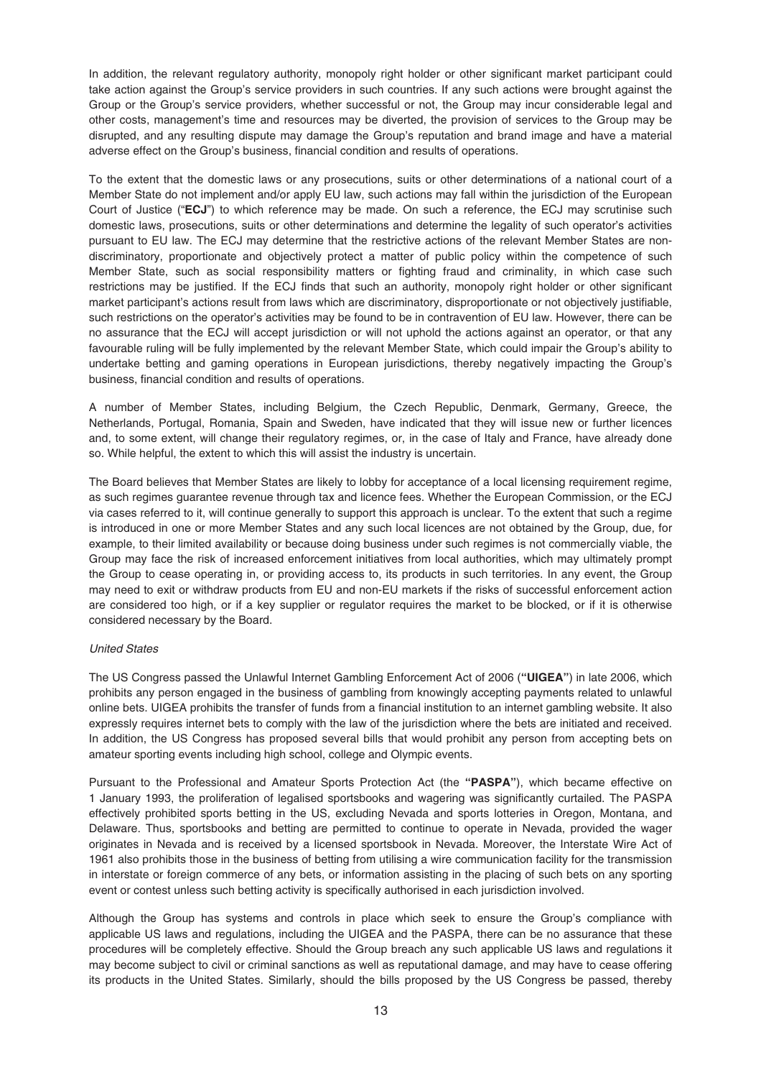In addition, the relevant regulatory authority, monopoly right holder or other significant market participant could take action against the Group's service providers in such countries. If any such actions were brought against the Group or the Group's service providers, whether successful or not, the Group may incur considerable legal and other costs, management's time and resources may be diverted, the provision of services to the Group may be disrupted, and any resulting dispute may damage the Group's reputation and brand image and have a material adverse effect on the Group's business, financial condition and results of operations.

To the extent that the domestic laws or any prosecutions, suits or other determinations of a national court of a Member State do not implement and/or apply EU law, such actions may fall within the jurisdiction of the European Court of Justice ("**ECJ**") to which reference may be made. On such a reference, the ECJ may scrutinise such domestic laws, prosecutions, suits or other determinations and determine the legality of such operator's activities pursuant to EU law. The ECJ may determine that the restrictive actions of the relevant Member States are nondiscriminatory, proportionate and objectively protect a matter of public policy within the competence of such Member State, such as social responsibility matters or fighting fraud and criminality, in which case such restrictions may be justified. If the ECJ finds that such an authority, monopoly right holder or other significant market participant's actions result from laws which are discriminatory, disproportionate or not objectively justifiable, such restrictions on the operator's activities may be found to be in contravention of EU law. However, there can be no assurance that the ECJ will accept jurisdiction or will not uphold the actions against an operator, or that any favourable ruling will be fully implemented by the relevant Member State, which could impair the Group's ability to undertake betting and gaming operations in European jurisdictions, thereby negatively impacting the Group's business, financial condition and results of operations.

A number of Member States, including Belgium, the Czech Republic, Denmark, Germany, Greece, the Netherlands, Portugal, Romania, Spain and Sweden, have indicated that they will issue new or further licences and, to some extent, will change their regulatory regimes, or, in the case of Italy and France, have already done so. While helpful, the extent to which this will assist the industry is uncertain.

The Board believes that Member States are likely to lobby for acceptance of a local licensing requirement regime, as such regimes guarantee revenue through tax and licence fees. Whether the European Commission, or the ECJ via cases referred to it, will continue generally to support this approach is unclear. To the extent that such a regime is introduced in one or more Member States and any such local licences are not obtained by the Group, due, for example, to their limited availability or because doing business under such regimes is not commercially viable, the Group may face the risk of increased enforcement initiatives from local authorities, which may ultimately prompt the Group to cease operating in, or providing access to, its products in such territories. In any event, the Group may need to exit or withdraw products from EU and non-EU markets if the risks of successful enforcement action are considered too high, or if a key supplier or regulator requires the market to be blocked, or if it is otherwise considered necessary by the Board.

### United States

The US Congress passed the Unlawful Internet Gambling Enforcement Act of 2006 (**"UIGEA"**) in late 2006, which prohibits any person engaged in the business of gambling from knowingly accepting payments related to unlawful online bets. UIGEA prohibits the transfer of funds from a financial institution to an internet gambling website. It also expressly requires internet bets to comply with the law of the jurisdiction where the bets are initiated and received. In addition, the US Congress has proposed several bills that would prohibit any person from accepting bets on amateur sporting events including high school, college and Olympic events.

Pursuant to the Professional and Amateur Sports Protection Act (the **"PASPA"**), which became effective on 1 January 1993, the proliferation of legalised sportsbooks and wagering was significantly curtailed. The PASPA effectively prohibited sports betting in the US, excluding Nevada and sports lotteries in Oregon, Montana, and Delaware. Thus, sportsbooks and betting are permitted to continue to operate in Nevada, provided the wager originates in Nevada and is received by a licensed sportsbook in Nevada. Moreover, the Interstate Wire Act of 1961 also prohibits those in the business of betting from utilising a wire communication facility for the transmission in interstate or foreign commerce of any bets, or information assisting in the placing of such bets on any sporting event or contest unless such betting activity is specifically authorised in each jurisdiction involved.

Although the Group has systems and controls in place which seek to ensure the Group's compliance with applicable US laws and regulations, including the UIGEA and the PASPA, there can be no assurance that these procedures will be completely effective. Should the Group breach any such applicable US laws and regulations it may become subject to civil or criminal sanctions as well as reputational damage, and may have to cease offering its products in the United States. Similarly, should the bills proposed by the US Congress be passed, thereby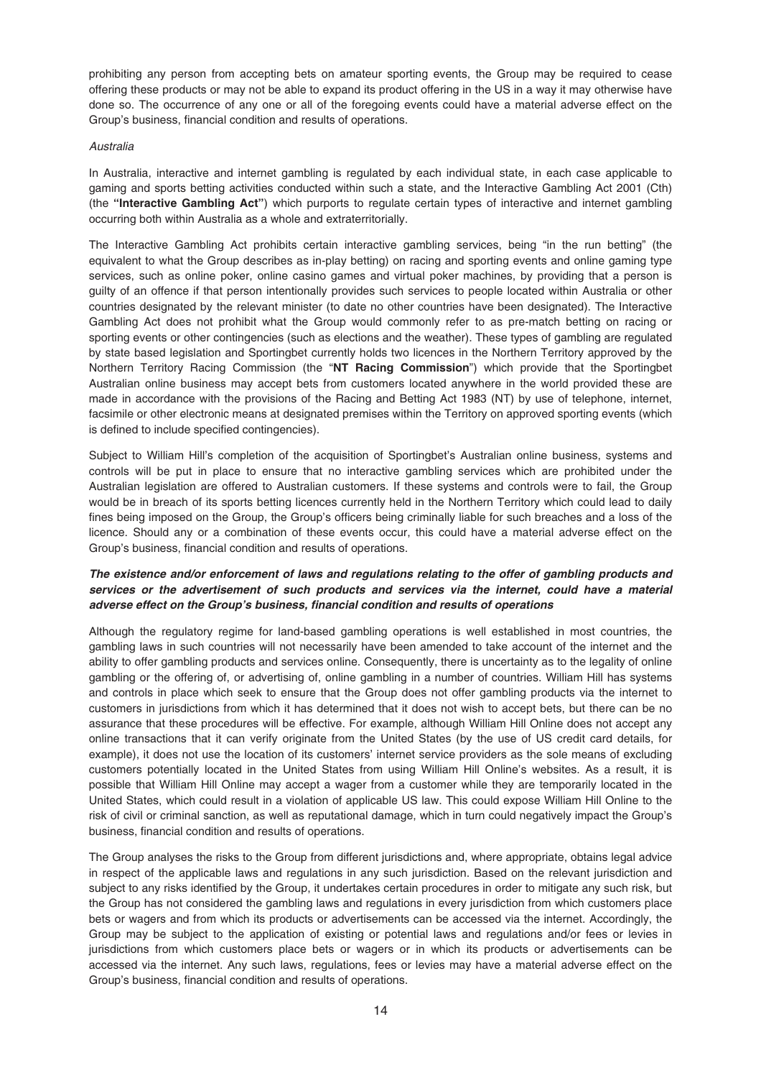prohibiting any person from accepting bets on amateur sporting events, the Group may be required to cease offering these products or may not be able to expand its product offering in the US in a way it may otherwise have done so. The occurrence of any one or all of the foregoing events could have a material adverse effect on the Group's business, financial condition and results of operations.

### Australia

In Australia, interactive and internet gambling is regulated by each individual state, in each case applicable to gaming and sports betting activities conducted within such a state, and the Interactive Gambling Act 2001 (Cth) (the **"Interactive Gambling Act"**) which purports to regulate certain types of interactive and internet gambling occurring both within Australia as a whole and extraterritorially.

The Interactive Gambling Act prohibits certain interactive gambling services, being "in the run betting" (the equivalent to what the Group describes as in-play betting) on racing and sporting events and online gaming type services, such as online poker, online casino games and virtual poker machines, by providing that a person is guilty of an offence if that person intentionally provides such services to people located within Australia or other countries designated by the relevant minister (to date no other countries have been designated). The Interactive Gambling Act does not prohibit what the Group would commonly refer to as pre-match betting on racing or sporting events or other contingencies (such as elections and the weather). These types of gambling are regulated by state based legislation and Sportingbet currently holds two licences in the Northern Territory approved by the Northern Territory Racing Commission (the "**NT Racing Commission**") which provide that the Sportingbet Australian online business may accept bets from customers located anywhere in the world provided these are made in accordance with the provisions of the Racing and Betting Act 1983 (NT) by use of telephone, internet, facsimile or other electronic means at designated premises within the Territory on approved sporting events (which is defined to include specified contingencies).

Subject to William Hill's completion of the acquisition of Sportingbet's Australian online business, systems and controls will be put in place to ensure that no interactive gambling services which are prohibited under the Australian legislation are offered to Australian customers. If these systems and controls were to fail, the Group would be in breach of its sports betting licences currently held in the Northern Territory which could lead to daily fines being imposed on the Group, the Group's officers being criminally liable for such breaches and a loss of the licence. Should any or a combination of these events occur, this could have a material adverse effect on the Group's business, financial condition and results of operations.

# *The existence and/or enforcement of laws and regulations relating to the offer of gambling products and services or the advertisement of such products and services via the internet, could have a material adverse effect on the Group's business, financial condition and results of operations*

Although the regulatory regime for land-based gambling operations is well established in most countries, the gambling laws in such countries will not necessarily have been amended to take account of the internet and the ability to offer gambling products and services online. Consequently, there is uncertainty as to the legality of online gambling or the offering of, or advertising of, online gambling in a number of countries. William Hill has systems and controls in place which seek to ensure that the Group does not offer gambling products via the internet to customers in jurisdictions from which it has determined that it does not wish to accept bets, but there can be no assurance that these procedures will be effective. For example, although William Hill Online does not accept any online transactions that it can verify originate from the United States (by the use of US credit card details, for example), it does not use the location of its customers' internet service providers as the sole means of excluding customers potentially located in the United States from using William Hill Online's websites. As a result, it is possible that William Hill Online may accept a wager from a customer while they are temporarily located in the United States, which could result in a violation of applicable US law. This could expose William Hill Online to the risk of civil or criminal sanction, as well as reputational damage, which in turn could negatively impact the Group's business, financial condition and results of operations.

The Group analyses the risks to the Group from different jurisdictions and, where appropriate, obtains legal advice in respect of the applicable laws and regulations in any such jurisdiction. Based on the relevant jurisdiction and subject to any risks identified by the Group, it undertakes certain procedures in order to mitigate any such risk, but the Group has not considered the gambling laws and regulations in every jurisdiction from which customers place bets or wagers and from which its products or advertisements can be accessed via the internet. Accordingly, the Group may be subject to the application of existing or potential laws and regulations and/or fees or levies in jurisdictions from which customers place bets or wagers or in which its products or advertisements can be accessed via the internet. Any such laws, regulations, fees or levies may have a material adverse effect on the Group's business, financial condition and results of operations.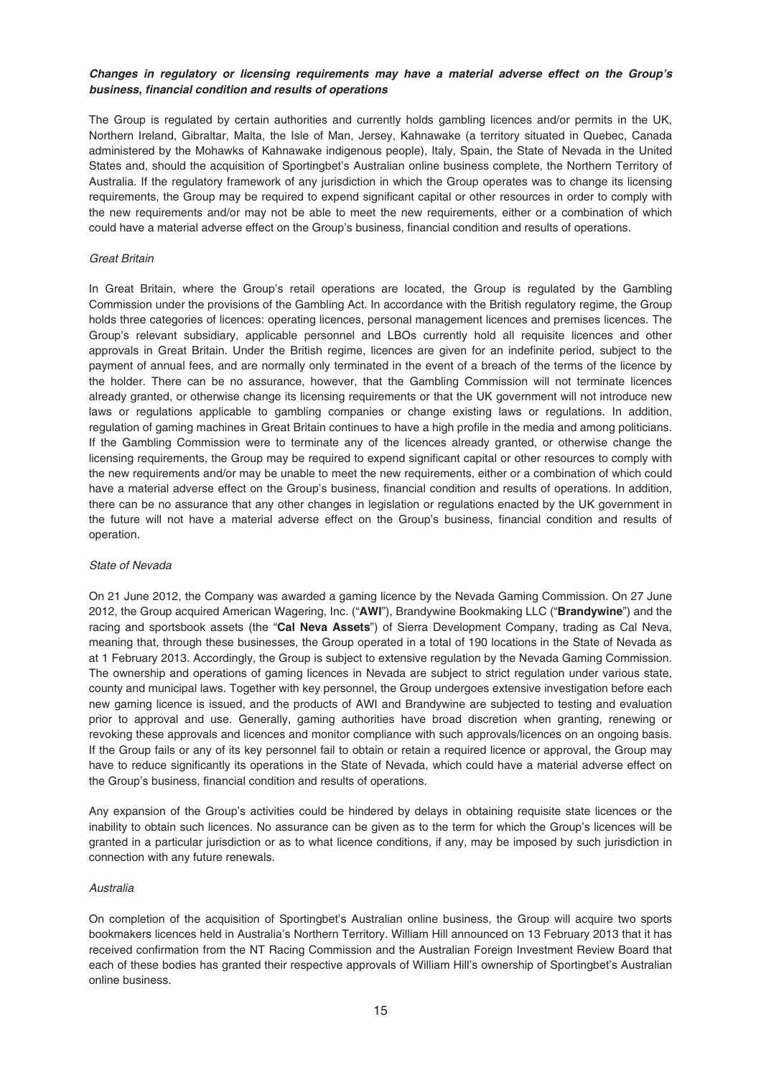### *Changes in regulatory or licensing requirements may have a material adverse effect on the Group's business, financial condition and results of operations*

The Group is regulated by certain authorities and currently holds gambling licences and/or permits in the UK, Northern Ireland, Gibraltar, Malta, the Isle of Man, Jersey, Kahnawake (a territory situated in Quebec, Canada administered by the Mohawks of Kahnawake indigenous people), Italy, Spain, the State of Nevada in the United States and, should the acquisition of Sportingbet's Australian online business complete, the Northern Territory of Australia. If the regulatory framework of any jurisdiction in which the Group operates was to change its licensing requirements, the Group may be required to expend significant capital or other resources in order to comply with the new requirements and/or may not be able to meet the new requirements, either or a combination of which could have a material adverse effect on the Group's business, financial condition and results of operations.

### Great Britain

In Great Britain, where the Group's retail operations are located, the Group is regulated by the Gambling Commission under the provisions of the Gambling Act. In accordance with the British regulatory regime, the Group holds three categories of licences: operating licences, personal management licences and premises licences. The Group's relevant subsidiary, applicable personnel and LBOs currently hold all requisite licences and other approvals in Great Britain. Under the British regime, licences are given for an indefinite period, subject to the payment of annual fees, and are normally only terminated in the event of a breach of the terms of the licence by the holder. There can be no assurance, however, that the Gambling Commission will not terminate licences already granted, or otherwise change its licensing requirements or that the UK government will not introduce new laws or regulations applicable to gambling companies or change existing laws or regulations. In addition, regulation of gaming machines in Great Britain continues to have a high profile in the media and among politicians. If the Gambling Commission were to terminate any of the licences already granted, or otherwise change the licensing requirements, the Group may be required to expend significant capital or other resources to comply with the new requirements and/or may be unable to meet the new requirements, either or a combination of which could have a material adverse effect on the Group's business, financial condition and results of operations. In addition, there can be no assurance that any other changes in legislation or regulations enacted by the UK government in the future will not have a material adverse effect on the Group's business, financial condition and results of operation.

#### State of Nevada

On 21 June 2012, the Company was awarded a gaming licence by the Nevada Gaming Commission. On 27 June 2012, the Group acquired American Wagering, Inc. ("**AWI**"), Brandywine Bookmaking LLC ("**Brandywine**") and the racing and sportsbook assets (the "**Cal Neva Assets**") of Sierra Development Company, trading as Cal Neva, meaning that, through these businesses, the Group operated in a total of 190 locations in the State of Nevada as at 1 February 2013. Accordingly, the Group is subject to extensive regulation by the Nevada Gaming Commission. The ownership and operations of gaming licences in Nevada are subject to strict regulation under various state, county and municipal laws. Together with key personnel, the Group undergoes extensive investigation before each new gaming licence is issued, and the products of AWI and Brandywine are subjected to testing and evaluation prior to approval and use. Generally, gaming authorities have broad discretion when granting, renewing or revoking these approvals and licences and monitor compliance with such approvals/licences on an ongoing basis. If the Group fails or any of its key personnel fail to obtain or retain a required licence or approval, the Group may have to reduce significantly its operations in the State of Nevada, which could have a material adverse effect on the Group's business, financial condition and results of operations.

Any expansion of the Group's activities could be hindered by delays in obtaining requisite state licences or the inability to obtain such licences. No assurance can be given as to the term for which the Group's licences will be granted in a particular jurisdiction or as to what licence conditions, if any, may be imposed by such jurisdiction in connection with any future renewals.

### Australia

On completion of the acquisition of Sportingbet's Australian online business, the Group will acquire two sports bookmakers licences held in Australia's Northern Territory. William Hill announced on 13 February 2013 that it has received confirmation from the NT Racing Commission and the Australian Foreign Investment Review Board that each of these bodies has granted their respective approvals of William Hill's ownership of Sportingbet's Australian online business.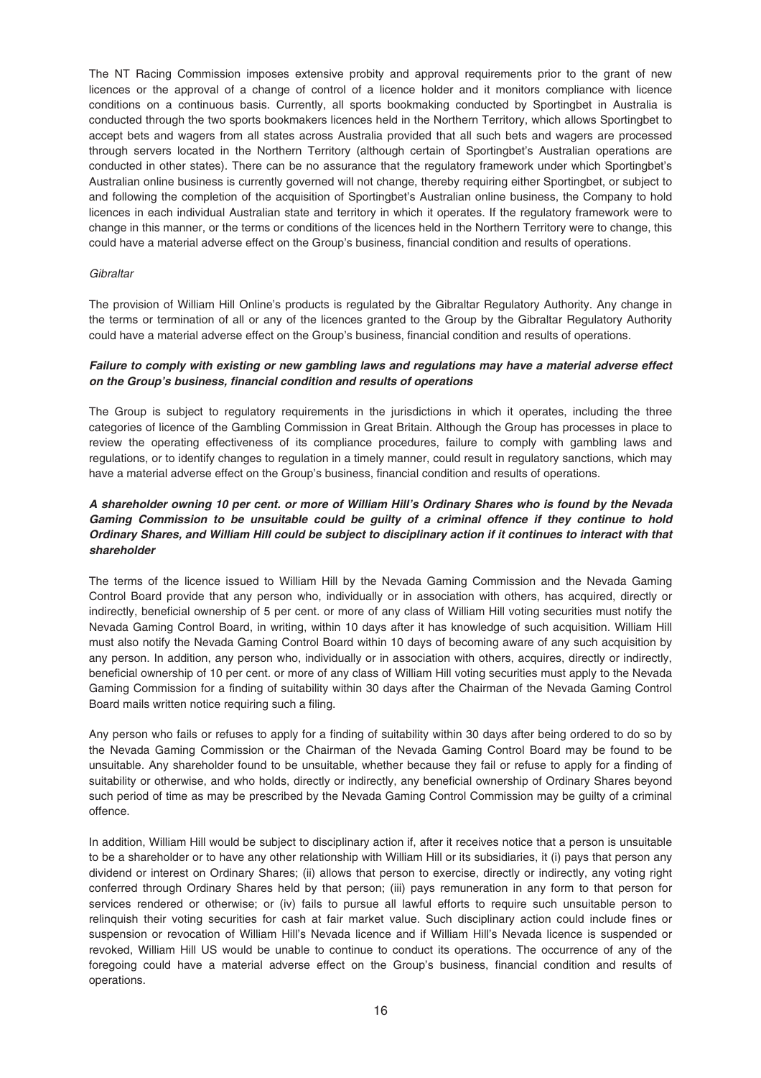The NT Racing Commission imposes extensive probity and approval requirements prior to the grant of new licences or the approval of a change of control of a licence holder and it monitors compliance with licence conditions on a continuous basis. Currently, all sports bookmaking conducted by Sportingbet in Australia is conducted through the two sports bookmakers licences held in the Northern Territory, which allows Sportingbet to accept bets and wagers from all states across Australia provided that all such bets and wagers are processed through servers located in the Northern Territory (although certain of Sportingbet's Australian operations are conducted in other states). There can be no assurance that the regulatory framework under which Sportingbet's Australian online business is currently governed will not change, thereby requiring either Sportingbet, or subject to and following the completion of the acquisition of Sportingbet's Australian online business, the Company to hold licences in each individual Australian state and territory in which it operates. If the regulatory framework were to change in this manner, or the terms or conditions of the licences held in the Northern Territory were to change, this could have a material adverse effect on the Group's business, financial condition and results of operations.

### **Gibraltar**

The provision of William Hill Online's products is regulated by the Gibraltar Regulatory Authority. Any change in the terms or termination of all or any of the licences granted to the Group by the Gibraltar Regulatory Authority could have a material adverse effect on the Group's business, financial condition and results of operations.

# *Failure to comply with existing or new gambling laws and regulations may have a material adverse effect on the Group's business, financial condition and results of operations*

The Group is subject to regulatory requirements in the jurisdictions in which it operates, including the three categories of licence of the Gambling Commission in Great Britain. Although the Group has processes in place to review the operating effectiveness of its compliance procedures, failure to comply with gambling laws and regulations, or to identify changes to regulation in a timely manner, could result in regulatory sanctions, which may have a material adverse effect on the Group's business, financial condition and results of operations.

# *A shareholder owning 10 per cent. or more of William Hill's Ordinary Shares who is found by the Nevada Gaming Commission to be unsuitable could be guilty of a criminal offence if they continue to hold Ordinary Shares, and William Hill could be subject to disciplinary action if it continues to interact with that shareholder*

The terms of the licence issued to William Hill by the Nevada Gaming Commission and the Nevada Gaming Control Board provide that any person who, individually or in association with others, has acquired, directly or indirectly, beneficial ownership of 5 per cent. or more of any class of William Hill voting securities must notify the Nevada Gaming Control Board, in writing, within 10 days after it has knowledge of such acquisition. William Hill must also notify the Nevada Gaming Control Board within 10 days of becoming aware of any such acquisition by any person. In addition, any person who, individually or in association with others, acquires, directly or indirectly, beneficial ownership of 10 per cent. or more of any class of William Hill voting securities must apply to the Nevada Gaming Commission for a finding of suitability within 30 days after the Chairman of the Nevada Gaming Control Board mails written notice requiring such a filing.

Any person who fails or refuses to apply for a finding of suitability within 30 days after being ordered to do so by the Nevada Gaming Commission or the Chairman of the Nevada Gaming Control Board may be found to be unsuitable. Any shareholder found to be unsuitable, whether because they fail or refuse to apply for a finding of suitability or otherwise, and who holds, directly or indirectly, any beneficial ownership of Ordinary Shares beyond such period of time as may be prescribed by the Nevada Gaming Control Commission may be guilty of a criminal offence.

In addition, William Hill would be subject to disciplinary action if, after it receives notice that a person is unsuitable to be a shareholder or to have any other relationship with William Hill or its subsidiaries, it (i) pays that person any dividend or interest on Ordinary Shares; (ii) allows that person to exercise, directly or indirectly, any voting right conferred through Ordinary Shares held by that person; (iii) pays remuneration in any form to that person for services rendered or otherwise; or (iv) fails to pursue all lawful efforts to require such unsuitable person to relinquish their voting securities for cash at fair market value. Such disciplinary action could include fines or suspension or revocation of William Hill's Nevada licence and if William Hill's Nevada licence is suspended or revoked, William Hill US would be unable to continue to conduct its operations. The occurrence of any of the foregoing could have a material adverse effect on the Group's business, financial condition and results of operations.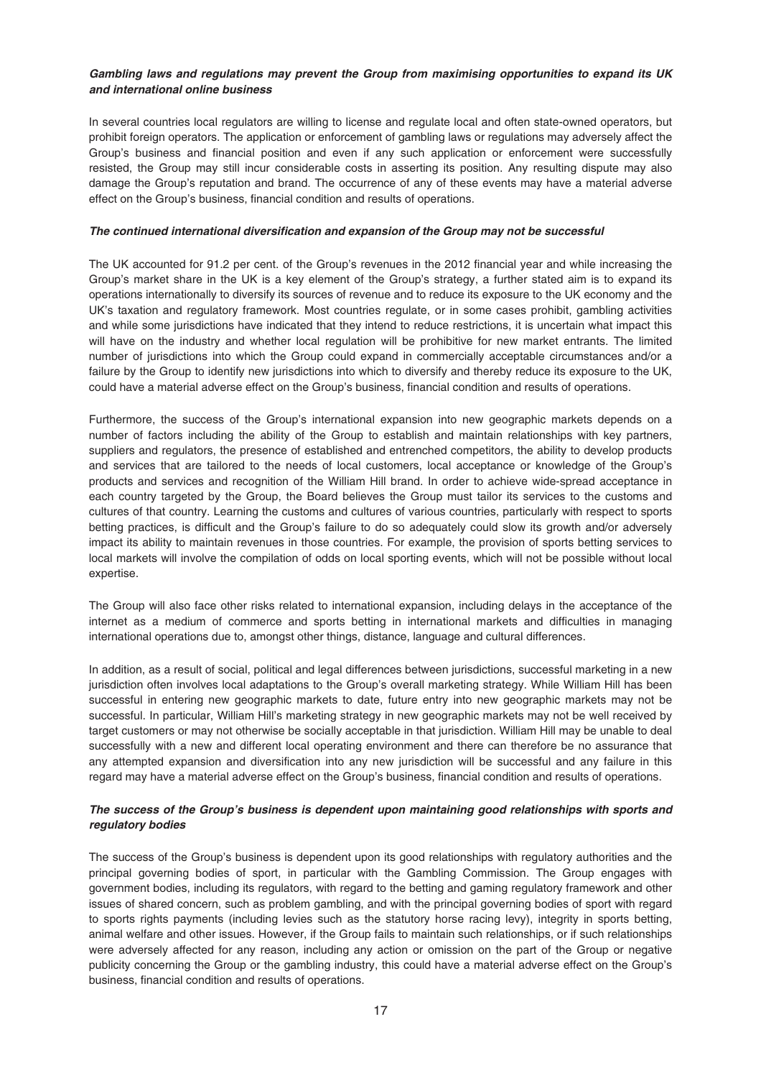# *Gambling laws and regulations may prevent the Group from maximising opportunities to expand its UK and international online business*

In several countries local regulators are willing to license and regulate local and often state-owned operators, but prohibit foreign operators. The application or enforcement of gambling laws or regulations may adversely affect the Group's business and financial position and even if any such application or enforcement were successfully resisted, the Group may still incur considerable costs in asserting its position. Any resulting dispute may also damage the Group's reputation and brand. The occurrence of any of these events may have a material adverse effect on the Group's business, financial condition and results of operations.

### *The continued international diversification and expansion of the Group may not be successful*

The UK accounted for 91.2 per cent. of the Group's revenues in the 2012 financial year and while increasing the Group's market share in the UK is a key element of the Group's strategy, a further stated aim is to expand its operations internationally to diversify its sources of revenue and to reduce its exposure to the UK economy and the UK's taxation and regulatory framework. Most countries regulate, or in some cases prohibit, gambling activities and while some jurisdictions have indicated that they intend to reduce restrictions, it is uncertain what impact this will have on the industry and whether local regulation will be prohibitive for new market entrants. The limited number of jurisdictions into which the Group could expand in commercially acceptable circumstances and/or a failure by the Group to identify new jurisdictions into which to diversify and thereby reduce its exposure to the UK, could have a material adverse effect on the Group's business, financial condition and results of operations.

Furthermore, the success of the Group's international expansion into new geographic markets depends on a number of factors including the ability of the Group to establish and maintain relationships with key partners, suppliers and regulators, the presence of established and entrenched competitors, the ability to develop products and services that are tailored to the needs of local customers, local acceptance or knowledge of the Group's products and services and recognition of the William Hill brand. In order to achieve wide-spread acceptance in each country targeted by the Group, the Board believes the Group must tailor its services to the customs and cultures of that country. Learning the customs and cultures of various countries, particularly with respect to sports betting practices, is difficult and the Group's failure to do so adequately could slow its growth and/or adversely impact its ability to maintain revenues in those countries. For example, the provision of sports betting services to local markets will involve the compilation of odds on local sporting events, which will not be possible without local expertise.

The Group will also face other risks related to international expansion, including delays in the acceptance of the internet as a medium of commerce and sports betting in international markets and difficulties in managing international operations due to, amongst other things, distance, language and cultural differences.

In addition, as a result of social, political and legal differences between jurisdictions, successful marketing in a new jurisdiction often involves local adaptations to the Group's overall marketing strategy. While William Hill has been successful in entering new geographic markets to date, future entry into new geographic markets may not be successful. In particular, William Hill's marketing strategy in new geographic markets may not be well received by target customers or may not otherwise be socially acceptable in that jurisdiction. William Hill may be unable to deal successfully with a new and different local operating environment and there can therefore be no assurance that any attempted expansion and diversification into any new jurisdiction will be successful and any failure in this regard may have a material adverse effect on the Group's business, financial condition and results of operations.

# *The success of the Group's business is dependent upon maintaining good relationships with sports and regulatory bodies*

The success of the Group's business is dependent upon its good relationships with regulatory authorities and the principal governing bodies of sport, in particular with the Gambling Commission. The Group engages with government bodies, including its regulators, with regard to the betting and gaming regulatory framework and other issues of shared concern, such as problem gambling, and with the principal governing bodies of sport with regard to sports rights payments (including levies such as the statutory horse racing levy), integrity in sports betting, animal welfare and other issues. However, if the Group fails to maintain such relationships, or if such relationships were adversely affected for any reason, including any action or omission on the part of the Group or negative publicity concerning the Group or the gambling industry, this could have a material adverse effect on the Group's business, financial condition and results of operations.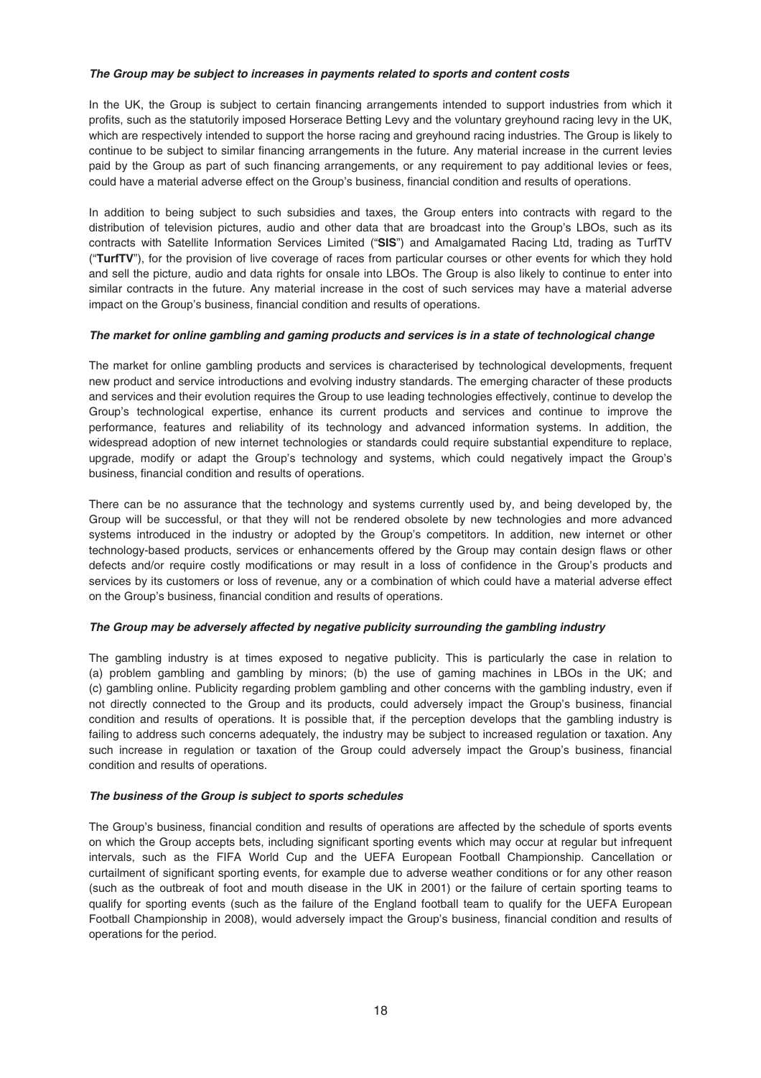### *The Group may be subject to increases in payments related to sports and content costs*

In the UK, the Group is subject to certain financing arrangements intended to support industries from which it profits, such as the statutorily imposed Horserace Betting Levy and the voluntary greyhound racing levy in the UK, which are respectively intended to support the horse racing and greyhound racing industries. The Group is likely to continue to be subject to similar financing arrangements in the future. Any material increase in the current levies paid by the Group as part of such financing arrangements, or any requirement to pay additional levies or fees, could have a material adverse effect on the Group's business, financial condition and results of operations.

In addition to being subject to such subsidies and taxes, the Group enters into contracts with regard to the distribution of television pictures, audio and other data that are broadcast into the Group's LBOs, such as its contracts with Satellite Information Services Limited ("**SIS**") and Amalgamated Racing Ltd, trading as TurfTV ("**TurfTV**"), for the provision of live coverage of races from particular courses or other events for which they hold and sell the picture, audio and data rights for onsale into LBOs. The Group is also likely to continue to enter into similar contracts in the future. Any material increase in the cost of such services may have a material adverse impact on the Group's business, financial condition and results of operations.

### *The market for online gambling and gaming products and services is in a state of technological change*

The market for online gambling products and services is characterised by technological developments, frequent new product and service introductions and evolving industry standards. The emerging character of these products and services and their evolution requires the Group to use leading technologies effectively, continue to develop the Group's technological expertise, enhance its current products and services and continue to improve the performance, features and reliability of its technology and advanced information systems. In addition, the widespread adoption of new internet technologies or standards could require substantial expenditure to replace, upgrade, modify or adapt the Group's technology and systems, which could negatively impact the Group's business, financial condition and results of operations.

There can be no assurance that the technology and systems currently used by, and being developed by, the Group will be successful, or that they will not be rendered obsolete by new technologies and more advanced systems introduced in the industry or adopted by the Group's competitors. In addition, new internet or other technology-based products, services or enhancements offered by the Group may contain design flaws or other defects and/or require costly modifications or may result in a loss of confidence in the Group's products and services by its customers or loss of revenue, any or a combination of which could have a material adverse effect on the Group's business, financial condition and results of operations.

#### *The Group may be adversely affected by negative publicity surrounding the gambling industry*

The gambling industry is at times exposed to negative publicity. This is particularly the case in relation to (a) problem gambling and gambling by minors; (b) the use of gaming machines in LBOs in the UK; and (c) gambling online. Publicity regarding problem gambling and other concerns with the gambling industry, even if not directly connected to the Group and its products, could adversely impact the Group's business, financial condition and results of operations. It is possible that, if the perception develops that the gambling industry is failing to address such concerns adequately, the industry may be subject to increased regulation or taxation. Any such increase in regulation or taxation of the Group could adversely impact the Group's business, financial condition and results of operations.

# *The business of the Group is subject to sports schedules*

The Group's business, financial condition and results of operations are affected by the schedule of sports events on which the Group accepts bets, including significant sporting events which may occur at regular but infrequent intervals, such as the FIFA World Cup and the UEFA European Football Championship. Cancellation or curtailment of significant sporting events, for example due to adverse weather conditions or for any other reason (such as the outbreak of foot and mouth disease in the UK in 2001) or the failure of certain sporting teams to qualify for sporting events (such as the failure of the England football team to qualify for the UEFA European Football Championship in 2008), would adversely impact the Group's business, financial condition and results of operations for the period.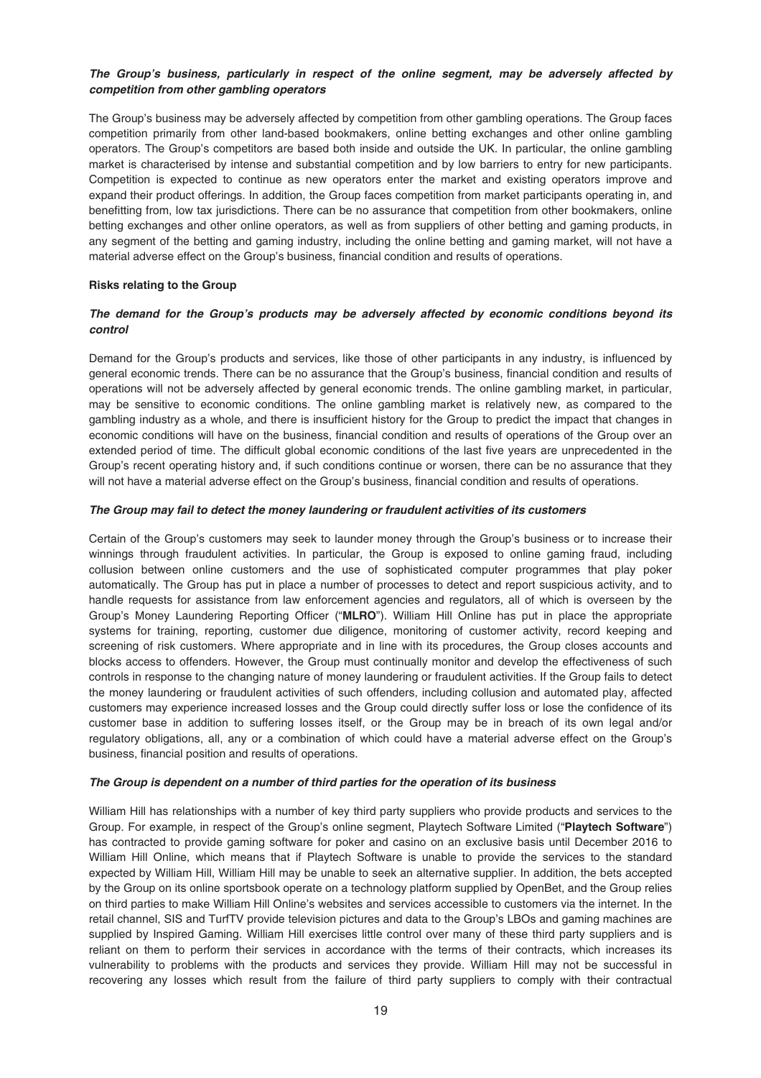# *The Group's business, particularly in respect of the online segment, may be adversely affected by competition from other gambling operators*

The Group's business may be adversely affected by competition from other gambling operations. The Group faces competition primarily from other land-based bookmakers, online betting exchanges and other online gambling operators. The Group's competitors are based both inside and outside the UK. In particular, the online gambling market is characterised by intense and substantial competition and by low barriers to entry for new participants. Competition is expected to continue as new operators enter the market and existing operators improve and expand their product offerings. In addition, the Group faces competition from market participants operating in, and benefitting from, low tax jurisdictions. There can be no assurance that competition from other bookmakers, online betting exchanges and other online operators, as well as from suppliers of other betting and gaming products, in any segment of the betting and gaming industry, including the online betting and gaming market, will not have a material adverse effect on the Group's business, financial condition and results of operations.

### **Risks relating to the Group**

# *The demand for the Group's products may be adversely affected by economic conditions beyond its control*

Demand for the Group's products and services, like those of other participants in any industry, is influenced by general economic trends. There can be no assurance that the Group's business, financial condition and results of operations will not be adversely affected by general economic trends. The online gambling market, in particular, may be sensitive to economic conditions. The online gambling market is relatively new, as compared to the gambling industry as a whole, and there is insufficient history for the Group to predict the impact that changes in economic conditions will have on the business, financial condition and results of operations of the Group over an extended period of time. The difficult global economic conditions of the last five years are unprecedented in the Group's recent operating history and, if such conditions continue or worsen, there can be no assurance that they will not have a material adverse effect on the Group's business, financial condition and results of operations.

### *The Group may fail to detect the money laundering or fraudulent activities of its customers*

Certain of the Group's customers may seek to launder money through the Group's business or to increase their winnings through fraudulent activities. In particular, the Group is exposed to online gaming fraud, including collusion between online customers and the use of sophisticated computer programmes that play poker automatically. The Group has put in place a number of processes to detect and report suspicious activity, and to handle requests for assistance from law enforcement agencies and regulators, all of which is overseen by the Group's Money Laundering Reporting Officer ("**MLRO**"). William Hill Online has put in place the appropriate systems for training, reporting, customer due diligence, monitoring of customer activity, record keeping and screening of risk customers. Where appropriate and in line with its procedures, the Group closes accounts and blocks access to offenders. However, the Group must continually monitor and develop the effectiveness of such controls in response to the changing nature of money laundering or fraudulent activities. If the Group fails to detect the money laundering or fraudulent activities of such offenders, including collusion and automated play, affected customers may experience increased losses and the Group could directly suffer loss or lose the confidence of its customer base in addition to suffering losses itself, or the Group may be in breach of its own legal and/or regulatory obligations, all, any or a combination of which could have a material adverse effect on the Group's business, financial position and results of operations.

#### *The Group is dependent on a number of third parties for the operation of its business*

William Hill has relationships with a number of key third party suppliers who provide products and services to the Group. For example, in respect of the Group's online segment, Playtech Software Limited ("**Playtech Software**") has contracted to provide gaming software for poker and casino on an exclusive basis until December 2016 to William Hill Online, which means that if Playtech Software is unable to provide the services to the standard expected by William Hill, William Hill may be unable to seek an alternative supplier. In addition, the bets accepted by the Group on its online sportsbook operate on a technology platform supplied by OpenBet, and the Group relies on third parties to make William Hill Online's websites and services accessible to customers via the internet. In the retail channel, SIS and TurfTV provide television pictures and data to the Group's LBOs and gaming machines are supplied by Inspired Gaming. William Hill exercises little control over many of these third party suppliers and is reliant on them to perform their services in accordance with the terms of their contracts, which increases its vulnerability to problems with the products and services they provide. William Hill may not be successful in recovering any losses which result from the failure of third party suppliers to comply with their contractual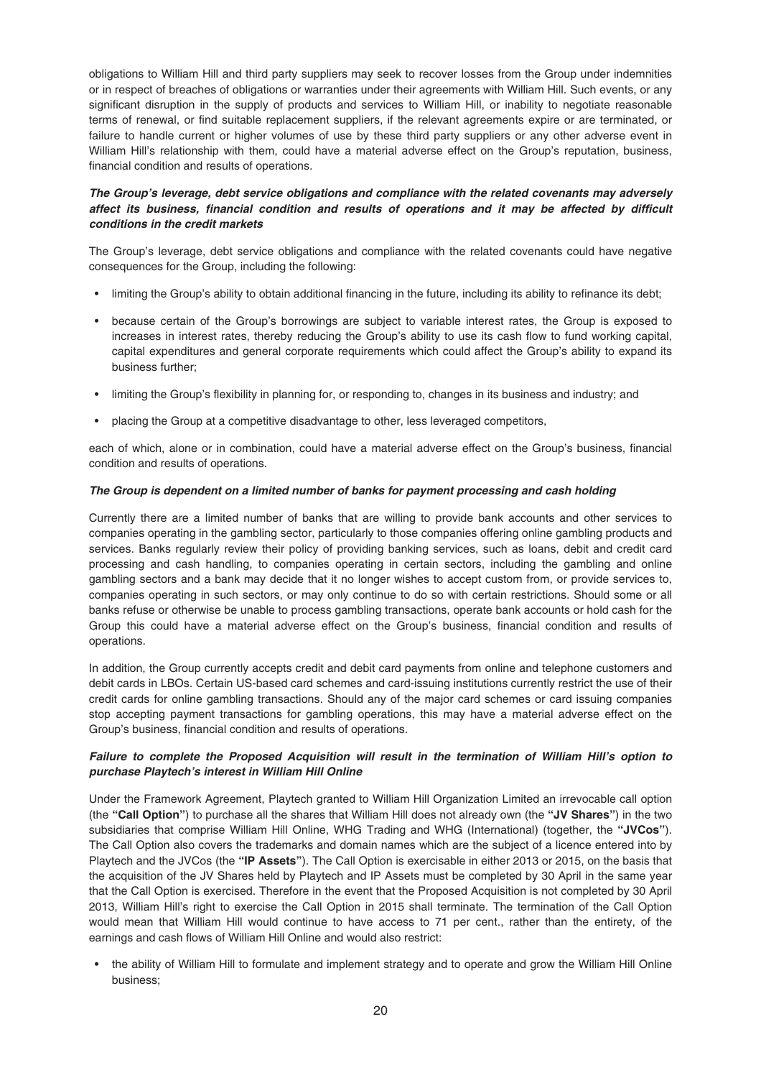obligations to William Hill and third party suppliers may seek to recover losses from the Group under indemnities or in respect of breaches of obligations or warranties under their agreements with William Hill. Such events, or any significant disruption in the supply of products and services to William Hill, or inability to negotiate reasonable terms of renewal, or find suitable replacement suppliers, if the relevant agreements expire or are terminated, or failure to handle current or higher volumes of use by these third party suppliers or any other adverse event in William Hill's relationship with them, could have a material adverse effect on the Group's reputation, business, financial condition and results of operations.

# *The Group's leverage, debt service obligations and compliance with the related covenants may adversely affect its business, financial condition and results of operations and it may be affected by difficult conditions in the credit markets*

The Group's leverage, debt service obligations and compliance with the related covenants could have negative consequences for the Group, including the following:

- limiting the Group's ability to obtain additional financing in the future, including its ability to refinance its debt;
- because certain of the Group's borrowings are subject to variable interest rates, the Group is exposed to increases in interest rates, thereby reducing the Group's ability to use its cash flow to fund working capital, capital expenditures and general corporate requirements which could affect the Group's ability to expand its business further;
- limiting the Group's flexibility in planning for, or responding to, changes in its business and industry; and
- placing the Group at a competitive disadvantage to other, less leveraged competitors,

each of which, alone or in combination, could have a material adverse effect on the Group's business, financial condition and results of operations.

### *The Group is dependent on a limited number of banks for payment processing and cash holding*

Currently there are a limited number of banks that are willing to provide bank accounts and other services to companies operating in the gambling sector, particularly to those companies offering online gambling products and services. Banks regularly review their policy of providing banking services, such as loans, debit and credit card processing and cash handling, to companies operating in certain sectors, including the gambling and online gambling sectors and a bank may decide that it no longer wishes to accept custom from, or provide services to, companies operating in such sectors, or may only continue to do so with certain restrictions. Should some or all banks refuse or otherwise be unable to process gambling transactions, operate bank accounts or hold cash for the Group this could have a material adverse effect on the Group's business, financial condition and results of operations.

In addition, the Group currently accepts credit and debit card payments from online and telephone customers and debit cards in LBOs. Certain US-based card schemes and card-issuing institutions currently restrict the use of their credit cards for online gambling transactions. Should any of the major card schemes or card issuing companies stop accepting payment transactions for gambling operations, this may have a material adverse effect on the Group's business, financial condition and results of operations.

# *Failure to complete the Proposed Acquisition will result in the termination of William Hill's option to purchase Playtech's interest in William Hill Online*

Under the Framework Agreement, Playtech granted to William Hill Organization Limited an irrevocable call option (the **"Call Option"**) to purchase all the shares that William Hill does not already own (the **"JV Shares"**) in the two subsidiaries that comprise William Hill Online, WHG Trading and WHG (International) (together, the **"JVCos"**). The Call Option also covers the trademarks and domain names which are the subject of a licence entered into by Playtech and the JVCos (the **"IP Assets"**). The Call Option is exercisable in either 2013 or 2015, on the basis that the acquisition of the JV Shares held by Playtech and IP Assets must be completed by 30 April in the same year that the Call Option is exercised. Therefore in the event that the Proposed Acquisition is not completed by 30 April 2013, William Hill's right to exercise the Call Option in 2015 shall terminate. The termination of the Call Option would mean that William Hill would continue to have access to 71 per cent., rather than the entirety, of the earnings and cash flows of William Hill Online and would also restrict:

• the ability of William Hill to formulate and implement strategy and to operate and grow the William Hill Online business;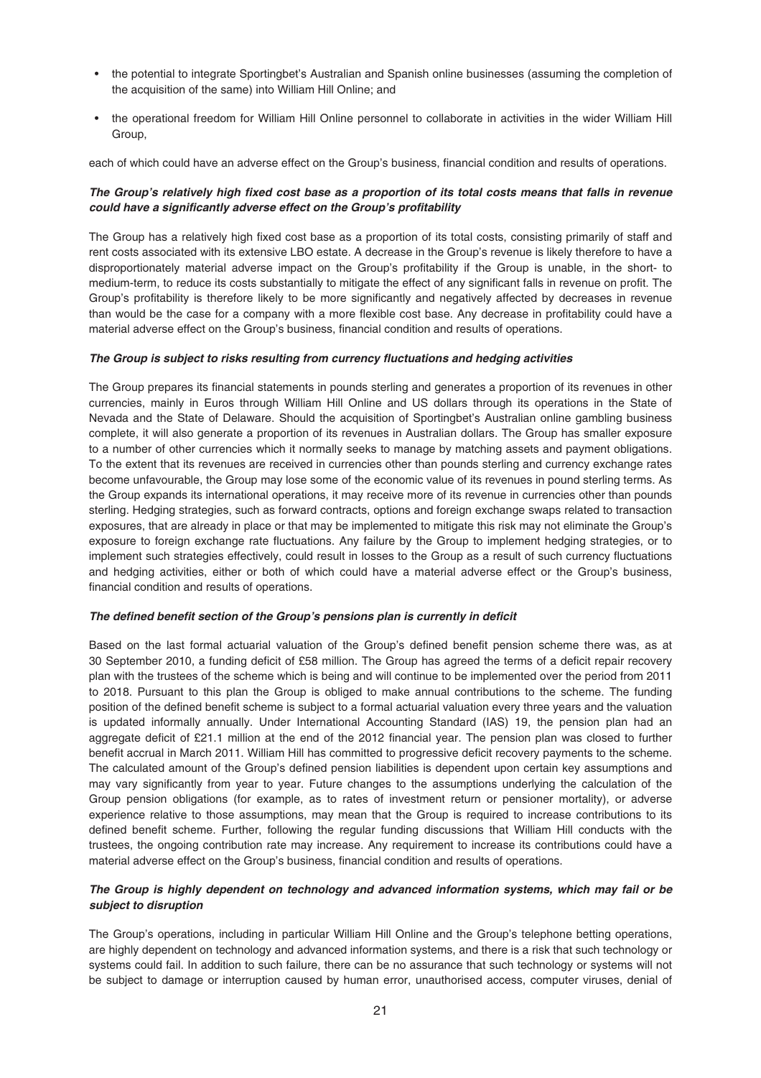- the potential to integrate Sportingbet's Australian and Spanish online businesses (assuming the completion of the acquisition of the same) into William Hill Online; and
- the operational freedom for William Hill Online personnel to collaborate in activities in the wider William Hill Group,

each of which could have an adverse effect on the Group's business, financial condition and results of operations.

# *The Group's relatively high fixed cost base as a proportion of its total costs means that falls in revenue could have a significantly adverse effect on the Group's profitability*

The Group has a relatively high fixed cost base as a proportion of its total costs, consisting primarily of staff and rent costs associated with its extensive LBO estate. A decrease in the Group's revenue is likely therefore to have a disproportionately material adverse impact on the Group's profitability if the Group is unable, in the short- to medium-term, to reduce its costs substantially to mitigate the effect of any significant falls in revenue on profit. The Group's profitability is therefore likely to be more significantly and negatively affected by decreases in revenue than would be the case for a company with a more flexible cost base. Any decrease in profitability could have a material adverse effect on the Group's business, financial condition and results of operations.

# *The Group is subject to risks resulting from currency fluctuations and hedging activities*

The Group prepares its financial statements in pounds sterling and generates a proportion of its revenues in other currencies, mainly in Euros through William Hill Online and US dollars through its operations in the State of Nevada and the State of Delaware. Should the acquisition of Sportingbet's Australian online gambling business complete, it will also generate a proportion of its revenues in Australian dollars. The Group has smaller exposure to a number of other currencies which it normally seeks to manage by matching assets and payment obligations. To the extent that its revenues are received in currencies other than pounds sterling and currency exchange rates become unfavourable, the Group may lose some of the economic value of its revenues in pound sterling terms. As the Group expands its international operations, it may receive more of its revenue in currencies other than pounds sterling. Hedging strategies, such as forward contracts, options and foreign exchange swaps related to transaction exposures, that are already in place or that may be implemented to mitigate this risk may not eliminate the Group's exposure to foreign exchange rate fluctuations. Any failure by the Group to implement hedging strategies, or to implement such strategies effectively, could result in losses to the Group as a result of such currency fluctuations and hedging activities, either or both of which could have a material adverse effect or the Group's business, financial condition and results of operations.

#### *The defined benefit section of the Group's pensions plan is currently in deficit*

Based on the last formal actuarial valuation of the Group's defined benefit pension scheme there was, as at 30 September 2010, a funding deficit of £58 million. The Group has agreed the terms of a deficit repair recovery plan with the trustees of the scheme which is being and will continue to be implemented over the period from 2011 to 2018. Pursuant to this plan the Group is obliged to make annual contributions to the scheme. The funding position of the defined benefit scheme is subject to a formal actuarial valuation every three years and the valuation is updated informally annually. Under International Accounting Standard (IAS) 19, the pension plan had an aggregate deficit of £21.1 million at the end of the 2012 financial year. The pension plan was closed to further benefit accrual in March 2011. William Hill has committed to progressive deficit recovery payments to the scheme. The calculated amount of the Group's defined pension liabilities is dependent upon certain key assumptions and may vary significantly from year to year. Future changes to the assumptions underlying the calculation of the Group pension obligations (for example, as to rates of investment return or pensioner mortality), or adverse experience relative to those assumptions, may mean that the Group is required to increase contributions to its defined benefit scheme. Further, following the regular funding discussions that William Hill conducts with the trustees, the ongoing contribution rate may increase. Any requirement to increase its contributions could have a material adverse effect on the Group's business, financial condition and results of operations.

# *The Group is highly dependent on technology and advanced information systems, which may fail or be subject to disruption*

The Group's operations, including in particular William Hill Online and the Group's telephone betting operations, are highly dependent on technology and advanced information systems, and there is a risk that such technology or systems could fail. In addition to such failure, there can be no assurance that such technology or systems will not be subject to damage or interruption caused by human error, unauthorised access, computer viruses, denial of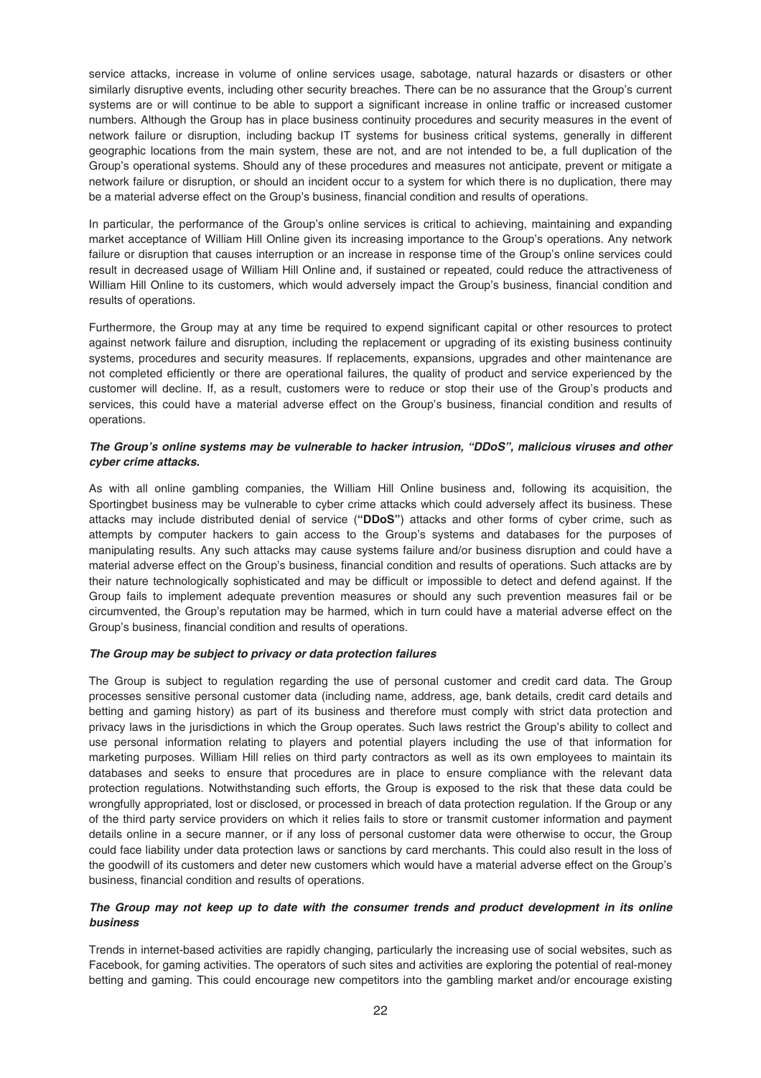service attacks, increase in volume of online services usage, sabotage, natural hazards or disasters or other similarly disruptive events, including other security breaches. There can be no assurance that the Group's current systems are or will continue to be able to support a significant increase in online traffic or increased customer numbers. Although the Group has in place business continuity procedures and security measures in the event of network failure or disruption, including backup IT systems for business critical systems, generally in different geographic locations from the main system, these are not, and are not intended to be, a full duplication of the Group's operational systems. Should any of these procedures and measures not anticipate, prevent or mitigate a network failure or disruption, or should an incident occur to a system for which there is no duplication, there may be a material adverse effect on the Group's business, financial condition and results of operations.

In particular, the performance of the Group's online services is critical to achieving, maintaining and expanding market acceptance of William Hill Online given its increasing importance to the Group's operations. Any network failure or disruption that causes interruption or an increase in response time of the Group's online services could result in decreased usage of William Hill Online and, if sustained or repeated, could reduce the attractiveness of William Hill Online to its customers, which would adversely impact the Group's business, financial condition and results of operations.

Furthermore, the Group may at any time be required to expend significant capital or other resources to protect against network failure and disruption, including the replacement or upgrading of its existing business continuity systems, procedures and security measures. If replacements, expansions, upgrades and other maintenance are not completed efficiently or there are operational failures, the quality of product and service experienced by the customer will decline. If, as a result, customers were to reduce or stop their use of the Group's products and services, this could have a material adverse effect on the Group's business, financial condition and results of operations.

# *The Group's online systems may be vulnerable to hacker intrusion, "DDoS", malicious viruses and other cyber crime attacks.*

As with all online gambling companies, the William Hill Online business and, following its acquisition, the Sportingbet business may be vulnerable to cyber crime attacks which could adversely affect its business. These attacks may include distributed denial of service (**"DDoS"**) attacks and other forms of cyber crime, such as attempts by computer hackers to gain access to the Group's systems and databases for the purposes of manipulating results. Any such attacks may cause systems failure and/or business disruption and could have a material adverse effect on the Group's business, financial condition and results of operations. Such attacks are by their nature technologically sophisticated and may be difficult or impossible to detect and defend against. If the Group fails to implement adequate prevention measures or should any such prevention measures fail or be circumvented, the Group's reputation may be harmed, which in turn could have a material adverse effect on the Group's business, financial condition and results of operations.

# *The Group may be subject to privacy or data protection failures*

The Group is subject to regulation regarding the use of personal customer and credit card data. The Group processes sensitive personal customer data (including name, address, age, bank details, credit card details and betting and gaming history) as part of its business and therefore must comply with strict data protection and privacy laws in the jurisdictions in which the Group operates. Such laws restrict the Group's ability to collect and use personal information relating to players and potential players including the use of that information for marketing purposes. William Hill relies on third party contractors as well as its own employees to maintain its databases and seeks to ensure that procedures are in place to ensure compliance with the relevant data protection regulations. Notwithstanding such efforts, the Group is exposed to the risk that these data could be wrongfully appropriated, lost or disclosed, or processed in breach of data protection regulation. If the Group or any of the third party service providers on which it relies fails to store or transmit customer information and payment details online in a secure manner, or if any loss of personal customer data were otherwise to occur, the Group could face liability under data protection laws or sanctions by card merchants. This could also result in the loss of the goodwill of its customers and deter new customers which would have a material adverse effect on the Group's business, financial condition and results of operations.

# *The Group may not keep up to date with the consumer trends and product development in its online business*

Trends in internet-based activities are rapidly changing, particularly the increasing use of social websites, such as Facebook, for gaming activities. The operators of such sites and activities are exploring the potential of real-money betting and gaming. This could encourage new competitors into the gambling market and/or encourage existing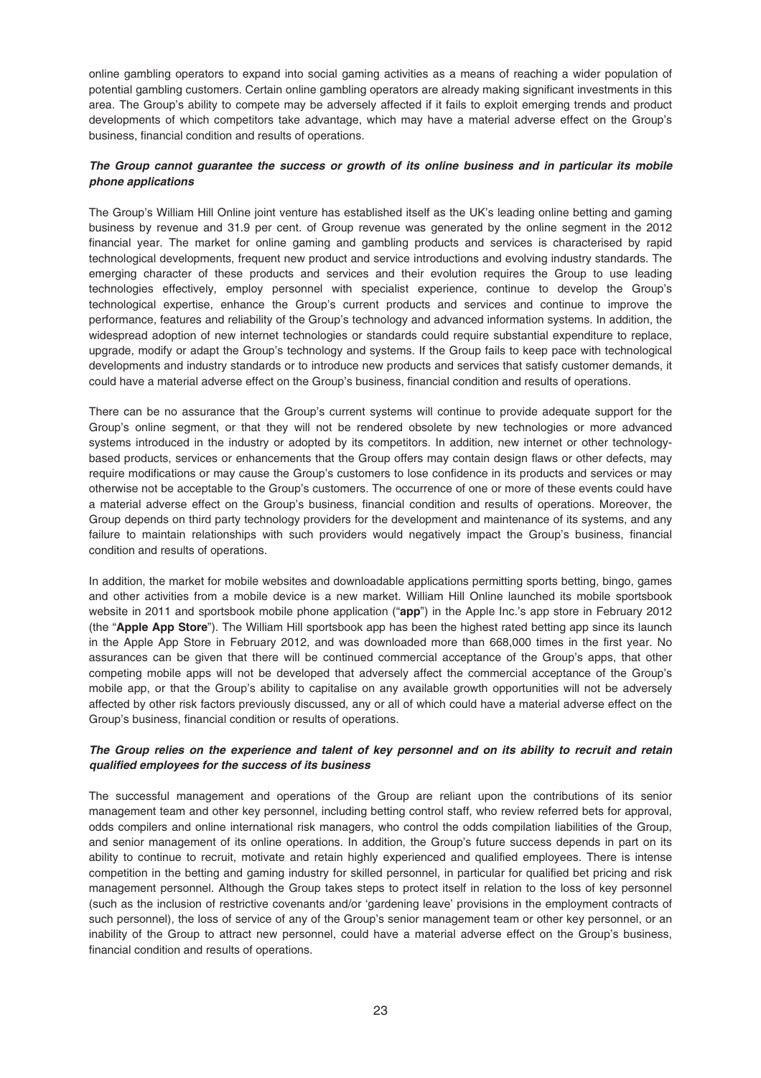online gambling operators to expand into social gaming activities as a means of reaching a wider population of potential gambling customers. Certain online gambling operators are already making significant investments in this area. The Group's ability to compete may be adversely affected if it fails to exploit emerging trends and product developments of which competitors take advantage, which may have a material adverse effect on the Group's business, financial condition and results of operations.

# *The Group cannot guarantee the success or growth of its online business and in particular its mobile phone applications*

The Group's William Hill Online joint venture has established itself as the UK's leading online betting and gaming business by revenue and 31.9 per cent. of Group revenue was generated by the online segment in the 2012 financial year. The market for online gaming and gambling products and services is characterised by rapid technological developments, frequent new product and service introductions and evolving industry standards. The emerging character of these products and services and their evolution requires the Group to use leading technologies effectively, employ personnel with specialist experience, continue to develop the Group's technological expertise, enhance the Group's current products and services and continue to improve the performance, features and reliability of the Group's technology and advanced information systems. In addition, the widespread adoption of new internet technologies or standards could require substantial expenditure to replace, upgrade, modify or adapt the Group's technology and systems. If the Group fails to keep pace with technological developments and industry standards or to introduce new products and services that satisfy customer demands, it could have a material adverse effect on the Group's business, financial condition and results of operations.

There can be no assurance that the Group's current systems will continue to provide adequate support for the Group's online segment, or that they will not be rendered obsolete by new technologies or more advanced systems introduced in the industry or adopted by its competitors. In addition, new internet or other technologybased products, services or enhancements that the Group offers may contain design flaws or other defects, may require modifications or may cause the Group's customers to lose confidence in its products and services or may otherwise not be acceptable to the Group's customers. The occurrence of one or more of these events could have a material adverse effect on the Group's business, financial condition and results of operations. Moreover, the Group depends on third party technology providers for the development and maintenance of its systems, and any failure to maintain relationships with such providers would negatively impact the Group's business, financial condition and results of operations.

In addition, the market for mobile websites and downloadable applications permitting sports betting, bingo, games and other activities from a mobile device is a new market. William Hill Online launched its mobile sportsbook website in 2011 and sportsbook mobile phone application ("**app**") in the Apple Inc.'s app store in February 2012 (the "**Apple App Store**"). The William Hill sportsbook app has been the highest rated betting app since its launch in the Apple App Store in February 2012, and was downloaded more than 668,000 times in the first year. No assurances can be given that there will be continued commercial acceptance of the Group's apps, that other competing mobile apps will not be developed that adversely affect the commercial acceptance of the Group's mobile app, or that the Group's ability to capitalise on any available growth opportunities will not be adversely affected by other risk factors previously discussed, any or all of which could have a material adverse effect on the Group's business, financial condition or results of operations.

# *The Group relies on the experience and talent of key personnel and on its ability to recruit and retain qualified employees for the success of its business*

The successful management and operations of the Group are reliant upon the contributions of its senior management team and other key personnel, including betting control staff, who review referred bets for approval, odds compilers and online international risk managers, who control the odds compilation liabilities of the Group, and senior management of its online operations. In addition, the Group's future success depends in part on its ability to continue to recruit, motivate and retain highly experienced and qualified employees. There is intense competition in the betting and gaming industry for skilled personnel, in particular for qualified bet pricing and risk management personnel. Although the Group takes steps to protect itself in relation to the loss of key personnel (such as the inclusion of restrictive covenants and/or 'gardening leave' provisions in the employment contracts of such personnel), the loss of service of any of the Group's senior management team or other key personnel, or an inability of the Group to attract new personnel, could have a material adverse effect on the Group's business, financial condition and results of operations.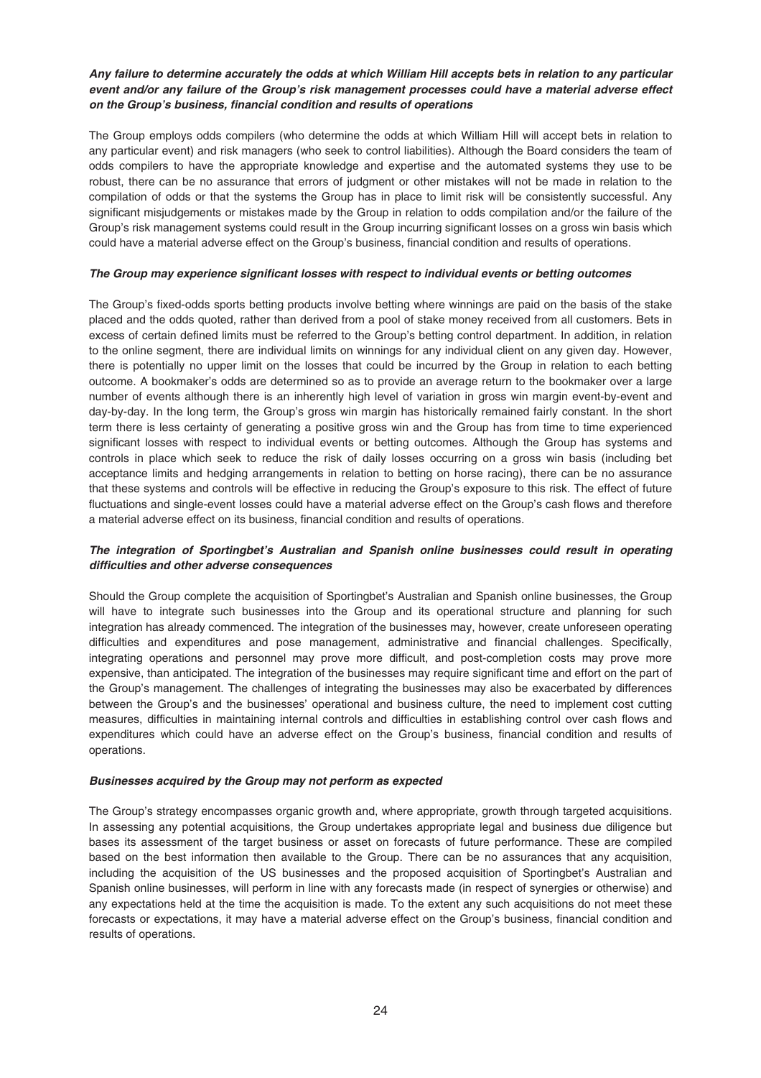# *Any failure to determine accurately the odds at which William Hill accepts bets in relation to any particular event and/or any failure of the Group's risk management processes could have a material adverse effect on the Group's business, financial condition and results of operations*

The Group employs odds compilers (who determine the odds at which William Hill will accept bets in relation to any particular event) and risk managers (who seek to control liabilities). Although the Board considers the team of odds compilers to have the appropriate knowledge and expertise and the automated systems they use to be robust, there can be no assurance that errors of judgment or other mistakes will not be made in relation to the compilation of odds or that the systems the Group has in place to limit risk will be consistently successful. Any significant misjudgements or mistakes made by the Group in relation to odds compilation and/or the failure of the Group's risk management systems could result in the Group incurring significant losses on a gross win basis which could have a material adverse effect on the Group's business, financial condition and results of operations.

### *The Group may experience significant losses with respect to individual events or betting outcomes*

The Group's fixed-odds sports betting products involve betting where winnings are paid on the basis of the stake placed and the odds quoted, rather than derived from a pool of stake money received from all customers. Bets in excess of certain defined limits must be referred to the Group's betting control department. In addition, in relation to the online segment, there are individual limits on winnings for any individual client on any given day. However, there is potentially no upper limit on the losses that could be incurred by the Group in relation to each betting outcome. A bookmaker's odds are determined so as to provide an average return to the bookmaker over a large number of events although there is an inherently high level of variation in gross win margin event-by-event and day-by-day. In the long term, the Group's gross win margin has historically remained fairly constant. In the short term there is less certainty of generating a positive gross win and the Group has from time to time experienced significant losses with respect to individual events or betting outcomes. Although the Group has systems and controls in place which seek to reduce the risk of daily losses occurring on a gross win basis (including bet acceptance limits and hedging arrangements in relation to betting on horse racing), there can be no assurance that these systems and controls will be effective in reducing the Group's exposure to this risk. The effect of future fluctuations and single-event losses could have a material adverse effect on the Group's cash flows and therefore a material adverse effect on its business, financial condition and results of operations.

# *The integration of Sportingbet's Australian and Spanish online businesses could result in operating difficulties and other adverse consequences*

Should the Group complete the acquisition of Sportingbet's Australian and Spanish online businesses, the Group will have to integrate such businesses into the Group and its operational structure and planning for such integration has already commenced. The integration of the businesses may, however, create unforeseen operating difficulties and expenditures and pose management, administrative and financial challenges. Specifically, integrating operations and personnel may prove more difficult, and post-completion costs may prove more expensive, than anticipated. The integration of the businesses may require significant time and effort on the part of the Group's management. The challenges of integrating the businesses may also be exacerbated by differences between the Group's and the businesses' operational and business culture, the need to implement cost cutting measures, difficulties in maintaining internal controls and difficulties in establishing control over cash flows and expenditures which could have an adverse effect on the Group's business, financial condition and results of operations.

# *Businesses acquired by the Group may not perform as expected*

The Group's strategy encompasses organic growth and, where appropriate, growth through targeted acquisitions. In assessing any potential acquisitions, the Group undertakes appropriate legal and business due diligence but bases its assessment of the target business or asset on forecasts of future performance. These are compiled based on the best information then available to the Group. There can be no assurances that any acquisition, including the acquisition of the US businesses and the proposed acquisition of Sportingbet's Australian and Spanish online businesses, will perform in line with any forecasts made (in respect of synergies or otherwise) and any expectations held at the time the acquisition is made. To the extent any such acquisitions do not meet these forecasts or expectations, it may have a material adverse effect on the Group's business, financial condition and results of operations.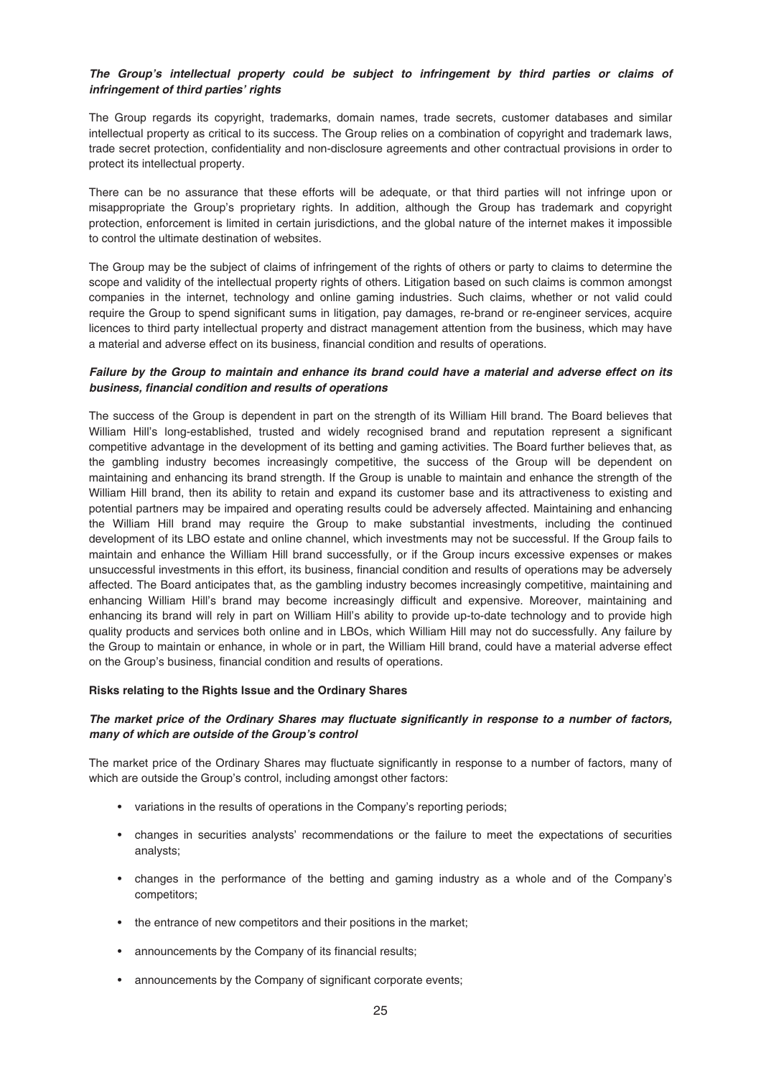# *The Group's intellectual property could be subject to infringement by third parties or claims of infringement of third parties' rights*

The Group regards its copyright, trademarks, domain names, trade secrets, customer databases and similar intellectual property as critical to its success. The Group relies on a combination of copyright and trademark laws, trade secret protection, confidentiality and non-disclosure agreements and other contractual provisions in order to protect its intellectual property.

There can be no assurance that these efforts will be adequate, or that third parties will not infringe upon or misappropriate the Group's proprietary rights. In addition, although the Group has trademark and copyright protection, enforcement is limited in certain jurisdictions, and the global nature of the internet makes it impossible to control the ultimate destination of websites.

The Group may be the subject of claims of infringement of the rights of others or party to claims to determine the scope and validity of the intellectual property rights of others. Litigation based on such claims is common amongst companies in the internet, technology and online gaming industries. Such claims, whether or not valid could require the Group to spend significant sums in litigation, pay damages, re-brand or re-engineer services, acquire licences to third party intellectual property and distract management attention from the business, which may have a material and adverse effect on its business, financial condition and results of operations.

### *Failure by the Group to maintain and enhance its brand could have a material and adverse effect on its business, financial condition and results of operations*

The success of the Group is dependent in part on the strength of its William Hill brand. The Board believes that William Hill's long-established, trusted and widely recognised brand and reputation represent a significant competitive advantage in the development of its betting and gaming activities. The Board further believes that, as the gambling industry becomes increasingly competitive, the success of the Group will be dependent on maintaining and enhancing its brand strength. If the Group is unable to maintain and enhance the strength of the William Hill brand, then its ability to retain and expand its customer base and its attractiveness to existing and potential partners may be impaired and operating results could be adversely affected. Maintaining and enhancing the William Hill brand may require the Group to make substantial investments, including the continued development of its LBO estate and online channel, which investments may not be successful. If the Group fails to maintain and enhance the William Hill brand successfully, or if the Group incurs excessive expenses or makes unsuccessful investments in this effort, its business, financial condition and results of operations may be adversely affected. The Board anticipates that, as the gambling industry becomes increasingly competitive, maintaining and enhancing William Hill's brand may become increasingly difficult and expensive. Moreover, maintaining and enhancing its brand will rely in part on William Hill's ability to provide up-to-date technology and to provide high quality products and services both online and in LBOs, which William Hill may not do successfully. Any failure by the Group to maintain or enhance, in whole or in part, the William Hill brand, could have a material adverse effect on the Group's business, financial condition and results of operations.

# **Risks relating to the Rights Issue and the Ordinary Shares**

# *The market price of the Ordinary Shares may fluctuate significantly in response to a number of factors, many of which are outside of the Group's control*

The market price of the Ordinary Shares may fluctuate significantly in response to a number of factors, many of which are outside the Group's control, including amongst other factors:

- variations in the results of operations in the Company's reporting periods;
- changes in securities analysts' recommendations or the failure to meet the expectations of securities analysts;
- changes in the performance of the betting and gaming industry as a whole and of the Company's competitors;
- the entrance of new competitors and their positions in the market;
- announcements by the Company of its financial results;
- announcements by the Company of significant corporate events;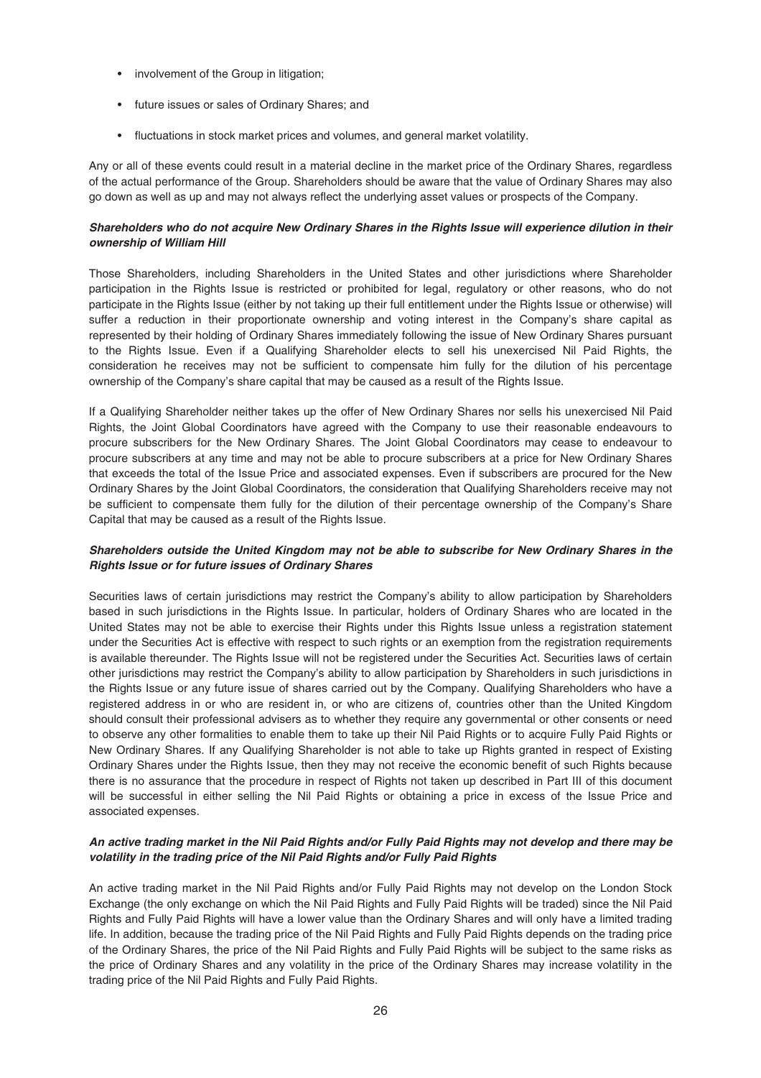- involvement of the Group in litigation;
- future issues or sales of Ordinary Shares; and
- fluctuations in stock market prices and volumes, and general market volatility.

Any or all of these events could result in a material decline in the market price of the Ordinary Shares, regardless of the actual performance of the Group. Shareholders should be aware that the value of Ordinary Shares may also go down as well as up and may not always reflect the underlying asset values or prospects of the Company.

# *Shareholders who do not acquire New Ordinary Shares in the Rights Issue will experience dilution in their ownership of William Hill*

Those Shareholders, including Shareholders in the United States and other jurisdictions where Shareholder participation in the Rights Issue is restricted or prohibited for legal, regulatory or other reasons, who do not participate in the Rights Issue (either by not taking up their full entitlement under the Rights Issue or otherwise) will suffer a reduction in their proportionate ownership and voting interest in the Company's share capital as represented by their holding of Ordinary Shares immediately following the issue of New Ordinary Shares pursuant to the Rights Issue. Even if a Qualifying Shareholder elects to sell his unexercised Nil Paid Rights, the consideration he receives may not be sufficient to compensate him fully for the dilution of his percentage ownership of the Company's share capital that may be caused as a result of the Rights Issue.

If a Qualifying Shareholder neither takes up the offer of New Ordinary Shares nor sells his unexercised Nil Paid Rights, the Joint Global Coordinators have agreed with the Company to use their reasonable endeavours to procure subscribers for the New Ordinary Shares. The Joint Global Coordinators may cease to endeavour to procure subscribers at any time and may not be able to procure subscribers at a price for New Ordinary Shares that exceeds the total of the Issue Price and associated expenses. Even if subscribers are procured for the New Ordinary Shares by the Joint Global Coordinators, the consideration that Qualifying Shareholders receive may not be sufficient to compensate them fully for the dilution of their percentage ownership of the Company's Share Capital that may be caused as a result of the Rights Issue.

# *Shareholders outside the United Kingdom may not be able to subscribe for New Ordinary Shares in the Rights Issue or for future issues of Ordinary Shares*

Securities laws of certain jurisdictions may restrict the Company's ability to allow participation by Shareholders based in such jurisdictions in the Rights Issue. In particular, holders of Ordinary Shares who are located in the United States may not be able to exercise their Rights under this Rights Issue unless a registration statement under the Securities Act is effective with respect to such rights or an exemption from the registration requirements is available thereunder. The Rights Issue will not be registered under the Securities Act. Securities laws of certain other jurisdictions may restrict the Company's ability to allow participation by Shareholders in such jurisdictions in the Rights Issue or any future issue of shares carried out by the Company. Qualifying Shareholders who have a registered address in or who are resident in, or who are citizens of, countries other than the United Kingdom should consult their professional advisers as to whether they require any governmental or other consents or need to observe any other formalities to enable them to take up their Nil Paid Rights or to acquire Fully Paid Rights or New Ordinary Shares. If any Qualifying Shareholder is not able to take up Rights granted in respect of Existing Ordinary Shares under the Rights Issue, then they may not receive the economic benefit of such Rights because there is no assurance that the procedure in respect of Rights not taken up described in Part III of this document will be successful in either selling the Nil Paid Rights or obtaining a price in excess of the Issue Price and associated expenses.

# *An active trading market in the Nil Paid Rights and/or Fully Paid Rights may not develop and there may be volatility in the trading price of the Nil Paid Rights and/or Fully Paid Rights*

An active trading market in the Nil Paid Rights and/or Fully Paid Rights may not develop on the London Stock Exchange (the only exchange on which the Nil Paid Rights and Fully Paid Rights will be traded) since the Nil Paid Rights and Fully Paid Rights will have a lower value than the Ordinary Shares and will only have a limited trading life. In addition, because the trading price of the Nil Paid Rights and Fully Paid Rights depends on the trading price of the Ordinary Shares, the price of the Nil Paid Rights and Fully Paid Rights will be subject to the same risks as the price of Ordinary Shares and any volatility in the price of the Ordinary Shares may increase volatility in the trading price of the Nil Paid Rights and Fully Paid Rights.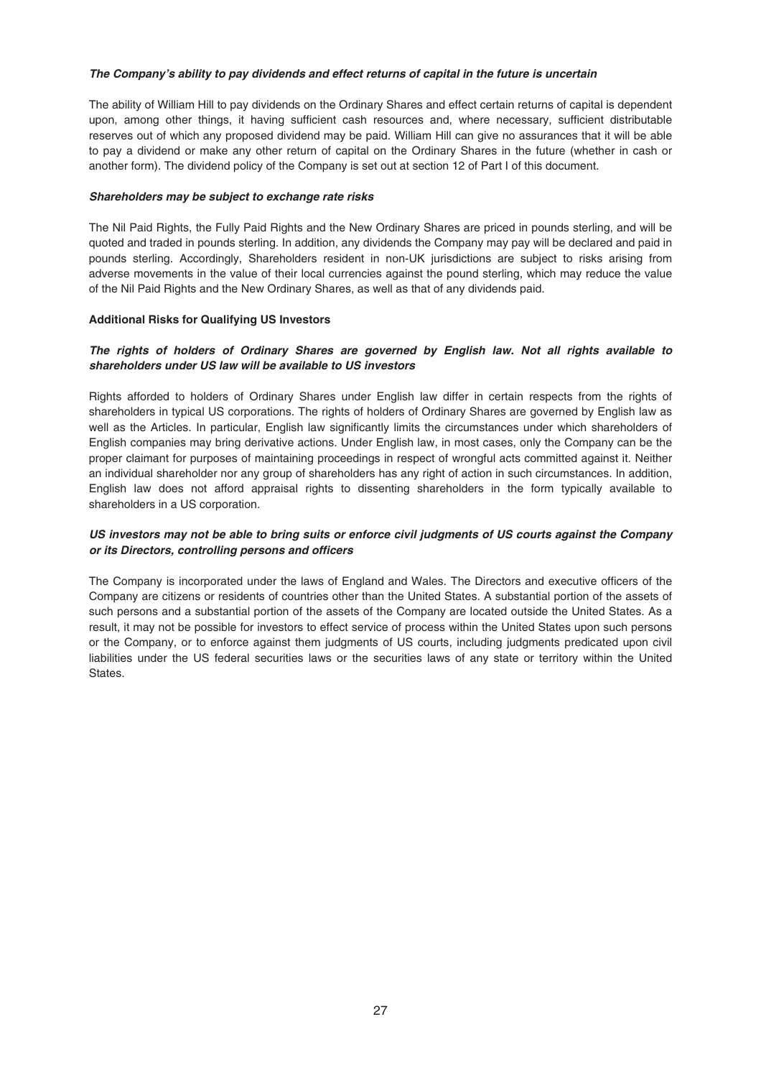### *The Company's ability to pay dividends and effect returns of capital in the future is uncertain*

The ability of William Hill to pay dividends on the Ordinary Shares and effect certain returns of capital is dependent upon, among other things, it having sufficient cash resources and, where necessary, sufficient distributable reserves out of which any proposed dividend may be paid. William Hill can give no assurances that it will be able to pay a dividend or make any other return of capital on the Ordinary Shares in the future (whether in cash or another form). The dividend policy of the Company is set out at section 12 of Part I of this document.

### *Shareholders may be subject to exchange rate risks*

The Nil Paid Rights, the Fully Paid Rights and the New Ordinary Shares are priced in pounds sterling, and will be quoted and traded in pounds sterling. In addition, any dividends the Company may pay will be declared and paid in pounds sterling. Accordingly, Shareholders resident in non-UK jurisdictions are subject to risks arising from adverse movements in the value of their local currencies against the pound sterling, which may reduce the value of the Nil Paid Rights and the New Ordinary Shares, as well as that of any dividends paid.

### **Additional Risks for Qualifying US Investors**

# *The rights of holders of Ordinary Shares are governed by English law. Not all rights available to shareholders under US law will be available to US investors*

Rights afforded to holders of Ordinary Shares under English law differ in certain respects from the rights of shareholders in typical US corporations. The rights of holders of Ordinary Shares are governed by English law as well as the Articles. In particular, English law significantly limits the circumstances under which shareholders of English companies may bring derivative actions. Under English law, in most cases, only the Company can be the proper claimant for purposes of maintaining proceedings in respect of wrongful acts committed against it. Neither an individual shareholder nor any group of shareholders has any right of action in such circumstances. In addition, English law does not afford appraisal rights to dissenting shareholders in the form typically available to shareholders in a US corporation.

# *US investors may not be able to bring suits or enforce civil judgments of US courts against the Company or its Directors, controlling persons and officers*

The Company is incorporated under the laws of England and Wales. The Directors and executive officers of the Company are citizens or residents of countries other than the United States. A substantial portion of the assets of such persons and a substantial portion of the assets of the Company are located outside the United States. As a result, it may not be possible for investors to effect service of process within the United States upon such persons or the Company, or to enforce against them judgments of US courts, including judgments predicated upon civil liabilities under the US federal securities laws or the securities laws of any state or territory within the United States.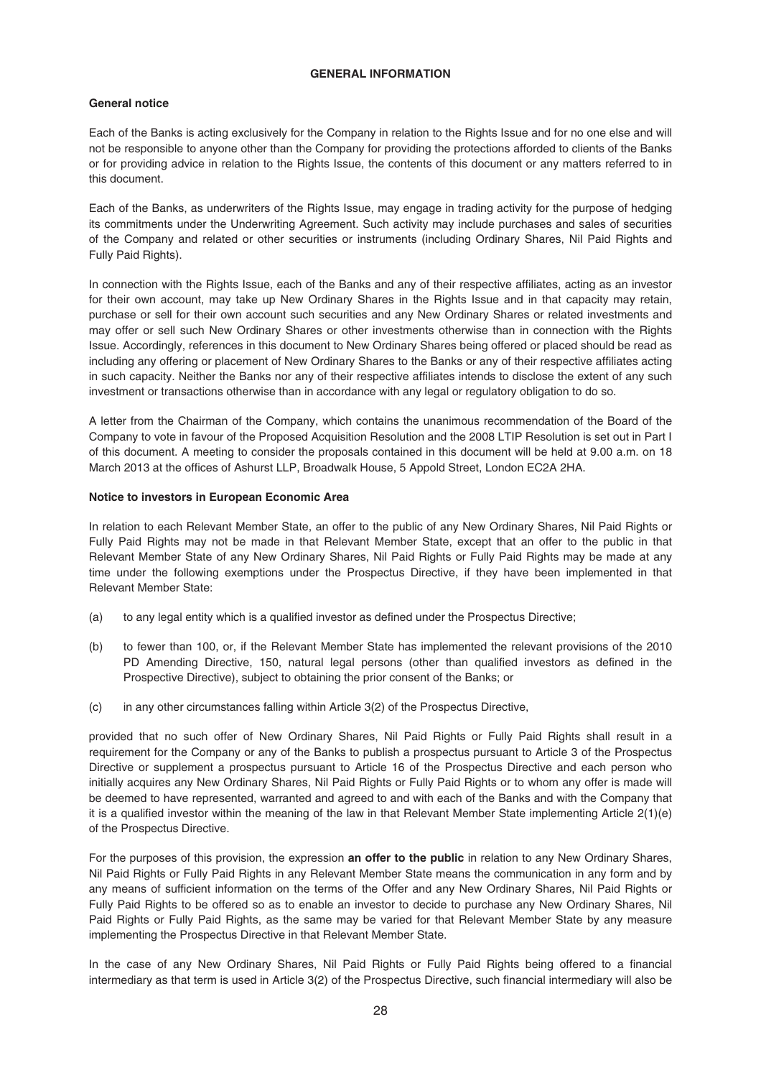### **GENERAL INFORMATION**

# **General notice**

Each of the Banks is acting exclusively for the Company in relation to the Rights Issue and for no one else and will not be responsible to anyone other than the Company for providing the protections afforded to clients of the Banks or for providing advice in relation to the Rights Issue, the contents of this document or any matters referred to in this document.

Each of the Banks, as underwriters of the Rights Issue, may engage in trading activity for the purpose of hedging its commitments under the Underwriting Agreement. Such activity may include purchases and sales of securities of the Company and related or other securities or instruments (including Ordinary Shares, Nil Paid Rights and Fully Paid Rights).

In connection with the Rights Issue, each of the Banks and any of their respective affiliates, acting as an investor for their own account, may take up New Ordinary Shares in the Rights Issue and in that capacity may retain, purchase or sell for their own account such securities and any New Ordinary Shares or related investments and may offer or sell such New Ordinary Shares or other investments otherwise than in connection with the Rights Issue. Accordingly, references in this document to New Ordinary Shares being offered or placed should be read as including any offering or placement of New Ordinary Shares to the Banks or any of their respective affiliates acting in such capacity. Neither the Banks nor any of their respective affiliates intends to disclose the extent of any such investment or transactions otherwise than in accordance with any legal or regulatory obligation to do so.

A letter from the Chairman of the Company, which contains the unanimous recommendation of the Board of the Company to vote in favour of the Proposed Acquisition Resolution and the 2008 LTIP Resolution is set out in Part I of this document. A meeting to consider the proposals contained in this document will be held at 9.00 a.m. on 18 March 2013 at the offices of Ashurst LLP, Broadwalk House, 5 Appold Street, London EC2A 2HA.

### **Notice to investors in European Economic Area**

In relation to each Relevant Member State, an offer to the public of any New Ordinary Shares, Nil Paid Rights or Fully Paid Rights may not be made in that Relevant Member State, except that an offer to the public in that Relevant Member State of any New Ordinary Shares, Nil Paid Rights or Fully Paid Rights may be made at any time under the following exemptions under the Prospectus Directive, if they have been implemented in that Relevant Member State:

- (a) to any legal entity which is a qualified investor as defined under the Prospectus Directive;
- (b) to fewer than 100, or, if the Relevant Member State has implemented the relevant provisions of the 2010 PD Amending Directive, 150, natural legal persons (other than qualified investors as defined in the Prospective Directive), subject to obtaining the prior consent of the Banks; or
- (c) in any other circumstances falling within Article 3(2) of the Prospectus Directive,

provided that no such offer of New Ordinary Shares, Nil Paid Rights or Fully Paid Rights shall result in a requirement for the Company or any of the Banks to publish a prospectus pursuant to Article 3 of the Prospectus Directive or supplement a prospectus pursuant to Article 16 of the Prospectus Directive and each person who initially acquires any New Ordinary Shares, Nil Paid Rights or Fully Paid Rights or to whom any offer is made will be deemed to have represented, warranted and agreed to and with each of the Banks and with the Company that it is a qualified investor within the meaning of the law in that Relevant Member State implementing Article 2(1)(e) of the Prospectus Directive.

For the purposes of this provision, the expression **an offer to the public** in relation to any New Ordinary Shares, Nil Paid Rights or Fully Paid Rights in any Relevant Member State means the communication in any form and by any means of sufficient information on the terms of the Offer and any New Ordinary Shares, Nil Paid Rights or Fully Paid Rights to be offered so as to enable an investor to decide to purchase any New Ordinary Shares, Nil Paid Rights or Fully Paid Rights, as the same may be varied for that Relevant Member State by any measure implementing the Prospectus Directive in that Relevant Member State.

In the case of any New Ordinary Shares, Nil Paid Rights or Fully Paid Rights being offered to a financial intermediary as that term is used in Article 3(2) of the Prospectus Directive, such financial intermediary will also be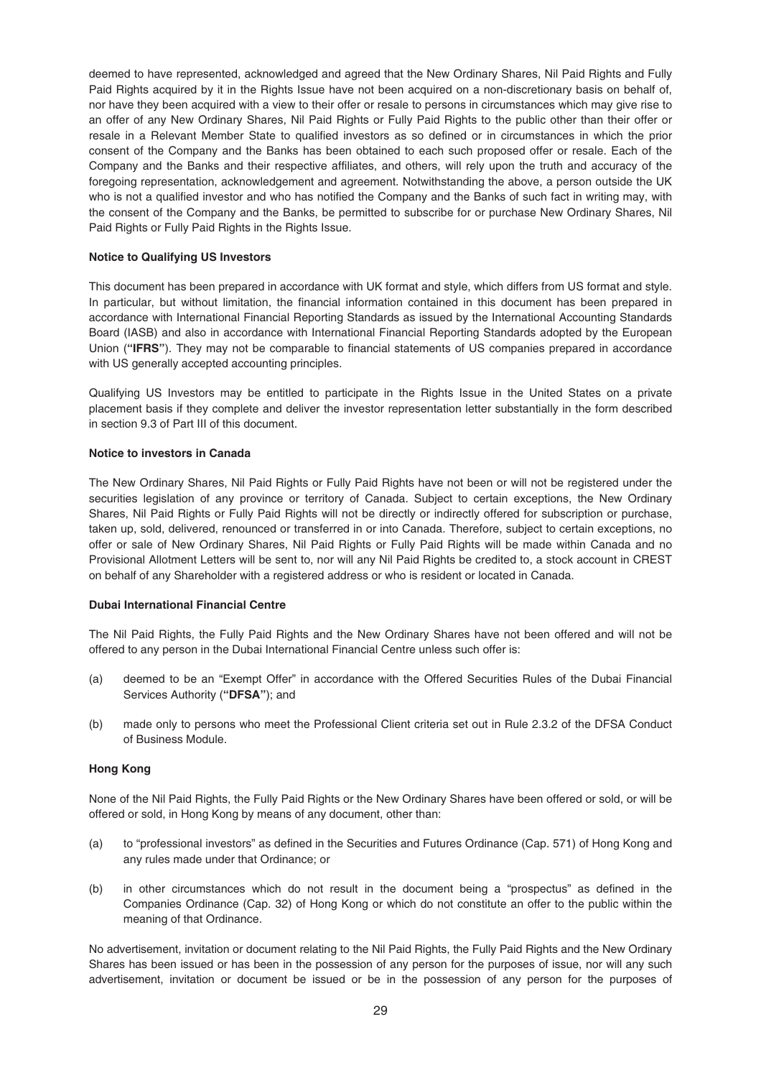deemed to have represented, acknowledged and agreed that the New Ordinary Shares, Nil Paid Rights and Fully Paid Rights acquired by it in the Rights Issue have not been acquired on a non-discretionary basis on behalf of, nor have they been acquired with a view to their offer or resale to persons in circumstances which may give rise to an offer of any New Ordinary Shares, Nil Paid Rights or Fully Paid Rights to the public other than their offer or resale in a Relevant Member State to qualified investors as so defined or in circumstances in which the prior consent of the Company and the Banks has been obtained to each such proposed offer or resale. Each of the Company and the Banks and their respective affiliates, and others, will rely upon the truth and accuracy of the foregoing representation, acknowledgement and agreement. Notwithstanding the above, a person outside the UK who is not a qualified investor and who has notified the Company and the Banks of such fact in writing may, with the consent of the Company and the Banks, be permitted to subscribe for or purchase New Ordinary Shares, Nil Paid Rights or Fully Paid Rights in the Rights Issue.

### **Notice to Qualifying US Investors**

This document has been prepared in accordance with UK format and style, which differs from US format and style. In particular, but without limitation, the financial information contained in this document has been prepared in accordance with International Financial Reporting Standards as issued by the International Accounting Standards Board (IASB) and also in accordance with International Financial Reporting Standards adopted by the European Union (**"IFRS"**). They may not be comparable to financial statements of US companies prepared in accordance with US generally accepted accounting principles.

Qualifying US Investors may be entitled to participate in the Rights Issue in the United States on a private placement basis if they complete and deliver the investor representation letter substantially in the form described in section 9.3 of Part III of this document.

### **Notice to investors in Canada**

The New Ordinary Shares, Nil Paid Rights or Fully Paid Rights have not been or will not be registered under the securities legislation of any province or territory of Canada. Subject to certain exceptions, the New Ordinary Shares, Nil Paid Rights or Fully Paid Rights will not be directly or indirectly offered for subscription or purchase, taken up, sold, delivered, renounced or transferred in or into Canada. Therefore, subject to certain exceptions, no offer or sale of New Ordinary Shares, Nil Paid Rights or Fully Paid Rights will be made within Canada and no Provisional Allotment Letters will be sent to, nor will any Nil Paid Rights be credited to, a stock account in CREST on behalf of any Shareholder with a registered address or who is resident or located in Canada.

#### **Dubai International Financial Centre**

The Nil Paid Rights, the Fully Paid Rights and the New Ordinary Shares have not been offered and will not be offered to any person in the Dubai International Financial Centre unless such offer is:

- (a) deemed to be an "Exempt Offer" in accordance with the Offered Securities Rules of the Dubai Financial Services Authority (**"DFSA"**); and
- (b) made only to persons who meet the Professional Client criteria set out in Rule 2.3.2 of the DFSA Conduct of Business Module.

#### **Hong Kong**

None of the Nil Paid Rights, the Fully Paid Rights or the New Ordinary Shares have been offered or sold, or will be offered or sold, in Hong Kong by means of any document, other than:

- (a) to "professional investors" as defined in the Securities and Futures Ordinance (Cap. 571) of Hong Kong and any rules made under that Ordinance; or
- (b) in other circumstances which do not result in the document being a "prospectus" as defined in the Companies Ordinance (Cap. 32) of Hong Kong or which do not constitute an offer to the public within the meaning of that Ordinance.

No advertisement, invitation or document relating to the Nil Paid Rights, the Fully Paid Rights and the New Ordinary Shares has been issued or has been in the possession of any person for the purposes of issue, nor will any such advertisement, invitation or document be issued or be in the possession of any person for the purposes of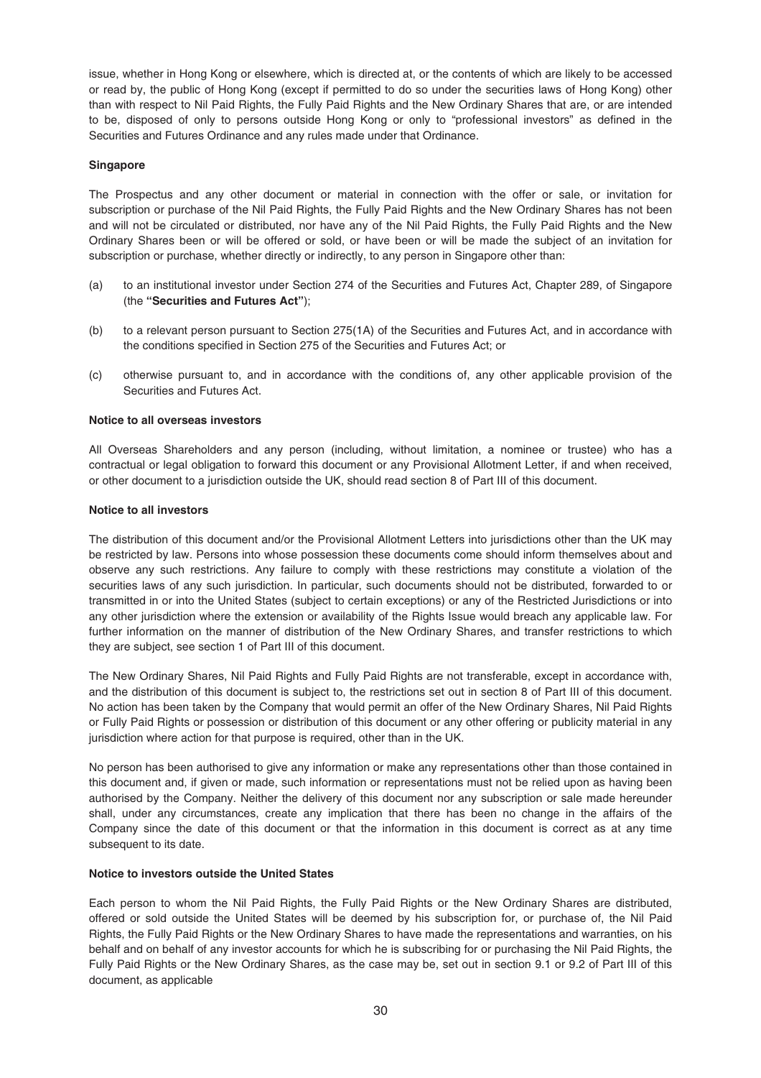issue, whether in Hong Kong or elsewhere, which is directed at, or the contents of which are likely to be accessed or read by, the public of Hong Kong (except if permitted to do so under the securities laws of Hong Kong) other than with respect to Nil Paid Rights, the Fully Paid Rights and the New Ordinary Shares that are, or are intended to be, disposed of only to persons outside Hong Kong or only to "professional investors" as defined in the Securities and Futures Ordinance and any rules made under that Ordinance.

### **Singapore**

The Prospectus and any other document or material in connection with the offer or sale, or invitation for subscription or purchase of the Nil Paid Rights, the Fully Paid Rights and the New Ordinary Shares has not been and will not be circulated or distributed, nor have any of the Nil Paid Rights, the Fully Paid Rights and the New Ordinary Shares been or will be offered or sold, or have been or will be made the subject of an invitation for subscription or purchase, whether directly or indirectly, to any person in Singapore other than:

- (a) to an institutional investor under Section 274 of the Securities and Futures Act, Chapter 289, of Singapore (the **"Securities and Futures Act"**);
- (b) to a relevant person pursuant to Section 275(1A) of the Securities and Futures Act, and in accordance with the conditions specified in Section 275 of the Securities and Futures Act; or
- (c) otherwise pursuant to, and in accordance with the conditions of, any other applicable provision of the Securities and Futures Act.

### **Notice to all overseas investors**

All Overseas Shareholders and any person (including, without limitation, a nominee or trustee) who has a contractual or legal obligation to forward this document or any Provisional Allotment Letter, if and when received, or other document to a jurisdiction outside the UK, should read section 8 of Part III of this document.

### **Notice to all investors**

The distribution of this document and/or the Provisional Allotment Letters into jurisdictions other than the UK may be restricted by law. Persons into whose possession these documents come should inform themselves about and observe any such restrictions. Any failure to comply with these restrictions may constitute a violation of the securities laws of any such jurisdiction. In particular, such documents should not be distributed, forwarded to or transmitted in or into the United States (subject to certain exceptions) or any of the Restricted Jurisdictions or into any other jurisdiction where the extension or availability of the Rights Issue would breach any applicable law. For further information on the manner of distribution of the New Ordinary Shares, and transfer restrictions to which they are subject, see section 1 of Part III of this document.

The New Ordinary Shares, Nil Paid Rights and Fully Paid Rights are not transferable, except in accordance with, and the distribution of this document is subject to, the restrictions set out in section 8 of Part III of this document. No action has been taken by the Company that would permit an offer of the New Ordinary Shares, Nil Paid Rights or Fully Paid Rights or possession or distribution of this document or any other offering or publicity material in any jurisdiction where action for that purpose is required, other than in the UK.

No person has been authorised to give any information or make any representations other than those contained in this document and, if given or made, such information or representations must not be relied upon as having been authorised by the Company. Neither the delivery of this document nor any subscription or sale made hereunder shall, under any circumstances, create any implication that there has been no change in the affairs of the Company since the date of this document or that the information in this document is correct as at any time subsequent to its date.

#### **Notice to investors outside the United States**

Each person to whom the Nil Paid Rights, the Fully Paid Rights or the New Ordinary Shares are distributed, offered or sold outside the United States will be deemed by his subscription for, or purchase of, the Nil Paid Rights, the Fully Paid Rights or the New Ordinary Shares to have made the representations and warranties, on his behalf and on behalf of any investor accounts for which he is subscribing for or purchasing the Nil Paid Rights, the Fully Paid Rights or the New Ordinary Shares, as the case may be, set out in section 9.1 or 9.2 of Part III of this document, as applicable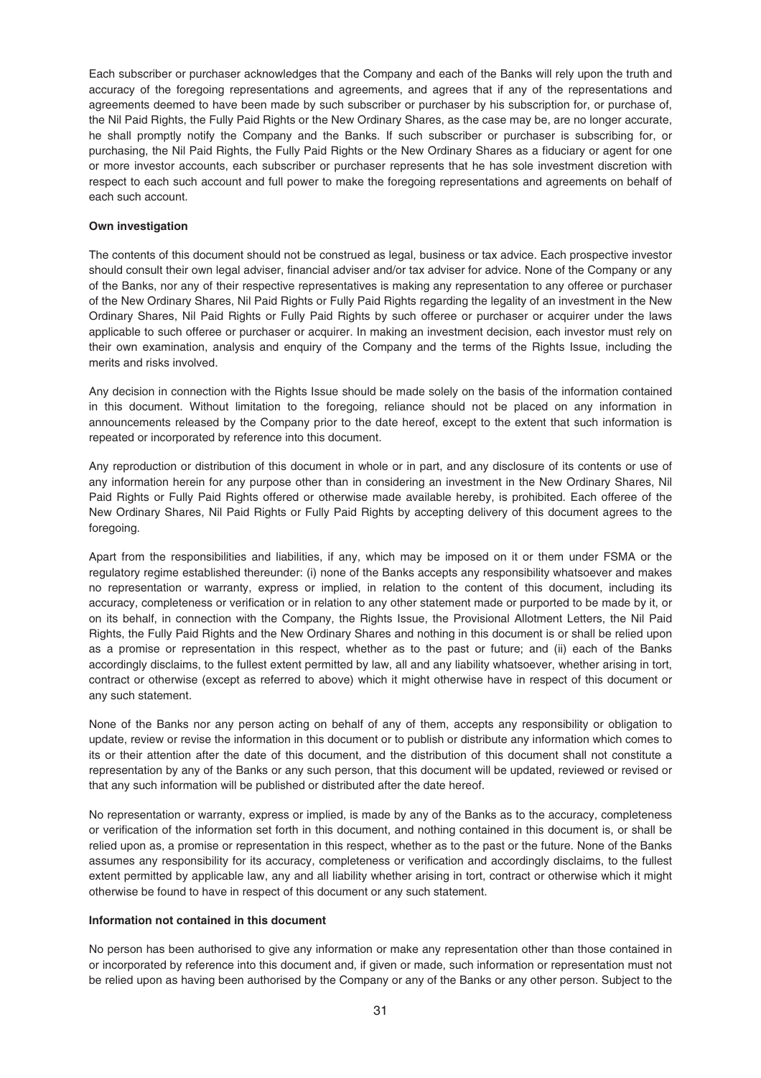Each subscriber or purchaser acknowledges that the Company and each of the Banks will rely upon the truth and accuracy of the foregoing representations and agreements, and agrees that if any of the representations and agreements deemed to have been made by such subscriber or purchaser by his subscription for, or purchase of, the Nil Paid Rights, the Fully Paid Rights or the New Ordinary Shares, as the case may be, are no longer accurate, he shall promptly notify the Company and the Banks. If such subscriber or purchaser is subscribing for, or purchasing, the Nil Paid Rights, the Fully Paid Rights or the New Ordinary Shares as a fiduciary or agent for one or more investor accounts, each subscriber or purchaser represents that he has sole investment discretion with respect to each such account and full power to make the foregoing representations and agreements on behalf of each such account.

### **Own investigation**

The contents of this document should not be construed as legal, business or tax advice. Each prospective investor should consult their own legal adviser, financial adviser and/or tax adviser for advice. None of the Company or any of the Banks, nor any of their respective representatives is making any representation to any offeree or purchaser of the New Ordinary Shares, Nil Paid Rights or Fully Paid Rights regarding the legality of an investment in the New Ordinary Shares, Nil Paid Rights or Fully Paid Rights by such offeree or purchaser or acquirer under the laws applicable to such offeree or purchaser or acquirer. In making an investment decision, each investor must rely on their own examination, analysis and enquiry of the Company and the terms of the Rights Issue, including the merits and risks involved.

Any decision in connection with the Rights Issue should be made solely on the basis of the information contained in this document. Without limitation to the foregoing, reliance should not be placed on any information in announcements released by the Company prior to the date hereof, except to the extent that such information is repeated or incorporated by reference into this document.

Any reproduction or distribution of this document in whole or in part, and any disclosure of its contents or use of any information herein for any purpose other than in considering an investment in the New Ordinary Shares, Nil Paid Rights or Fully Paid Rights offered or otherwise made available hereby, is prohibited. Each offeree of the New Ordinary Shares, Nil Paid Rights or Fully Paid Rights by accepting delivery of this document agrees to the foregoing.

Apart from the responsibilities and liabilities, if any, which may be imposed on it or them under FSMA or the regulatory regime established thereunder: (i) none of the Banks accepts any responsibility whatsoever and makes no representation or warranty, express or implied, in relation to the content of this document, including its accuracy, completeness or verification or in relation to any other statement made or purported to be made by it, or on its behalf, in connection with the Company, the Rights Issue, the Provisional Allotment Letters, the Nil Paid Rights, the Fully Paid Rights and the New Ordinary Shares and nothing in this document is or shall be relied upon as a promise or representation in this respect, whether as to the past or future; and (ii) each of the Banks accordingly disclaims, to the fullest extent permitted by law, all and any liability whatsoever, whether arising in tort, contract or otherwise (except as referred to above) which it might otherwise have in respect of this document or any such statement.

None of the Banks nor any person acting on behalf of any of them, accepts any responsibility or obligation to update, review or revise the information in this document or to publish or distribute any information which comes to its or their attention after the date of this document, and the distribution of this document shall not constitute a representation by any of the Banks or any such person, that this document will be updated, reviewed or revised or that any such information will be published or distributed after the date hereof.

No representation or warranty, express or implied, is made by any of the Banks as to the accuracy, completeness or verification of the information set forth in this document, and nothing contained in this document is, or shall be relied upon as, a promise or representation in this respect, whether as to the past or the future. None of the Banks assumes any responsibility for its accuracy, completeness or verification and accordingly disclaims, to the fullest extent permitted by applicable law, any and all liability whether arising in tort, contract or otherwise which it might otherwise be found to have in respect of this document or any such statement.

### **Information not contained in this document**

No person has been authorised to give any information or make any representation other than those contained in or incorporated by reference into this document and, if given or made, such information or representation must not be relied upon as having been authorised by the Company or any of the Banks or any other person. Subject to the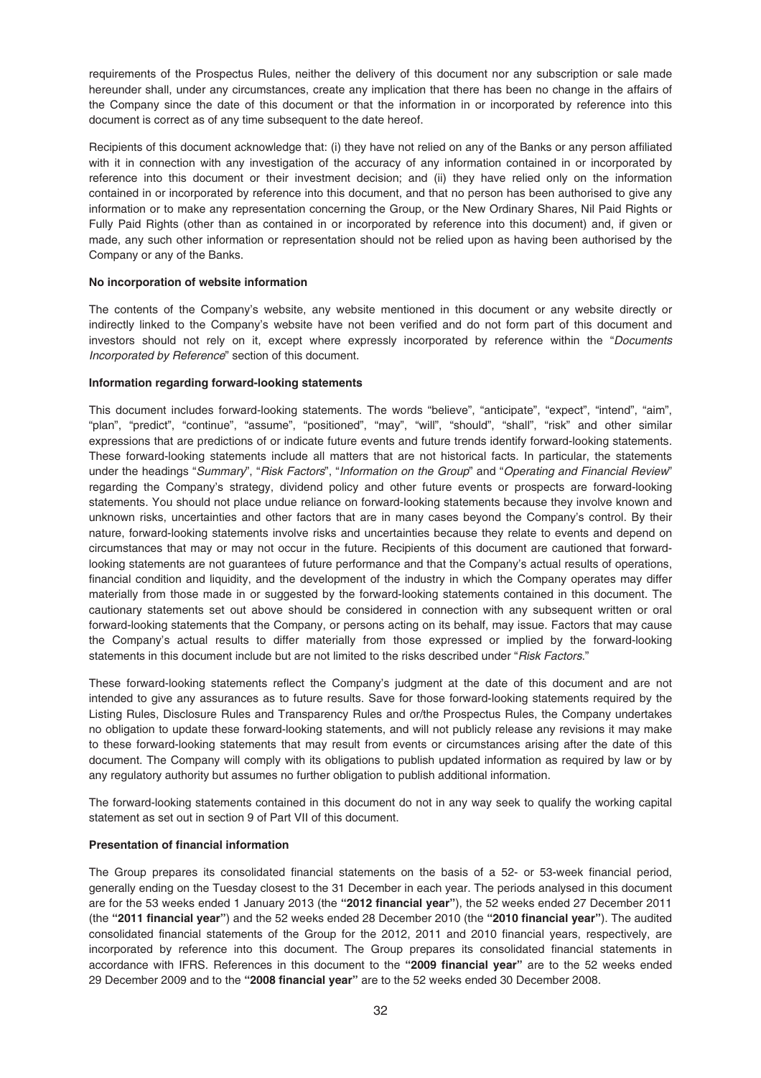requirements of the Prospectus Rules, neither the delivery of this document nor any subscription or sale made hereunder shall, under any circumstances, create any implication that there has been no change in the affairs of the Company since the date of this document or that the information in or incorporated by reference into this document is correct as of any time subsequent to the date hereof.

Recipients of this document acknowledge that: (i) they have not relied on any of the Banks or any person affiliated with it in connection with any investigation of the accuracy of any information contained in or incorporated by reference into this document or their investment decision; and (ii) they have relied only on the information contained in or incorporated by reference into this document, and that no person has been authorised to give any information or to make any representation concerning the Group, or the New Ordinary Shares, Nil Paid Rights or Fully Paid Rights (other than as contained in or incorporated by reference into this document) and, if given or made, any such other information or representation should not be relied upon as having been authorised by the Company or any of the Banks.

### **No incorporation of website information**

The contents of the Company's website, any website mentioned in this document or any website directly or indirectly linked to the Company's website have not been verified and do not form part of this document and investors should not rely on it, except where expressly incorporated by reference within the "Documents Incorporated by Reference" section of this document.

### **Information regarding forward-looking statements**

This document includes forward-looking statements. The words "believe", "anticipate", "expect", "intend", "aim", "plan", "predict", "continue", "assume", "positioned", "may", "will", "should", "shall", "risk" and other similar expressions that are predictions of or indicate future events and future trends identify forward-looking statements. These forward-looking statements include all matters that are not historical facts. In particular, the statements under the headings "Summary", "Risk Factors", "Information on the Group" and "Operating and Financial Review" regarding the Company's strategy, dividend policy and other future events or prospects are forward-looking statements. You should not place undue reliance on forward-looking statements because they involve known and unknown risks, uncertainties and other factors that are in many cases beyond the Company's control. By their nature, forward-looking statements involve risks and uncertainties because they relate to events and depend on circumstances that may or may not occur in the future. Recipients of this document are cautioned that forwardlooking statements are not guarantees of future performance and that the Company's actual results of operations, financial condition and liquidity, and the development of the industry in which the Company operates may differ materially from those made in or suggested by the forward-looking statements contained in this document. The cautionary statements set out above should be considered in connection with any subsequent written or oral forward-looking statements that the Company, or persons acting on its behalf, may issue. Factors that may cause the Company's actual results to differ materially from those expressed or implied by the forward-looking statements in this document include but are not limited to the risks described under "Risk Factors."

These forward-looking statements reflect the Company's judgment at the date of this document and are not intended to give any assurances as to future results. Save for those forward-looking statements required by the Listing Rules, Disclosure Rules and Transparency Rules and or/the Prospectus Rules, the Company undertakes no obligation to update these forward-looking statements, and will not publicly release any revisions it may make to these forward-looking statements that may result from events or circumstances arising after the date of this document. The Company will comply with its obligations to publish updated information as required by law or by any regulatory authority but assumes no further obligation to publish additional information.

The forward-looking statements contained in this document do not in any way seek to qualify the working capital statement as set out in section 9 of Part VII of this document.

# **Presentation of financial information**

The Group prepares its consolidated financial statements on the basis of a 52- or 53-week financial period, generally ending on the Tuesday closest to the 31 December in each year. The periods analysed in this document are for the 53 weeks ended 1 January 2013 (the **"2012 financial year"**), the 52 weeks ended 27 December 2011 (the **"2011 financial year"**) and the 52 weeks ended 28 December 2010 (the **"2010 financial year"**). The audited consolidated financial statements of the Group for the 2012, 2011 and 2010 financial years, respectively, are incorporated by reference into this document. The Group prepares its consolidated financial statements in accordance with IFRS. References in this document to the **"2009 financial year"** are to the 52 weeks ended 29 December 2009 and to the **"2008 financial year"** are to the 52 weeks ended 30 December 2008.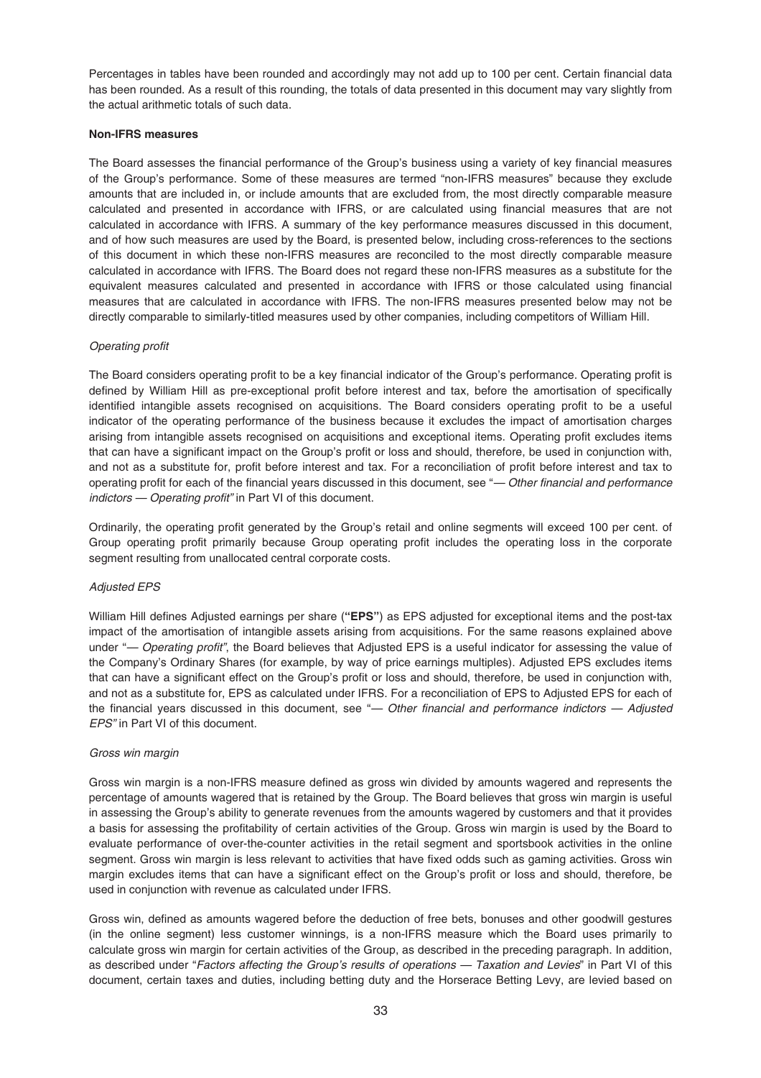Percentages in tables have been rounded and accordingly may not add up to 100 per cent. Certain financial data has been rounded. As a result of this rounding, the totals of data presented in this document may vary slightly from the actual arithmetic totals of such data.

## **Non-IFRS measures**

The Board assesses the financial performance of the Group's business using a variety of key financial measures of the Group's performance. Some of these measures are termed "non-IFRS measures" because they exclude amounts that are included in, or include amounts that are excluded from, the most directly comparable measure calculated and presented in accordance with IFRS, or are calculated using financial measures that are not calculated in accordance with IFRS. A summary of the key performance measures discussed in this document, and of how such measures are used by the Board, is presented below, including cross-references to the sections of this document in which these non-IFRS measures are reconciled to the most directly comparable measure calculated in accordance with IFRS. The Board does not regard these non-IFRS measures as a substitute for the equivalent measures calculated and presented in accordance with IFRS or those calculated using financial measures that are calculated in accordance with IFRS. The non-IFRS measures presented below may not be directly comparable to similarly-titled measures used by other companies, including competitors of William Hill.

## Operating profit

The Board considers operating profit to be a key financial indicator of the Group's performance. Operating profit is defined by William Hill as pre-exceptional profit before interest and tax, before the amortisation of specifically identified intangible assets recognised on acquisitions. The Board considers operating profit to be a useful indicator of the operating performance of the business because it excludes the impact of amortisation charges arising from intangible assets recognised on acquisitions and exceptional items. Operating profit excludes items that can have a significant impact on the Group's profit or loss and should, therefore, be used in conjunction with, and not as a substitute for, profit before interest and tax. For a reconciliation of profit before interest and tax to operating profit for each of the financial years discussed in this document, see "- Other financial and performance indictors - Operating profit" in Part VI of this document.

Ordinarily, the operating profit generated by the Group's retail and online segments will exceed 100 per cent. of Group operating profit primarily because Group operating profit includes the operating loss in the corporate segment resulting from unallocated central corporate costs.

### Adjusted EPS

William Hill defines Adjusted earnings per share (**"EPS"**) as EPS adjusted for exceptional items and the post-tax impact of the amortisation of intangible assets arising from acquisitions. For the same reasons explained above under "— Operating profit", the Board believes that Adiusted EPS is a useful indicator for assessing the value of the Company's Ordinary Shares (for example, by way of price earnings multiples). Adjusted EPS excludes items that can have a significant effect on the Group's profit or loss and should, therefore, be used in conjunction with, and not as a substitute for, EPS as calculated under IFRS. For a reconciliation of EPS to Adjusted EPS for each of the financial years discussed in this document, see "— Other financial and performance indictors — Adjusted EPS" in Part VI of this document.

### Gross win margin

Gross win margin is a non-IFRS measure defined as gross win divided by amounts wagered and represents the percentage of amounts wagered that is retained by the Group. The Board believes that gross win margin is useful in assessing the Group's ability to generate revenues from the amounts wagered by customers and that it provides a basis for assessing the profitability of certain activities of the Group. Gross win margin is used by the Board to evaluate performance of over-the-counter activities in the retail segment and sportsbook activities in the online segment. Gross win margin is less relevant to activities that have fixed odds such as gaming activities. Gross win margin excludes items that can have a significant effect on the Group's profit or loss and should, therefore, be used in conjunction with revenue as calculated under IFRS.

Gross win, defined as amounts wagered before the deduction of free bets, bonuses and other goodwill gestures (in the online segment) less customer winnings, is a non-IFRS measure which the Board uses primarily to calculate gross win margin for certain activities of the Group, as described in the preceding paragraph. In addition, as described under "Factors affecting the Group's results of operations - Taxation and Levies" in Part VI of this document, certain taxes and duties, including betting duty and the Horserace Betting Levy, are levied based on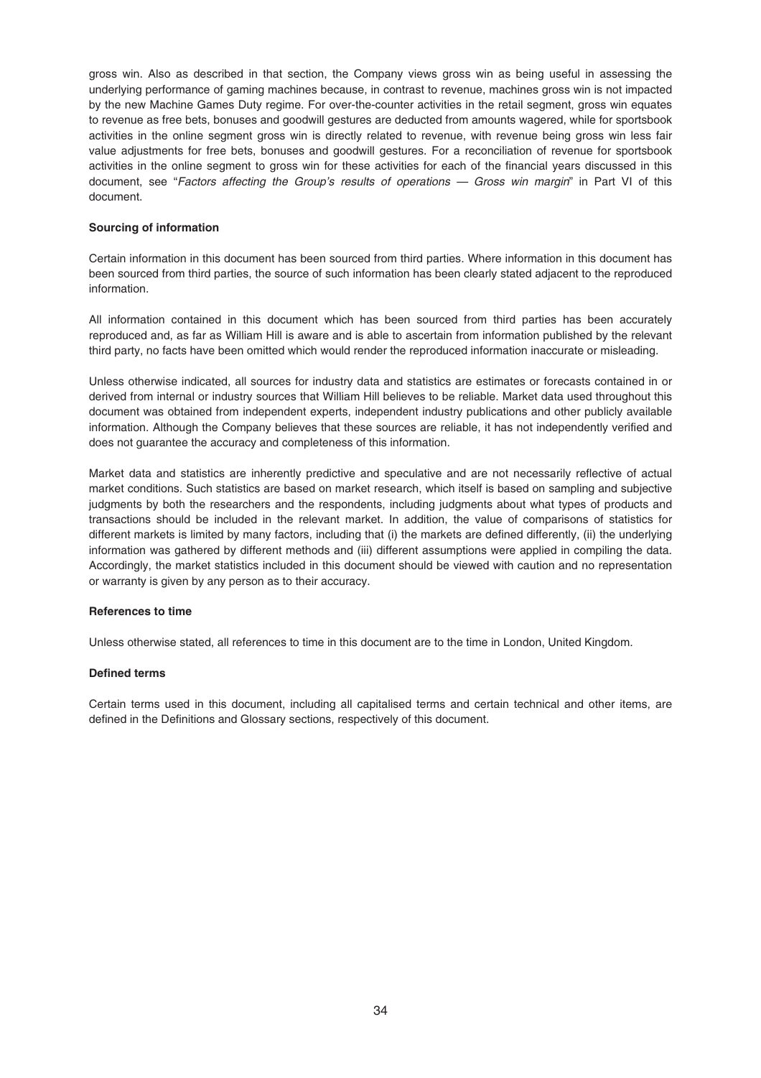gross win. Also as described in that section, the Company views gross win as being useful in assessing the underlying performance of gaming machines because, in contrast to revenue, machines gross win is not impacted by the new Machine Games Duty regime. For over-the-counter activities in the retail segment, gross win equates to revenue as free bets, bonuses and goodwill gestures are deducted from amounts wagered, while for sportsbook activities in the online segment gross win is directly related to revenue, with revenue being gross win less fair value adjustments for free bets, bonuses and goodwill gestures. For a reconciliation of revenue for sportsbook activities in the online segment to gross win for these activities for each of the financial years discussed in this document, see "Factors affecting the Group's results of operations - Gross win margin" in Part VI of this document.

## **Sourcing of information**

Certain information in this document has been sourced from third parties. Where information in this document has been sourced from third parties, the source of such information has been clearly stated adjacent to the reproduced information.

All information contained in this document which has been sourced from third parties has been accurately reproduced and, as far as William Hill is aware and is able to ascertain from information published by the relevant third party, no facts have been omitted which would render the reproduced information inaccurate or misleading.

Unless otherwise indicated, all sources for industry data and statistics are estimates or forecasts contained in or derived from internal or industry sources that William Hill believes to be reliable. Market data used throughout this document was obtained from independent experts, independent industry publications and other publicly available information. Although the Company believes that these sources are reliable, it has not independently verified and does not guarantee the accuracy and completeness of this information.

Market data and statistics are inherently predictive and speculative and are not necessarily reflective of actual market conditions. Such statistics are based on market research, which itself is based on sampling and subjective judgments by both the researchers and the respondents, including judgments about what types of products and transactions should be included in the relevant market. In addition, the value of comparisons of statistics for different markets is limited by many factors, including that (i) the markets are defined differently, (ii) the underlying information was gathered by different methods and (iii) different assumptions were applied in compiling the data. Accordingly, the market statistics included in this document should be viewed with caution and no representation or warranty is given by any person as to their accuracy.

## **References to time**

Unless otherwise stated, all references to time in this document are to the time in London, United Kingdom.

### **Defined terms**

Certain terms used in this document, including all capitalised terms and certain technical and other items, are defined in the Definitions and Glossary sections, respectively of this document.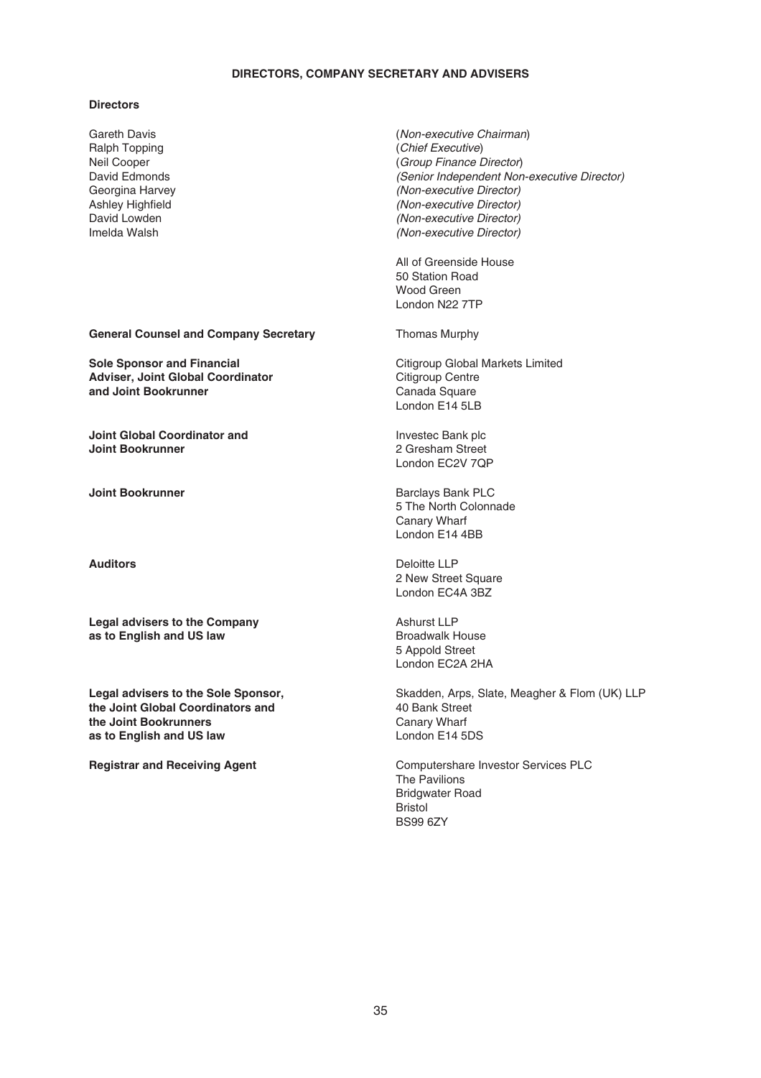## **DIRECTORS, COMPANY SECRETARY AND ADVISERS**

### **Directors**

Gareth Davis Ralph Topping Neil Cooper David Edmonds Georgina Harvey Ashley Highfield David Lowden Imelda Walsh

**General Counsel and Company Secretary Thomas Murphy** 

**Sole Sponsor and Financial Adviser, Joint Global Coordinator and Joint Bookrunner**

**Joint Global Coordinator and Joint Bookrunner**

**Legal advisers to the Company as to English and US law**

**Legal advisers to the Sole Sponsor, the Joint Global Coordinators and the Joint Bookrunners as to English and US law**

(Non-executive Chairman) (Chief Executive) (Group Finance Director) (Senior Independent Non-executive Director) (Non-executive Director) (Non-executive Director) (Non-executive Director) (Non-executive Director)

All of Greenside House 50 Station Road Wood Green London N22 7TP

Citigroup Global Markets Limited Citigroup Centre Canada Square London E14 5LB

Investec Bank plc 2 Gresham Street London EC2V 7QP

**Joint Bookrunner Barclays Bank PLC** 5 The North Colonnade Canary Wharf London E14 4BB

**Auditors** Deloitte LLP 2 New Street Square London EC4A 3BZ

> Ashurst LLP Broadwalk House 5 Appold Street London EC2A 2HA

Skadden, Arps, Slate, Meagher & Flom (UK) LLP 40 Bank Street Canary Wharf London E14 5DS

**Registrar and Receiving Agent** Computershare Investor Services PLC The Pavilions Bridgwater Road Bristol BS99 6ZY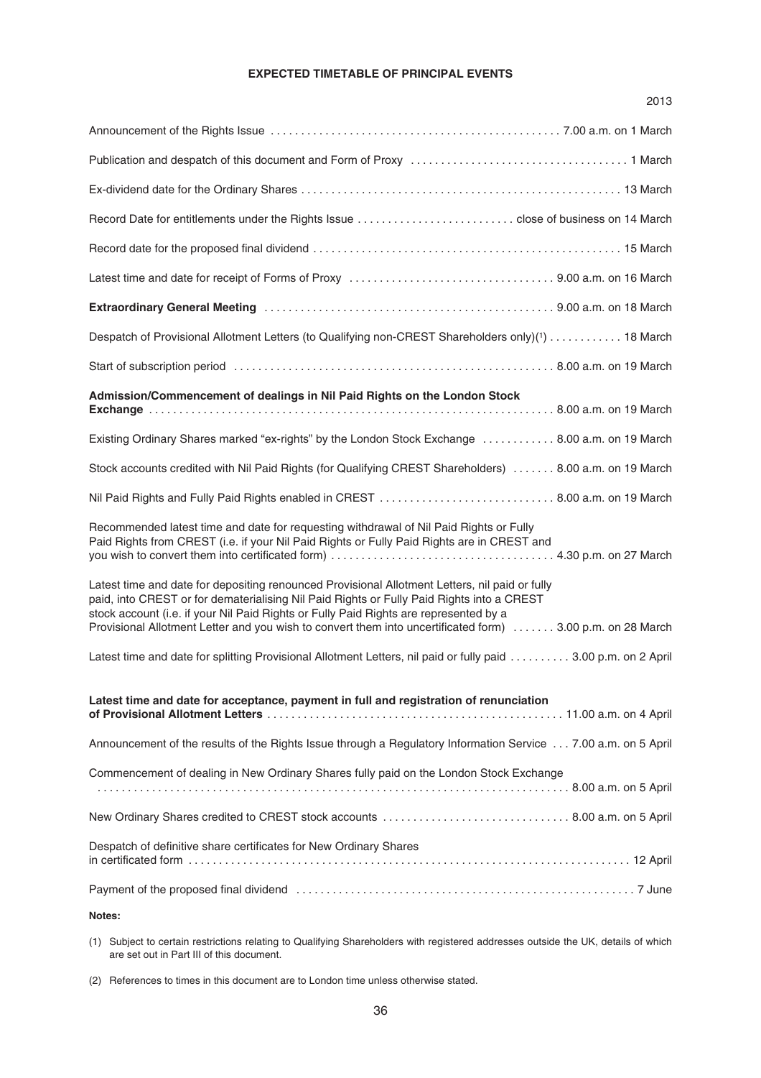# **EXPECTED TIMETABLE OF PRINCIPAL EVENTS**

|                                                                                                                                                                                                                                                                                                                                                                                                    | 2013 |
|----------------------------------------------------------------------------------------------------------------------------------------------------------------------------------------------------------------------------------------------------------------------------------------------------------------------------------------------------------------------------------------------------|------|
|                                                                                                                                                                                                                                                                                                                                                                                                    |      |
|                                                                                                                                                                                                                                                                                                                                                                                                    |      |
|                                                                                                                                                                                                                                                                                                                                                                                                    |      |
|                                                                                                                                                                                                                                                                                                                                                                                                    |      |
|                                                                                                                                                                                                                                                                                                                                                                                                    |      |
|                                                                                                                                                                                                                                                                                                                                                                                                    |      |
|                                                                                                                                                                                                                                                                                                                                                                                                    |      |
| Despatch of Provisional Allotment Letters (to Qualifying non-CREST Shareholders only)(1) 18 March                                                                                                                                                                                                                                                                                                  |      |
|                                                                                                                                                                                                                                                                                                                                                                                                    |      |
| Admission/Commencement of dealings in Nil Paid Rights on the London Stock                                                                                                                                                                                                                                                                                                                          |      |
| Existing Ordinary Shares marked "ex-rights" by the London Stock Exchange  8.00 a.m. on 19 March                                                                                                                                                                                                                                                                                                    |      |
| Stock accounts credited with Nil Paid Rights (for Qualifying CREST Shareholders)  8.00 a.m. on 19 March                                                                                                                                                                                                                                                                                            |      |
| Nil Paid Rights and Fully Paid Rights enabled in CREST  8.00 a.m. on 19 March                                                                                                                                                                                                                                                                                                                      |      |
| Recommended latest time and date for requesting withdrawal of Nil Paid Rights or Fully<br>Paid Rights from CREST (i.e. if your Nil Paid Rights or Fully Paid Rights are in CREST and                                                                                                                                                                                                               |      |
| Latest time and date for depositing renounced Provisional Allotment Letters, nil paid or fully<br>paid, into CREST or for dematerialising Nil Paid Rights or Fully Paid Rights into a CREST<br>stock account (i.e. if your Nil Paid Rights or Fully Paid Rights are represented by a<br>Provisional Allotment Letter and you wish to convert them into uncertificated form)  3.00 p.m. on 28 March |      |
| Latest time and date for splitting Provisional Allotment Letters, nil paid or fully paid 3.00 p.m. on 2 April                                                                                                                                                                                                                                                                                      |      |
| Latest time and date for acceptance, payment in full and registration of renunciation                                                                                                                                                                                                                                                                                                              |      |
| Announcement of the results of the Rights Issue through a Regulatory Information Service 7.00 a.m. on 5 April                                                                                                                                                                                                                                                                                      |      |
| Commencement of dealing in New Ordinary Shares fully paid on the London Stock Exchange                                                                                                                                                                                                                                                                                                             |      |
|                                                                                                                                                                                                                                                                                                                                                                                                    |      |
| Despatch of definitive share certificates for New Ordinary Shares                                                                                                                                                                                                                                                                                                                                  |      |
|                                                                                                                                                                                                                                                                                                                                                                                                    |      |
| Notes:                                                                                                                                                                                                                                                                                                                                                                                             |      |

(1) Subject to certain restrictions relating to Qualifying Shareholders with registered addresses outside the UK, details of which are set out in Part III of this document.

(2) References to times in this document are to London time unless otherwise stated.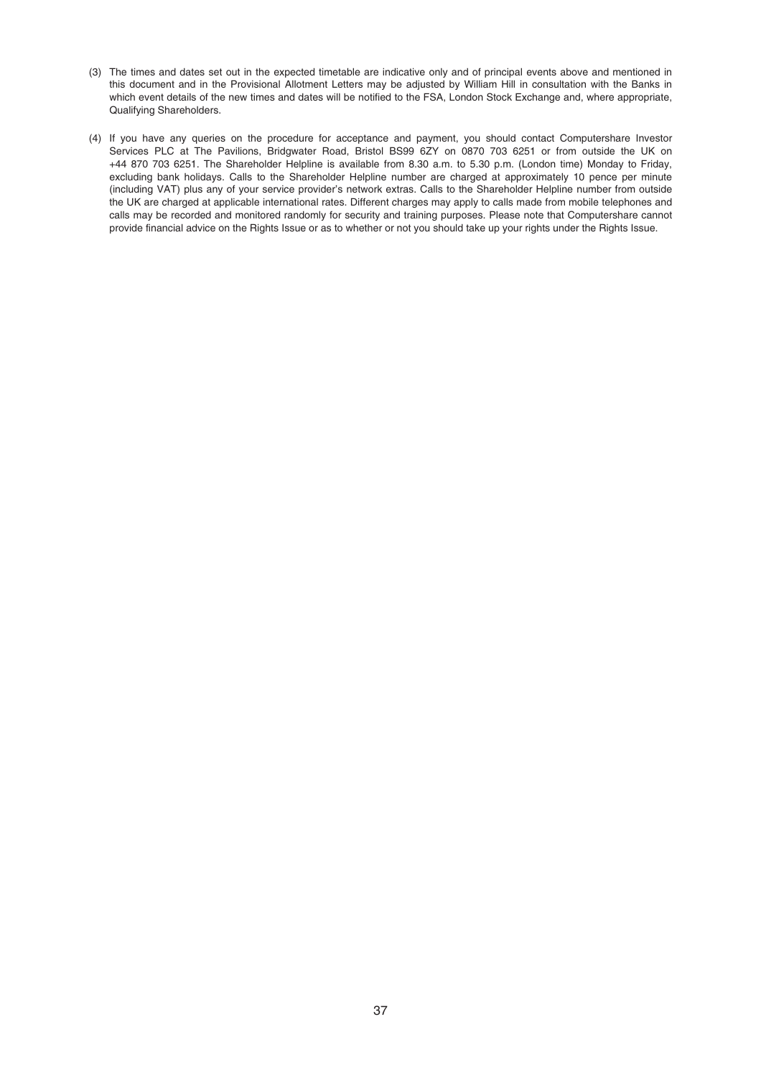- (3) The times and dates set out in the expected timetable are indicative only and of principal events above and mentioned in this document and in the Provisional Allotment Letters may be adjusted by William Hill in consultation with the Banks in which event details of the new times and dates will be notified to the FSA. London Stock Exchange and, where appropriate, Qualifying Shareholders.
- (4) If you have any queries on the procedure for acceptance and payment, you should contact Computershare Investor Services PLC at The Pavilions, Bridgwater Road, Bristol BS99 6ZY on 0870 703 6251 or from outside the UK on +44 870 703 6251. The Shareholder Helpline is available from 8.30 a.m. to 5.30 p.m. (London time) Monday to Friday, excluding bank holidays. Calls to the Shareholder Helpline number are charged at approximately 10 pence per minute (including VAT) plus any of your service provider's network extras. Calls to the Shareholder Helpline number from outside the UK are charged at applicable international rates. Different charges may apply to calls made from mobile telephones and calls may be recorded and monitored randomly for security and training purposes. Please note that Computershare cannot provide financial advice on the Rights Issue or as to whether or not you should take up your rights under the Rights Issue.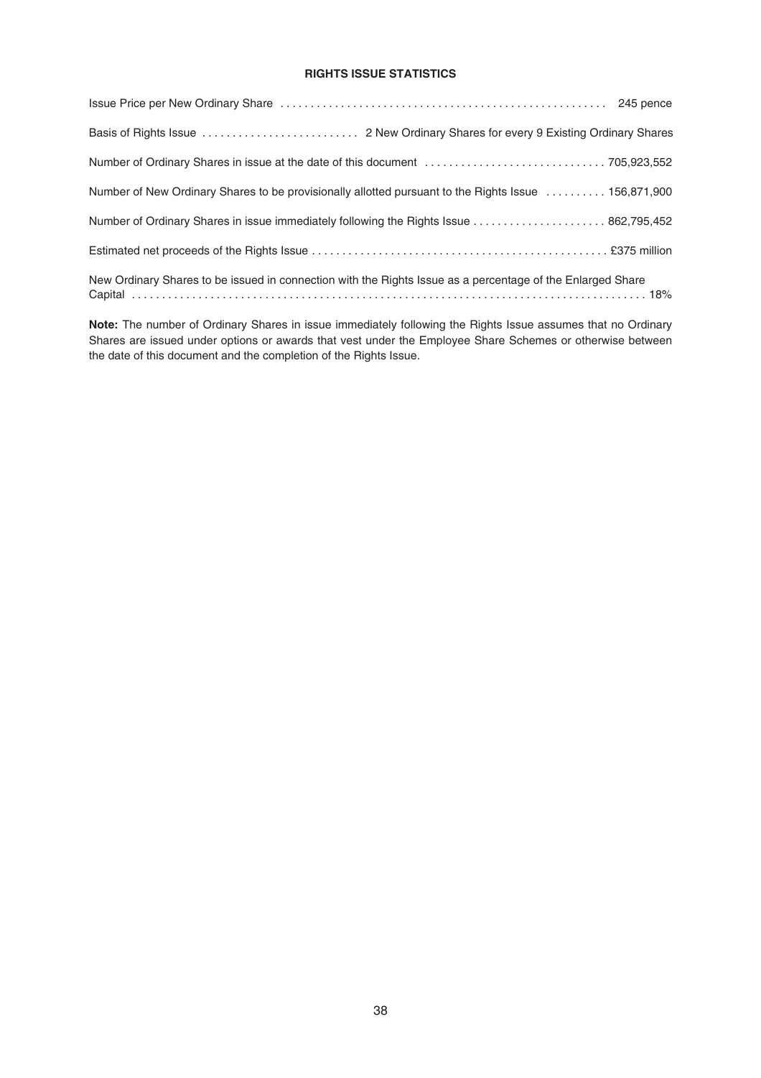# **RIGHTS ISSUE STATISTICS**

| Number of New Ordinary Shares to be provisionally allotted pursuant to the Rights Issue  156,871,900       |
|------------------------------------------------------------------------------------------------------------|
| Number of Ordinary Shares in issue immediately following the Rights Issue  862,795,452                     |
|                                                                                                            |
| New Ordinary Shares to be issued in connection with the Rights Issue as a percentage of the Enlarged Share |

**Note:** The number of Ordinary Shares in issue immediately following the Rights Issue assumes that no Ordinary Shares are issued under options or awards that vest under the Employee Share Schemes or otherwise between the date of this document and the completion of the Rights Issue.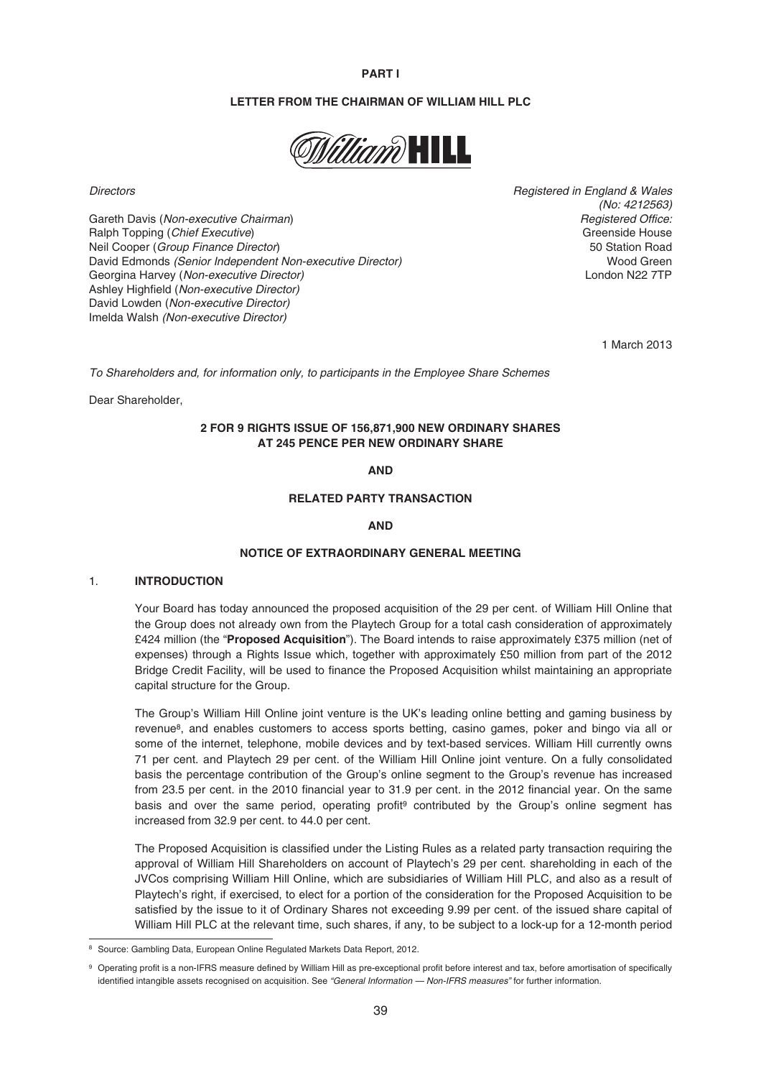### **PART I**

### **LETTER FROM THE CHAIRMAN OF WILLIAM HILL PLC**



Gareth Davis (Non-executive Chairman) Careth Chairman Careth Chairman Chairman Chairman Chairman Chairman Chairman Ralph Topping (Chief Executive) Greenside House Control of the Security of the Greenside House Control of the Greenside House Neil Cooper (*Group Finance Director*)<br>
David Fdmonds *(Senior Independent Non-executive Director)* 50 Station Road Green David Edmonds (Senior Independent Non-executive Director)<br>Georgina Harvey (Non-executive Director) Wood Green<br>London N22 7TP Georgina Harvey (Non-executive Director) Ashley Highfield (Non-executive Director) David Lowden (Non-executive Director) Imelda Walsh (Non-executive Director)

Directors Registered in England & Wales (No: 4212563)

1 March 2013

To Shareholders and, for information only, to participants in the Employee Share Schemes

Dear Shareholder,

# **2 FOR 9 RIGHTS ISSUE OF 156,871,900 NEW ORDINARY SHARES AT 245 PENCE PER NEW ORDINARY SHARE**

**AND**

# **RELATED PARTY TRANSACTION**

### **AND**

#### **NOTICE OF EXTRAORDINARY GENERAL MEETING**

## 1. **INTRODUCTION**

Your Board has today announced the proposed acquisition of the 29 per cent. of William Hill Online that the Group does not already own from the Playtech Group for a total cash consideration of approximately £424 million (the "**Proposed Acquisition**"). The Board intends to raise approximately £375 million (net of expenses) through a Rights Issue which, together with approximately £50 million from part of the 2012 Bridge Credit Facility, will be used to finance the Proposed Acquisition whilst maintaining an appropriate capital structure for the Group.

The Group's William Hill Online joint venture is the UK's leading online betting and gaming business by revenue8, and enables customers to access sports betting, casino games, poker and bingo via all or some of the internet, telephone, mobile devices and by text-based services. William Hill currently owns 71 per cent. and Playtech 29 per cent. of the William Hill Online joint venture. On a fully consolidated basis the percentage contribution of the Group's online segment to the Group's revenue has increased from 23.5 per cent. in the 2010 financial year to 31.9 per cent. in the 2012 financial year. On the same basis and over the same period, operating profit<sup>9</sup> contributed by the Group's online segment has increased from 32.9 per cent. to 44.0 per cent.

The Proposed Acquisition is classified under the Listing Rules as a related party transaction requiring the approval of William Hill Shareholders on account of Playtech's 29 per cent. shareholding in each of the JVCos comprising William Hill Online, which are subsidiaries of William Hill PLC, and also as a result of Playtech's right, if exercised, to elect for a portion of the consideration for the Proposed Acquisition to be satisfied by the issue to it of Ordinary Shares not exceeding 9.99 per cent. of the issued share capital of William Hill PLC at the relevant time, such shares, if any, to be subject to a lock-up for a 12-month period

<sup>8</sup> Source: Gambling Data, European Online Regulated Markets Data Report, 2012.

<sup>9</sup> Operating profit is a non-IFRS measure defined by William Hill as pre-exceptional profit before interest and tax, before amortisation of specifically identified intangible assets recognised on acquisition. See "General Information - Non-IFRS measures" for further information.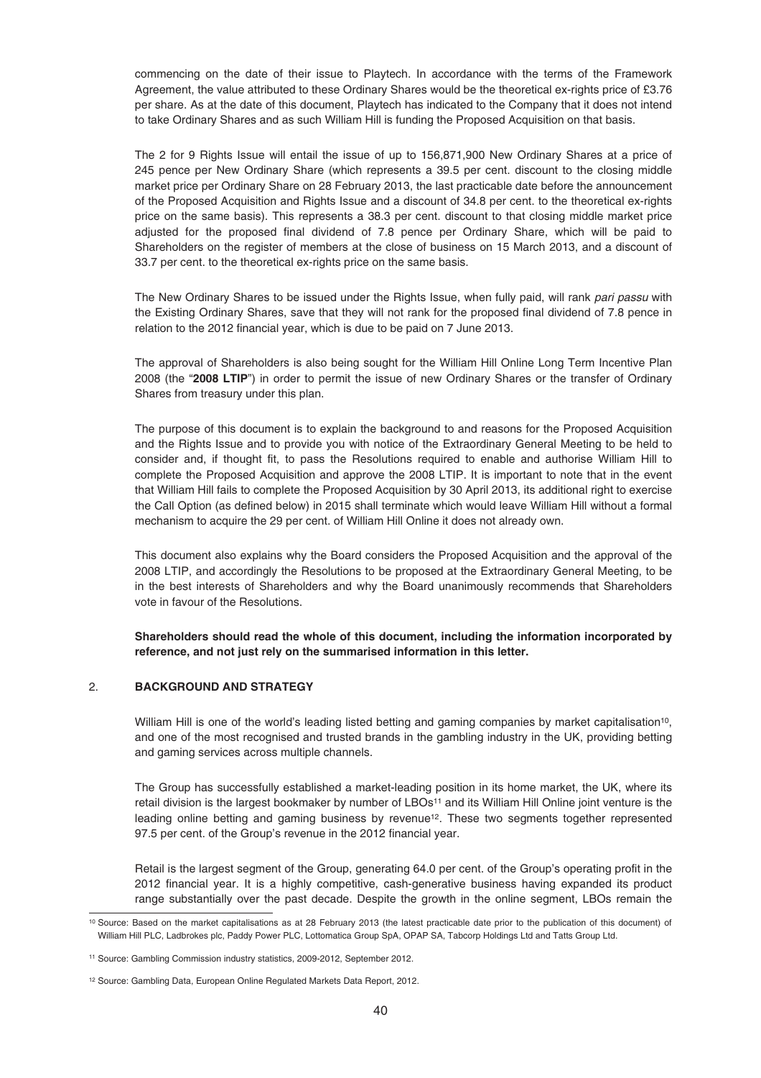commencing on the date of their issue to Playtech. In accordance with the terms of the Framework Agreement, the value attributed to these Ordinary Shares would be the theoretical ex-rights price of £3.76 per share. As at the date of this document, Playtech has indicated to the Company that it does not intend to take Ordinary Shares and as such William Hill is funding the Proposed Acquisition on that basis.

The 2 for 9 Rights Issue will entail the issue of up to 156,871,900 New Ordinary Shares at a price of 245 pence per New Ordinary Share (which represents a 39.5 per cent. discount to the closing middle market price per Ordinary Share on 28 February 2013, the last practicable date before the announcement of the Proposed Acquisition and Rights Issue and a discount of 34.8 per cent. to the theoretical ex-rights price on the same basis). This represents a 38.3 per cent. discount to that closing middle market price adjusted for the proposed final dividend of 7.8 pence per Ordinary Share, which will be paid to Shareholders on the register of members at the close of business on 15 March 2013, and a discount of 33.7 per cent. to the theoretical ex-rights price on the same basis.

The New Ordinary Shares to be issued under the Rights Issue, when fully paid, will rank pari passu with the Existing Ordinary Shares, save that they will not rank for the proposed final dividend of 7.8 pence in relation to the 2012 financial year, which is due to be paid on 7 June 2013.

The approval of Shareholders is also being sought for the William Hill Online Long Term Incentive Plan 2008 (the "**2008 LTIP**") in order to permit the issue of new Ordinary Shares or the transfer of Ordinary Shares from treasury under this plan.

The purpose of this document is to explain the background to and reasons for the Proposed Acquisition and the Rights Issue and to provide you with notice of the Extraordinary General Meeting to be held to consider and, if thought fit, to pass the Resolutions required to enable and authorise William Hill to complete the Proposed Acquisition and approve the 2008 LTIP. It is important to note that in the event that William Hill fails to complete the Proposed Acquisition by 30 April 2013, its additional right to exercise the Call Option (as defined below) in 2015 shall terminate which would leave William Hill without a formal mechanism to acquire the 29 per cent. of William Hill Online it does not already own.

This document also explains why the Board considers the Proposed Acquisition and the approval of the 2008 LTIP, and accordingly the Resolutions to be proposed at the Extraordinary General Meeting, to be in the best interests of Shareholders and why the Board unanimously recommends that Shareholders vote in favour of the Resolutions.

# **Shareholders should read the whole of this document, including the information incorporated by reference, and not just rely on the summarised information in this letter.**

## 2. **BACKGROUND AND STRATEGY**

William Hill is one of the world's leading listed betting and gaming companies by market capitalisation<sup>10</sup>, and one of the most recognised and trusted brands in the gambling industry in the UK, providing betting and gaming services across multiple channels.

The Group has successfully established a market-leading position in its home market, the UK, where its retail division is the largest bookmaker by number of LBOs<sup>11</sup> and its William Hill Online joint venture is the leading online betting and gaming business by revenue<sup>12</sup>. These two segments together represented 97.5 per cent. of the Group's revenue in the 2012 financial year.

Retail is the largest segment of the Group, generating 64.0 per cent. of the Group's operating profit in the 2012 financial year. It is a highly competitive, cash-generative business having expanded its product range substantially over the past decade. Despite the growth in the online segment, LBOs remain the

<sup>10</sup> Source: Based on the market capitalisations as at 28 February 2013 (the latest practicable date prior to the publication of this document) of William Hill PLC, Ladbrokes plc, Paddy Power PLC, Lottomatica Group SpA, OPAP SA, Tabcorp Holdings Ltd and Tatts Group Ltd.

<sup>11</sup> Source: Gambling Commission industry statistics, 2009-2012, September 2012.

<sup>12</sup> Source: Gambling Data, European Online Regulated Markets Data Report, 2012.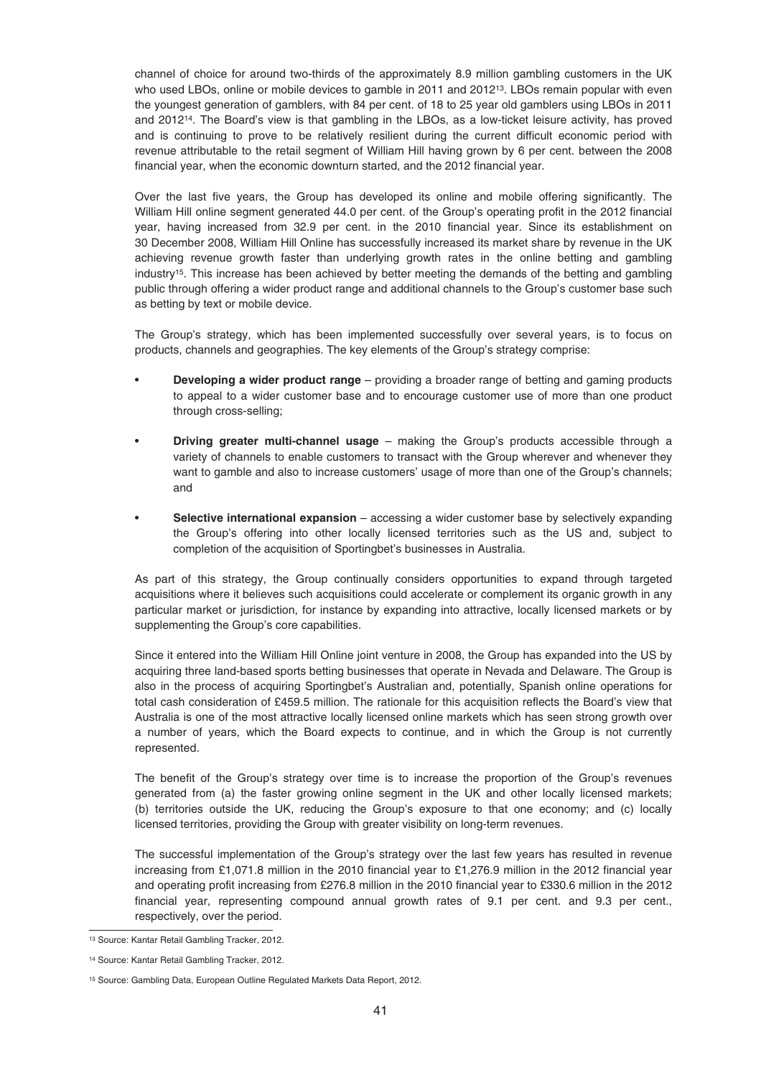channel of choice for around two-thirds of the approximately 8.9 million gambling customers in the UK who used LBOs, online or mobile devices to gamble in 2011 and 2012<sup>13</sup>. LBOs remain popular with even the youngest generation of gamblers, with 84 per cent. of 18 to 25 year old gamblers using LBOs in 2011 and 201214. The Board's view is that gambling in the LBOs, as a low-ticket leisure activity, has proved and is continuing to prove to be relatively resilient during the current difficult economic period with revenue attributable to the retail segment of William Hill having grown by 6 per cent. between the 2008 financial year, when the economic downturn started, and the 2012 financial year.

Over the last five years, the Group has developed its online and mobile offering significantly. The William Hill online segment generated 44.0 per cent. of the Group's operating profit in the 2012 financial year, having increased from 32.9 per cent. in the 2010 financial year. Since its establishment on 30 December 2008, William Hill Online has successfully increased its market share by revenue in the UK achieving revenue growth faster than underlying growth rates in the online betting and gambling industry15. This increase has been achieved by better meeting the demands of the betting and gambling public through offering a wider product range and additional channels to the Group's customer base such as betting by text or mobile device.

The Group's strategy, which has been implemented successfully over several years, is to focus on products, channels and geographies. The key elements of the Group's strategy comprise:

- **Developing a wider product range** providing a broader range of betting and gaming products to appeal to a wider customer base and to encourage customer use of more than one product through cross-selling;
- **Driving greater multi-channel usage** making the Group's products accessible through a variety of channels to enable customers to transact with the Group wherever and whenever they want to gamble and also to increase customers' usage of more than one of the Group's channels; and
- **Selective international expansion** accessing a wider customer base by selectively expanding the Group's offering into other locally licensed territories such as the US and, subject to completion of the acquisition of Sportingbet's businesses in Australia.

As part of this strategy, the Group continually considers opportunities to expand through targeted acquisitions where it believes such acquisitions could accelerate or complement its organic growth in any particular market or jurisdiction, for instance by expanding into attractive, locally licensed markets or by supplementing the Group's core capabilities.

Since it entered into the William Hill Online joint venture in 2008, the Group has expanded into the US by acquiring three land-based sports betting businesses that operate in Nevada and Delaware. The Group is also in the process of acquiring Sportingbet's Australian and, potentially, Spanish online operations for total cash consideration of £459.5 million. The rationale for this acquisition reflects the Board's view that Australia is one of the most attractive locally licensed online markets which has seen strong growth over a number of years, which the Board expects to continue, and in which the Group is not currently represented.

The benefit of the Group's strategy over time is to increase the proportion of the Group's revenues generated from (a) the faster growing online segment in the UK and other locally licensed markets; (b) territories outside the UK, reducing the Group's exposure to that one economy; and (c) locally licensed territories, providing the Group with greater visibility on long-term revenues.

The successful implementation of the Group's strategy over the last few years has resulted in revenue increasing from £1,071.8 million in the 2010 financial year to £1,276.9 million in the 2012 financial year and operating profit increasing from £276.8 million in the 2010 financial year to £330.6 million in the 2012 financial year, representing compound annual growth rates of 9.1 per cent. and 9.3 per cent., respectively, over the period.

<sup>13</sup> Source: Kantar Retail Gambling Tracker, 2012.

<sup>14</sup> Source: Kantar Retail Gambling Tracker, 2012.

<sup>15</sup> Source: Gambling Data, European Outline Regulated Markets Data Report, 2012.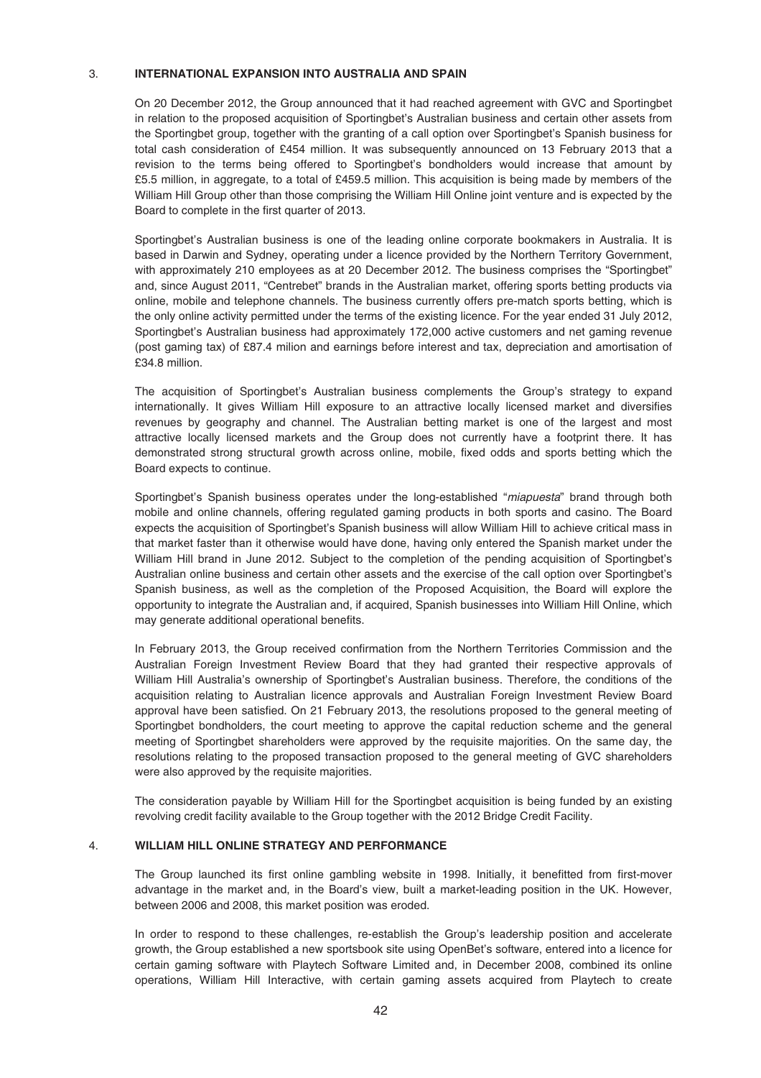## 3. **INTERNATIONAL EXPANSION INTO AUSTRALIA AND SPAIN**

On 20 December 2012, the Group announced that it had reached agreement with GVC and Sportingbet in relation to the proposed acquisition of Sportingbet's Australian business and certain other assets from the Sportingbet group, together with the granting of a call option over Sportingbet's Spanish business for total cash consideration of £454 million. It was subsequently announced on 13 February 2013 that a revision to the terms being offered to Sportingbet's bondholders would increase that amount by £5.5 million, in aggregate, to a total of £459.5 million. This acquisition is being made by members of the William Hill Group other than those comprising the William Hill Online joint venture and is expected by the Board to complete in the first quarter of 2013.

Sportingbet's Australian business is one of the leading online corporate bookmakers in Australia. It is based in Darwin and Sydney, operating under a licence provided by the Northern Territory Government, with approximately 210 employees as at 20 December 2012. The business comprises the "Sportingbet" and, since August 2011, "Centrebet" brands in the Australian market, offering sports betting products via online, mobile and telephone channels. The business currently offers pre-match sports betting, which is the only online activity permitted under the terms of the existing licence. For the year ended 31 July 2012, Sportingbet's Australian business had approximately 172,000 active customers and net gaming revenue (post gaming tax) of £87.4 milion and earnings before interest and tax, depreciation and amortisation of £34.8 million.

The acquisition of Sportingbet's Australian business complements the Group's strategy to expand internationally. It gives William Hill exposure to an attractive locally licensed market and diversifies revenues by geography and channel. The Australian betting market is one of the largest and most attractive locally licensed markets and the Group does not currently have a footprint there. It has demonstrated strong structural growth across online, mobile, fixed odds and sports betting which the Board expects to continue.

Sportingbet's Spanish business operates under the long-established "miapuesta" brand through both mobile and online channels, offering regulated gaming products in both sports and casino. The Board expects the acquisition of Sportingbet's Spanish business will allow William Hill to achieve critical mass in that market faster than it otherwise would have done, having only entered the Spanish market under the William Hill brand in June 2012. Subject to the completion of the pending acquisition of Sportingbet's Australian online business and certain other assets and the exercise of the call option over Sportingbet's Spanish business, as well as the completion of the Proposed Acquisition, the Board will explore the opportunity to integrate the Australian and, if acquired, Spanish businesses into William Hill Online, which may generate additional operational benefits.

In February 2013, the Group received confirmation from the Northern Territories Commission and the Australian Foreign Investment Review Board that they had granted their respective approvals of William Hill Australia's ownership of Sportingbet's Australian business. Therefore, the conditions of the acquisition relating to Australian licence approvals and Australian Foreign Investment Review Board approval have been satisfied. On 21 February 2013, the resolutions proposed to the general meeting of Sportingbet bondholders, the court meeting to approve the capital reduction scheme and the general meeting of Sportingbet shareholders were approved by the requisite majorities. On the same day, the resolutions relating to the proposed transaction proposed to the general meeting of GVC shareholders were also approved by the requisite majorities.

The consideration payable by William Hill for the Sportingbet acquisition is being funded by an existing revolving credit facility available to the Group together with the 2012 Bridge Credit Facility.

### 4. **WILLIAM HILL ONLINE STRATEGY AND PERFORMANCE**

The Group launched its first online gambling website in 1998. Initially, it benefitted from first-mover advantage in the market and, in the Board's view, built a market-leading position in the UK. However, between 2006 and 2008, this market position was eroded.

In order to respond to these challenges, re-establish the Group's leadership position and accelerate growth, the Group established a new sportsbook site using OpenBet's software, entered into a licence for certain gaming software with Playtech Software Limited and, in December 2008, combined its online operations, William Hill Interactive, with certain gaming assets acquired from Playtech to create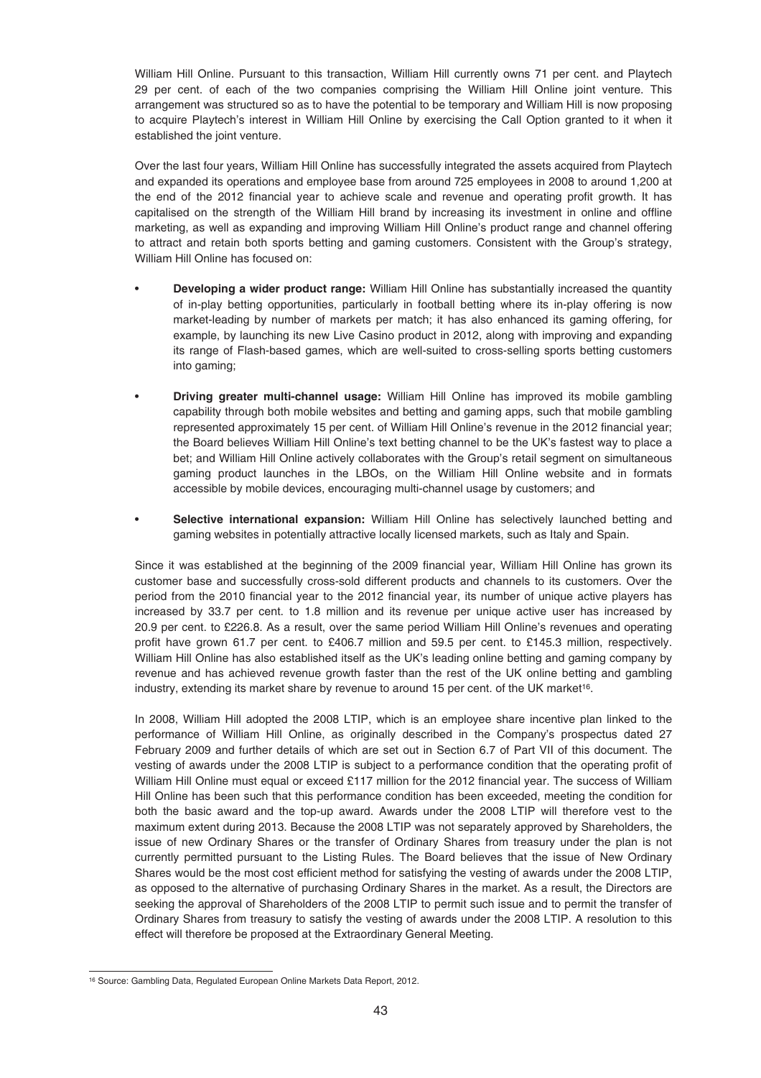William Hill Online. Pursuant to this transaction, William Hill currently owns 71 per cent. and Playtech 29 per cent. of each of the two companies comprising the William Hill Online joint venture. This arrangement was structured so as to have the potential to be temporary and William Hill is now proposing to acquire Playtech's interest in William Hill Online by exercising the Call Option granted to it when it established the joint venture.

Over the last four years, William Hill Online has successfully integrated the assets acquired from Playtech and expanded its operations and employee base from around 725 employees in 2008 to around 1,200 at the end of the 2012 financial year to achieve scale and revenue and operating profit growth. It has capitalised on the strength of the William Hill brand by increasing its investment in online and offline marketing, as well as expanding and improving William Hill Online's product range and channel offering to attract and retain both sports betting and gaming customers. Consistent with the Group's strategy, William Hill Online has focused on:

- **Developing a wider product range:** William Hill Online has substantially increased the quantity of in-play betting opportunities, particularly in football betting where its in-play offering is now market-leading by number of markets per match; it has also enhanced its gaming offering, for example, by launching its new Live Casino product in 2012, along with improving and expanding its range of Flash-based games, which are well-suited to cross-selling sports betting customers into gaming;
- **Driving greater multi-channel usage:** William Hill Online has improved its mobile gambling capability through both mobile websites and betting and gaming apps, such that mobile gambling represented approximately 15 per cent. of William Hill Online's revenue in the 2012 financial year; the Board believes William Hill Online's text betting channel to be the UK's fastest way to place a bet; and William Hill Online actively collaborates with the Group's retail segment on simultaneous gaming product launches in the LBOs, on the William Hill Online website and in formats accessible by mobile devices, encouraging multi-channel usage by customers; and
- **Selective international expansion:** William Hill Online has selectively launched betting and gaming websites in potentially attractive locally licensed markets, such as Italy and Spain.

Since it was established at the beginning of the 2009 financial year, William Hill Online has grown its customer base and successfully cross-sold different products and channels to its customers. Over the period from the 2010 financial year to the 2012 financial year, its number of unique active players has increased by 33.7 per cent. to 1.8 million and its revenue per unique active user has increased by 20.9 per cent. to £226.8. As a result, over the same period William Hill Online's revenues and operating profit have grown 61.7 per cent. to £406.7 million and 59.5 per cent. to £145.3 million, respectively. William Hill Online has also established itself as the UK's leading online betting and gaming company by revenue and has achieved revenue growth faster than the rest of the UK online betting and gambling industry, extending its market share by revenue to around 15 per cent. of the UK market16.

In 2008, William Hill adopted the 2008 LTIP, which is an employee share incentive plan linked to the performance of William Hill Online, as originally described in the Company's prospectus dated 27 February 2009 and further details of which are set out in Section 6.7 of Part VII of this document. The vesting of awards under the 2008 LTIP is subject to a performance condition that the operating profit of William Hill Online must equal or exceed £117 million for the 2012 financial year. The success of William Hill Online has been such that this performance condition has been exceeded, meeting the condition for both the basic award and the top-up award. Awards under the 2008 LTIP will therefore vest to the maximum extent during 2013. Because the 2008 LTIP was not separately approved by Shareholders, the issue of new Ordinary Shares or the transfer of Ordinary Shares from treasury under the plan is not currently permitted pursuant to the Listing Rules. The Board believes that the issue of New Ordinary Shares would be the most cost efficient method for satisfying the vesting of awards under the 2008 LTIP, as opposed to the alternative of purchasing Ordinary Shares in the market. As a result, the Directors are seeking the approval of Shareholders of the 2008 LTIP to permit such issue and to permit the transfer of Ordinary Shares from treasury to satisfy the vesting of awards under the 2008 LTIP. A resolution to this effect will therefore be proposed at the Extraordinary General Meeting.

<sup>16</sup> Source: Gambling Data, Regulated European Online Markets Data Report, 2012.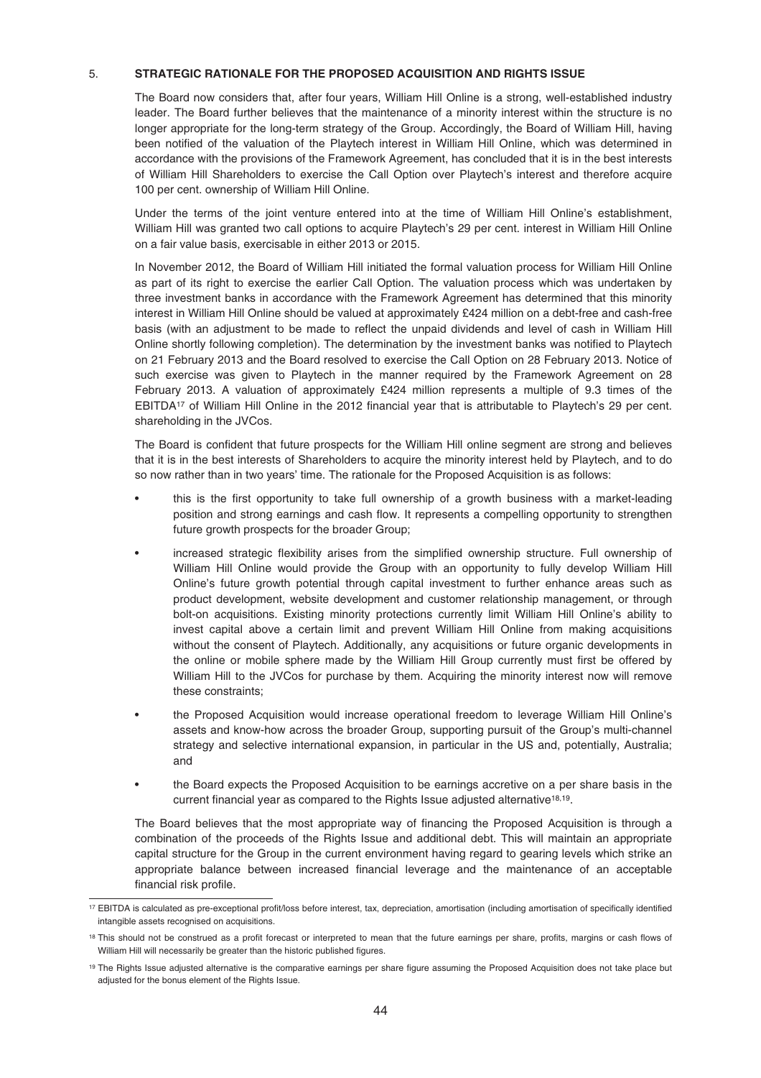## 5. **STRATEGIC RATIONALE FOR THE PROPOSED ACQUISITION AND RIGHTS ISSUE**

The Board now considers that, after four years, William Hill Online is a strong, well-established industry leader. The Board further believes that the maintenance of a minority interest within the structure is no longer appropriate for the long-term strategy of the Group. Accordingly, the Board of William Hill, having been notified of the valuation of the Playtech interest in William Hill Online, which was determined in accordance with the provisions of the Framework Agreement, has concluded that it is in the best interests of William Hill Shareholders to exercise the Call Option over Playtech's interest and therefore acquire 100 per cent. ownership of William Hill Online.

Under the terms of the joint venture entered into at the time of William Hill Online's establishment, William Hill was granted two call options to acquire Playtech's 29 per cent. interest in William Hill Online on a fair value basis, exercisable in either 2013 or 2015.

In November 2012, the Board of William Hill initiated the formal valuation process for William Hill Online as part of its right to exercise the earlier Call Option. The valuation process which was undertaken by three investment banks in accordance with the Framework Agreement has determined that this minority interest in William Hill Online should be valued at approximately £424 million on a debt-free and cash-free basis (with an adjustment to be made to reflect the unpaid dividends and level of cash in William Hill Online shortly following completion). The determination by the investment banks was notified to Playtech on 21 February 2013 and the Board resolved to exercise the Call Option on 28 February 2013. Notice of such exercise was given to Playtech in the manner required by the Framework Agreement on 28 February 2013. A valuation of approximately £424 million represents a multiple of 9.3 times of the EBITDA17 of William Hill Online in the 2012 financial year that is attributable to Playtech's 29 per cent. shareholding in the JVCos.

The Board is confident that future prospects for the William Hill online segment are strong and believes that it is in the best interests of Shareholders to acquire the minority interest held by Playtech, and to do so now rather than in two years' time. The rationale for the Proposed Acquisition is as follows:

- this is the first opportunity to take full ownership of a growth business with a market-leading position and strong earnings and cash flow. It represents a compelling opportunity to strengthen future growth prospects for the broader Group;
- increased strategic flexibility arises from the simplified ownership structure. Full ownership of William Hill Online would provide the Group with an opportunity to fully develop William Hill Online's future growth potential through capital investment to further enhance areas such as product development, website development and customer relationship management, or through bolt-on acquisitions. Existing minority protections currently limit William Hill Online's ability to invest capital above a certain limit and prevent William Hill Online from making acquisitions without the consent of Playtech. Additionally, any acquisitions or future organic developments in the online or mobile sphere made by the William Hill Group currently must first be offered by William Hill to the JVCos for purchase by them. Acquiring the minority interest now will remove these constraints;
- the Proposed Acquisition would increase operational freedom to leverage William Hill Online's assets and know-how across the broader Group, supporting pursuit of the Group's multi-channel strategy and selective international expansion, in particular in the US and, potentially, Australia; and
- the Board expects the Proposed Acquisition to be earnings accretive on a per share basis in the current financial year as compared to the Rights Issue adjusted alternative<sup>18,19</sup>.

The Board believes that the most appropriate way of financing the Proposed Acquisition is through a combination of the proceeds of the Rights Issue and additional debt. This will maintain an appropriate capital structure for the Group in the current environment having regard to gearing levels which strike an appropriate balance between increased financial leverage and the maintenance of an acceptable financial risk profile.

<sup>17</sup> EBITDA is calculated as pre-exceptional profit/loss before interest, tax, depreciation, amortisation (including amortisation of specifically identified intangible assets recognised on acquisitions.

<sup>18</sup> This should not be construed as a profit forecast or interpreted to mean that the future earnings per share, profits, margins or cash flows of William Hill will necessarily be greater than the historic published figures.

<sup>19</sup> The Rights Issue adjusted alternative is the comparative earnings per share figure assuming the Proposed Acquisition does not take place but adjusted for the bonus element of the Rights Issue.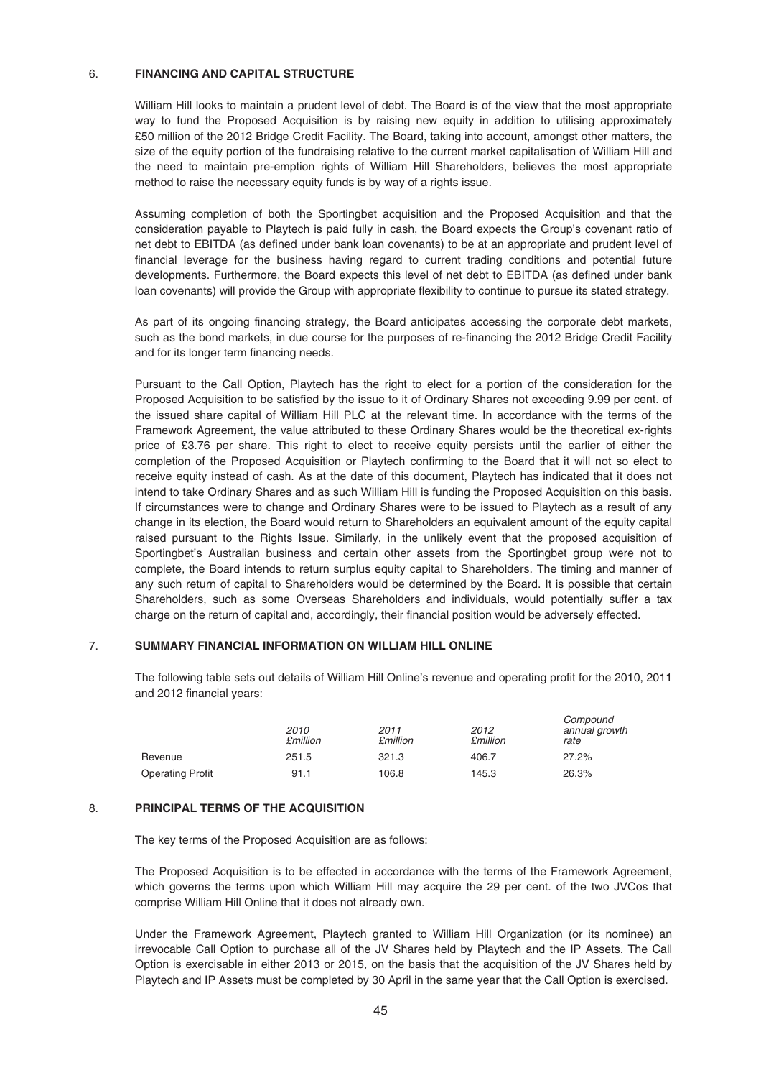## 6. **FINANCING AND CAPITAL STRUCTURE**

William Hill looks to maintain a prudent level of debt. The Board is of the view that the most appropriate way to fund the Proposed Acquisition is by raising new equity in addition to utilising approximately £50 million of the 2012 Bridge Credit Facility. The Board, taking into account, amongst other matters, the size of the equity portion of the fundraising relative to the current market capitalisation of William Hill and the need to maintain pre-emption rights of William Hill Shareholders, believes the most appropriate method to raise the necessary equity funds is by way of a rights issue.

Assuming completion of both the Sportingbet acquisition and the Proposed Acquisition and that the consideration payable to Playtech is paid fully in cash, the Board expects the Group's covenant ratio of net debt to EBITDA (as defined under bank loan covenants) to be at an appropriate and prudent level of financial leverage for the business having regard to current trading conditions and potential future developments. Furthermore, the Board expects this level of net debt to EBITDA (as defined under bank loan covenants) will provide the Group with appropriate flexibility to continue to pursue its stated strategy.

As part of its ongoing financing strategy, the Board anticipates accessing the corporate debt markets, such as the bond markets, in due course for the purposes of re-financing the 2012 Bridge Credit Facility and for its longer term financing needs.

Pursuant to the Call Option, Playtech has the right to elect for a portion of the consideration for the Proposed Acquisition to be satisfied by the issue to it of Ordinary Shares not exceeding 9.99 per cent. of the issued share capital of William Hill PLC at the relevant time. In accordance with the terms of the Framework Agreement, the value attributed to these Ordinary Shares would be the theoretical ex-rights price of £3.76 per share. This right to elect to receive equity persists until the earlier of either the completion of the Proposed Acquisition or Playtech confirming to the Board that it will not so elect to receive equity instead of cash. As at the date of this document, Playtech has indicated that it does not intend to take Ordinary Shares and as such William Hill is funding the Proposed Acquisition on this basis. If circumstances were to change and Ordinary Shares were to be issued to Playtech as a result of any change in its election, the Board would return to Shareholders an equivalent amount of the equity capital raised pursuant to the Rights Issue. Similarly, in the unlikely event that the proposed acquisition of Sportingbet's Australian business and certain other assets from the Sportingbet group were not to complete, the Board intends to return surplus equity capital to Shareholders. The timing and manner of any such return of capital to Shareholders would be determined by the Board. It is possible that certain Shareholders, such as some Overseas Shareholders and individuals, would potentially suffer a tax charge on the return of capital and, accordingly, their financial position would be adversely effected.

# 7. **SUMMARY FINANCIAL INFORMATION ON WILLIAM HILL ONLINE**

The following table sets out details of William Hill Online's revenue and operating profit for the 2010, 2011 and 2012 financial years:

 $\alpha$  components of

|                         | 2010<br><b>£million</b> | 2011<br><b>£million</b> | 2012<br><b>£million</b> | Compound<br>annual growth<br>rate |
|-------------------------|-------------------------|-------------------------|-------------------------|-----------------------------------|
| Revenue                 | 251.5                   | 321.3                   | 406.7                   | 27.2%                             |
| <b>Operating Profit</b> | 91.1                    | 106.8                   | 145.3                   | 26.3%                             |

### 8. **PRINCIPAL TERMS OF THE ACQUISITION**

The key terms of the Proposed Acquisition are as follows:

The Proposed Acquisition is to be effected in accordance with the terms of the Framework Agreement, which governs the terms upon which William Hill may acquire the 29 per cent. of the two JVCos that comprise William Hill Online that it does not already own.

Under the Framework Agreement, Playtech granted to William Hill Organization (or its nominee) an irrevocable Call Option to purchase all of the JV Shares held by Playtech and the IP Assets. The Call Option is exercisable in either 2013 or 2015, on the basis that the acquisition of the JV Shares held by Playtech and IP Assets must be completed by 30 April in the same year that the Call Option is exercised.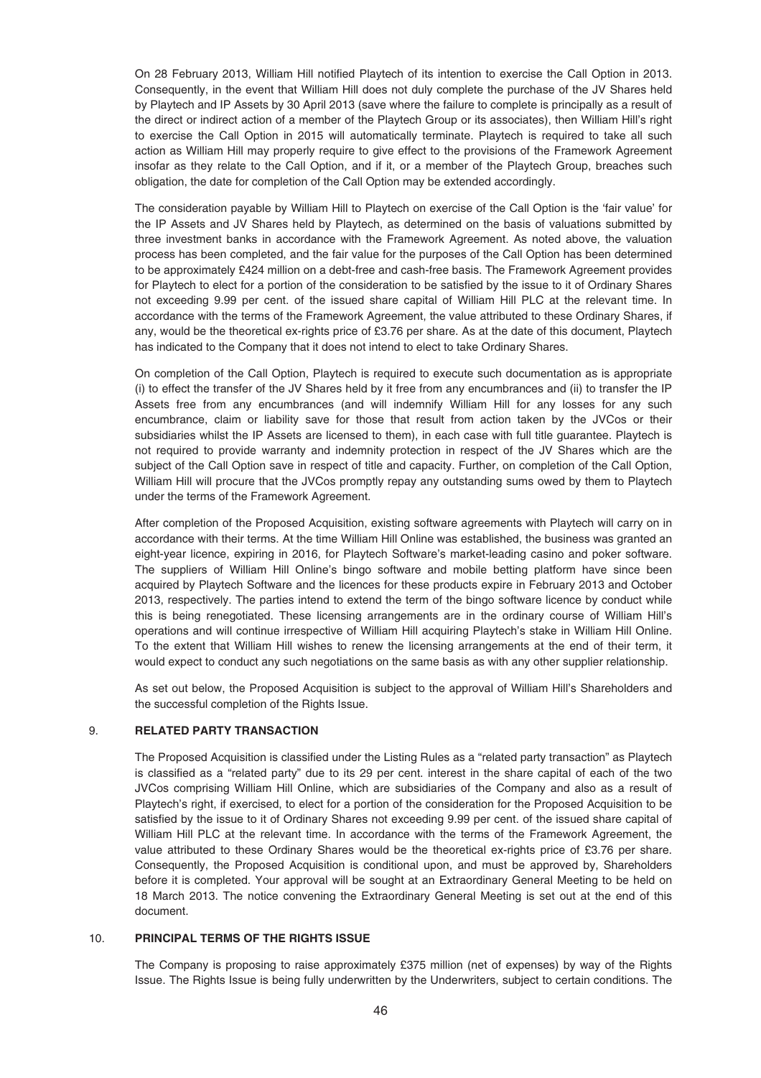On 28 February 2013, William Hill notified Playtech of its intention to exercise the Call Option in 2013. Consequently, in the event that William Hill does not duly complete the purchase of the JV Shares held by Playtech and IP Assets by 30 April 2013 (save where the failure to complete is principally as a result of the direct or indirect action of a member of the Playtech Group or its associates), then William Hill's right to exercise the Call Option in 2015 will automatically terminate. Playtech is required to take all such action as William Hill may properly require to give effect to the provisions of the Framework Agreement insofar as they relate to the Call Option, and if it, or a member of the Playtech Group, breaches such obligation, the date for completion of the Call Option may be extended accordingly.

The consideration payable by William Hill to Playtech on exercise of the Call Option is the 'fair value' for the IP Assets and JV Shares held by Playtech, as determined on the basis of valuations submitted by three investment banks in accordance with the Framework Agreement. As noted above, the valuation process has been completed, and the fair value for the purposes of the Call Option has been determined to be approximately £424 million on a debt-free and cash-free basis. The Framework Agreement provides for Playtech to elect for a portion of the consideration to be satisfied by the issue to it of Ordinary Shares not exceeding 9.99 per cent. of the issued share capital of William Hill PLC at the relevant time. In accordance with the terms of the Framework Agreement, the value attributed to these Ordinary Shares, if any, would be the theoretical ex-rights price of £3.76 per share. As at the date of this document, Playtech has indicated to the Company that it does not intend to elect to take Ordinary Shares.

On completion of the Call Option, Playtech is required to execute such documentation as is appropriate (i) to effect the transfer of the JV Shares held by it free from any encumbrances and (ii) to transfer the IP Assets free from any encumbrances (and will indemnify William Hill for any losses for any such encumbrance, claim or liability save for those that result from action taken by the JVCos or their subsidiaries whilst the IP Assets are licensed to them), in each case with full title guarantee. Playtech is not required to provide warranty and indemnity protection in respect of the JV Shares which are the subject of the Call Option save in respect of title and capacity. Further, on completion of the Call Option, William Hill will procure that the JVCos promptly repay any outstanding sums owed by them to Playtech under the terms of the Framework Agreement.

After completion of the Proposed Acquisition, existing software agreements with Playtech will carry on in accordance with their terms. At the time William Hill Online was established, the business was granted an eight-year licence, expiring in 2016, for Playtech Software's market-leading casino and poker software. The suppliers of William Hill Online's bingo software and mobile betting platform have since been acquired by Playtech Software and the licences for these products expire in February 2013 and October 2013, respectively. The parties intend to extend the term of the bingo software licence by conduct while this is being renegotiated. These licensing arrangements are in the ordinary course of William Hill's operations and will continue irrespective of William Hill acquiring Playtech's stake in William Hill Online. To the extent that William Hill wishes to renew the licensing arrangements at the end of their term, it would expect to conduct any such negotiations on the same basis as with any other supplier relationship.

As set out below, the Proposed Acquisition is subject to the approval of William Hill's Shareholders and the successful completion of the Rights Issue.

### 9. **RELATED PARTY TRANSACTION**

The Proposed Acquisition is classified under the Listing Rules as a "related party transaction" as Playtech is classified as a "related party" due to its 29 per cent. interest in the share capital of each of the two JVCos comprising William Hill Online, which are subsidiaries of the Company and also as a result of Playtech's right, if exercised, to elect for a portion of the consideration for the Proposed Acquisition to be satisfied by the issue to it of Ordinary Shares not exceeding 9.99 per cent. of the issued share capital of William Hill PLC at the relevant time. In accordance with the terms of the Framework Agreement, the value attributed to these Ordinary Shares would be the theoretical ex-rights price of £3.76 per share. Consequently, the Proposed Acquisition is conditional upon, and must be approved by, Shareholders before it is completed. Your approval will be sought at an Extraordinary General Meeting to be held on 18 March 2013. The notice convening the Extraordinary General Meeting is set out at the end of this document.

## 10. **PRINCIPAL TERMS OF THE RIGHTS ISSUE**

The Company is proposing to raise approximately £375 million (net of expenses) by way of the Rights Issue. The Rights Issue is being fully underwritten by the Underwriters, subject to certain conditions. The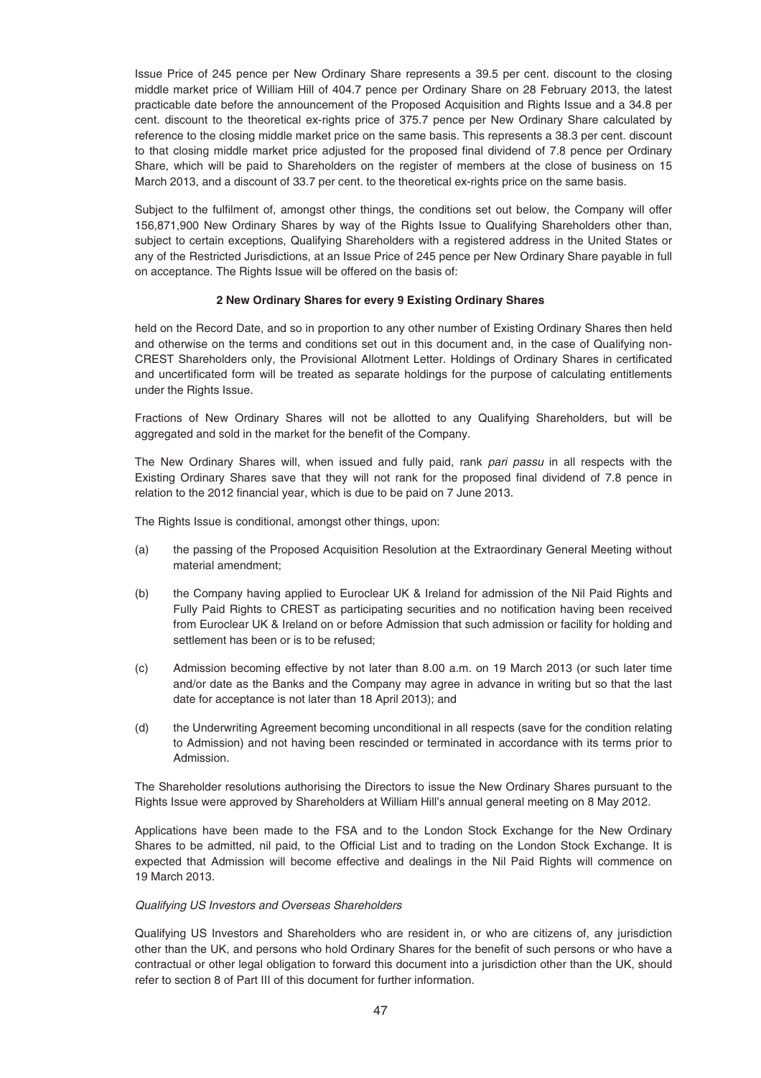Issue Price of 245 pence per New Ordinary Share represents a 39.5 per cent. discount to the closing middle market price of William Hill of 404.7 pence per Ordinary Share on 28 February 2013, the latest practicable date before the announcement of the Proposed Acquisition and Rights Issue and a 34.8 per cent. discount to the theoretical ex-rights price of 375.7 pence per New Ordinary Share calculated by reference to the closing middle market price on the same basis. This represents a 38.3 per cent. discount to that closing middle market price adjusted for the proposed final dividend of 7.8 pence per Ordinary Share, which will be paid to Shareholders on the register of members at the close of business on 15 March 2013, and a discount of 33.7 per cent. to the theoretical ex-rights price on the same basis.

Subject to the fulfilment of, amongst other things, the conditions set out below, the Company will offer 156,871,900 New Ordinary Shares by way of the Rights Issue to Qualifying Shareholders other than, subject to certain exceptions, Qualifying Shareholders with a registered address in the United States or any of the Restricted Jurisdictions, at an Issue Price of 245 pence per New Ordinary Share payable in full on acceptance. The Rights Issue will be offered on the basis of:

### **2 New Ordinary Shares for every 9 Existing Ordinary Shares**

held on the Record Date, and so in proportion to any other number of Existing Ordinary Shares then held and otherwise on the terms and conditions set out in this document and, in the case of Qualifying non-CREST Shareholders only, the Provisional Allotment Letter. Holdings of Ordinary Shares in certificated and uncertificated form will be treated as separate holdings for the purpose of calculating entitlements under the Rights Issue.

Fractions of New Ordinary Shares will not be allotted to any Qualifying Shareholders, but will be aggregated and sold in the market for the benefit of the Company.

The New Ordinary Shares will, when issued and fully paid, rank pari passu in all respects with the Existing Ordinary Shares save that they will not rank for the proposed final dividend of 7.8 pence in relation to the 2012 financial year, which is due to be paid on 7 June 2013.

The Rights Issue is conditional, amongst other things, upon:

- (a) the passing of the Proposed Acquisition Resolution at the Extraordinary General Meeting without material amendment;
- (b) the Company having applied to Euroclear UK & Ireland for admission of the Nil Paid Rights and Fully Paid Rights to CREST as participating securities and no notification having been received from Euroclear UK & Ireland on or before Admission that such admission or facility for holding and settlement has been or is to be refused;
- (c) Admission becoming effective by not later than 8.00 a.m. on 19 March 2013 (or such later time and/or date as the Banks and the Company may agree in advance in writing but so that the last date for acceptance is not later than 18 April 2013); and
- (d) the Underwriting Agreement becoming unconditional in all respects (save for the condition relating to Admission) and not having been rescinded or terminated in accordance with its terms prior to Admission.

The Shareholder resolutions authorising the Directors to issue the New Ordinary Shares pursuant to the Rights Issue were approved by Shareholders at William Hill's annual general meeting on 8 May 2012.

Applications have been made to the FSA and to the London Stock Exchange for the New Ordinary Shares to be admitted, nil paid, to the Official List and to trading on the London Stock Exchange. It is expected that Admission will become effective and dealings in the Nil Paid Rights will commence on 19 March 2013.

### Qualifying US Investors and Overseas Shareholders

Qualifying US Investors and Shareholders who are resident in, or who are citizens of, any jurisdiction other than the UK, and persons who hold Ordinary Shares for the benefit of such persons or who have a contractual or other legal obligation to forward this document into a jurisdiction other than the UK, should refer to section 8 of Part III of this document for further information.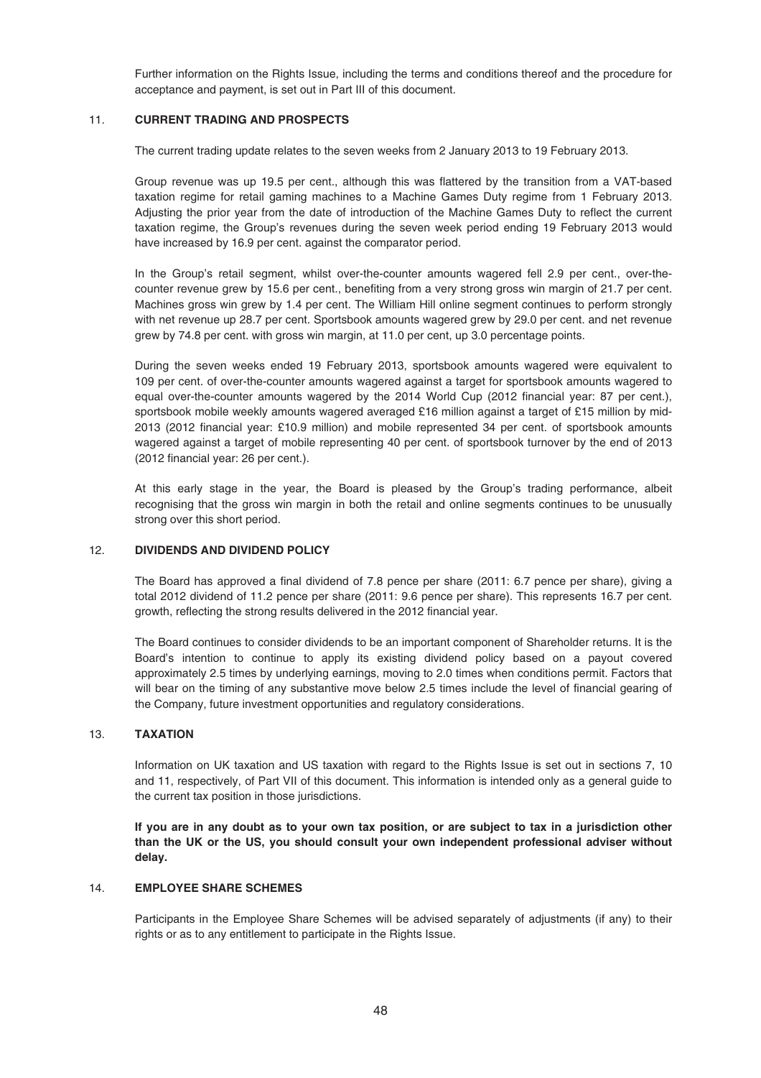Further information on the Rights Issue, including the terms and conditions thereof and the procedure for acceptance and payment, is set out in Part III of this document.

# 11. **CURRENT TRADING AND PROSPECTS**

The current trading update relates to the seven weeks from 2 January 2013 to 19 February 2013.

Group revenue was up 19.5 per cent., although this was flattered by the transition from a VAT-based taxation regime for retail gaming machines to a Machine Games Duty regime from 1 February 2013. Adjusting the prior year from the date of introduction of the Machine Games Duty to reflect the current taxation regime, the Group's revenues during the seven week period ending 19 February 2013 would have increased by 16.9 per cent. against the comparator period.

In the Group's retail segment, whilst over-the-counter amounts wagered fell 2.9 per cent., over-thecounter revenue grew by 15.6 per cent., benefiting from a very strong gross win margin of 21.7 per cent. Machines gross win grew by 1.4 per cent. The William Hill online segment continues to perform strongly with net revenue up 28.7 per cent. Sportsbook amounts wagered grew by 29.0 per cent. and net revenue grew by 74.8 per cent. with gross win margin, at 11.0 per cent, up 3.0 percentage points.

During the seven weeks ended 19 February 2013, sportsbook amounts wagered were equivalent to 109 per cent. of over-the-counter amounts wagered against a target for sportsbook amounts wagered to equal over-the-counter amounts wagered by the 2014 World Cup (2012 financial year: 87 per cent.), sportsbook mobile weekly amounts wagered averaged £16 million against a target of £15 million by mid-2013 (2012 financial year: £10.9 million) and mobile represented 34 per cent. of sportsbook amounts wagered against a target of mobile representing 40 per cent. of sportsbook turnover by the end of 2013 (2012 financial year: 26 per cent.).

At this early stage in the year, the Board is pleased by the Group's trading performance, albeit recognising that the gross win margin in both the retail and online segments continues to be unusually strong over this short period.

# 12. **DIVIDENDS AND DIVIDEND POLICY**

The Board has approved a final dividend of 7.8 pence per share (2011: 6.7 pence per share), giving a total 2012 dividend of 11.2 pence per share (2011: 9.6 pence per share). This represents 16.7 per cent. growth, reflecting the strong results delivered in the 2012 financial year.

The Board continues to consider dividends to be an important component of Shareholder returns. It is the Board's intention to continue to apply its existing dividend policy based on a payout covered approximately 2.5 times by underlying earnings, moving to 2.0 times when conditions permit. Factors that will bear on the timing of any substantive move below 2.5 times include the level of financial gearing of the Company, future investment opportunities and regulatory considerations.

## 13. **TAXATION**

Information on UK taxation and US taxation with regard to the Rights Issue is set out in sections 7, 10 and 11, respectively, of Part VII of this document. This information is intended only as a general guide to the current tax position in those jurisdictions.

**If you are in any doubt as to your own tax position, or are subject to tax in a jurisdiction other than the UK or the US, you should consult your own independent professional adviser without delay.**

# 14. **EMPLOYEE SHARE SCHEMES**

Participants in the Employee Share Schemes will be advised separately of adjustments (if any) to their rights or as to any entitlement to participate in the Rights Issue.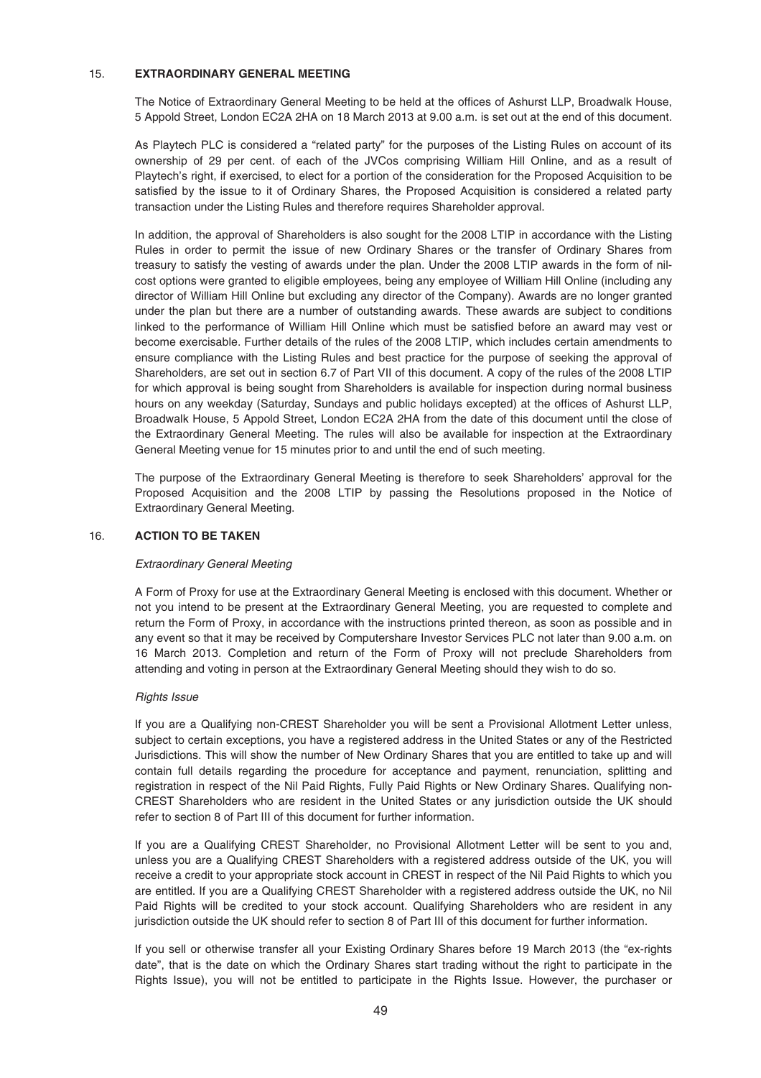## 15. **EXTRAORDINARY GENERAL MEETING**

The Notice of Extraordinary General Meeting to be held at the offices of Ashurst LLP, Broadwalk House, 5 Appold Street, London EC2A 2HA on 18 March 2013 at 9.00 a.m. is set out at the end of this document.

As Playtech PLC is considered a "related party" for the purposes of the Listing Rules on account of its ownership of 29 per cent. of each of the JVCos comprising William Hill Online, and as a result of Playtech's right, if exercised, to elect for a portion of the consideration for the Proposed Acquisition to be satisfied by the issue to it of Ordinary Shares, the Proposed Acquisition is considered a related party transaction under the Listing Rules and therefore requires Shareholder approval.

In addition, the approval of Shareholders is also sought for the 2008 LTIP in accordance with the Listing Rules in order to permit the issue of new Ordinary Shares or the transfer of Ordinary Shares from treasury to satisfy the vesting of awards under the plan. Under the 2008 LTIP awards in the form of nilcost options were granted to eligible employees, being any employee of William Hill Online (including any director of William Hill Online but excluding any director of the Company). Awards are no longer granted under the plan but there are a number of outstanding awards. These awards are subject to conditions linked to the performance of William Hill Online which must be satisfied before an award may vest or become exercisable. Further details of the rules of the 2008 LTIP, which includes certain amendments to ensure compliance with the Listing Rules and best practice for the purpose of seeking the approval of Shareholders, are set out in section 6.7 of Part VII of this document. A copy of the rules of the 2008 LTIP for which approval is being sought from Shareholders is available for inspection during normal business hours on any weekday (Saturday, Sundays and public holidays excepted) at the offices of Ashurst LLP, Broadwalk House, 5 Appold Street, London EC2A 2HA from the date of this document until the close of the Extraordinary General Meeting. The rules will also be available for inspection at the Extraordinary General Meeting venue for 15 minutes prior to and until the end of such meeting.

The purpose of the Extraordinary General Meeting is therefore to seek Shareholders' approval for the Proposed Acquisition and the 2008 LTIP by passing the Resolutions proposed in the Notice of Extraordinary General Meeting.

### 16. **ACTION TO BE TAKEN**

### Extraordinary General Meeting

A Form of Proxy for use at the Extraordinary General Meeting is enclosed with this document. Whether or not you intend to be present at the Extraordinary General Meeting, you are requested to complete and return the Form of Proxy, in accordance with the instructions printed thereon, as soon as possible and in any event so that it may be received by Computershare Investor Services PLC not later than 9.00 a.m. on 16 March 2013. Completion and return of the Form of Proxy will not preclude Shareholders from attending and voting in person at the Extraordinary General Meeting should they wish to do so.

### Rights Issue

If you are a Qualifying non-CREST Shareholder you will be sent a Provisional Allotment Letter unless, subject to certain exceptions, you have a registered address in the United States or any of the Restricted Jurisdictions. This will show the number of New Ordinary Shares that you are entitled to take up and will contain full details regarding the procedure for acceptance and payment, renunciation, splitting and registration in respect of the Nil Paid Rights, Fully Paid Rights or New Ordinary Shares. Qualifying non-CREST Shareholders who are resident in the United States or any jurisdiction outside the UK should refer to section 8 of Part III of this document for further information.

If you are a Qualifying CREST Shareholder, no Provisional Allotment Letter will be sent to you and, unless you are a Qualifying CREST Shareholders with a registered address outside of the UK, you will receive a credit to your appropriate stock account in CREST in respect of the Nil Paid Rights to which you are entitled. If you are a Qualifying CREST Shareholder with a registered address outside the UK, no Nil Paid Rights will be credited to your stock account. Qualifying Shareholders who are resident in any jurisdiction outside the UK should refer to section 8 of Part III of this document for further information.

If you sell or otherwise transfer all your Existing Ordinary Shares before 19 March 2013 (the "ex-rights date", that is the date on which the Ordinary Shares start trading without the right to participate in the Rights Issue), you will not be entitled to participate in the Rights Issue. However, the purchaser or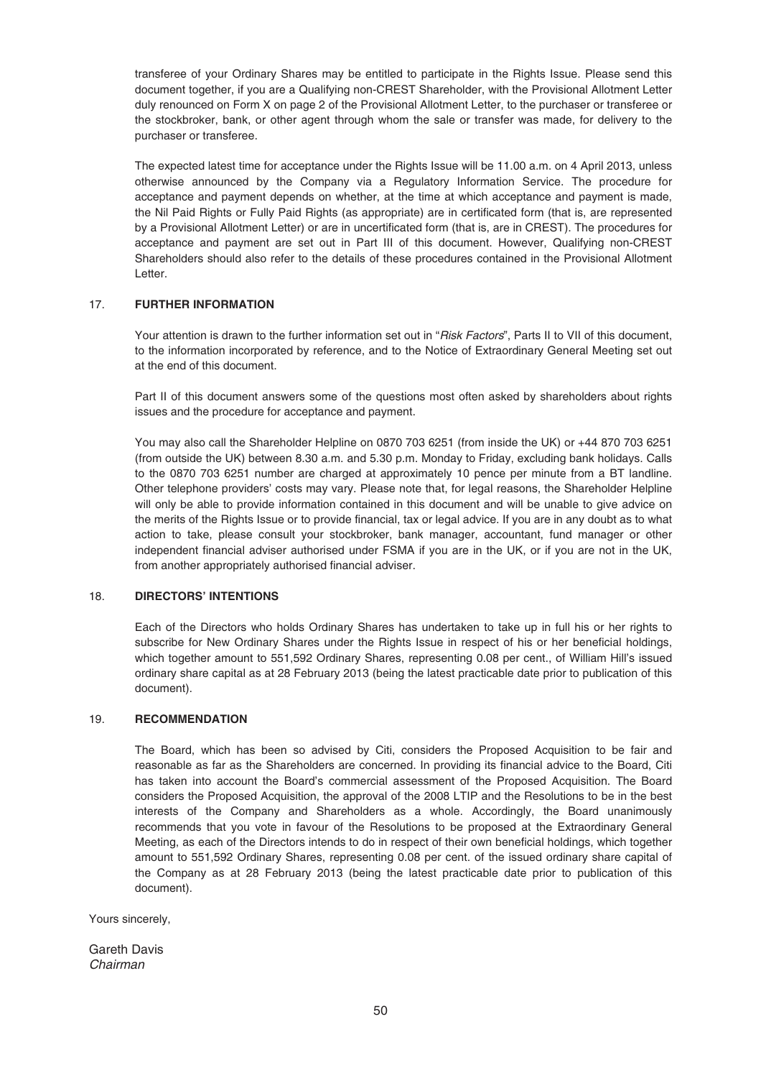transferee of your Ordinary Shares may be entitled to participate in the Rights Issue. Please send this document together, if you are a Qualifying non-CREST Shareholder, with the Provisional Allotment Letter duly renounced on Form X on page 2 of the Provisional Allotment Letter, to the purchaser or transferee or the stockbroker, bank, or other agent through whom the sale or transfer was made, for delivery to the purchaser or transferee.

The expected latest time for acceptance under the Rights Issue will be 11.00 a.m. on 4 April 2013, unless otherwise announced by the Company via a Regulatory Information Service. The procedure for acceptance and payment depends on whether, at the time at which acceptance and payment is made, the Nil Paid Rights or Fully Paid Rights (as appropriate) are in certificated form (that is, are represented by a Provisional Allotment Letter) or are in uncertificated form (that is, are in CREST). The procedures for acceptance and payment are set out in Part III of this document. However, Qualifying non-CREST Shareholders should also refer to the details of these procedures contained in the Provisional Allotment Letter.

# 17. **FURTHER INFORMATION**

Your attention is drawn to the further information set out in "*Risk Factors*", Parts II to VII of this document, to the information incorporated by reference, and to the Notice of Extraordinary General Meeting set out at the end of this document.

Part II of this document answers some of the questions most often asked by shareholders about rights issues and the procedure for acceptance and payment.

You may also call the Shareholder Helpline on 0870 703 6251 (from inside the UK) or +44 870 703 6251 (from outside the UK) between 8.30 a.m. and 5.30 p.m. Monday to Friday, excluding bank holidays. Calls to the 0870 703 6251 number are charged at approximately 10 pence per minute from a BT landline. Other telephone providers' costs may vary. Please note that, for legal reasons, the Shareholder Helpline will only be able to provide information contained in this document and will be unable to give advice on the merits of the Rights Issue or to provide financial, tax or legal advice. If you are in any doubt as to what action to take, please consult your stockbroker, bank manager, accountant, fund manager or other independent financial adviser authorised under FSMA if you are in the UK, or if you are not in the UK, from another appropriately authorised financial adviser.

# 18. **DIRECTORS' INTENTIONS**

Each of the Directors who holds Ordinary Shares has undertaken to take up in full his or her rights to subscribe for New Ordinary Shares under the Rights Issue in respect of his or her beneficial holdings, which together amount to 551,592 Ordinary Shares, representing 0.08 per cent., of William Hill's issued ordinary share capital as at 28 February 2013 (being the latest practicable date prior to publication of this document).

# 19. **RECOMMENDATION**

The Board, which has been so advised by Citi, considers the Proposed Acquisition to be fair and reasonable as far as the Shareholders are concerned. In providing its financial advice to the Board, Citi has taken into account the Board's commercial assessment of the Proposed Acquisition. The Board considers the Proposed Acquisition, the approval of the 2008 LTIP and the Resolutions to be in the best interests of the Company and Shareholders as a whole. Accordingly, the Board unanimously recommends that you vote in favour of the Resolutions to be proposed at the Extraordinary General Meeting, as each of the Directors intends to do in respect of their own beneficial holdings, which together amount to 551,592 Ordinary Shares, representing 0.08 per cent. of the issued ordinary share capital of the Company as at 28 February 2013 (being the latest practicable date prior to publication of this document).

Yours sincerely,

Gareth Davis Chairman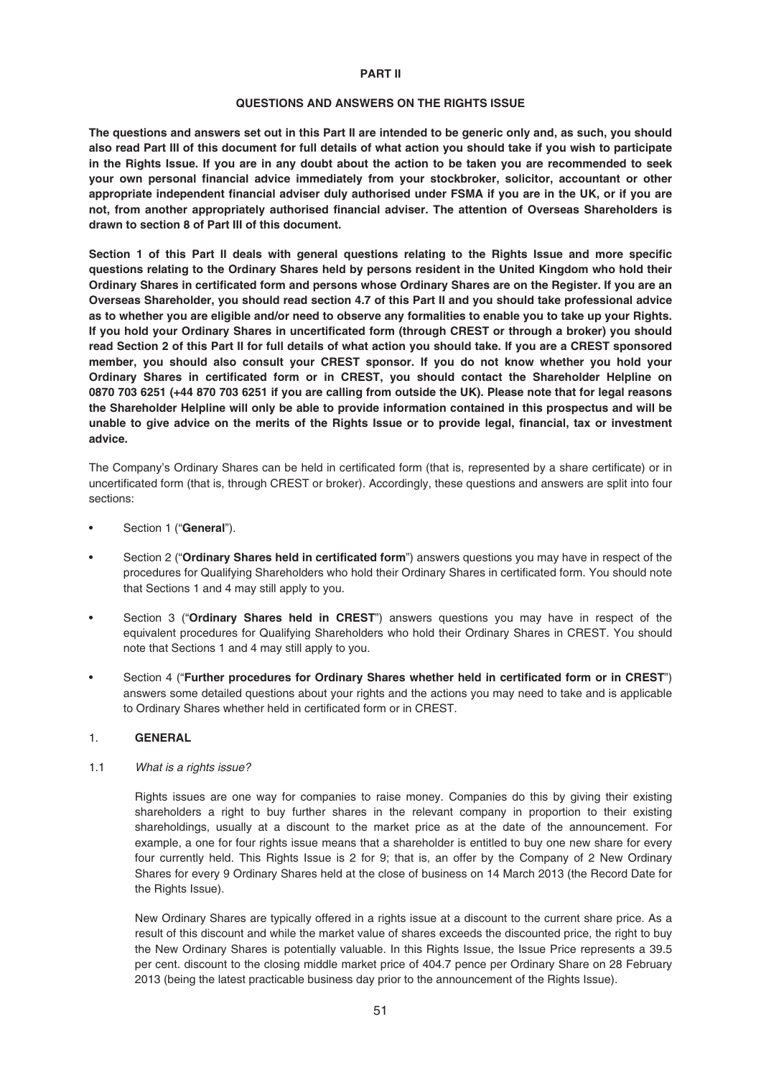#### **PART II**

#### **QUESTIONS AND ANSWERS ON THE RIGHTS ISSUE**

**The questions and answers set out in this Part II are intended to be generic only and, as such, you should also read Part III of this document for full details of what action you should take if you wish to participate in the Rights Issue. If you are in any doubt about the action to be taken you are recommended to seek your own personal financial advice immediately from your stockbroker, solicitor, accountant or other appropriate independent financial adviser duly authorised under FSMA if you are in the UK, or if you are not, from another appropriately authorised financial adviser. The attention of Overseas Shareholders is drawn to section 8 of Part III of this document.**

**Section 1 of this Part II deals with general questions relating to the Rights Issue and more specific questions relating to the Ordinary Shares held by persons resident in the United Kingdom who hold their Ordinary Shares in certificated form and persons whose Ordinary Shares are on the Register. If you are an Overseas Shareholder, you should read section 4.7 of this Part II and you should take professional advice as to whether you are eligible and/or need to observe any formalities to enable you to take up your Rights. If you hold your Ordinary Shares in uncertificated form (through CREST or through a broker) you should read Section 2 of this Part II for full details of what action you should take. If you are a CREST sponsored member, you should also consult your CREST sponsor. If you do not know whether you hold your Ordinary Shares in certificated form or in CREST, you should contact the Shareholder Helpline on 0870 703 6251 (+44 870 703 6251 if you are calling from outside the UK). Please note that for legal reasons the Shareholder Helpline will only be able to provide information contained in this prospectus and will be unable to give advice on the merits of the Rights Issue or to provide legal, financial, tax or investment advice.**

The Company's Ordinary Shares can be held in certificated form (that is, represented by a share certificate) or in uncertificated form (that is, through CREST or broker). Accordingly, these questions and answers are split into four sections:

- Section 1 ("**General**").
- Section 2 ("**Ordinary Shares held in certificated form**") answers questions you may have in respect of the procedures for Qualifying Shareholders who hold their Ordinary Shares in certificated form. You should note that Sections 1 and 4 may still apply to you.
- Section 3 ("**Ordinary Shares held in CREST**") answers questions you may have in respect of the equivalent procedures for Qualifying Shareholders who hold their Ordinary Shares in CREST. You should note that Sections 1 and 4 may still apply to you.
- Section 4 ("**Further procedures for Ordinary Shares whether held in certificated form or in CREST**") answers some detailed questions about your rights and the actions you may need to take and is applicable to Ordinary Shares whether held in certificated form or in CREST.

## 1. **GENERAL**

# 1.1 What is a rights issue?

Rights issues are one way for companies to raise money. Companies do this by giving their existing shareholders a right to buy further shares in the relevant company in proportion to their existing shareholdings, usually at a discount to the market price as at the date of the announcement. For example, a one for four rights issue means that a shareholder is entitled to buy one new share for every four currently held. This Rights Issue is 2 for 9; that is, an offer by the Company of 2 New Ordinary Shares for every 9 Ordinary Shares held at the close of business on 14 March 2013 (the Record Date for the Rights Issue).

New Ordinary Shares are typically offered in a rights issue at a discount to the current share price. As a result of this discount and while the market value of shares exceeds the discounted price, the right to buy the New Ordinary Shares is potentially valuable. In this Rights Issue, the Issue Price represents a 39.5 per cent. discount to the closing middle market price of 404.7 pence per Ordinary Share on 28 February 2013 (being the latest practicable business day prior to the announcement of the Rights Issue).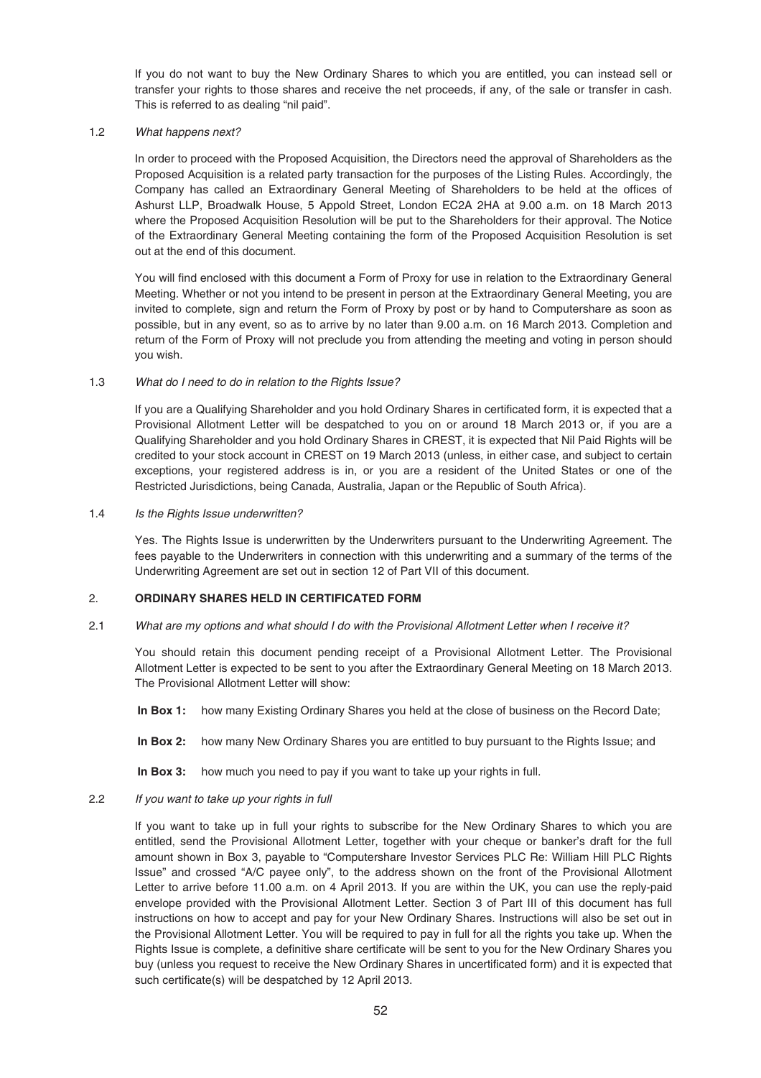If you do not want to buy the New Ordinary Shares to which you are entitled, you can instead sell or transfer your rights to those shares and receive the net proceeds, if any, of the sale or transfer in cash. This is referred to as dealing "nil paid".

## 1.2 What happens next?

In order to proceed with the Proposed Acquisition, the Directors need the approval of Shareholders as the Proposed Acquisition is a related party transaction for the purposes of the Listing Rules. Accordingly, the Company has called an Extraordinary General Meeting of Shareholders to be held at the offices of Ashurst LLP, Broadwalk House, 5 Appold Street, London EC2A 2HA at 9.00 a.m. on 18 March 2013 where the Proposed Acquisition Resolution will be put to the Shareholders for their approval. The Notice of the Extraordinary General Meeting containing the form of the Proposed Acquisition Resolution is set out at the end of this document.

You will find enclosed with this document a Form of Proxy for use in relation to the Extraordinary General Meeting. Whether or not you intend to be present in person at the Extraordinary General Meeting, you are invited to complete, sign and return the Form of Proxy by post or by hand to Computershare as soon as possible, but in any event, so as to arrive by no later than 9.00 a.m. on 16 March 2013. Completion and return of the Form of Proxy will not preclude you from attending the meeting and voting in person should you wish.

## 1.3 What do I need to do in relation to the Rights Issue?

If you are a Qualifying Shareholder and you hold Ordinary Shares in certificated form, it is expected that a Provisional Allotment Letter will be despatched to you on or around 18 March 2013 or, if you are a Qualifying Shareholder and you hold Ordinary Shares in CREST, it is expected that Nil Paid Rights will be credited to your stock account in CREST on 19 March 2013 (unless, in either case, and subject to certain exceptions, your registered address is in, or you are a resident of the United States or one of the Restricted Jurisdictions, being Canada, Australia, Japan or the Republic of South Africa).

### 1.4 Is the Rights Issue underwritten?

Yes. The Rights Issue is underwritten by the Underwriters pursuant to the Underwriting Agreement. The fees payable to the Underwriters in connection with this underwriting and a summary of the terms of the Underwriting Agreement are set out in section 12 of Part VII of this document.

# 2. **ORDINARY SHARES HELD IN CERTIFICATED FORM**

# 2.1 What are my options and what should I do with the Provisional Allotment Letter when I receive it?

You should retain this document pending receipt of a Provisional Allotment Letter. The Provisional Allotment Letter is expected to be sent to you after the Extraordinary General Meeting on 18 March 2013. The Provisional Allotment Letter will show:

**In Box 1:** how many Existing Ordinary Shares you held at the close of business on the Record Date;

**In Box 2:** how many New Ordinary Shares you are entitled to buy pursuant to the Rights Issue; and

**In Box 3:** how much you need to pay if you want to take up your rights in full.

# 2.2 If you want to take up your rights in full

If you want to take up in full your rights to subscribe for the New Ordinary Shares to which you are entitled, send the Provisional Allotment Letter, together with your cheque or banker's draft for the full amount shown in Box 3, payable to "Computershare Investor Services PLC Re: William Hill PLC Rights Issue" and crossed "A/C payee only", to the address shown on the front of the Provisional Allotment Letter to arrive before 11.00 a.m. on 4 April 2013. If you are within the UK, you can use the reply-paid envelope provided with the Provisional Allotment Letter. Section 3 of Part III of this document has full instructions on how to accept and pay for your New Ordinary Shares. Instructions will also be set out in the Provisional Allotment Letter. You will be required to pay in full for all the rights you take up. When the Rights Issue is complete, a definitive share certificate will be sent to you for the New Ordinary Shares you buy (unless you request to receive the New Ordinary Shares in uncertificated form) and it is expected that such certificate(s) will be despatched by 12 April 2013.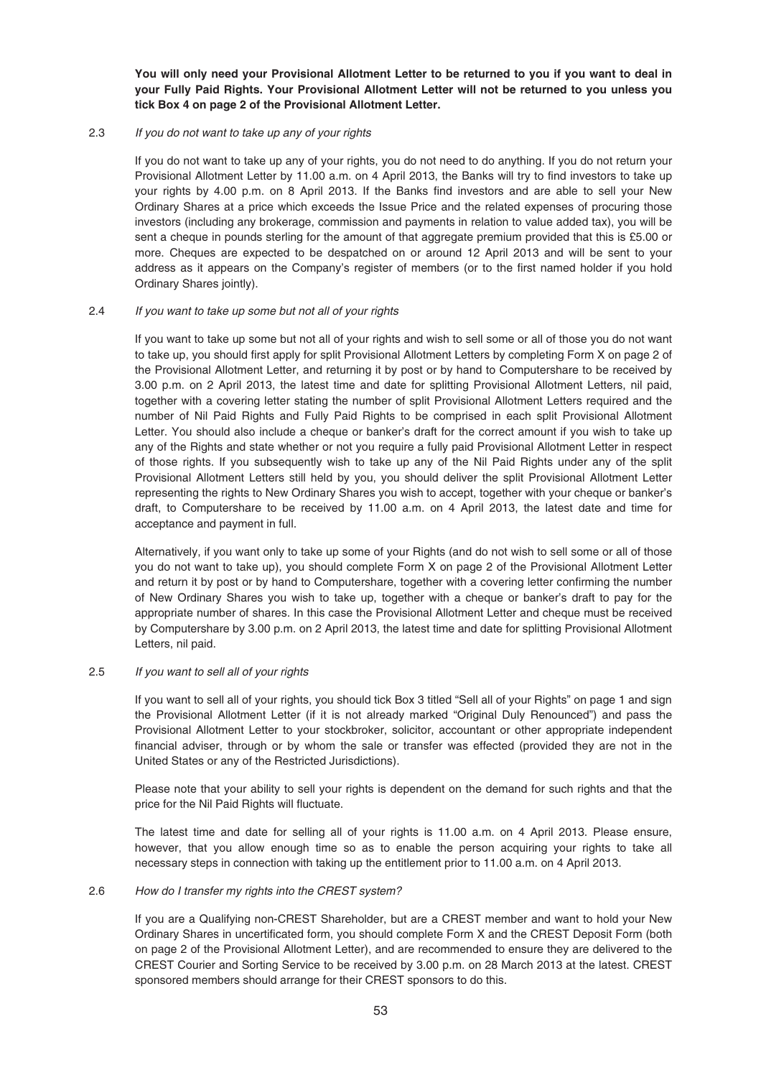**You will only need your Provisional Allotment Letter to be returned to you if you want to deal in your Fully Paid Rights. Your Provisional Allotment Letter will not be returned to you unless you tick Box 4 on page 2 of the Provisional Allotment Letter.**

# 2.3 If you do not want to take up any of your rights

If you do not want to take up any of your rights, you do not need to do anything. If you do not return your Provisional Allotment Letter by 11.00 a.m. on 4 April 2013, the Banks will try to find investors to take up your rights by 4.00 p.m. on 8 April 2013. If the Banks find investors and are able to sell your New Ordinary Shares at a price which exceeds the Issue Price and the related expenses of procuring those investors (including any brokerage, commission and payments in relation to value added tax), you will be sent a cheque in pounds sterling for the amount of that aggregate premium provided that this is £5.00 or more. Cheques are expected to be despatched on or around 12 April 2013 and will be sent to your address as it appears on the Company's register of members (or to the first named holder if you hold Ordinary Shares jointly).

# 2.4 If you want to take up some but not all of your rights

If you want to take up some but not all of your rights and wish to sell some or all of those you do not want to take up, you should first apply for split Provisional Allotment Letters by completing Form X on page 2 of the Provisional Allotment Letter, and returning it by post or by hand to Computershare to be received by 3.00 p.m. on 2 April 2013, the latest time and date for splitting Provisional Allotment Letters, nil paid, together with a covering letter stating the number of split Provisional Allotment Letters required and the number of Nil Paid Rights and Fully Paid Rights to be comprised in each split Provisional Allotment Letter. You should also include a cheque or banker's draft for the correct amount if you wish to take up any of the Rights and state whether or not you require a fully paid Provisional Allotment Letter in respect of those rights. If you subsequently wish to take up any of the Nil Paid Rights under any of the split Provisional Allotment Letters still held by you, you should deliver the split Provisional Allotment Letter representing the rights to New Ordinary Shares you wish to accept, together with your cheque or banker's draft, to Computershare to be received by 11.00 a.m. on 4 April 2013, the latest date and time for acceptance and payment in full.

Alternatively, if you want only to take up some of your Rights (and do not wish to sell some or all of those you do not want to take up), you should complete Form X on page 2 of the Provisional Allotment Letter and return it by post or by hand to Computershare, together with a covering letter confirming the number of New Ordinary Shares you wish to take up, together with a cheque or banker's draft to pay for the appropriate number of shares. In this case the Provisional Allotment Letter and cheque must be received by Computershare by 3.00 p.m. on 2 April 2013, the latest time and date for splitting Provisional Allotment Letters, nil paid.

# 2.5 If you want to sell all of your rights

If you want to sell all of your rights, you should tick Box 3 titled "Sell all of your Rights" on page 1 and sign the Provisional Allotment Letter (if it is not already marked "Original Duly Renounced") and pass the Provisional Allotment Letter to your stockbroker, solicitor, accountant or other appropriate independent financial adviser, through or by whom the sale or transfer was effected (provided they are not in the United States or any of the Restricted Jurisdictions).

Please note that your ability to sell your rights is dependent on the demand for such rights and that the price for the Nil Paid Rights will fluctuate.

The latest time and date for selling all of your rights is 11.00 a.m. on 4 April 2013. Please ensure, however, that you allow enough time so as to enable the person acquiring your rights to take all necessary steps in connection with taking up the entitlement prior to 11.00 a.m. on 4 April 2013.

### 2.6 How do I transfer my rights into the CREST system?

If you are a Qualifying non-CREST Shareholder, but are a CREST member and want to hold your New Ordinary Shares in uncertificated form, you should complete Form X and the CREST Deposit Form (both on page 2 of the Provisional Allotment Letter), and are recommended to ensure they are delivered to the CREST Courier and Sorting Service to be received by 3.00 p.m. on 28 March 2013 at the latest. CREST sponsored members should arrange for their CREST sponsors to do this.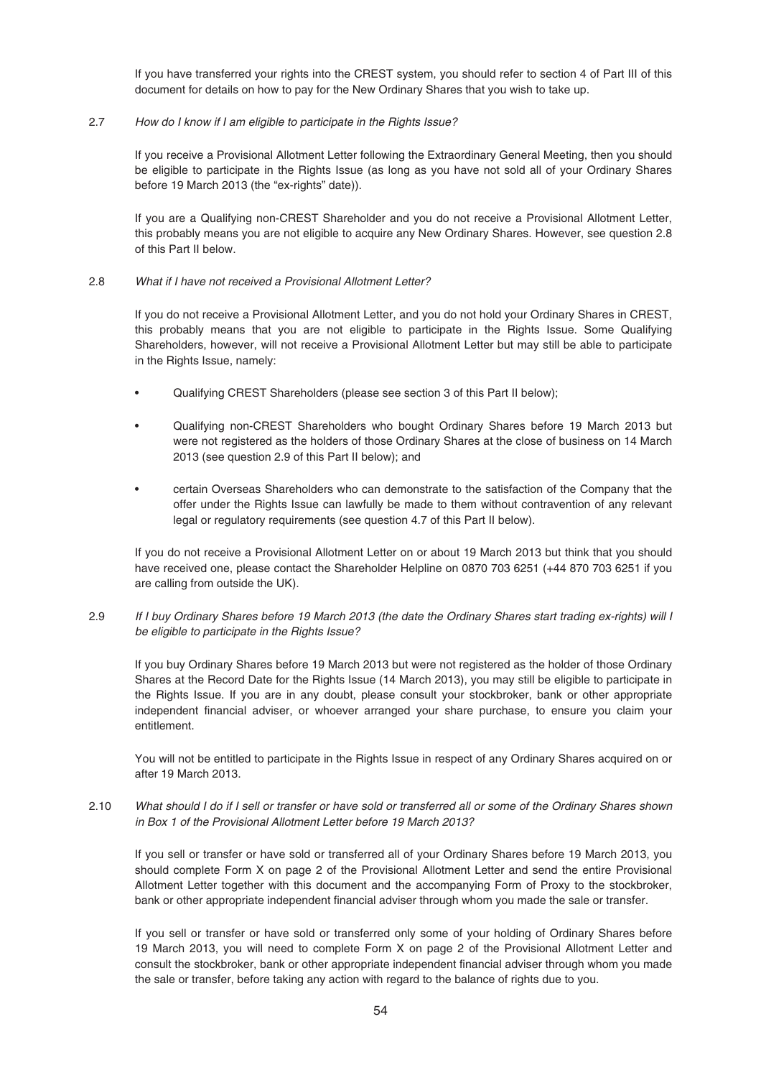If you have transferred your rights into the CREST system, you should refer to section 4 of Part III of this document for details on how to pay for the New Ordinary Shares that you wish to take up.

# 2.7 How do I know if I am eligible to participate in the Rights Issue?

If you receive a Provisional Allotment Letter following the Extraordinary General Meeting, then you should be eligible to participate in the Rights Issue (as long as you have not sold all of your Ordinary Shares before 19 March 2013 (the "ex-rights" date)).

If you are a Qualifying non-CREST Shareholder and you do not receive a Provisional Allotment Letter, this probably means you are not eligible to acquire any New Ordinary Shares. However, see question 2.8 of this Part II below.

## 2.8 What if I have not received a Provisional Allotment Letter?

If you do not receive a Provisional Allotment Letter, and you do not hold your Ordinary Shares in CREST, this probably means that you are not eligible to participate in the Rights Issue. Some Qualifying Shareholders, however, will not receive a Provisional Allotment Letter but may still be able to participate in the Rights Issue, namely:

- Qualifying CREST Shareholders (please see section 3 of this Part II below);
- Qualifying non-CREST Shareholders who bought Ordinary Shares before 19 March 2013 but were not registered as the holders of those Ordinary Shares at the close of business on 14 March 2013 (see question 2.9 of this Part II below); and
- certain Overseas Shareholders who can demonstrate to the satisfaction of the Company that the offer under the Rights Issue can lawfully be made to them without contravention of any relevant legal or regulatory requirements (see question 4.7 of this Part II below).

If you do not receive a Provisional Allotment Letter on or about 19 March 2013 but think that you should have received one, please contact the Shareholder Helpline on 0870 703 6251 (+44 870 703 6251 if you are calling from outside the UK).

2.9 If I buy Ordinary Shares before 19 March 2013 (the date the Ordinary Shares start trading ex-rights) will I be eligible to participate in the Rights Issue?

If you buy Ordinary Shares before 19 March 2013 but were not registered as the holder of those Ordinary Shares at the Record Date for the Rights Issue (14 March 2013), you may still be eligible to participate in the Rights Issue. If you are in any doubt, please consult your stockbroker, bank or other appropriate independent financial adviser, or whoever arranged your share purchase, to ensure you claim your entitlement.

You will not be entitled to participate in the Rights Issue in respect of any Ordinary Shares acquired on or after 19 March 2013.

2.10 What should I do if I sell or transfer or have sold or transferred all or some of the Ordinary Shares shown in Box 1 of the Provisional Allotment Letter before 19 March 2013?

If you sell or transfer or have sold or transferred all of your Ordinary Shares before 19 March 2013, you should complete Form X on page 2 of the Provisional Allotment Letter and send the entire Provisional Allotment Letter together with this document and the accompanying Form of Proxy to the stockbroker, bank or other appropriate independent financial adviser through whom you made the sale or transfer.

If you sell or transfer or have sold or transferred only some of your holding of Ordinary Shares before 19 March 2013, you will need to complete Form X on page 2 of the Provisional Allotment Letter and consult the stockbroker, bank or other appropriate independent financial adviser through whom you made the sale or transfer, before taking any action with regard to the balance of rights due to you.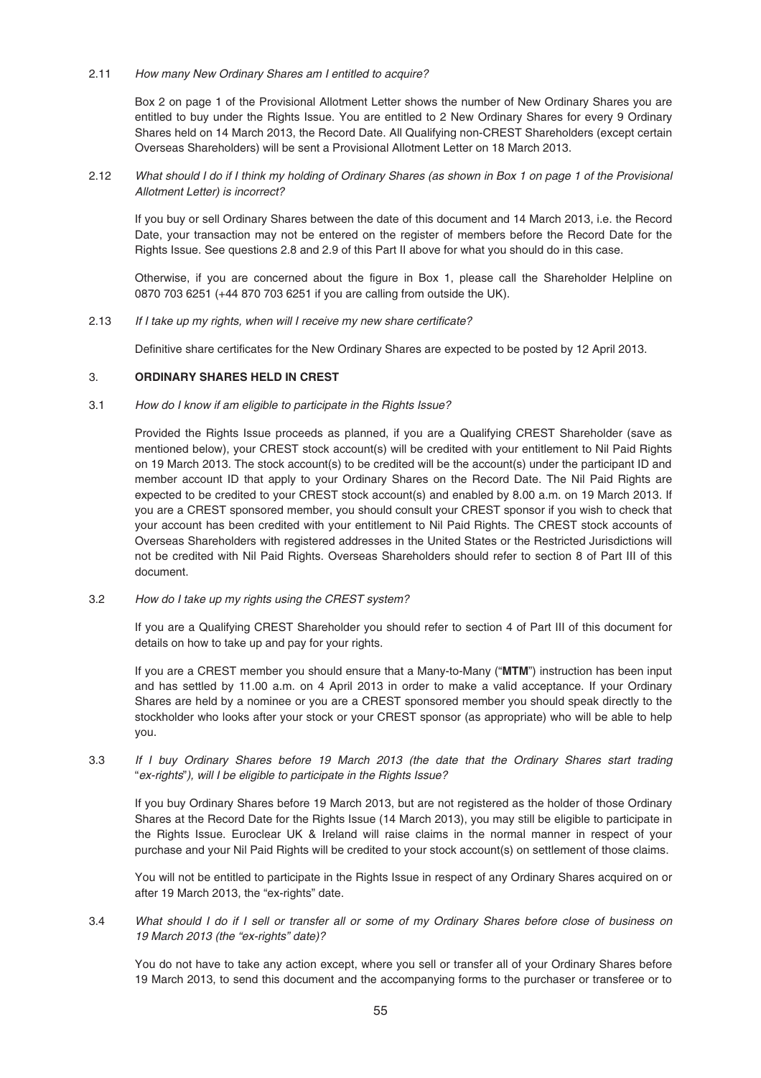2.11 How many New Ordinary Shares am I entitled to acquire?

Box 2 on page 1 of the Provisional Allotment Letter shows the number of New Ordinary Shares you are entitled to buy under the Rights Issue. You are entitled to 2 New Ordinary Shares for every 9 Ordinary Shares held on 14 March 2013, the Record Date. All Qualifying non-CREST Shareholders (except certain Overseas Shareholders) will be sent a Provisional Allotment Letter on 18 March 2013.

2.12 What should I do if I think my holding of Ordinary Shares (as shown in Box 1 on page 1 of the Provisional Allotment Letter) is incorrect?

If you buy or sell Ordinary Shares between the date of this document and 14 March 2013, i.e. the Record Date, your transaction may not be entered on the register of members before the Record Date for the Rights Issue. See questions 2.8 and 2.9 of this Part II above for what you should do in this case.

Otherwise, if you are concerned about the figure in Box 1, please call the Shareholder Helpline on 0870 703 6251 (+44 870 703 6251 if you are calling from outside the UK).

2.13 If I take up my rights, when will I receive my new share certificate?

Definitive share certificates for the New Ordinary Shares are expected to be posted by 12 April 2013.

## 3. **ORDINARY SHARES HELD IN CREST**

### 3.1 How do I know if am eligible to participate in the Rights Issue?

Provided the Rights Issue proceeds as planned, if you are a Qualifying CREST Shareholder (save as mentioned below), your CREST stock account(s) will be credited with your entitlement to Nil Paid Rights on 19 March 2013. The stock account(s) to be credited will be the account(s) under the participant ID and member account ID that apply to your Ordinary Shares on the Record Date. The Nil Paid Rights are expected to be credited to your CREST stock account(s) and enabled by 8.00 a.m. on 19 March 2013. If you are a CREST sponsored member, you should consult your CREST sponsor if you wish to check that your account has been credited with your entitlement to Nil Paid Rights. The CREST stock accounts of Overseas Shareholders with registered addresses in the United States or the Restricted Jurisdictions will not be credited with Nil Paid Rights. Overseas Shareholders should refer to section 8 of Part III of this document.

3.2 How do I take up my rights using the CREST system?

If you are a Qualifying CREST Shareholder you should refer to section 4 of Part III of this document for details on how to take up and pay for your rights.

If you are a CREST member you should ensure that a Many-to-Many ("**MTM**") instruction has been input and has settled by 11.00 a.m. on 4 April 2013 in order to make a valid acceptance. If your Ordinary Shares are held by a nominee or you are a CREST sponsored member you should speak directly to the stockholder who looks after your stock or your CREST sponsor (as appropriate) who will be able to help you.

3.3 If I buy Ordinary Shares before 19 March 2013 (the date that the Ordinary Shares start trading "ex-rights"), will I be eligible to participate in the Rights Issue?

If you buy Ordinary Shares before 19 March 2013, but are not registered as the holder of those Ordinary Shares at the Record Date for the Rights Issue (14 March 2013), you may still be eligible to participate in the Rights Issue. Euroclear UK & Ireland will raise claims in the normal manner in respect of your purchase and your Nil Paid Rights will be credited to your stock account(s) on settlement of those claims.

You will not be entitled to participate in the Rights Issue in respect of any Ordinary Shares acquired on or after 19 March 2013, the "ex-rights" date.

3.4 What should I do if I sell or transfer all or some of my Ordinary Shares before close of business on 19 March 2013 (the "ex-rights" date)?

You do not have to take any action except, where you sell or transfer all of your Ordinary Shares before 19 March 2013, to send this document and the accompanying forms to the purchaser or transferee or to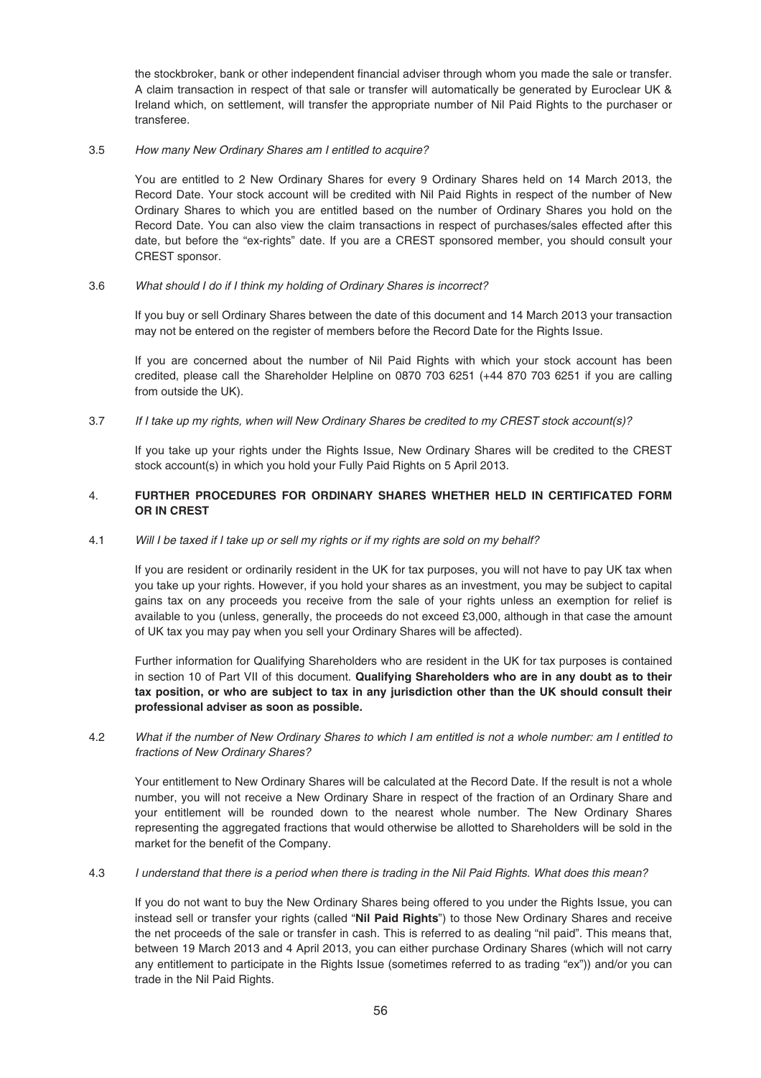the stockbroker, bank or other independent financial adviser through whom you made the sale or transfer. A claim transaction in respect of that sale or transfer will automatically be generated by Euroclear UK & Ireland which, on settlement, will transfer the appropriate number of Nil Paid Rights to the purchaser or transferee.

# 3.5 How many New Ordinary Shares am I entitled to acquire?

You are entitled to 2 New Ordinary Shares for every 9 Ordinary Shares held on 14 March 2013, the Record Date. Your stock account will be credited with Nil Paid Rights in respect of the number of New Ordinary Shares to which you are entitled based on the number of Ordinary Shares you hold on the Record Date. You can also view the claim transactions in respect of purchases/sales effected after this date, but before the "ex-rights" date. If you are a CREST sponsored member, you should consult your CREST sponsor.

# 3.6 What should I do if I think my holding of Ordinary Shares is incorrect?

If you buy or sell Ordinary Shares between the date of this document and 14 March 2013 your transaction may not be entered on the register of members before the Record Date for the Rights Issue.

If you are concerned about the number of Nil Paid Rights with which your stock account has been credited, please call the Shareholder Helpline on 0870 703 6251 (+44 870 703 6251 if you are calling from outside the UK).

3.7 If I take up my rights, when will New Ordinary Shares be credited to my CREST stock account(s)?

If you take up your rights under the Rights Issue, New Ordinary Shares will be credited to the CREST stock account(s) in which you hold your Fully Paid Rights on 5 April 2013.

# 4. **FURTHER PROCEDURES FOR ORDINARY SHARES WHETHER HELD IN CERTIFICATED FORM OR IN CREST**

## 4.1 Will I be taxed if I take up or sell my rights or if my rights are sold on my behalf?

If you are resident or ordinarily resident in the UK for tax purposes, you will not have to pay UK tax when you take up your rights. However, if you hold your shares as an investment, you may be subject to capital gains tax on any proceeds you receive from the sale of your rights unless an exemption for relief is available to you (unless, generally, the proceeds do not exceed £3,000, although in that case the amount of UK tax you may pay when you sell your Ordinary Shares will be affected).

Further information for Qualifying Shareholders who are resident in the UK for tax purposes is contained in section 10 of Part VII of this document. **Qualifying Shareholders who are in any doubt as to their tax position, or who are subject to tax in any jurisdiction other than the UK should consult their professional adviser as soon as possible.**

# 4.2 What if the number of New Ordinary Shares to which I am entitled is not a whole number: am I entitled to fractions of New Ordinary Shares?

Your entitlement to New Ordinary Shares will be calculated at the Record Date. If the result is not a whole number, you will not receive a New Ordinary Share in respect of the fraction of an Ordinary Share and your entitlement will be rounded down to the nearest whole number. The New Ordinary Shares representing the aggregated fractions that would otherwise be allotted to Shareholders will be sold in the market for the benefit of the Company.

### 4.3 I understand that there is a period when there is trading in the Nil Paid Rights. What does this mean?

If you do not want to buy the New Ordinary Shares being offered to you under the Rights Issue, you can instead sell or transfer your rights (called "**Nil Paid Rights**") to those New Ordinary Shares and receive the net proceeds of the sale or transfer in cash. This is referred to as dealing "nil paid". This means that, between 19 March 2013 and 4 April 2013, you can either purchase Ordinary Shares (which will not carry any entitlement to participate in the Rights Issue (sometimes referred to as trading "ex")) and/or you can trade in the Nil Paid Rights.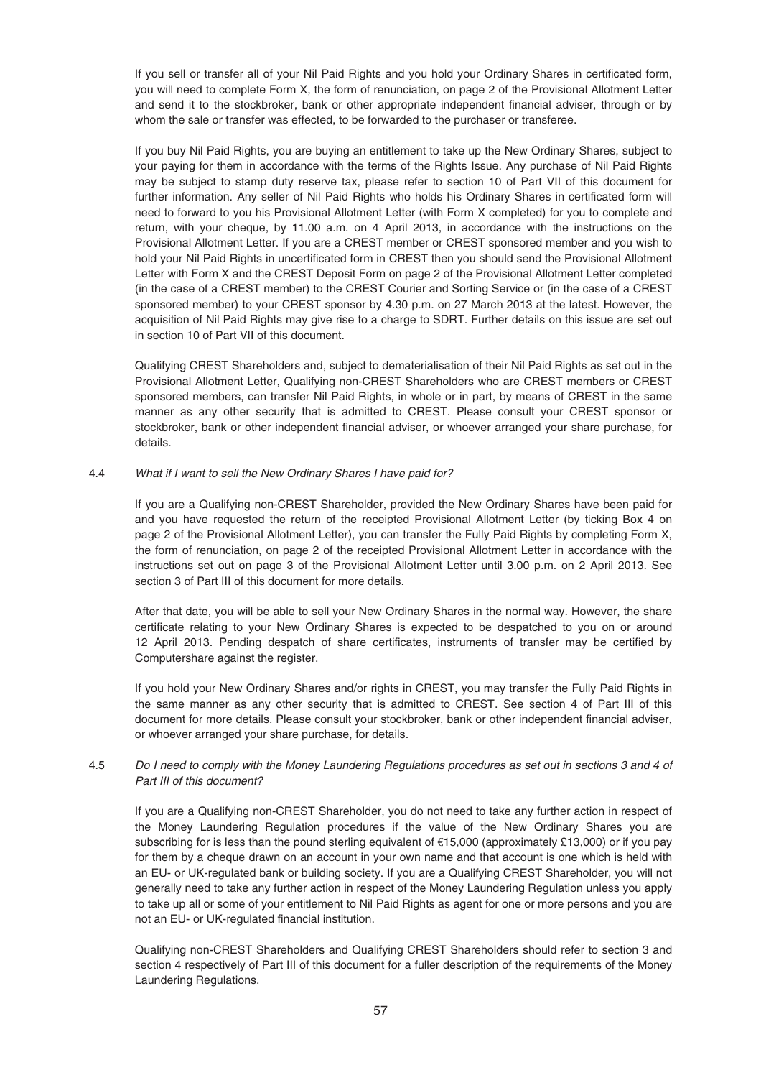If you sell or transfer all of your Nil Paid Rights and you hold your Ordinary Shares in certificated form, you will need to complete Form X, the form of renunciation, on page 2 of the Provisional Allotment Letter and send it to the stockbroker, bank or other appropriate independent financial adviser, through or by whom the sale or transfer was effected, to be forwarded to the purchaser or transferee.

If you buy Nil Paid Rights, you are buying an entitlement to take up the New Ordinary Shares, subject to your paying for them in accordance with the terms of the Rights Issue. Any purchase of Nil Paid Rights may be subject to stamp duty reserve tax, please refer to section 10 of Part VII of this document for further information. Any seller of Nil Paid Rights who holds his Ordinary Shares in certificated form will need to forward to you his Provisional Allotment Letter (with Form X completed) for you to complete and return, with your cheque, by 11.00 a.m. on 4 April 2013, in accordance with the instructions on the Provisional Allotment Letter. If you are a CREST member or CREST sponsored member and you wish to hold your Nil Paid Rights in uncertificated form in CREST then you should send the Provisional Allotment Letter with Form X and the CREST Deposit Form on page 2 of the Provisional Allotment Letter completed (in the case of a CREST member) to the CREST Courier and Sorting Service or (in the case of a CREST sponsored member) to your CREST sponsor by 4.30 p.m. on 27 March 2013 at the latest. However, the acquisition of Nil Paid Rights may give rise to a charge to SDRT. Further details on this issue are set out in section 10 of Part VII of this document.

Qualifying CREST Shareholders and, subject to dematerialisation of their Nil Paid Rights as set out in the Provisional Allotment Letter, Qualifying non-CREST Shareholders who are CREST members or CREST sponsored members, can transfer Nil Paid Rights, in whole or in part, by means of CREST in the same manner as any other security that is admitted to CREST. Please consult your CREST sponsor or stockbroker, bank or other independent financial adviser, or whoever arranged your share purchase, for details.

## 4.4 What if I want to sell the New Ordinary Shares I have paid for?

If you are a Qualifying non-CREST Shareholder, provided the New Ordinary Shares have been paid for and you have requested the return of the receipted Provisional Allotment Letter (by ticking Box 4 on page 2 of the Provisional Allotment Letter), you can transfer the Fully Paid Rights by completing Form X, the form of renunciation, on page 2 of the receipted Provisional Allotment Letter in accordance with the instructions set out on page 3 of the Provisional Allotment Letter until 3.00 p.m. on 2 April 2013. See section 3 of Part III of this document for more details.

After that date, you will be able to sell your New Ordinary Shares in the normal way. However, the share certificate relating to your New Ordinary Shares is expected to be despatched to you on or around 12 April 2013. Pending despatch of share certificates, instruments of transfer may be certified by Computershare against the register.

If you hold your New Ordinary Shares and/or rights in CREST, you may transfer the Fully Paid Rights in the same manner as any other security that is admitted to CREST. See section 4 of Part III of this document for more details. Please consult your stockbroker, bank or other independent financial adviser, or whoever arranged your share purchase, for details.

# 4.5 Do I need to comply with the Money Laundering Regulations procedures as set out in sections 3 and 4 of Part III of this document?

If you are a Qualifying non-CREST Shareholder, you do not need to take any further action in respect of the Money Laundering Regulation procedures if the value of the New Ordinary Shares you are subscribing for is less than the pound sterling equivalent of €15,000 (approximately £13,000) or if you pay for them by a cheque drawn on an account in your own name and that account is one which is held with an EU- or UK-regulated bank or building society. If you are a Qualifying CREST Shareholder, you will not generally need to take any further action in respect of the Money Laundering Regulation unless you apply to take up all or some of your entitlement to Nil Paid Rights as agent for one or more persons and you are not an EU- or UK-regulated financial institution.

Qualifying non-CREST Shareholders and Qualifying CREST Shareholders should refer to section 3 and section 4 respectively of Part III of this document for a fuller description of the requirements of the Money Laundering Regulations.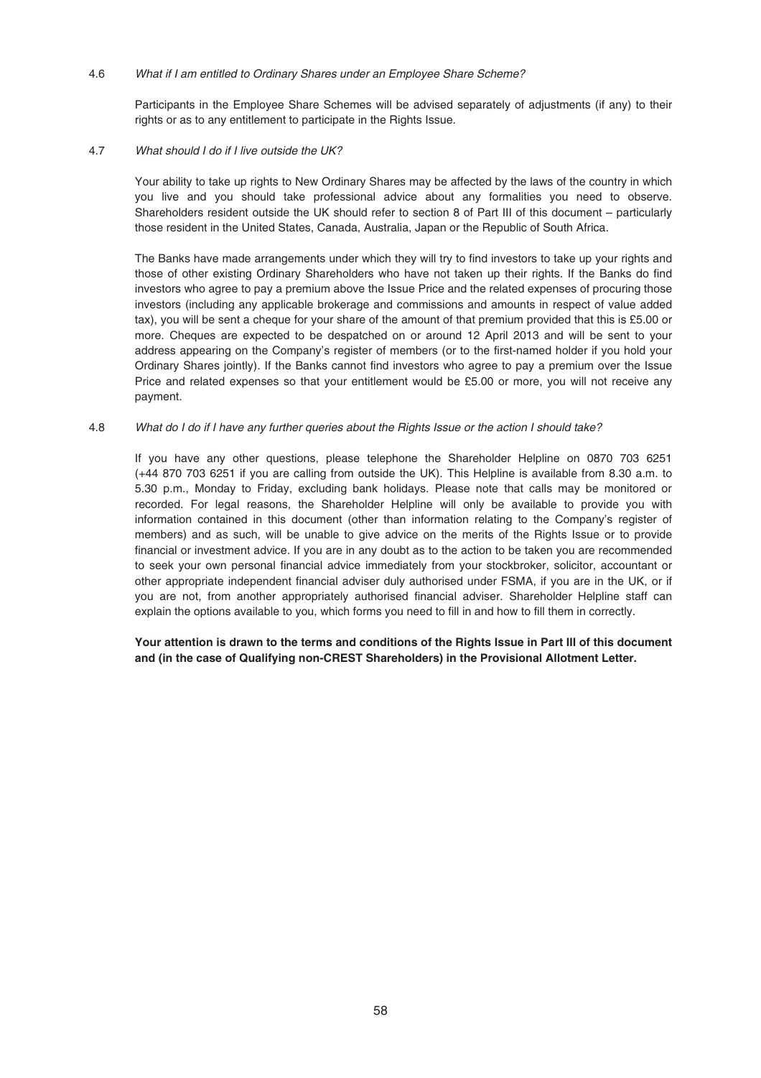### 4.6 What if I am entitled to Ordinary Shares under an Employee Share Scheme?

Participants in the Employee Share Schemes will be advised separately of adjustments (if any) to their rights or as to any entitlement to participate in the Rights Issue.

## 4.7 What should I do if I live outside the UK?

Your ability to take up rights to New Ordinary Shares may be affected by the laws of the country in which you live and you should take professional advice about any formalities you need to observe. Shareholders resident outside the UK should refer to section 8 of Part III of this document – particularly those resident in the United States, Canada, Australia, Japan or the Republic of South Africa.

The Banks have made arrangements under which they will try to find investors to take up your rights and those of other existing Ordinary Shareholders who have not taken up their rights. If the Banks do find investors who agree to pay a premium above the Issue Price and the related expenses of procuring those investors (including any applicable brokerage and commissions and amounts in respect of value added tax), you will be sent a cheque for your share of the amount of that premium provided that this is £5.00 or more. Cheques are expected to be despatched on or around 12 April 2013 and will be sent to your address appearing on the Company's register of members (or to the first-named holder if you hold your Ordinary Shares jointly). If the Banks cannot find investors who agree to pay a premium over the Issue Price and related expenses so that your entitlement would be £5.00 or more, you will not receive any payment.

## 4.8 What do I do if I have any further queries about the Rights Issue or the action I should take?

If you have any other questions, please telephone the Shareholder Helpline on 0870 703 6251 (+44 870 703 6251 if you are calling from outside the UK). This Helpline is available from 8.30 a.m. to 5.30 p.m., Monday to Friday, excluding bank holidays. Please note that calls may be monitored or recorded. For legal reasons, the Shareholder Helpline will only be available to provide you with information contained in this document (other than information relating to the Company's register of members) and as such, will be unable to give advice on the merits of the Rights Issue or to provide financial or investment advice. If you are in any doubt as to the action to be taken you are recommended to seek your own personal financial advice immediately from your stockbroker, solicitor, accountant or other appropriate independent financial adviser duly authorised under FSMA, if you are in the UK, or if you are not, from another appropriately authorised financial adviser. Shareholder Helpline staff can explain the options available to you, which forms you need to fill in and how to fill them in correctly.

# **Your attention is drawn to the terms and conditions of the Rights Issue in Part III of this document and (in the case of Qualifying non-CREST Shareholders) in the Provisional Allotment Letter.**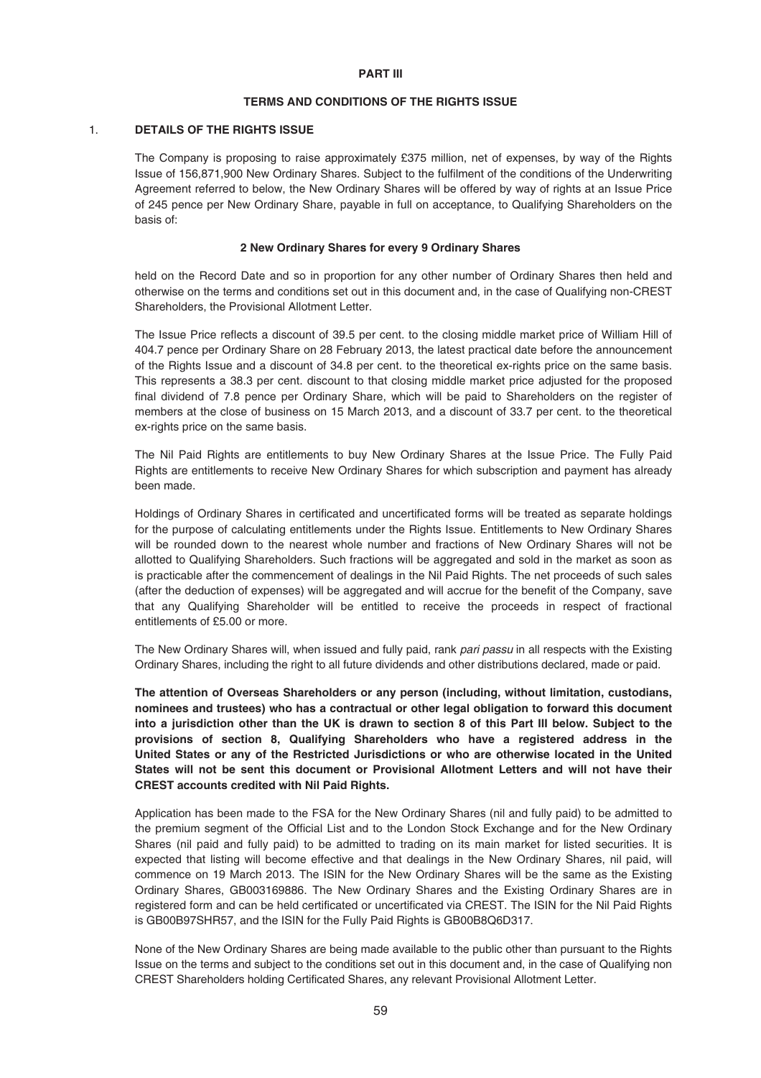#### **PART III**

### **TERMS AND CONDITIONS OF THE RIGHTS ISSUE**

### 1. **DETAILS OF THE RIGHTS ISSUE**

The Company is proposing to raise approximately £375 million, net of expenses, by way of the Rights Issue of 156,871,900 New Ordinary Shares. Subject to the fulfilment of the conditions of the Underwriting Agreement referred to below, the New Ordinary Shares will be offered by way of rights at an Issue Price of 245 pence per New Ordinary Share, payable in full on acceptance, to Qualifying Shareholders on the basis of:

### **2 New Ordinary Shares for every 9 Ordinary Shares**

held on the Record Date and so in proportion for any other number of Ordinary Shares then held and otherwise on the terms and conditions set out in this document and, in the case of Qualifying non-CREST Shareholders, the Provisional Allotment Letter.

The Issue Price reflects a discount of 39.5 per cent. to the closing middle market price of William Hill of 404.7 pence per Ordinary Share on 28 February 2013, the latest practical date before the announcement of the Rights Issue and a discount of 34.8 per cent. to the theoretical ex-rights price on the same basis. This represents a 38.3 per cent. discount to that closing middle market price adjusted for the proposed final dividend of 7.8 pence per Ordinary Share, which will be paid to Shareholders on the register of members at the close of business on 15 March 2013, and a discount of 33.7 per cent. to the theoretical ex-rights price on the same basis.

The Nil Paid Rights are entitlements to buy New Ordinary Shares at the Issue Price. The Fully Paid Rights are entitlements to receive New Ordinary Shares for which subscription and payment has already been made.

Holdings of Ordinary Shares in certificated and uncertificated forms will be treated as separate holdings for the purpose of calculating entitlements under the Rights Issue. Entitlements to New Ordinary Shares will be rounded down to the nearest whole number and fractions of New Ordinary Shares will not be allotted to Qualifying Shareholders. Such fractions will be aggregated and sold in the market as soon as is practicable after the commencement of dealings in the Nil Paid Rights. The net proceeds of such sales (after the deduction of expenses) will be aggregated and will accrue for the benefit of the Company, save that any Qualifying Shareholder will be entitled to receive the proceeds in respect of fractional entitlements of £5.00 or more.

The New Ordinary Shares will, when issued and fully paid, rank pari passu in all respects with the Existing Ordinary Shares, including the right to all future dividends and other distributions declared, made or paid.

**The attention of Overseas Shareholders or any person (including, without limitation, custodians, nominees and trustees) who has a contractual or other legal obligation to forward this document into a jurisdiction other than the UK is drawn to section 8 of this Part III below. Subject to the provisions of section 8, Qualifying Shareholders who have a registered address in the United States or any of the Restricted Jurisdictions or who are otherwise located in the United States will not be sent this document or Provisional Allotment Letters and will not have their CREST accounts credited with Nil Paid Rights.**

Application has been made to the FSA for the New Ordinary Shares (nil and fully paid) to be admitted to the premium segment of the Official List and to the London Stock Exchange and for the New Ordinary Shares (nil paid and fully paid) to be admitted to trading on its main market for listed securities. It is expected that listing will become effective and that dealings in the New Ordinary Shares, nil paid, will commence on 19 March 2013. The ISIN for the New Ordinary Shares will be the same as the Existing Ordinary Shares, GB003169886. The New Ordinary Shares and the Existing Ordinary Shares are in registered form and can be held certificated or uncertificated via CREST. The ISIN for the Nil Paid Rights is GB00B97SHR57, and the ISIN for the Fully Paid Rights is GB00B8Q6D317.

None of the New Ordinary Shares are being made available to the public other than pursuant to the Rights Issue on the terms and subject to the conditions set out in this document and, in the case of Qualifying non CREST Shareholders holding Certificated Shares, any relevant Provisional Allotment Letter.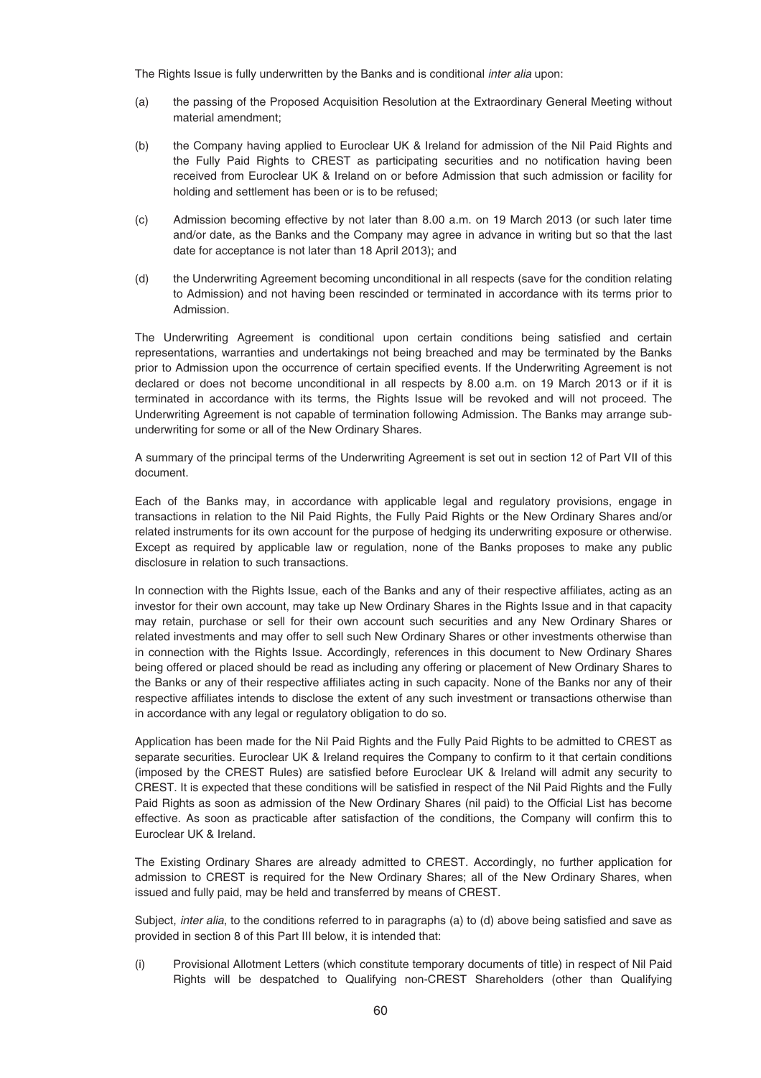The Rights Issue is fully underwritten by the Banks and is conditional *inter alia* upon:

- (a) the passing of the Proposed Acquisition Resolution at the Extraordinary General Meeting without material amendment;
- (b) the Company having applied to Euroclear UK & Ireland for admission of the Nil Paid Rights and the Fully Paid Rights to CREST as participating securities and no notification having been received from Euroclear UK & Ireland on or before Admission that such admission or facility for holding and settlement has been or is to be refused;
- (c) Admission becoming effective by not later than 8.00 a.m. on 19 March 2013 (or such later time and/or date, as the Banks and the Company may agree in advance in writing but so that the last date for acceptance is not later than 18 April 2013); and
- (d) the Underwriting Agreement becoming unconditional in all respects (save for the condition relating to Admission) and not having been rescinded or terminated in accordance with its terms prior to Admission.

The Underwriting Agreement is conditional upon certain conditions being satisfied and certain representations, warranties and undertakings not being breached and may be terminated by the Banks prior to Admission upon the occurrence of certain specified events. If the Underwriting Agreement is not declared or does not become unconditional in all respects by 8.00 a.m. on 19 March 2013 or if it is terminated in accordance with its terms, the Rights Issue will be revoked and will not proceed. The Underwriting Agreement is not capable of termination following Admission. The Banks may arrange subunderwriting for some or all of the New Ordinary Shares.

A summary of the principal terms of the Underwriting Agreement is set out in section 12 of Part VII of this document.

Each of the Banks may, in accordance with applicable legal and regulatory provisions, engage in transactions in relation to the Nil Paid Rights, the Fully Paid Rights or the New Ordinary Shares and/or related instruments for its own account for the purpose of hedging its underwriting exposure or otherwise. Except as required by applicable law or regulation, none of the Banks proposes to make any public disclosure in relation to such transactions.

In connection with the Rights Issue, each of the Banks and any of their respective affiliates, acting as an investor for their own account, may take up New Ordinary Shares in the Rights Issue and in that capacity may retain, purchase or sell for their own account such securities and any New Ordinary Shares or related investments and may offer to sell such New Ordinary Shares or other investments otherwise than in connection with the Rights Issue. Accordingly, references in this document to New Ordinary Shares being offered or placed should be read as including any offering or placement of New Ordinary Shares to the Banks or any of their respective affiliates acting in such capacity. None of the Banks nor any of their respective affiliates intends to disclose the extent of any such investment or transactions otherwise than in accordance with any legal or regulatory obligation to do so.

Application has been made for the Nil Paid Rights and the Fully Paid Rights to be admitted to CREST as separate securities. Euroclear UK & Ireland requires the Company to confirm to it that certain conditions (imposed by the CREST Rules) are satisfied before Euroclear UK & Ireland will admit any security to CREST. It is expected that these conditions will be satisfied in respect of the Nil Paid Rights and the Fully Paid Rights as soon as admission of the New Ordinary Shares (nil paid) to the Official List has become effective. As soon as practicable after satisfaction of the conditions, the Company will confirm this to Euroclear UK & Ireland.

The Existing Ordinary Shares are already admitted to CREST. Accordingly, no further application for admission to CREST is required for the New Ordinary Shares; all of the New Ordinary Shares, when issued and fully paid, may be held and transferred by means of CREST.

Subject, inter alia, to the conditions referred to in paragraphs (a) to (d) above being satisfied and save as provided in section 8 of this Part III below, it is intended that:

(i) Provisional Allotment Letters (which constitute temporary documents of title) in respect of Nil Paid Rights will be despatched to Qualifying non-CREST Shareholders (other than Qualifying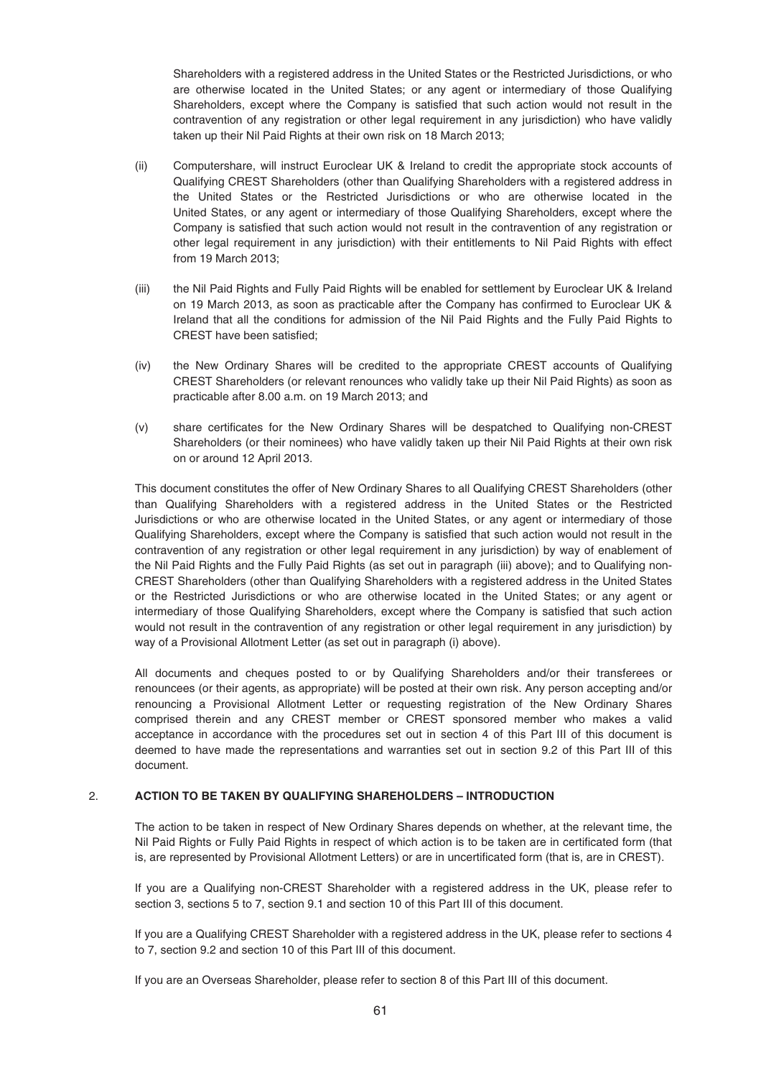Shareholders with a registered address in the United States or the Restricted Jurisdictions, or who are otherwise located in the United States; or any agent or intermediary of those Qualifying Shareholders, except where the Company is satisfied that such action would not result in the contravention of any registration or other legal requirement in any jurisdiction) who have validly taken up their Nil Paid Rights at their own risk on 18 March 2013;

- (ii) Computershare, will instruct Euroclear UK & Ireland to credit the appropriate stock accounts of Qualifying CREST Shareholders (other than Qualifying Shareholders with a registered address in the United States or the Restricted Jurisdictions or who are otherwise located in the United States, or any agent or intermediary of those Qualifying Shareholders, except where the Company is satisfied that such action would not result in the contravention of any registration or other legal requirement in any jurisdiction) with their entitlements to Nil Paid Rights with effect from 19 March 2013;
- (iii) the Nil Paid Rights and Fully Paid Rights will be enabled for settlement by Euroclear UK & Ireland on 19 March 2013, as soon as practicable after the Company has confirmed to Euroclear UK & Ireland that all the conditions for admission of the Nil Paid Rights and the Fully Paid Rights to CREST have been satisfied;
- (iv) the New Ordinary Shares will be credited to the appropriate CREST accounts of Qualifying CREST Shareholders (or relevant renounces who validly take up their Nil Paid Rights) as soon as practicable after 8.00 a.m. on 19 March 2013; and
- (v) share certificates for the New Ordinary Shares will be despatched to Qualifying non-CREST Shareholders (or their nominees) who have validly taken up their Nil Paid Rights at their own risk on or around 12 April 2013.

This document constitutes the offer of New Ordinary Shares to all Qualifying CREST Shareholders (other than Qualifying Shareholders with a registered address in the United States or the Restricted Jurisdictions or who are otherwise located in the United States, or any agent or intermediary of those Qualifying Shareholders, except where the Company is satisfied that such action would not result in the contravention of any registration or other legal requirement in any jurisdiction) by way of enablement of the Nil Paid Rights and the Fully Paid Rights (as set out in paragraph (iii) above); and to Qualifying non-CREST Shareholders (other than Qualifying Shareholders with a registered address in the United States or the Restricted Jurisdictions or who are otherwise located in the United States; or any agent or intermediary of those Qualifying Shareholders, except where the Company is satisfied that such action would not result in the contravention of any registration or other legal requirement in any jurisdiction) by way of a Provisional Allotment Letter (as set out in paragraph (i) above).

All documents and cheques posted to or by Qualifying Shareholders and/or their transferees or renouncees (or their agents, as appropriate) will be posted at their own risk. Any person accepting and/or renouncing a Provisional Allotment Letter or requesting registration of the New Ordinary Shares comprised therein and any CREST member or CREST sponsored member who makes a valid acceptance in accordance with the procedures set out in section 4 of this Part III of this document is deemed to have made the representations and warranties set out in section 9.2 of this Part III of this document.

# 2. **ACTION TO BE TAKEN BY QUALIFYING SHAREHOLDERS – INTRODUCTION**

The action to be taken in respect of New Ordinary Shares depends on whether, at the relevant time, the Nil Paid Rights or Fully Paid Rights in respect of which action is to be taken are in certificated form (that is, are represented by Provisional Allotment Letters) or are in uncertificated form (that is, are in CREST).

If you are a Qualifying non-CREST Shareholder with a registered address in the UK, please refer to section 3, sections 5 to 7, section 9.1 and section 10 of this Part III of this document.

If you are a Qualifying CREST Shareholder with a registered address in the UK, please refer to sections 4 to 7, section 9.2 and section 10 of this Part III of this document.

If you are an Overseas Shareholder, please refer to section 8 of this Part III of this document.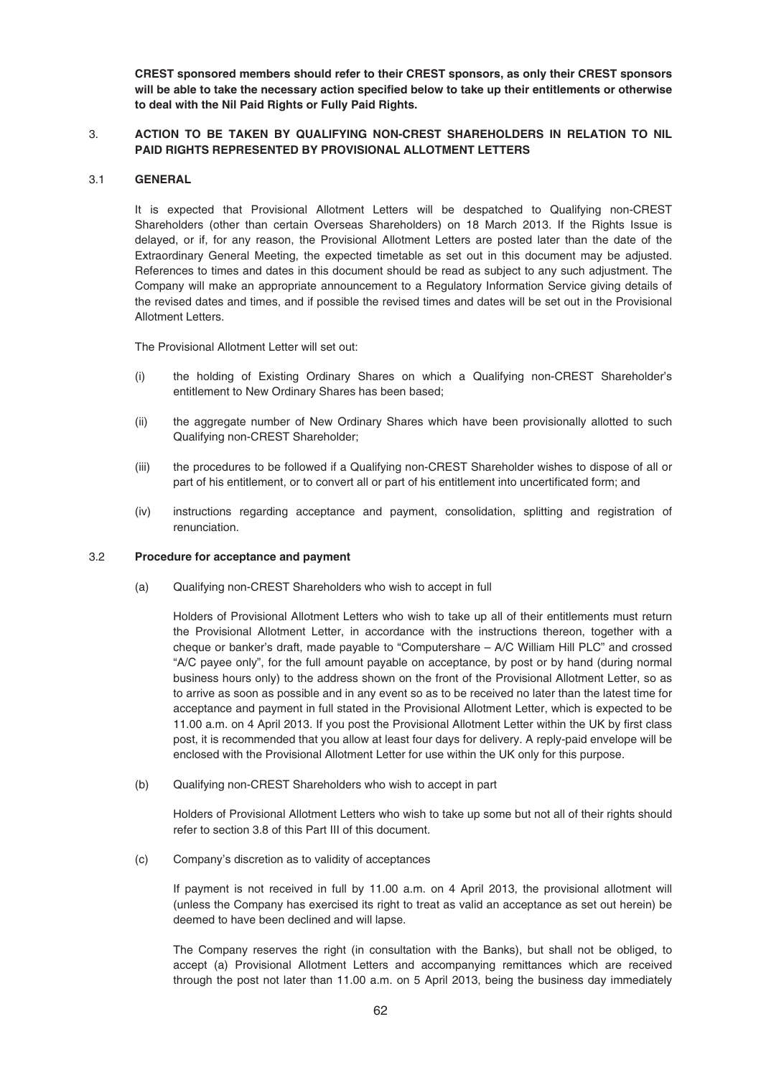**CREST sponsored members should refer to their CREST sponsors, as only their CREST sponsors will be able to take the necessary action specified below to take up their entitlements or otherwise to deal with the Nil Paid Rights or Fully Paid Rights.**

# 3. **ACTION TO BE TAKEN BY QUALIFYING NON-CREST SHAREHOLDERS IN RELATION TO NIL PAID RIGHTS REPRESENTED BY PROVISIONAL ALLOTMENT LETTERS**

# 3.1 **GENERAL**

It is expected that Provisional Allotment Letters will be despatched to Qualifying non-CREST Shareholders (other than certain Overseas Shareholders) on 18 March 2013. If the Rights Issue is delayed, or if, for any reason, the Provisional Allotment Letters are posted later than the date of the Extraordinary General Meeting, the expected timetable as set out in this document may be adjusted. References to times and dates in this document should be read as subject to any such adjustment. The Company will make an appropriate announcement to a Regulatory Information Service giving details of the revised dates and times, and if possible the revised times and dates will be set out in the Provisional Allotment Letters.

The Provisional Allotment Letter will set out:

- (i) the holding of Existing Ordinary Shares on which a Qualifying non-CREST Shareholder's entitlement to New Ordinary Shares has been based;
- (ii) the aggregate number of New Ordinary Shares which have been provisionally allotted to such Qualifying non-CREST Shareholder;
- (iii) the procedures to be followed if a Qualifying non-CREST Shareholder wishes to dispose of all or part of his entitlement, or to convert all or part of his entitlement into uncertificated form; and
- (iv) instructions regarding acceptance and payment, consolidation, splitting and registration of renunciation.

### 3.2 **Procedure for acceptance and payment**

(a) Qualifying non-CREST Shareholders who wish to accept in full

Holders of Provisional Allotment Letters who wish to take up all of their entitlements must return the Provisional Allotment Letter, in accordance with the instructions thereon, together with a cheque or banker's draft, made payable to "Computershare – A/C William Hill PLC" and crossed "A/C payee only", for the full amount payable on acceptance, by post or by hand (during normal business hours only) to the address shown on the front of the Provisional Allotment Letter, so as to arrive as soon as possible and in any event so as to be received no later than the latest time for acceptance and payment in full stated in the Provisional Allotment Letter, which is expected to be 11.00 a.m. on 4 April 2013. If you post the Provisional Allotment Letter within the UK by first class post, it is recommended that you allow at least four days for delivery. A reply-paid envelope will be enclosed with the Provisional Allotment Letter for use within the UK only for this purpose.

(b) Qualifying non-CREST Shareholders who wish to accept in part

Holders of Provisional Allotment Letters who wish to take up some but not all of their rights should refer to section 3.8 of this Part III of this document.

(c) Company's discretion as to validity of acceptances

If payment is not received in full by 11.00 a.m. on 4 April 2013, the provisional allotment will (unless the Company has exercised its right to treat as valid an acceptance as set out herein) be deemed to have been declined and will lapse.

The Company reserves the right (in consultation with the Banks), but shall not be obliged, to accept (a) Provisional Allotment Letters and accompanying remittances which are received through the post not later than 11.00 a.m. on 5 April 2013, being the business day immediately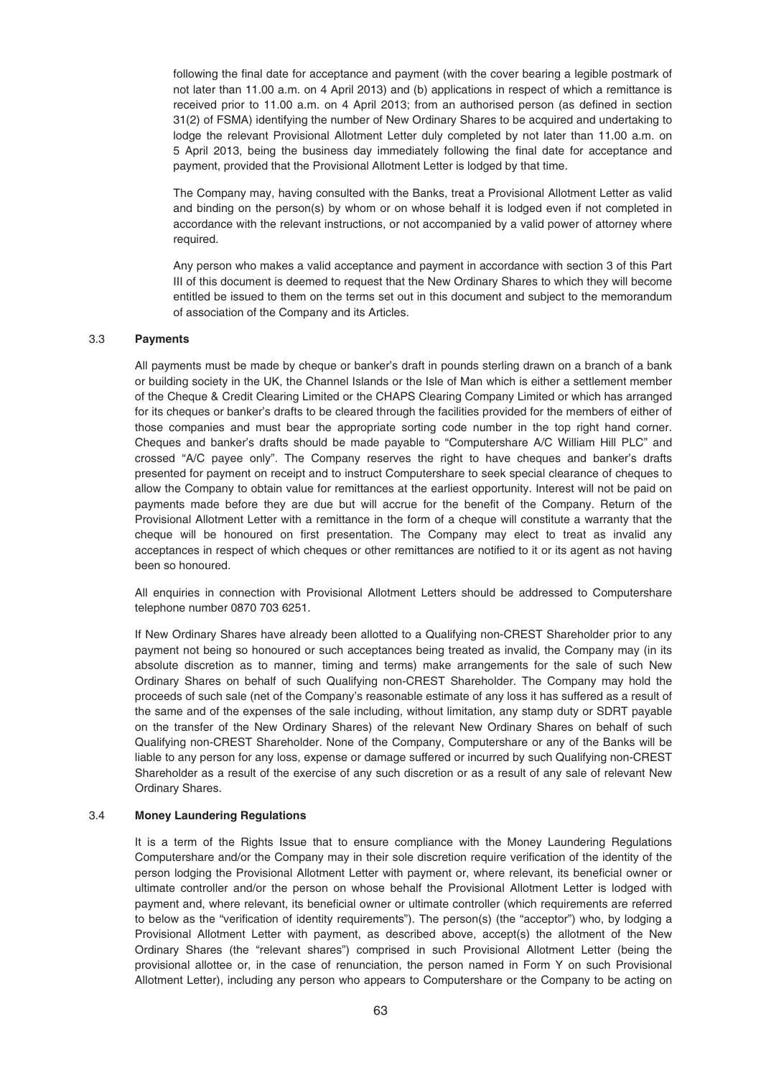following the final date for acceptance and payment (with the cover bearing a legible postmark of not later than 11.00 a.m. on 4 April 2013) and (b) applications in respect of which a remittance is received prior to 11.00 a.m. on 4 April 2013; from an authorised person (as defined in section 31(2) of FSMA) identifying the number of New Ordinary Shares to be acquired and undertaking to lodge the relevant Provisional Allotment Letter duly completed by not later than 11.00 a.m. on 5 April 2013, being the business day immediately following the final date for acceptance and payment, provided that the Provisional Allotment Letter is lodged by that time.

The Company may, having consulted with the Banks, treat a Provisional Allotment Letter as valid and binding on the person(s) by whom or on whose behalf it is lodged even if not completed in accordance with the relevant instructions, or not accompanied by a valid power of attorney where required.

Any person who makes a valid acceptance and payment in accordance with section 3 of this Part III of this document is deemed to request that the New Ordinary Shares to which they will become entitled be issued to them on the terms set out in this document and subject to the memorandum of association of the Company and its Articles.

### 3.3 **Payments**

All payments must be made by cheque or banker's draft in pounds sterling drawn on a branch of a bank or building society in the UK, the Channel Islands or the Isle of Man which is either a settlement member of the Cheque & Credit Clearing Limited or the CHAPS Clearing Company Limited or which has arranged for its cheques or banker's drafts to be cleared through the facilities provided for the members of either of those companies and must bear the appropriate sorting code number in the top right hand corner. Cheques and banker's drafts should be made payable to "Computershare A/C William Hill PLC" and crossed "A/C payee only". The Company reserves the right to have cheques and banker's drafts presented for payment on receipt and to instruct Computershare to seek special clearance of cheques to allow the Company to obtain value for remittances at the earliest opportunity. Interest will not be paid on payments made before they are due but will accrue for the benefit of the Company. Return of the Provisional Allotment Letter with a remittance in the form of a cheque will constitute a warranty that the cheque will be honoured on first presentation. The Company may elect to treat as invalid any acceptances in respect of which cheques or other remittances are notified to it or its agent as not having been so honoured.

All enquiries in connection with Provisional Allotment Letters should be addressed to Computershare telephone number 0870 703 6251.

If New Ordinary Shares have already been allotted to a Qualifying non-CREST Shareholder prior to any payment not being so honoured or such acceptances being treated as invalid, the Company may (in its absolute discretion as to manner, timing and terms) make arrangements for the sale of such New Ordinary Shares on behalf of such Qualifying non-CREST Shareholder. The Company may hold the proceeds of such sale (net of the Company's reasonable estimate of any loss it has suffered as a result of the same and of the expenses of the sale including, without limitation, any stamp duty or SDRT payable on the transfer of the New Ordinary Shares) of the relevant New Ordinary Shares on behalf of such Qualifying non-CREST Shareholder. None of the Company, Computershare or any of the Banks will be liable to any person for any loss, expense or damage suffered or incurred by such Qualifying non-CREST Shareholder as a result of the exercise of any such discretion or as a result of any sale of relevant New Ordinary Shares.

### 3.4 **Money Laundering Regulations**

It is a term of the Rights Issue that to ensure compliance with the Money Laundering Regulations Computershare and/or the Company may in their sole discretion require verification of the identity of the person lodging the Provisional Allotment Letter with payment or, where relevant, its beneficial owner or ultimate controller and/or the person on whose behalf the Provisional Allotment Letter is lodged with payment and, where relevant, its beneficial owner or ultimate controller (which requirements are referred to below as the "verification of identity requirements"). The person(s) (the "acceptor") who, by lodging a Provisional Allotment Letter with payment, as described above, accept(s) the allotment of the New Ordinary Shares (the "relevant shares") comprised in such Provisional Allotment Letter (being the provisional allottee or, in the case of renunciation, the person named in Form Y on such Provisional Allotment Letter), including any person who appears to Computershare or the Company to be acting on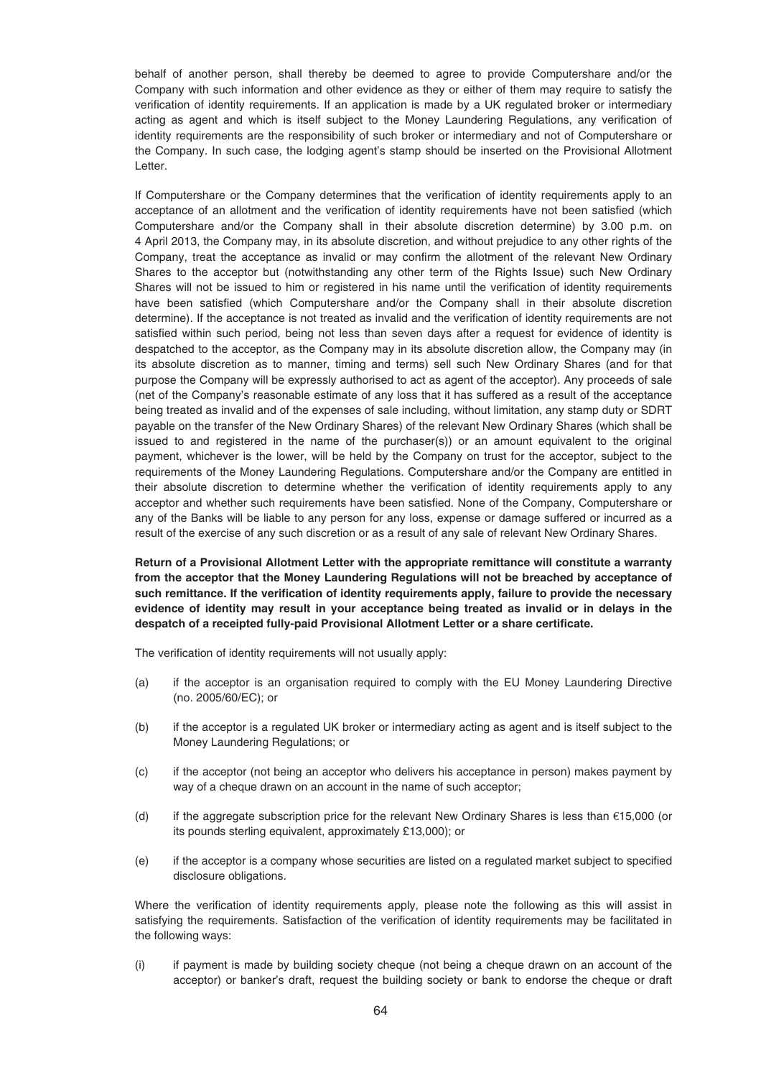behalf of another person, shall thereby be deemed to agree to provide Computershare and/or the Company with such information and other evidence as they or either of them may require to satisfy the verification of identity requirements. If an application is made by a UK regulated broker or intermediary acting as agent and which is itself subject to the Money Laundering Regulations, any verification of identity requirements are the responsibility of such broker or intermediary and not of Computershare or the Company. In such case, the lodging agent's stamp should be inserted on the Provisional Allotment Letter.

If Computershare or the Company determines that the verification of identity requirements apply to an acceptance of an allotment and the verification of identity requirements have not been satisfied (which Computershare and/or the Company shall in their absolute discretion determine) by 3.00 p.m. on 4 April 2013, the Company may, in its absolute discretion, and without prejudice to any other rights of the Company, treat the acceptance as invalid or may confirm the allotment of the relevant New Ordinary Shares to the acceptor but (notwithstanding any other term of the Rights Issue) such New Ordinary Shares will not be issued to him or registered in his name until the verification of identity requirements have been satisfied (which Computershare and/or the Company shall in their absolute discretion determine). If the acceptance is not treated as invalid and the verification of identity requirements are not satisfied within such period, being not less than seven days after a request for evidence of identity is despatched to the acceptor, as the Company may in its absolute discretion allow, the Company may (in its absolute discretion as to manner, timing and terms) sell such New Ordinary Shares (and for that purpose the Company will be expressly authorised to act as agent of the acceptor). Any proceeds of sale (net of the Company's reasonable estimate of any loss that it has suffered as a result of the acceptance being treated as invalid and of the expenses of sale including, without limitation, any stamp duty or SDRT payable on the transfer of the New Ordinary Shares) of the relevant New Ordinary Shares (which shall be issued to and registered in the name of the purchaser(s)) or an amount equivalent to the original payment, whichever is the lower, will be held by the Company on trust for the acceptor, subject to the requirements of the Money Laundering Regulations. Computershare and/or the Company are entitled in their absolute discretion to determine whether the verification of identity requirements apply to any acceptor and whether such requirements have been satisfied. None of the Company, Computershare or any of the Banks will be liable to any person for any loss, expense or damage suffered or incurred as a result of the exercise of any such discretion or as a result of any sale of relevant New Ordinary Shares.

**Return of a Provisional Allotment Letter with the appropriate remittance will constitute a warranty from the acceptor that the Money Laundering Regulations will not be breached by acceptance of such remittance. If the verification of identity requirements apply, failure to provide the necessary evidence of identity may result in your acceptance being treated as invalid or in delays in the despatch of a receipted fully-paid Provisional Allotment Letter or a share certificate.**

The verification of identity requirements will not usually apply:

- (a) if the acceptor is an organisation required to comply with the EU Money Laundering Directive (no. 2005/60/EC); or
- (b) if the acceptor is a regulated UK broker or intermediary acting as agent and is itself subject to the Money Laundering Regulations; or
- (c) if the acceptor (not being an acceptor who delivers his acceptance in person) makes payment by way of a cheque drawn on an account in the name of such acceptor;
- (d) if the aggregate subscription price for the relevant New Ordinary Shares is less than  $\epsilon$ 15,000 (or its pounds sterling equivalent, approximately £13,000); or
- (e) if the acceptor is a company whose securities are listed on a regulated market subject to specified disclosure obligations.

Where the verification of identity requirements apply, please note the following as this will assist in satisfying the requirements. Satisfaction of the verification of identity requirements may be facilitated in the following ways:

(i) if payment is made by building society cheque (not being a cheque drawn on an account of the acceptor) or banker's draft, request the building society or bank to endorse the cheque or draft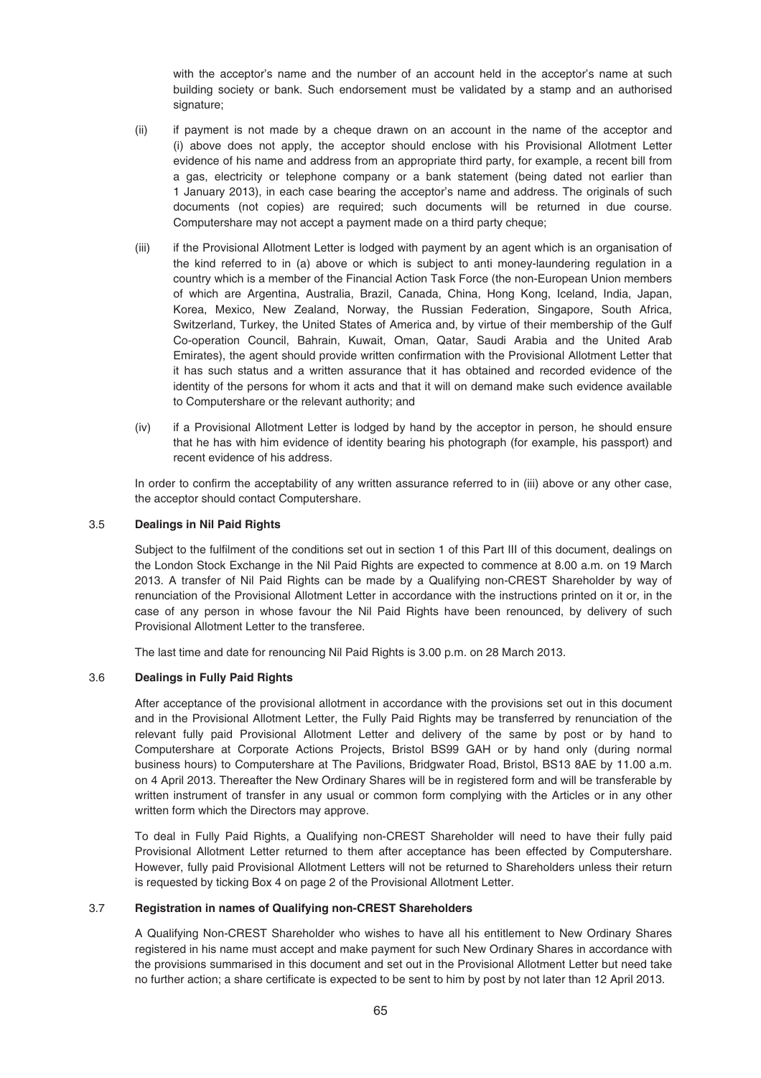with the acceptor's name and the number of an account held in the acceptor's name at such building society or bank. Such endorsement must be validated by a stamp and an authorised signature:

- (ii) if payment is not made by a cheque drawn on an account in the name of the acceptor and (i) above does not apply, the acceptor should enclose with his Provisional Allotment Letter evidence of his name and address from an appropriate third party, for example, a recent bill from a gas, electricity or telephone company or a bank statement (being dated not earlier than 1 January 2013), in each case bearing the acceptor's name and address. The originals of such documents (not copies) are required; such documents will be returned in due course. Computershare may not accept a payment made on a third party cheque;
- (iii) if the Provisional Allotment Letter is lodged with payment by an agent which is an organisation of the kind referred to in (a) above or which is subject to anti money-laundering regulation in a country which is a member of the Financial Action Task Force (the non-European Union members of which are Argentina, Australia, Brazil, Canada, China, Hong Kong, Iceland, India, Japan, Korea, Mexico, New Zealand, Norway, the Russian Federation, Singapore, South Africa, Switzerland, Turkey, the United States of America and, by virtue of their membership of the Gulf Co-operation Council, Bahrain, Kuwait, Oman, Qatar, Saudi Arabia and the United Arab Emirates), the agent should provide written confirmation with the Provisional Allotment Letter that it has such status and a written assurance that it has obtained and recorded evidence of the identity of the persons for whom it acts and that it will on demand make such evidence available to Computershare or the relevant authority; and
- (iv) if a Provisional Allotment Letter is lodged by hand by the acceptor in person, he should ensure that he has with him evidence of identity bearing his photograph (for example, his passport) and recent evidence of his address.

In order to confirm the acceptability of any written assurance referred to in (iii) above or any other case, the acceptor should contact Computershare.

## 3.5 **Dealings in Nil Paid Rights**

Subject to the fulfilment of the conditions set out in section 1 of this Part III of this document, dealings on the London Stock Exchange in the Nil Paid Rights are expected to commence at 8.00 a.m. on 19 March 2013. A transfer of Nil Paid Rights can be made by a Qualifying non-CREST Shareholder by way of renunciation of the Provisional Allotment Letter in accordance with the instructions printed on it or, in the case of any person in whose favour the Nil Paid Rights have been renounced, by delivery of such Provisional Allotment Letter to the transferee.

The last time and date for renouncing Nil Paid Rights is 3.00 p.m. on 28 March 2013.

### 3.6 **Dealings in Fully Paid Rights**

After acceptance of the provisional allotment in accordance with the provisions set out in this document and in the Provisional Allotment Letter, the Fully Paid Rights may be transferred by renunciation of the relevant fully paid Provisional Allotment Letter and delivery of the same by post or by hand to Computershare at Corporate Actions Projects, Bristol BS99 GAH or by hand only (during normal business hours) to Computershare at The Pavilions, Bridgwater Road, Bristol, BS13 8AE by 11.00 a.m. on 4 April 2013. Thereafter the New Ordinary Shares will be in registered form and will be transferable by written instrument of transfer in any usual or common form complying with the Articles or in any other written form which the Directors may approve.

To deal in Fully Paid Rights, a Qualifying non-CREST Shareholder will need to have their fully paid Provisional Allotment Letter returned to them after acceptance has been effected by Computershare. However, fully paid Provisional Allotment Letters will not be returned to Shareholders unless their return is requested by ticking Box 4 on page 2 of the Provisional Allotment Letter.

## 3.7 **Registration in names of Qualifying non-CREST Shareholders**

A Qualifying Non-CREST Shareholder who wishes to have all his entitlement to New Ordinary Shares registered in his name must accept and make payment for such New Ordinary Shares in accordance with the provisions summarised in this document and set out in the Provisional Allotment Letter but need take no further action; a share certificate is expected to be sent to him by post by not later than 12 April 2013.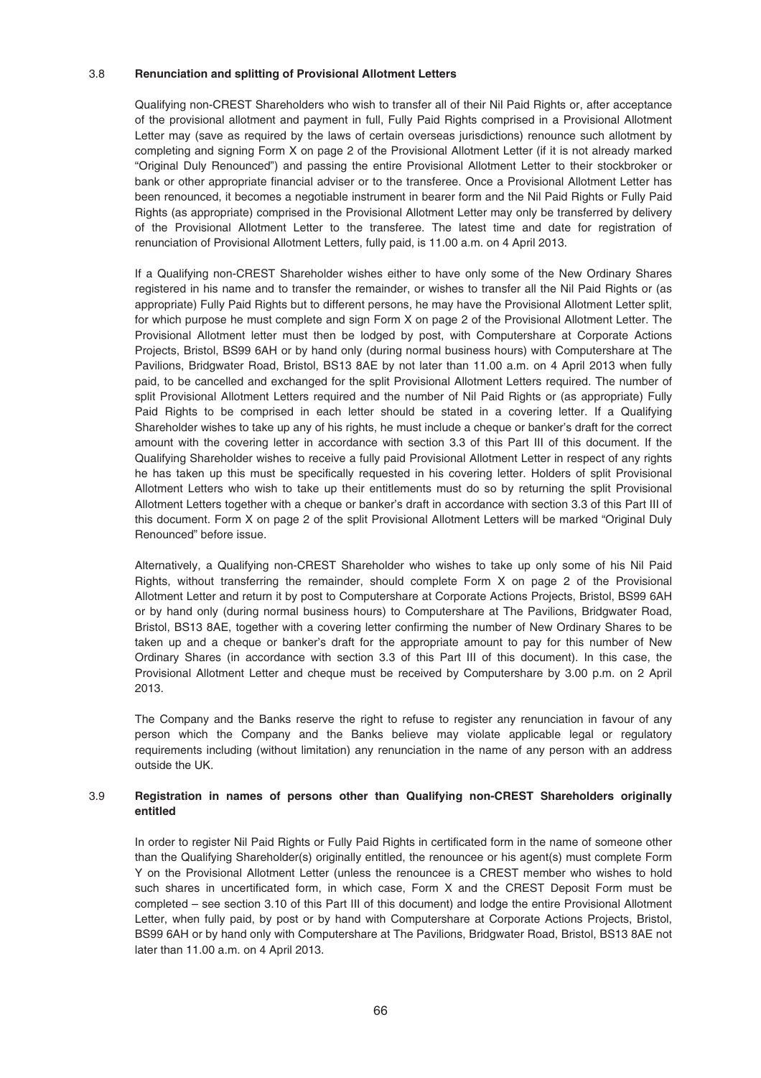#### 3.8 **Renunciation and splitting of Provisional Allotment Letters**

Qualifying non-CREST Shareholders who wish to transfer all of their Nil Paid Rights or, after acceptance of the provisional allotment and payment in full, Fully Paid Rights comprised in a Provisional Allotment Letter may (save as required by the laws of certain overseas jurisdictions) renounce such allotment by completing and signing Form X on page 2 of the Provisional Allotment Letter (if it is not already marked "Original Duly Renounced") and passing the entire Provisional Allotment Letter to their stockbroker or bank or other appropriate financial adviser or to the transferee. Once a Provisional Allotment Letter has been renounced, it becomes a negotiable instrument in bearer form and the Nil Paid Rights or Fully Paid Rights (as appropriate) comprised in the Provisional Allotment Letter may only be transferred by delivery of the Provisional Allotment Letter to the transferee. The latest time and date for registration of renunciation of Provisional Allotment Letters, fully paid, is 11.00 a.m. on 4 April 2013.

If a Qualifying non-CREST Shareholder wishes either to have only some of the New Ordinary Shares registered in his name and to transfer the remainder, or wishes to transfer all the Nil Paid Rights or (as appropriate) Fully Paid Rights but to different persons, he may have the Provisional Allotment Letter split, for which purpose he must complete and sign Form X on page 2 of the Provisional Allotment Letter. The Provisional Allotment letter must then be lodged by post, with Computershare at Corporate Actions Projects, Bristol, BS99 6AH or by hand only (during normal business hours) with Computershare at The Pavilions, Bridgwater Road, Bristol, BS13 8AE by not later than 11.00 a.m. on 4 April 2013 when fully paid, to be cancelled and exchanged for the split Provisional Allotment Letters required. The number of split Provisional Allotment Letters required and the number of Nil Paid Rights or (as appropriate) Fully Paid Rights to be comprised in each letter should be stated in a covering letter. If a Qualifying Shareholder wishes to take up any of his rights, he must include a cheque or banker's draft for the correct amount with the covering letter in accordance with section 3.3 of this Part III of this document. If the Qualifying Shareholder wishes to receive a fully paid Provisional Allotment Letter in respect of any rights he has taken up this must be specifically requested in his covering letter. Holders of split Provisional Allotment Letters who wish to take up their entitlements must do so by returning the split Provisional Allotment Letters together with a cheque or banker's draft in accordance with section 3.3 of this Part III of this document. Form X on page 2 of the split Provisional Allotment Letters will be marked "Original Duly Renounced" before issue.

Alternatively, a Qualifying non-CREST Shareholder who wishes to take up only some of his Nil Paid Rights, without transferring the remainder, should complete Form X on page 2 of the Provisional Allotment Letter and return it by post to Computershare at Corporate Actions Projects, Bristol, BS99 6AH or by hand only (during normal business hours) to Computershare at The Pavilions, Bridgwater Road, Bristol, BS13 8AE, together with a covering letter confirming the number of New Ordinary Shares to be taken up and a cheque or banker's draft for the appropriate amount to pay for this number of New Ordinary Shares (in accordance with section 3.3 of this Part III of this document). In this case, the Provisional Allotment Letter and cheque must be received by Computershare by 3.00 p.m. on 2 April 2013.

The Company and the Banks reserve the right to refuse to register any renunciation in favour of any person which the Company and the Banks believe may violate applicable legal or regulatory requirements including (without limitation) any renunciation in the name of any person with an address outside the UK.

# 3.9 **Registration in names of persons other than Qualifying non-CREST Shareholders originally entitled**

In order to register Nil Paid Rights or Fully Paid Rights in certificated form in the name of someone other than the Qualifying Shareholder(s) originally entitled, the renouncee or his agent(s) must complete Form Y on the Provisional Allotment Letter (unless the renouncee is a CREST member who wishes to hold such shares in uncertificated form, in which case, Form X and the CREST Deposit Form must be completed – see section 3.10 of this Part III of this document) and lodge the entire Provisional Allotment Letter, when fully paid, by post or by hand with Computershare at Corporate Actions Projects, Bristol, BS99 6AH or by hand only with Computershare at The Pavilions, Bridgwater Road, Bristol, BS13 8AE not later than 11.00 a.m. on 4 April 2013.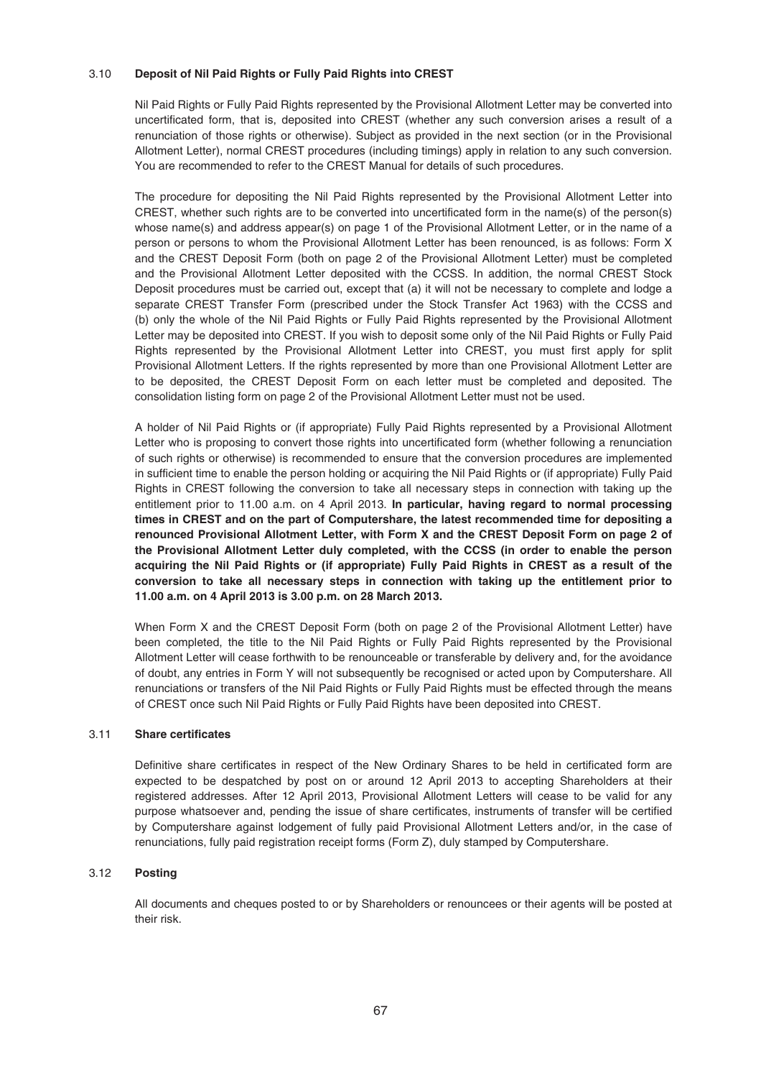# 3.10 **Deposit of Nil Paid Rights or Fully Paid Rights into CREST**

Nil Paid Rights or Fully Paid Rights represented by the Provisional Allotment Letter may be converted into uncertificated form, that is, deposited into CREST (whether any such conversion arises a result of a renunciation of those rights or otherwise). Subject as provided in the next section (or in the Provisional Allotment Letter), normal CREST procedures (including timings) apply in relation to any such conversion. You are recommended to refer to the CREST Manual for details of such procedures.

The procedure for depositing the Nil Paid Rights represented by the Provisional Allotment Letter into CREST, whether such rights are to be converted into uncertificated form in the name(s) of the person(s) whose name(s) and address appear(s) on page 1 of the Provisional Allotment Letter, or in the name of a person or persons to whom the Provisional Allotment Letter has been renounced, is as follows: Form X and the CREST Deposit Form (both on page 2 of the Provisional Allotment Letter) must be completed and the Provisional Allotment Letter deposited with the CCSS. In addition, the normal CREST Stock Deposit procedures must be carried out, except that (a) it will not be necessary to complete and lodge a separate CREST Transfer Form (prescribed under the Stock Transfer Act 1963) with the CCSS and (b) only the whole of the Nil Paid Rights or Fully Paid Rights represented by the Provisional Allotment Letter may be deposited into CREST. If you wish to deposit some only of the Nil Paid Rights or Fully Paid Rights represented by the Provisional Allotment Letter into CREST, you must first apply for split Provisional Allotment Letters. If the rights represented by more than one Provisional Allotment Letter are to be deposited, the CREST Deposit Form on each letter must be completed and deposited. The consolidation listing form on page 2 of the Provisional Allotment Letter must not be used.

A holder of Nil Paid Rights or (if appropriate) Fully Paid Rights represented by a Provisional Allotment Letter who is proposing to convert those rights into uncertificated form (whether following a renunciation of such rights or otherwise) is recommended to ensure that the conversion procedures are implemented in sufficient time to enable the person holding or acquiring the Nil Paid Rights or (if appropriate) Fully Paid Rights in CREST following the conversion to take all necessary steps in connection with taking up the entitlement prior to 11.00 a.m. on 4 April 2013. **In particular, having regard to normal processing times in CREST and on the part of Computershare, the latest recommended time for depositing a renounced Provisional Allotment Letter, with Form X and the CREST Deposit Form on page 2 of the Provisional Allotment Letter duly completed, with the CCSS (in order to enable the person acquiring the Nil Paid Rights or (if appropriate) Fully Paid Rights in CREST as a result of the conversion to take all necessary steps in connection with taking up the entitlement prior to 11.00 a.m. on 4 April 2013 is 3.00 p.m. on 28 March 2013.**

When Form X and the CREST Deposit Form (both on page 2 of the Provisional Allotment Letter) have been completed, the title to the Nil Paid Rights or Fully Paid Rights represented by the Provisional Allotment Letter will cease forthwith to be renounceable or transferable by delivery and, for the avoidance of doubt, any entries in Form Y will not subsequently be recognised or acted upon by Computershare. All renunciations or transfers of the Nil Paid Rights or Fully Paid Rights must be effected through the means of CREST once such Nil Paid Rights or Fully Paid Rights have been deposited into CREST.

## 3.11 **Share certificates**

Definitive share certificates in respect of the New Ordinary Shares to be held in certificated form are expected to be despatched by post on or around 12 April 2013 to accepting Shareholders at their registered addresses. After 12 April 2013, Provisional Allotment Letters will cease to be valid for any purpose whatsoever and, pending the issue of share certificates, instruments of transfer will be certified by Computershare against lodgement of fully paid Provisional Allotment Letters and/or, in the case of renunciations, fully paid registration receipt forms (Form Z), duly stamped by Computershare.

### 3.12 **Posting**

All documents and cheques posted to or by Shareholders or renouncees or their agents will be posted at their risk.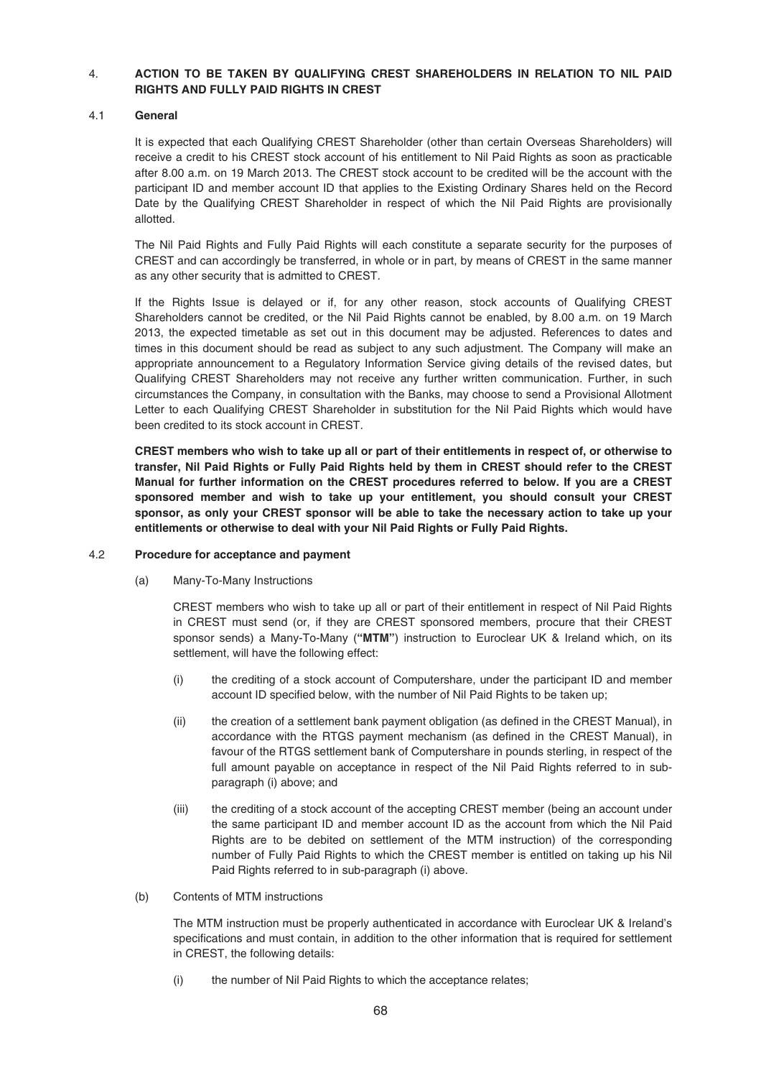# 4. **ACTION TO BE TAKEN BY QUALIFYING CREST SHAREHOLDERS IN RELATION TO NIL PAID RIGHTS AND FULLY PAID RIGHTS IN CREST**

# 4.1 **General**

It is expected that each Qualifying CREST Shareholder (other than certain Overseas Shareholders) will receive a credit to his CREST stock account of his entitlement to Nil Paid Rights as soon as practicable after 8.00 a.m. on 19 March 2013. The CREST stock account to be credited will be the account with the participant ID and member account ID that applies to the Existing Ordinary Shares held on the Record Date by the Qualifying CREST Shareholder in respect of which the Nil Paid Rights are provisionally allotted.

The Nil Paid Rights and Fully Paid Rights will each constitute a separate security for the purposes of CREST and can accordingly be transferred, in whole or in part, by means of CREST in the same manner as any other security that is admitted to CREST.

If the Rights Issue is delayed or if, for any other reason, stock accounts of Qualifying CREST Shareholders cannot be credited, or the Nil Paid Rights cannot be enabled, by 8.00 a.m. on 19 March 2013, the expected timetable as set out in this document may be adjusted. References to dates and times in this document should be read as subject to any such adjustment. The Company will make an appropriate announcement to a Regulatory Information Service giving details of the revised dates, but Qualifying CREST Shareholders may not receive any further written communication. Further, in such circumstances the Company, in consultation with the Banks, may choose to send a Provisional Allotment Letter to each Qualifying CREST Shareholder in substitution for the Nil Paid Rights which would have been credited to its stock account in CREST.

**CREST members who wish to take up all or part of their entitlements in respect of, or otherwise to transfer, Nil Paid Rights or Fully Paid Rights held by them in CREST should refer to the CREST Manual for further information on the CREST procedures referred to below. If you are a CREST sponsored member and wish to take up your entitlement, you should consult your CREST sponsor, as only your CREST sponsor will be able to take the necessary action to take up your entitlements or otherwise to deal with your Nil Paid Rights or Fully Paid Rights.**

### 4.2 **Procedure for acceptance and payment**

(a) Many-To-Many Instructions

CREST members who wish to take up all or part of their entitlement in respect of Nil Paid Rights in CREST must send (or, if they are CREST sponsored members, procure that their CREST sponsor sends) a Many-To-Many (**"MTM"**) instruction to Euroclear UK & Ireland which, on its settlement, will have the following effect:

- (i) the crediting of a stock account of Computershare, under the participant ID and member account ID specified below, with the number of Nil Paid Rights to be taken up;
- (ii) the creation of a settlement bank payment obligation (as defined in the CREST Manual), in accordance with the RTGS payment mechanism (as defined in the CREST Manual), in favour of the RTGS settlement bank of Computershare in pounds sterling, in respect of the full amount payable on acceptance in respect of the Nil Paid Rights referred to in subparagraph (i) above; and
- (iii) the crediting of a stock account of the accepting CREST member (being an account under the same participant ID and member account ID as the account from which the Nil Paid Rights are to be debited on settlement of the MTM instruction) of the corresponding number of Fully Paid Rights to which the CREST member is entitled on taking up his Nil Paid Rights referred to in sub-paragraph (i) above.
- (b) Contents of MTM instructions

The MTM instruction must be properly authenticated in accordance with Euroclear UK & Ireland's specifications and must contain, in addition to the other information that is required for settlement in CREST, the following details:

(i) the number of Nil Paid Rights to which the acceptance relates;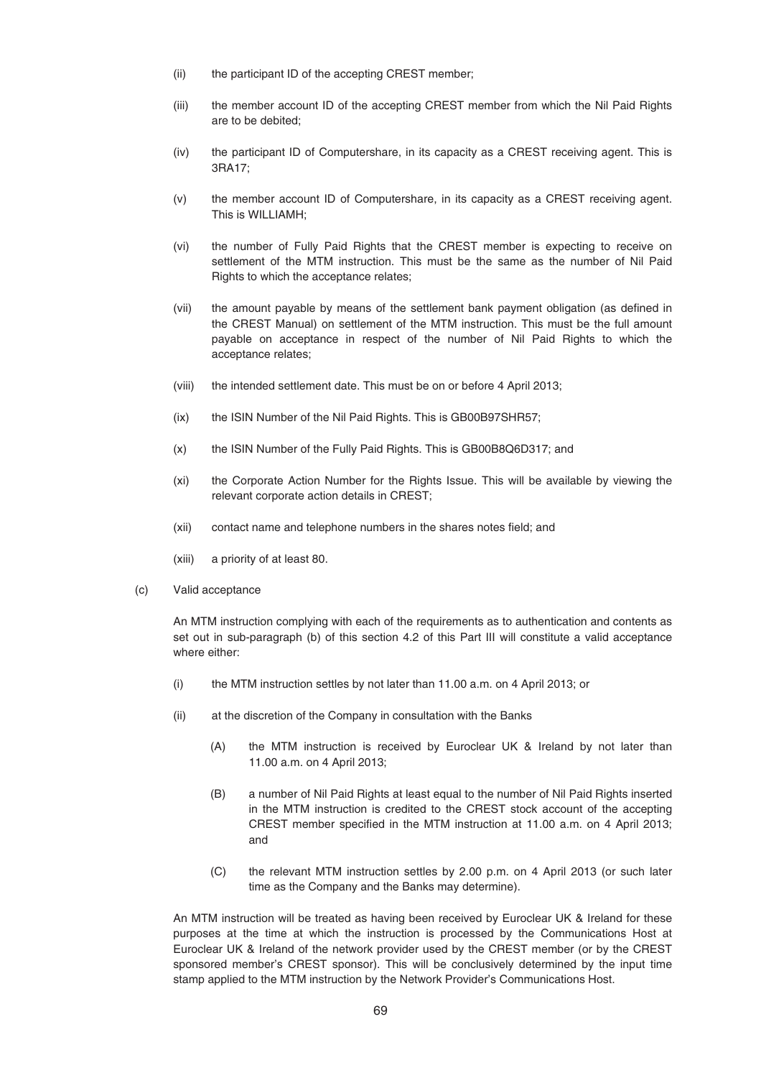- (ii) the participant ID of the accepting CREST member;
- (iii) the member account ID of the accepting CREST member from which the Nil Paid Rights are to be debited;
- (iv) the participant ID of Computershare, in its capacity as a CREST receiving agent. This is 3RA17;
- (v) the member account ID of Computershare, in its capacity as a CREST receiving agent. This is WILLIAMH;
- (vi) the number of Fully Paid Rights that the CREST member is expecting to receive on settlement of the MTM instruction. This must be the same as the number of Nil Paid Rights to which the acceptance relates;
- (vii) the amount payable by means of the settlement bank payment obligation (as defined in the CREST Manual) on settlement of the MTM instruction. This must be the full amount payable on acceptance in respect of the number of Nil Paid Rights to which the acceptance relates;
- (viii) the intended settlement date. This must be on or before 4 April 2013;
- (ix) the ISIN Number of the Nil Paid Rights. This is GB00B97SHR57;
- (x) the ISIN Number of the Fully Paid Rights. This is GB00B8Q6D317; and
- (xi) the Corporate Action Number for the Rights Issue. This will be available by viewing the relevant corporate action details in CREST;
- (xii) contact name and telephone numbers in the shares notes field; and
- (xiii) a priority of at least 80.
- (c) Valid acceptance

An MTM instruction complying with each of the requirements as to authentication and contents as set out in sub-paragraph (b) of this section 4.2 of this Part III will constitute a valid acceptance where either:

- (i) the MTM instruction settles by not later than 11.00 a.m. on 4 April 2013; or
- (ii) at the discretion of the Company in consultation with the Banks
	- (A) the MTM instruction is received by Euroclear UK & Ireland by not later than 11.00 a.m. on 4 April 2013;
	- (B) a number of Nil Paid Rights at least equal to the number of Nil Paid Rights inserted in the MTM instruction is credited to the CREST stock account of the accepting CREST member specified in the MTM instruction at 11.00 a.m. on 4 April 2013; and
	- (C) the relevant MTM instruction settles by 2.00 p.m. on 4 April 2013 (or such later time as the Company and the Banks may determine).

An MTM instruction will be treated as having been received by Euroclear UK & Ireland for these purposes at the time at which the instruction is processed by the Communications Host at Euroclear UK & Ireland of the network provider used by the CREST member (or by the CREST sponsored member's CREST sponsor). This will be conclusively determined by the input time stamp applied to the MTM instruction by the Network Provider's Communications Host.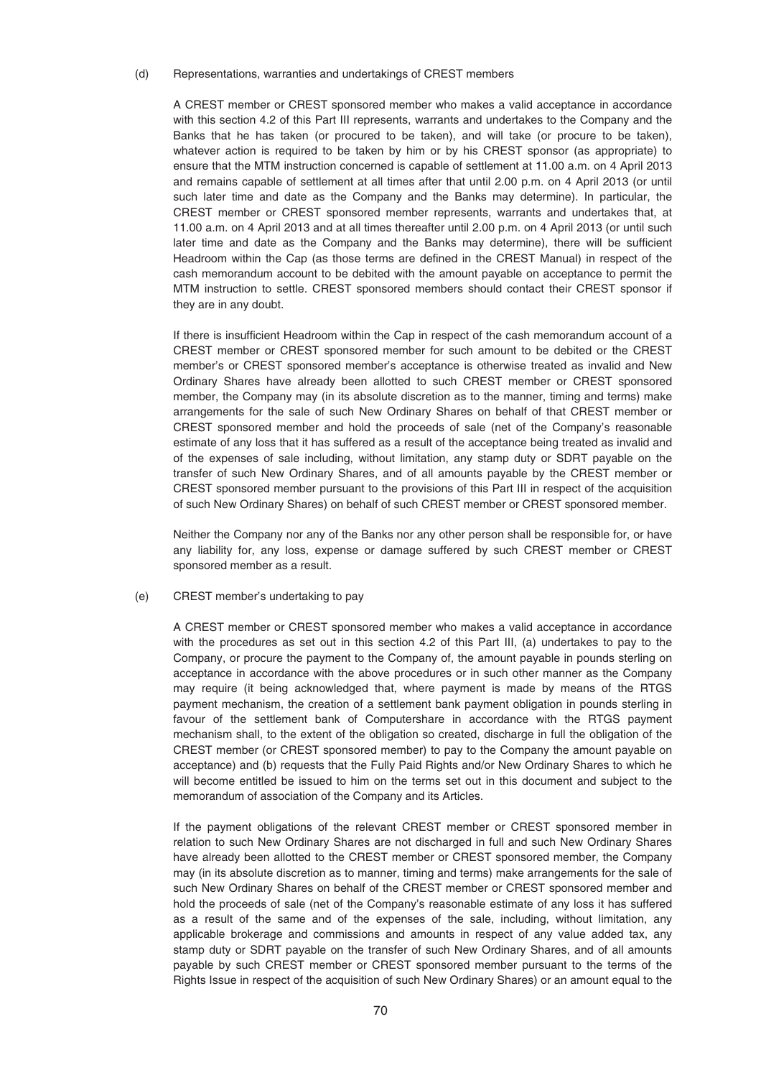#### (d) Representations, warranties and undertakings of CREST members

A CREST member or CREST sponsored member who makes a valid acceptance in accordance with this section 4.2 of this Part III represents, warrants and undertakes to the Company and the Banks that he has taken (or procured to be taken), and will take (or procure to be taken), whatever action is required to be taken by him or by his CREST sponsor (as appropriate) to ensure that the MTM instruction concerned is capable of settlement at 11.00 a.m. on 4 April 2013 and remains capable of settlement at all times after that until 2.00 p.m. on 4 April 2013 (or until such later time and date as the Company and the Banks may determine). In particular, the CREST member or CREST sponsored member represents, warrants and undertakes that, at 11.00 a.m. on 4 April 2013 and at all times thereafter until 2.00 p.m. on 4 April 2013 (or until such later time and date as the Company and the Banks may determine), there will be sufficient Headroom within the Cap (as those terms are defined in the CREST Manual) in respect of the cash memorandum account to be debited with the amount payable on acceptance to permit the MTM instruction to settle. CREST sponsored members should contact their CREST sponsor if they are in any doubt.

If there is insufficient Headroom within the Cap in respect of the cash memorandum account of a CREST member or CREST sponsored member for such amount to be debited or the CREST member's or CREST sponsored member's acceptance is otherwise treated as invalid and New Ordinary Shares have already been allotted to such CREST member or CREST sponsored member, the Company may (in its absolute discretion as to the manner, timing and terms) make arrangements for the sale of such New Ordinary Shares on behalf of that CREST member or CREST sponsored member and hold the proceeds of sale (net of the Company's reasonable estimate of any loss that it has suffered as a result of the acceptance being treated as invalid and of the expenses of sale including, without limitation, any stamp duty or SDRT payable on the transfer of such New Ordinary Shares, and of all amounts payable by the CREST member or CREST sponsored member pursuant to the provisions of this Part III in respect of the acquisition of such New Ordinary Shares) on behalf of such CREST member or CREST sponsored member.

Neither the Company nor any of the Banks nor any other person shall be responsible for, or have any liability for, any loss, expense or damage suffered by such CREST member or CREST sponsored member as a result.

#### (e) CREST member's undertaking to pay

A CREST member or CREST sponsored member who makes a valid acceptance in accordance with the procedures as set out in this section 4.2 of this Part III, (a) undertakes to pay to the Company, or procure the payment to the Company of, the amount payable in pounds sterling on acceptance in accordance with the above procedures or in such other manner as the Company may require (it being acknowledged that, where payment is made by means of the RTGS payment mechanism, the creation of a settlement bank payment obligation in pounds sterling in favour of the settlement bank of Computershare in accordance with the RTGS payment mechanism shall, to the extent of the obligation so created, discharge in full the obligation of the CREST member (or CREST sponsored member) to pay to the Company the amount payable on acceptance) and (b) requests that the Fully Paid Rights and/or New Ordinary Shares to which he will become entitled be issued to him on the terms set out in this document and subject to the memorandum of association of the Company and its Articles.

If the payment obligations of the relevant CREST member or CREST sponsored member in relation to such New Ordinary Shares are not discharged in full and such New Ordinary Shares have already been allotted to the CREST member or CREST sponsored member, the Company may (in its absolute discretion as to manner, timing and terms) make arrangements for the sale of such New Ordinary Shares on behalf of the CREST member or CREST sponsored member and hold the proceeds of sale (net of the Company's reasonable estimate of any loss it has suffered as a result of the same and of the expenses of the sale, including, without limitation, any applicable brokerage and commissions and amounts in respect of any value added tax, any stamp duty or SDRT payable on the transfer of such New Ordinary Shares, and of all amounts payable by such CREST member or CREST sponsored member pursuant to the terms of the Rights Issue in respect of the acquisition of such New Ordinary Shares) or an amount equal to the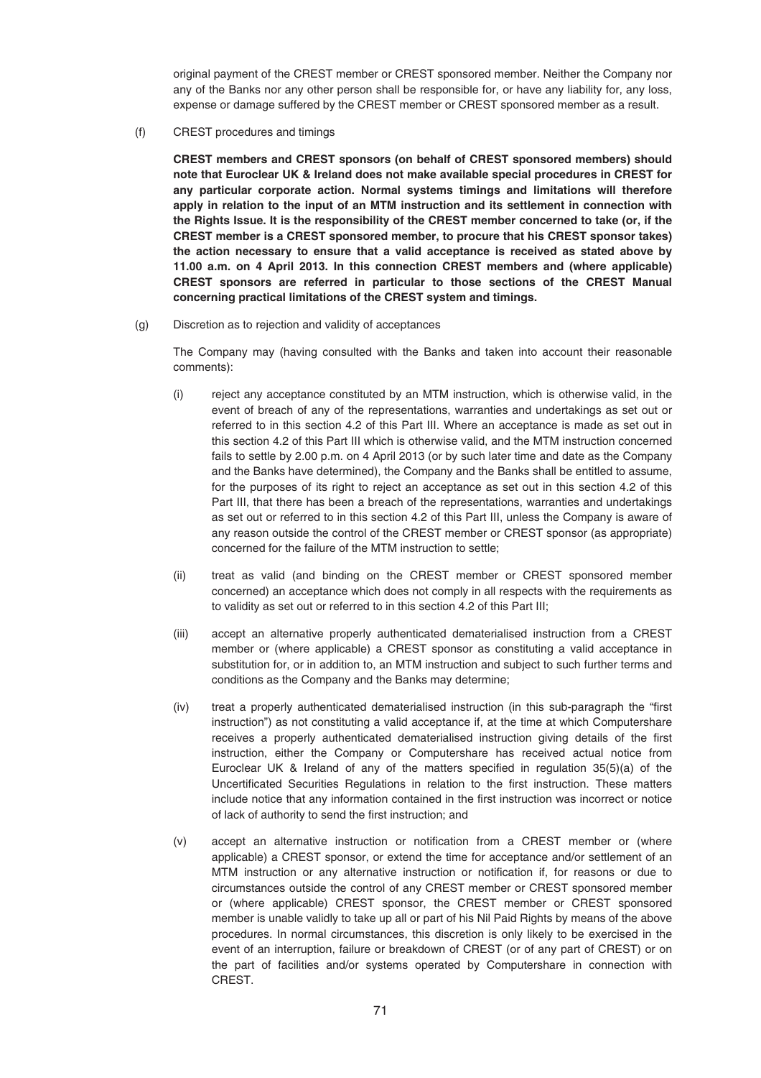original payment of the CREST member or CREST sponsored member. Neither the Company nor any of the Banks nor any other person shall be responsible for, or have any liability for, any loss, expense or damage suffered by the CREST member or CREST sponsored member as a result.

(f) CREST procedures and timings

**CREST members and CREST sponsors (on behalf of CREST sponsored members) should note that Euroclear UK & Ireland does not make available special procedures in CREST for any particular corporate action. Normal systems timings and limitations will therefore apply in relation to the input of an MTM instruction and its settlement in connection with the Rights Issue. It is the responsibility of the CREST member concerned to take (or, if the CREST member is a CREST sponsored member, to procure that his CREST sponsor takes) the action necessary to ensure that a valid acceptance is received as stated above by 11.00 a.m. on 4 April 2013. In this connection CREST members and (where applicable) CREST sponsors are referred in particular to those sections of the CREST Manual concerning practical limitations of the CREST system and timings.**

(g) Discretion as to rejection and validity of acceptances

The Company may (having consulted with the Banks and taken into account their reasonable comments):

- (i) reject any acceptance constituted by an MTM instruction, which is otherwise valid, in the event of breach of any of the representations, warranties and undertakings as set out or referred to in this section 4.2 of this Part III. Where an acceptance is made as set out in this section 4.2 of this Part III which is otherwise valid, and the MTM instruction concerned fails to settle by 2.00 p.m. on 4 April 2013 (or by such later time and date as the Company and the Banks have determined), the Company and the Banks shall be entitled to assume, for the purposes of its right to reject an acceptance as set out in this section 4.2 of this Part III, that there has been a breach of the representations, warranties and undertakings as set out or referred to in this section 4.2 of this Part III, unless the Company is aware of any reason outside the control of the CREST member or CREST sponsor (as appropriate) concerned for the failure of the MTM instruction to settle;
- (ii) treat as valid (and binding on the CREST member or CREST sponsored member concerned) an acceptance which does not comply in all respects with the requirements as to validity as set out or referred to in this section 4.2 of this Part III;
- (iii) accept an alternative properly authenticated dematerialised instruction from a CREST member or (where applicable) a CREST sponsor as constituting a valid acceptance in substitution for, or in addition to, an MTM instruction and subject to such further terms and conditions as the Company and the Banks may determine;
- (iv) treat a properly authenticated dematerialised instruction (in this sub-paragraph the "first instruction") as not constituting a valid acceptance if, at the time at which Computershare receives a properly authenticated dematerialised instruction giving details of the first instruction, either the Company or Computershare has received actual notice from Euroclear UK & Ireland of any of the matters specified in regulation 35(5)(a) of the Uncertificated Securities Regulations in relation to the first instruction. These matters include notice that any information contained in the first instruction was incorrect or notice of lack of authority to send the first instruction; and
- (v) accept an alternative instruction or notification from a CREST member or (where applicable) a CREST sponsor, or extend the time for acceptance and/or settlement of an MTM instruction or any alternative instruction or notification if, for reasons or due to circumstances outside the control of any CREST member or CREST sponsored member or (where applicable) CREST sponsor, the CREST member or CREST sponsored member is unable validly to take up all or part of his Nil Paid Rights by means of the above procedures. In normal circumstances, this discretion is only likely to be exercised in the event of an interruption, failure or breakdown of CREST (or of any part of CREST) or on the part of facilities and/or systems operated by Computershare in connection with CREST.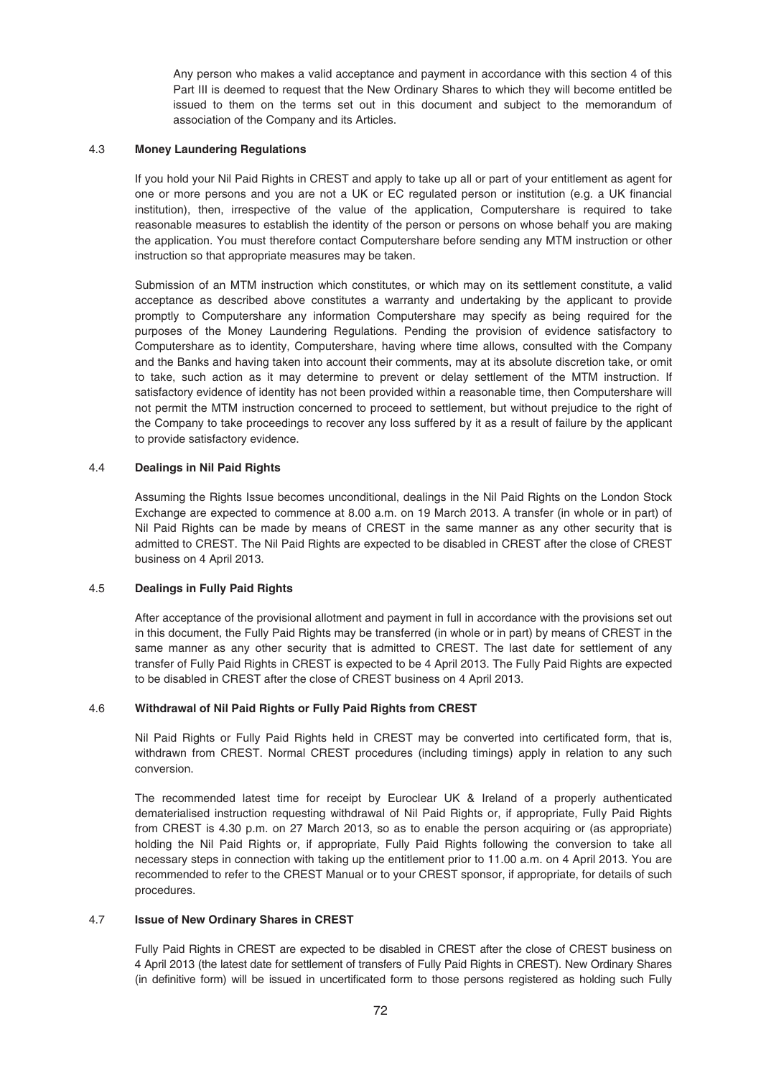Any person who makes a valid acceptance and payment in accordance with this section 4 of this Part III is deemed to request that the New Ordinary Shares to which they will become entitled be issued to them on the terms set out in this document and subject to the memorandum of association of the Company and its Articles.

# 4.3 **Money Laundering Regulations**

If you hold your Nil Paid Rights in CREST and apply to take up all or part of your entitlement as agent for one or more persons and you are not a UK or EC regulated person or institution (e.g. a UK financial institution), then, irrespective of the value of the application, Computershare is required to take reasonable measures to establish the identity of the person or persons on whose behalf you are making the application. You must therefore contact Computershare before sending any MTM instruction or other instruction so that appropriate measures may be taken.

Submission of an MTM instruction which constitutes, or which may on its settlement constitute, a valid acceptance as described above constitutes a warranty and undertaking by the applicant to provide promptly to Computershare any information Computershare may specify as being required for the purposes of the Money Laundering Regulations. Pending the provision of evidence satisfactory to Computershare as to identity, Computershare, having where time allows, consulted with the Company and the Banks and having taken into account their comments, may at its absolute discretion take, or omit to take, such action as it may determine to prevent or delay settlement of the MTM instruction. If satisfactory evidence of identity has not been provided within a reasonable time, then Computershare will not permit the MTM instruction concerned to proceed to settlement, but without prejudice to the right of the Company to take proceedings to recover any loss suffered by it as a result of failure by the applicant to provide satisfactory evidence.

# 4.4 **Dealings in Nil Paid Rights**

Assuming the Rights Issue becomes unconditional, dealings in the Nil Paid Rights on the London Stock Exchange are expected to commence at 8.00 a.m. on 19 March 2013. A transfer (in whole or in part) of Nil Paid Rights can be made by means of CREST in the same manner as any other security that is admitted to CREST. The Nil Paid Rights are expected to be disabled in CREST after the close of CREST business on 4 April 2013.

### 4.5 **Dealings in Fully Paid Rights**

After acceptance of the provisional allotment and payment in full in accordance with the provisions set out in this document, the Fully Paid Rights may be transferred (in whole or in part) by means of CREST in the same manner as any other security that is admitted to CREST. The last date for settlement of any transfer of Fully Paid Rights in CREST is expected to be 4 April 2013. The Fully Paid Rights are expected to be disabled in CREST after the close of CREST business on 4 April 2013.

# 4.6 **Withdrawal of Nil Paid Rights or Fully Paid Rights from CREST**

Nil Paid Rights or Fully Paid Rights held in CREST may be converted into certificated form, that is, withdrawn from CREST. Normal CREST procedures (including timings) apply in relation to any such conversion.

The recommended latest time for receipt by Euroclear UK & Ireland of a properly authenticated dematerialised instruction requesting withdrawal of Nil Paid Rights or, if appropriate, Fully Paid Rights from CREST is 4.30 p.m. on 27 March 2013, so as to enable the person acquiring or (as appropriate) holding the Nil Paid Rights or, if appropriate, Fully Paid Rights following the conversion to take all necessary steps in connection with taking up the entitlement prior to 11.00 a.m. on 4 April 2013. You are recommended to refer to the CREST Manual or to your CREST sponsor, if appropriate, for details of such procedures.

# 4.7 **Issue of New Ordinary Shares in CREST**

Fully Paid Rights in CREST are expected to be disabled in CREST after the close of CREST business on 4 April 2013 (the latest date for settlement of transfers of Fully Paid Rights in CREST). New Ordinary Shares (in definitive form) will be issued in uncertificated form to those persons registered as holding such Fully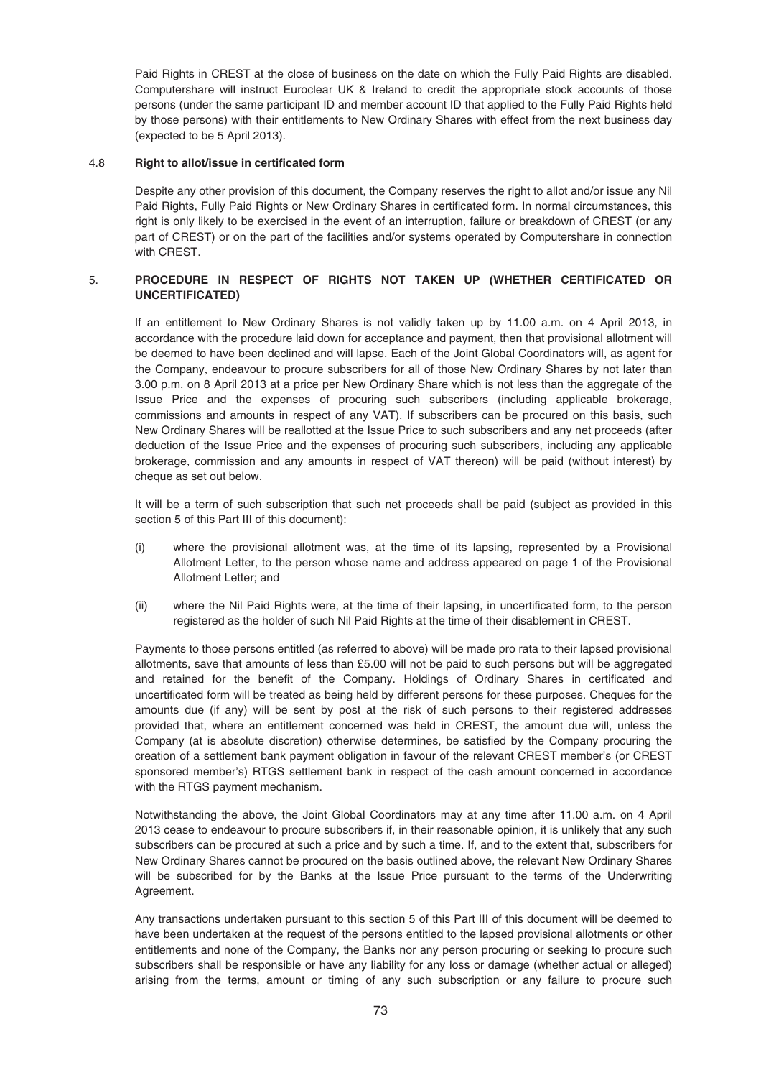Paid Rights in CREST at the close of business on the date on which the Fully Paid Rights are disabled. Computershare will instruct Euroclear UK & Ireland to credit the appropriate stock accounts of those persons (under the same participant ID and member account ID that applied to the Fully Paid Rights held by those persons) with their entitlements to New Ordinary Shares with effect from the next business day (expected to be 5 April 2013).

# 4.8 **Right to allot/issue in certificated form**

Despite any other provision of this document, the Company reserves the right to allot and/or issue any Nil Paid Rights, Fully Paid Rights or New Ordinary Shares in certificated form. In normal circumstances, this right is only likely to be exercised in the event of an interruption, failure or breakdown of CREST (or any part of CREST) or on the part of the facilities and/or systems operated by Computershare in connection with CREST.

# 5. **PROCEDURE IN RESPECT OF RIGHTS NOT TAKEN UP (WHETHER CERTIFICATED OR UNCERTIFICATED)**

If an entitlement to New Ordinary Shares is not validly taken up by 11.00 a.m. on 4 April 2013, in accordance with the procedure laid down for acceptance and payment, then that provisional allotment will be deemed to have been declined and will lapse. Each of the Joint Global Coordinators will, as agent for the Company, endeavour to procure subscribers for all of those New Ordinary Shares by not later than 3.00 p.m. on 8 April 2013 at a price per New Ordinary Share which is not less than the aggregate of the Issue Price and the expenses of procuring such subscribers (including applicable brokerage, commissions and amounts in respect of any VAT). If subscribers can be procured on this basis, such New Ordinary Shares will be reallotted at the Issue Price to such subscribers and any net proceeds (after deduction of the Issue Price and the expenses of procuring such subscribers, including any applicable brokerage, commission and any amounts in respect of VAT thereon) will be paid (without interest) by cheque as set out below.

It will be a term of such subscription that such net proceeds shall be paid (subject as provided in this section 5 of this Part III of this document):

- (i) where the provisional allotment was, at the time of its lapsing, represented by a Provisional Allotment Letter, to the person whose name and address appeared on page 1 of the Provisional Allotment Letter; and
- (ii) where the Nil Paid Rights were, at the time of their lapsing, in uncertificated form, to the person registered as the holder of such Nil Paid Rights at the time of their disablement in CREST.

Payments to those persons entitled (as referred to above) will be made pro rata to their lapsed provisional allotments, save that amounts of less than £5.00 will not be paid to such persons but will be aggregated and retained for the benefit of the Company. Holdings of Ordinary Shares in certificated and uncertificated form will be treated as being held by different persons for these purposes. Cheques for the amounts due (if any) will be sent by post at the risk of such persons to their registered addresses provided that, where an entitlement concerned was held in CREST, the amount due will, unless the Company (at is absolute discretion) otherwise determines, be satisfied by the Company procuring the creation of a settlement bank payment obligation in favour of the relevant CREST member's (or CREST sponsored member's) RTGS settlement bank in respect of the cash amount concerned in accordance with the RTGS payment mechanism.

Notwithstanding the above, the Joint Global Coordinators may at any time after 11.00 a.m. on 4 April 2013 cease to endeavour to procure subscribers if, in their reasonable opinion, it is unlikely that any such subscribers can be procured at such a price and by such a time. If, and to the extent that, subscribers for New Ordinary Shares cannot be procured on the basis outlined above, the relevant New Ordinary Shares will be subscribed for by the Banks at the Issue Price pursuant to the terms of the Underwriting Agreement.

Any transactions undertaken pursuant to this section 5 of this Part III of this document will be deemed to have been undertaken at the request of the persons entitled to the lapsed provisional allotments or other entitlements and none of the Company, the Banks nor any person procuring or seeking to procure such subscribers shall be responsible or have any liability for any loss or damage (whether actual or alleged) arising from the terms, amount or timing of any such subscription or any failure to procure such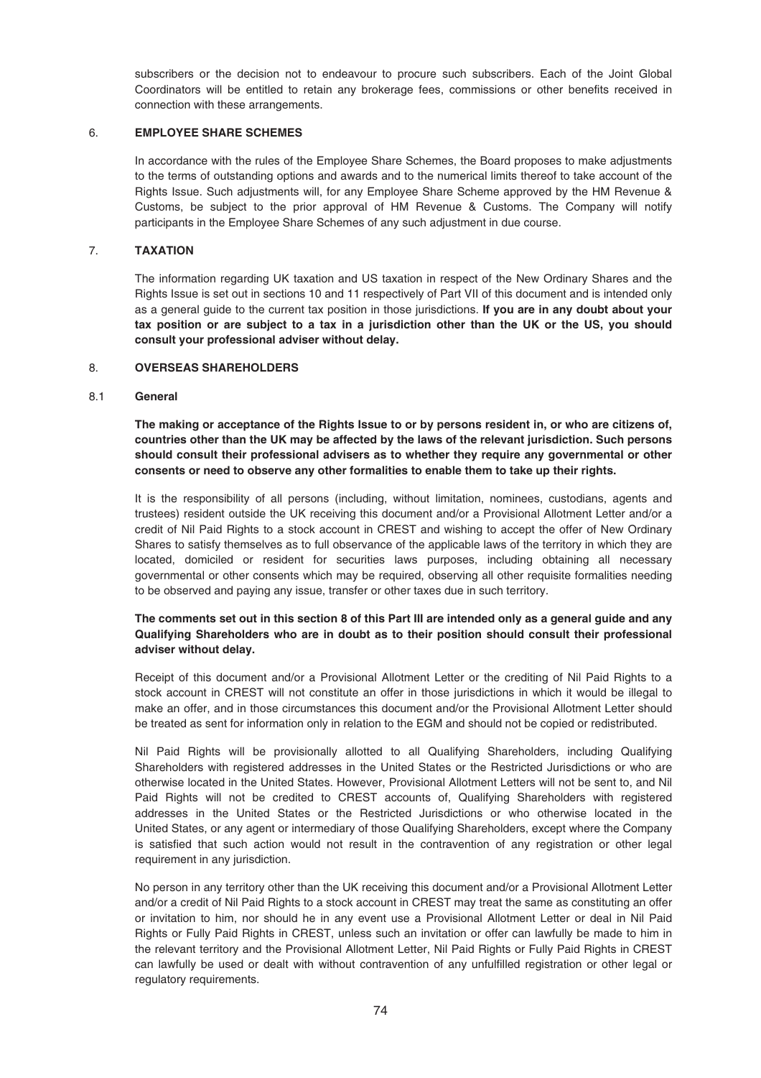subscribers or the decision not to endeavour to procure such subscribers. Each of the Joint Global Coordinators will be entitled to retain any brokerage fees, commissions or other benefits received in connection with these arrangements.

# 6. **EMPLOYEE SHARE SCHEMES**

In accordance with the rules of the Employee Share Schemes, the Board proposes to make adjustments to the terms of outstanding options and awards and to the numerical limits thereof to take account of the Rights Issue. Such adjustments will, for any Employee Share Scheme approved by the HM Revenue & Customs, be subject to the prior approval of HM Revenue & Customs. The Company will notify participants in the Employee Share Schemes of any such adjustment in due course.

# 7. **TAXATION**

The information regarding UK taxation and US taxation in respect of the New Ordinary Shares and the Rights Issue is set out in sections 10 and 11 respectively of Part VII of this document and is intended only as a general guide to the current tax position in those jurisdictions. **If you are in any doubt about your tax position or are subject to a tax in a jurisdiction other than the UK or the US, you should consult your professional adviser without delay.**

### 8. **OVERSEAS SHAREHOLDERS**

### 8.1 **General**

**The making or acceptance of the Rights Issue to or by persons resident in, or who are citizens of, countries other than the UK may be affected by the laws of the relevant jurisdiction. Such persons should consult their professional advisers as to whether they require any governmental or other consents or need to observe any other formalities to enable them to take up their rights.**

It is the responsibility of all persons (including, without limitation, nominees, custodians, agents and trustees) resident outside the UK receiving this document and/or a Provisional Allotment Letter and/or a credit of Nil Paid Rights to a stock account in CREST and wishing to accept the offer of New Ordinary Shares to satisfy themselves as to full observance of the applicable laws of the territory in which they are located, domiciled or resident for securities laws purposes, including obtaining all necessary governmental or other consents which may be required, observing all other requisite formalities needing to be observed and paying any issue, transfer or other taxes due in such territory.

# **The comments set out in this section 8 of this Part III are intended only as a general guide and any Qualifying Shareholders who are in doubt as to their position should consult their professional adviser without delay.**

Receipt of this document and/or a Provisional Allotment Letter or the crediting of Nil Paid Rights to a stock account in CREST will not constitute an offer in those jurisdictions in which it would be illegal to make an offer, and in those circumstances this document and/or the Provisional Allotment Letter should be treated as sent for information only in relation to the EGM and should not be copied or redistributed.

Nil Paid Rights will be provisionally allotted to all Qualifying Shareholders, including Qualifying Shareholders with registered addresses in the United States or the Restricted Jurisdictions or who are otherwise located in the United States. However, Provisional Allotment Letters will not be sent to, and Nil Paid Rights will not be credited to CREST accounts of, Qualifying Shareholders with registered addresses in the United States or the Restricted Jurisdictions or who otherwise located in the United States, or any agent or intermediary of those Qualifying Shareholders, except where the Company is satisfied that such action would not result in the contravention of any registration or other legal requirement in any jurisdiction.

No person in any territory other than the UK receiving this document and/or a Provisional Allotment Letter and/or a credit of Nil Paid Rights to a stock account in CREST may treat the same as constituting an offer or invitation to him, nor should he in any event use a Provisional Allotment Letter or deal in Nil Paid Rights or Fully Paid Rights in CREST, unless such an invitation or offer can lawfully be made to him in the relevant territory and the Provisional Allotment Letter, Nil Paid Rights or Fully Paid Rights in CREST can lawfully be used or dealt with without contravention of any unfulfilled registration or other legal or regulatory requirements.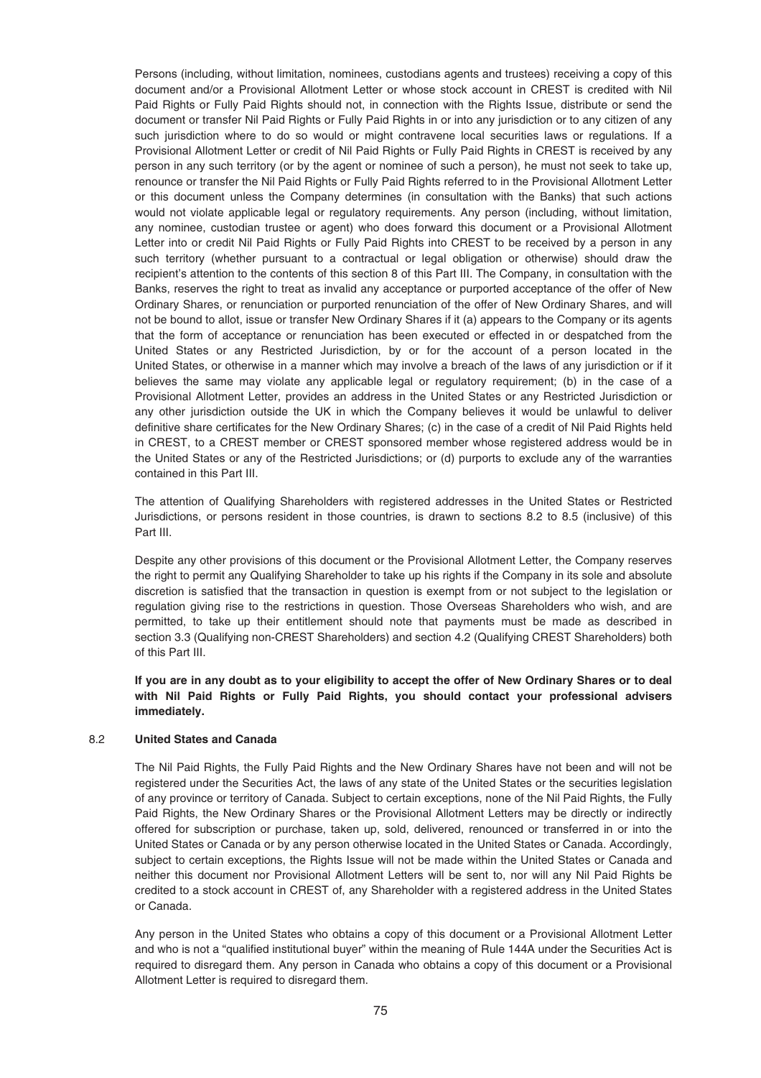Persons (including, without limitation, nominees, custodians agents and trustees) receiving a copy of this document and/or a Provisional Allotment Letter or whose stock account in CREST is credited with Nil Paid Rights or Fully Paid Rights should not, in connection with the Rights Issue, distribute or send the document or transfer Nil Paid Rights or Fully Paid Rights in or into any jurisdiction or to any citizen of any such jurisdiction where to do so would or might contravene local securities laws or regulations. If a Provisional Allotment Letter or credit of Nil Paid Rights or Fully Paid Rights in CREST is received by any person in any such territory (or by the agent or nominee of such a person), he must not seek to take up, renounce or transfer the Nil Paid Rights or Fully Paid Rights referred to in the Provisional Allotment Letter or this document unless the Company determines (in consultation with the Banks) that such actions would not violate applicable legal or regulatory requirements. Any person (including, without limitation, any nominee, custodian trustee or agent) who does forward this document or a Provisional Allotment Letter into or credit Nil Paid Rights or Fully Paid Rights into CREST to be received by a person in any such territory (whether pursuant to a contractual or legal obligation or otherwise) should draw the recipient's attention to the contents of this section 8 of this Part III. The Company, in consultation with the Banks, reserves the right to treat as invalid any acceptance or purported acceptance of the offer of New Ordinary Shares, or renunciation or purported renunciation of the offer of New Ordinary Shares, and will not be bound to allot, issue or transfer New Ordinary Shares if it (a) appears to the Company or its agents that the form of acceptance or renunciation has been executed or effected in or despatched from the United States or any Restricted Jurisdiction, by or for the account of a person located in the United States, or otherwise in a manner which may involve a breach of the laws of any jurisdiction or if it believes the same may violate any applicable legal or regulatory requirement; (b) in the case of a Provisional Allotment Letter, provides an address in the United States or any Restricted Jurisdiction or any other jurisdiction outside the UK in which the Company believes it would be unlawful to deliver definitive share certificates for the New Ordinary Shares; (c) in the case of a credit of Nil Paid Rights held in CREST, to a CREST member or CREST sponsored member whose registered address would be in the United States or any of the Restricted Jurisdictions; or (d) purports to exclude any of the warranties contained in this Part III.

The attention of Qualifying Shareholders with registered addresses in the United States or Restricted Jurisdictions, or persons resident in those countries, is drawn to sections 8.2 to 8.5 (inclusive) of this Part III.

Despite any other provisions of this document or the Provisional Allotment Letter, the Company reserves the right to permit any Qualifying Shareholder to take up his rights if the Company in its sole and absolute discretion is satisfied that the transaction in question is exempt from or not subject to the legislation or regulation giving rise to the restrictions in question. Those Overseas Shareholders who wish, and are permitted, to take up their entitlement should note that payments must be made as described in section 3.3 (Qualifying non-CREST Shareholders) and section 4.2 (Qualifying CREST Shareholders) both of this Part III.

**If you are in any doubt as to your eligibility to accept the offer of New Ordinary Shares or to deal with Nil Paid Rights or Fully Paid Rights, you should contact your professional advisers immediately.**

### 8.2 **United States and Canada**

The Nil Paid Rights, the Fully Paid Rights and the New Ordinary Shares have not been and will not be registered under the Securities Act, the laws of any state of the United States or the securities legislation of any province or territory of Canada. Subject to certain exceptions, none of the Nil Paid Rights, the Fully Paid Rights, the New Ordinary Shares or the Provisional Allotment Letters may be directly or indirectly offered for subscription or purchase, taken up, sold, delivered, renounced or transferred in or into the United States or Canada or by any person otherwise located in the United States or Canada. Accordingly, subject to certain exceptions, the Rights Issue will not be made within the United States or Canada and neither this document nor Provisional Allotment Letters will be sent to, nor will any Nil Paid Rights be credited to a stock account in CREST of, any Shareholder with a registered address in the United States or Canada.

Any person in the United States who obtains a copy of this document or a Provisional Allotment Letter and who is not a "qualified institutional buyer" within the meaning of Rule 144A under the Securities Act is required to disregard them. Any person in Canada who obtains a copy of this document or a Provisional Allotment Letter is required to disregard them.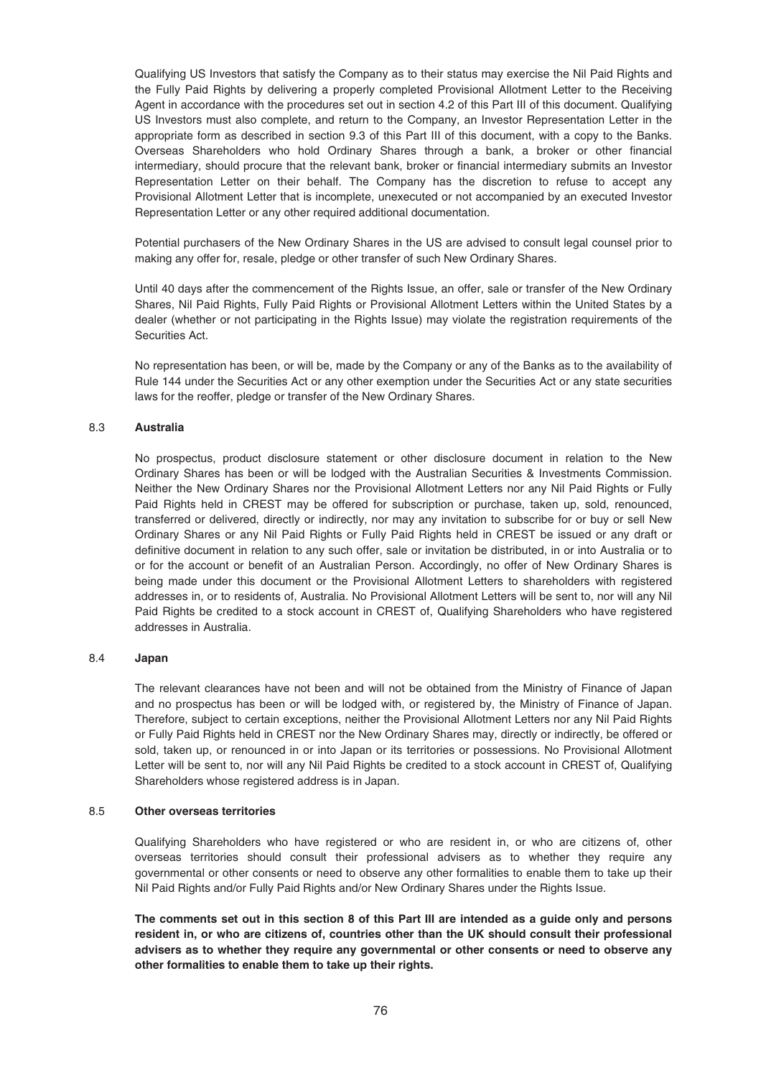Qualifying US Investors that satisfy the Company as to their status may exercise the Nil Paid Rights and the Fully Paid Rights by delivering a properly completed Provisional Allotment Letter to the Receiving Agent in accordance with the procedures set out in section 4.2 of this Part III of this document. Qualifying US Investors must also complete, and return to the Company, an Investor Representation Letter in the appropriate form as described in section 9.3 of this Part III of this document, with a copy to the Banks. Overseas Shareholders who hold Ordinary Shares through a bank, a broker or other financial intermediary, should procure that the relevant bank, broker or financial intermediary submits an Investor Representation Letter on their behalf. The Company has the discretion to refuse to accept any Provisional Allotment Letter that is incomplete, unexecuted or not accompanied by an executed Investor Representation Letter or any other required additional documentation.

Potential purchasers of the New Ordinary Shares in the US are advised to consult legal counsel prior to making any offer for, resale, pledge or other transfer of such New Ordinary Shares.

Until 40 days after the commencement of the Rights Issue, an offer, sale or transfer of the New Ordinary Shares, Nil Paid Rights, Fully Paid Rights or Provisional Allotment Letters within the United States by a dealer (whether or not participating in the Rights Issue) may violate the registration requirements of the Securities Act.

No representation has been, or will be, made by the Company or any of the Banks as to the availability of Rule 144 under the Securities Act or any other exemption under the Securities Act or any state securities laws for the reoffer, pledge or transfer of the New Ordinary Shares.

# 8.3 **Australia**

No prospectus, product disclosure statement or other disclosure document in relation to the New Ordinary Shares has been or will be lodged with the Australian Securities & Investments Commission. Neither the New Ordinary Shares nor the Provisional Allotment Letters nor any Nil Paid Rights or Fully Paid Rights held in CREST may be offered for subscription or purchase, taken up, sold, renounced, transferred or delivered, directly or indirectly, nor may any invitation to subscribe for or buy or sell New Ordinary Shares or any Nil Paid Rights or Fully Paid Rights held in CREST be issued or any draft or definitive document in relation to any such offer, sale or invitation be distributed, in or into Australia or to or for the account or benefit of an Australian Person. Accordingly, no offer of New Ordinary Shares is being made under this document or the Provisional Allotment Letters to shareholders with registered addresses in, or to residents of, Australia. No Provisional Allotment Letters will be sent to, nor will any Nil Paid Rights be credited to a stock account in CREST of, Qualifying Shareholders who have registered addresses in Australia.

### 8.4 **Japan**

The relevant clearances have not been and will not be obtained from the Ministry of Finance of Japan and no prospectus has been or will be lodged with, or registered by, the Ministry of Finance of Japan. Therefore, subject to certain exceptions, neither the Provisional Allotment Letters nor any Nil Paid Rights or Fully Paid Rights held in CREST nor the New Ordinary Shares may, directly or indirectly, be offered or sold, taken up, or renounced in or into Japan or its territories or possessions. No Provisional Allotment Letter will be sent to, nor will any Nil Paid Rights be credited to a stock account in CREST of, Qualifying Shareholders whose registered address is in Japan.

### 8.5 **Other overseas territories**

Qualifying Shareholders who have registered or who are resident in, or who are citizens of, other overseas territories should consult their professional advisers as to whether they require any governmental or other consents or need to observe any other formalities to enable them to take up their Nil Paid Rights and/or Fully Paid Rights and/or New Ordinary Shares under the Rights Issue.

**The comments set out in this section 8 of this Part III are intended as a guide only and persons resident in, or who are citizens of, countries other than the UK should consult their professional advisers as to whether they require any governmental or other consents or need to observe any other formalities to enable them to take up their rights.**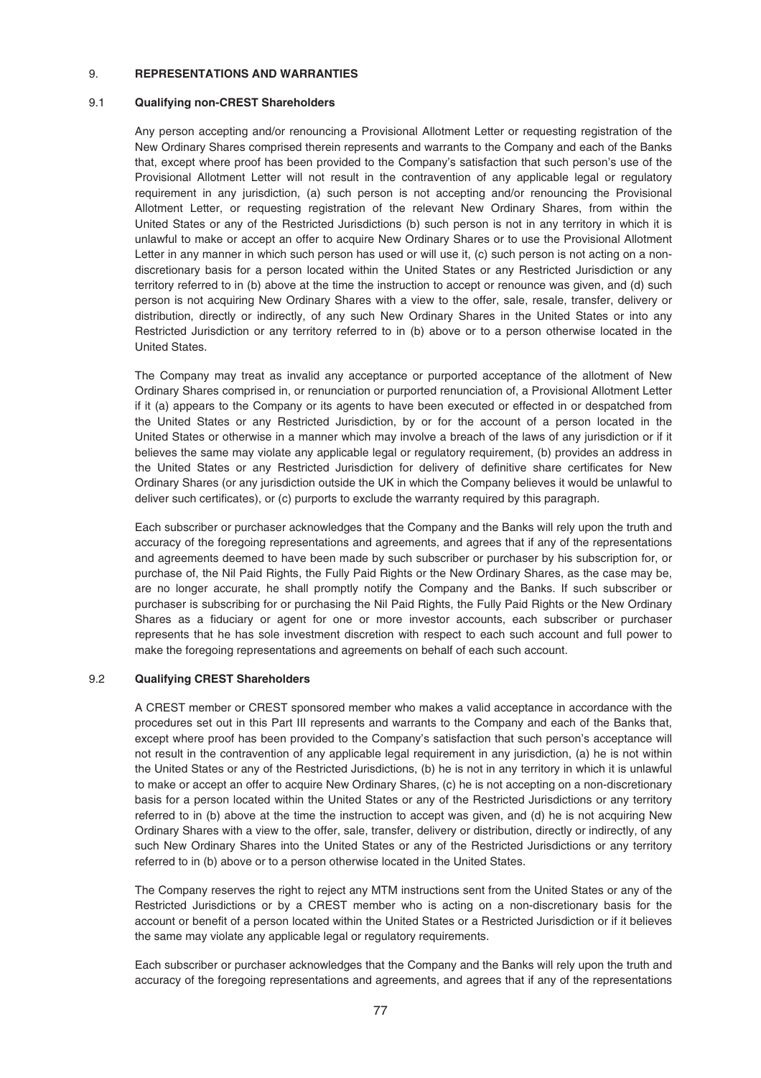### 9. **REPRESENTATIONS AND WARRANTIES**

### 9.1 **Qualifying non-CREST Shareholders**

Any person accepting and/or renouncing a Provisional Allotment Letter or requesting registration of the New Ordinary Shares comprised therein represents and warrants to the Company and each of the Banks that, except where proof has been provided to the Company's satisfaction that such person's use of the Provisional Allotment Letter will not result in the contravention of any applicable legal or regulatory requirement in any jurisdiction, (a) such person is not accepting and/or renouncing the Provisional Allotment Letter, or requesting registration of the relevant New Ordinary Shares, from within the United States or any of the Restricted Jurisdictions (b) such person is not in any territory in which it is unlawful to make or accept an offer to acquire New Ordinary Shares or to use the Provisional Allotment Letter in any manner in which such person has used or will use it, (c) such person is not acting on a nondiscretionary basis for a person located within the United States or any Restricted Jurisdiction or any territory referred to in (b) above at the time the instruction to accept or renounce was given, and (d) such person is not acquiring New Ordinary Shares with a view to the offer, sale, resale, transfer, delivery or distribution, directly or indirectly, of any such New Ordinary Shares in the United States or into any Restricted Jurisdiction or any territory referred to in (b) above or to a person otherwise located in the United States.

The Company may treat as invalid any acceptance or purported acceptance of the allotment of New Ordinary Shares comprised in, or renunciation or purported renunciation of, a Provisional Allotment Letter if it (a) appears to the Company or its agents to have been executed or effected in or despatched from the United States or any Restricted Jurisdiction, by or for the account of a person located in the United States or otherwise in a manner which may involve a breach of the laws of any jurisdiction or if it believes the same may violate any applicable legal or regulatory requirement, (b) provides an address in the United States or any Restricted Jurisdiction for delivery of definitive share certificates for New Ordinary Shares (or any jurisdiction outside the UK in which the Company believes it would be unlawful to deliver such certificates), or (c) purports to exclude the warranty required by this paragraph.

Each subscriber or purchaser acknowledges that the Company and the Banks will rely upon the truth and accuracy of the foregoing representations and agreements, and agrees that if any of the representations and agreements deemed to have been made by such subscriber or purchaser by his subscription for, or purchase of, the Nil Paid Rights, the Fully Paid Rights or the New Ordinary Shares, as the case may be, are no longer accurate, he shall promptly notify the Company and the Banks. If such subscriber or purchaser is subscribing for or purchasing the Nil Paid Rights, the Fully Paid Rights or the New Ordinary Shares as a fiduciary or agent for one or more investor accounts, each subscriber or purchaser represents that he has sole investment discretion with respect to each such account and full power to make the foregoing representations and agreements on behalf of each such account.

# 9.2 **Qualifying CREST Shareholders**

A CREST member or CREST sponsored member who makes a valid acceptance in accordance with the procedures set out in this Part III represents and warrants to the Company and each of the Banks that, except where proof has been provided to the Company's satisfaction that such person's acceptance will not result in the contravention of any applicable legal requirement in any jurisdiction, (a) he is not within the United States or any of the Restricted Jurisdictions, (b) he is not in any territory in which it is unlawful to make or accept an offer to acquire New Ordinary Shares, (c) he is not accepting on a non-discretionary basis for a person located within the United States or any of the Restricted Jurisdictions or any territory referred to in (b) above at the time the instruction to accept was given, and (d) he is not acquiring New Ordinary Shares with a view to the offer, sale, transfer, delivery or distribution, directly or indirectly, of any such New Ordinary Shares into the United States or any of the Restricted Jurisdictions or any territory referred to in (b) above or to a person otherwise located in the United States.

The Company reserves the right to reject any MTM instructions sent from the United States or any of the Restricted Jurisdictions or by a CREST member who is acting on a non-discretionary basis for the account or benefit of a person located within the United States or a Restricted Jurisdiction or if it believes the same may violate any applicable legal or regulatory requirements.

Each subscriber or purchaser acknowledges that the Company and the Banks will rely upon the truth and accuracy of the foregoing representations and agreements, and agrees that if any of the representations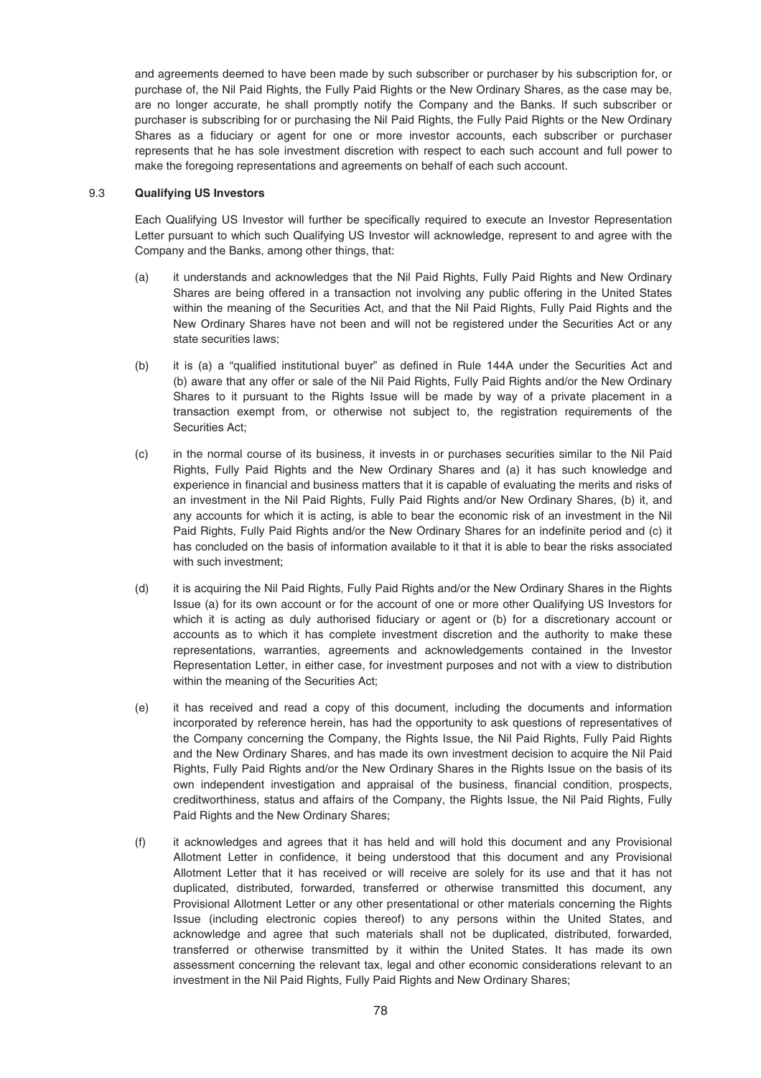and agreements deemed to have been made by such subscriber or purchaser by his subscription for, or purchase of, the Nil Paid Rights, the Fully Paid Rights or the New Ordinary Shares, as the case may be, are no longer accurate, he shall promptly notify the Company and the Banks. If such subscriber or purchaser is subscribing for or purchasing the Nil Paid Rights, the Fully Paid Rights or the New Ordinary Shares as a fiduciary or agent for one or more investor accounts, each subscriber or purchaser represents that he has sole investment discretion with respect to each such account and full power to make the foregoing representations and agreements on behalf of each such account.

### 9.3 **Qualifying US Investors**

Each Qualifying US Investor will further be specifically required to execute an Investor Representation Letter pursuant to which such Qualifying US Investor will acknowledge, represent to and agree with the Company and the Banks, among other things, that:

- (a) it understands and acknowledges that the Nil Paid Rights, Fully Paid Rights and New Ordinary Shares are being offered in a transaction not involving any public offering in the United States within the meaning of the Securities Act, and that the Nil Paid Rights, Fully Paid Rights and the New Ordinary Shares have not been and will not be registered under the Securities Act or any state securities laws;
- (b) it is (a) a "qualified institutional buyer" as defined in Rule 144A under the Securities Act and (b) aware that any offer or sale of the Nil Paid Rights, Fully Paid Rights and/or the New Ordinary Shares to it pursuant to the Rights Issue will be made by way of a private placement in a transaction exempt from, or otherwise not subject to, the registration requirements of the Securities Act;
- (c) in the normal course of its business, it invests in or purchases securities similar to the Nil Paid Rights, Fully Paid Rights and the New Ordinary Shares and (a) it has such knowledge and experience in financial and business matters that it is capable of evaluating the merits and risks of an investment in the Nil Paid Rights, Fully Paid Rights and/or New Ordinary Shares, (b) it, and any accounts for which it is acting, is able to bear the economic risk of an investment in the Nil Paid Rights, Fully Paid Rights and/or the New Ordinary Shares for an indefinite period and (c) it has concluded on the basis of information available to it that it is able to bear the risks associated with such investment;
- (d) it is acquiring the Nil Paid Rights, Fully Paid Rights and/or the New Ordinary Shares in the Rights Issue (a) for its own account or for the account of one or more other Qualifying US Investors for which it is acting as duly authorised fiduciary or agent or (b) for a discretionary account or accounts as to which it has complete investment discretion and the authority to make these representations, warranties, agreements and acknowledgements contained in the Investor Representation Letter, in either case, for investment purposes and not with a view to distribution within the meaning of the Securities Act;
- (e) it has received and read a copy of this document, including the documents and information incorporated by reference herein, has had the opportunity to ask questions of representatives of the Company concerning the Company, the Rights Issue, the Nil Paid Rights, Fully Paid Rights and the New Ordinary Shares, and has made its own investment decision to acquire the Nil Paid Rights, Fully Paid Rights and/or the New Ordinary Shares in the Rights Issue on the basis of its own independent investigation and appraisal of the business, financial condition, prospects, creditworthiness, status and affairs of the Company, the Rights Issue, the Nil Paid Rights, Fully Paid Rights and the New Ordinary Shares;
- (f) it acknowledges and agrees that it has held and will hold this document and any Provisional Allotment Letter in confidence, it being understood that this document and any Provisional Allotment Letter that it has received or will receive are solely for its use and that it has not duplicated, distributed, forwarded, transferred or otherwise transmitted this document, any Provisional Allotment Letter or any other presentational or other materials concerning the Rights Issue (including electronic copies thereof) to any persons within the United States, and acknowledge and agree that such materials shall not be duplicated, distributed, forwarded, transferred or otherwise transmitted by it within the United States. It has made its own assessment concerning the relevant tax, legal and other economic considerations relevant to an investment in the Nil Paid Rights, Fully Paid Rights and New Ordinary Shares;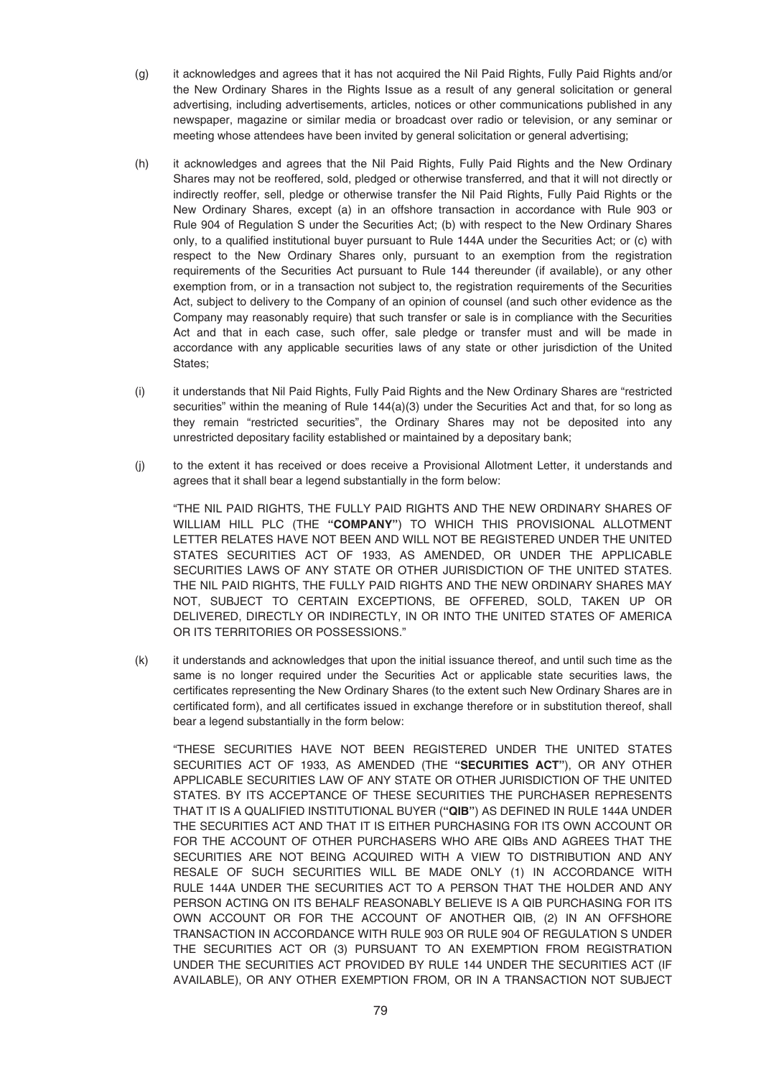- (g) it acknowledges and agrees that it has not acquired the Nil Paid Rights, Fully Paid Rights and/or the New Ordinary Shares in the Rights Issue as a result of any general solicitation or general advertising, including advertisements, articles, notices or other communications published in any newspaper, magazine or similar media or broadcast over radio or television, or any seminar or meeting whose attendees have been invited by general solicitation or general advertising;
- (h) it acknowledges and agrees that the Nil Paid Rights, Fully Paid Rights and the New Ordinary Shares may not be reoffered, sold, pledged or otherwise transferred, and that it will not directly or indirectly reoffer, sell, pledge or otherwise transfer the Nil Paid Rights, Fully Paid Rights or the New Ordinary Shares, except (a) in an offshore transaction in accordance with Rule 903 or Rule 904 of Regulation S under the Securities Act; (b) with respect to the New Ordinary Shares only, to a qualified institutional buyer pursuant to Rule 144A under the Securities Act; or (c) with respect to the New Ordinary Shares only, pursuant to an exemption from the registration requirements of the Securities Act pursuant to Rule 144 thereunder (if available), or any other exemption from, or in a transaction not subject to, the registration requirements of the Securities Act, subject to delivery to the Company of an opinion of counsel (and such other evidence as the Company may reasonably require) that such transfer or sale is in compliance with the Securities Act and that in each case, such offer, sale pledge or transfer must and will be made in accordance with any applicable securities laws of any state or other jurisdiction of the United States;
- (i) it understands that Nil Paid Rights, Fully Paid Rights and the New Ordinary Shares are "restricted securities" within the meaning of Rule  $144(a)(3)$  under the Securities Act and that, for so long as they remain "restricted securities", the Ordinary Shares may not be deposited into any unrestricted depositary facility established or maintained by a depositary bank;
- (j) to the extent it has received or does receive a Provisional Allotment Letter, it understands and agrees that it shall bear a legend substantially in the form below:

"THE NIL PAID RIGHTS, THE FULLY PAID RIGHTS AND THE NEW ORDINARY SHARES OF WILLIAM HILL PLC (THE **"COMPANY"**) TO WHICH THIS PROVISIONAL ALLOTMENT LETTER RELATES HAVE NOT BEEN AND WILL NOT BE REGISTERED UNDER THE UNITED STATES SECURITIES ACT OF 1933, AS AMENDED, OR UNDER THE APPLICABLE SECURITIES LAWS OF ANY STATE OR OTHER JURISDICTION OF THE UNITED STATES. THE NIL PAID RIGHTS, THE FULLY PAID RIGHTS AND THE NEW ORDINARY SHARES MAY NOT, SUBJECT TO CERTAIN EXCEPTIONS, BE OFFERED, SOLD, TAKEN UP OR DELIVERED, DIRECTLY OR INDIRECTLY, IN OR INTO THE UNITED STATES OF AMERICA OR ITS TERRITORIES OR POSSESSIONS."

(k) it understands and acknowledges that upon the initial issuance thereof, and until such time as the same is no longer required under the Securities Act or applicable state securities laws, the certificates representing the New Ordinary Shares (to the extent such New Ordinary Shares are in certificated form), and all certificates issued in exchange therefore or in substitution thereof, shall bear a legend substantially in the form below:

"THESE SECURITIES HAVE NOT BEEN REGISTERED UNDER THE UNITED STATES SECURITIES ACT OF 1933, AS AMENDED (THE **"SECURITIES ACT"**), OR ANY OTHER APPLICABLE SECURITIES LAW OF ANY STATE OR OTHER JURISDICTION OF THE UNITED STATES. BY ITS ACCEPTANCE OF THESE SECURITIES THE PURCHASER REPRESENTS THAT IT IS A QUALIFIED INSTITUTIONAL BUYER (**"QIB"**) AS DEFINED IN RULE 144A UNDER THE SECURITIES ACT AND THAT IT IS EITHER PURCHASING FOR ITS OWN ACCOUNT OR FOR THE ACCOUNT OF OTHER PURCHASERS WHO ARE QIBs AND AGREES THAT THE SECURITIES ARE NOT BEING ACQUIRED WITH A VIEW TO DISTRIBUTION AND ANY RESALE OF SUCH SECURITIES WILL BE MADE ONLY (1) IN ACCORDANCE WITH RULE 144A UNDER THE SECURITIES ACT TO A PERSON THAT THE HOLDER AND ANY PERSON ACTING ON ITS BEHALF REASONABLY BELIEVE IS A QIB PURCHASING FOR ITS OWN ACCOUNT OR FOR THE ACCOUNT OF ANOTHER QIB, (2) IN AN OFFSHORE TRANSACTION IN ACCORDANCE WITH RULE 903 OR RULE 904 OF REGULATION S UNDER THE SECURITIES ACT OR (3) PURSUANT TO AN EXEMPTION FROM REGISTRATION UNDER THE SECURITIES ACT PROVIDED BY RULE 144 UNDER THE SECURITIES ACT (IF AVAILABLE), OR ANY OTHER EXEMPTION FROM, OR IN A TRANSACTION NOT SUBJECT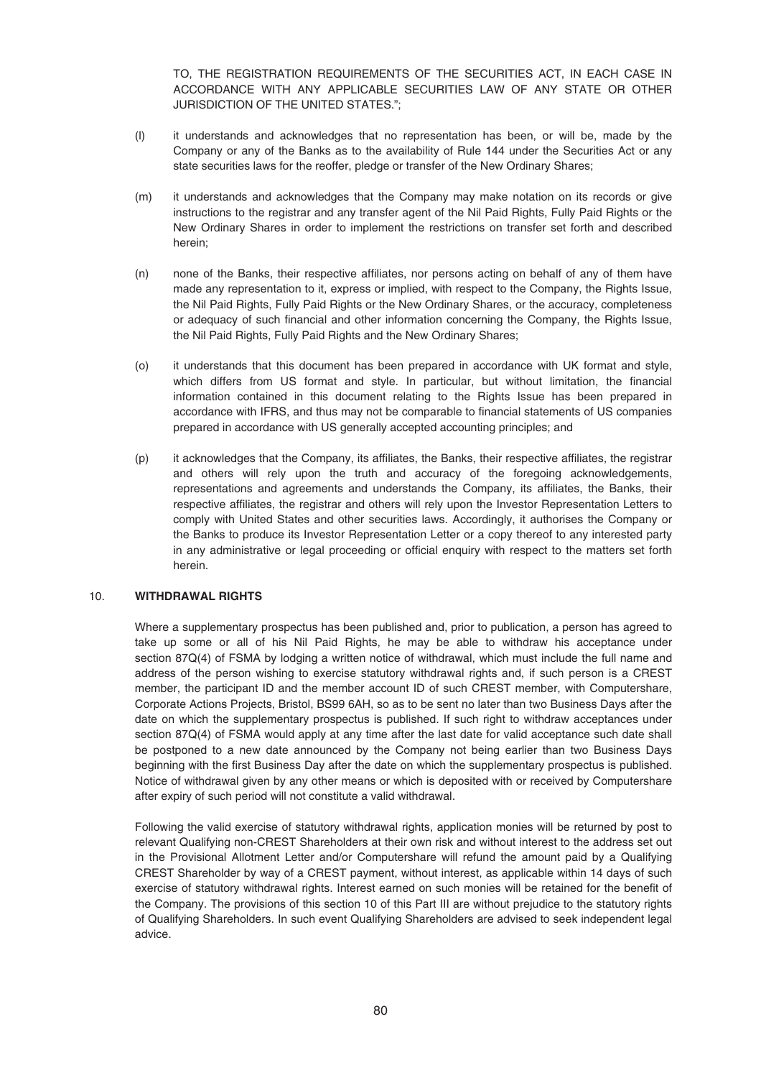TO, THE REGISTRATION REQUIREMENTS OF THE SECURITIES ACT, IN EACH CASE IN ACCORDANCE WITH ANY APPLICABLE SECURITIES LAW OF ANY STATE OR OTHER JURISDICTION OF THE UNITED STATES.";

- (l) it understands and acknowledges that no representation has been, or will be, made by the Company or any of the Banks as to the availability of Rule 144 under the Securities Act or any state securities laws for the reoffer, pledge or transfer of the New Ordinary Shares;
- (m) it understands and acknowledges that the Company may make notation on its records or give instructions to the registrar and any transfer agent of the Nil Paid Rights, Fully Paid Rights or the New Ordinary Shares in order to implement the restrictions on transfer set forth and described herein;
- (n) none of the Banks, their respective affiliates, nor persons acting on behalf of any of them have made any representation to it, express or implied, with respect to the Company, the Rights Issue, the Nil Paid Rights, Fully Paid Rights or the New Ordinary Shares, or the accuracy, completeness or adequacy of such financial and other information concerning the Company, the Rights Issue, the Nil Paid Rights, Fully Paid Rights and the New Ordinary Shares;
- (o) it understands that this document has been prepared in accordance with UK format and style, which differs from US format and style. In particular, but without limitation, the financial information contained in this document relating to the Rights Issue has been prepared in accordance with IFRS, and thus may not be comparable to financial statements of US companies prepared in accordance with US generally accepted accounting principles; and
- (p) it acknowledges that the Company, its affiliates, the Banks, their respective affiliates, the registrar and others will rely upon the truth and accuracy of the foregoing acknowledgements, representations and agreements and understands the Company, its affiliates, the Banks, their respective affiliates, the registrar and others will rely upon the Investor Representation Letters to comply with United States and other securities laws. Accordingly, it authorises the Company or the Banks to produce its Investor Representation Letter or a copy thereof to any interested party in any administrative or legal proceeding or official enquiry with respect to the matters set forth herein.

### 10. **WITHDRAWAL RIGHTS**

Where a supplementary prospectus has been published and, prior to publication, a person has agreed to take up some or all of his Nil Paid Rights, he may be able to withdraw his acceptance under section 87Q(4) of FSMA by lodging a written notice of withdrawal, which must include the full name and address of the person wishing to exercise statutory withdrawal rights and, if such person is a CREST member, the participant ID and the member account ID of such CREST member, with Computershare, Corporate Actions Projects, Bristol, BS99 6AH, so as to be sent no later than two Business Days after the date on which the supplementary prospectus is published. If such right to withdraw acceptances under section 87Q(4) of FSMA would apply at any time after the last date for valid acceptance such date shall be postponed to a new date announced by the Company not being earlier than two Business Days beginning with the first Business Day after the date on which the supplementary prospectus is published. Notice of withdrawal given by any other means or which is deposited with or received by Computershare after expiry of such period will not constitute a valid withdrawal.

Following the valid exercise of statutory withdrawal rights, application monies will be returned by post to relevant Qualifying non-CREST Shareholders at their own risk and without interest to the address set out in the Provisional Allotment Letter and/or Computershare will refund the amount paid by a Qualifying CREST Shareholder by way of a CREST payment, without interest, as applicable within 14 days of such exercise of statutory withdrawal rights. Interest earned on such monies will be retained for the benefit of the Company. The provisions of this section 10 of this Part III are without prejudice to the statutory rights of Qualifying Shareholders. In such event Qualifying Shareholders are advised to seek independent legal advice.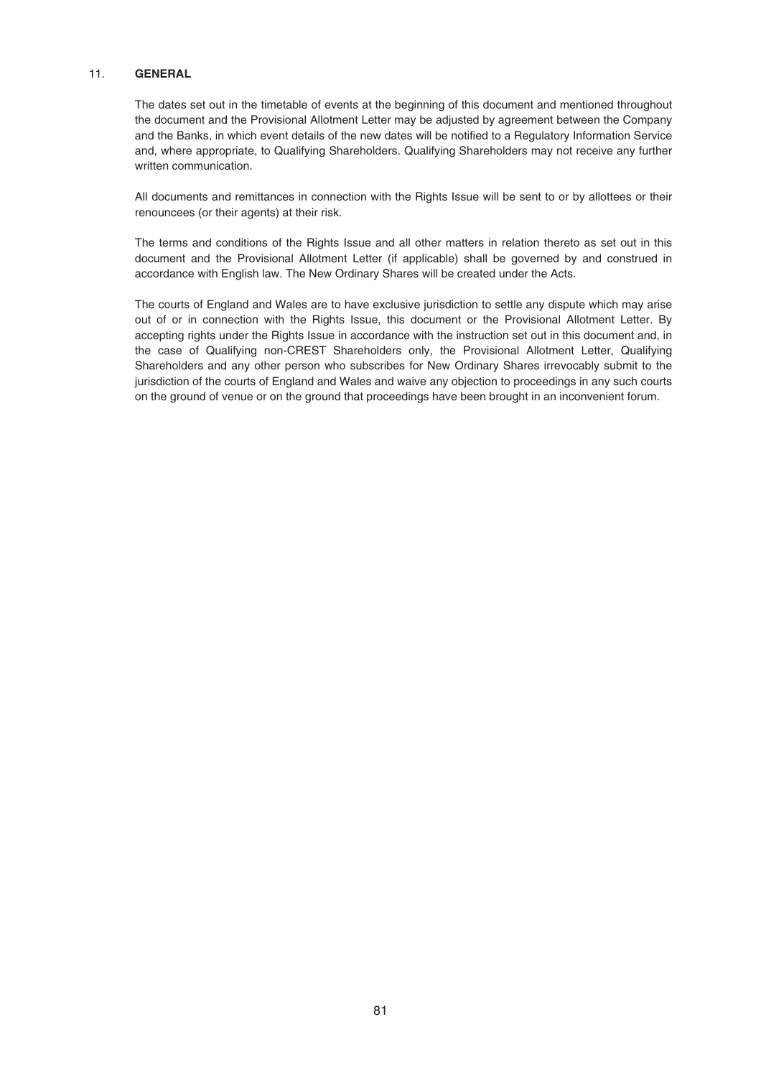## 11. **GENERAL**

The dates set out in the timetable of events at the beginning of this document and mentioned throughout the document and the Provisional Allotment Letter may be adjusted by agreement between the Company and the Banks, in which event details of the new dates will be notified to a Regulatory Information Service and, where appropriate, to Qualifying Shareholders. Qualifying Shareholders may not receive any further written communication.

All documents and remittances in connection with the Rights Issue will be sent to or by allottees or their renouncees (or their agents) at their risk.

The terms and conditions of the Rights Issue and all other matters in relation thereto as set out in this document and the Provisional Allotment Letter (if applicable) shall be governed by and construed in accordance with English law. The New Ordinary Shares will be created under the Acts.

The courts of England and Wales are to have exclusive jurisdiction to settle any dispute which may arise out of or in connection with the Rights Issue, this document or the Provisional Allotment Letter. By accepting rights under the Rights Issue in accordance with the instruction set out in this document and, in the case of Qualifying non-CREST Shareholders only, the Provisional Allotment Letter, Qualifying Shareholders and any other person who subscribes for New Ordinary Shares irrevocably submit to the jurisdiction of the courts of England and Wales and waive any objection to proceedings in any such courts on the ground of venue or on the ground that proceedings have been brought in an inconvenient forum.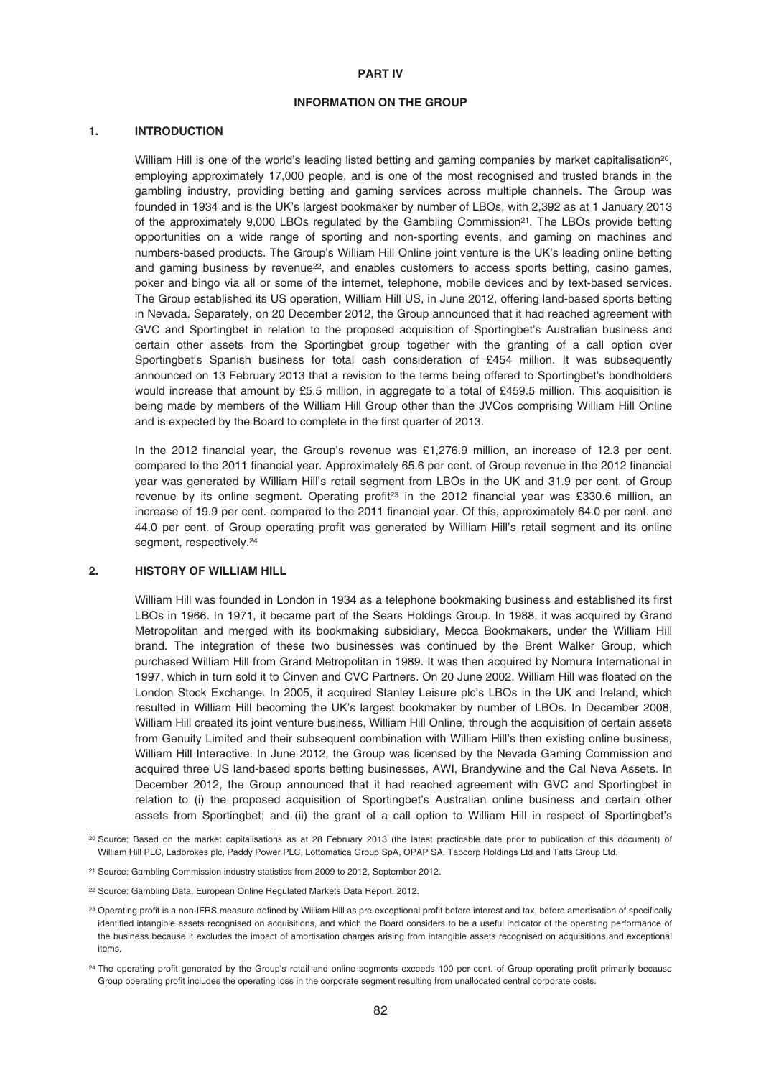#### **PART IV**

### **INFORMATION ON THE GROUP**

### **1. INTRODUCTION**

William Hill is one of the world's leading listed betting and gaming companies by market capitalisation<sup>20</sup>, employing approximately 17,000 people, and is one of the most recognised and trusted brands in the gambling industry, providing betting and gaming services across multiple channels. The Group was founded in 1934 and is the UK's largest bookmaker by number of LBOs, with 2,392 as at 1 January 2013 of the approximately 9,000 LBOs regulated by the Gambling Commission<sup>21</sup>. The LBOs provide betting opportunities on a wide range of sporting and non-sporting events, and gaming on machines and numbers-based products. The Group's William Hill Online joint venture is the UK's leading online betting and gaming business by revenue<sup>22</sup>, and enables customers to access sports betting, casino games, poker and bingo via all or some of the internet, telephone, mobile devices and by text-based services. The Group established its US operation, William Hill US, in June 2012, offering land-based sports betting in Nevada. Separately, on 20 December 2012, the Group announced that it had reached agreement with GVC and Sportingbet in relation to the proposed acquisition of Sportingbet's Australian business and certain other assets from the Sportingbet group together with the granting of a call option over Sportingbet's Spanish business for total cash consideration of £454 million. It was subsequently announced on 13 February 2013 that a revision to the terms being offered to Sportingbet's bondholders would increase that amount by £5.5 million, in aggregate to a total of £459.5 million. This acquisition is being made by members of the William Hill Group other than the JVCos comprising William Hill Online and is expected by the Board to complete in the first quarter of 2013.

In the 2012 financial year, the Group's revenue was £1,276.9 million, an increase of 12.3 per cent. compared to the 2011 financial year. Approximately 65.6 per cent. of Group revenue in the 2012 financial year was generated by William Hill's retail segment from LBOs in the UK and 31.9 per cent. of Group revenue by its online segment. Operating profit<sup>23</sup> in the 2012 financial year was £330.6 million, an increase of 19.9 per cent. compared to the 2011 financial year. Of this, approximately 64.0 per cent. and 44.0 per cent. of Group operating profit was generated by William Hill's retail segment and its online segment, respectively.<sup>24</sup>

#### **2. HISTORY OF WILLIAM HILL**

William Hill was founded in London in 1934 as a telephone bookmaking business and established its first LBOs in 1966. In 1971, it became part of the Sears Holdings Group. In 1988, it was acquired by Grand Metropolitan and merged with its bookmaking subsidiary, Mecca Bookmakers, under the William Hill brand. The integration of these two businesses was continued by the Brent Walker Group, which purchased William Hill from Grand Metropolitan in 1989. It was then acquired by Nomura International in 1997, which in turn sold it to Cinven and CVC Partners. On 20 June 2002, William Hill was floated on the London Stock Exchange. In 2005, it acquired Stanley Leisure plc's LBOs in the UK and Ireland, which resulted in William Hill becoming the UK's largest bookmaker by number of LBOs. In December 2008, William Hill created its joint venture business, William Hill Online, through the acquisition of certain assets from Genuity Limited and their subsequent combination with William Hill's then existing online business, William Hill Interactive. In June 2012, the Group was licensed by the Nevada Gaming Commission and acquired three US land-based sports betting businesses, AWI, Brandywine and the Cal Neva Assets. In December 2012, the Group announced that it had reached agreement with GVC and Sportingbet in relation to (i) the proposed acquisition of Sportingbet's Australian online business and certain other assets from Sportingbet; and (ii) the grant of a call option to William Hill in respect of Sportingbet's

<sup>20</sup> Source: Based on the market capitalisations as at 28 February 2013 (the latest practicable date prior to publication of this document) of William Hill PLC, Ladbrokes plc, Paddy Power PLC, Lottomatica Group SpA, OPAP SA, Tabcorp Holdings Ltd and Tatts Group Ltd.

<sup>21</sup> Source: Gambling Commission industry statistics from 2009 to 2012, September 2012.

<sup>22</sup> Source: Gambling Data, European Online Regulated Markets Data Report, 2012.

<sup>&</sup>lt;sup>23</sup> Operating profit is a non-IFRS measure defined by William Hill as pre-exceptional profit before interest and tax, before amortisation of specifically identified intangible assets recognised on acquisitions, and which the Board considers to be a useful indicator of the operating performance of the business because it excludes the impact of amortisation charges arising from intangible assets recognised on acquisitions and exceptional items.

<sup>&</sup>lt;sup>24</sup> The operating profit generated by the Group's retail and online segments exceeds 100 per cent. of Group operating profit primarily because Group operating profit includes the operating loss in the corporate segment resulting from unallocated central corporate costs.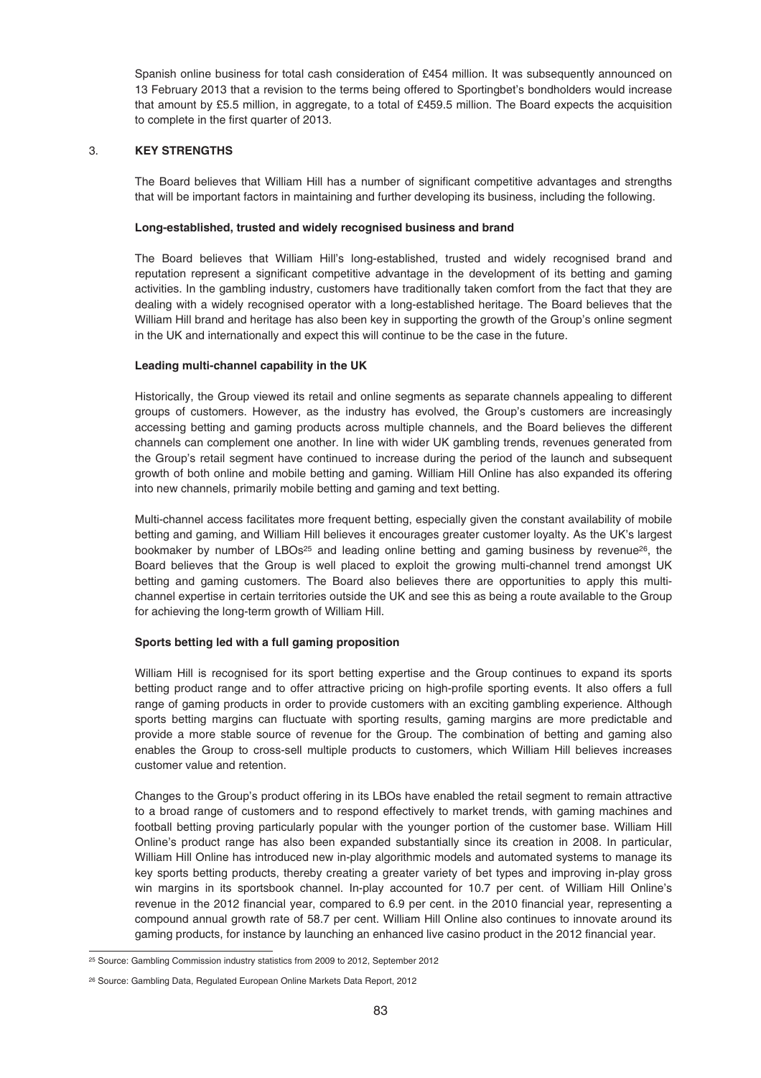Spanish online business for total cash consideration of £454 million. It was subsequently announced on 13 February 2013 that a revision to the terms being offered to Sportingbet's bondholders would increase that amount by £5.5 million, in aggregate, to a total of £459.5 million. The Board expects the acquisition to complete in the first quarter of 2013.

# 3. **KEY STRENGTHS**

The Board believes that William Hill has a number of significant competitive advantages and strengths that will be important factors in maintaining and further developing its business, including the following.

# **Long-established, trusted and widely recognised business and brand**

The Board believes that William Hill's long-established, trusted and widely recognised brand and reputation represent a significant competitive advantage in the development of its betting and gaming activities. In the gambling industry, customers have traditionally taken comfort from the fact that they are dealing with a widely recognised operator with a long-established heritage. The Board believes that the William Hill brand and heritage has also been key in supporting the growth of the Group's online segment in the UK and internationally and expect this will continue to be the case in the future.

# **Leading multi-channel capability in the UK**

Historically, the Group viewed its retail and online segments as separate channels appealing to different groups of customers. However, as the industry has evolved, the Group's customers are increasingly accessing betting and gaming products across multiple channels, and the Board believes the different channels can complement one another. In line with wider UK gambling trends, revenues generated from the Group's retail segment have continued to increase during the period of the launch and subsequent growth of both online and mobile betting and gaming. William Hill Online has also expanded its offering into new channels, primarily mobile betting and gaming and text betting.

Multi-channel access facilitates more frequent betting, especially given the constant availability of mobile betting and gaming, and William Hill believes it encourages greater customer loyalty. As the UK's largest bookmaker by number of LBOs<sup>25</sup> and leading online betting and gaming business by revenue<sup>26</sup>, the Board believes that the Group is well placed to exploit the growing multi-channel trend amongst UK betting and gaming customers. The Board also believes there are opportunities to apply this multichannel expertise in certain territories outside the UK and see this as being a route available to the Group for achieving the long-term growth of William Hill.

# **Sports betting led with a full gaming proposition**

William Hill is recognised for its sport betting expertise and the Group continues to expand its sports betting product range and to offer attractive pricing on high-profile sporting events. It also offers a full range of gaming products in order to provide customers with an exciting gambling experience. Although sports betting margins can fluctuate with sporting results, gaming margins are more predictable and provide a more stable source of revenue for the Group. The combination of betting and gaming also enables the Group to cross-sell multiple products to customers, which William Hill believes increases customer value and retention.

Changes to the Group's product offering in its LBOs have enabled the retail segment to remain attractive to a broad range of customers and to respond effectively to market trends, with gaming machines and football betting proving particularly popular with the younger portion of the customer base. William Hill Online's product range has also been expanded substantially since its creation in 2008. In particular, William Hill Online has introduced new in-play algorithmic models and automated systems to manage its key sports betting products, thereby creating a greater variety of bet types and improving in-play gross win margins in its sportsbook channel. In-play accounted for 10.7 per cent. of William Hill Online's revenue in the 2012 financial year, compared to 6.9 per cent. in the 2010 financial year, representing a compound annual growth rate of 58.7 per cent. William Hill Online also continues to innovate around its gaming products, for instance by launching an enhanced live casino product in the 2012 financial year.

<sup>25</sup> Source: Gambling Commission industry statistics from 2009 to 2012, September 2012

<sup>26</sup> Source: Gambling Data, Regulated European Online Markets Data Report, 2012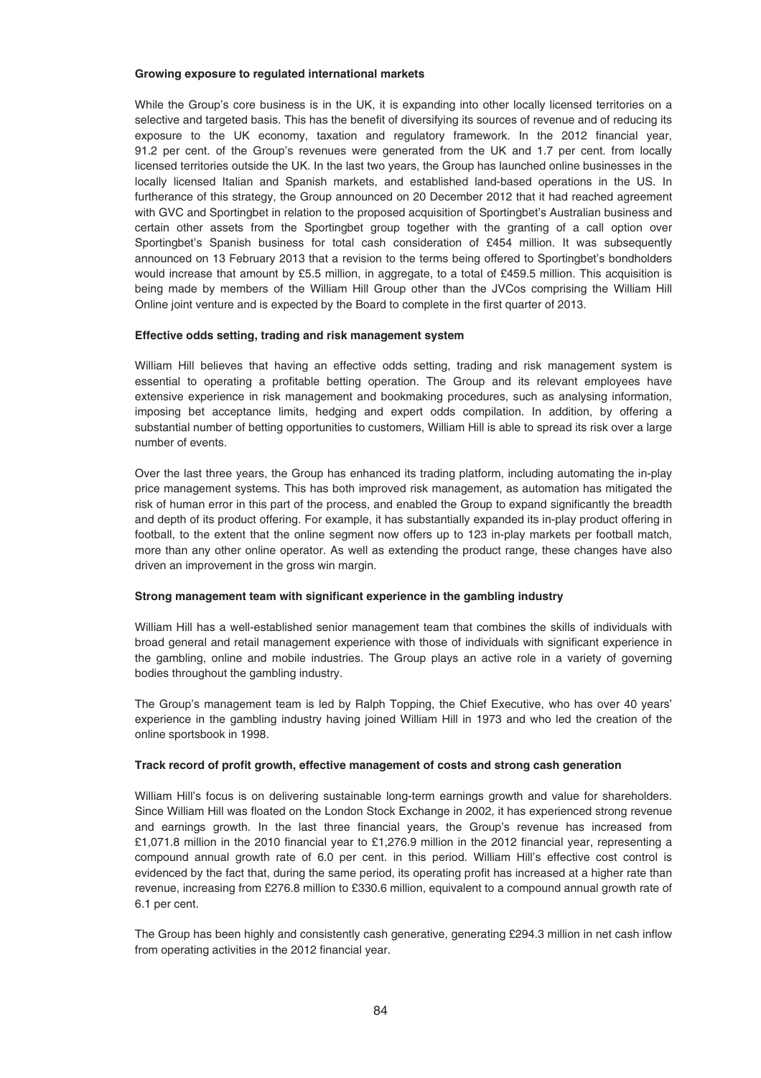#### **Growing exposure to regulated international markets**

While the Group's core business is in the UK, it is expanding into other locally licensed territories on a selective and targeted basis. This has the benefit of diversifying its sources of revenue and of reducing its exposure to the UK economy, taxation and regulatory framework. In the 2012 financial year, 91.2 per cent. of the Group's revenues were generated from the UK and 1.7 per cent. from locally licensed territories outside the UK. In the last two years, the Group has launched online businesses in the locally licensed Italian and Spanish markets, and established land-based operations in the US. In furtherance of this strategy, the Group announced on 20 December 2012 that it had reached agreement with GVC and Sportingbet in relation to the proposed acquisition of Sportingbet's Australian business and certain other assets from the Sportingbet group together with the granting of a call option over Sportingbet's Spanish business for total cash consideration of £454 million. It was subsequently announced on 13 February 2013 that a revision to the terms being offered to Sportingbet's bondholders would increase that amount by £5.5 million, in aggregate, to a total of £459.5 million. This acquisition is being made by members of the William Hill Group other than the JVCos comprising the William Hill Online joint venture and is expected by the Board to complete in the first quarter of 2013.

### **Effective odds setting, trading and risk management system**

William Hill believes that having an effective odds setting, trading and risk management system is essential to operating a profitable betting operation. The Group and its relevant employees have extensive experience in risk management and bookmaking procedures, such as analysing information, imposing bet acceptance limits, hedging and expert odds compilation. In addition, by offering a substantial number of betting opportunities to customers, William Hill is able to spread its risk over a large number of events.

Over the last three years, the Group has enhanced its trading platform, including automating the in-play price management systems. This has both improved risk management, as automation has mitigated the risk of human error in this part of the process, and enabled the Group to expand significantly the breadth and depth of its product offering. For example, it has substantially expanded its in-play product offering in football, to the extent that the online segment now offers up to 123 in-play markets per football match, more than any other online operator. As well as extending the product range, these changes have also driven an improvement in the gross win margin.

### **Strong management team with significant experience in the gambling industry**

William Hill has a well-established senior management team that combines the skills of individuals with broad general and retail management experience with those of individuals with significant experience in the gambling, online and mobile industries. The Group plays an active role in a variety of governing bodies throughout the gambling industry.

The Group's management team is led by Ralph Topping, the Chief Executive, who has over 40 years' experience in the gambling industry having joined William Hill in 1973 and who led the creation of the online sportsbook in 1998.

### **Track record of profit growth, effective management of costs and strong cash generation**

William Hill's focus is on delivering sustainable long-term earnings growth and value for shareholders. Since William Hill was floated on the London Stock Exchange in 2002, it has experienced strong revenue and earnings growth. In the last three financial years, the Group's revenue has increased from £1,071.8 million in the 2010 financial year to £1,276.9 million in the 2012 financial year, representing a compound annual growth rate of 6.0 per cent. in this period. William Hill's effective cost control is evidenced by the fact that, during the same period, its operating profit has increased at a higher rate than revenue, increasing from £276.8 million to £330.6 million, equivalent to a compound annual growth rate of 6.1 per cent.

The Group has been highly and consistently cash generative, generating £294.3 million in net cash inflow from operating activities in the 2012 financial year.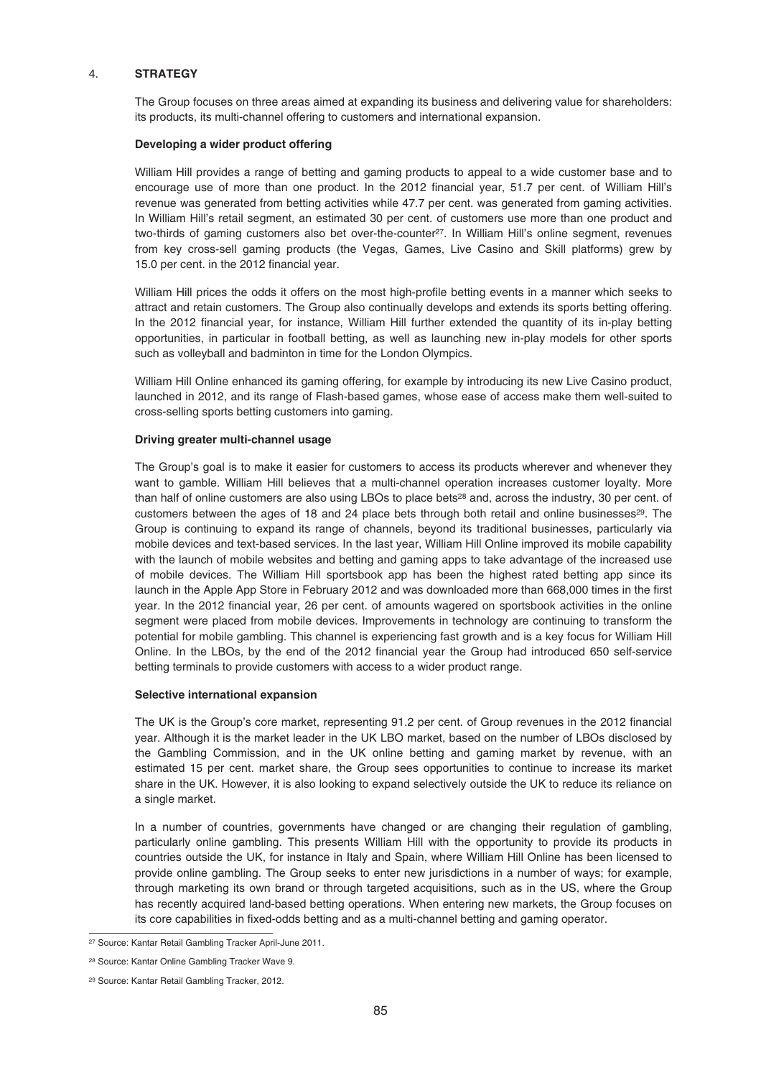### 4. **STRATEGY**

The Group focuses on three areas aimed at expanding its business and delivering value for shareholders: its products, its multi-channel offering to customers and international expansion.

### **Developing a wider product offering**

William Hill provides a range of betting and gaming products to appeal to a wide customer base and to encourage use of more than one product. In the 2012 financial year, 51.7 per cent. of William Hill's revenue was generated from betting activities while 47.7 per cent. was generated from gaming activities. In William Hill's retail segment, an estimated 30 per cent. of customers use more than one product and two-thirds of gaming customers also bet over-the-counter<sup>27</sup>. In William Hill's online segment, revenues from key cross-sell gaming products (the Vegas, Games, Live Casino and Skill platforms) grew by 15.0 per cent. in the 2012 financial year.

William Hill prices the odds it offers on the most high-profile betting events in a manner which seeks to attract and retain customers. The Group also continually develops and extends its sports betting offering. In the 2012 financial year, for instance, William Hill further extended the quantity of its in-play betting opportunities, in particular in football betting, as well as launching new in-play models for other sports such as volleyball and badminton in time for the London Olympics.

William Hill Online enhanced its gaming offering, for example by introducing its new Live Casino product, launched in 2012, and its range of Flash-based games, whose ease of access make them well-suited to cross-selling sports betting customers into gaming.

#### **Driving greater multi-channel usage**

The Group's goal is to make it easier for customers to access its products wherever and whenever they want to gamble. William Hill believes that a multi-channel operation increases customer loyalty. More than half of online customers are also using LBOs to place bets<sup>28</sup> and, across the industry, 30 per cent. of customers between the ages of 18 and 24 place bets through both retail and online businesses<sup>29</sup>. The Group is continuing to expand its range of channels, beyond its traditional businesses, particularly via mobile devices and text-based services. In the last year, William Hill Online improved its mobile capability with the launch of mobile websites and betting and gaming apps to take advantage of the increased use of mobile devices. The William Hill sportsbook app has been the highest rated betting app since its launch in the Apple App Store in February 2012 and was downloaded more than 668,000 times in the first year. In the 2012 financial year, 26 per cent. of amounts wagered on sportsbook activities in the online segment were placed from mobile devices. Improvements in technology are continuing to transform the potential for mobile gambling. This channel is experiencing fast growth and is a key focus for William Hill Online. In the LBOs, by the end of the 2012 financial year the Group had introduced 650 self-service betting terminals to provide customers with access to a wider product range.

### **Selective international expansion**

The UK is the Group's core market, representing 91.2 per cent. of Group revenues in the 2012 financial year. Although it is the market leader in the UK LBO market, based on the number of LBOs disclosed by the Gambling Commission, and in the UK online betting and gaming market by revenue, with an estimated 15 per cent. market share, the Group sees opportunities to continue to increase its market share in the UK. However, it is also looking to expand selectively outside the UK to reduce its reliance on a single market.

In a number of countries, governments have changed or are changing their regulation of gambling, particularly online gambling. This presents William Hill with the opportunity to provide its products in countries outside the UK, for instance in Italy and Spain, where William Hill Online has been licensed to provide online gambling. The Group seeks to enter new jurisdictions in a number of ways; for example, through marketing its own brand or through targeted acquisitions, such as in the US, where the Group has recently acquired land-based betting operations. When entering new markets, the Group focuses on its core capabilities in fixed-odds betting and as a multi-channel betting and gaming operator.

<sup>27</sup> Source: Kantar Retail Gambling Tracker April-June 2011.

<sup>28</sup> Source: Kantar Online Gambling Tracker Wave 9.

<sup>29</sup> Source: Kantar Retail Gambling Tracker, 2012.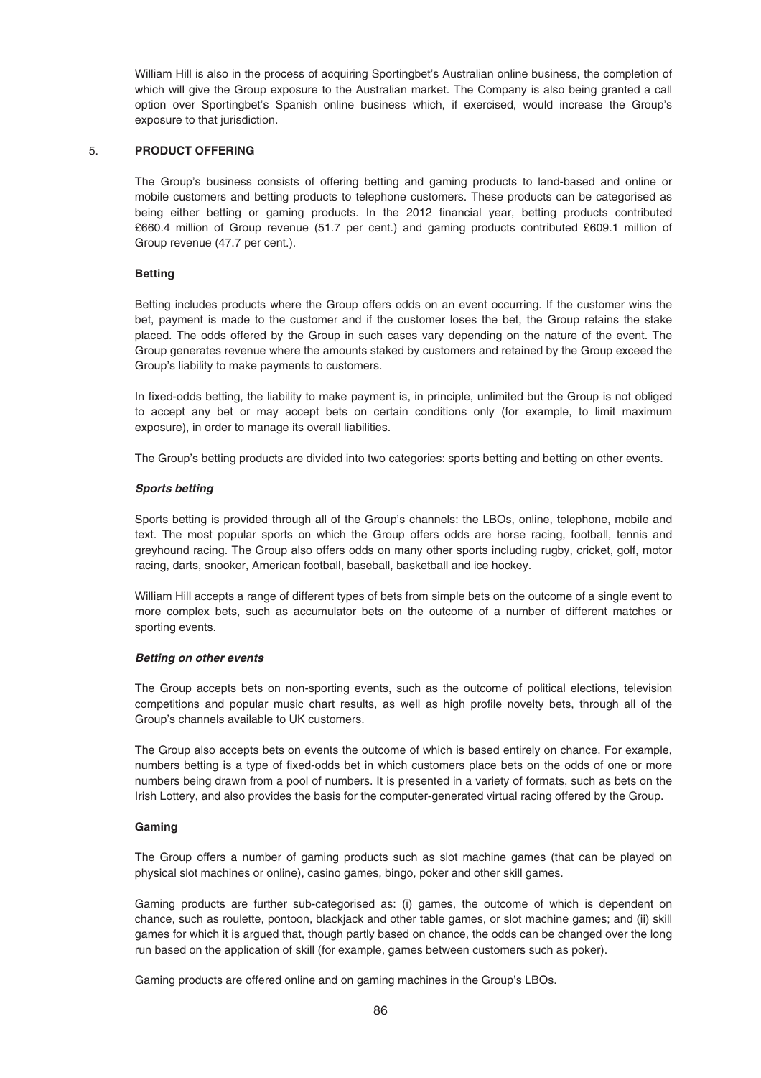William Hill is also in the process of acquiring Sportingbet's Australian online business, the completion of which will give the Group exposure to the Australian market. The Company is also being granted a call option over Sportingbet's Spanish online business which, if exercised, would increase the Group's exposure to that jurisdiction.

### 5. **PRODUCT OFFERING**

The Group's business consists of offering betting and gaming products to land-based and online or mobile customers and betting products to telephone customers. These products can be categorised as being either betting or gaming products. In the 2012 financial year, betting products contributed £660.4 million of Group revenue (51.7 per cent.) and gaming products contributed £609.1 million of Group revenue (47.7 per cent.).

# **Betting**

Betting includes products where the Group offers odds on an event occurring. If the customer wins the bet, payment is made to the customer and if the customer loses the bet, the Group retains the stake placed. The odds offered by the Group in such cases vary depending on the nature of the event. The Group generates revenue where the amounts staked by customers and retained by the Group exceed the Group's liability to make payments to customers.

In fixed-odds betting, the liability to make payment is, in principle, unlimited but the Group is not obliged to accept any bet or may accept bets on certain conditions only (for example, to limit maximum exposure), in order to manage its overall liabilities.

The Group's betting products are divided into two categories: sports betting and betting on other events.

# *Sports betting*

Sports betting is provided through all of the Group's channels: the LBOs, online, telephone, mobile and text. The most popular sports on which the Group offers odds are horse racing, football, tennis and greyhound racing. The Group also offers odds on many other sports including rugby, cricket, golf, motor racing, darts, snooker, American football, baseball, basketball and ice hockey.

William Hill accepts a range of different types of bets from simple bets on the outcome of a single event to more complex bets, such as accumulator bets on the outcome of a number of different matches or sporting events.

### *Betting on other events*

The Group accepts bets on non-sporting events, such as the outcome of political elections, television competitions and popular music chart results, as well as high profile novelty bets, through all of the Group's channels available to UK customers.

The Group also accepts bets on events the outcome of which is based entirely on chance. For example, numbers betting is a type of fixed-odds bet in which customers place bets on the odds of one or more numbers being drawn from a pool of numbers. It is presented in a variety of formats, such as bets on the Irish Lottery, and also provides the basis for the computer-generated virtual racing offered by the Group.

# **Gaming**

The Group offers a number of gaming products such as slot machine games (that can be played on physical slot machines or online), casino games, bingo, poker and other skill games.

Gaming products are further sub-categorised as: (i) games, the outcome of which is dependent on chance, such as roulette, pontoon, blackjack and other table games, or slot machine games; and (ii) skill games for which it is argued that, though partly based on chance, the odds can be changed over the long run based on the application of skill (for example, games between customers such as poker).

Gaming products are offered online and on gaming machines in the Group's LBOs.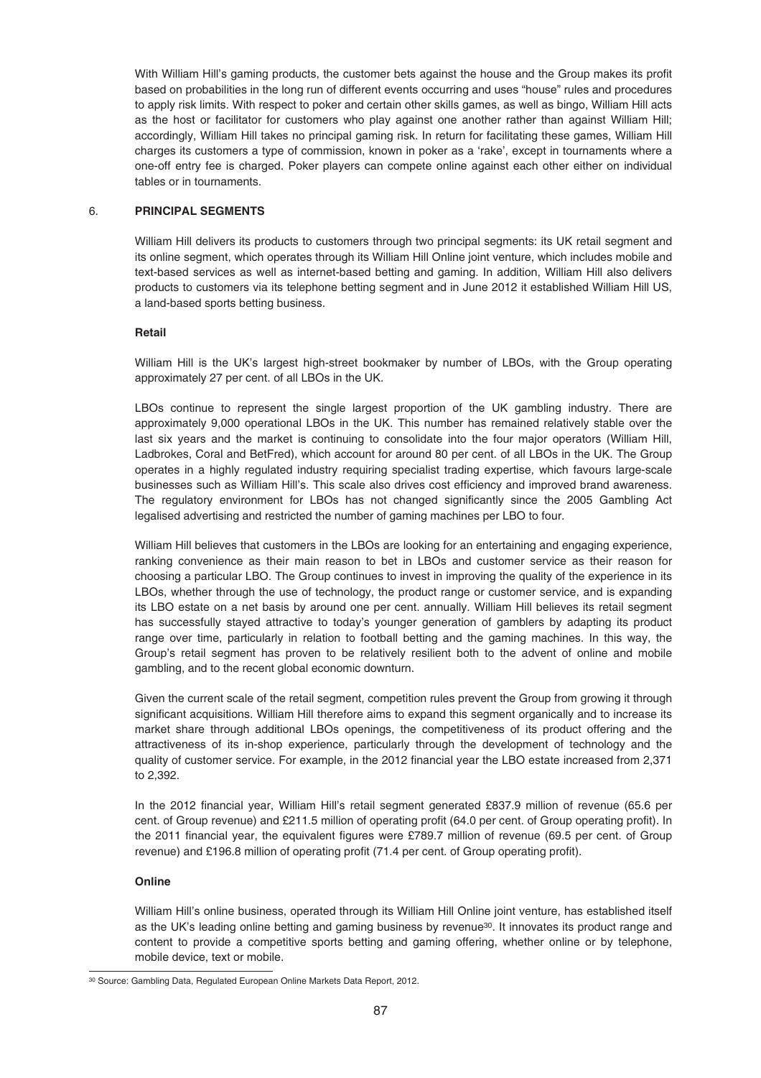With William Hill's gaming products, the customer bets against the house and the Group makes its profit based on probabilities in the long run of different events occurring and uses "house" rules and procedures to apply risk limits. With respect to poker and certain other skills games, as well as bingo, William Hill acts as the host or facilitator for customers who play against one another rather than against William Hill; accordingly, William Hill takes no principal gaming risk. In return for facilitating these games, William Hill charges its customers a type of commission, known in poker as a 'rake', except in tournaments where a one-off entry fee is charged. Poker players can compete online against each other either on individual tables or in tournaments.

# 6. **PRINCIPAL SEGMENTS**

William Hill delivers its products to customers through two principal segments: its UK retail segment and its online segment, which operates through its William Hill Online joint venture, which includes mobile and text-based services as well as internet-based betting and gaming. In addition, William Hill also delivers products to customers via its telephone betting segment and in June 2012 it established William Hill US, a land-based sports betting business.

### **Retail**

William Hill is the UK's largest high-street bookmaker by number of LBOs, with the Group operating approximately 27 per cent. of all LBOs in the UK.

LBOs continue to represent the single largest proportion of the UK gambling industry. There are approximately 9,000 operational LBOs in the UK. This number has remained relatively stable over the last six years and the market is continuing to consolidate into the four major operators (William Hill, Ladbrokes, Coral and BetFred), which account for around 80 per cent. of all LBOs in the UK. The Group operates in a highly regulated industry requiring specialist trading expertise, which favours large-scale businesses such as William Hill's. This scale also drives cost efficiency and improved brand awareness. The regulatory environment for LBOs has not changed significantly since the 2005 Gambling Act legalised advertising and restricted the number of gaming machines per LBO to four.

William Hill believes that customers in the LBOs are looking for an entertaining and engaging experience, ranking convenience as their main reason to bet in LBOs and customer service as their reason for choosing a particular LBO. The Group continues to invest in improving the quality of the experience in its LBOs, whether through the use of technology, the product range or customer service, and is expanding its LBO estate on a net basis by around one per cent. annually. William Hill believes its retail segment has successfully stayed attractive to today's younger generation of gamblers by adapting its product range over time, particularly in relation to football betting and the gaming machines. In this way, the Group's retail segment has proven to be relatively resilient both to the advent of online and mobile gambling, and to the recent global economic downturn.

Given the current scale of the retail segment, competition rules prevent the Group from growing it through significant acquisitions. William Hill therefore aims to expand this segment organically and to increase its market share through additional LBOs openings, the competitiveness of its product offering and the attractiveness of its in-shop experience, particularly through the development of technology and the quality of customer service. For example, in the 2012 financial year the LBO estate increased from 2,371 to 2,392.

In the 2012 financial year, William Hill's retail segment generated £837.9 million of revenue (65.6 per cent. of Group revenue) and £211.5 million of operating profit (64.0 per cent. of Group operating profit). In the 2011 financial year, the equivalent figures were £789.7 million of revenue (69.5 per cent. of Group revenue) and £196.8 million of operating profit (71.4 per cent. of Group operating profit).

### **Online**

William Hill's online business, operated through its William Hill Online joint venture, has established itself as the UK's leading online betting and gaming business by revenue<sup>30</sup>. It innovates its product range and content to provide a competitive sports betting and gaming offering, whether online or by telephone, mobile device, text or mobile.

<sup>30</sup> Source: Gambling Data, Regulated European Online Markets Data Report, 2012.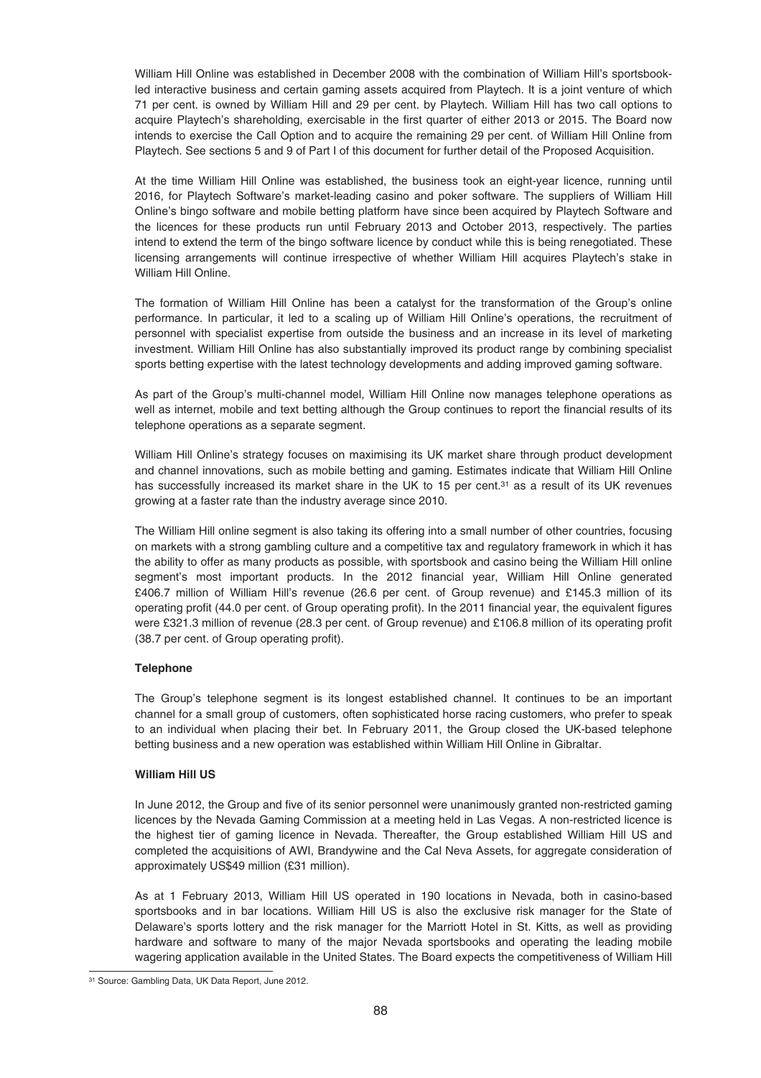William Hill Online was established in December 2008 with the combination of William Hill's sportsbookled interactive business and certain gaming assets acquired from Playtech. It is a joint venture of which 71 per cent. is owned by William Hill and 29 per cent. by Playtech. William Hill has two call options to acquire Playtech's shareholding, exercisable in the first quarter of either 2013 or 2015. The Board now intends to exercise the Call Option and to acquire the remaining 29 per cent. of William Hill Online from Playtech. See sections 5 and 9 of Part I of this document for further detail of the Proposed Acquisition.

At the time William Hill Online was established, the business took an eight-year licence, running until 2016, for Playtech Software's market-leading casino and poker software. The suppliers of William Hill Online's bingo software and mobile betting platform have since been acquired by Playtech Software and the licences for these products run until February 2013 and October 2013, respectively. The parties intend to extend the term of the bingo software licence by conduct while this is being renegotiated. These licensing arrangements will continue irrespective of whether William Hill acquires Playtech's stake in William Hill Online.

The formation of William Hill Online has been a catalyst for the transformation of the Group's online performance. In particular, it led to a scaling up of William Hill Online's operations, the recruitment of personnel with specialist expertise from outside the business and an increase in its level of marketing investment. William Hill Online has also substantially improved its product range by combining specialist sports betting expertise with the latest technology developments and adding improved gaming software.

As part of the Group's multi-channel model, William Hill Online now manages telephone operations as well as internet, mobile and text betting although the Group continues to report the financial results of its telephone operations as a separate segment.

William Hill Online's strategy focuses on maximising its UK market share through product development and channel innovations, such as mobile betting and gaming. Estimates indicate that William Hill Online has successfully increased its market share in the UK to 15 per cent.<sup>31</sup> as a result of its UK revenues growing at a faster rate than the industry average since 2010.

The William Hill online segment is also taking its offering into a small number of other countries, focusing on markets with a strong gambling culture and a competitive tax and regulatory framework in which it has the ability to offer as many products as possible, with sportsbook and casino being the William Hill online segment's most important products. In the 2012 financial year, William Hill Online generated £406.7 million of William Hill's revenue (26.6 per cent. of Group revenue) and £145.3 million of its operating profit (44.0 per cent. of Group operating profit). In the 2011 financial year, the equivalent figures were £321.3 million of revenue (28.3 per cent. of Group revenue) and £106.8 million of its operating profit (38.7 per cent. of Group operating profit).

# **Telephone**

The Group's telephone segment is its longest established channel. It continues to be an important channel for a small group of customers, often sophisticated horse racing customers, who prefer to speak to an individual when placing their bet. In February 2011, the Group closed the UK-based telephone betting business and a new operation was established within William Hill Online in Gibraltar.

### **William Hill US**

In June 2012, the Group and five of its senior personnel were unanimously granted non-restricted gaming licences by the Nevada Gaming Commission at a meeting held in Las Vegas. A non-restricted licence is the highest tier of gaming licence in Nevada. Thereafter, the Group established William Hill US and completed the acquisitions of AWI, Brandywine and the Cal Neva Assets, for aggregate consideration of approximately US\$49 million (£31 million).

As at 1 February 2013, William Hill US operated in 190 locations in Nevada, both in casino-based sportsbooks and in bar locations. William Hill US is also the exclusive risk manager for the State of Delaware's sports lottery and the risk manager for the Marriott Hotel in St. Kitts, as well as providing hardware and software to many of the major Nevada sportsbooks and operating the leading mobile wagering application available in the United States. The Board expects the competitiveness of William Hill

<sup>31</sup> Source: Gambling Data, UK Data Report, June 2012.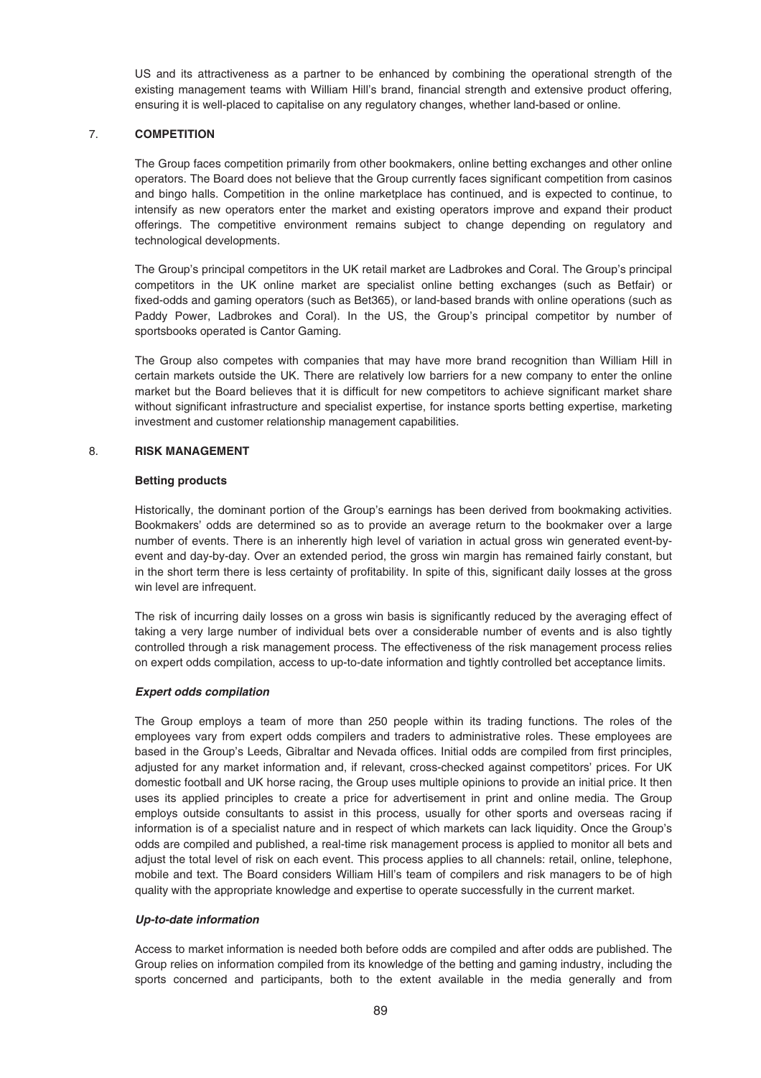US and its attractiveness as a partner to be enhanced by combining the operational strength of the existing management teams with William Hill's brand, financial strength and extensive product offering, ensuring it is well-placed to capitalise on any regulatory changes, whether land-based or online.

# 7. **COMPETITION**

The Group faces competition primarily from other bookmakers, online betting exchanges and other online operators. The Board does not believe that the Group currently faces significant competition from casinos and bingo halls. Competition in the online marketplace has continued, and is expected to continue, to intensify as new operators enter the market and existing operators improve and expand their product offerings. The competitive environment remains subject to change depending on regulatory and technological developments.

The Group's principal competitors in the UK retail market are Ladbrokes and Coral. The Group's principal competitors in the UK online market are specialist online betting exchanges (such as Betfair) or fixed-odds and gaming operators (such as Bet365), or land-based brands with online operations (such as Paddy Power, Ladbrokes and Coral). In the US, the Group's principal competitor by number of sportsbooks operated is Cantor Gaming.

The Group also competes with companies that may have more brand recognition than William Hill in certain markets outside the UK. There are relatively low barriers for a new company to enter the online market but the Board believes that it is difficult for new competitors to achieve significant market share without significant infrastructure and specialist expertise, for instance sports betting expertise, marketing investment and customer relationship management capabilities.

### 8. **RISK MANAGEMENT**

### **Betting products**

Historically, the dominant portion of the Group's earnings has been derived from bookmaking activities. Bookmakers' odds are determined so as to provide an average return to the bookmaker over a large number of events. There is an inherently high level of variation in actual gross win generated event-byevent and day-by-day. Over an extended period, the gross win margin has remained fairly constant, but in the short term there is less certainty of profitability. In spite of this, significant daily losses at the gross win level are infrequent.

The risk of incurring daily losses on a gross win basis is significantly reduced by the averaging effect of taking a very large number of individual bets over a considerable number of events and is also tightly controlled through a risk management process. The effectiveness of the risk management process relies on expert odds compilation, access to up-to-date information and tightly controlled bet acceptance limits.

### *Expert odds compilation*

The Group employs a team of more than 250 people within its trading functions. The roles of the employees vary from expert odds compilers and traders to administrative roles. These employees are based in the Group's Leeds, Gibraltar and Nevada offices. Initial odds are compiled from first principles, adjusted for any market information and, if relevant, cross-checked against competitors' prices. For UK domestic football and UK horse racing, the Group uses multiple opinions to provide an initial price. It then uses its applied principles to create a price for advertisement in print and online media. The Group employs outside consultants to assist in this process, usually for other sports and overseas racing if information is of a specialist nature and in respect of which markets can lack liquidity. Once the Group's odds are compiled and published, a real-time risk management process is applied to monitor all bets and adjust the total level of risk on each event. This process applies to all channels: retail, online, telephone, mobile and text. The Board considers William Hill's team of compilers and risk managers to be of high quality with the appropriate knowledge and expertise to operate successfully in the current market.

### *Up-to-date information*

Access to market information is needed both before odds are compiled and after odds are published. The Group relies on information compiled from its knowledge of the betting and gaming industry, including the sports concerned and participants, both to the extent available in the media generally and from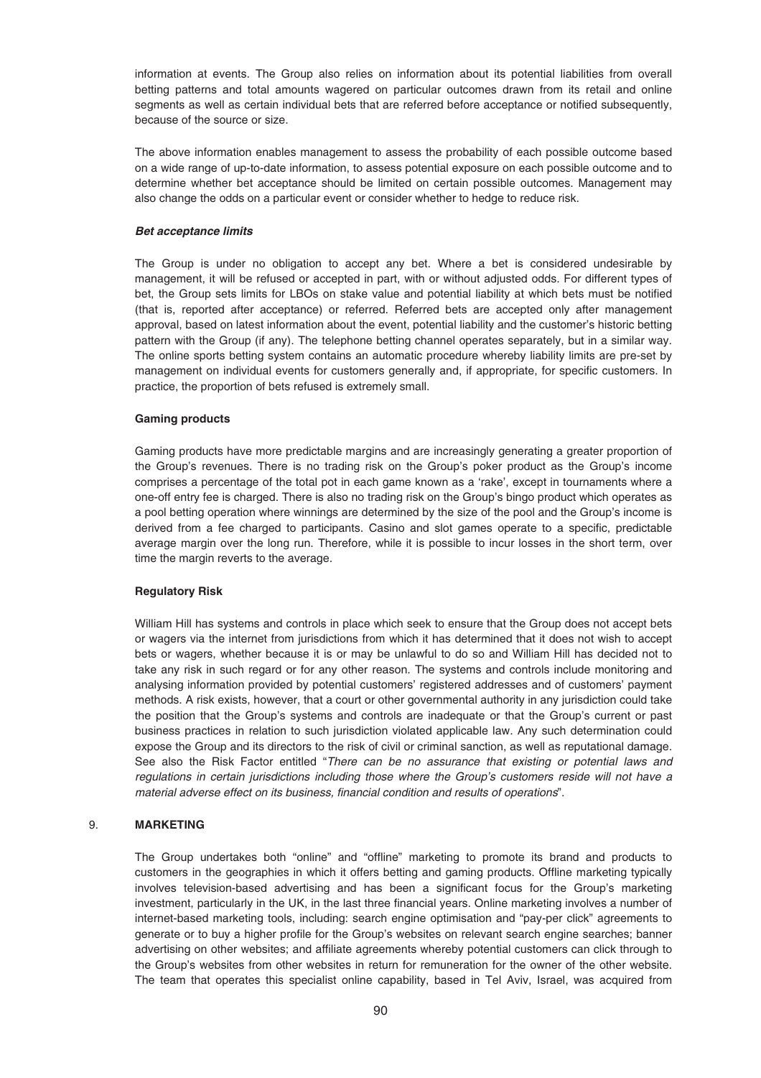information at events. The Group also relies on information about its potential liabilities from overall betting patterns and total amounts wagered on particular outcomes drawn from its retail and online segments as well as certain individual bets that are referred before acceptance or notified subsequently, because of the source or size.

The above information enables management to assess the probability of each possible outcome based on a wide range of up-to-date information, to assess potential exposure on each possible outcome and to determine whether bet acceptance should be limited on certain possible outcomes. Management may also change the odds on a particular event or consider whether to hedge to reduce risk.

### *Bet acceptance limits*

The Group is under no obligation to accept any bet. Where a bet is considered undesirable by management, it will be refused or accepted in part, with or without adjusted odds. For different types of bet, the Group sets limits for LBOs on stake value and potential liability at which bets must be notified (that is, reported after acceptance) or referred. Referred bets are accepted only after management approval, based on latest information about the event, potential liability and the customer's historic betting pattern with the Group (if any). The telephone betting channel operates separately, but in a similar way. The online sports betting system contains an automatic procedure whereby liability limits are pre-set by management on individual events for customers generally and, if appropriate, for specific customers. In practice, the proportion of bets refused is extremely small.

# **Gaming products**

Gaming products have more predictable margins and are increasingly generating a greater proportion of the Group's revenues. There is no trading risk on the Group's poker product as the Group's income comprises a percentage of the total pot in each game known as a 'rake', except in tournaments where a one-off entry fee is charged. There is also no trading risk on the Group's bingo product which operates as a pool betting operation where winnings are determined by the size of the pool and the Group's income is derived from a fee charged to participants. Casino and slot games operate to a specific, predictable average margin over the long run. Therefore, while it is possible to incur losses in the short term, over time the margin reverts to the average.

### **Regulatory Risk**

William Hill has systems and controls in place which seek to ensure that the Group does not accept bets or wagers via the internet from jurisdictions from which it has determined that it does not wish to accept bets or wagers, whether because it is or may be unlawful to do so and William Hill has decided not to take any risk in such regard or for any other reason. The systems and controls include monitoring and analysing information provided by potential customers' registered addresses and of customers' payment methods. A risk exists, however, that a court or other governmental authority in any jurisdiction could take the position that the Group's systems and controls are inadequate or that the Group's current or past business practices in relation to such jurisdiction violated applicable law. Any such determination could expose the Group and its directors to the risk of civil or criminal sanction, as well as reputational damage. See also the Risk Factor entitled "There can be no assurance that existing or potential laws and regulations in certain jurisdictions including those where the Group's customers reside will not have a material adverse effect on its business, financial condition and results of operations".

# 9. **MARKETING**

The Group undertakes both "online" and "offline" marketing to promote its brand and products to customers in the geographies in which it offers betting and gaming products. Offline marketing typically involves television-based advertising and has been a significant focus for the Group's marketing investment, particularly in the UK, in the last three financial years. Online marketing involves a number of internet-based marketing tools, including: search engine optimisation and "pay-per click" agreements to generate or to buy a higher profile for the Group's websites on relevant search engine searches; banner advertising on other websites; and affiliate agreements whereby potential customers can click through to the Group's websites from other websites in return for remuneration for the owner of the other website. The team that operates this specialist online capability, based in Tel Aviv, Israel, was acquired from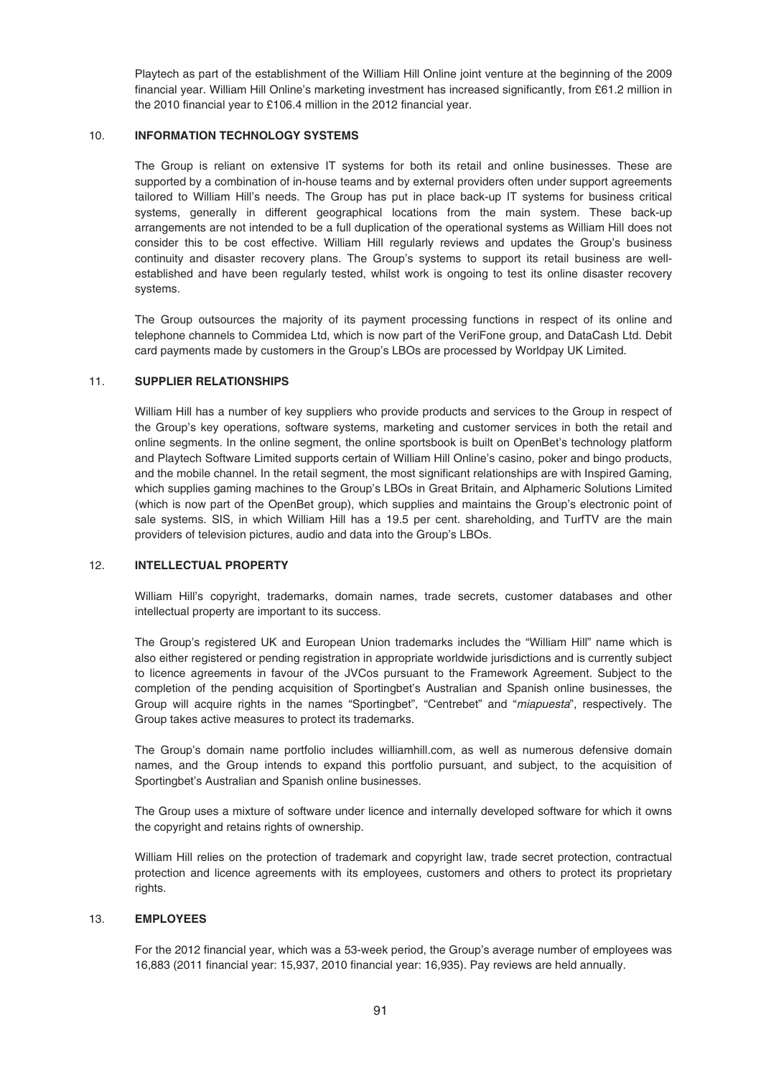Playtech as part of the establishment of the William Hill Online joint venture at the beginning of the 2009 financial year. William Hill Online's marketing investment has increased significantly, from £61.2 million in the 2010 financial year to £106.4 million in the 2012 financial year.

# 10. **INFORMATION TECHNOLOGY SYSTEMS**

The Group is reliant on extensive IT systems for both its retail and online businesses. These are supported by a combination of in-house teams and by external providers often under support agreements tailored to William Hill's needs. The Group has put in place back-up IT systems for business critical systems, generally in different geographical locations from the main system. These back-up arrangements are not intended to be a full duplication of the operational systems as William Hill does not consider this to be cost effective. William Hill regularly reviews and updates the Group's business continuity and disaster recovery plans. The Group's systems to support its retail business are wellestablished and have been regularly tested, whilst work is ongoing to test its online disaster recovery systems.

The Group outsources the majority of its payment processing functions in respect of its online and telephone channels to Commidea Ltd, which is now part of the VeriFone group, and DataCash Ltd. Debit card payments made by customers in the Group's LBOs are processed by Worldpay UK Limited.

# 11. **SUPPLIER RELATIONSHIPS**

William Hill has a number of key suppliers who provide products and services to the Group in respect of the Group's key operations, software systems, marketing and customer services in both the retail and online segments. In the online segment, the online sportsbook is built on OpenBet's technology platform and Playtech Software Limited supports certain of William Hill Online's casino, poker and bingo products, and the mobile channel. In the retail segment, the most significant relationships are with Inspired Gaming, which supplies gaming machines to the Group's LBOs in Great Britain, and Alphameric Solutions Limited (which is now part of the OpenBet group), which supplies and maintains the Group's electronic point of sale systems. SIS, in which William Hill has a 19.5 per cent. shareholding, and TurfTV are the main providers of television pictures, audio and data into the Group's LBOs.

### 12. **INTELLECTUAL PROPERTY**

William Hill's copyright, trademarks, domain names, trade secrets, customer databases and other intellectual property are important to its success.

The Group's registered UK and European Union trademarks includes the "William Hill" name which is also either registered or pending registration in appropriate worldwide jurisdictions and is currently subject to licence agreements in favour of the JVCos pursuant to the Framework Agreement. Subject to the completion of the pending acquisition of Sportingbet's Australian and Spanish online businesses, the Group will acquire rights in the names "Sportingbet", "Centrebet" and "miapuesta", respectively. The Group takes active measures to protect its trademarks.

The Group's domain name portfolio includes williamhill.com, as well as numerous defensive domain names, and the Group intends to expand this portfolio pursuant, and subject, to the acquisition of Sportingbet's Australian and Spanish online businesses.

The Group uses a mixture of software under licence and internally developed software for which it owns the copyright and retains rights of ownership.

William Hill relies on the protection of trademark and copyright law, trade secret protection, contractual protection and licence agreements with its employees, customers and others to protect its proprietary rights.

### 13. **EMPLOYEES**

For the 2012 financial year, which was a 53-week period, the Group's average number of employees was 16,883 (2011 financial year: 15,937, 2010 financial year: 16,935). Pay reviews are held annually.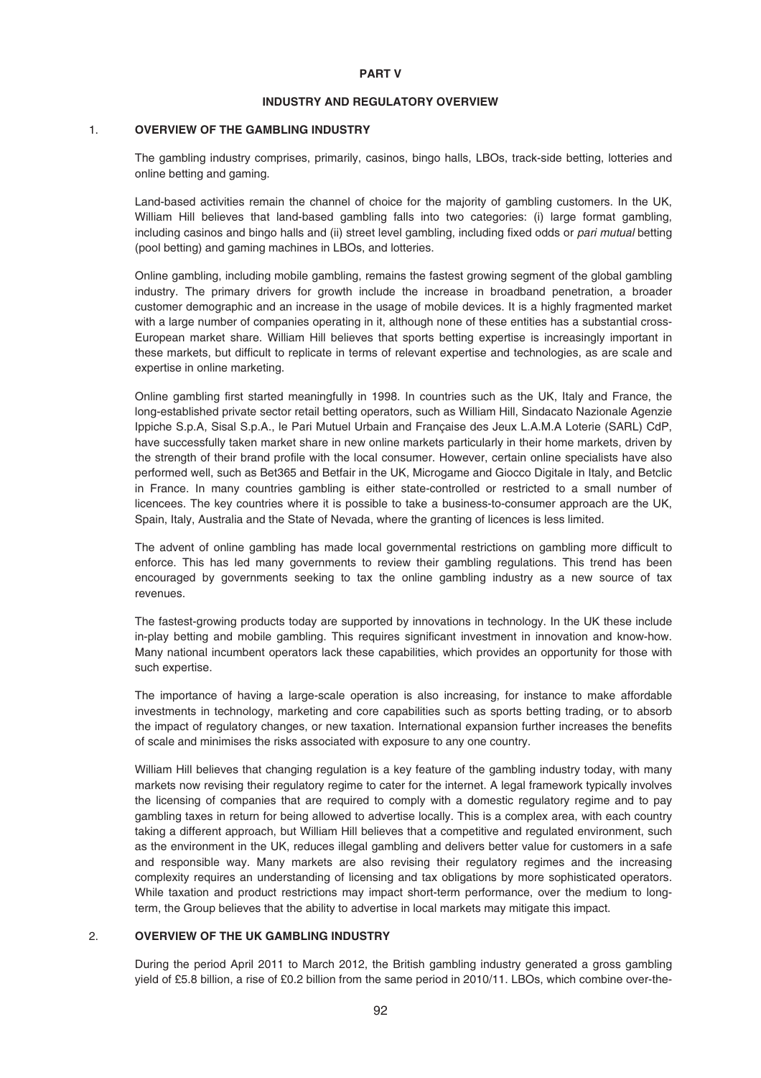#### **PART V**

### **INDUSTRY AND REGULATORY OVERVIEW**

#### 1. **OVERVIEW OF THE GAMBLING INDUSTRY**

The gambling industry comprises, primarily, casinos, bingo halls, LBOs, track-side betting, lotteries and online betting and gaming.

Land-based activities remain the channel of choice for the majority of gambling customers. In the UK, William Hill believes that land-based gambling falls into two categories: (i) large format gambling, including casinos and bingo halls and (ii) street level gambling, including fixed odds or *pari mutual* betting (pool betting) and gaming machines in LBOs, and lotteries.

Online gambling, including mobile gambling, remains the fastest growing segment of the global gambling industry. The primary drivers for growth include the increase in broadband penetration, a broader customer demographic and an increase in the usage of mobile devices. It is a highly fragmented market with a large number of companies operating in it, although none of these entities has a substantial cross-European market share. William Hill believes that sports betting expertise is increasingly important in these markets, but difficult to replicate in terms of relevant expertise and technologies, as are scale and expertise in online marketing.

Online gambling first started meaningfully in 1998. In countries such as the UK, Italy and France, the long-established private sector retail betting operators, such as William Hill, Sindacato Nazionale Agenzie Ippiche S.p.A, Sisal S.p.A., le Pari Mutuel Urbain and Française des Jeux L.A.M.A Loterie (SARL) CdP, have successfully taken market share in new online markets particularly in their home markets, driven by the strength of their brand profile with the local consumer. However, certain online specialists have also performed well, such as Bet365 and Betfair in the UK, Microgame and Giocco Digitale in Italy, and Betclic in France. In many countries gambling is either state-controlled or restricted to a small number of licencees. The key countries where it is possible to take a business-to-consumer approach are the UK, Spain, Italy, Australia and the State of Nevada, where the granting of licences is less limited.

The advent of online gambling has made local governmental restrictions on gambling more difficult to enforce. This has led many governments to review their gambling regulations. This trend has been encouraged by governments seeking to tax the online gambling industry as a new source of tax revenues.

The fastest-growing products today are supported by innovations in technology. In the UK these include in-play betting and mobile gambling. This requires significant investment in innovation and know-how. Many national incumbent operators lack these capabilities, which provides an opportunity for those with such expertise.

The importance of having a large-scale operation is also increasing, for instance to make affordable investments in technology, marketing and core capabilities such as sports betting trading, or to absorb the impact of regulatory changes, or new taxation. International expansion further increases the benefits of scale and minimises the risks associated with exposure to any one country.

William Hill believes that changing regulation is a key feature of the gambling industry today, with many markets now revising their regulatory regime to cater for the internet. A legal framework typically involves the licensing of companies that are required to comply with a domestic regulatory regime and to pay gambling taxes in return for being allowed to advertise locally. This is a complex area, with each country taking a different approach, but William Hill believes that a competitive and regulated environment, such as the environment in the UK, reduces illegal gambling and delivers better value for customers in a safe and responsible way. Many markets are also revising their regulatory regimes and the increasing complexity requires an understanding of licensing and tax obligations by more sophisticated operators. While taxation and product restrictions may impact short-term performance, over the medium to longterm, the Group believes that the ability to advertise in local markets may mitigate this impact.

### 2. **OVERVIEW OF THE UK GAMBLING INDUSTRY**

During the period April 2011 to March 2012, the British gambling industry generated a gross gambling yield of £5.8 billion, a rise of £0.2 billion from the same period in 2010/11. LBOs, which combine over-the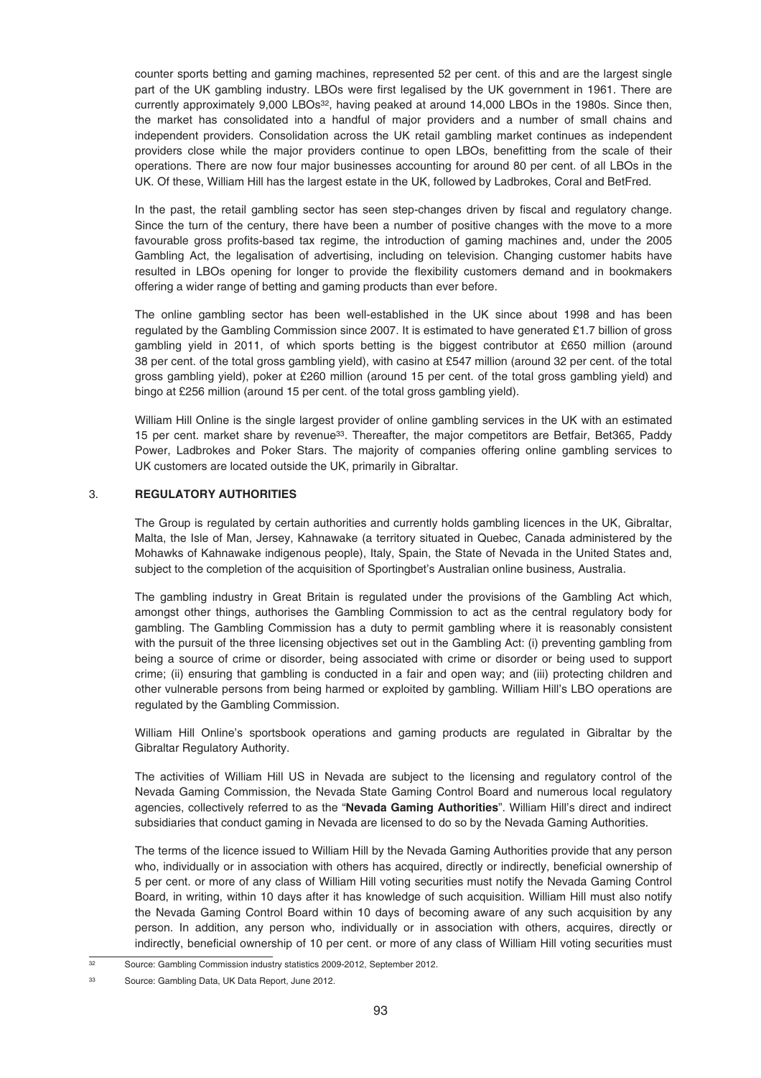counter sports betting and gaming machines, represented 52 per cent. of this and are the largest single part of the UK gambling industry. LBOs were first legalised by the UK government in 1961. There are currently approximately 9,000 LBOs<sup>32</sup>, having peaked at around 14,000 LBOs in the 1980s. Since then, the market has consolidated into a handful of major providers and a number of small chains and independent providers. Consolidation across the UK retail gambling market continues as independent providers close while the major providers continue to open LBOs, benefitting from the scale of their operations. There are now four major businesses accounting for around 80 per cent. of all LBOs in the UK. Of these, William Hill has the largest estate in the UK, followed by Ladbrokes, Coral and BetFred.

In the past, the retail gambling sector has seen step-changes driven by fiscal and regulatory change. Since the turn of the century, there have been a number of positive changes with the move to a more favourable gross profits-based tax regime, the introduction of gaming machines and, under the 2005 Gambling Act, the legalisation of advertising, including on television. Changing customer habits have resulted in LBOs opening for longer to provide the flexibility customers demand and in bookmakers offering a wider range of betting and gaming products than ever before.

The online gambling sector has been well-established in the UK since about 1998 and has been regulated by the Gambling Commission since 2007. It is estimated to have generated £1.7 billion of gross gambling yield in 2011, of which sports betting is the biggest contributor at £650 million (around 38 per cent. of the total gross gambling yield), with casino at £547 million (around 32 per cent. of the total gross gambling yield), poker at £260 million (around 15 per cent. of the total gross gambling yield) and bingo at £256 million (around 15 per cent. of the total gross gambling yield).

William Hill Online is the single largest provider of online gambling services in the UK with an estimated 15 per cent. market share by revenue33. Thereafter, the major competitors are Betfair, Bet365, Paddy Power, Ladbrokes and Poker Stars. The majority of companies offering online gambling services to UK customers are located outside the UK, primarily in Gibraltar.

# 3. **REGULATORY AUTHORITIES**

The Group is regulated by certain authorities and currently holds gambling licences in the UK, Gibraltar, Malta, the Isle of Man, Jersey, Kahnawake (a territory situated in Quebec, Canada administered by the Mohawks of Kahnawake indigenous people), Italy, Spain, the State of Nevada in the United States and, subject to the completion of the acquisition of Sportingbet's Australian online business, Australia.

The gambling industry in Great Britain is regulated under the provisions of the Gambling Act which, amongst other things, authorises the Gambling Commission to act as the central regulatory body for gambling. The Gambling Commission has a duty to permit gambling where it is reasonably consistent with the pursuit of the three licensing objectives set out in the Gambling Act: (i) preventing gambling from being a source of crime or disorder, being associated with crime or disorder or being used to support crime; (ii) ensuring that gambling is conducted in a fair and open way; and (iii) protecting children and other vulnerable persons from being harmed or exploited by gambling. William Hill's LBO operations are regulated by the Gambling Commission.

William Hill Online's sportsbook operations and gaming products are regulated in Gibraltar by the Gibraltar Regulatory Authority.

The activities of William Hill US in Nevada are subject to the licensing and regulatory control of the Nevada Gaming Commission, the Nevada State Gaming Control Board and numerous local regulatory agencies, collectively referred to as the "**Nevada Gaming Authorities**". William Hill's direct and indirect subsidiaries that conduct gaming in Nevada are licensed to do so by the Nevada Gaming Authorities.

The terms of the licence issued to William Hill by the Nevada Gaming Authorities provide that any person who, individually or in association with others has acquired, directly or indirectly, beneficial ownership of 5 per cent. or more of any class of William Hill voting securities must notify the Nevada Gaming Control Board, in writing, within 10 days after it has knowledge of such acquisition. William Hill must also notify the Nevada Gaming Control Board within 10 days of becoming aware of any such acquisition by any person. In addition, any person who, individually or in association with others, acquires, directly or indirectly, beneficial ownership of 10 per cent. or more of any class of William Hill voting securities must

<sup>&</sup>lt;sup>32</sup> Source: Gambling Commission industry statistics 2009-2012, September 2012.

<sup>33</sup> Source: Gambling Data, UK Data Report, June 2012.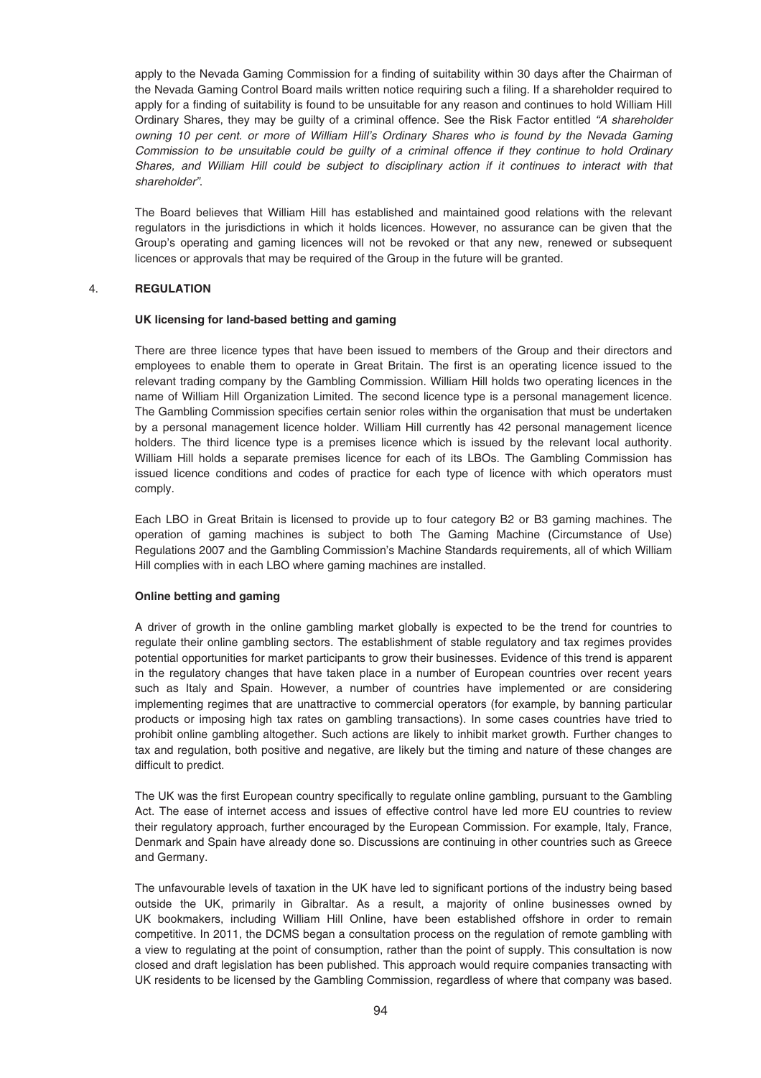apply to the Nevada Gaming Commission for a finding of suitability within 30 days after the Chairman of the Nevada Gaming Control Board mails written notice requiring such a filing. If a shareholder required to apply for a finding of suitability is found to be unsuitable for any reason and continues to hold William Hill Ordinary Shares, they may be guilty of a criminal offence. See the Risk Factor entitled "A shareholder owning 10 per cent. or more of William Hill's Ordinary Shares who is found by the Nevada Gaming Commission to be unsuitable could be guilty of a criminal offence if they continue to hold Ordinary Shares, and William Hill could be subject to disciplinary action if it continues to interact with that shareholder".

The Board believes that William Hill has established and maintained good relations with the relevant regulators in the jurisdictions in which it holds licences. However, no assurance can be given that the Group's operating and gaming licences will not be revoked or that any new, renewed or subsequent licences or approvals that may be required of the Group in the future will be granted.

# 4. **REGULATION**

### **UK licensing for land-based betting and gaming**

There are three licence types that have been issued to members of the Group and their directors and employees to enable them to operate in Great Britain. The first is an operating licence issued to the relevant trading company by the Gambling Commission. William Hill holds two operating licences in the name of William Hill Organization Limited. The second licence type is a personal management licence. The Gambling Commission specifies certain senior roles within the organisation that must be undertaken by a personal management licence holder. William Hill currently has 42 personal management licence holders. The third licence type is a premises licence which is issued by the relevant local authority. William Hill holds a separate premises licence for each of its LBOs. The Gambling Commission has issued licence conditions and codes of practice for each type of licence with which operators must comply.

Each LBO in Great Britain is licensed to provide up to four category B2 or B3 gaming machines. The operation of gaming machines is subject to both The Gaming Machine (Circumstance of Use) Regulations 2007 and the Gambling Commission's Machine Standards requirements, all of which William Hill complies with in each LBO where gaming machines are installed.

# **Online betting and gaming**

A driver of growth in the online gambling market globally is expected to be the trend for countries to regulate their online gambling sectors. The establishment of stable regulatory and tax regimes provides potential opportunities for market participants to grow their businesses. Evidence of this trend is apparent in the regulatory changes that have taken place in a number of European countries over recent years such as Italy and Spain. However, a number of countries have implemented or are considering implementing regimes that are unattractive to commercial operators (for example, by banning particular products or imposing high tax rates on gambling transactions). In some cases countries have tried to prohibit online gambling altogether. Such actions are likely to inhibit market growth. Further changes to tax and regulation, both positive and negative, are likely but the timing and nature of these changes are difficult to predict.

The UK was the first European country specifically to regulate online gambling, pursuant to the Gambling Act. The ease of internet access and issues of effective control have led more EU countries to review their regulatory approach, further encouraged by the European Commission. For example, Italy, France, Denmark and Spain have already done so. Discussions are continuing in other countries such as Greece and Germany.

The unfavourable levels of taxation in the UK have led to significant portions of the industry being based outside the UK, primarily in Gibraltar. As a result, a majority of online businesses owned by UK bookmakers, including William Hill Online, have been established offshore in order to remain competitive. In 2011, the DCMS began a consultation process on the regulation of remote gambling with a view to regulating at the point of consumption, rather than the point of supply. This consultation is now closed and draft legislation has been published. This approach would require companies transacting with UK residents to be licensed by the Gambling Commission, regardless of where that company was based.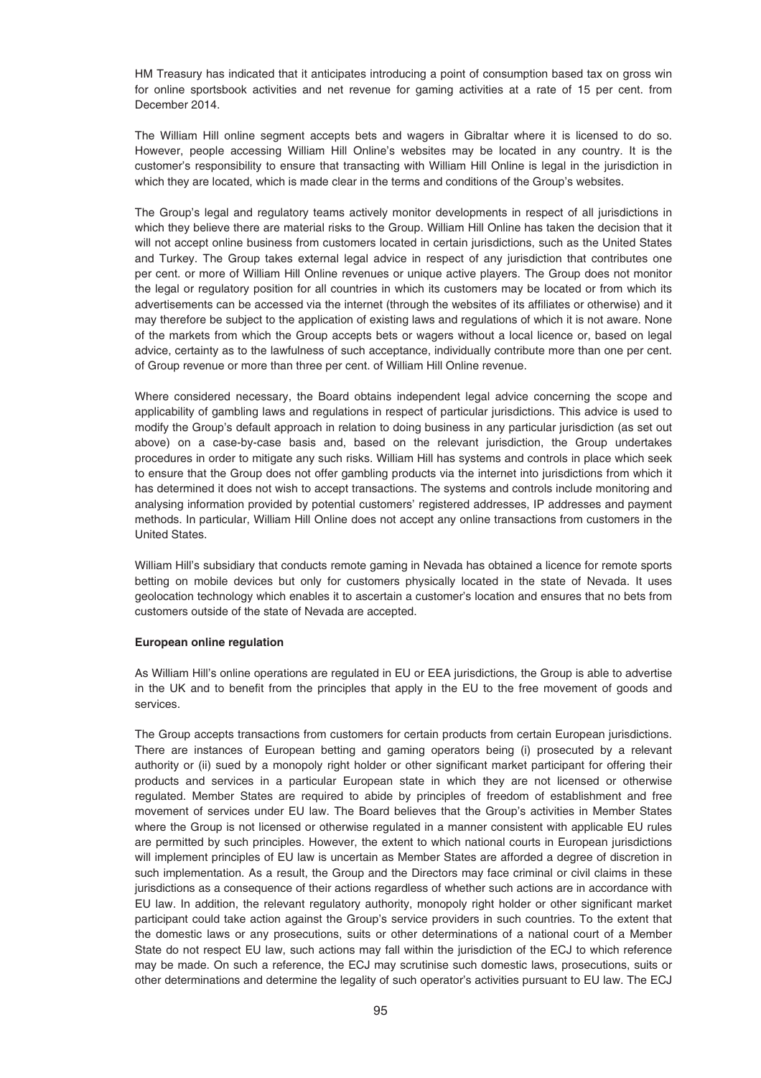HM Treasury has indicated that it anticipates introducing a point of consumption based tax on gross win for online sportsbook activities and net revenue for gaming activities at a rate of 15 per cent. from December 2014.

The William Hill online segment accepts bets and wagers in Gibraltar where it is licensed to do so. However, people accessing William Hill Online's websites may be located in any country. It is the customer's responsibility to ensure that transacting with William Hill Online is legal in the jurisdiction in which they are located, which is made clear in the terms and conditions of the Group's websites.

The Group's legal and regulatory teams actively monitor developments in respect of all jurisdictions in which they believe there are material risks to the Group. William Hill Online has taken the decision that it will not accept online business from customers located in certain jurisdictions, such as the United States and Turkey. The Group takes external legal advice in respect of any jurisdiction that contributes one per cent. or more of William Hill Online revenues or unique active players. The Group does not monitor the legal or regulatory position for all countries in which its customers may be located or from which its advertisements can be accessed via the internet (through the websites of its affiliates or otherwise) and it may therefore be subject to the application of existing laws and regulations of which it is not aware. None of the markets from which the Group accepts bets or wagers without a local licence or, based on legal advice, certainty as to the lawfulness of such acceptance, individually contribute more than one per cent. of Group revenue or more than three per cent. of William Hill Online revenue.

Where considered necessary, the Board obtains independent legal advice concerning the scope and applicability of gambling laws and regulations in respect of particular jurisdictions. This advice is used to modify the Group's default approach in relation to doing business in any particular jurisdiction (as set out above) on a case-by-case basis and, based on the relevant jurisdiction, the Group undertakes procedures in order to mitigate any such risks. William Hill has systems and controls in place which seek to ensure that the Group does not offer gambling products via the internet into jurisdictions from which it has determined it does not wish to accept transactions. The systems and controls include monitoring and analysing information provided by potential customers' registered addresses, IP addresses and payment methods. In particular, William Hill Online does not accept any online transactions from customers in the United States.

William Hill's subsidiary that conducts remote gaming in Nevada has obtained a licence for remote sports betting on mobile devices but only for customers physically located in the state of Nevada. It uses geolocation technology which enables it to ascertain a customer's location and ensures that no bets from customers outside of the state of Nevada are accepted.

### **European online regulation**

As William Hill's online operations are regulated in EU or EEA jurisdictions, the Group is able to advertise in the UK and to benefit from the principles that apply in the EU to the free movement of goods and services.

The Group accepts transactions from customers for certain products from certain European jurisdictions. There are instances of European betting and gaming operators being (i) prosecuted by a relevant authority or (ii) sued by a monopoly right holder or other significant market participant for offering their products and services in a particular European state in which they are not licensed or otherwise regulated. Member States are required to abide by principles of freedom of establishment and free movement of services under EU law. The Board believes that the Group's activities in Member States where the Group is not licensed or otherwise regulated in a manner consistent with applicable EU rules are permitted by such principles. However, the extent to which national courts in European jurisdictions will implement principles of EU law is uncertain as Member States are afforded a degree of discretion in such implementation. As a result, the Group and the Directors may face criminal or civil claims in these jurisdictions as a consequence of their actions regardless of whether such actions are in accordance with EU law. In addition, the relevant regulatory authority, monopoly right holder or other significant market participant could take action against the Group's service providers in such countries. To the extent that the domestic laws or any prosecutions, suits or other determinations of a national court of a Member State do not respect EU law, such actions may fall within the jurisdiction of the ECJ to which reference may be made. On such a reference, the ECJ may scrutinise such domestic laws, prosecutions, suits or other determinations and determine the legality of such operator's activities pursuant to EU law. The ECJ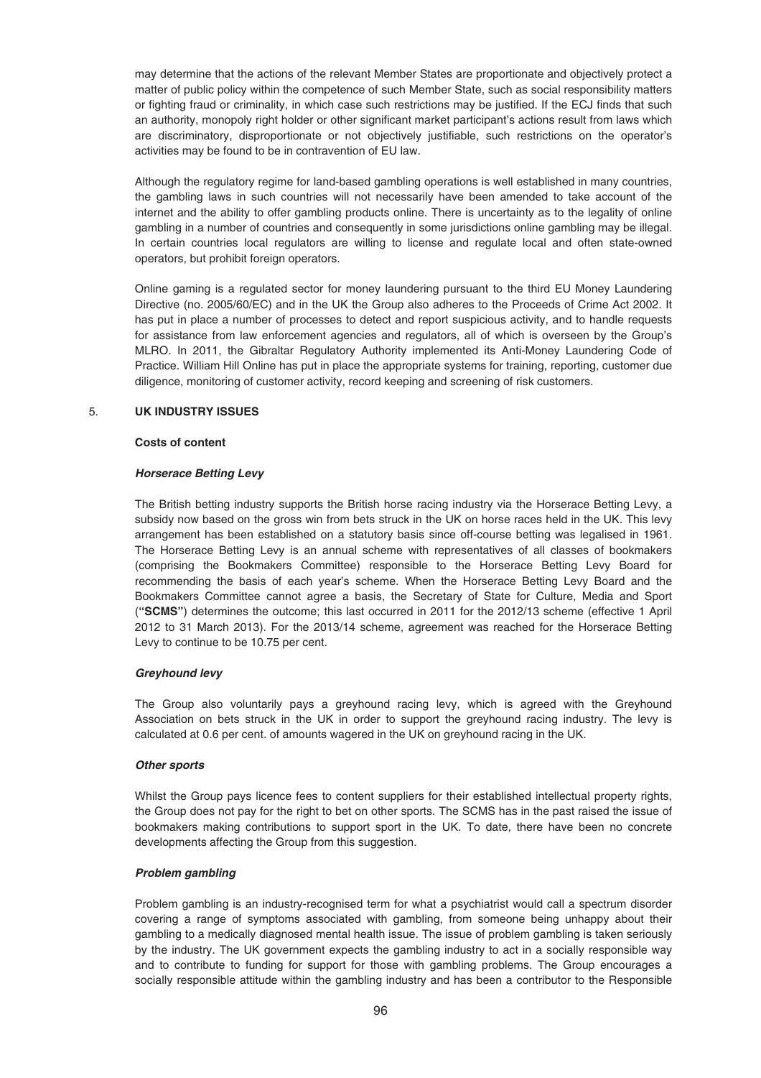may determine that the actions of the relevant Member States are proportionate and objectively protect a matter of public policy within the competence of such Member State, such as social responsibility matters or fighting fraud or criminality, in which case such restrictions may be justified. If the ECJ finds that such an authority, monopoly right holder or other significant market participant's actions result from laws which are discriminatory, disproportionate or not objectively justifiable, such restrictions on the operator's activities may be found to be in contravention of EU law.

Although the regulatory regime for land-based gambling operations is well established in many countries, the gambling laws in such countries will not necessarily have been amended to take account of the internet and the ability to offer gambling products online. There is uncertainty as to the legality of online gambling in a number of countries and consequently in some jurisdictions online gambling may be illegal. In certain countries local regulators are willing to license and regulate local and often state-owned operators, but prohibit foreign operators.

Online gaming is a regulated sector for money laundering pursuant to the third EU Money Laundering Directive (no. 2005/60/EC) and in the UK the Group also adheres to the Proceeds of Crime Act 2002. It has put in place a number of processes to detect and report suspicious activity, and to handle requests for assistance from law enforcement agencies and regulators, all of which is overseen by the Group's MLRO. In 2011, the Gibraltar Regulatory Authority implemented its Anti-Money Laundering Code of Practice. William Hill Online has put in place the appropriate systems for training, reporting, customer due diligence, monitoring of customer activity, record keeping and screening of risk customers.

# 5. **UK INDUSTRY ISSUES**

## **Costs of content**

# *Horserace Betting Levy*

The British betting industry supports the British horse racing industry via the Horserace Betting Levy, a subsidy now based on the gross win from bets struck in the UK on horse races held in the UK. This levy arrangement has been established on a statutory basis since off-course betting was legalised in 1961. The Horserace Betting Levy is an annual scheme with representatives of all classes of bookmakers (comprising the Bookmakers Committee) responsible to the Horserace Betting Levy Board for recommending the basis of each year's scheme. When the Horserace Betting Levy Board and the Bookmakers Committee cannot agree a basis, the Secretary of State for Culture, Media and Sport (**"SCMS"**) determines the outcome; this last occurred in 2011 for the 2012/13 scheme (effective 1 April 2012 to 31 March 2013). For the 2013/14 scheme, agreement was reached for the Horserace Betting Levy to continue to be 10.75 per cent.

# *Greyhound levy*

The Group also voluntarily pays a greyhound racing levy, which is agreed with the Greyhound Association on bets struck in the UK in order to support the greyhound racing industry. The levy is calculated at 0.6 per cent. of amounts wagered in the UK on greyhound racing in the UK.

### *Other sports*

Whilst the Group pays licence fees to content suppliers for their established intellectual property rights, the Group does not pay for the right to bet on other sports. The SCMS has in the past raised the issue of bookmakers making contributions to support sport in the UK. To date, there have been no concrete developments affecting the Group from this suggestion.

### *Problem gambling*

Problem gambling is an industry-recognised term for what a psychiatrist would call a spectrum disorder covering a range of symptoms associated with gambling, from someone being unhappy about their gambling to a medically diagnosed mental health issue. The issue of problem gambling is taken seriously by the industry. The UK government expects the gambling industry to act in a socially responsible way and to contribute to funding for support for those with gambling problems. The Group encourages a socially responsible attitude within the gambling industry and has been a contributor to the Responsible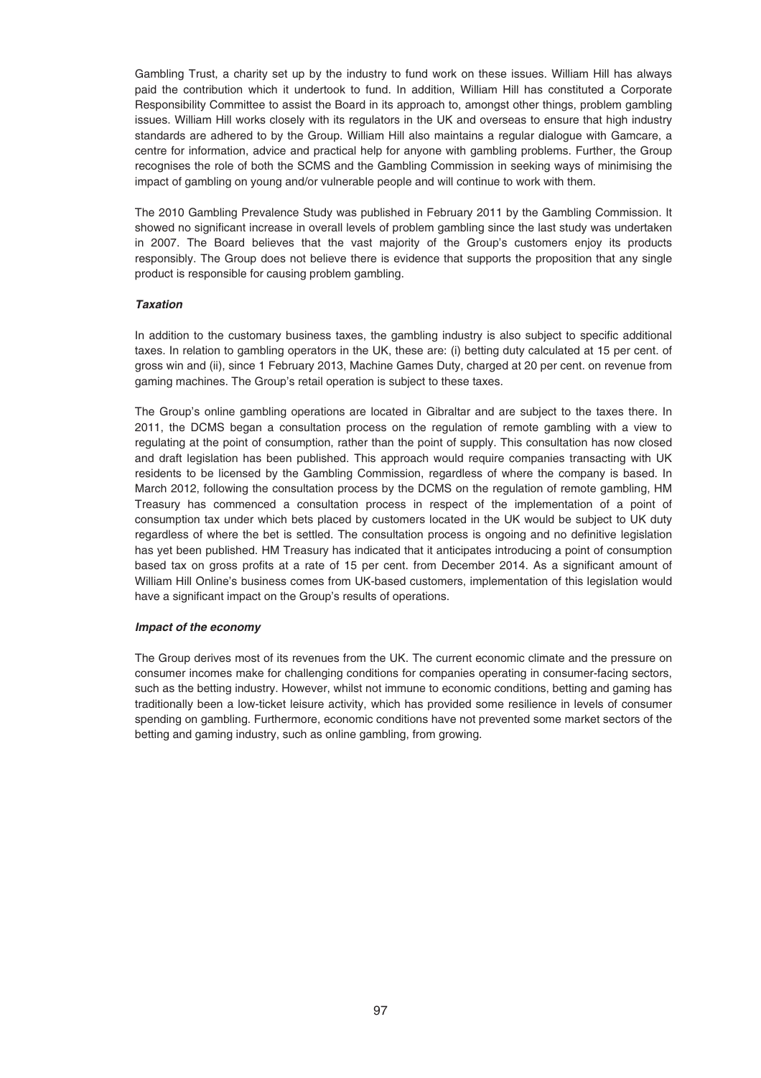Gambling Trust, a charity set up by the industry to fund work on these issues. William Hill has always paid the contribution which it undertook to fund. In addition, William Hill has constituted a Corporate Responsibility Committee to assist the Board in its approach to, amongst other things, problem gambling issues. William Hill works closely with its regulators in the UK and overseas to ensure that high industry standards are adhered to by the Group. William Hill also maintains a regular dialogue with Gamcare, a centre for information, advice and practical help for anyone with gambling problems. Further, the Group recognises the role of both the SCMS and the Gambling Commission in seeking ways of minimising the impact of gambling on young and/or vulnerable people and will continue to work with them.

The 2010 Gambling Prevalence Study was published in February 2011 by the Gambling Commission. It showed no significant increase in overall levels of problem gambling since the last study was undertaken in 2007. The Board believes that the vast majority of the Group's customers enjoy its products responsibly. The Group does not believe there is evidence that supports the proposition that any single product is responsible for causing problem gambling.

# *Taxation*

In addition to the customary business taxes, the gambling industry is also subject to specific additional taxes. In relation to gambling operators in the UK, these are: (i) betting duty calculated at 15 per cent. of gross win and (ii), since 1 February 2013, Machine Games Duty, charged at 20 per cent. on revenue from gaming machines. The Group's retail operation is subject to these taxes.

The Group's online gambling operations are located in Gibraltar and are subject to the taxes there. In 2011, the DCMS began a consultation process on the regulation of remote gambling with a view to regulating at the point of consumption, rather than the point of supply. This consultation has now closed and draft legislation has been published. This approach would require companies transacting with UK residents to be licensed by the Gambling Commission, regardless of where the company is based. In March 2012, following the consultation process by the DCMS on the regulation of remote gambling, HM Treasury has commenced a consultation process in respect of the implementation of a point of consumption tax under which bets placed by customers located in the UK would be subject to UK duty regardless of where the bet is settled. The consultation process is ongoing and no definitive legislation has yet been published. HM Treasury has indicated that it anticipates introducing a point of consumption based tax on gross profits at a rate of 15 per cent. from December 2014. As a significant amount of William Hill Online's business comes from UK-based customers, implementation of this legislation would have a significant impact on the Group's results of operations.

### *Impact of the economy*

The Group derives most of its revenues from the UK. The current economic climate and the pressure on consumer incomes make for challenging conditions for companies operating in consumer-facing sectors, such as the betting industry. However, whilst not immune to economic conditions, betting and gaming has traditionally been a low-ticket leisure activity, which has provided some resilience in levels of consumer spending on gambling. Furthermore, economic conditions have not prevented some market sectors of the betting and gaming industry, such as online gambling, from growing.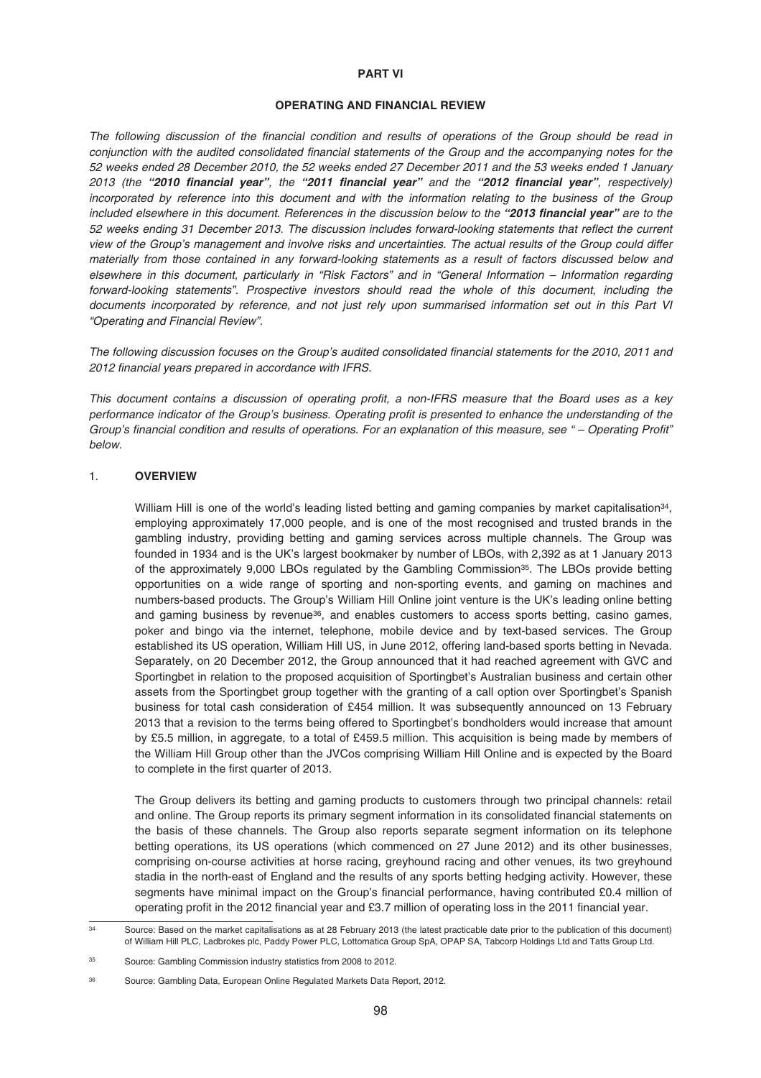#### **PART VI**

# **OPERATING AND FINANCIAL REVIEW**

The following discussion of the financial condition and results of operations of the Group should be read in conjunction with the audited consolidated financial statements of the Group and the accompanying notes for the 52 weeks ended 28 December 2010, the 52 weeks ended 27 December 2011 and the 53 weeks ended 1 January 2013 (the *"2010 financial year"*, the *"2011 financial year"* and the *"2012 financial year"*, respectively) incorporated by reference into this document and with the information relating to the business of the Group included elsewhere in this document. References in the discussion below to the *"2013 financial year"* are to the 52 weeks ending 31 December 2013. The discussion includes forward-looking statements that reflect the current view of the Group's management and involve risks and uncertainties. The actual results of the Group could differ materially from those contained in any forward-looking statements as a result of factors discussed below and elsewhere in this document, particularly in "Risk Factors" and in "General Information – Information regarding forward-looking statements". Prospective investors should read the whole of this document, including the documents incorporated by reference, and not just rely upon summarised information set out in this Part VI "Operating and Financial Review".

The following discussion focuses on the Group's audited consolidated financial statements for the 2010, 2011 and 2012 financial years prepared in accordance with IFRS.

This document contains a discussion of operating profit, a non-IFRS measure that the Board uses as a key performance indicator of the Group's business. Operating profit is presented to enhance the understanding of the Group's financial condition and results of operations. For an explanation of this measure, see " – Operating Profit" below.

# 1. **OVERVIEW**

William Hill is one of the world's leading listed betting and gaming companies by market capitalisation<sup>34</sup>, employing approximately 17,000 people, and is one of the most recognised and trusted brands in the gambling industry, providing betting and gaming services across multiple channels. The Group was founded in 1934 and is the UK's largest bookmaker by number of LBOs, with 2,392 as at 1 January 2013 of the approximately 9,000 LBOs regulated by the Gambling Commission<sup>35</sup>. The LBOs provide betting opportunities on a wide range of sporting and non-sporting events, and gaming on machines and numbers-based products. The Group's William Hill Online joint venture is the UK's leading online betting and gaming business by revenue<sup>36</sup>, and enables customers to access sports betting, casino games, poker and bingo via the internet, telephone, mobile device and by text-based services. The Group established its US operation, William Hill US, in June 2012, offering land-based sports betting in Nevada. Separately, on 20 December 2012, the Group announced that it had reached agreement with GVC and Sportingbet in relation to the proposed acquisition of Sportingbet's Australian business and certain other assets from the Sportingbet group together with the granting of a call option over Sportingbet's Spanish business for total cash consideration of £454 million. It was subsequently announced on 13 February 2013 that a revision to the terms being offered to Sportingbet's bondholders would increase that amount by £5.5 million, in aggregate, to a total of £459.5 million. This acquisition is being made by members of the William Hill Group other than the JVCos comprising William Hill Online and is expected by the Board to complete in the first quarter of 2013.

The Group delivers its betting and gaming products to customers through two principal channels: retail and online. The Group reports its primary segment information in its consolidated financial statements on the basis of these channels. The Group also reports separate segment information on its telephone betting operations, its US operations (which commenced on 27 June 2012) and its other businesses, comprising on-course activities at horse racing, greyhound racing and other venues, its two greyhound stadia in the north-east of England and the results of any sports betting hedging activity. However, these segments have minimal impact on the Group's financial performance, having contributed £0.4 million of operating profit in the 2012 financial year and £3.7 million of operating loss in the 2011 financial year.

<sup>34</sup> Source: Based on the market capitalisations as at 28 February 2013 (the latest practicable date prior to the publication of this document) of William Hill PLC, Ladbrokes plc, Paddy Power PLC, Lottomatica Group SpA, OPAP SA, Tabcorp Holdings Ltd and Tatts Group Ltd.

<sup>35</sup> Source: Gambling Commission industry statistics from 2008 to 2012.

<sup>36</sup> Source: Gambling Data, European Online Regulated Markets Data Report, 2012.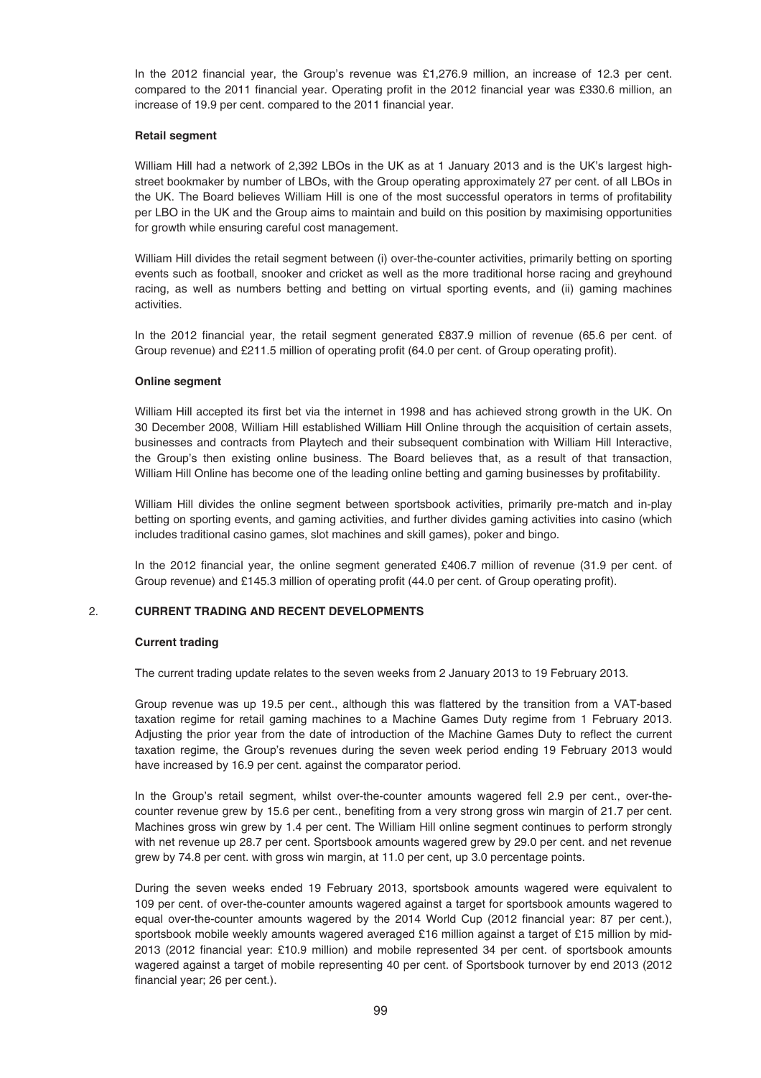In the 2012 financial year, the Group's revenue was £1,276.9 million, an increase of 12.3 per cent. compared to the 2011 financial year. Operating profit in the 2012 financial year was £330.6 million, an increase of 19.9 per cent. compared to the 2011 financial year.

### **Retail segment**

William Hill had a network of 2,392 LBOs in the UK as at 1 January 2013 and is the UK's largest highstreet bookmaker by number of LBOs, with the Group operating approximately 27 per cent. of all LBOs in the UK. The Board believes William Hill is one of the most successful operators in terms of profitability per LBO in the UK and the Group aims to maintain and build on this position by maximising opportunities for growth while ensuring careful cost management.

William Hill divides the retail segment between (i) over-the-counter activities, primarily betting on sporting events such as football, snooker and cricket as well as the more traditional horse racing and greyhound racing, as well as numbers betting and betting on virtual sporting events, and (ii) gaming machines activities.

In the 2012 financial year, the retail segment generated £837.9 million of revenue (65.6 per cent. of Group revenue) and £211.5 million of operating profit (64.0 per cent. of Group operating profit).

### **Online segment**

William Hill accepted its first bet via the internet in 1998 and has achieved strong growth in the UK. On 30 December 2008, William Hill established William Hill Online through the acquisition of certain assets, businesses and contracts from Playtech and their subsequent combination with William Hill Interactive, the Group's then existing online business. The Board believes that, as a result of that transaction, William Hill Online has become one of the leading online betting and gaming businesses by profitability.

William Hill divides the online segment between sportsbook activities, primarily pre-match and in-play betting on sporting events, and gaming activities, and further divides gaming activities into casino (which includes traditional casino games, slot machines and skill games), poker and bingo.

In the 2012 financial year, the online segment generated £406.7 million of revenue (31.9 per cent. of Group revenue) and £145.3 million of operating profit (44.0 per cent. of Group operating profit).

# 2. **CURRENT TRADING AND RECENT DEVELOPMENTS**

### **Current trading**

The current trading update relates to the seven weeks from 2 January 2013 to 19 February 2013.

Group revenue was up 19.5 per cent., although this was flattered by the transition from a VAT-based taxation regime for retail gaming machines to a Machine Games Duty regime from 1 February 2013. Adjusting the prior year from the date of introduction of the Machine Games Duty to reflect the current taxation regime, the Group's revenues during the seven week period ending 19 February 2013 would have increased by 16.9 per cent. against the comparator period.

In the Group's retail segment, whilst over-the-counter amounts wagered fell 2.9 per cent., over-thecounter revenue grew by 15.6 per cent., benefiting from a very strong gross win margin of 21.7 per cent. Machines gross win grew by 1.4 per cent. The William Hill online segment continues to perform strongly with net revenue up 28.7 per cent. Sportsbook amounts wagered grew by 29.0 per cent. and net revenue grew by 74.8 per cent. with gross win margin, at 11.0 per cent, up 3.0 percentage points.

During the seven weeks ended 19 February 2013, sportsbook amounts wagered were equivalent to 109 per cent. of over-the-counter amounts wagered against a target for sportsbook amounts wagered to equal over-the-counter amounts wagered by the 2014 World Cup (2012 financial year: 87 per cent.), sportsbook mobile weekly amounts wagered averaged £16 million against a target of £15 million by mid-2013 (2012 financial year: £10.9 million) and mobile represented 34 per cent. of sportsbook amounts wagered against a target of mobile representing 40 per cent. of Sportsbook turnover by end 2013 (2012 financial year; 26 per cent.).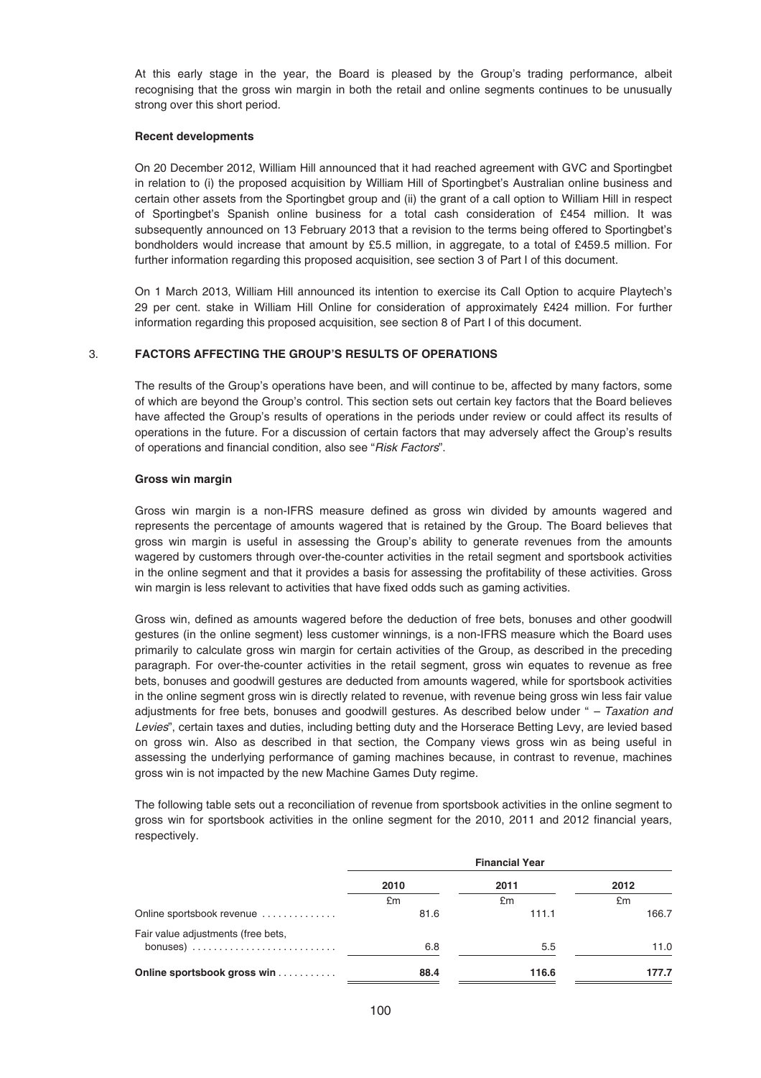At this early stage in the year, the Board is pleased by the Group's trading performance, albeit recognising that the gross win margin in both the retail and online segments continues to be unusually strong over this short period.

#### **Recent developments**

On 20 December 2012, William Hill announced that it had reached agreement with GVC and Sportingbet in relation to (i) the proposed acquisition by William Hill of Sportingbet's Australian online business and certain other assets from the Sportingbet group and (ii) the grant of a call option to William Hill in respect of Sportingbet's Spanish online business for a total cash consideration of £454 million. It was subsequently announced on 13 February 2013 that a revision to the terms being offered to Sportingbet's bondholders would increase that amount by £5.5 million, in aggregate, to a total of £459.5 million. For further information regarding this proposed acquisition, see section 3 of Part I of this document.

On 1 March 2013, William Hill announced its intention to exercise its Call Option to acquire Playtech's 29 per cent. stake in William Hill Online for consideration of approximately £424 million. For further information regarding this proposed acquisition, see section 8 of Part I of this document.

# 3. **FACTORS AFFECTING THE GROUP'S RESULTS OF OPERATIONS**

The results of the Group's operations have been, and will continue to be, affected by many factors, some of which are beyond the Group's control. This section sets out certain key factors that the Board believes have affected the Group's results of operations in the periods under review or could affect its results of operations in the future. For a discussion of certain factors that may adversely affect the Group's results of operations and financial condition, also see "Risk Factors".

#### **Gross win margin**

Gross win margin is a non-IFRS measure defined as gross win divided by amounts wagered and represents the percentage of amounts wagered that is retained by the Group. The Board believes that gross win margin is useful in assessing the Group's ability to generate revenues from the amounts wagered by customers through over-the-counter activities in the retail segment and sportsbook activities in the online segment and that it provides a basis for assessing the profitability of these activities. Gross win margin is less relevant to activities that have fixed odds such as gaming activities.

Gross win, defined as amounts wagered before the deduction of free bets, bonuses and other goodwill gestures (in the online segment) less customer winnings, is a non-IFRS measure which the Board uses primarily to calculate gross win margin for certain activities of the Group, as described in the preceding paragraph. For over-the-counter activities in the retail segment, gross win equates to revenue as free bets, bonuses and goodwill gestures are deducted from amounts wagered, while for sportsbook activities in the online segment gross win is directly related to revenue, with revenue being gross win less fair value adjustments for free bets, bonuses and goodwill gestures. As described below under " $-$  Taxation and Levies", certain taxes and duties, including betting duty and the Horserace Betting Levy, are levied based on gross win. Also as described in that section, the Company views gross win as being useful in assessing the underlying performance of gaming machines because, in contrast to revenue, machines gross win is not impacted by the new Machine Games Duty regime.

The following table sets out a reconciliation of revenue from sportsbook activities in the online segment to gross win for sportsbook activities in the online segment for the 2010, 2011 and 2012 financial years, respectively.

|                                                                    | <b>Financial Year</b> |       |       |  |
|--------------------------------------------------------------------|-----------------------|-------|-------|--|
|                                                                    | 2010                  | 2011  | 2012  |  |
|                                                                    | £m                    | £m    | £m    |  |
| Online sportsbook revenue                                          | 81.6                  | 111.1 | 166.7 |  |
| Fair value adjustments (free bets,                                 |                       |       |       |  |
| bonuses) $\ldots \ldots \ldots \ldots \ldots \ldots \ldots \ldots$ | 6.8                   | 5.5   | 11.0  |  |
| Online sportsbook gross win                                        | 88.4                  | 116.6 | 177.7 |  |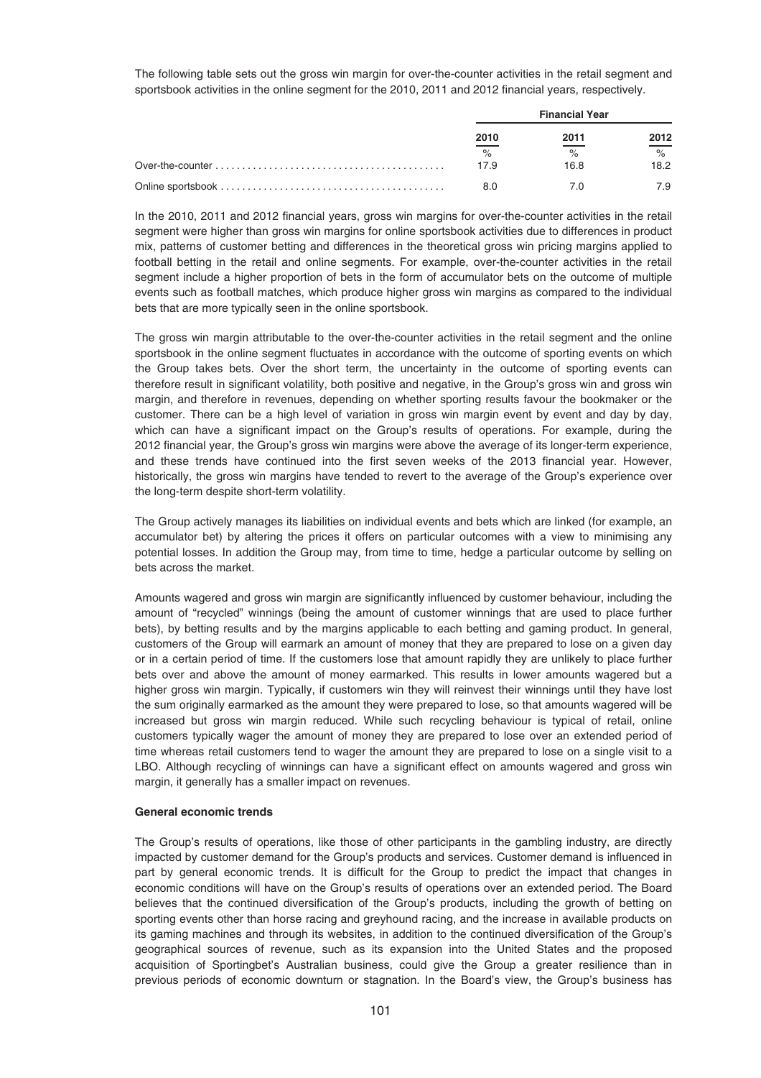The following table sets out the gross win margin for over-the-counter activities in the retail segment and sportsbook activities in the online segment for the 2010, 2011 and 2012 financial years, respectively.

| <b>Financial Year</b> |      |                    |
|-----------------------|------|--------------------|
| 2010                  | 2011 | 2012               |
| $\%$                  | $\%$ | $\frac{1}{\alpha}$ |
| 17.9                  | 16.8 | 18.2               |
|                       |      | 7.9                |

In the 2010, 2011 and 2012 financial years, gross win margins for over-the-counter activities in the retail segment were higher than gross win margins for online sportsbook activities due to differences in product mix, patterns of customer betting and differences in the theoretical gross win pricing margins applied to football betting in the retail and online segments. For example, over-the-counter activities in the retail segment include a higher proportion of bets in the form of accumulator bets on the outcome of multiple events such as football matches, which produce higher gross win margins as compared to the individual bets that are more typically seen in the online sportsbook.

The gross win margin attributable to the over-the-counter activities in the retail segment and the online sportsbook in the online segment fluctuates in accordance with the outcome of sporting events on which the Group takes bets. Over the short term, the uncertainty in the outcome of sporting events can therefore result in significant volatility, both positive and negative, in the Group's gross win and gross win margin, and therefore in revenues, depending on whether sporting results favour the bookmaker or the customer. There can be a high level of variation in gross win margin event by event and day by day, which can have a significant impact on the Group's results of operations. For example, during the 2012 financial year, the Group's gross win margins were above the average of its longer-term experience, and these trends have continued into the first seven weeks of the 2013 financial year. However, historically, the gross win margins have tended to revert to the average of the Group's experience over the long-term despite short-term volatility.

The Group actively manages its liabilities on individual events and bets which are linked (for example, an accumulator bet) by altering the prices it offers on particular outcomes with a view to minimising any potential losses. In addition the Group may, from time to time, hedge a particular outcome by selling on bets across the market.

Amounts wagered and gross win margin are significantly influenced by customer behaviour, including the amount of "recycled" winnings (being the amount of customer winnings that are used to place further bets), by betting results and by the margins applicable to each betting and gaming product. In general, customers of the Group will earmark an amount of money that they are prepared to lose on a given day or in a certain period of time. If the customers lose that amount rapidly they are unlikely to place further bets over and above the amount of money earmarked. This results in lower amounts wagered but a higher gross win margin. Typically, if customers win they will reinvest their winnings until they have lost the sum originally earmarked as the amount they were prepared to lose, so that amounts wagered will be increased but gross win margin reduced. While such recycling behaviour is typical of retail, online customers typically wager the amount of money they are prepared to lose over an extended period of time whereas retail customers tend to wager the amount they are prepared to lose on a single visit to a LBO. Although recycling of winnings can have a significant effect on amounts wagered and gross win margin, it generally has a smaller impact on revenues.

### **General economic trends**

The Group's results of operations, like those of other participants in the gambling industry, are directly impacted by customer demand for the Group's products and services. Customer demand is influenced in part by general economic trends. It is difficult for the Group to predict the impact that changes in economic conditions will have on the Group's results of operations over an extended period. The Board believes that the continued diversification of the Group's products, including the growth of betting on sporting events other than horse racing and greyhound racing, and the increase in available products on its gaming machines and through its websites, in addition to the continued diversification of the Group's geographical sources of revenue, such as its expansion into the United States and the proposed acquisition of Sportingbet's Australian business, could give the Group a greater resilience than in previous periods of economic downturn or stagnation. In the Board's view, the Group's business has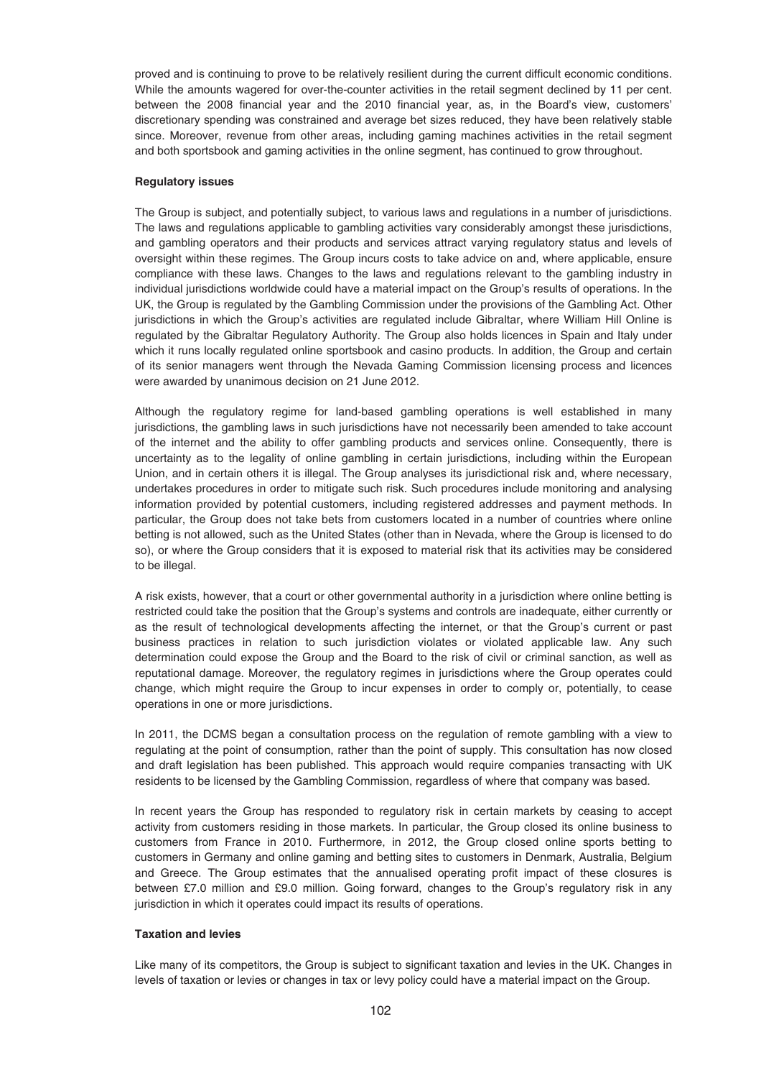proved and is continuing to prove to be relatively resilient during the current difficult economic conditions. While the amounts wagered for over-the-counter activities in the retail segment declined by 11 per cent. between the 2008 financial year and the 2010 financial year, as, in the Board's view, customers' discretionary spending was constrained and average bet sizes reduced, they have been relatively stable since. Moreover, revenue from other areas, including gaming machines activities in the retail segment and both sportsbook and gaming activities in the online segment, has continued to grow throughout.

### **Regulatory issues**

The Group is subject, and potentially subject, to various laws and regulations in a number of jurisdictions. The laws and regulations applicable to gambling activities vary considerably amongst these jurisdictions, and gambling operators and their products and services attract varying regulatory status and levels of oversight within these regimes. The Group incurs costs to take advice on and, where applicable, ensure compliance with these laws. Changes to the laws and regulations relevant to the gambling industry in individual jurisdictions worldwide could have a material impact on the Group's results of operations. In the UK, the Group is regulated by the Gambling Commission under the provisions of the Gambling Act. Other jurisdictions in which the Group's activities are regulated include Gibraltar, where William Hill Online is regulated by the Gibraltar Regulatory Authority. The Group also holds licences in Spain and Italy under which it runs locally regulated online sportsbook and casino products. In addition, the Group and certain of its senior managers went through the Nevada Gaming Commission licensing process and licences were awarded by unanimous decision on 21 June 2012.

Although the regulatory regime for land-based gambling operations is well established in many jurisdictions, the gambling laws in such jurisdictions have not necessarily been amended to take account of the internet and the ability to offer gambling products and services online. Consequently, there is uncertainty as to the legality of online gambling in certain jurisdictions, including within the European Union, and in certain others it is illegal. The Group analyses its jurisdictional risk and, where necessary, undertakes procedures in order to mitigate such risk. Such procedures include monitoring and analysing information provided by potential customers, including registered addresses and payment methods. In particular, the Group does not take bets from customers located in a number of countries where online betting is not allowed, such as the United States (other than in Nevada, where the Group is licensed to do so), or where the Group considers that it is exposed to material risk that its activities may be considered to be illegal.

A risk exists, however, that a court or other governmental authority in a jurisdiction where online betting is restricted could take the position that the Group's systems and controls are inadequate, either currently or as the result of technological developments affecting the internet, or that the Group's current or past business practices in relation to such jurisdiction violates or violated applicable law. Any such determination could expose the Group and the Board to the risk of civil or criminal sanction, as well as reputational damage. Moreover, the regulatory regimes in jurisdictions where the Group operates could change, which might require the Group to incur expenses in order to comply or, potentially, to cease operations in one or more jurisdictions.

In 2011, the DCMS began a consultation process on the regulation of remote gambling with a view to regulating at the point of consumption, rather than the point of supply. This consultation has now closed and draft legislation has been published. This approach would require companies transacting with UK residents to be licensed by the Gambling Commission, regardless of where that company was based.

In recent years the Group has responded to regulatory risk in certain markets by ceasing to accept activity from customers residing in those markets. In particular, the Group closed its online business to customers from France in 2010. Furthermore, in 2012, the Group closed online sports betting to customers in Germany and online gaming and betting sites to customers in Denmark, Australia, Belgium and Greece. The Group estimates that the annualised operating profit impact of these closures is between £7.0 million and £9.0 million. Going forward, changes to the Group's regulatory risk in any jurisdiction in which it operates could impact its results of operations.

# **Taxation and levies**

Like many of its competitors, the Group is subject to significant taxation and levies in the UK. Changes in levels of taxation or levies or changes in tax or levy policy could have a material impact on the Group.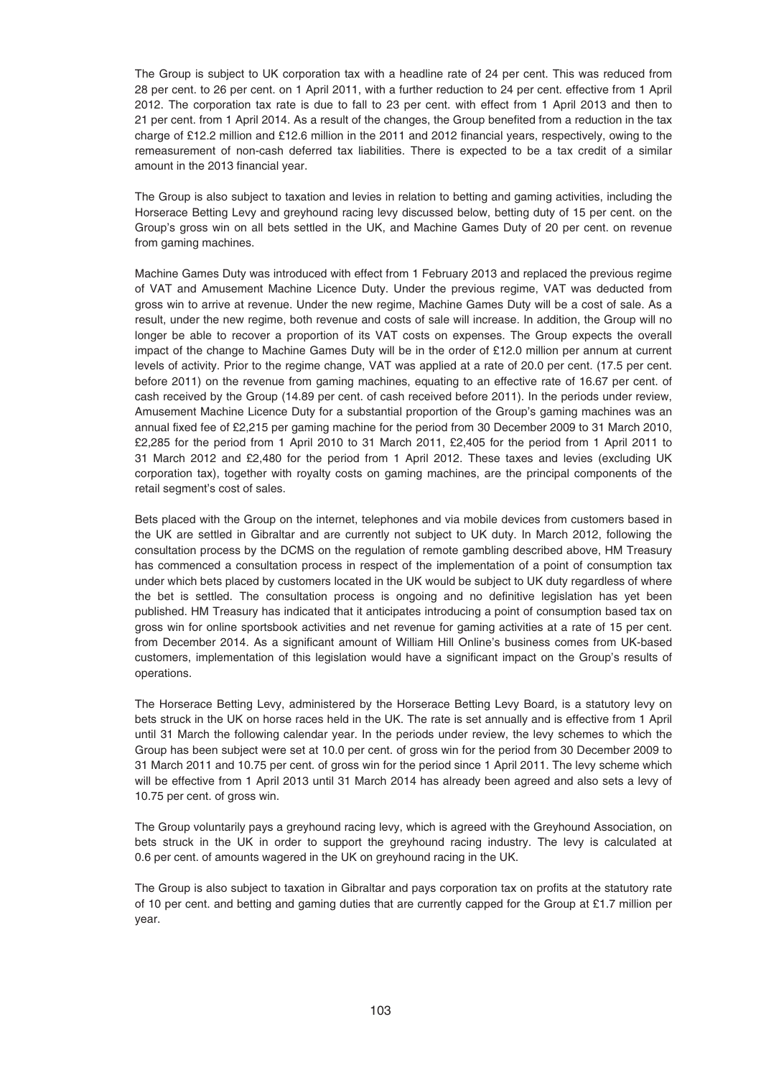The Group is subject to UK corporation tax with a headline rate of 24 per cent. This was reduced from 28 per cent. to 26 per cent. on 1 April 2011, with a further reduction to 24 per cent. effective from 1 April 2012. The corporation tax rate is due to fall to 23 per cent. with effect from 1 April 2013 and then to 21 per cent. from 1 April 2014. As a result of the changes, the Group benefited from a reduction in the tax charge of £12.2 million and £12.6 million in the 2011 and 2012 financial years, respectively, owing to the remeasurement of non-cash deferred tax liabilities. There is expected to be a tax credit of a similar amount in the 2013 financial year.

The Group is also subject to taxation and levies in relation to betting and gaming activities, including the Horserace Betting Levy and greyhound racing levy discussed below, betting duty of 15 per cent. on the Group's gross win on all bets settled in the UK, and Machine Games Duty of 20 per cent. on revenue from gaming machines.

Machine Games Duty was introduced with effect from 1 February 2013 and replaced the previous regime of VAT and Amusement Machine Licence Duty. Under the previous regime, VAT was deducted from gross win to arrive at revenue. Under the new regime, Machine Games Duty will be a cost of sale. As a result, under the new regime, both revenue and costs of sale will increase. In addition, the Group will no longer be able to recover a proportion of its VAT costs on expenses. The Group expects the overall impact of the change to Machine Games Duty will be in the order of £12.0 million per annum at current levels of activity. Prior to the regime change, VAT was applied at a rate of 20.0 per cent. (17.5 per cent. before 2011) on the revenue from gaming machines, equating to an effective rate of 16.67 per cent. of cash received by the Group (14.89 per cent. of cash received before 2011). In the periods under review, Amusement Machine Licence Duty for a substantial proportion of the Group's gaming machines was an annual fixed fee of £2,215 per gaming machine for the period from 30 December 2009 to 31 March 2010, £2,285 for the period from 1 April 2010 to 31 March 2011, £2,405 for the period from 1 April 2011 to 31 March 2012 and £2,480 for the period from 1 April 2012. These taxes and levies (excluding UK corporation tax), together with royalty costs on gaming machines, are the principal components of the retail segment's cost of sales.

Bets placed with the Group on the internet, telephones and via mobile devices from customers based in the UK are settled in Gibraltar and are currently not subject to UK duty. In March 2012, following the consultation process by the DCMS on the regulation of remote gambling described above, HM Treasury has commenced a consultation process in respect of the implementation of a point of consumption tax under which bets placed by customers located in the UK would be subject to UK duty regardless of where the bet is settled. The consultation process is ongoing and no definitive legislation has yet been published. HM Treasury has indicated that it anticipates introducing a point of consumption based tax on gross win for online sportsbook activities and net revenue for gaming activities at a rate of 15 per cent. from December 2014. As a significant amount of William Hill Online's business comes from UK-based customers, implementation of this legislation would have a significant impact on the Group's results of operations.

The Horserace Betting Levy, administered by the Horserace Betting Levy Board, is a statutory levy on bets struck in the UK on horse races held in the UK. The rate is set annually and is effective from 1 April until 31 March the following calendar year. In the periods under review, the levy schemes to which the Group has been subject were set at 10.0 per cent. of gross win for the period from 30 December 2009 to 31 March 2011 and 10.75 per cent. of gross win for the period since 1 April 2011. The levy scheme which will be effective from 1 April 2013 until 31 March 2014 has already been agreed and also sets a levy of 10.75 per cent. of gross win.

The Group voluntarily pays a greyhound racing levy, which is agreed with the Greyhound Association, on bets struck in the UK in order to support the greyhound racing industry. The levy is calculated at 0.6 per cent. of amounts wagered in the UK on greyhound racing in the UK.

The Group is also subject to taxation in Gibraltar and pays corporation tax on profits at the statutory rate of 10 per cent. and betting and gaming duties that are currently capped for the Group at £1.7 million per year.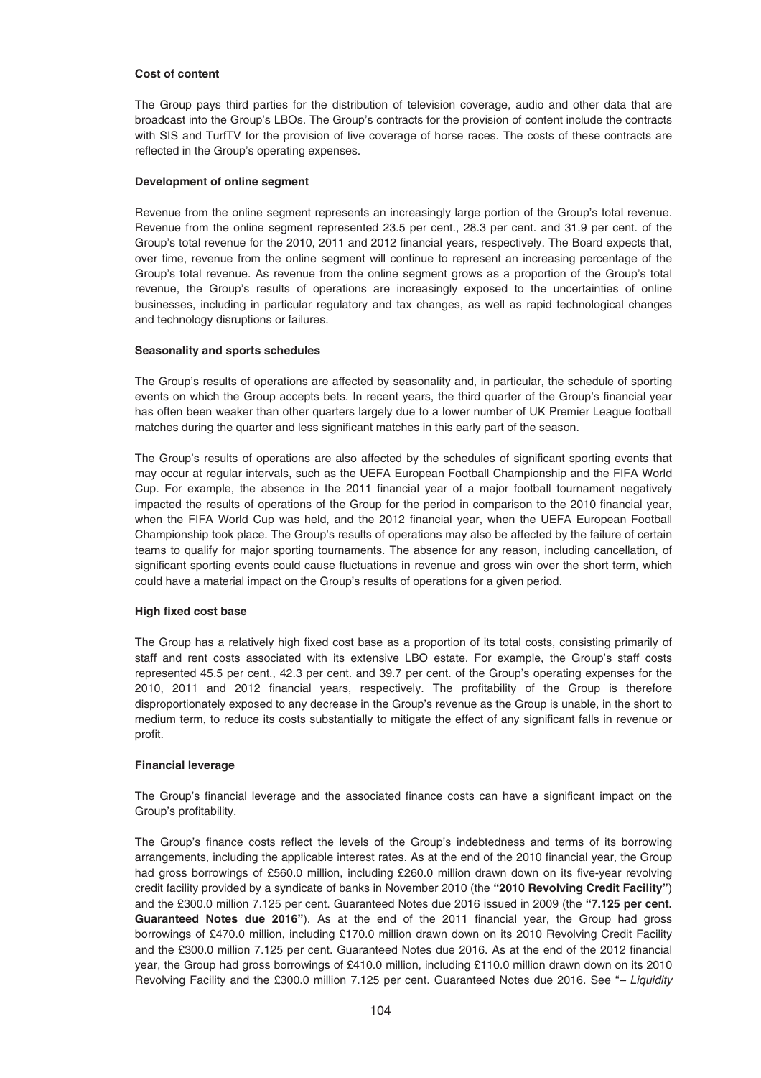#### **Cost of content**

The Group pays third parties for the distribution of television coverage, audio and other data that are broadcast into the Group's LBOs. The Group's contracts for the provision of content include the contracts with SIS and TurfTV for the provision of live coverage of horse races. The costs of these contracts are reflected in the Group's operating expenses.

#### **Development of online segment**

Revenue from the online segment represents an increasingly large portion of the Group's total revenue. Revenue from the online segment represented 23.5 per cent., 28.3 per cent. and 31.9 per cent. of the Group's total revenue for the 2010, 2011 and 2012 financial years, respectively. The Board expects that, over time, revenue from the online segment will continue to represent an increasing percentage of the Group's total revenue. As revenue from the online segment grows as a proportion of the Group's total revenue, the Group's results of operations are increasingly exposed to the uncertainties of online businesses, including in particular regulatory and tax changes, as well as rapid technological changes and technology disruptions or failures.

#### **Seasonality and sports schedules**

The Group's results of operations are affected by seasonality and, in particular, the schedule of sporting events on which the Group accepts bets. In recent years, the third quarter of the Group's financial year has often been weaker than other quarters largely due to a lower number of UK Premier League football matches during the quarter and less significant matches in this early part of the season.

The Group's results of operations are also affected by the schedules of significant sporting events that may occur at regular intervals, such as the UEFA European Football Championship and the FIFA World Cup. For example, the absence in the 2011 financial year of a major football tournament negatively impacted the results of operations of the Group for the period in comparison to the 2010 financial year, when the FIFA World Cup was held, and the 2012 financial year, when the UEFA European Football Championship took place. The Group's results of operations may also be affected by the failure of certain teams to qualify for major sporting tournaments. The absence for any reason, including cancellation, of significant sporting events could cause fluctuations in revenue and gross win over the short term, which could have a material impact on the Group's results of operations for a given period.

### **High fixed cost base**

The Group has a relatively high fixed cost base as a proportion of its total costs, consisting primarily of staff and rent costs associated with its extensive LBO estate. For example, the Group's staff costs represented 45.5 per cent., 42.3 per cent. and 39.7 per cent. of the Group's operating expenses for the 2010, 2011 and 2012 financial years, respectively. The profitability of the Group is therefore disproportionately exposed to any decrease in the Group's revenue as the Group is unable, in the short to medium term, to reduce its costs substantially to mitigate the effect of any significant falls in revenue or profit.

#### **Financial leverage**

The Group's financial leverage and the associated finance costs can have a significant impact on the Group's profitability.

The Group's finance costs reflect the levels of the Group's indebtedness and terms of its borrowing arrangements, including the applicable interest rates. As at the end of the 2010 financial year, the Group had gross borrowings of £560.0 million, including £260.0 million drawn down on its five-year revolving credit facility provided by a syndicate of banks in November 2010 (the **"2010 Revolving Credit Facility"**) and the £300.0 million 7.125 per cent. Guaranteed Notes due 2016 issued in 2009 (the **"7.125 per cent. Guaranteed Notes due 2016"**). As at the end of the 2011 financial year, the Group had gross borrowings of £470.0 million, including £170.0 million drawn down on its 2010 Revolving Credit Facility and the £300.0 million 7.125 per cent. Guaranteed Notes due 2016. As at the end of the 2012 financial year, the Group had gross borrowings of £410.0 million, including £110.0 million drawn down on its 2010 Revolving Facility and the £300.0 million 7.125 per cent. Guaranteed Notes due 2016. See "– Liquidity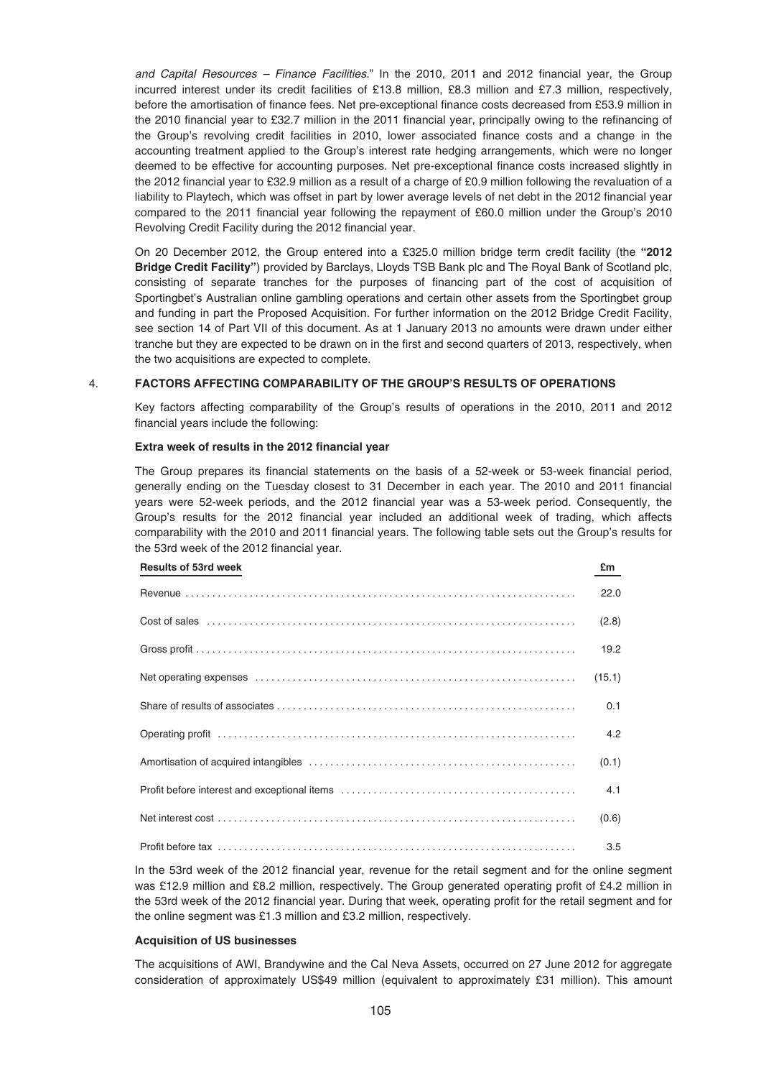and Capital Resources – Finance Facilities." In the 2010, 2011 and 2012 financial year, the Group incurred interest under its credit facilities of £13.8 million, £8.3 million and £7.3 million, respectively, before the amortisation of finance fees. Net pre-exceptional finance costs decreased from £53.9 million in the 2010 financial year to £32.7 million in the 2011 financial year, principally owing to the refinancing of the Group's revolving credit facilities in 2010, lower associated finance costs and a change in the accounting treatment applied to the Group's interest rate hedging arrangements, which were no longer deemed to be effective for accounting purposes. Net pre-exceptional finance costs increased slightly in the 2012 financial year to £32.9 million as a result of a charge of £0.9 million following the revaluation of a liability to Playtech, which was offset in part by lower average levels of net debt in the 2012 financial year compared to the 2011 financial year following the repayment of £60.0 million under the Group's 2010 Revolving Credit Facility during the 2012 financial year.

On 20 December 2012, the Group entered into a £325.0 million bridge term credit facility (the **"2012 Bridge Credit Facility"**) provided by Barclays, Lloyds TSB Bank plc and The Royal Bank of Scotland plc, consisting of separate tranches for the purposes of financing part of the cost of acquisition of Sportingbet's Australian online gambling operations and certain other assets from the Sportingbet group and funding in part the Proposed Acquisition. For further information on the 2012 Bridge Credit Facility, see section 14 of Part VII of this document. As at 1 January 2013 no amounts were drawn under either tranche but they are expected to be drawn on in the first and second quarters of 2013, respectively, when the two acquisitions are expected to complete.

## 4. **FACTORS AFFECTING COMPARABILITY OF THE GROUP'S RESULTS OF OPERATIONS**

Key factors affecting comparability of the Group's results of operations in the 2010, 2011 and 2012 financial years include the following:

## **Extra week of results in the 2012 financial year**

The Group prepares its financial statements on the basis of a 52-week or 53-week financial period, generally ending on the Tuesday closest to 31 December in each year. The 2010 and 2011 financial years were 52-week periods, and the 2012 financial year was a 53-week period. Consequently, the Group's results for the 2012 financial year included an additional week of trading, which affects comparability with the 2010 and 2011 financial years. The following table sets out the Group's results for the 53rd week of the 2012 financial year.

| <b>Results of 53rd week</b> | £m     |
|-----------------------------|--------|
|                             | 22.0   |
|                             | (2.8)  |
|                             | 19.2   |
|                             | (15.1) |
|                             | 0.1    |
|                             | 4.2    |
|                             | (0.1)  |
|                             | 4.1    |
|                             | (0.6)  |
|                             | 3.5    |

In the 53rd week of the 2012 financial year, revenue for the retail segment and for the online segment was £12.9 million and £8.2 million, respectively. The Group generated operating profit of £4.2 million in the 53rd week of the 2012 financial year. During that week, operating profit for the retail segment and for the online segment was £1.3 million and £3.2 million, respectively.

# **Acquisition of US businesses**

The acquisitions of AWI, Brandywine and the Cal Neva Assets, occurred on 27 June 2012 for aggregate consideration of approximately US\$49 million (equivalent to approximately £31 million). This amount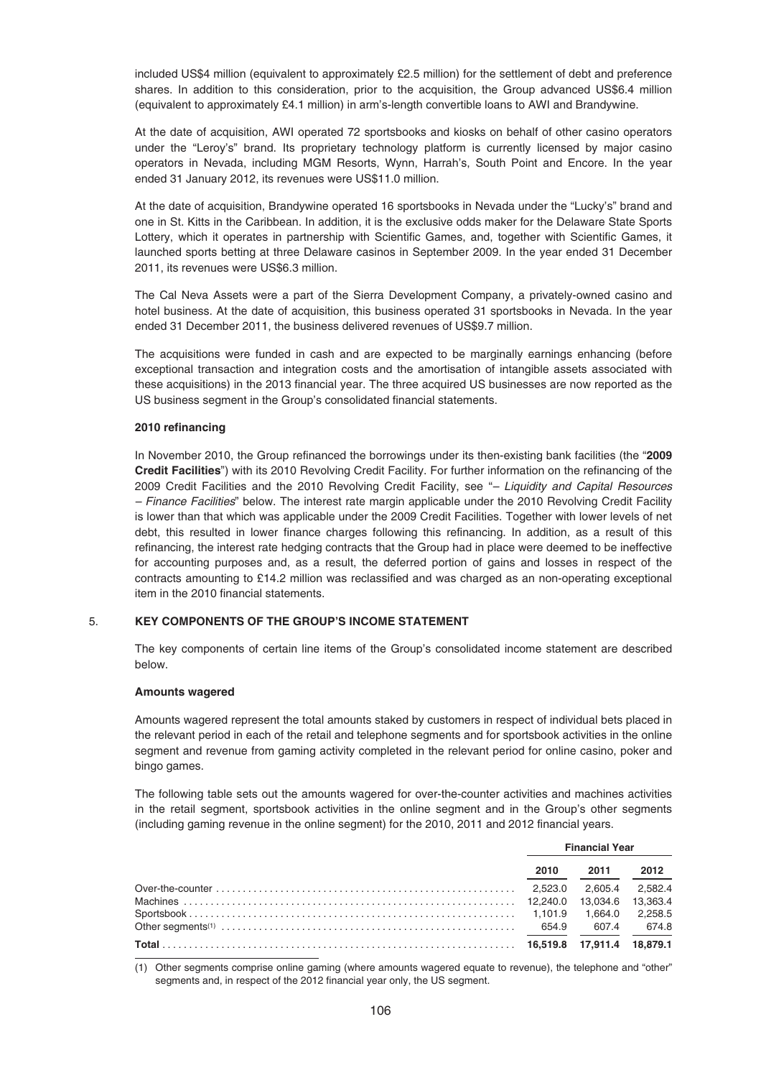included US\$4 million (equivalent to approximately £2.5 million) for the settlement of debt and preference shares. In addition to this consideration, prior to the acquisition, the Group advanced US\$6.4 million (equivalent to approximately £4.1 million) in arm's-length convertible loans to AWI and Brandywine.

At the date of acquisition, AWI operated 72 sportsbooks and kiosks on behalf of other casino operators under the "Leroy's" brand. Its proprietary technology platform is currently licensed by major casino operators in Nevada, including MGM Resorts, Wynn, Harrah's, South Point and Encore. In the year ended 31 January 2012, its revenues were US\$11.0 million.

At the date of acquisition, Brandywine operated 16 sportsbooks in Nevada under the "Lucky's" brand and one in St. Kitts in the Caribbean. In addition, it is the exclusive odds maker for the Delaware State Sports Lottery, which it operates in partnership with Scientific Games, and, together with Scientific Games, it launched sports betting at three Delaware casinos in September 2009. In the year ended 31 December 2011, its revenues were US\$6.3 million.

The Cal Neva Assets were a part of the Sierra Development Company, a privately-owned casino and hotel business. At the date of acquisition, this business operated 31 sportsbooks in Nevada. In the year ended 31 December 2011, the business delivered revenues of US\$9.7 million.

The acquisitions were funded in cash and are expected to be marginally earnings enhancing (before exceptional transaction and integration costs and the amortisation of intangible assets associated with these acquisitions) in the 2013 financial year. The three acquired US businesses are now reported as the US business segment in the Group's consolidated financial statements.

## **2010 refinancing**

In November 2010, the Group refinanced the borrowings under its then-existing bank facilities (the "**2009 Credit Facilities**") with its 2010 Revolving Credit Facility. For further information on the refinancing of the 2009 Credit Facilities and the 2010 Revolving Credit Facility, see "– Liquidity and Capital Resources – Finance Facilities" below. The interest rate margin applicable under the 2010 Revolving Credit Facility is lower than that which was applicable under the 2009 Credit Facilities. Together with lower levels of net debt, this resulted in lower finance charges following this refinancing. In addition, as a result of this refinancing, the interest rate hedging contracts that the Group had in place were deemed to be ineffective for accounting purposes and, as a result, the deferred portion of gains and losses in respect of the contracts amounting to £14.2 million was reclassified and was charged as an non-operating exceptional item in the 2010 financial statements.

# 5. **KEY COMPONENTS OF THE GROUP'S INCOME STATEMENT**

The key components of certain line items of the Group's consolidated income statement are described below.

## **Amounts wagered**

Amounts wagered represent the total amounts staked by customers in respect of individual bets placed in the relevant period in each of the retail and telephone segments and for sportsbook activities in the online segment and revenue from gaming activity completed in the relevant period for online casino, poker and bingo games.

The following table sets out the amounts wagered for over-the-counter activities and machines activities in the retail segment, sportsbook activities in the online segment and in the Group's other segments (including gaming revenue in the online segment) for the 2010, 2011 and 2012 financial years.

| <b>Financial Year</b> |                   |         |
|-----------------------|-------------------|---------|
| 2010                  | 2011              | 2012    |
|                       | 2.605.4           | 2.582.4 |
|                       | 13.034.6 13.363.4 |         |
|                       | 1.664.0 2.258.5   |         |
|                       | 607.4             | 674.8   |
|                       |                   |         |

(1) Other segments comprise online gaming (where amounts wagered equate to revenue), the telephone and "other" segments and, in respect of the 2012 financial year only, the US segment.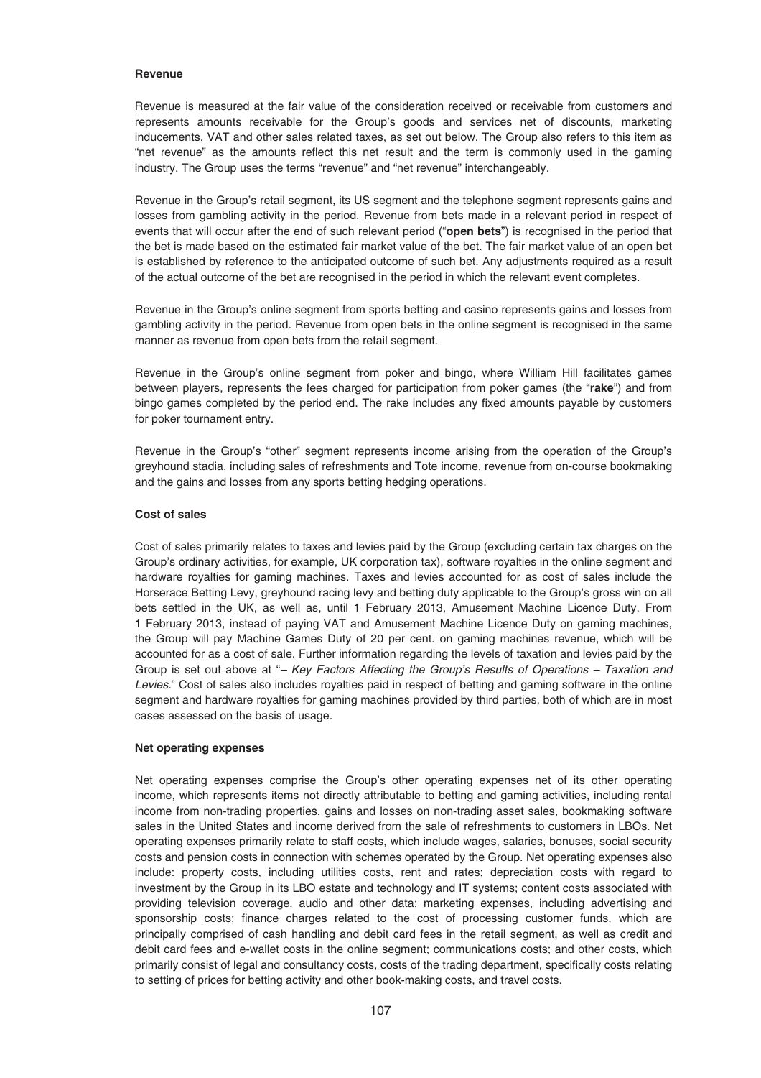#### **Revenue**

Revenue is measured at the fair value of the consideration received or receivable from customers and represents amounts receivable for the Group's goods and services net of discounts, marketing inducements, VAT and other sales related taxes, as set out below. The Group also refers to this item as "net revenue" as the amounts reflect this net result and the term is commonly used in the gaming industry. The Group uses the terms "revenue" and "net revenue" interchangeably.

Revenue in the Group's retail segment, its US segment and the telephone segment represents gains and losses from gambling activity in the period. Revenue from bets made in a relevant period in respect of events that will occur after the end of such relevant period ("**open bets**") is recognised in the period that the bet is made based on the estimated fair market value of the bet. The fair market value of an open bet is established by reference to the anticipated outcome of such bet. Any adjustments required as a result of the actual outcome of the bet are recognised in the period in which the relevant event completes.

Revenue in the Group's online segment from sports betting and casino represents gains and losses from gambling activity in the period. Revenue from open bets in the online segment is recognised in the same manner as revenue from open bets from the retail segment.

Revenue in the Group's online segment from poker and bingo, where William Hill facilitates games between players, represents the fees charged for participation from poker games (the "**rake**") and from bingo games completed by the period end. The rake includes any fixed amounts payable by customers for poker tournament entry.

Revenue in the Group's "other" segment represents income arising from the operation of the Group's greyhound stadia, including sales of refreshments and Tote income, revenue from on-course bookmaking and the gains and losses from any sports betting hedging operations.

# **Cost of sales**

Cost of sales primarily relates to taxes and levies paid by the Group (excluding certain tax charges on the Group's ordinary activities, for example, UK corporation tax), software royalties in the online segment and hardware royalties for gaming machines. Taxes and levies accounted for as cost of sales include the Horserace Betting Levy, greyhound racing levy and betting duty applicable to the Group's gross win on all bets settled in the UK, as well as, until 1 February 2013, Amusement Machine Licence Duty. From 1 February 2013, instead of paying VAT and Amusement Machine Licence Duty on gaming machines, the Group will pay Machine Games Duty of 20 per cent. on gaming machines revenue, which will be accounted for as a cost of sale. Further information regarding the levels of taxation and levies paid by the Group is set out above at "– Key Factors Affecting the Group's Results of Operations – Taxation and Levies." Cost of sales also includes royalties paid in respect of betting and gaming software in the online segment and hardware royalties for gaming machines provided by third parties, both of which are in most cases assessed on the basis of usage.

# **Net operating expenses**

Net operating expenses comprise the Group's other operating expenses net of its other operating income, which represents items not directly attributable to betting and gaming activities, including rental income from non-trading properties, gains and losses on non-trading asset sales, bookmaking software sales in the United States and income derived from the sale of refreshments to customers in LBOs. Net operating expenses primarily relate to staff costs, which include wages, salaries, bonuses, social security costs and pension costs in connection with schemes operated by the Group. Net operating expenses also include: property costs, including utilities costs, rent and rates; depreciation costs with regard to investment by the Group in its LBO estate and technology and IT systems; content costs associated with providing television coverage, audio and other data; marketing expenses, including advertising and sponsorship costs; finance charges related to the cost of processing customer funds, which are principally comprised of cash handling and debit card fees in the retail segment, as well as credit and debit card fees and e-wallet costs in the online segment; communications costs; and other costs, which primarily consist of legal and consultancy costs, costs of the trading department, specifically costs relating to setting of prices for betting activity and other book-making costs, and travel costs.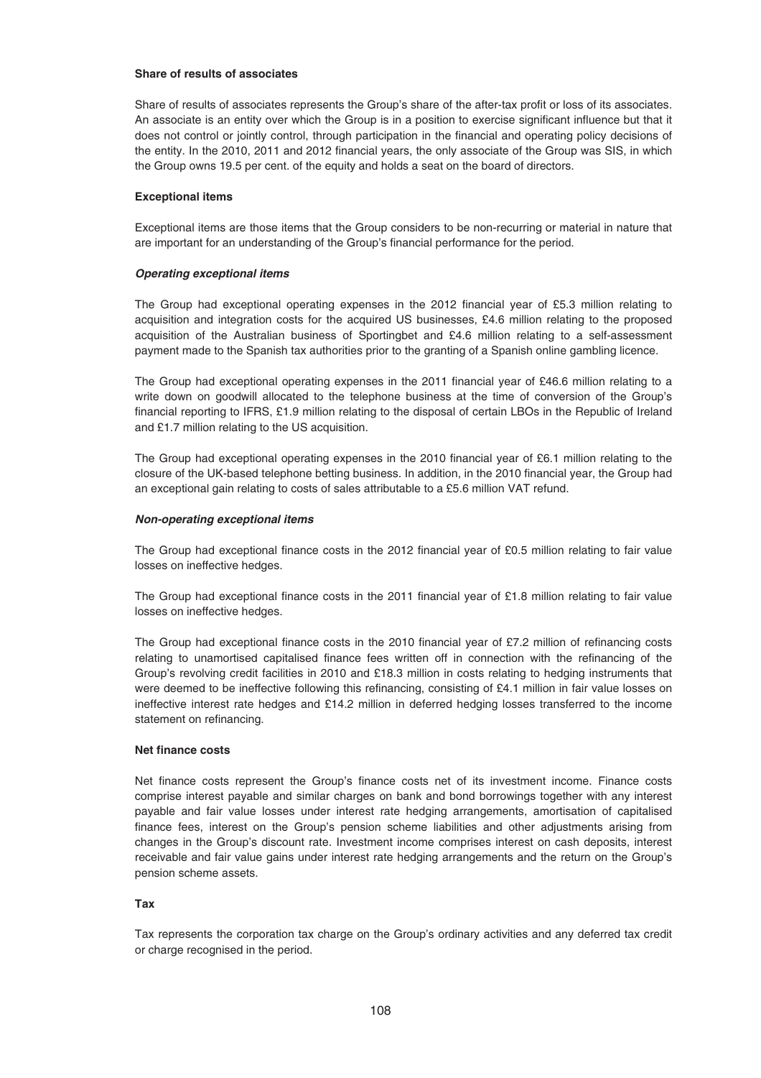## **Share of results of associates**

Share of results of associates represents the Group's share of the after-tax profit or loss of its associates. An associate is an entity over which the Group is in a position to exercise significant influence but that it does not control or jointly control, through participation in the financial and operating policy decisions of the entity. In the 2010, 2011 and 2012 financial years, the only associate of the Group was SIS, in which the Group owns 19.5 per cent. of the equity and holds a seat on the board of directors.

## **Exceptional items**

Exceptional items are those items that the Group considers to be non-recurring or material in nature that are important for an understanding of the Group's financial performance for the period.

# *Operating exceptional items*

The Group had exceptional operating expenses in the 2012 financial year of £5.3 million relating to acquisition and integration costs for the acquired US businesses, £4.6 million relating to the proposed acquisition of the Australian business of Sportingbet and £4.6 million relating to a self-assessment payment made to the Spanish tax authorities prior to the granting of a Spanish online gambling licence.

The Group had exceptional operating expenses in the 2011 financial year of £46.6 million relating to a write down on goodwill allocated to the telephone business at the time of conversion of the Group's financial reporting to IFRS, £1.9 million relating to the disposal of certain LBOs in the Republic of Ireland and £1.7 million relating to the US acquisition.

The Group had exceptional operating expenses in the 2010 financial year of £6.1 million relating to the closure of the UK-based telephone betting business. In addition, in the 2010 financial year, the Group had an exceptional gain relating to costs of sales attributable to a £5.6 million VAT refund.

# *Non-operating exceptional items*

The Group had exceptional finance costs in the 2012 financial year of £0.5 million relating to fair value losses on ineffective hedges.

The Group had exceptional finance costs in the 2011 financial year of £1.8 million relating to fair value losses on ineffective hedges.

The Group had exceptional finance costs in the 2010 financial year of £7.2 million of refinancing costs relating to unamortised capitalised finance fees written off in connection with the refinancing of the Group's revolving credit facilities in 2010 and £18.3 million in costs relating to hedging instruments that were deemed to be ineffective following this refinancing, consisting of £4.1 million in fair value losses on ineffective interest rate hedges and £14.2 million in deferred hedging losses transferred to the income statement on refinancing.

## **Net finance costs**

Net finance costs represent the Group's finance costs net of its investment income. Finance costs comprise interest payable and similar charges on bank and bond borrowings together with any interest payable and fair value losses under interest rate hedging arrangements, amortisation of capitalised finance fees, interest on the Group's pension scheme liabilities and other adjustments arising from changes in the Group's discount rate. Investment income comprises interest on cash deposits, interest receivable and fair value gains under interest rate hedging arrangements and the return on the Group's pension scheme assets.

## **Tax**

Tax represents the corporation tax charge on the Group's ordinary activities and any deferred tax credit or charge recognised in the period.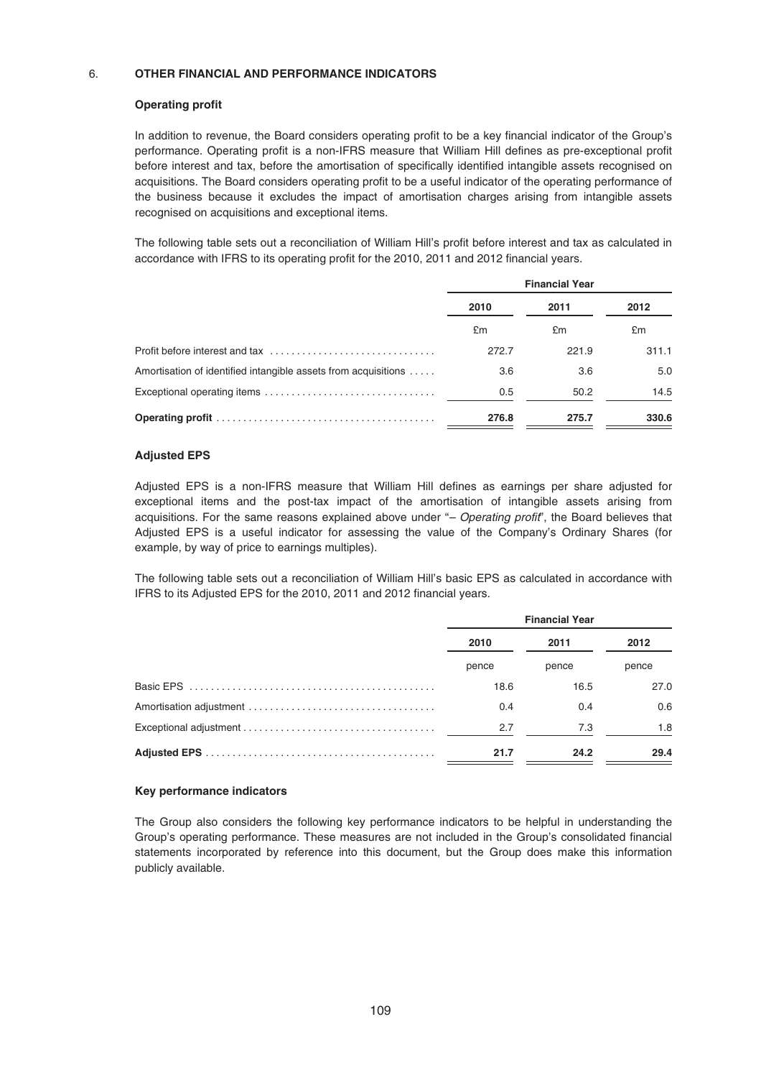# 6. **OTHER FINANCIAL AND PERFORMANCE INDICATORS**

# **Operating profit**

In addition to revenue, the Board considers operating profit to be a key financial indicator of the Group's performance. Operating profit is a non-IFRS measure that William Hill defines as pre-exceptional profit before interest and tax, before the amortisation of specifically identified intangible assets recognised on acquisitions. The Board considers operating profit to be a useful indicator of the operating performance of the business because it excludes the impact of amortisation charges arising from intangible assets recognised on acquisitions and exceptional items.

The following table sets out a reconciliation of William Hill's profit before interest and tax as calculated in accordance with IFRS to its operating profit for the 2010, 2011 and 2012 financial years.

|                                                                | <b>Financial Year</b> |       |       |
|----------------------------------------------------------------|-----------------------|-------|-------|
|                                                                | 2010                  | 2011  | 2012  |
|                                                                | £m                    | £m    | £m    |
|                                                                | 272.7                 | 221.9 | 311.1 |
| Amortisation of identified intangible assets from acquisitions | 3.6                   | 3.6   | 5.0   |
|                                                                | 0.5                   | 50.2  | 14.5  |
|                                                                | 276.8                 | 275.7 | 330.6 |

# **Adjusted EPS**

Adjusted EPS is a non-IFRS measure that William Hill defines as earnings per share adjusted for exceptional items and the post-tax impact of the amortisation of intangible assets arising from acquisitions. For the same reasons explained above under "- Operating profit", the Board believes that Adjusted EPS is a useful indicator for assessing the value of the Company's Ordinary Shares (for example, by way of price to earnings multiples).

The following table sets out a reconciliation of William Hill's basic EPS as calculated in accordance with IFRS to its Adjusted EPS for the 2010, 2011 and 2012 financial years.

| <b>Financial Year</b> |       |       |
|-----------------------|-------|-------|
| 2010                  | 2011  | 2012  |
| pence                 | pence | pence |
| 18.6                  | 16.5  | 27.0  |
| 0.4                   | 0.4   | 0.6   |
| 2.7                   | 7.3   | 1.8   |
| 21.7                  | 24.2  | 29.4  |

# **Key performance indicators**

The Group also considers the following key performance indicators to be helpful in understanding the Group's operating performance. These measures are not included in the Group's consolidated financial statements incorporated by reference into this document, but the Group does make this information publicly available.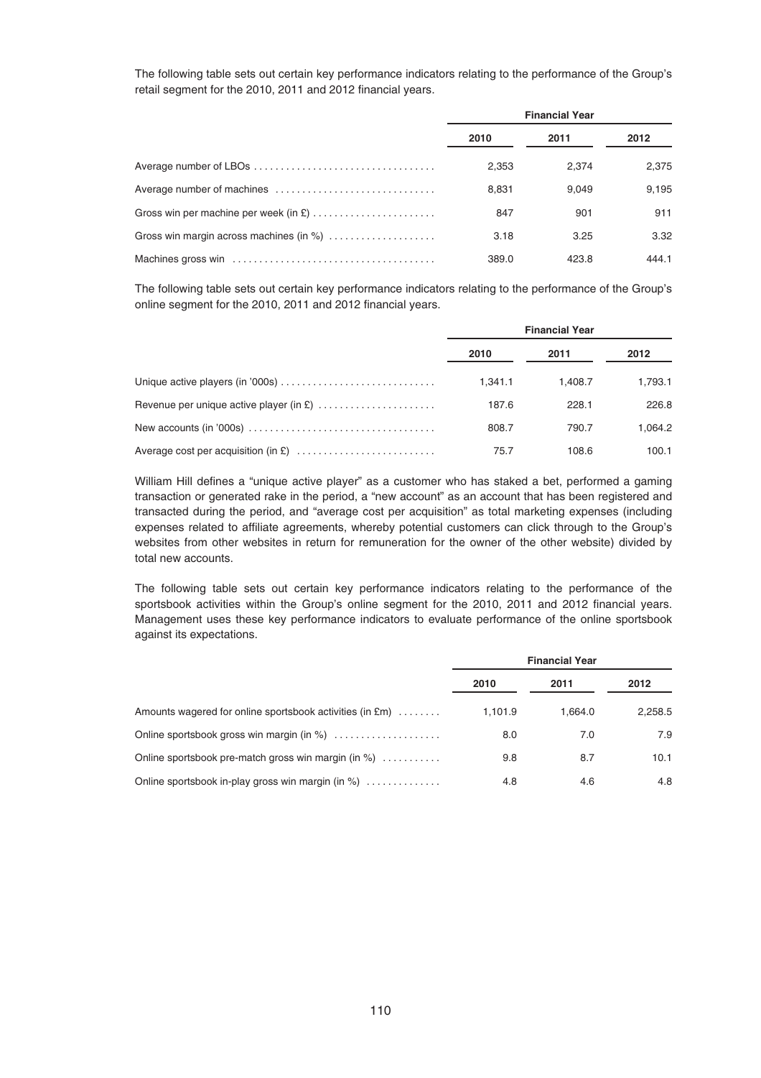The following table sets out certain key performance indicators relating to the performance of the Group's retail segment for the 2010, 2011 and 2012 financial years.

|                                         | <b>Financial Year</b> |       |       |
|-----------------------------------------|-----------------------|-------|-------|
|                                         | 2010                  | 2011  | 2012  |
|                                         | 2.353                 | 2.374 | 2.375 |
|                                         | 8.831                 | 9.049 | 9.195 |
|                                         | 847                   | 901   | 911   |
| Gross win margin across machines (in %) | 3.18                  | 3.25  | 3.32  |
|                                         | 389.0                 | 423.8 | 444.1 |

The following table sets out certain key performance indicators relating to the performance of the Group's online segment for the 2010, 2011 and 2012 financial years.

|                                                                                                       | <b>Financial Year</b> |         |         |
|-------------------------------------------------------------------------------------------------------|-----------------------|---------|---------|
|                                                                                                       | 2010                  | 2011    | 2012    |
|                                                                                                       | 1.341.1               | 1.408.7 | 1,793.1 |
|                                                                                                       | 187.6                 | 228.1   | 226.8   |
| New accounts (in '000s) $\dots\dots\dots\dots\dots\dots\dots\dots\dots\dots\dots\dots\dots\dots\dots$ | 808.7                 | 790.7   | 1.064.2 |
|                                                                                                       | 75.7                  | 108.6   | 100.1   |

William Hill defines a "unique active player" as a customer who has staked a bet, performed a gaming transaction or generated rake in the period, a "new account" as an account that has been registered and transacted during the period, and "average cost per acquisition" as total marketing expenses (including expenses related to affiliate agreements, whereby potential customers can click through to the Group's websites from other websites in return for remuneration for the owner of the other website) divided by total new accounts.

The following table sets out certain key performance indicators relating to the performance of the sportsbook activities within the Group's online segment for the 2010, 2011 and 2012 financial years. Management uses these key performance indicators to evaluate performance of the online sportsbook against its expectations.

|                                                          | <b>Financial Year</b> |         |         |
|----------------------------------------------------------|-----------------------|---------|---------|
|                                                          | 2010                  | 2011    | 2012    |
| Amounts wagered for online sportsbook activities (in £m) | 1,101.9               | 1.664.0 | 2.258.5 |
| Online sportsbook gross win margin (in %)                | 8.0                   | 7.0     | 7.9     |
| Online sportsbook pre-match gross win margin (in %)      | 9.8                   | 8.7     | 10.1    |
| Online sportsbook in-play gross win margin (in %)        | 4.8                   | 4.6     | 4.8     |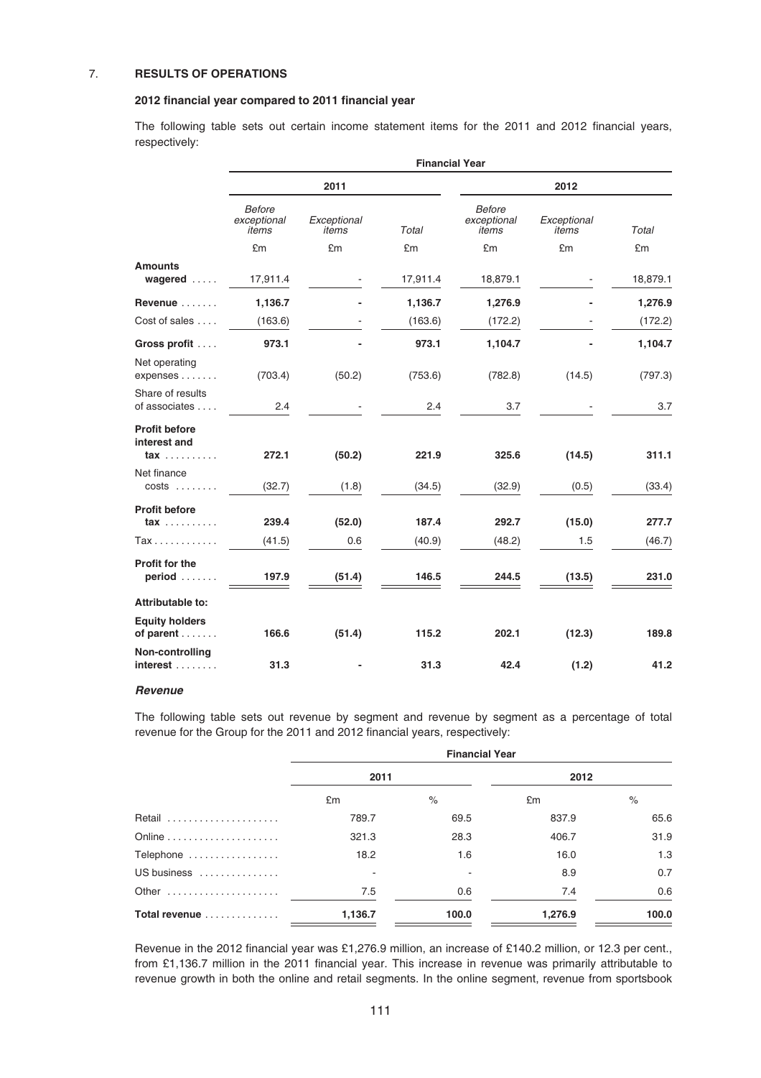# 7. **RESULTS OF OPERATIONS**

# **2012 financial year compared to 2011 financial year**

The following table sets out certain income statement items for the 2011 and 2012 financial years, respectively:

|                                            |                                       |                      | <b>Financial Year</b> |                                       |                      |          |
|--------------------------------------------|---------------------------------------|----------------------|-----------------------|---------------------------------------|----------------------|----------|
|                                            |                                       | 2011                 |                       |                                       | 2012                 |          |
|                                            | <b>Before</b><br>exceptional<br>items | Exceptional<br>items | Total                 | <b>Before</b><br>exceptional<br>items | Exceptional<br>items | Total    |
|                                            | £m                                    | £m                   | £m                    | £m                                    | £m                   | £m       |
| <b>Amounts</b><br>wagered                  | 17,911.4                              |                      | 17,911.4              | 18,879.1                              |                      | 18,879.1 |
| Revenue                                    | 1,136.7                               |                      | 1,136.7               | 1,276.9                               |                      | 1,276.9  |
| Cost of sales                              | (163.6)                               |                      | (163.6)               | (172.2)                               |                      | (172.2)  |
| Gross profit                               | 973.1                                 |                      | 973.1                 | 1,104.7                               |                      | 1,104.7  |
| Net operating<br>expenses                  | (703.4)                               | (50.2)               | (753.6)               | (782.8)                               | (14.5)               | (797.3)  |
| Share of results<br>of associates          | 2.4                                   |                      | 2.4                   | 3.7                                   |                      | 3.7      |
| <b>Profit before</b><br>interest and       |                                       |                      |                       |                                       |                      |          |
| $\mathsf{tax}\ldots\ldots\ldots$           | 272.1                                 | (50.2)               | 221.9                 | 325.6                                 | (14.5)               | 311.1    |
| Net finance<br>$costs$                     | (32.7)                                | (1.8)                | (34.5)                | (32.9)                                | (0.5)                | (33.4)   |
| <b>Profit before</b>                       |                                       |                      |                       |                                       |                      |          |
| $\mathsf{tax}\ldots\ldots\ldots$           | 239.4                                 | (52.0)               | 187.4                 | 292.7                                 | (15.0)               | 277.7    |
| Tax                                        | (41.5)                                | 0.6                  | (40.9)                | (48.2)                                | 1.5                  | (46.7)   |
| <b>Profit for the</b><br>$period$          | 197.9                                 | (51.4)               | 146.5                 | 244.5                                 | (13.5)               | 231.0    |
| Attributable to:                           |                                       |                      |                       |                                       |                      |          |
| <b>Equity holders</b><br>of parent $\dots$ | 166.6                                 | (51.4)               | 115.2                 | 202.1                                 | (12.3)               | 189.8    |
| Non-controlling<br>interest                | 31.3                                  |                      | 31.3                  | 42.4                                  | (1.2)                | 41.2     |

## *Revenue*

The following table sets out revenue by segment and revenue by segment as a percentage of total revenue for the Group for the 2011 and 2012 financial years, respectively:

|               | <b>Financial Year</b> |       |         |       |
|---------------|-----------------------|-------|---------|-------|
|               | 2011                  |       | 2012    |       |
|               | £m                    | $\%$  | £m      | $\%$  |
| Retail        | 789.7                 | 69.5  | 837.9   | 65.6  |
|               | 321.3                 | 28.3  | 406.7   | 31.9  |
| Telephone     | 18.2                  | 1.6   | 16.0    | 1.3   |
| US business   |                       |       | 8.9     | 0.7   |
| Other         | 7.5                   | 0.6   | 7.4     | 0.6   |
| Total revenue | 1,136.7               | 100.0 | 1,276.9 | 100.0 |

Revenue in the 2012 financial year was £1,276.9 million, an increase of £140.2 million, or 12.3 per cent., from £1,136.7 million in the 2011 financial year. This increase in revenue was primarily attributable to revenue growth in both the online and retail segments. In the online segment, revenue from sportsbook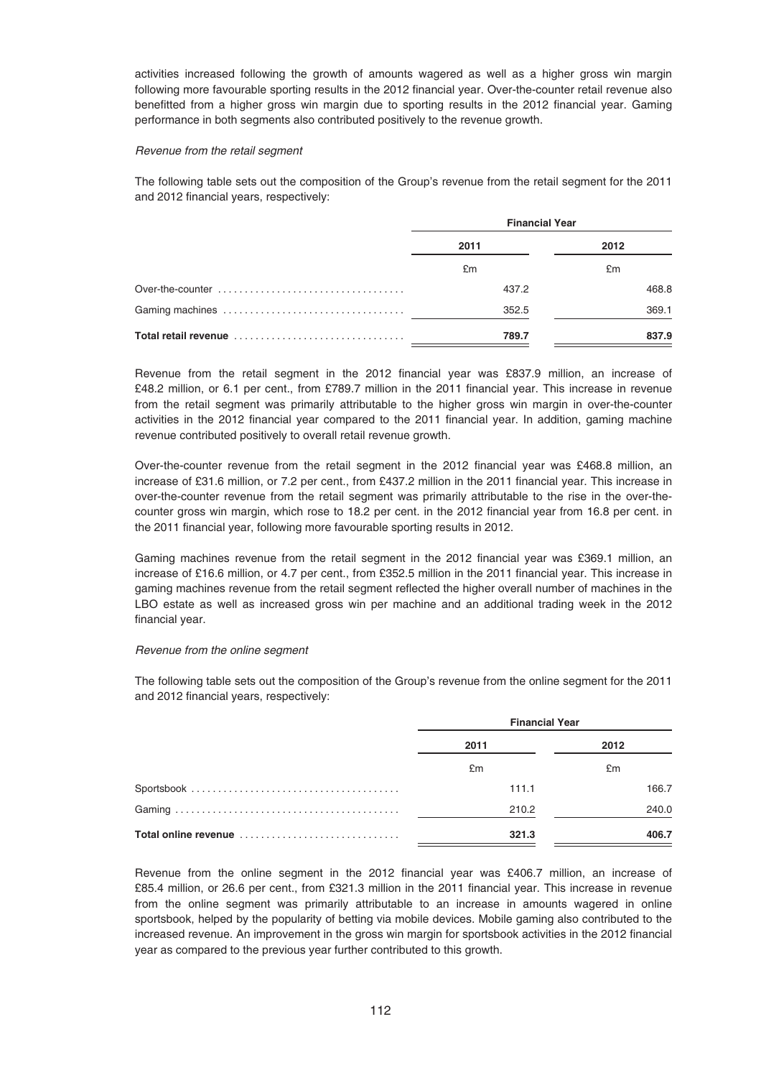activities increased following the growth of amounts wagered as well as a higher gross win margin following more favourable sporting results in the 2012 financial year. Over-the-counter retail revenue also benefitted from a higher gross win margin due to sporting results in the 2012 financial year. Gaming performance in both segments also contributed positively to the revenue growth.

#### Revenue from the retail segment

The following table sets out the composition of the Group's revenue from the retail segment for the 2011 and 2012 financial years, respectively:

|                      | <b>Financial Year</b> |       |
|----------------------|-----------------------|-------|
|                      | 2011                  | 2012  |
|                      | £m                    | £m    |
|                      | 437.2                 | 468.8 |
|                      | 352.5                 | 369.1 |
| Total retail revenue | 789.7                 | 837.9 |

Revenue from the retail segment in the 2012 financial year was £837.9 million, an increase of £48.2 million, or 6.1 per cent., from £789.7 million in the 2011 financial year. This increase in revenue from the retail segment was primarily attributable to the higher gross win margin in over-the-counter activities in the 2012 financial year compared to the 2011 financial year. In addition, gaming machine revenue contributed positively to overall retail revenue growth.

Over-the-counter revenue from the retail segment in the 2012 financial year was £468.8 million, an increase of £31.6 million, or 7.2 per cent., from £437.2 million in the 2011 financial year. This increase in over-the-counter revenue from the retail segment was primarily attributable to the rise in the over-thecounter gross win margin, which rose to 18.2 per cent. in the 2012 financial year from 16.8 per cent. in the 2011 financial year, following more favourable sporting results in 2012.

Gaming machines revenue from the retail segment in the 2012 financial year was £369.1 million, an increase of £16.6 million, or 4.7 per cent., from £352.5 million in the 2011 financial year. This increase in gaming machines revenue from the retail segment reflected the higher overall number of machines in the LBO estate as well as increased gross win per machine and an additional trading week in the 2012 financial year.

## Revenue from the online segment

The following table sets out the composition of the Group's revenue from the online segment for the 2011 and 2012 financial years, respectively:

|                      | <b>Financial Year</b> |       |
|----------------------|-----------------------|-------|
|                      | 2011                  | 2012  |
|                      | £m                    | £m    |
|                      | 111.1                 | 166.7 |
|                      | 210.2                 | 240.0 |
| Total online revenue | 321.3                 | 406.7 |

Revenue from the online segment in the 2012 financial year was £406.7 million, an increase of £85.4 million, or 26.6 per cent., from £321.3 million in the 2011 financial year. This increase in revenue from the online segment was primarily attributable to an increase in amounts wagered in online sportsbook, helped by the popularity of betting via mobile devices. Mobile gaming also contributed to the increased revenue. An improvement in the gross win margin for sportsbook activities in the 2012 financial year as compared to the previous year further contributed to this growth.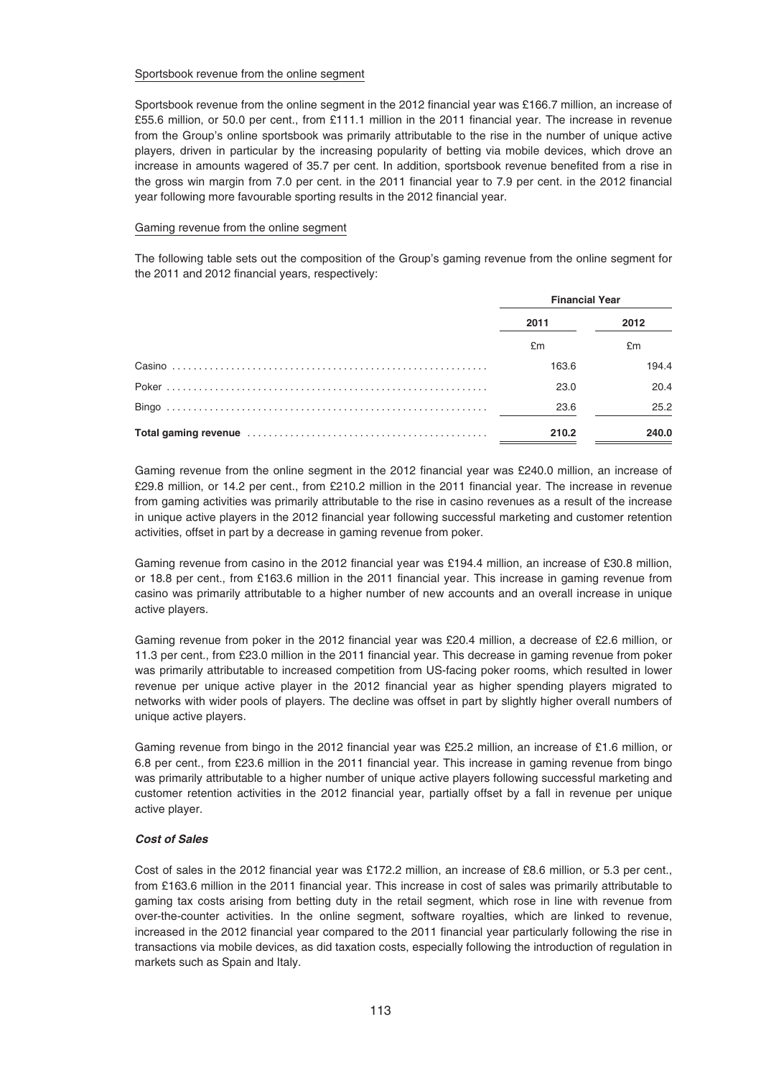## Sportsbook revenue from the online segment

Sportsbook revenue from the online segment in the 2012 financial year was £166.7 million, an increase of £55.6 million, or 50.0 per cent., from £111.1 million in the 2011 financial year. The increase in revenue from the Group's online sportsbook was primarily attributable to the rise in the number of unique active players, driven in particular by the increasing popularity of betting via mobile devices, which drove an increase in amounts wagered of 35.7 per cent. In addition, sportsbook revenue benefited from a rise in the gross win margin from 7.0 per cent. in the 2011 financial year to 7.9 per cent. in the 2012 financial year following more favourable sporting results in the 2012 financial year.

## Gaming revenue from the online segment

The following table sets out the composition of the Group's gaming revenue from the online segment for the 2011 and 2012 financial years, respectively:

|        | <b>Financial Year</b> |       |
|--------|-----------------------|-------|
|        | 2011                  | 2012  |
|        | £m                    | £m    |
| Casino | 163.6                 | 194.4 |
|        | 23.0                  | 20.4  |
|        | 23.6                  | 25.2  |
|        | 210.2                 | 240.0 |

Gaming revenue from the online segment in the 2012 financial year was £240.0 million, an increase of £29.8 million, or 14.2 per cent., from £210.2 million in the 2011 financial year. The increase in revenue from gaming activities was primarily attributable to the rise in casino revenues as a result of the increase in unique active players in the 2012 financial year following successful marketing and customer retention activities, offset in part by a decrease in gaming revenue from poker.

Gaming revenue from casino in the 2012 financial year was £194.4 million, an increase of £30.8 million, or 18.8 per cent., from £163.6 million in the 2011 financial year. This increase in gaming revenue from casino was primarily attributable to a higher number of new accounts and an overall increase in unique active players.

Gaming revenue from poker in the 2012 financial year was £20.4 million, a decrease of £2.6 million, or 11.3 per cent., from £23.0 million in the 2011 financial year. This decrease in gaming revenue from poker was primarily attributable to increased competition from US-facing poker rooms, which resulted in lower revenue per unique active player in the 2012 financial year as higher spending players migrated to networks with wider pools of players. The decline was offset in part by slightly higher overall numbers of unique active players.

Gaming revenue from bingo in the 2012 financial year was £25.2 million, an increase of £1.6 million, or 6.8 per cent., from £23.6 million in the 2011 financial year. This increase in gaming revenue from bingo was primarily attributable to a higher number of unique active players following successful marketing and customer retention activities in the 2012 financial year, partially offset by a fall in revenue per unique active player.

# *Cost of Sales*

Cost of sales in the 2012 financial year was £172.2 million, an increase of £8.6 million, or 5.3 per cent., from £163.6 million in the 2011 financial year. This increase in cost of sales was primarily attributable to gaming tax costs arising from betting duty in the retail segment, which rose in line with revenue from over-the-counter activities. In the online segment, software royalties, which are linked to revenue, increased in the 2012 financial year compared to the 2011 financial year particularly following the rise in transactions via mobile devices, as did taxation costs, especially following the introduction of regulation in markets such as Spain and Italy.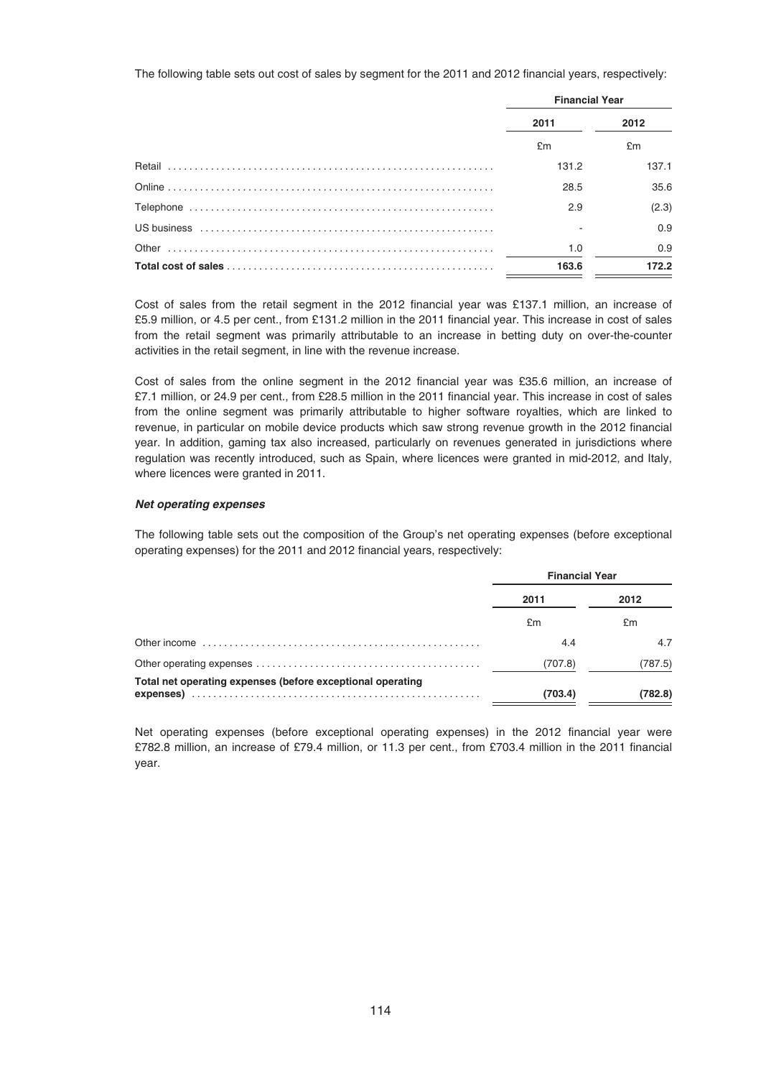The following table sets out cost of sales by segment for the 2011 and 2012 financial years, respectively:

| <b>Financial Year</b> |       |
|-----------------------|-------|
| 2011                  | 2012  |
| £m                    | £m    |
| 131.2                 | 137.1 |
| 28.5                  | 35.6  |
| 2.9                   | (2.3) |
|                       | 0.9   |
| 1.0                   | 0.9   |
| 163.6                 | 172.2 |

Cost of sales from the retail segment in the 2012 financial year was £137.1 million, an increase of £5.9 million, or 4.5 per cent., from £131.2 million in the 2011 financial year. This increase in cost of sales from the retail segment was primarily attributable to an increase in betting duty on over-the-counter activities in the retail segment, in line with the revenue increase.

Cost of sales from the online segment in the 2012 financial year was £35.6 million, an increase of £7.1 million, or 24.9 per cent., from £28.5 million in the 2011 financial year. This increase in cost of sales from the online segment was primarily attributable to higher software royalties, which are linked to revenue, in particular on mobile device products which saw strong revenue growth in the 2012 financial year. In addition, gaming tax also increased, particularly on revenues generated in jurisdictions where regulation was recently introduced, such as Spain, where licences were granted in mid-2012, and Italy, where licences were granted in 2011.

# *Net operating expenses*

The following table sets out the composition of the Group's net operating expenses (before exceptional operating expenses) for the 2011 and 2012 financial years, respectively:

|                                                            | <b>Financial Year</b> |         |
|------------------------------------------------------------|-----------------------|---------|
|                                                            | 2011<br>2012          |         |
|                                                            | £m                    | £m      |
|                                                            | 4.4                   | 4.7     |
|                                                            | (707.8)               | (787.5) |
| Total net operating expenses (before exceptional operating | (703.4)               | (782.8) |

Net operating expenses (before exceptional operating expenses) in the 2012 financial year were £782.8 million, an increase of £79.4 million, or 11.3 per cent., from £703.4 million in the 2011 financial year.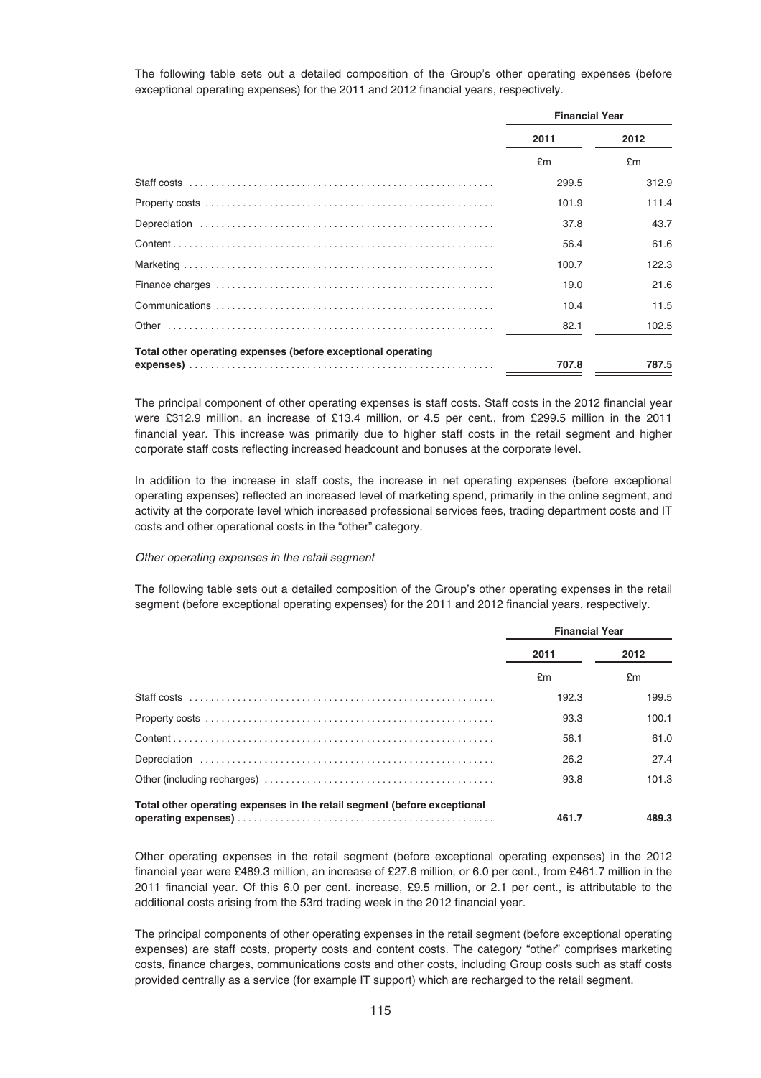The following table sets out a detailed composition of the Group's other operating expenses (before exceptional operating expenses) for the 2011 and 2012 financial years, respectively.

|                                                              | <b>Financial Year</b> |       |
|--------------------------------------------------------------|-----------------------|-------|
|                                                              | 2011                  | 2012  |
|                                                              | £m                    | £m    |
|                                                              | 299.5                 | 312.9 |
|                                                              | 101.9                 | 111.4 |
|                                                              | 37.8                  | 43.7  |
|                                                              | 56.4                  | 61.6  |
|                                                              | 100.7                 | 122.3 |
|                                                              | 19.0                  | 21.6  |
|                                                              | 10.4                  | 11.5  |
|                                                              | 82.1                  | 102.5 |
| Total other operating expenses (before exceptional operating |                       |       |
|                                                              | 707.8                 | 787.5 |

The principal component of other operating expenses is staff costs. Staff costs in the 2012 financial year were £312.9 million, an increase of £13.4 million, or 4.5 per cent., from £299.5 million in the 2011 financial year. This increase was primarily due to higher staff costs in the retail segment and higher corporate staff costs reflecting increased headcount and bonuses at the corporate level.

In addition to the increase in staff costs, the increase in net operating expenses (before exceptional operating expenses) reflected an increased level of marketing spend, primarily in the online segment, and activity at the corporate level which increased professional services fees, trading department costs and IT costs and other operational costs in the "other" category.

#### Other operating expenses in the retail segment

The following table sets out a detailed composition of the Group's other operating expenses in the retail segment (before exceptional operating expenses) for the 2011 and 2012 financial years, respectively.

|                                                                          | <b>Financial Year</b> |       |
|--------------------------------------------------------------------------|-----------------------|-------|
|                                                                          | 2011                  | 2012  |
|                                                                          | £m                    | £m    |
|                                                                          | 192.3                 | 199.5 |
|                                                                          | 93.3                  | 100.1 |
|                                                                          | 56.1                  | 61.0  |
|                                                                          | 26.2                  | 27.4  |
|                                                                          | 93.8                  | 101.3 |
| Total other operating expenses in the retail segment (before exceptional |                       |       |
|                                                                          | 461.7                 | 489.3 |

Other operating expenses in the retail segment (before exceptional operating expenses) in the 2012 financial year were £489.3 million, an increase of £27.6 million, or 6.0 per cent., from £461.7 million in the 2011 financial year. Of this 6.0 per cent. increase, £9.5 million, or 2.1 per cent., is attributable to the additional costs arising from the 53rd trading week in the 2012 financial year.

The principal components of other operating expenses in the retail segment (before exceptional operating expenses) are staff costs, property costs and content costs. The category "other" comprises marketing costs, finance charges, communications costs and other costs, including Group costs such as staff costs provided centrally as a service (for example IT support) which are recharged to the retail segment.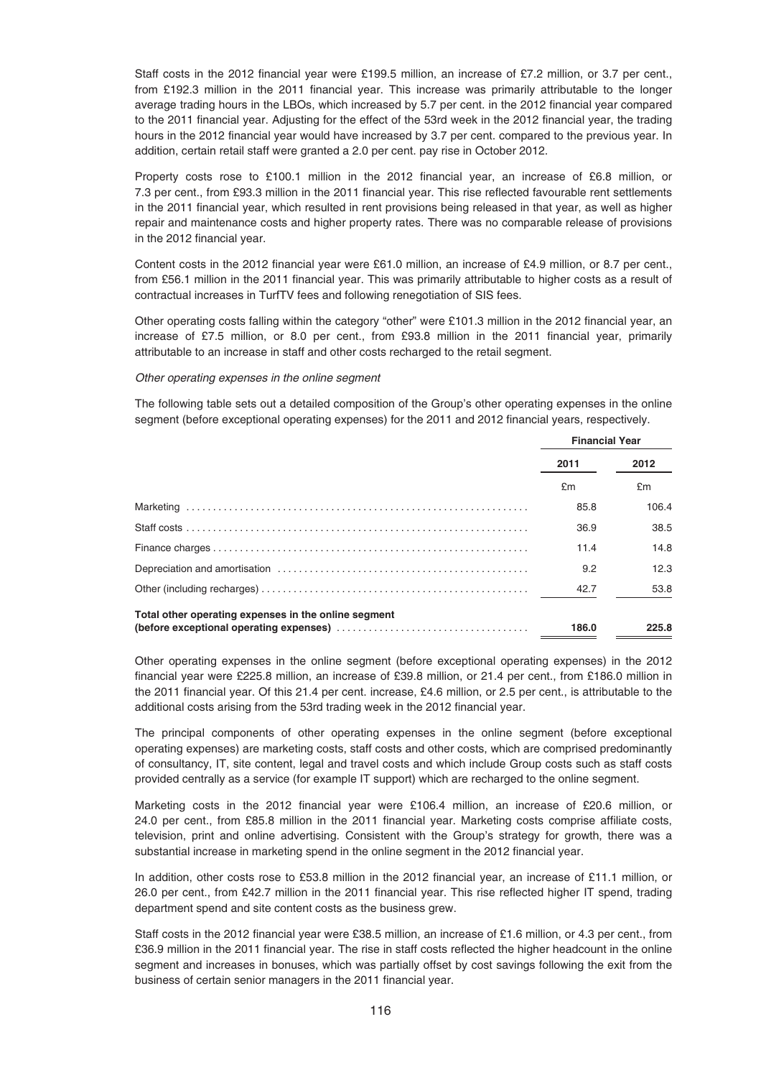Staff costs in the 2012 financial year were £199.5 million, an increase of £7.2 million, or 3.7 per cent., from £192.3 million in the 2011 financial year. This increase was primarily attributable to the longer average trading hours in the LBOs, which increased by 5.7 per cent. in the 2012 financial year compared to the 2011 financial year. Adjusting for the effect of the 53rd week in the 2012 financial year, the trading hours in the 2012 financial year would have increased by 3.7 per cent. compared to the previous year. In addition, certain retail staff were granted a 2.0 per cent. pay rise in October 2012.

Property costs rose to £100.1 million in the 2012 financial year, an increase of £6.8 million, or 7.3 per cent., from £93.3 million in the 2011 financial year. This rise reflected favourable rent settlements in the 2011 financial year, which resulted in rent provisions being released in that year, as well as higher repair and maintenance costs and higher property rates. There was no comparable release of provisions in the 2012 financial year.

Content costs in the 2012 financial year were £61.0 million, an increase of £4.9 million, or 8.7 per cent., from £56.1 million in the 2011 financial year. This was primarily attributable to higher costs as a result of contractual increases in TurfTV fees and following renegotiation of SIS fees.

Other operating costs falling within the category "other" were £101.3 million in the 2012 financial year, an increase of £7.5 million, or 8.0 per cent., from £93.8 million in the 2011 financial year, primarily attributable to an increase in staff and other costs recharged to the retail segment.

#### Other operating expenses in the online segment

The following table sets out a detailed composition of the Group's other operating expenses in the online segment (before exceptional operating expenses) for the 2011 and 2012 financial years, respectively.

|                                                      | <b>Financial Year</b> |       |
|------------------------------------------------------|-----------------------|-------|
|                                                      | 2011                  | 2012  |
|                                                      | £m                    | £m    |
|                                                      | 85.8                  | 106.4 |
|                                                      | 36.9                  | 38.5  |
|                                                      | 11.4                  | 14.8  |
|                                                      | 9.2                   | 12.3  |
|                                                      | 42.7                  | 53.8  |
| Total other operating expenses in the online segment | 186.0                 | 225.8 |

Other operating expenses in the online segment (before exceptional operating expenses) in the 2012 financial year were £225.8 million, an increase of £39.8 million, or 21.4 per cent., from £186.0 million in the 2011 financial year. Of this 21.4 per cent. increase, £4.6 million, or 2.5 per cent., is attributable to the additional costs arising from the 53rd trading week in the 2012 financial year.

The principal components of other operating expenses in the online segment (before exceptional operating expenses) are marketing costs, staff costs and other costs, which are comprised predominantly of consultancy, IT, site content, legal and travel costs and which include Group costs such as staff costs provided centrally as a service (for example IT support) which are recharged to the online segment.

Marketing costs in the 2012 financial year were £106.4 million, an increase of £20.6 million, or 24.0 per cent., from £85.8 million in the 2011 financial year. Marketing costs comprise affiliate costs, television, print and online advertising. Consistent with the Group's strategy for growth, there was a substantial increase in marketing spend in the online segment in the 2012 financial year.

In addition, other costs rose to £53.8 million in the 2012 financial year, an increase of £11.1 million, or 26.0 per cent., from £42.7 million in the 2011 financial year. This rise reflected higher IT spend, trading department spend and site content costs as the business grew.

Staff costs in the 2012 financial year were £38.5 million, an increase of £1.6 million, or 4.3 per cent., from £36.9 million in the 2011 financial year. The rise in staff costs reflected the higher headcount in the online segment and increases in bonuses, which was partially offset by cost savings following the exit from the business of certain senior managers in the 2011 financial year.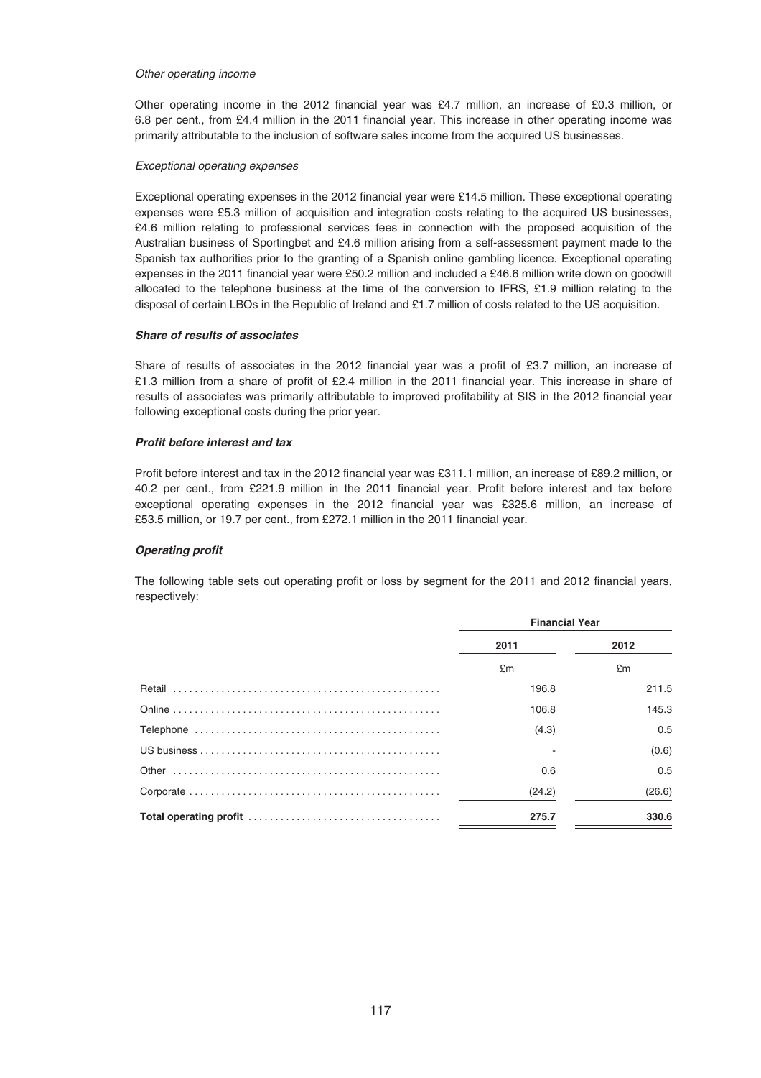#### Other operating income

Other operating income in the 2012 financial year was £4.7 million, an increase of £0.3 million, or 6.8 per cent., from £4.4 million in the 2011 financial year. This increase in other operating income was primarily attributable to the inclusion of software sales income from the acquired US businesses.

## Exceptional operating expenses

Exceptional operating expenses in the 2012 financial year were £14.5 million. These exceptional operating expenses were £5.3 million of acquisition and integration costs relating to the acquired US businesses, £4.6 million relating to professional services fees in connection with the proposed acquisition of the Australian business of Sportingbet and £4.6 million arising from a self-assessment payment made to the Spanish tax authorities prior to the granting of a Spanish online gambling licence. Exceptional operating expenses in the 2011 financial year were £50.2 million and included a £46.6 million write down on goodwill allocated to the telephone business at the time of the conversion to IFRS, £1.9 million relating to the disposal of certain LBOs in the Republic of Ireland and £1.7 million of costs related to the US acquisition.

# *Share of results of associates*

Share of results of associates in the 2012 financial year was a profit of £3.7 million, an increase of £1.3 million from a share of profit of £2.4 million in the 2011 financial year. This increase in share of results of associates was primarily attributable to improved profitability at SIS in the 2012 financial year following exceptional costs during the prior year.

## *Profit before interest and tax*

Profit before interest and tax in the 2012 financial year was £311.1 million, an increase of £89.2 million, or 40.2 per cent., from £221.9 million in the 2011 financial year. Profit before interest and tax before exceptional operating expenses in the 2012 financial year was £325.6 million, an increase of £53.5 million, or 19.7 per cent., from £272.1 million in the 2011 financial year.

## *Operating profit*

The following table sets out operating profit or loss by segment for the 2011 and 2012 financial years, respectively:

| <b>Financial Year</b> |        |  |
|-----------------------|--------|--|
| 2011                  | 2012   |  |
| £m                    | £m     |  |
| 196.8                 | 211.5  |  |
| 106.8                 | 145.3  |  |
| (4.3)                 | 0.5    |  |
|                       | (0.6)  |  |
| 0.6                   | 0.5    |  |
| (24.2)                | (26.6) |  |
| 275.7                 | 330.6  |  |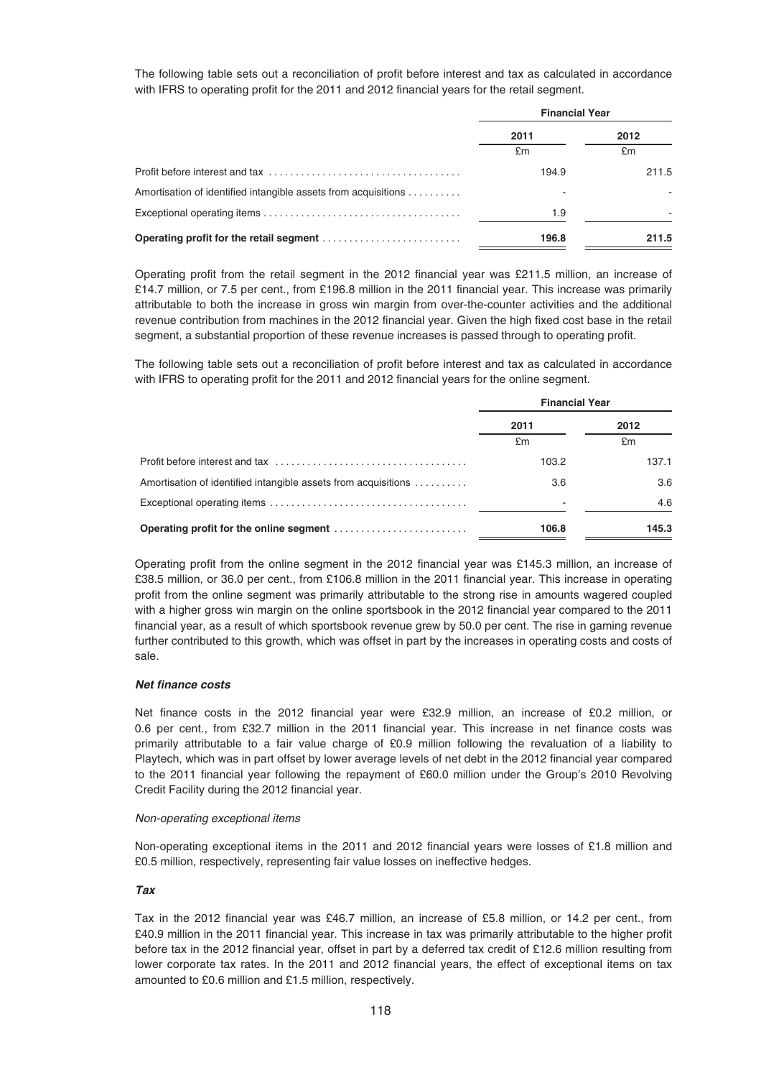The following table sets out a reconciliation of profit before interest and tax as calculated in accordance with IFRS to operating profit for the 2011 and 2012 financial years for the retail segment.

|                                                                | <b>Financial Year</b> |       |  |
|----------------------------------------------------------------|-----------------------|-------|--|
|                                                                | 2011                  | 2012  |  |
|                                                                | £m                    | £m    |  |
|                                                                | 194.9                 | 211.5 |  |
| Amortisation of identified intangible assets from acquisitions |                       |       |  |
|                                                                | 1.9                   |       |  |
|                                                                | 196.8                 | 211.5 |  |

Operating profit from the retail segment in the 2012 financial year was £211.5 million, an increase of £14.7 million, or 7.5 per cent., from £196.8 million in the 2011 financial year. This increase was primarily attributable to both the increase in gross win margin from over-the-counter activities and the additional revenue contribution from machines in the 2012 financial year. Given the high fixed cost base in the retail segment, a substantial proportion of these revenue increases is passed through to operating profit.

The following table sets out a reconciliation of profit before interest and tax as calculated in accordance with IFRS to operating profit for the 2011 and 2012 financial years for the online segment.

|                                                                | <b>Financial Year</b> |       |  |
|----------------------------------------------------------------|-----------------------|-------|--|
|                                                                | 2011                  | 2012  |  |
|                                                                | £m                    | £m    |  |
|                                                                | 103.2                 | 137.1 |  |
| Amortisation of identified intangible assets from acquisitions | 3.6                   | 3.6   |  |
|                                                                |                       | 4.6   |  |
| Operating profit for the online segment                        | 106.8                 | 145.3 |  |

Operating profit from the online segment in the 2012 financial year was £145.3 million, an increase of £38.5 million, or 36.0 per cent., from £106.8 million in the 2011 financial year. This increase in operating profit from the online segment was primarily attributable to the strong rise in amounts wagered coupled with a higher gross win margin on the online sportsbook in the 2012 financial year compared to the 2011 financial year, as a result of which sportsbook revenue grew by 50.0 per cent. The rise in gaming revenue further contributed to this growth, which was offset in part by the increases in operating costs and costs of sale.

# *Net finance costs*

Net finance costs in the 2012 financial year were £32.9 million, an increase of £0.2 million, or 0.6 per cent., from £32.7 million in the 2011 financial year. This increase in net finance costs was primarily attributable to a fair value charge of £0.9 million following the revaluation of a liability to Playtech, which was in part offset by lower average levels of net debt in the 2012 financial year compared to the 2011 financial year following the repayment of £60.0 million under the Group's 2010 Revolving Credit Facility during the 2012 financial year.

#### Non-operating exceptional items

Non-operating exceptional items in the 2011 and 2012 financial years were losses of £1.8 million and £0.5 million, respectively, representing fair value losses on ineffective hedges.

## *Tax*

Tax in the 2012 financial year was £46.7 million, an increase of £5.8 million, or 14.2 per cent., from £40.9 million in the 2011 financial year. This increase in tax was primarily attributable to the higher profit before tax in the 2012 financial year, offset in part by a deferred tax credit of £12.6 million resulting from lower corporate tax rates. In the 2011 and 2012 financial years, the effect of exceptional items on tax amounted to £0.6 million and £1.5 million, respectively.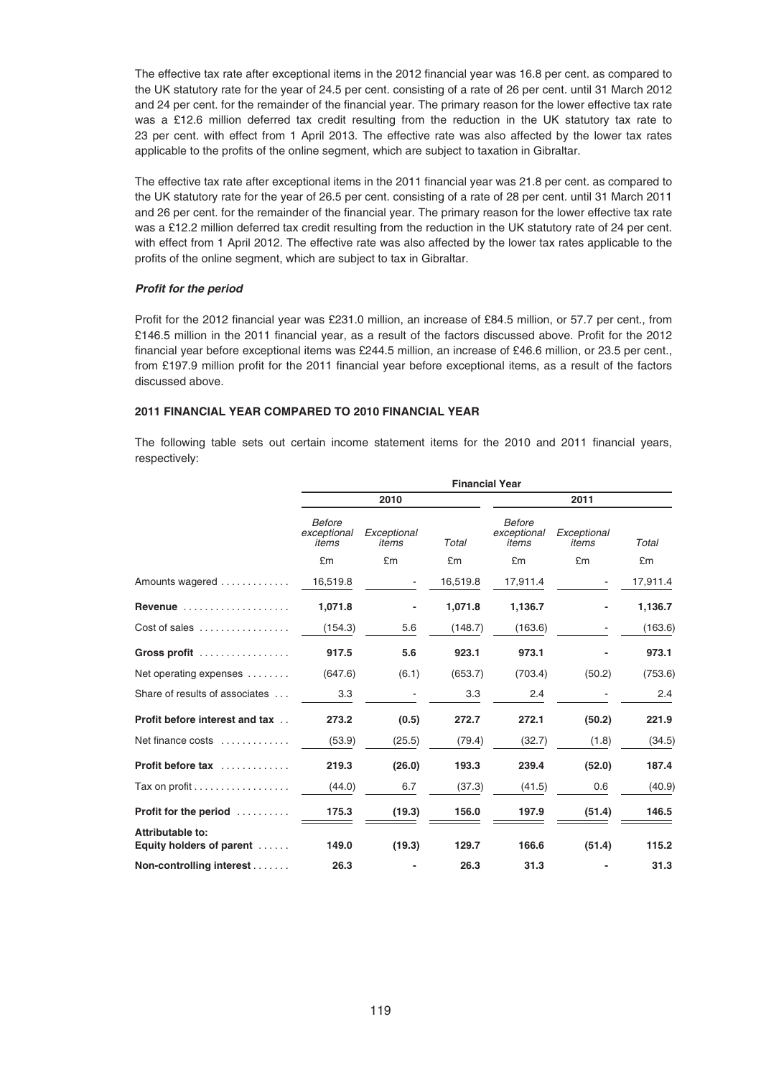The effective tax rate after exceptional items in the 2012 financial year was 16.8 per cent. as compared to the UK statutory rate for the year of 24.5 per cent. consisting of a rate of 26 per cent. until 31 March 2012 and 24 per cent. for the remainder of the financial year. The primary reason for the lower effective tax rate was a £12.6 million deferred tax credit resulting from the reduction in the UK statutory tax rate to 23 per cent. with effect from 1 April 2013. The effective rate was also affected by the lower tax rates applicable to the profits of the online segment, which are subject to taxation in Gibraltar.

The effective tax rate after exceptional items in the 2011 financial year was 21.8 per cent. as compared to the UK statutory rate for the year of 26.5 per cent. consisting of a rate of 28 per cent. until 31 March 2011 and 26 per cent. for the remainder of the financial year. The primary reason for the lower effective tax rate was a £12.2 million deferred tax credit resulting from the reduction in the UK statutory rate of 24 per cent. with effect from 1 April 2012. The effective rate was also affected by the lower tax rates applicable to the profits of the online segment, which are subject to tax in Gibraltar.

# *Profit for the period*

Profit for the 2012 financial year was £231.0 million, an increase of £84.5 million, or 57.7 per cent., from £146.5 million in the 2011 financial year, as a result of the factors discussed above. Profit for the 2012 financial year before exceptional items was £244.5 million, an increase of £46.6 million, or 23.5 per cent., from £197.9 million profit for the 2011 financial year before exceptional items, as a result of the factors discussed above.

# **2011 FINANCIAL YEAR COMPARED TO 2010 FINANCIAL YEAR**

The following table sets out certain income statement items for the 2010 and 2011 financial years, respectively:

|                                                    | <b>Financial Year</b>          |                      |          |                                       |                      |          |
|----------------------------------------------------|--------------------------------|----------------------|----------|---------------------------------------|----------------------|----------|
|                                                    |                                | 2010                 |          |                                       | 2011                 |          |
|                                                    | Before<br>exceptional<br>items | Exceptional<br>items | Total    | <b>Before</b><br>exceptional<br>items | Exceptional<br>items | Total    |
|                                                    | £m                             | £m                   | £m       | £m                                    | £m                   | £m       |
| Amounts wagered                                    | 16,519.8                       |                      | 16,519.8 | 17,911.4                              |                      | 17,911.4 |
| Revenue $\ldots \ldots \ldots \ldots \ldots$       | 1,071.8                        |                      | 1,071.8  | 1,136.7                               |                      | 1,136.7  |
| Cost of sales $\dots\dots\dots\dots\dots\dots$     | (154.3)                        | 5.6                  | (148.7)  | (163.6)                               | -                    | (163.6)  |
| Gross profit                                       | 917.5                          | 5.6                  | 923.1    | 973.1                                 |                      | 973.1    |
| Net operating expenses                             | (647.6)                        | (6.1)                | (653.7)  | (703.4)                               | (50.2)               | (753.6)  |
| Share of results of associates                     | 3.3                            |                      | 3.3      | 2.4                                   |                      | 2.4      |
| Profit before interest and tax                     | 273.2                          | (0.5)                | 272.7    | 272.1                                 | (50.2)               | 221.9    |
| Net finance costs                                  | (53.9)                         | (25.5)               | (79.4)   | (32.7)                                | (1.8)                | (34.5)   |
| Profit before tax                                  | 219.3                          | (26.0)               | 193.3    | 239.4                                 | (52.0)               | 187.4    |
| Tax on profit $\ldots \ldots \ldots \ldots \ldots$ | (44.0)                         | 6.7                  | (37.3)   | (41.5)                                | 0.6                  | (40.9)   |
| <b>Profit for the period</b>                       | 175.3                          | (19.3)               | 156.0    | 197.9                                 | (51.4)               | 146.5    |
| Attributable to:<br>Equity holders of parent       | 149.0                          | (19.3)               | 129.7    | 166.6                                 | (51.4)               | 115.2    |
| Non-controlling interest                           | 26.3                           |                      | 26.3     | 31.3                                  |                      | 31.3     |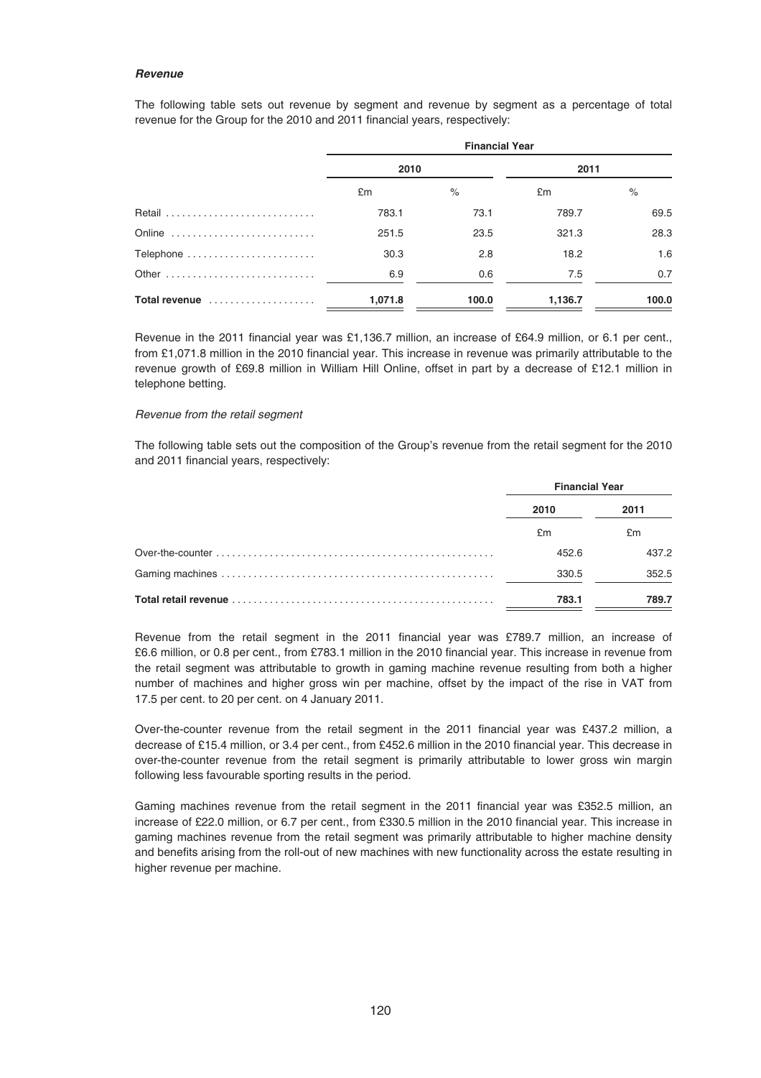#### *Revenue*

The following table sets out revenue by segment and revenue by segment as a percentage of total revenue for the Group for the 2010 and 2011 financial years, respectively:

|               | <b>Financial Year</b> |       |         |       |
|---------------|-----------------------|-------|---------|-------|
|               | 2010                  |       | 2011    |       |
|               | £m                    | $\%$  | £m      | $\%$  |
|               | 783.1                 | 73.1  | 789.7   | 69.5  |
| Online        | 251.5                 | 23.5  | 321.3   | 28.3  |
| Telephone     | 30.3                  | 2.8   | 18.2    | 1.6   |
|               | 6.9                   | 0.6   | 7.5     | 0.7   |
| Total revenue | 1,071.8               | 100.0 | 1,136.7 | 100.0 |

Revenue in the 2011 financial year was £1,136.7 million, an increase of £64.9 million, or 6.1 per cent., from £1,071.8 million in the 2010 financial year. This increase in revenue was primarily attributable to the revenue growth of £69.8 million in William Hill Online, offset in part by a decrease of £12.1 million in telephone betting.

# Revenue from the retail segment

The following table sets out the composition of the Group's revenue from the retail segment for the 2010 and 2011 financial years, respectively:

| <b>Financial Year</b> |       |
|-----------------------|-------|
| 2010                  | 2011  |
| £m                    | £m    |
| 452.6                 | 437.2 |
| 330.5                 | 352.5 |
| 783.1                 | 789.7 |

Revenue from the retail segment in the 2011 financial year was £789.7 million, an increase of £6.6 million, or 0.8 per cent., from £783.1 million in the 2010 financial year. This increase in revenue from the retail segment was attributable to growth in gaming machine revenue resulting from both a higher number of machines and higher gross win per machine, offset by the impact of the rise in VAT from 17.5 per cent. to 20 per cent. on 4 January 2011.

Over-the-counter revenue from the retail segment in the 2011 financial year was £437.2 million, a decrease of £15.4 million, or 3.4 per cent., from £452.6 million in the 2010 financial year. This decrease in over-the-counter revenue from the retail segment is primarily attributable to lower gross win margin following less favourable sporting results in the period.

Gaming machines revenue from the retail segment in the 2011 financial year was £352.5 million, an increase of £22.0 million, or 6.7 per cent., from £330.5 million in the 2010 financial year. This increase in gaming machines revenue from the retail segment was primarily attributable to higher machine density and benefits arising from the roll-out of new machines with new functionality across the estate resulting in higher revenue per machine.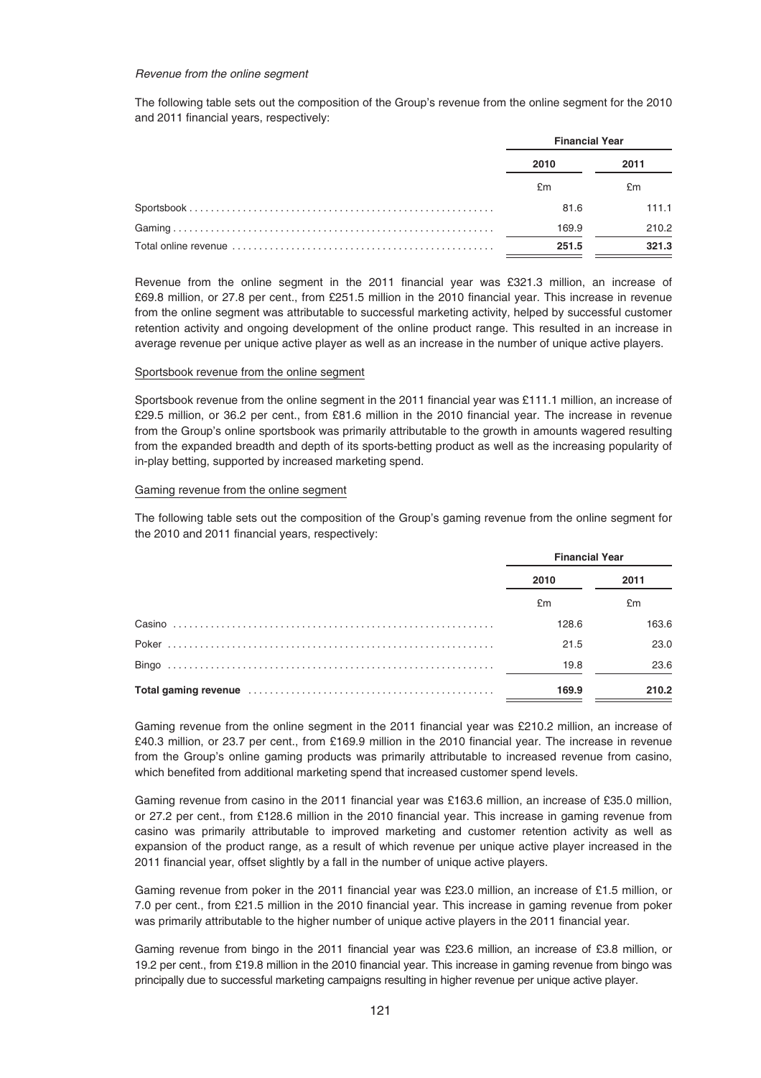#### Revenue from the online segment

The following table sets out the composition of the Group's revenue from the online segment for the 2010 and 2011 financial years, respectively:

| <b>Financial Year</b> |       |  |
|-----------------------|-------|--|
| 2010                  | 2011  |  |
| £m                    | £m    |  |
| 81.6                  | 111.1 |  |
| 169.9                 | 210.2 |  |
| 251.5                 | 321.3 |  |

Revenue from the online segment in the 2011 financial year was £321.3 million, an increase of £69.8 million, or 27.8 per cent., from £251.5 million in the 2010 financial year. This increase in revenue from the online segment was attributable to successful marketing activity, helped by successful customer retention activity and ongoing development of the online product range. This resulted in an increase in average revenue per unique active player as well as an increase in the number of unique active players.

#### Sportsbook revenue from the online segment

Sportsbook revenue from the online segment in the 2011 financial year was £111.1 million, an increase of £29.5 million, or 36.2 per cent., from £81.6 million in the 2010 financial year. The increase in revenue from the Group's online sportsbook was primarily attributable to the growth in amounts wagered resulting from the expanded breadth and depth of its sports-betting product as well as the increasing popularity of in-play betting, supported by increased marketing spend.

#### Gaming revenue from the online segment

The following table sets out the composition of the Group's gaming revenue from the online segment for the 2010 and 2011 financial years, respectively:

|                                                                                                                                                                                                                                | <b>Financial Year</b> |       |
|--------------------------------------------------------------------------------------------------------------------------------------------------------------------------------------------------------------------------------|-----------------------|-------|
|                                                                                                                                                                                                                                | 2010                  | 2011  |
|                                                                                                                                                                                                                                | £m                    | £m    |
| Casino                                                                                                                                                                                                                         | 128.6                 | 163.6 |
|                                                                                                                                                                                                                                | 21.5                  | 23.0  |
|                                                                                                                                                                                                                                | 19.8                  | 23.6  |
| Total gaming revenue contained and all the state of the state of the state of the state of the state of the state of the state of the state of the state of the state of the state of the state of the state of the state of t | 169.9                 | 210.2 |

Gaming revenue from the online segment in the 2011 financial year was £210.2 million, an increase of £40.3 million, or 23.7 per cent., from £169.9 million in the 2010 financial year. The increase in revenue from the Group's online gaming products was primarily attributable to increased revenue from casino, which benefited from additional marketing spend that increased customer spend levels.

Gaming revenue from casino in the 2011 financial year was £163.6 million, an increase of £35.0 million, or 27.2 per cent., from £128.6 million in the 2010 financial year. This increase in gaming revenue from casino was primarily attributable to improved marketing and customer retention activity as well as expansion of the product range, as a result of which revenue per unique active player increased in the 2011 financial year, offset slightly by a fall in the number of unique active players.

Gaming revenue from poker in the 2011 financial year was £23.0 million, an increase of £1.5 million, or 7.0 per cent., from £21.5 million in the 2010 financial year. This increase in gaming revenue from poker was primarily attributable to the higher number of unique active players in the 2011 financial year.

Gaming revenue from bingo in the 2011 financial year was £23.6 million, an increase of £3.8 million, or 19.2 per cent., from £19.8 million in the 2010 financial year. This increase in gaming revenue from bingo was principally due to successful marketing campaigns resulting in higher revenue per unique active player.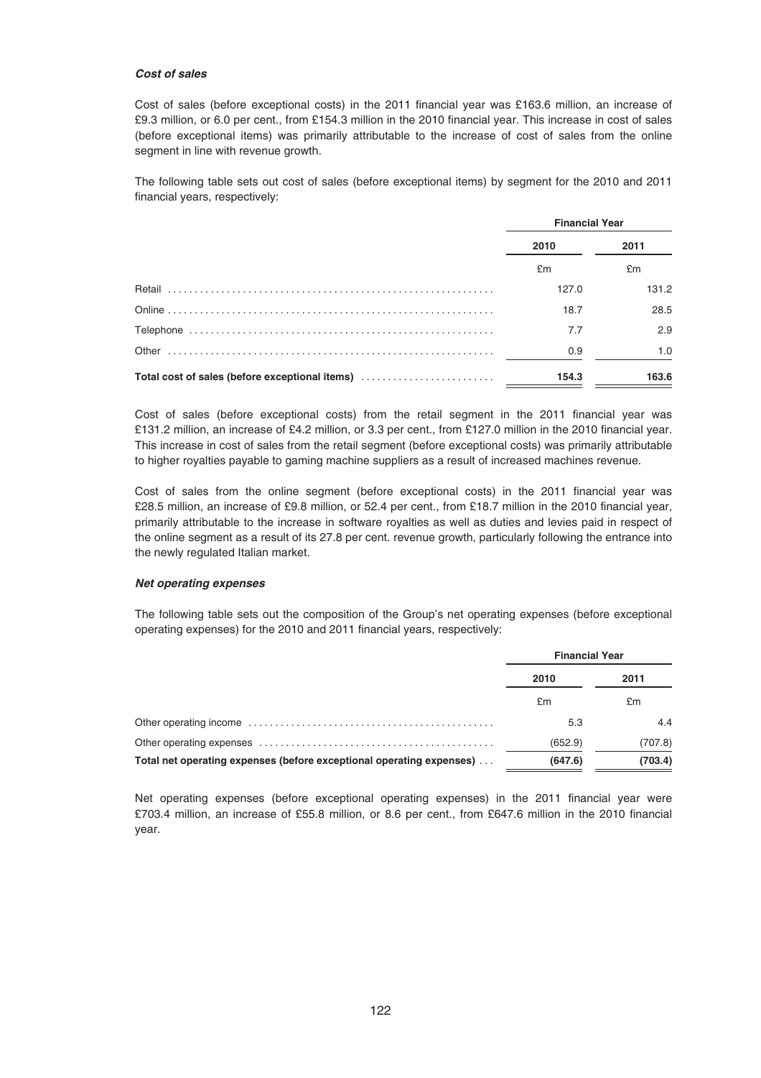#### *Cost of sales*

Cost of sales (before exceptional costs) in the 2011 financial year was £163.6 million, an increase of £9.3 million, or 6.0 per cent., from £154.3 million in the 2010 financial year. This increase in cost of sales (before exceptional items) was primarily attributable to the increase of cost of sales from the online segment in line with revenue growth.

The following table sets out cost of sales (before exceptional items) by segment for the 2010 and 2011 financial years, respectively:

|                                                | <b>Financial Year</b> |       |
|------------------------------------------------|-----------------------|-------|
|                                                | 2010                  | 2011  |
|                                                | £m                    | £m    |
| Retail                                         | 127.0                 | 131.2 |
|                                                | 18.7                  | 28.5  |
|                                                | 7.7                   | 2.9   |
| Other                                          | 0.9                   | 1.0   |
| Total cost of sales (before exceptional items) | 154.3                 | 163.6 |

Cost of sales (before exceptional costs) from the retail segment in the 2011 financial year was £131.2 million, an increase of £4.2 million, or 3.3 per cent., from £127.0 million in the 2010 financial year. This increase in cost of sales from the retail segment (before exceptional costs) was primarily attributable to higher royalties payable to gaming machine suppliers as a result of increased machines revenue.

Cost of sales from the online segment (before exceptional costs) in the 2011 financial year was £28.5 million, an increase of £9.8 million, or 52.4 per cent., from £18.7 million in the 2010 financial year, primarily attributable to the increase in software royalties as well as duties and levies paid in respect of the online segment as a result of its 27.8 per cent. revenue growth, particularly following the entrance into the newly regulated Italian market.

#### *Net operating expenses*

The following table sets out the composition of the Group's net operating expenses (before exceptional operating expenses) for the 2010 and 2011 financial years, respectively:

|                                                                      | <b>Financial Year</b> |         |  |
|----------------------------------------------------------------------|-----------------------|---------|--|
|                                                                      | 2010                  | 2011    |  |
|                                                                      | £m                    | £m      |  |
|                                                                      | 5.3                   | 4.4     |  |
|                                                                      | (652.9)               | (707.8) |  |
| Total net operating expenses (before exceptional operating expenses) | (703.4)<br>(647.6)    |         |  |

Net operating expenses (before exceptional operating expenses) in the 2011 financial year were £703.4 million, an increase of £55.8 million, or 8.6 per cent., from £647.6 million in the 2010 financial year.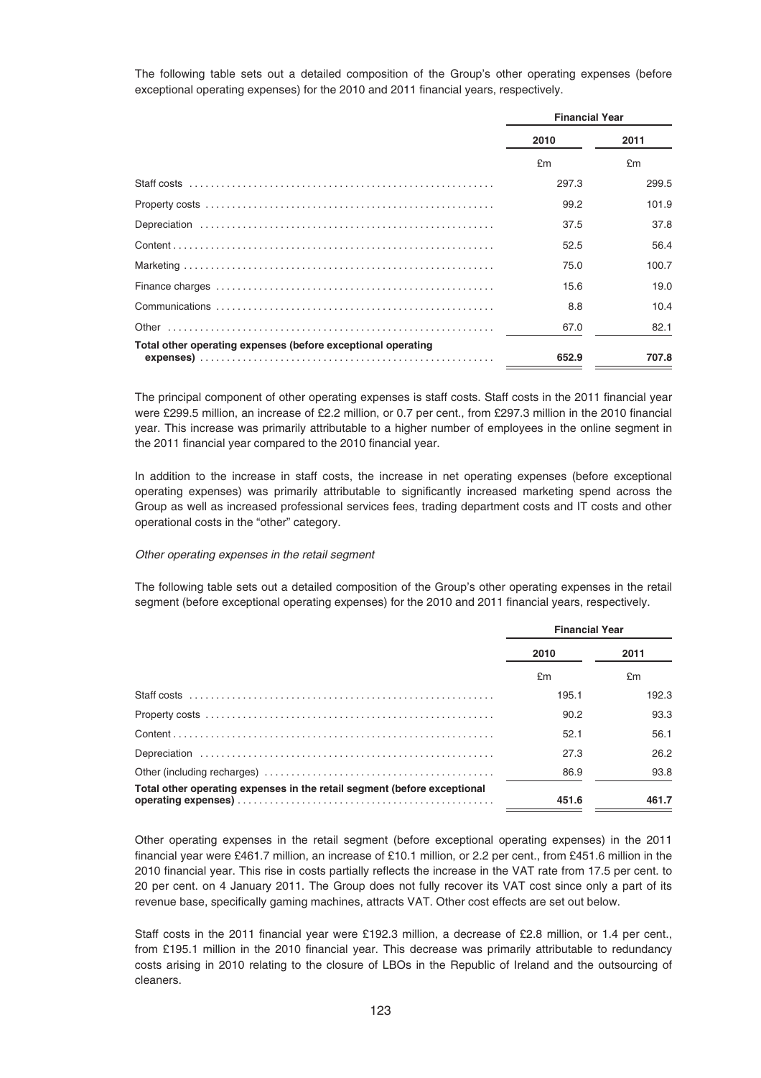The following table sets out a detailed composition of the Group's other operating expenses (before exceptional operating expenses) for the 2010 and 2011 financial years, respectively.

|                                                              | <b>Financial Year</b> |       |
|--------------------------------------------------------------|-----------------------|-------|
|                                                              | 2010                  | 2011  |
|                                                              | £m                    | £m    |
|                                                              | 297.3                 | 299.5 |
|                                                              | 99.2                  | 101.9 |
|                                                              | 37.5                  | 37.8  |
|                                                              | 52.5                  | 56.4  |
|                                                              | 75.0                  | 100.7 |
|                                                              | 15.6                  | 19.0  |
|                                                              | 8.8                   | 10.4  |
|                                                              | 67.0                  | 82.1  |
| Total other operating expenses (before exceptional operating | 652.9                 | 707.8 |

The principal component of other operating expenses is staff costs. Staff costs in the 2011 financial year were £299.5 million, an increase of £2.2 million, or 0.7 per cent., from £297.3 million in the 2010 financial year. This increase was primarily attributable to a higher number of employees in the online segment in the 2011 financial year compared to the 2010 financial year.

In addition to the increase in staff costs, the increase in net operating expenses (before exceptional operating expenses) was primarily attributable to significantly increased marketing spend across the Group as well as increased professional services fees, trading department costs and IT costs and other operational costs in the "other" category.

#### Other operating expenses in the retail segment

The following table sets out a detailed composition of the Group's other operating expenses in the retail segment (before exceptional operating expenses) for the 2010 and 2011 financial years, respectively.

|                                                                          | <b>Financial Year</b> |       |
|--------------------------------------------------------------------------|-----------------------|-------|
|                                                                          | 2010                  | 2011  |
|                                                                          | £m                    | £m    |
|                                                                          | 195.1                 | 192.3 |
|                                                                          | 90.2                  | 93.3  |
|                                                                          | 52.1                  | 56.1  |
|                                                                          | 27.3                  | 26.2  |
|                                                                          | 86.9                  | 93.8  |
| Total other operating expenses in the retail segment (before exceptional | 451.6                 | 461.7 |

Other operating expenses in the retail segment (before exceptional operating expenses) in the 2011 financial year were £461.7 million, an increase of £10.1 million, or 2.2 per cent., from £451.6 million in the 2010 financial year. This rise in costs partially reflects the increase in the VAT rate from 17.5 per cent. to 20 per cent. on 4 January 2011. The Group does not fully recover its VAT cost since only a part of its revenue base, specifically gaming machines, attracts VAT. Other cost effects are set out below.

Staff costs in the 2011 financial year were £192.3 million, a decrease of £2.8 million, or 1.4 per cent., from £195.1 million in the 2010 financial year. This decrease was primarily attributable to redundancy costs arising in 2010 relating to the closure of LBOs in the Republic of Ireland and the outsourcing of cleaners.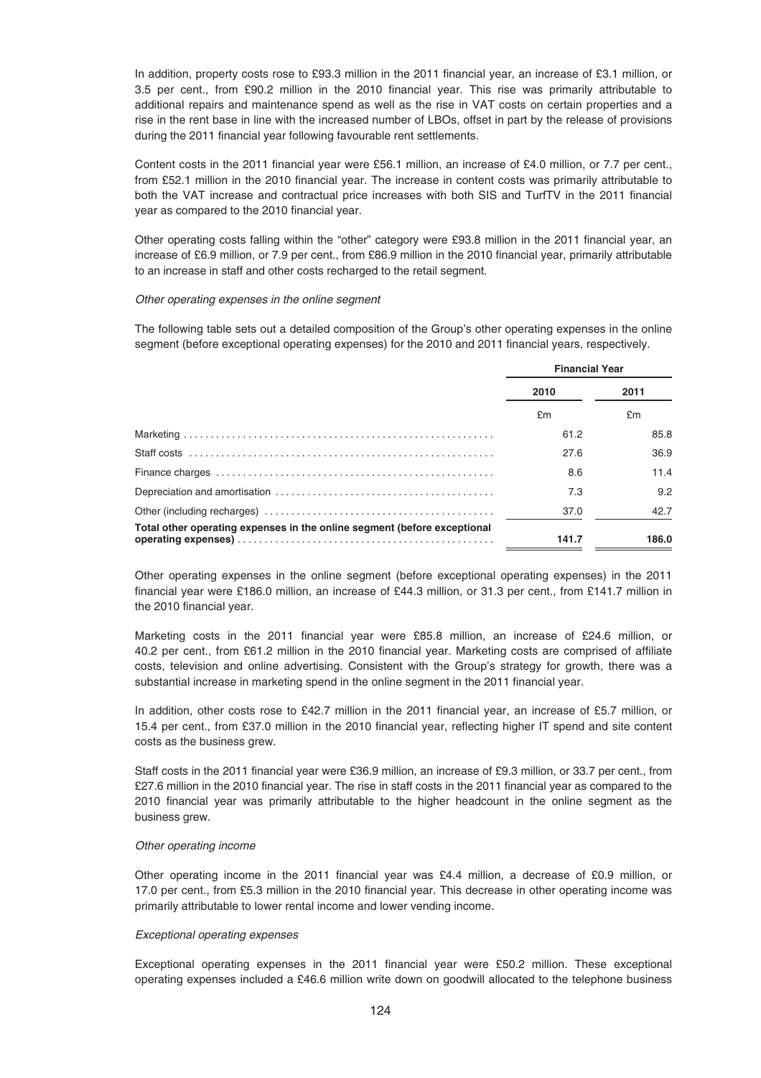In addition, property costs rose to £93.3 million in the 2011 financial year, an increase of £3.1 million, or 3.5 per cent., from £90.2 million in the 2010 financial year. This rise was primarily attributable to additional repairs and maintenance spend as well as the rise in VAT costs on certain properties and a rise in the rent base in line with the increased number of LBOs, offset in part by the release of provisions during the 2011 financial year following favourable rent settlements.

Content costs in the 2011 financial year were £56.1 million, an increase of £4.0 million, or 7.7 per cent., from £52.1 million in the 2010 financial year. The increase in content costs was primarily attributable to both the VAT increase and contractual price increases with both SIS and TurfTV in the 2011 financial year as compared to the 2010 financial year.

Other operating costs falling within the "other" category were £93.8 million in the 2011 financial year, an increase of £6.9 million, or 7.9 per cent., from £86.9 million in the 2010 financial year, primarily attributable to an increase in staff and other costs recharged to the retail segment.

#### Other operating expenses in the online segment

The following table sets out a detailed composition of the Group's other operating expenses in the online segment (before exceptional operating expenses) for the 2010 and 2011 financial years, respectively.

|                                                                          | <b>Financial Year</b> |       |
|--------------------------------------------------------------------------|-----------------------|-------|
|                                                                          | 2010                  | 2011  |
|                                                                          | £m                    | £m    |
|                                                                          | 61.2                  | 85.8  |
|                                                                          | 27.6                  | 36.9  |
|                                                                          | 8.6                   | 11.4  |
|                                                                          | 7.3                   | 9.2   |
|                                                                          | 37.0                  | 42.7  |
| Total other operating expenses in the online segment (before exceptional | 141.7                 | 186.0 |

Other operating expenses in the online segment (before exceptional operating expenses) in the 2011 financial year were £186.0 million, an increase of £44.3 million, or 31.3 per cent., from £141.7 million in the 2010 financial year.

Marketing costs in the 2011 financial year were £85.8 million, an increase of £24.6 million, or 40.2 per cent., from £61.2 million in the 2010 financial year. Marketing costs are comprised of affiliate costs, television and online advertising. Consistent with the Group's strategy for growth, there was a substantial increase in marketing spend in the online segment in the 2011 financial year.

In addition, other costs rose to £42.7 million in the 2011 financial year, an increase of £5.7 million, or 15.4 per cent., from £37.0 million in the 2010 financial year, reflecting higher IT spend and site content costs as the business grew.

Staff costs in the 2011 financial year were £36.9 million, an increase of £9.3 million, or 33.7 per cent., from £27.6 million in the 2010 financial year. The rise in staff costs in the 2011 financial year as compared to the 2010 financial year was primarily attributable to the higher headcount in the online segment as the business grew.

#### Other operating income

Other operating income in the 2011 financial year was £4.4 million, a decrease of £0.9 million, or 17.0 per cent., from £5.3 million in the 2010 financial year. This decrease in other operating income was primarily attributable to lower rental income and lower vending income.

## Exceptional operating expenses

Exceptional operating expenses in the 2011 financial year were £50.2 million. These exceptional operating expenses included a £46.6 million write down on goodwill allocated to the telephone business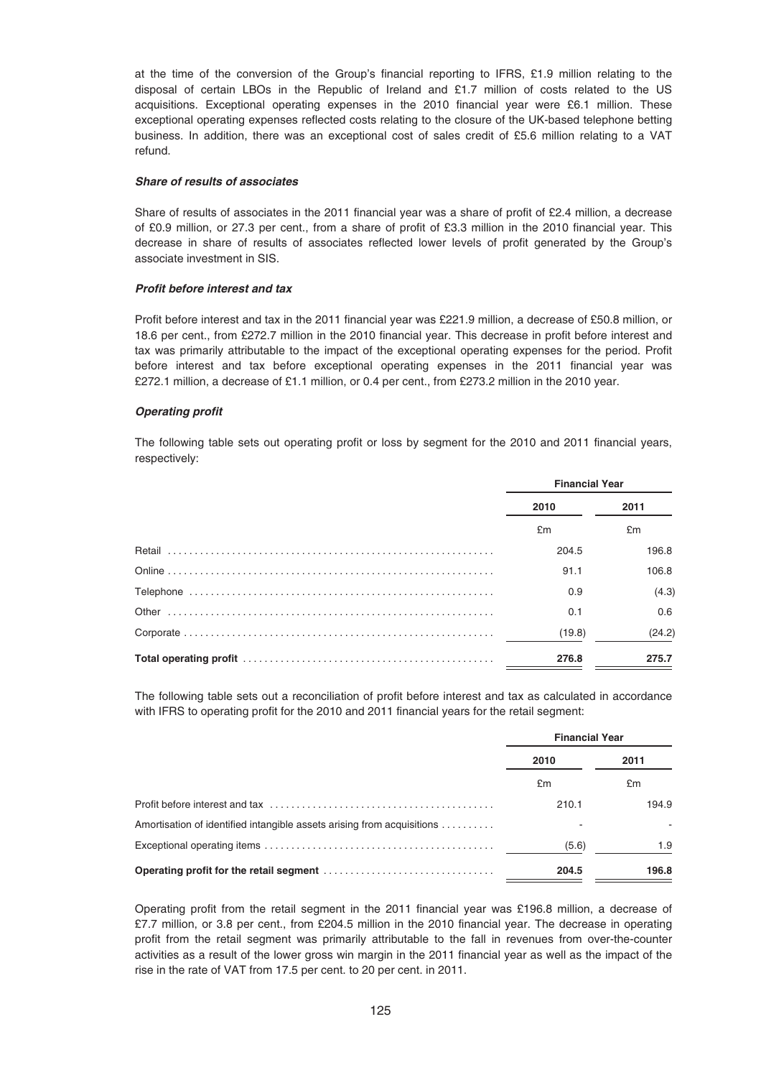at the time of the conversion of the Group's financial reporting to IFRS, £1.9 million relating to the disposal of certain LBOs in the Republic of Ireland and £1.7 million of costs related to the US acquisitions. Exceptional operating expenses in the 2010 financial year were £6.1 million. These exceptional operating expenses reflected costs relating to the closure of the UK-based telephone betting business. In addition, there was an exceptional cost of sales credit of £5.6 million relating to a VAT refund.

#### *Share of results of associates*

Share of results of associates in the 2011 financial year was a share of profit of £2.4 million, a decrease of £0.9 million, or 27.3 per cent., from a share of profit of £3.3 million in the 2010 financial year. This decrease in share of results of associates reflected lower levels of profit generated by the Group's associate investment in SIS.

## *Profit before interest and tax*

Profit before interest and tax in the 2011 financial year was £221.9 million, a decrease of £50.8 million, or 18.6 per cent., from £272.7 million in the 2010 financial year. This decrease in profit before interest and tax was primarily attributable to the impact of the exceptional operating expenses for the period. Profit before interest and tax before exceptional operating expenses in the 2011 financial year was £272.1 million, a decrease of £1.1 million, or 0.4 per cent., from £273.2 million in the 2010 year.

#### *Operating profit*

The following table sets out operating profit or loss by segment for the 2010 and 2011 financial years, respectively:

| <b>Financial Year</b> |        |
|-----------------------|--------|
| 2010                  | 2011   |
| £m                    | £m     |
| 204.5                 | 196.8  |
| 91.1                  | 106.8  |
| 0.9                   | (4.3)  |
| 0.1                   | 0.6    |
| (19.8)                | (24.2) |
| 276.8                 | 275.7  |

The following table sets out a reconciliation of profit before interest and tax as calculated in accordance with IFRS to operating profit for the 2010 and 2011 financial years for the retail segment:

|                                                                        | <b>Financial Year</b> |       |
|------------------------------------------------------------------------|-----------------------|-------|
|                                                                        | 2010                  | 2011  |
|                                                                        | £m                    | £m    |
|                                                                        | 210.1                 | 194.9 |
| Amortisation of identified intangible assets arising from acquisitions |                       |       |
|                                                                        | (5.6)                 | 1.9   |
|                                                                        | 204.5                 | 196.8 |

Operating profit from the retail segment in the 2011 financial year was £196.8 million, a decrease of £7.7 million, or 3.8 per cent., from £204.5 million in the 2010 financial year. The decrease in operating profit from the retail segment was primarily attributable to the fall in revenues from over-the-counter activities as a result of the lower gross win margin in the 2011 financial year as well as the impact of the rise in the rate of VAT from 17.5 per cent. to 20 per cent. in 2011.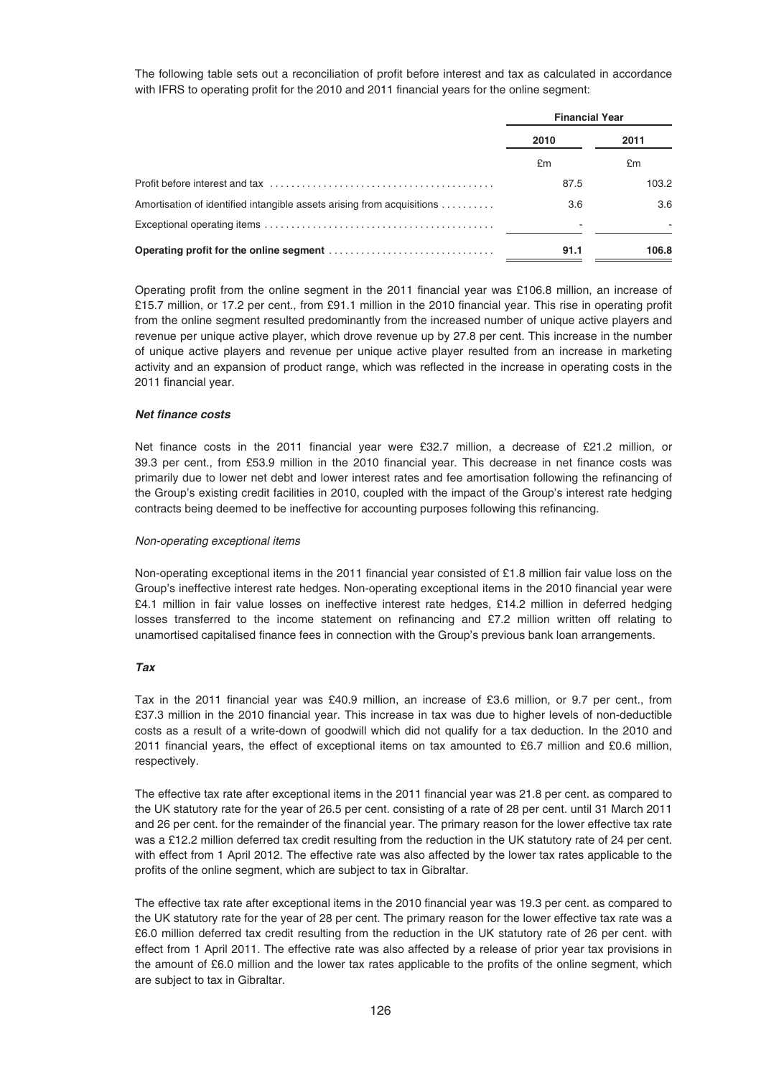The following table sets out a reconciliation of profit before interest and tax as calculated in accordance with IFRS to operating profit for the 2010 and 2011 financial years for the online segment:

|                                                                        | <b>Financial Year</b> |       |
|------------------------------------------------------------------------|-----------------------|-------|
|                                                                        | 2010                  | 2011  |
|                                                                        | £m                    | £m    |
|                                                                        | 87.5                  | 103.2 |
| Amortisation of identified intangible assets arising from acquisitions | 3.6                   | 3.6   |
|                                                                        |                       |       |
|                                                                        | 91.1                  | 106.8 |

Operating profit from the online segment in the 2011 financial year was £106.8 million, an increase of £15.7 million, or 17.2 per cent., from £91.1 million in the 2010 financial year. This rise in operating profit from the online segment resulted predominantly from the increased number of unique active players and revenue per unique active player, which drove revenue up by 27.8 per cent. This increase in the number of unique active players and revenue per unique active player resulted from an increase in marketing activity and an expansion of product range, which was reflected in the increase in operating costs in the 2011 financial year.

## *Net finance costs*

Net finance costs in the 2011 financial year were £32.7 million, a decrease of £21.2 million, or 39.3 per cent., from £53.9 million in the 2010 financial year. This decrease in net finance costs was primarily due to lower net debt and lower interest rates and fee amortisation following the refinancing of the Group's existing credit facilities in 2010, coupled with the impact of the Group's interest rate hedging contracts being deemed to be ineffective for accounting purposes following this refinancing.

#### Non-operating exceptional items

Non-operating exceptional items in the 2011 financial year consisted of £1.8 million fair value loss on the Group's ineffective interest rate hedges. Non-operating exceptional items in the 2010 financial year were £4.1 million in fair value losses on ineffective interest rate hedges, £14.2 million in deferred hedging losses transferred to the income statement on refinancing and £7.2 million written off relating to unamortised capitalised finance fees in connection with the Group's previous bank loan arrangements.

## *Tax*

Tax in the 2011 financial year was £40.9 million, an increase of £3.6 million, or 9.7 per cent., from £37.3 million in the 2010 financial year. This increase in tax was due to higher levels of non-deductible costs as a result of a write-down of goodwill which did not qualify for a tax deduction. In the 2010 and 2011 financial years, the effect of exceptional items on tax amounted to £6.7 million and £0.6 million, respectively.

The effective tax rate after exceptional items in the 2011 financial year was 21.8 per cent. as compared to the UK statutory rate for the year of 26.5 per cent. consisting of a rate of 28 per cent. until 31 March 2011 and 26 per cent. for the remainder of the financial year. The primary reason for the lower effective tax rate was a £12.2 million deferred tax credit resulting from the reduction in the UK statutory rate of 24 per cent. with effect from 1 April 2012. The effective rate was also affected by the lower tax rates applicable to the profits of the online segment, which are subject to tax in Gibraltar.

The effective tax rate after exceptional items in the 2010 financial year was 19.3 per cent. as compared to the UK statutory rate for the year of 28 per cent. The primary reason for the lower effective tax rate was a £6.0 million deferred tax credit resulting from the reduction in the UK statutory rate of 26 per cent. with effect from 1 April 2011. The effective rate was also affected by a release of prior year tax provisions in the amount of £6.0 million and the lower tax rates applicable to the profits of the online segment, which are subject to tax in Gibraltar.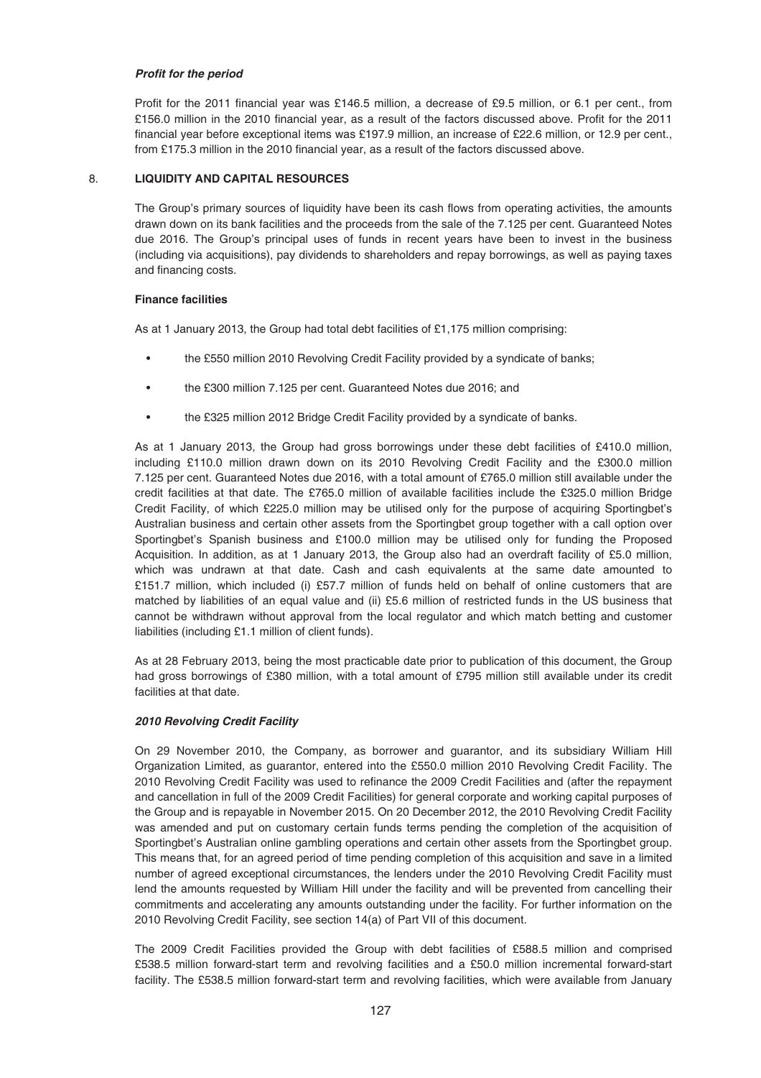# *Profit for the period*

Profit for the 2011 financial year was £146.5 million, a decrease of £9.5 million, or 6.1 per cent., from £156.0 million in the 2010 financial year, as a result of the factors discussed above. Profit for the 2011 financial year before exceptional items was £197.9 million, an increase of £22.6 million, or 12.9 per cent., from £175.3 million in the 2010 financial year, as a result of the factors discussed above.

# 8. **LIQUIDITY AND CAPITAL RESOURCES**

The Group's primary sources of liquidity have been its cash flows from operating activities, the amounts drawn down on its bank facilities and the proceeds from the sale of the 7.125 per cent. Guaranteed Notes due 2016. The Group's principal uses of funds in recent years have been to invest in the business (including via acquisitions), pay dividends to shareholders and repay borrowings, as well as paying taxes and financing costs.

# **Finance facilities**

As at 1 January 2013, the Group had total debt facilities of £1,175 million comprising:

- the £550 million 2010 Revolving Credit Facility provided by a syndicate of banks;
- the £300 million 7.125 per cent. Guaranteed Notes due 2016; and
- the £325 million 2012 Bridge Credit Facility provided by a syndicate of banks.

As at 1 January 2013, the Group had gross borrowings under these debt facilities of £410.0 million, including £110.0 million drawn down on its 2010 Revolving Credit Facility and the £300.0 million 7.125 per cent. Guaranteed Notes due 2016, with a total amount of £765.0 million still available under the credit facilities at that date. The £765.0 million of available facilities include the £325.0 million Bridge Credit Facility, of which £225.0 million may be utilised only for the purpose of acquiring Sportingbet's Australian business and certain other assets from the Sportingbet group together with a call option over Sportingbet's Spanish business and £100.0 million may be utilised only for funding the Proposed Acquisition. In addition, as at 1 January 2013, the Group also had an overdraft facility of £5.0 million, which was undrawn at that date. Cash and cash equivalents at the same date amounted to £151.7 million, which included (i) £57.7 million of funds held on behalf of online customers that are matched by liabilities of an equal value and (ii) £5.6 million of restricted funds in the US business that cannot be withdrawn without approval from the local regulator and which match betting and customer liabilities (including £1.1 million of client funds).

As at 28 February 2013, being the most practicable date prior to publication of this document, the Group had gross borrowings of £380 million, with a total amount of £795 million still available under its credit facilities at that date.

## *2010 Revolving Credit Facility*

On 29 November 2010, the Company, as borrower and guarantor, and its subsidiary William Hill Organization Limited, as guarantor, entered into the £550.0 million 2010 Revolving Credit Facility. The 2010 Revolving Credit Facility was used to refinance the 2009 Credit Facilities and (after the repayment and cancellation in full of the 2009 Credit Facilities) for general corporate and working capital purposes of the Group and is repayable in November 2015. On 20 December 2012, the 2010 Revolving Credit Facility was amended and put on customary certain funds terms pending the completion of the acquisition of Sportingbet's Australian online gambling operations and certain other assets from the Sportingbet group. This means that, for an agreed period of time pending completion of this acquisition and save in a limited number of agreed exceptional circumstances, the lenders under the 2010 Revolving Credit Facility must lend the amounts requested by William Hill under the facility and will be prevented from cancelling their commitments and accelerating any amounts outstanding under the facility. For further information on the 2010 Revolving Credit Facility, see section 14(a) of Part VII of this document.

The 2009 Credit Facilities provided the Group with debt facilities of £588.5 million and comprised £538.5 million forward-start term and revolving facilities and a £50.0 million incremental forward-start facility. The £538.5 million forward-start term and revolving facilities, which were available from January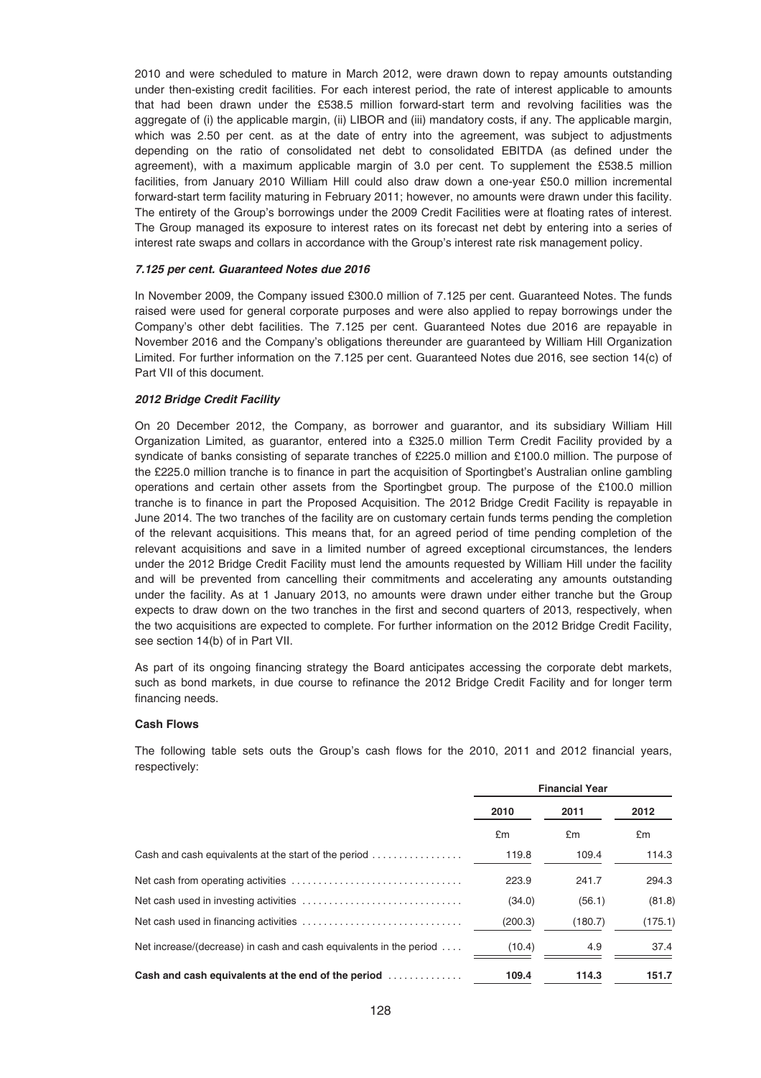2010 and were scheduled to mature in March 2012, were drawn down to repay amounts outstanding under then-existing credit facilities. For each interest period, the rate of interest applicable to amounts that had been drawn under the £538.5 million forward-start term and revolving facilities was the aggregate of (i) the applicable margin, (ii) LIBOR and (iii) mandatory costs, if any. The applicable margin, which was 2.50 per cent. as at the date of entry into the agreement, was subject to adjustments depending on the ratio of consolidated net debt to consolidated EBITDA (as defined under the agreement), with a maximum applicable margin of 3.0 per cent. To supplement the £538.5 million facilities, from January 2010 William Hill could also draw down a one-year £50.0 million incremental forward-start term facility maturing in February 2011; however, no amounts were drawn under this facility. The entirety of the Group's borrowings under the 2009 Credit Facilities were at floating rates of interest. The Group managed its exposure to interest rates on its forecast net debt by entering into a series of interest rate swaps and collars in accordance with the Group's interest rate risk management policy.

## *7.125 per cent. Guaranteed Notes due 2016*

In November 2009, the Company issued £300.0 million of 7.125 per cent. Guaranteed Notes. The funds raised were used for general corporate purposes and were also applied to repay borrowings under the Company's other debt facilities. The 7.125 per cent. Guaranteed Notes due 2016 are repayable in November 2016 and the Company's obligations thereunder are guaranteed by William Hill Organization Limited. For further information on the 7.125 per cent. Guaranteed Notes due 2016, see section 14(c) of Part VII of this document.

## *2012 Bridge Credit Facility*

On 20 December 2012, the Company, as borrower and guarantor, and its subsidiary William Hill Organization Limited, as guarantor, entered into a £325.0 million Term Credit Facility provided by a syndicate of banks consisting of separate tranches of £225.0 million and £100.0 million. The purpose of the £225.0 million tranche is to finance in part the acquisition of Sportingbet's Australian online gambling operations and certain other assets from the Sportingbet group. The purpose of the £100.0 million tranche is to finance in part the Proposed Acquisition. The 2012 Bridge Credit Facility is repayable in June 2014. The two tranches of the facility are on customary certain funds terms pending the completion of the relevant acquisitions. This means that, for an agreed period of time pending completion of the relevant acquisitions and save in a limited number of agreed exceptional circumstances, the lenders under the 2012 Bridge Credit Facility must lend the amounts requested by William Hill under the facility and will be prevented from cancelling their commitments and accelerating any amounts outstanding under the facility. As at 1 January 2013, no amounts were drawn under either tranche but the Group expects to draw down on the two tranches in the first and second quarters of 2013, respectively, when the two acquisitions are expected to complete. For further information on the 2012 Bridge Credit Facility, see section 14(b) of in Part VII.

As part of its ongoing financing strategy the Board anticipates accessing the corporate debt markets, such as bond markets, in due course to refinance the 2012 Bridge Credit Facility and for longer term financing needs.

# **Cash Flows**

The following table sets outs the Group's cash flows for the 2010, 2011 and 2012 financial years, respectively:

|                                                                            | <b>Financial Year</b> |         |         |
|----------------------------------------------------------------------------|-----------------------|---------|---------|
|                                                                            | 2010                  | 2011    | 2012    |
|                                                                            | £m                    | £m      | £m      |
| Cash and cash equivalents at the start of the period                       | 119.8                 | 109.4   | 114.3   |
|                                                                            | 223.9                 | 241.7   | 294.3   |
|                                                                            | (34.0)                | (56.1)  | (81.8)  |
|                                                                            | (200.3)               | (180.7) | (175.1) |
| Net increase/(decrease) in cash and cash equivalents in the period $\dots$ | (10.4)                | 4.9     | 37.4    |
| Cash and cash equivalents at the end of the period                         | 109.4                 | 114.3   | 151.7   |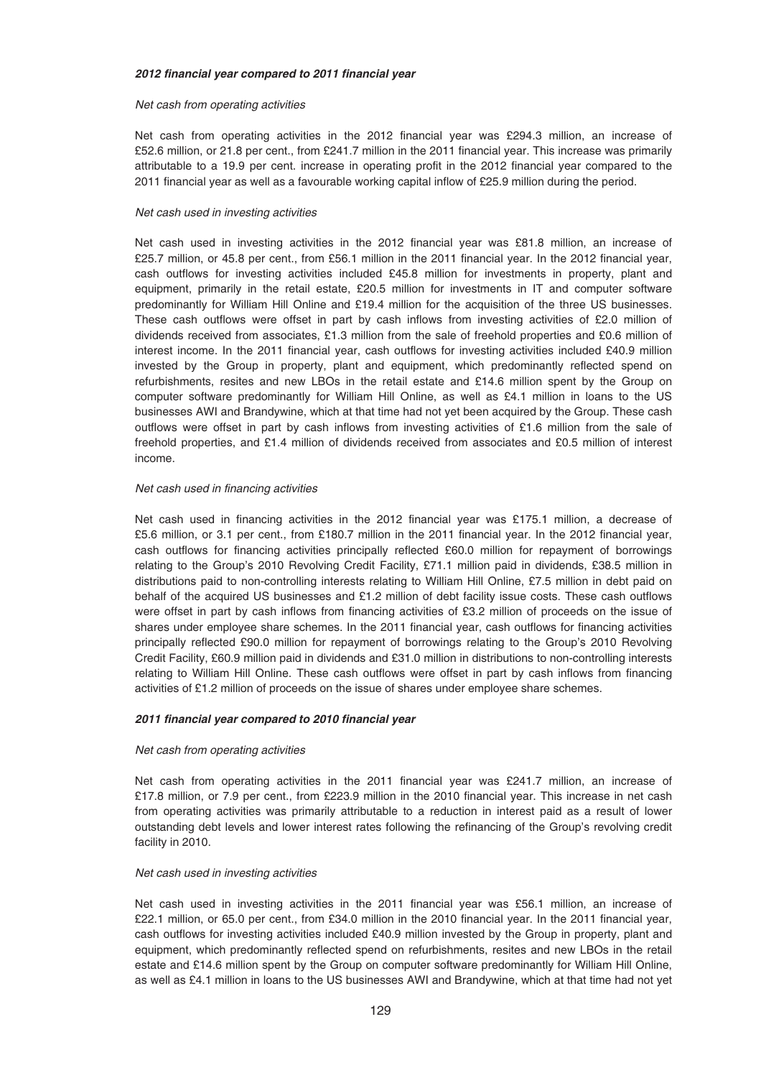#### *2012 financial year compared to 2011 financial year*

# Net cash from operating activities

Net cash from operating activities in the 2012 financial year was £294.3 million, an increase of £52.6 million, or 21.8 per cent., from £241.7 million in the 2011 financial year. This increase was primarily attributable to a 19.9 per cent. increase in operating profit in the 2012 financial year compared to the 2011 financial year as well as a favourable working capital inflow of £25.9 million during the period.

#### Net cash used in investing activities

Net cash used in investing activities in the 2012 financial year was £81.8 million, an increase of £25.7 million, or 45.8 per cent., from £56.1 million in the 2011 financial year. In the 2012 financial year, cash outflows for investing activities included £45.8 million for investments in property, plant and equipment, primarily in the retail estate, £20.5 million for investments in IT and computer software predominantly for William Hill Online and £19.4 million for the acquisition of the three US businesses. These cash outflows were offset in part by cash inflows from investing activities of £2.0 million of dividends received from associates, £1.3 million from the sale of freehold properties and £0.6 million of interest income. In the 2011 financial year, cash outflows for investing activities included £40.9 million invested by the Group in property, plant and equipment, which predominantly reflected spend on refurbishments, resites and new LBOs in the retail estate and £14.6 million spent by the Group on computer software predominantly for William Hill Online, as well as £4.1 million in loans to the US businesses AWI and Brandywine, which at that time had not yet been acquired by the Group. These cash outflows were offset in part by cash inflows from investing activities of £1.6 million from the sale of freehold properties, and £1.4 million of dividends received from associates and £0.5 million of interest income.

#### Net cash used in financing activities

Net cash used in financing activities in the 2012 financial year was £175.1 million, a decrease of £5.6 million, or 3.1 per cent., from £180.7 million in the 2011 financial year. In the 2012 financial year, cash outflows for financing activities principally reflected £60.0 million for repayment of borrowings relating to the Group's 2010 Revolving Credit Facility, £71.1 million paid in dividends, £38.5 million in distributions paid to non-controlling interests relating to William Hill Online, £7.5 million in debt paid on behalf of the acquired US businesses and £1.2 million of debt facility issue costs. These cash outflows were offset in part by cash inflows from financing activities of £3.2 million of proceeds on the issue of shares under employee share schemes. In the 2011 financial year, cash outflows for financing activities principally reflected £90.0 million for repayment of borrowings relating to the Group's 2010 Revolving Credit Facility, £60.9 million paid in dividends and £31.0 million in distributions to non-controlling interests relating to William Hill Online. These cash outflows were offset in part by cash inflows from financing activities of £1.2 million of proceeds on the issue of shares under employee share schemes.

# *2011 financial year compared to 2010 financial year*

#### Net cash from operating activities

Net cash from operating activities in the 2011 financial year was £241.7 million, an increase of £17.8 million, or 7.9 per cent., from £223.9 million in the 2010 financial year. This increase in net cash from operating activities was primarily attributable to a reduction in interest paid as a result of lower outstanding debt levels and lower interest rates following the refinancing of the Group's revolving credit facility in 2010.

#### Net cash used in investing activities

Net cash used in investing activities in the 2011 financial year was £56.1 million, an increase of £22.1 million, or 65.0 per cent., from £34.0 million in the 2010 financial year. In the 2011 financial year, cash outflows for investing activities included £40.9 million invested by the Group in property, plant and equipment, which predominantly reflected spend on refurbishments, resites and new LBOs in the retail estate and £14.6 million spent by the Group on computer software predominantly for William Hill Online, as well as £4.1 million in loans to the US businesses AWI and Brandywine, which at that time had not yet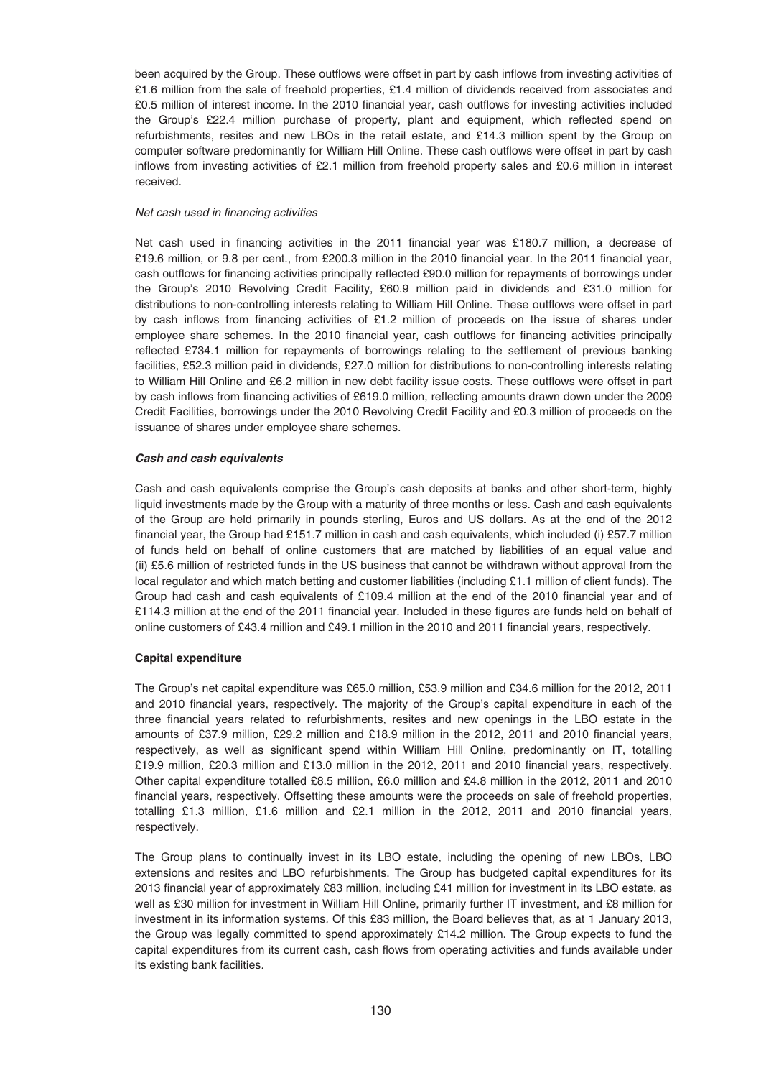been acquired by the Group. These outflows were offset in part by cash inflows from investing activities of £1.6 million from the sale of freehold properties, £1.4 million of dividends received from associates and £0.5 million of interest income. In the 2010 financial year, cash outflows for investing activities included the Group's £22.4 million purchase of property, plant and equipment, which reflected spend on refurbishments, resites and new LBOs in the retail estate, and £14.3 million spent by the Group on computer software predominantly for William Hill Online. These cash outflows were offset in part by cash inflows from investing activities of £2.1 million from freehold property sales and £0.6 million in interest received.

## Net cash used in financing activities

Net cash used in financing activities in the 2011 financial year was £180.7 million, a decrease of £19.6 million, or 9.8 per cent., from £200.3 million in the 2010 financial year. In the 2011 financial year, cash outflows for financing activities principally reflected £90.0 million for repayments of borrowings under the Group's 2010 Revolving Credit Facility, £60.9 million paid in dividends and £31.0 million for distributions to non-controlling interests relating to William Hill Online. These outflows were offset in part by cash inflows from financing activities of £1.2 million of proceeds on the issue of shares under employee share schemes. In the 2010 financial year, cash outflows for financing activities principally reflected £734.1 million for repayments of borrowings relating to the settlement of previous banking facilities, £52.3 million paid in dividends, £27.0 million for distributions to non-controlling interests relating to William Hill Online and £6.2 million in new debt facility issue costs. These outflows were offset in part by cash inflows from financing activities of £619.0 million, reflecting amounts drawn down under the 2009 Credit Facilities, borrowings under the 2010 Revolving Credit Facility and £0.3 million of proceeds on the issuance of shares under employee share schemes.

# *Cash and cash equivalents*

Cash and cash equivalents comprise the Group's cash deposits at banks and other short-term, highly liquid investments made by the Group with a maturity of three months or less. Cash and cash equivalents of the Group are held primarily in pounds sterling, Euros and US dollars. As at the end of the 2012 financial year, the Group had £151.7 million in cash and cash equivalents, which included (i) £57.7 million of funds held on behalf of online customers that are matched by liabilities of an equal value and (ii) £5.6 million of restricted funds in the US business that cannot be withdrawn without approval from the local regulator and which match betting and customer liabilities (including £1.1 million of client funds). The Group had cash and cash equivalents of £109.4 million at the end of the 2010 financial year and of £114.3 million at the end of the 2011 financial year. Included in these figures are funds held on behalf of online customers of £43.4 million and £49.1 million in the 2010 and 2011 financial years, respectively.

# **Capital expenditure**

The Group's net capital expenditure was £65.0 million, £53.9 million and £34.6 million for the 2012, 2011 and 2010 financial years, respectively. The majority of the Group's capital expenditure in each of the three financial years related to refurbishments, resites and new openings in the LBO estate in the amounts of £37.9 million, £29.2 million and £18.9 million in the 2012, 2011 and 2010 financial years, respectively, as well as significant spend within William Hill Online, predominantly on IT, totalling £19.9 million, £20.3 million and £13.0 million in the 2012, 2011 and 2010 financial years, respectively. Other capital expenditure totalled £8.5 million, £6.0 million and £4.8 million in the 2012, 2011 and 2010 financial years, respectively. Offsetting these amounts were the proceeds on sale of freehold properties, totalling £1.3 million, £1.6 million and £2.1 million in the 2012, 2011 and 2010 financial years, respectively.

The Group plans to continually invest in its LBO estate, including the opening of new LBOs, LBO extensions and resites and LBO refurbishments. The Group has budgeted capital expenditures for its 2013 financial year of approximately £83 million, including £41 million for investment in its LBO estate, as well as £30 million for investment in William Hill Online, primarily further IT investment, and £8 million for investment in its information systems. Of this £83 million, the Board believes that, as at 1 January 2013, the Group was legally committed to spend approximately £14.2 million. The Group expects to fund the capital expenditures from its current cash, cash flows from operating activities and funds available under its existing bank facilities.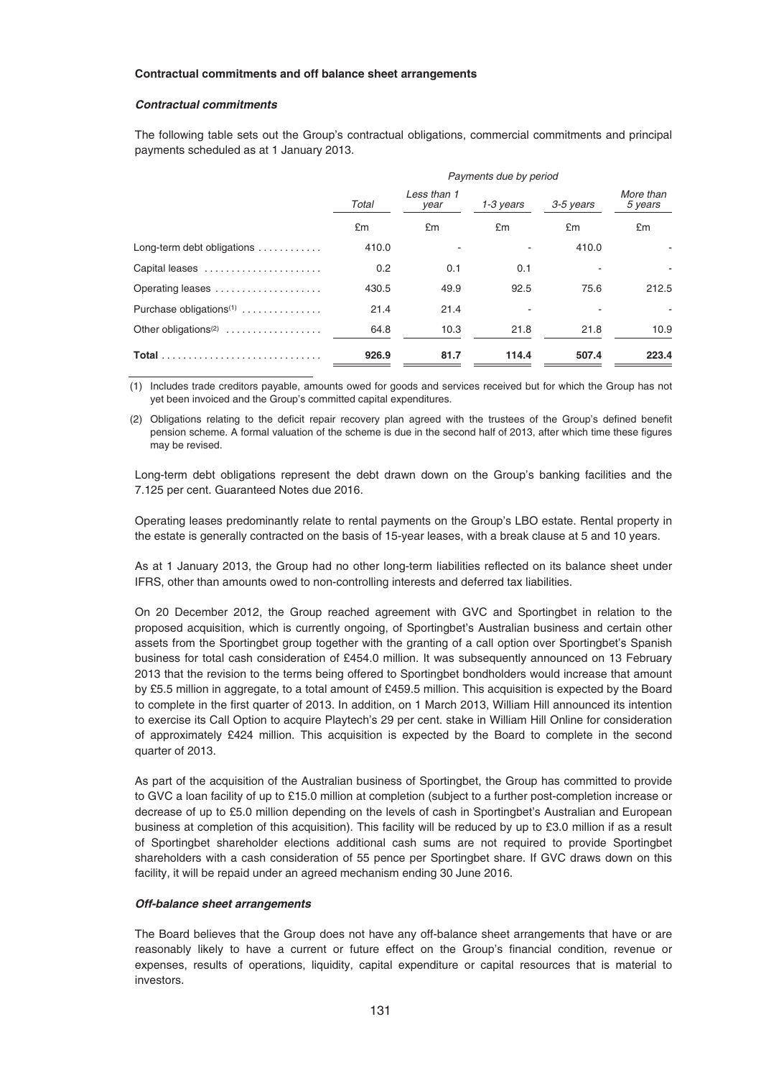#### **Contractual commitments and off balance sheet arrangements**

## *Contractual commitments*

The following table sets out the Group's contractual obligations, commercial commitments and principal payments scheduled as at 1 January 2013.

|                                           | Payments due by period |                     |           |           |                      |
|-------------------------------------------|------------------------|---------------------|-----------|-----------|----------------------|
|                                           | Total                  | Less than 1<br>year | 1-3 years | 3-5 years | More than<br>5 years |
|                                           | £m                     | £m                  | £m        | £m        | £m                   |
| Long-term debt obligations                | 410.0                  |                     |           | 410.0     |                      |
| Capital leases                            | 0.2                    | 0.1                 | 0.1       |           |                      |
| Operating leases                          | 430.5                  | 49.9                | 92.5      | 75.6      | 212.5                |
| Purchase obligations <sup>(1)</sup>       | 21.4                   | 21.4                |           |           |                      |
| Other obligations <sup>(2)</sup> $\ldots$ | 64.8                   | 10.3                | 21.8      | 21.8      | 10.9                 |
| Total                                     | 926.9                  | 81.7                | 114.4     | 507.4     | 223.4                |

(1) Includes trade creditors payable, amounts owed for goods and services received but for which the Group has not yet been invoiced and the Group's committed capital expenditures.

(2) Obligations relating to the deficit repair recovery plan agreed with the trustees of the Group's defined benefit pension scheme. A formal valuation of the scheme is due in the second half of 2013, after which time these figures may be revised.

Long-term debt obligations represent the debt drawn down on the Group's banking facilities and the 7.125 per cent. Guaranteed Notes due 2016.

Operating leases predominantly relate to rental payments on the Group's LBO estate. Rental property in the estate is generally contracted on the basis of 15-year leases, with a break clause at 5 and 10 years.

As at 1 January 2013, the Group had no other long-term liabilities reflected on its balance sheet under IFRS, other than amounts owed to non-controlling interests and deferred tax liabilities.

On 20 December 2012, the Group reached agreement with GVC and Sportingbet in relation to the proposed acquisition, which is currently ongoing, of Sportingbet's Australian business and certain other assets from the Sportingbet group together with the granting of a call option over Sportingbet's Spanish business for total cash consideration of £454.0 million. It was subsequently announced on 13 February 2013 that the revision to the terms being offered to Sportingbet bondholders would increase that amount by £5.5 million in aggregate, to a total amount of £459.5 million. This acquisition is expected by the Board to complete in the first quarter of 2013. In addition, on 1 March 2013, William Hill announced its intention to exercise its Call Option to acquire Playtech's 29 per cent. stake in William Hill Online for consideration of approximately £424 million. This acquisition is expected by the Board to complete in the second quarter of 2013.

As part of the acquisition of the Australian business of Sportingbet, the Group has committed to provide to GVC a loan facility of up to £15.0 million at completion (subject to a further post-completion increase or decrease of up to £5.0 million depending on the levels of cash in Sportingbet's Australian and European business at completion of this acquisition). This facility will be reduced by up to £3.0 million if as a result of Sportingbet shareholder elections additional cash sums are not required to provide Sportingbet shareholders with a cash consideration of 55 pence per Sportingbet share. If GVC draws down on this facility, it will be repaid under an agreed mechanism ending 30 June 2016.

#### *Off-balance sheet arrangements*

The Board believes that the Group does not have any off-balance sheet arrangements that have or are reasonably likely to have a current or future effect on the Group's financial condition, revenue or expenses, results of operations, liquidity, capital expenditure or capital resources that is material to investors.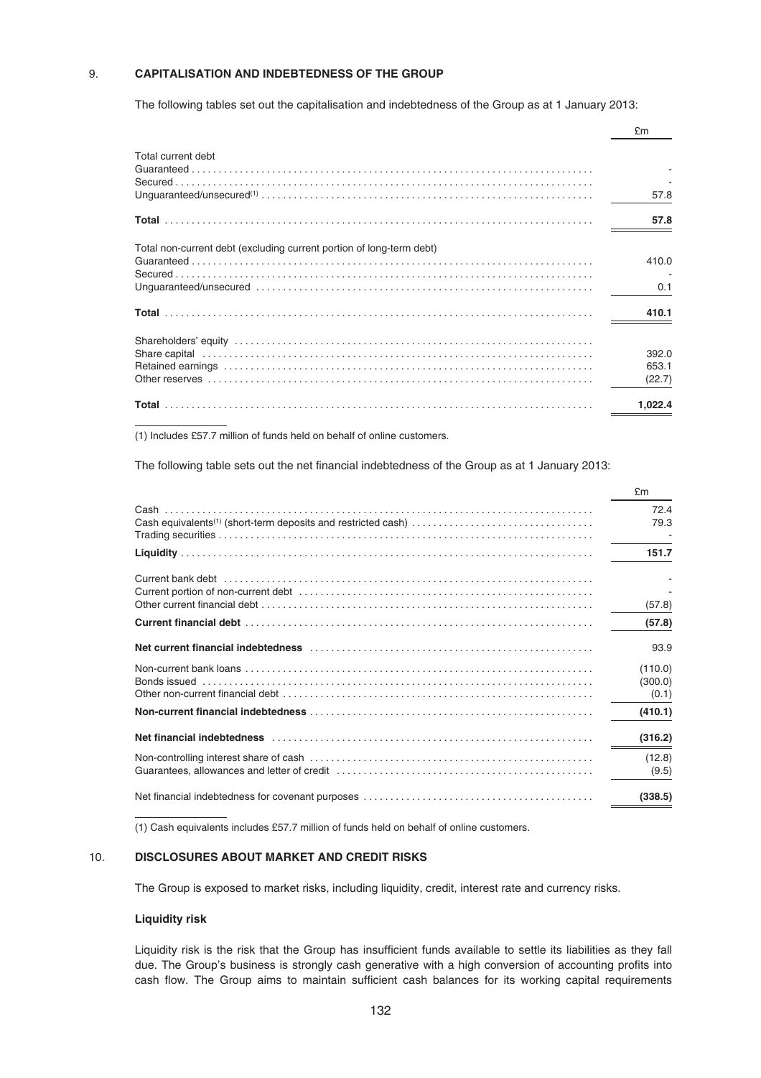# 9. **CAPITALISATION AND INDEBTEDNESS OF THE GROUP**

The following tables set out the capitalisation and indebtedness of the Group as at 1 January 2013:

|                                                                                                                                                                                                                                                                                                                                                                                                                                                                                                                       | £m                       |
|-----------------------------------------------------------------------------------------------------------------------------------------------------------------------------------------------------------------------------------------------------------------------------------------------------------------------------------------------------------------------------------------------------------------------------------------------------------------------------------------------------------------------|--------------------------|
| Total current debt<br>$\textbf{Guaranteed} \label{equ:1} \begin{minipage}{0.9\textwidth} \begin{minipage}{0.9\textwidth} \centering \begin{minipage}{0.9\textwidth} \centering \textbf{0.0000} \end{minipage} \begin{minipage}{0.9\textwidth} \centering \textbf{0.0000} \end{minipage} \begin{minipage}{0.9\textwidth} \centering \textbf{0.0000} \end{minipage} \begin{minipage}{0.9\textwidth} \centering \textbf{0.0000} \end{minipage} \begin{minipage}{0.9\textwidth} \centering \textbf{0.0000} \end{minipage$ | 57.8                     |
|                                                                                                                                                                                                                                                                                                                                                                                                                                                                                                                       | 57.8                     |
| Total non-current debt (excluding current portion of long-term debt)                                                                                                                                                                                                                                                                                                                                                                                                                                                  | 410.0<br>0.1             |
|                                                                                                                                                                                                                                                                                                                                                                                                                                                                                                                       | 410.1                    |
|                                                                                                                                                                                                                                                                                                                                                                                                                                                                                                                       | 392.0<br>653.1<br>(22.7) |
|                                                                                                                                                                                                                                                                                                                                                                                                                                                                                                                       | 1,022.4                  |

(1) Includes £57.7 million of funds held on behalf of online customers.

The following table sets out the net financial indebtedness of the Group as at 1 January 2013:

|                                                                                                                 | £m                          |
|-----------------------------------------------------------------------------------------------------------------|-----------------------------|
| Cash equivalents <sup>(1)</sup> (short-term deposits and restricted cash)                                       | 72.4<br>79.3                |
|                                                                                                                 | 151.7                       |
|                                                                                                                 | (57.8)                      |
|                                                                                                                 | (57.8)                      |
|                                                                                                                 | 93.9                        |
|                                                                                                                 | (110.0)<br>(300.0)<br>(0.1) |
|                                                                                                                 | (410.1)                     |
| Net financial indebtedness (and accommodation of the contract of the contract of the contract of the contract o | (316.2)                     |
|                                                                                                                 | (12.8)<br>(9.5)             |
|                                                                                                                 | (338.5)                     |

(1) Cash equivalents includes £57.7 million of funds held on behalf of online customers.

# 10. **DISCLOSURES ABOUT MARKET AND CREDIT RISKS**

The Group is exposed to market risks, including liquidity, credit, interest rate and currency risks.

## **Liquidity risk**

Liquidity risk is the risk that the Group has insufficient funds available to settle its liabilities as they fall due. The Group's business is strongly cash generative with a high conversion of accounting profits into cash flow. The Group aims to maintain sufficient cash balances for its working capital requirements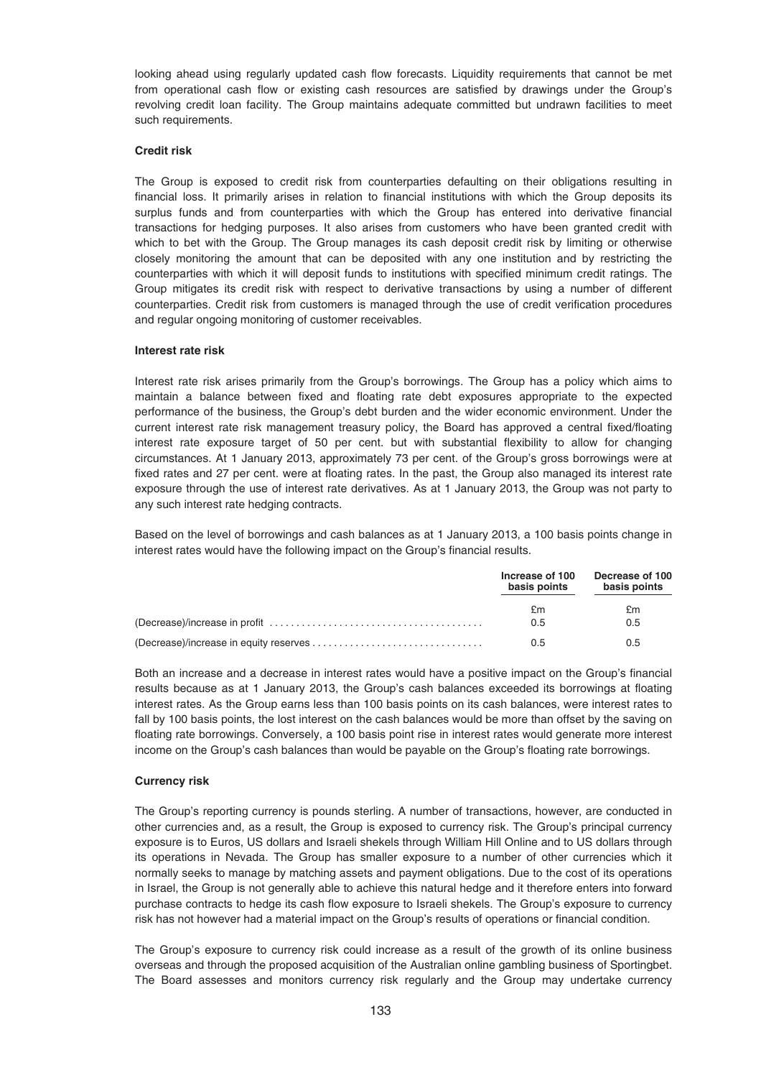looking ahead using regularly updated cash flow forecasts. Liquidity requirements that cannot be met from operational cash flow or existing cash resources are satisfied by drawings under the Group's revolving credit loan facility. The Group maintains adequate committed but undrawn facilities to meet such requirements.

## **Credit risk**

The Group is exposed to credit risk from counterparties defaulting on their obligations resulting in financial loss. It primarily arises in relation to financial institutions with which the Group deposits its surplus funds and from counterparties with which the Group has entered into derivative financial transactions for hedging purposes. It also arises from customers who have been granted credit with which to bet with the Group. The Group manages its cash deposit credit risk by limiting or otherwise closely monitoring the amount that can be deposited with any one institution and by restricting the counterparties with which it will deposit funds to institutions with specified minimum credit ratings. The Group mitigates its credit risk with respect to derivative transactions by using a number of different counterparties. Credit risk from customers is managed through the use of credit verification procedures and regular ongoing monitoring of customer receivables.

#### **Interest rate risk**

Interest rate risk arises primarily from the Group's borrowings. The Group has a policy which aims to maintain a balance between fixed and floating rate debt exposures appropriate to the expected performance of the business, the Group's debt burden and the wider economic environment. Under the current interest rate risk management treasury policy, the Board has approved a central fixed/floating interest rate exposure target of 50 per cent. but with substantial flexibility to allow for changing circumstances. At 1 January 2013, approximately 73 per cent. of the Group's gross borrowings were at fixed rates and 27 per cent. were at floating rates. In the past, the Group also managed its interest rate exposure through the use of interest rate derivatives. As at 1 January 2013, the Group was not party to any such interest rate hedging contracts.

Based on the level of borrowings and cash balances as at 1 January 2013, a 100 basis points change in interest rates would have the following impact on the Group's financial results.

| Increase of 100<br>basis points | Decrease of 100<br>basis points |
|---------------------------------|---------------------------------|
| £m                              | £m                              |
| 0.5                             | 0.5                             |
| 0.5                             | 0.5                             |

Both an increase and a decrease in interest rates would have a positive impact on the Group's financial results because as at 1 January 2013, the Group's cash balances exceeded its borrowings at floating interest rates. As the Group earns less than 100 basis points on its cash balances, were interest rates to fall by 100 basis points, the lost interest on the cash balances would be more than offset by the saving on floating rate borrowings. Conversely, a 100 basis point rise in interest rates would generate more interest income on the Group's cash balances than would be payable on the Group's floating rate borrowings.

## **Currency risk**

The Group's reporting currency is pounds sterling. A number of transactions, however, are conducted in other currencies and, as a result, the Group is exposed to currency risk. The Group's principal currency exposure is to Euros, US dollars and Israeli shekels through William Hill Online and to US dollars through its operations in Nevada. The Group has smaller exposure to a number of other currencies which it normally seeks to manage by matching assets and payment obligations. Due to the cost of its operations in Israel, the Group is not generally able to achieve this natural hedge and it therefore enters into forward purchase contracts to hedge its cash flow exposure to Israeli shekels. The Group's exposure to currency risk has not however had a material impact on the Group's results of operations or financial condition.

The Group's exposure to currency risk could increase as a result of the growth of its online business overseas and through the proposed acquisition of the Australian online gambling business of Sportingbet. The Board assesses and monitors currency risk regularly and the Group may undertake currency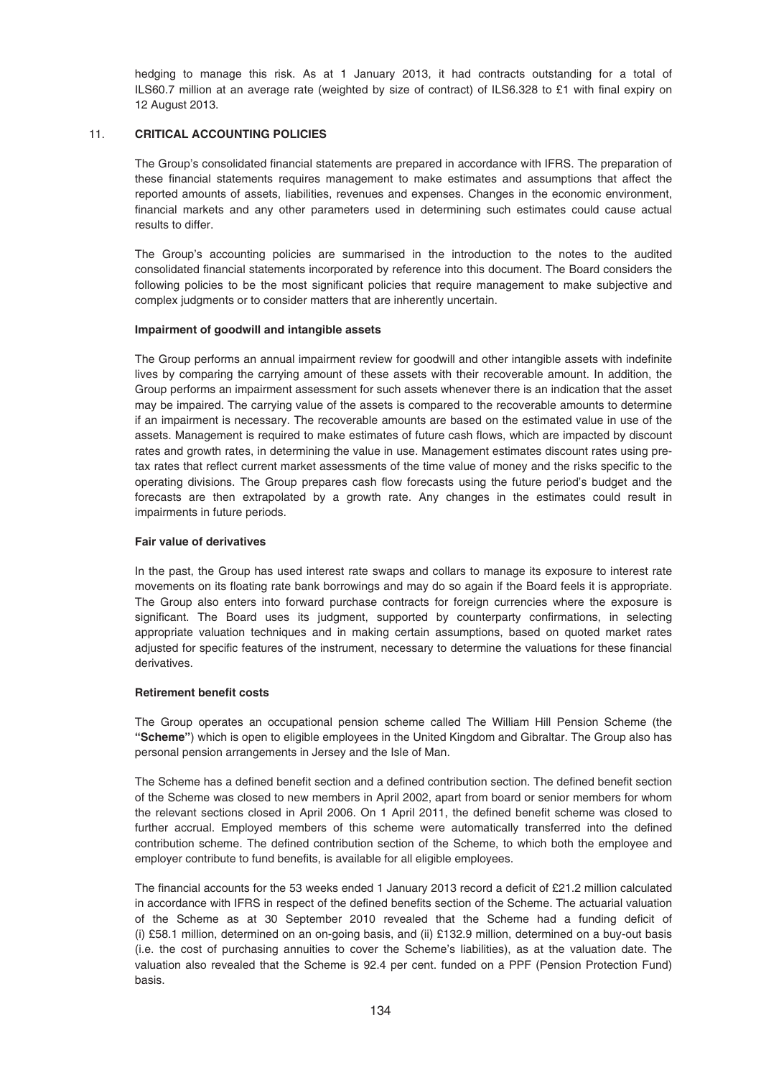hedging to manage this risk. As at 1 January 2013, it had contracts outstanding for a total of ILS60.7 million at an average rate (weighted by size of contract) of ILS6.328 to £1 with final expiry on 12 August 2013.

# 11. **CRITICAL ACCOUNTING POLICIES**

The Group's consolidated financial statements are prepared in accordance with IFRS. The preparation of these financial statements requires management to make estimates and assumptions that affect the reported amounts of assets, liabilities, revenues and expenses. Changes in the economic environment, financial markets and any other parameters used in determining such estimates could cause actual results to differ.

The Group's accounting policies are summarised in the introduction to the notes to the audited consolidated financial statements incorporated by reference into this document. The Board considers the following policies to be the most significant policies that require management to make subjective and complex judgments or to consider matters that are inherently uncertain.

## **Impairment of goodwill and intangible assets**

The Group performs an annual impairment review for goodwill and other intangible assets with indefinite lives by comparing the carrying amount of these assets with their recoverable amount. In addition, the Group performs an impairment assessment for such assets whenever there is an indication that the asset may be impaired. The carrying value of the assets is compared to the recoverable amounts to determine if an impairment is necessary. The recoverable amounts are based on the estimated value in use of the assets. Management is required to make estimates of future cash flows, which are impacted by discount rates and growth rates, in determining the value in use. Management estimates discount rates using pretax rates that reflect current market assessments of the time value of money and the risks specific to the operating divisions. The Group prepares cash flow forecasts using the future period's budget and the forecasts are then extrapolated by a growth rate. Any changes in the estimates could result in impairments in future periods.

## **Fair value of derivatives**

In the past, the Group has used interest rate swaps and collars to manage its exposure to interest rate movements on its floating rate bank borrowings and may do so again if the Board feels it is appropriate. The Group also enters into forward purchase contracts for foreign currencies where the exposure is significant. The Board uses its judgment, supported by counterparty confirmations, in selecting appropriate valuation techniques and in making certain assumptions, based on quoted market rates adjusted for specific features of the instrument, necessary to determine the valuations for these financial derivatives.

# **Retirement benefit costs**

The Group operates an occupational pension scheme called The William Hill Pension Scheme (the **"Scheme"**) which is open to eligible employees in the United Kingdom and Gibraltar. The Group also has personal pension arrangements in Jersey and the Isle of Man.

The Scheme has a defined benefit section and a defined contribution section. The defined benefit section of the Scheme was closed to new members in April 2002, apart from board or senior members for whom the relevant sections closed in April 2006. On 1 April 2011, the defined benefit scheme was closed to further accrual. Employed members of this scheme were automatically transferred into the defined contribution scheme. The defined contribution section of the Scheme, to which both the employee and employer contribute to fund benefits, is available for all eligible employees.

The financial accounts for the 53 weeks ended 1 January 2013 record a deficit of £21.2 million calculated in accordance with IFRS in respect of the defined benefits section of the Scheme. The actuarial valuation of the Scheme as at 30 September 2010 revealed that the Scheme had a funding deficit of (i) £58.1 million, determined on an on-going basis, and (ii) £132.9 million, determined on a buy-out basis (i.e. the cost of purchasing annuities to cover the Scheme's liabilities), as at the valuation date. The valuation also revealed that the Scheme is 92.4 per cent. funded on a PPF (Pension Protection Fund) basis.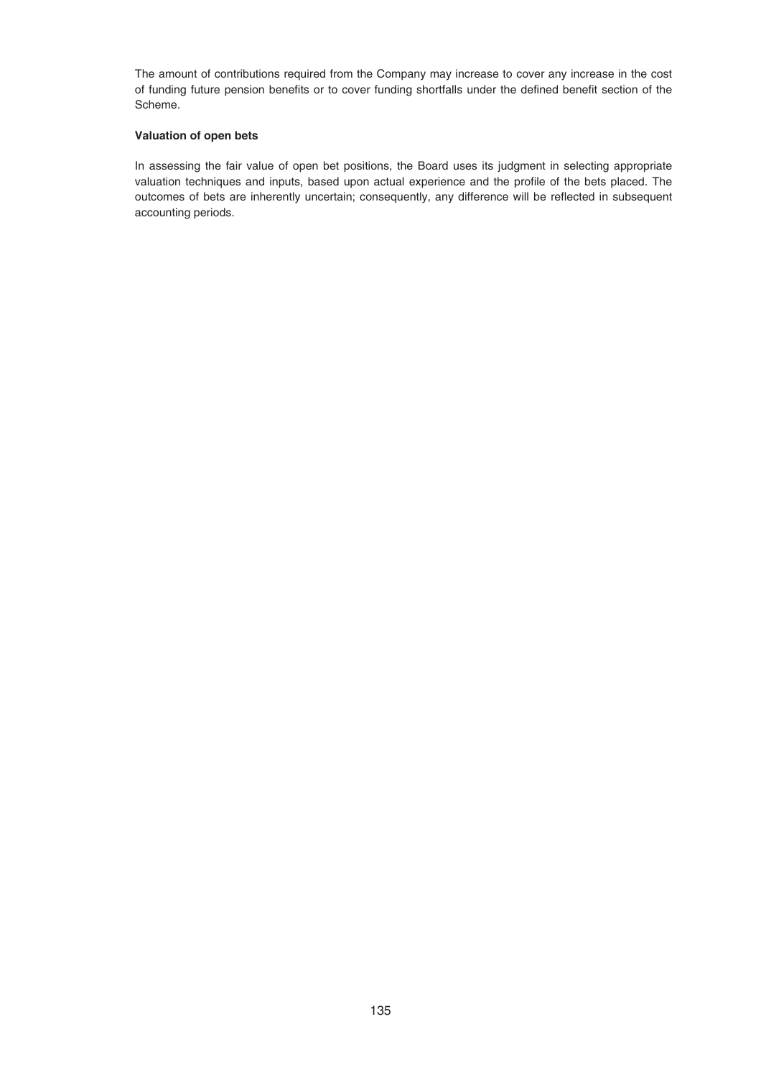The amount of contributions required from the Company may increase to cover any increase in the cost of funding future pension benefits or to cover funding shortfalls under the defined benefit section of the Scheme.

# **Valuation of open bets**

In assessing the fair value of open bet positions, the Board uses its judgment in selecting appropriate valuation techniques and inputs, based upon actual experience and the profile of the bets placed. The outcomes of bets are inherently uncertain; consequently, any difference will be reflected in subsequent accounting periods.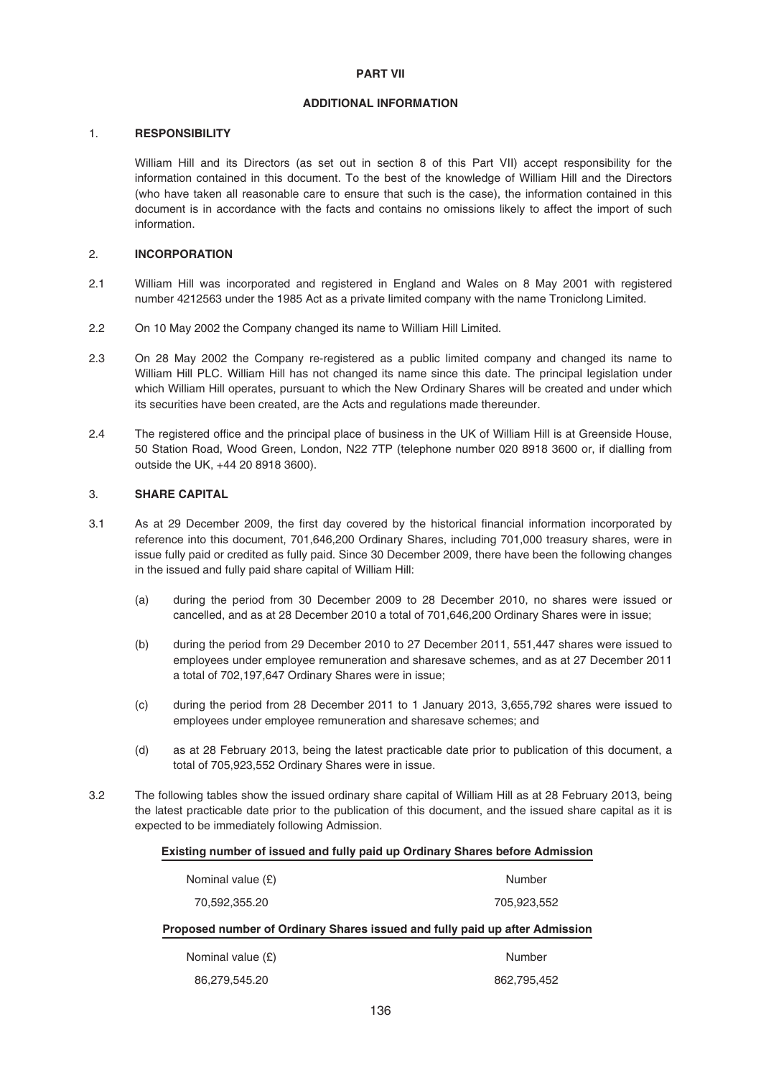## **ADDITIONAL INFORMATION**

## 1. **RESPONSIBILITY**

William Hill and its Directors (as set out in section 8 of this Part VII) accept responsibility for the information contained in this document. To the best of the knowledge of William Hill and the Directors (who have taken all reasonable care to ensure that such is the case), the information contained in this document is in accordance with the facts and contains no omissions likely to affect the import of such information.

## 2. **INCORPORATION**

- 2.1 William Hill was incorporated and registered in England and Wales on 8 May 2001 with registered number 4212563 under the 1985 Act as a private limited company with the name Troniclong Limited.
- 2.2 On 10 May 2002 the Company changed its name to William Hill Limited.
- 2.3 On 28 May 2002 the Company re-registered as a public limited company and changed its name to William Hill PLC. William Hill has not changed its name since this date. The principal legislation under which William Hill operates, pursuant to which the New Ordinary Shares will be created and under which its securities have been created, are the Acts and regulations made thereunder.
- 2.4 The registered office and the principal place of business in the UK of William Hill is at Greenside House, 50 Station Road, Wood Green, London, N22 7TP (telephone number 020 8918 3600 or, if dialling from outside the UK, +44 20 8918 3600).

## 3. **SHARE CAPITAL**

- 3.1 As at 29 December 2009, the first day covered by the historical financial information incorporated by reference into this document, 701,646,200 Ordinary Shares, including 701,000 treasury shares, were in issue fully paid or credited as fully paid. Since 30 December 2009, there have been the following changes in the issued and fully paid share capital of William Hill:
	- (a) during the period from 30 December 2009 to 28 December 2010, no shares were issued or cancelled, and as at 28 December 2010 a total of 701,646,200 Ordinary Shares were in issue;
	- (b) during the period from 29 December 2010 to 27 December 2011, 551,447 shares were issued to employees under employee remuneration and sharesave schemes, and as at 27 December 2011 a total of 702,197,647 Ordinary Shares were in issue;
	- (c) during the period from 28 December 2011 to 1 January 2013, 3,655,792 shares were issued to employees under employee remuneration and sharesave schemes; and
	- (d) as at 28 February 2013, being the latest practicable date prior to publication of this document, a total of 705,923,552 Ordinary Shares were in issue.
- 3.2 The following tables show the issued ordinary share capital of William Hill as at 28 February 2013, being the latest practicable date prior to the publication of this document, and the issued share capital as it is expected to be immediately following Admission.

#### **Existing number of issued and fully paid up Ordinary Shares before Admission**

| Nominal value $(E)$                                                         | Number      |  |
|-----------------------------------------------------------------------------|-------------|--|
|                                                                             |             |  |
| 70,592,355.20                                                               | 705.923.552 |  |
| Proposed number of Ordinary Shares issued and fully paid up after Admission |             |  |
| Nominal value $(E)$                                                         | Number      |  |
| 86,279,545.20                                                               | 862,795,452 |  |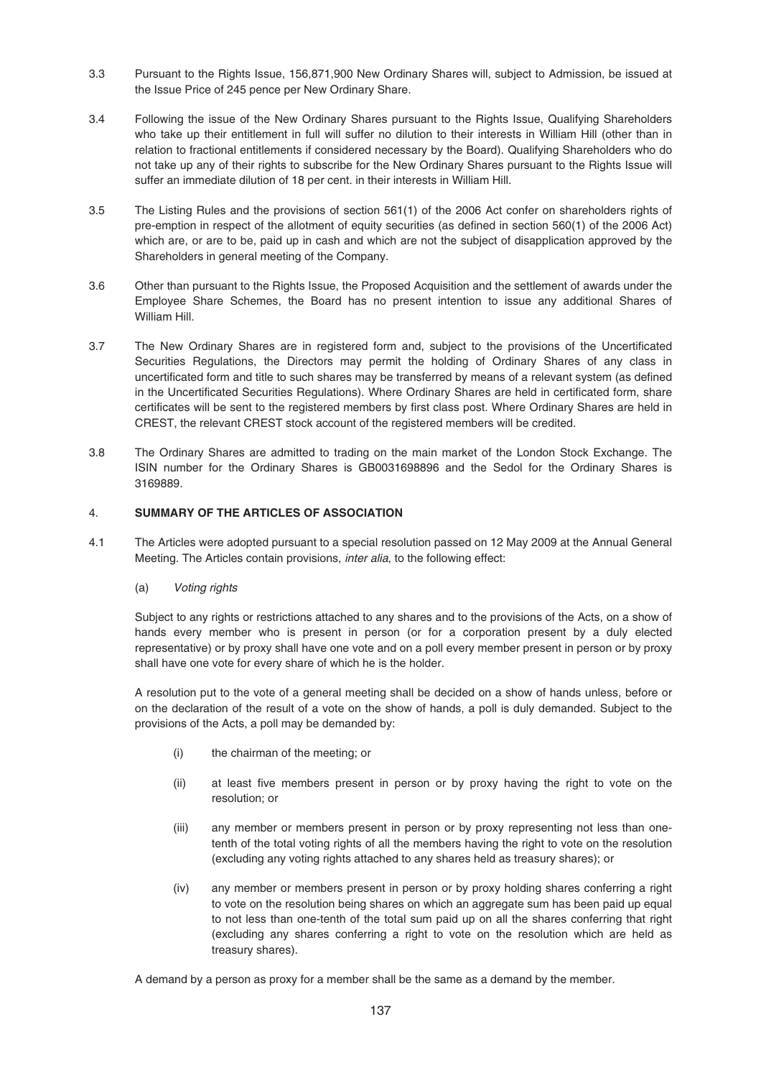- 3.3 Pursuant to the Rights Issue, 156,871,900 New Ordinary Shares will, subject to Admission, be issued at the Issue Price of 245 pence per New Ordinary Share.
- 3.4 Following the issue of the New Ordinary Shares pursuant to the Rights Issue, Qualifying Shareholders who take up their entitlement in full will suffer no dilution to their interests in William Hill (other than in relation to fractional entitlements if considered necessary by the Board). Qualifying Shareholders who do not take up any of their rights to subscribe for the New Ordinary Shares pursuant to the Rights Issue will suffer an immediate dilution of 18 per cent. in their interests in William Hill.
- 3.5 The Listing Rules and the provisions of section 561(1) of the 2006 Act confer on shareholders rights of pre-emption in respect of the allotment of equity securities (as defined in section 560(1) of the 2006 Act) which are, or are to be, paid up in cash and which are not the subject of disapplication approved by the Shareholders in general meeting of the Company.
- 3.6 Other than pursuant to the Rights Issue, the Proposed Acquisition and the settlement of awards under the Employee Share Schemes, the Board has no present intention to issue any additional Shares of William Hill.
- 3.7 The New Ordinary Shares are in registered form and, subject to the provisions of the Uncertificated Securities Regulations, the Directors may permit the holding of Ordinary Shares of any class in uncertificated form and title to such shares may be transferred by means of a relevant system (as defined in the Uncertificated Securities Regulations). Where Ordinary Shares are held in certificated form, share certificates will be sent to the registered members by first class post. Where Ordinary Shares are held in CREST, the relevant CREST stock account of the registered members will be credited.
- 3.8 The Ordinary Shares are admitted to trading on the main market of the London Stock Exchange. The ISIN number for the Ordinary Shares is GB0031698896 and the Sedol for the Ordinary Shares is 3169889.

# 4. **SUMMARY OF THE ARTICLES OF ASSOCIATION**

- 4.1 The Articles were adopted pursuant to a special resolution passed on 12 May 2009 at the Annual General Meeting. The Articles contain provisions, inter alia, to the following effect:
	- (a) Voting rights

Subject to any rights or restrictions attached to any shares and to the provisions of the Acts, on a show of hands every member who is present in person (or for a corporation present by a duly elected representative) or by proxy shall have one vote and on a poll every member present in person or by proxy shall have one vote for every share of which he is the holder.

A resolution put to the vote of a general meeting shall be decided on a show of hands unless, before or on the declaration of the result of a vote on the show of hands, a poll is duly demanded. Subject to the provisions of the Acts, a poll may be demanded by:

- (i) the chairman of the meeting; or
- (ii) at least five members present in person or by proxy having the right to vote on the resolution; or
- (iii) any member or members present in person or by proxy representing not less than onetenth of the total voting rights of all the members having the right to vote on the resolution (excluding any voting rights attached to any shares held as treasury shares); or
- (iv) any member or members present in person or by proxy holding shares conferring a right to vote on the resolution being shares on which an aggregate sum has been paid up equal to not less than one-tenth of the total sum paid up on all the shares conferring that right (excluding any shares conferring a right to vote on the resolution which are held as treasury shares).

A demand by a person as proxy for a member shall be the same as a demand by the member.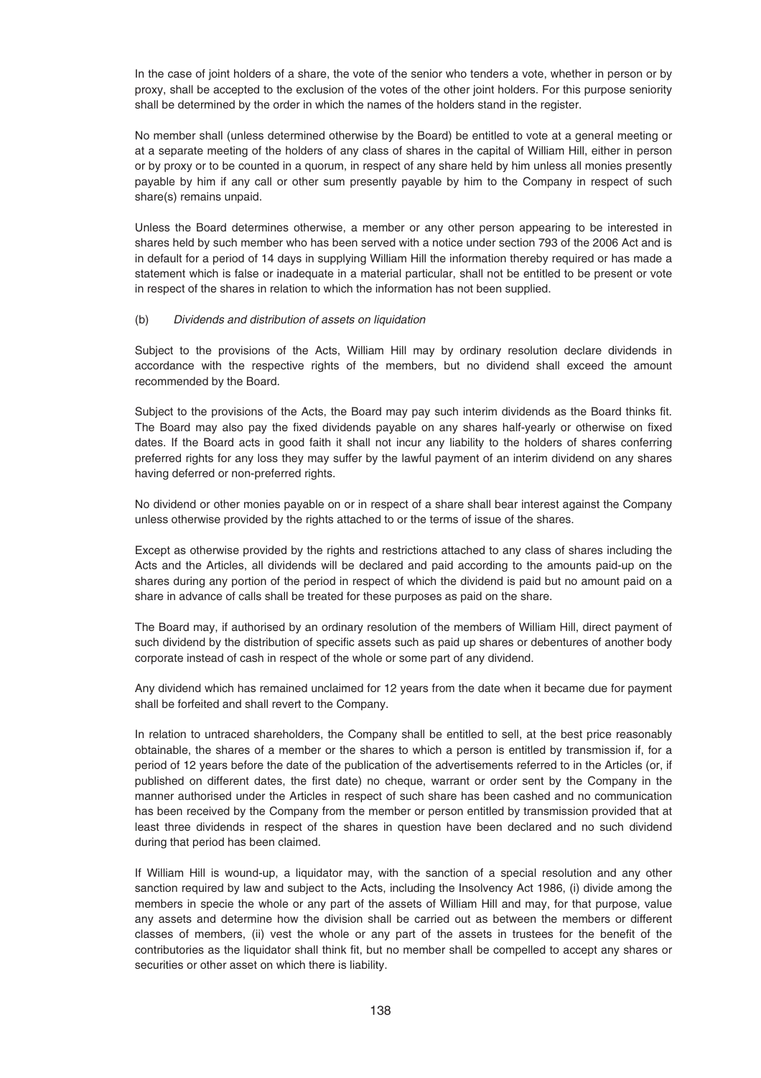In the case of joint holders of a share, the vote of the senior who tenders a vote, whether in person or by proxy, shall be accepted to the exclusion of the votes of the other joint holders. For this purpose seniority shall be determined by the order in which the names of the holders stand in the register.

No member shall (unless determined otherwise by the Board) be entitled to vote at a general meeting or at a separate meeting of the holders of any class of shares in the capital of William Hill, either in person or by proxy or to be counted in a quorum, in respect of any share held by him unless all monies presently payable by him if any call or other sum presently payable by him to the Company in respect of such share(s) remains unpaid.

Unless the Board determines otherwise, a member or any other person appearing to be interested in shares held by such member who has been served with a notice under section 793 of the 2006 Act and is in default for a period of 14 days in supplying William Hill the information thereby required or has made a statement which is false or inadequate in a material particular, shall not be entitled to be present or vote in respect of the shares in relation to which the information has not been supplied.

## (b) Dividends and distribution of assets on liquidation

Subject to the provisions of the Acts, William Hill may by ordinary resolution declare dividends in accordance with the respective rights of the members, but no dividend shall exceed the amount recommended by the Board.

Subject to the provisions of the Acts, the Board may pay such interim dividends as the Board thinks fit. The Board may also pay the fixed dividends payable on any shares half-yearly or otherwise on fixed dates. If the Board acts in good faith it shall not incur any liability to the holders of shares conferring preferred rights for any loss they may suffer by the lawful payment of an interim dividend on any shares having deferred or non-preferred rights.

No dividend or other monies payable on or in respect of a share shall bear interest against the Company unless otherwise provided by the rights attached to or the terms of issue of the shares.

Except as otherwise provided by the rights and restrictions attached to any class of shares including the Acts and the Articles, all dividends will be declared and paid according to the amounts paid-up on the shares during any portion of the period in respect of which the dividend is paid but no amount paid on a share in advance of calls shall be treated for these purposes as paid on the share.

The Board may, if authorised by an ordinary resolution of the members of William Hill, direct payment of such dividend by the distribution of specific assets such as paid up shares or debentures of another body corporate instead of cash in respect of the whole or some part of any dividend.

Any dividend which has remained unclaimed for 12 years from the date when it became due for payment shall be forfeited and shall revert to the Company.

In relation to untraced shareholders, the Company shall be entitled to sell, at the best price reasonably obtainable, the shares of a member or the shares to which a person is entitled by transmission if, for a period of 12 years before the date of the publication of the advertisements referred to in the Articles (or, if published on different dates, the first date) no cheque, warrant or order sent by the Company in the manner authorised under the Articles in respect of such share has been cashed and no communication has been received by the Company from the member or person entitled by transmission provided that at least three dividends in respect of the shares in question have been declared and no such dividend during that period has been claimed.

If William Hill is wound-up, a liquidator may, with the sanction of a special resolution and any other sanction required by law and subject to the Acts, including the Insolvency Act 1986, (i) divide among the members in specie the whole or any part of the assets of William Hill and may, for that purpose, value any assets and determine how the division shall be carried out as between the members or different classes of members, (ii) vest the whole or any part of the assets in trustees for the benefit of the contributories as the liquidator shall think fit, but no member shall be compelled to accept any shares or securities or other asset on which there is liability.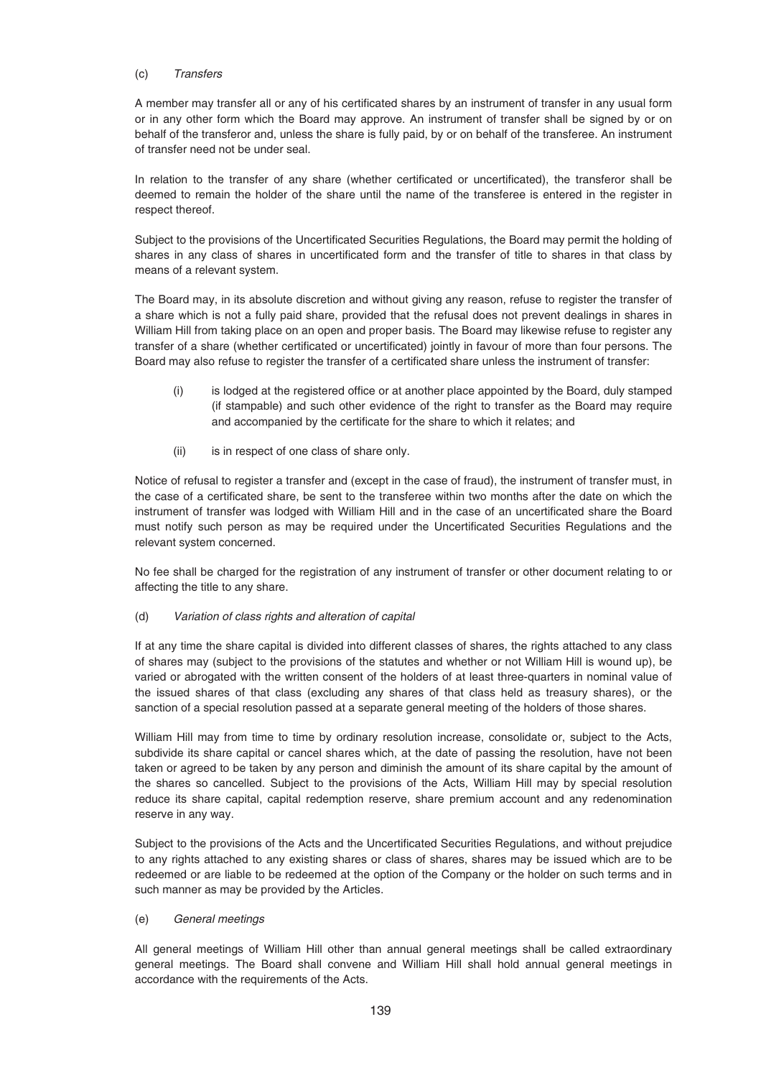# (c) Transfers

A member may transfer all or any of his certificated shares by an instrument of transfer in any usual form or in any other form which the Board may approve. An instrument of transfer shall be signed by or on behalf of the transferor and, unless the share is fully paid, by or on behalf of the transferee. An instrument of transfer need not be under seal.

In relation to the transfer of any share (whether certificated or uncertificated), the transferor shall be deemed to remain the holder of the share until the name of the transferee is entered in the register in respect thereof.

Subject to the provisions of the Uncertificated Securities Regulations, the Board may permit the holding of shares in any class of shares in uncertificated form and the transfer of title to shares in that class by means of a relevant system.

The Board may, in its absolute discretion and without giving any reason, refuse to register the transfer of a share which is not a fully paid share, provided that the refusal does not prevent dealings in shares in William Hill from taking place on an open and proper basis. The Board may likewise refuse to register any transfer of a share (whether certificated or uncertificated) jointly in favour of more than four persons. The Board may also refuse to register the transfer of a certificated share unless the instrument of transfer:

- (i) is lodged at the registered office or at another place appointed by the Board, duly stamped (if stampable) and such other evidence of the right to transfer as the Board may require and accompanied by the certificate for the share to which it relates; and
- (ii) is in respect of one class of share only.

Notice of refusal to register a transfer and (except in the case of fraud), the instrument of transfer must, in the case of a certificated share, be sent to the transferee within two months after the date on which the instrument of transfer was lodged with William Hill and in the case of an uncertificated share the Board must notify such person as may be required under the Uncertificated Securities Regulations and the relevant system concerned.

No fee shall be charged for the registration of any instrument of transfer or other document relating to or affecting the title to any share.

# (d) Variation of class rights and alteration of capital

If at any time the share capital is divided into different classes of shares, the rights attached to any class of shares may (subject to the provisions of the statutes and whether or not William Hill is wound up), be varied or abrogated with the written consent of the holders of at least three-quarters in nominal value of the issued shares of that class (excluding any shares of that class held as treasury shares), or the sanction of a special resolution passed at a separate general meeting of the holders of those shares.

William Hill may from time to time by ordinary resolution increase, consolidate or, subject to the Acts, subdivide its share capital or cancel shares which, at the date of passing the resolution, have not been taken or agreed to be taken by any person and diminish the amount of its share capital by the amount of the shares so cancelled. Subject to the provisions of the Acts, William Hill may by special resolution reduce its share capital, capital redemption reserve, share premium account and any redenomination reserve in any way.

Subject to the provisions of the Acts and the Uncertificated Securities Regulations, and without prejudice to any rights attached to any existing shares or class of shares, shares may be issued which are to be redeemed or are liable to be redeemed at the option of the Company or the holder on such terms and in such manner as may be provided by the Articles.

# (e) General meetings

All general meetings of William Hill other than annual general meetings shall be called extraordinary general meetings. The Board shall convene and William Hill shall hold annual general meetings in accordance with the requirements of the Acts.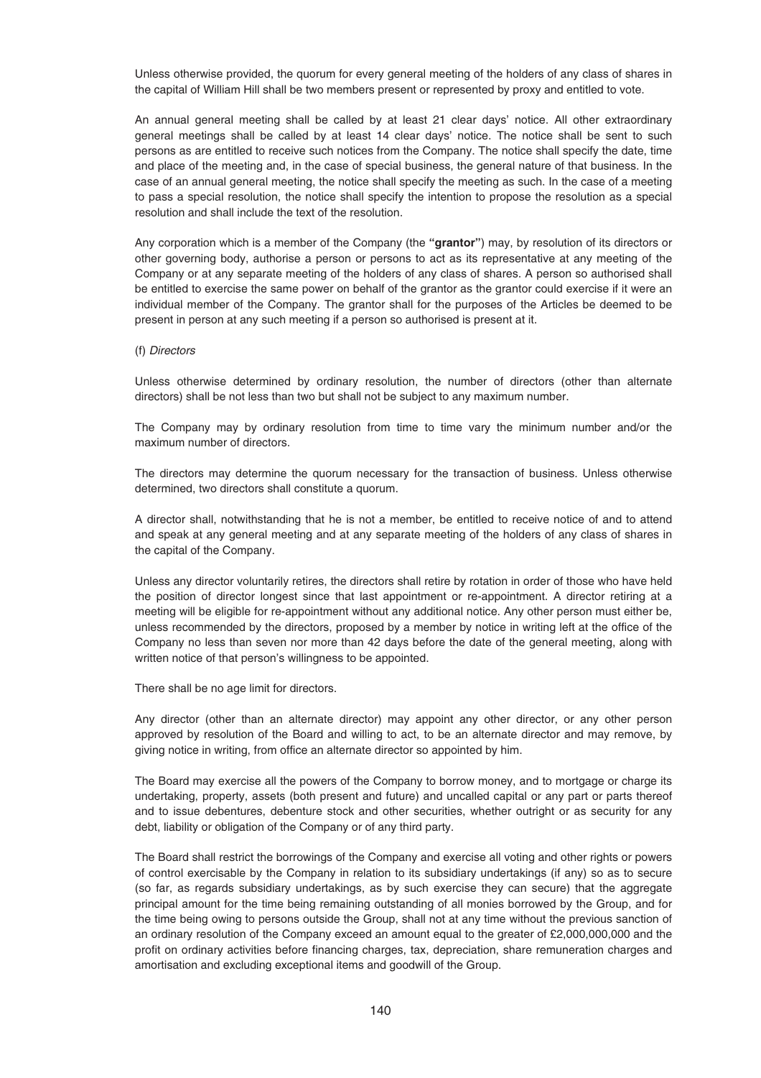Unless otherwise provided, the quorum for every general meeting of the holders of any class of shares in the capital of William Hill shall be two members present or represented by proxy and entitled to vote.

An annual general meeting shall be called by at least 21 clear days' notice. All other extraordinary general meetings shall be called by at least 14 clear days' notice. The notice shall be sent to such persons as are entitled to receive such notices from the Company. The notice shall specify the date, time and place of the meeting and, in the case of special business, the general nature of that business. In the case of an annual general meeting, the notice shall specify the meeting as such. In the case of a meeting to pass a special resolution, the notice shall specify the intention to propose the resolution as a special resolution and shall include the text of the resolution.

Any corporation which is a member of the Company (the **"grantor"**) may, by resolution of its directors or other governing body, authorise a person or persons to act as its representative at any meeting of the Company or at any separate meeting of the holders of any class of shares. A person so authorised shall be entitled to exercise the same power on behalf of the grantor as the grantor could exercise if it were an individual member of the Company. The grantor shall for the purposes of the Articles be deemed to be present in person at any such meeting if a person so authorised is present at it.

#### (f) Directors

Unless otherwise determined by ordinary resolution, the number of directors (other than alternate directors) shall be not less than two but shall not be subject to any maximum number.

The Company may by ordinary resolution from time to time vary the minimum number and/or the maximum number of directors.

The directors may determine the quorum necessary for the transaction of business. Unless otherwise determined, two directors shall constitute a quorum.

A director shall, notwithstanding that he is not a member, be entitled to receive notice of and to attend and speak at any general meeting and at any separate meeting of the holders of any class of shares in the capital of the Company.

Unless any director voluntarily retires, the directors shall retire by rotation in order of those who have held the position of director longest since that last appointment or re-appointment. A director retiring at a meeting will be eligible for re-appointment without any additional notice. Any other person must either be, unless recommended by the directors, proposed by a member by notice in writing left at the office of the Company no less than seven nor more than 42 days before the date of the general meeting, along with written notice of that person's willingness to be appointed.

There shall be no age limit for directors.

Any director (other than an alternate director) may appoint any other director, or any other person approved by resolution of the Board and willing to act, to be an alternate director and may remove, by giving notice in writing, from office an alternate director so appointed by him.

The Board may exercise all the powers of the Company to borrow money, and to mortgage or charge its undertaking, property, assets (both present and future) and uncalled capital or any part or parts thereof and to issue debentures, debenture stock and other securities, whether outright or as security for any debt, liability or obligation of the Company or of any third party.

The Board shall restrict the borrowings of the Company and exercise all voting and other rights or powers of control exercisable by the Company in relation to its subsidiary undertakings (if any) so as to secure (so far, as regards subsidiary undertakings, as by such exercise they can secure) that the aggregate principal amount for the time being remaining outstanding of all monies borrowed by the Group, and for the time being owing to persons outside the Group, shall not at any time without the previous sanction of an ordinary resolution of the Company exceed an amount equal to the greater of £2,000,000,000 and the profit on ordinary activities before financing charges, tax, depreciation, share remuneration charges and amortisation and excluding exceptional items and goodwill of the Group.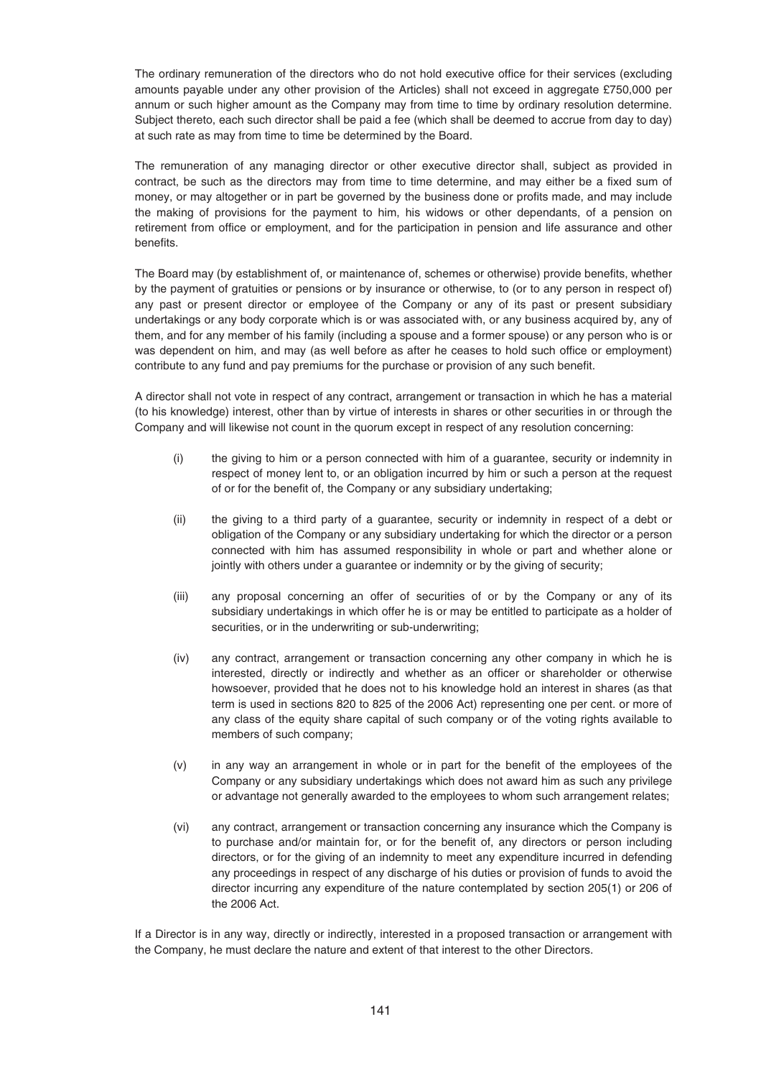The ordinary remuneration of the directors who do not hold executive office for their services (excluding amounts payable under any other provision of the Articles) shall not exceed in aggregate £750,000 per annum or such higher amount as the Company may from time to time by ordinary resolution determine. Subject thereto, each such director shall be paid a fee (which shall be deemed to accrue from day to day) at such rate as may from time to time be determined by the Board.

The remuneration of any managing director or other executive director shall, subject as provided in contract, be such as the directors may from time to time determine, and may either be a fixed sum of money, or may altogether or in part be governed by the business done or profits made, and may include the making of provisions for the payment to him, his widows or other dependants, of a pension on retirement from office or employment, and for the participation in pension and life assurance and other benefits.

The Board may (by establishment of, or maintenance of, schemes or otherwise) provide benefits, whether by the payment of gratuities or pensions or by insurance or otherwise, to (or to any person in respect of) any past or present director or employee of the Company or any of its past or present subsidiary undertakings or any body corporate which is or was associated with, or any business acquired by, any of them, and for any member of his family (including a spouse and a former spouse) or any person who is or was dependent on him, and may (as well before as after he ceases to hold such office or employment) contribute to any fund and pay premiums for the purchase or provision of any such benefit.

A director shall not vote in respect of any contract, arrangement or transaction in which he has a material (to his knowledge) interest, other than by virtue of interests in shares or other securities in or through the Company and will likewise not count in the quorum except in respect of any resolution concerning:

- (i) the giving to him or a person connected with him of a guarantee, security or indemnity in respect of money lent to, or an obligation incurred by him or such a person at the request of or for the benefit of, the Company or any subsidiary undertaking;
- (ii) the giving to a third party of a guarantee, security or indemnity in respect of a debt or obligation of the Company or any subsidiary undertaking for which the director or a person connected with him has assumed responsibility in whole or part and whether alone or jointly with others under a guarantee or indemnity or by the giving of security;
- (iii) any proposal concerning an offer of securities of or by the Company or any of its subsidiary undertakings in which offer he is or may be entitled to participate as a holder of securities, or in the underwriting or sub-underwriting;
- (iv) any contract, arrangement or transaction concerning any other company in which he is interested, directly or indirectly and whether as an officer or shareholder or otherwise howsoever, provided that he does not to his knowledge hold an interest in shares (as that term is used in sections 820 to 825 of the 2006 Act) representing one per cent. or more of any class of the equity share capital of such company or of the voting rights available to members of such company;
- (v) in any way an arrangement in whole or in part for the benefit of the employees of the Company or any subsidiary undertakings which does not award him as such any privilege or advantage not generally awarded to the employees to whom such arrangement relates;
- (vi) any contract, arrangement or transaction concerning any insurance which the Company is to purchase and/or maintain for, or for the benefit of, any directors or person including directors, or for the giving of an indemnity to meet any expenditure incurred in defending any proceedings in respect of any discharge of his duties or provision of funds to avoid the director incurring any expenditure of the nature contemplated by section 205(1) or 206 of the 2006 Act.

If a Director is in any way, directly or indirectly, interested in a proposed transaction or arrangement with the Company, he must declare the nature and extent of that interest to the other Directors.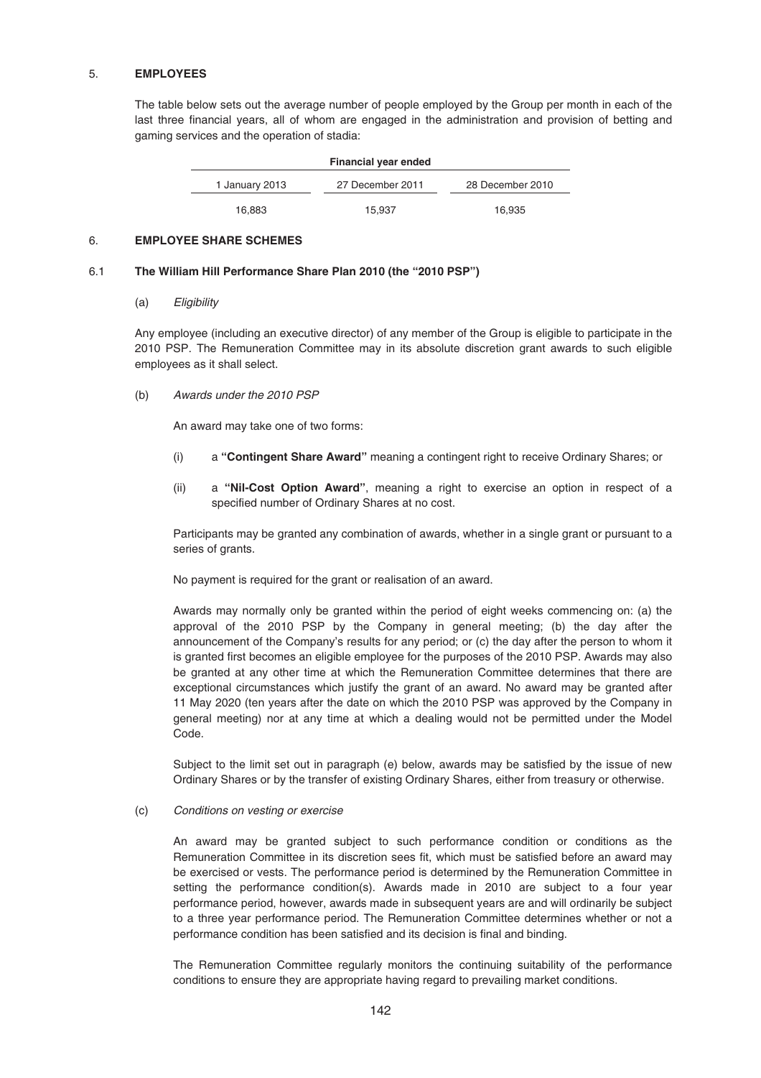### 5. **EMPLOYEES**

The table below sets out the average number of people employed by the Group per month in each of the last three financial years, all of whom are engaged in the administration and provision of betting and gaming services and the operation of stadia:

| Financial year ended |                  |                  |  |  |
|----------------------|------------------|------------------|--|--|
| 1 January 2013       | 27 December 2011 | 28 December 2010 |  |  |
| 16,883               | 15.937           | 16.935           |  |  |

### 6. **EMPLOYEE SHARE SCHEMES**

### 6.1 **The William Hill Performance Share Plan 2010 (the "2010 PSP")**

## (a) Eligibility

Any employee (including an executive director) of any member of the Group is eligible to participate in the 2010 PSP. The Remuneration Committee may in its absolute discretion grant awards to such eligible employees as it shall select.

(b) Awards under the 2010 PSP

An award may take one of two forms:

- (i) a **"Contingent Share Award"** meaning a contingent right to receive Ordinary Shares; or
- (ii) a **"Nil-Cost Option Award"**, meaning a right to exercise an option in respect of a specified number of Ordinary Shares at no cost.

Participants may be granted any combination of awards, whether in a single grant or pursuant to a series of grants.

No payment is required for the grant or realisation of an award.

Awards may normally only be granted within the period of eight weeks commencing on: (a) the approval of the 2010 PSP by the Company in general meeting; (b) the day after the announcement of the Company's results for any period; or (c) the day after the person to whom it is granted first becomes an eligible employee for the purposes of the 2010 PSP. Awards may also be granted at any other time at which the Remuneration Committee determines that there are exceptional circumstances which justify the grant of an award. No award may be granted after 11 May 2020 (ten years after the date on which the 2010 PSP was approved by the Company in general meeting) nor at any time at which a dealing would not be permitted under the Model Code.

Subject to the limit set out in paragraph (e) below, awards may be satisfied by the issue of new Ordinary Shares or by the transfer of existing Ordinary Shares, either from treasury or otherwise.

### (c) Conditions on vesting or exercise

An award may be granted subject to such performance condition or conditions as the Remuneration Committee in its discretion sees fit, which must be satisfied before an award may be exercised or vests. The performance period is determined by the Remuneration Committee in setting the performance condition(s). Awards made in 2010 are subject to a four year performance period, however, awards made in subsequent years are and will ordinarily be subject to a three year performance period. The Remuneration Committee determines whether or not a performance condition has been satisfied and its decision is final and binding.

The Remuneration Committee regularly monitors the continuing suitability of the performance conditions to ensure they are appropriate having regard to prevailing market conditions.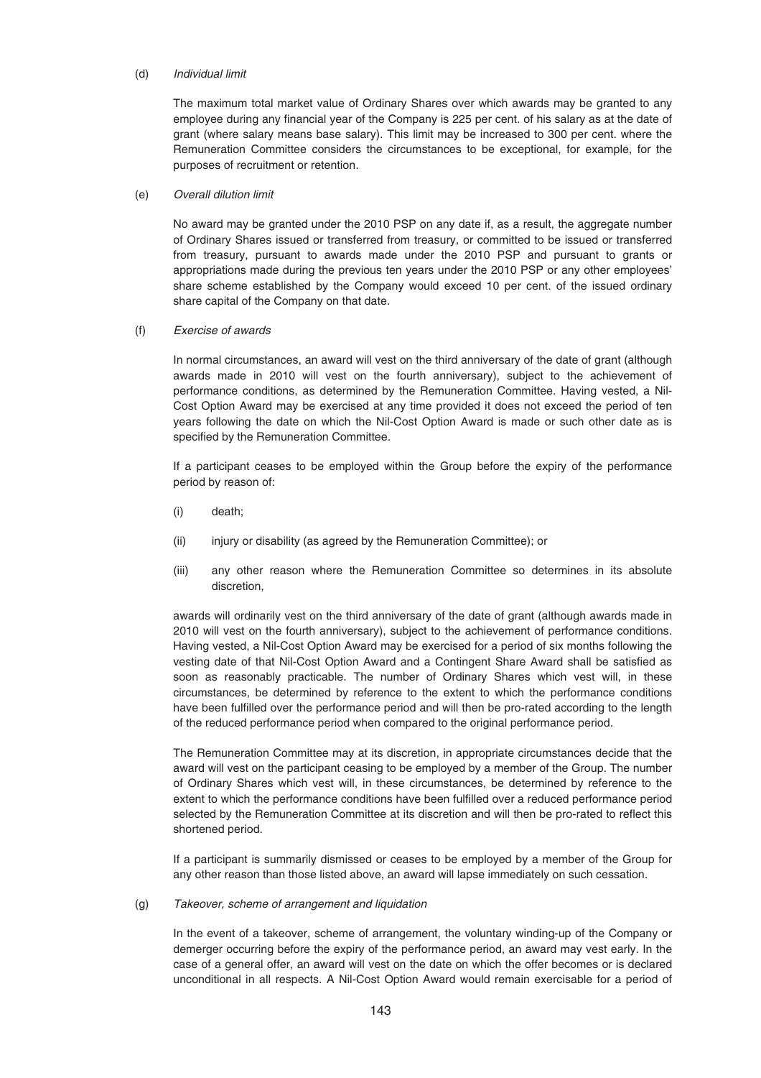### (d) Individual limit

The maximum total market value of Ordinary Shares over which awards may be granted to any employee during any financial year of the Company is 225 per cent. of his salary as at the date of grant (where salary means base salary). This limit may be increased to 300 per cent. where the Remuneration Committee considers the circumstances to be exceptional, for example, for the purposes of recruitment or retention.

## (e) Overall dilution limit

No award may be granted under the 2010 PSP on any date if, as a result, the aggregate number of Ordinary Shares issued or transferred from treasury, or committed to be issued or transferred from treasury, pursuant to awards made under the 2010 PSP and pursuant to grants or appropriations made during the previous ten years under the 2010 PSP or any other employees' share scheme established by the Company would exceed 10 per cent. of the issued ordinary share capital of the Company on that date.

## (f) Exercise of awards

In normal circumstances, an award will vest on the third anniversary of the date of grant (although awards made in 2010 will vest on the fourth anniversary), subject to the achievement of performance conditions, as determined by the Remuneration Committee. Having vested, a Nil-Cost Option Award may be exercised at any time provided it does not exceed the period of ten years following the date on which the Nil-Cost Option Award is made or such other date as is specified by the Remuneration Committee.

If a participant ceases to be employed within the Group before the expiry of the performance period by reason of:

- (i) death;
- (ii) injury or disability (as agreed by the Remuneration Committee); or
- (iii) any other reason where the Remuneration Committee so determines in its absolute discretion,

awards will ordinarily vest on the third anniversary of the date of grant (although awards made in 2010 will vest on the fourth anniversary), subject to the achievement of performance conditions. Having vested, a Nil-Cost Option Award may be exercised for a period of six months following the vesting date of that Nil-Cost Option Award and a Contingent Share Award shall be satisfied as soon as reasonably practicable. The number of Ordinary Shares which vest will, in these circumstances, be determined by reference to the extent to which the performance conditions have been fulfilled over the performance period and will then be pro-rated according to the length of the reduced performance period when compared to the original performance period.

The Remuneration Committee may at its discretion, in appropriate circumstances decide that the award will vest on the participant ceasing to be employed by a member of the Group. The number of Ordinary Shares which vest will, in these circumstances, be determined by reference to the extent to which the performance conditions have been fulfilled over a reduced performance period selected by the Remuneration Committee at its discretion and will then be pro-rated to reflect this shortened period.

If a participant is summarily dismissed or ceases to be employed by a member of the Group for any other reason than those listed above, an award will lapse immediately on such cessation.

### (g) Takeover, scheme of arrangement and liquidation

In the event of a takeover, scheme of arrangement, the voluntary winding-up of the Company or demerger occurring before the expiry of the performance period, an award may vest early. In the case of a general offer, an award will vest on the date on which the offer becomes or is declared unconditional in all respects. A Nil-Cost Option Award would remain exercisable for a period of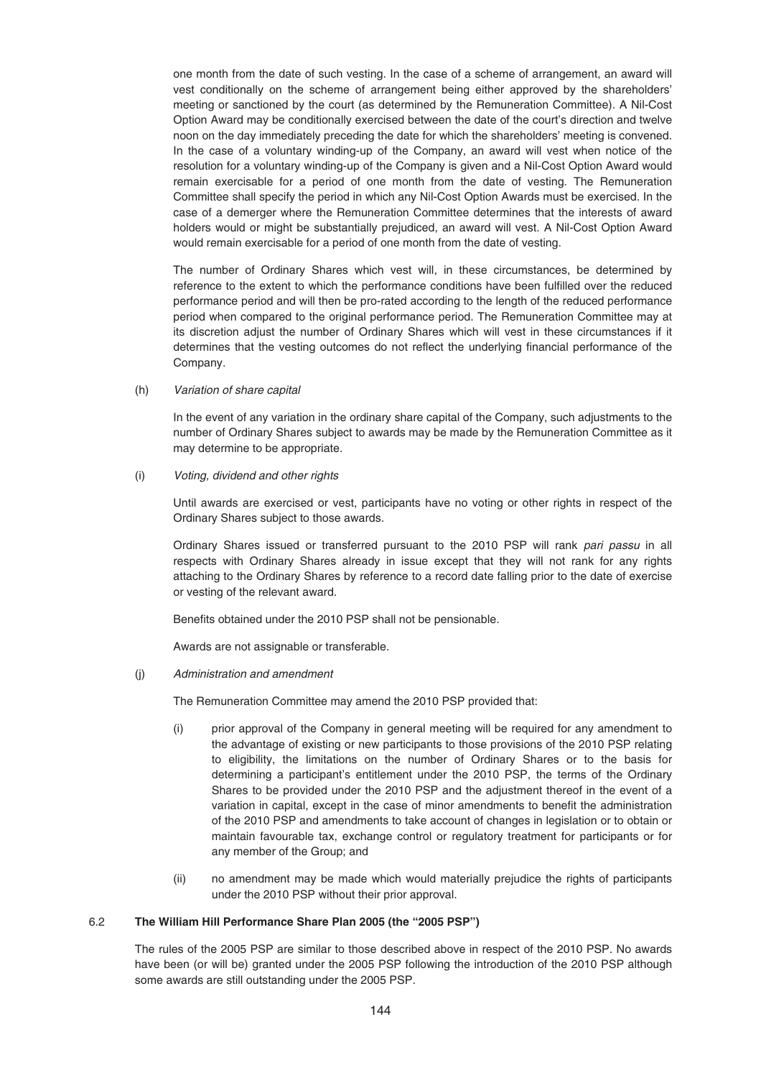one month from the date of such vesting. In the case of a scheme of arrangement, an award will vest conditionally on the scheme of arrangement being either approved by the shareholders' meeting or sanctioned by the court (as determined by the Remuneration Committee). A Nil-Cost Option Award may be conditionally exercised between the date of the court's direction and twelve noon on the day immediately preceding the date for which the shareholders' meeting is convened. In the case of a voluntary winding-up of the Company, an award will vest when notice of the resolution for a voluntary winding-up of the Company is given and a Nil-Cost Option Award would remain exercisable for a period of one month from the date of vesting. The Remuneration Committee shall specify the period in which any Nil-Cost Option Awards must be exercised. In the case of a demerger where the Remuneration Committee determines that the interests of award holders would or might be substantially prejudiced, an award will vest. A Nil-Cost Option Award would remain exercisable for a period of one month from the date of vesting.

The number of Ordinary Shares which vest will, in these circumstances, be determined by reference to the extent to which the performance conditions have been fulfilled over the reduced performance period and will then be pro-rated according to the length of the reduced performance period when compared to the original performance period. The Remuneration Committee may at its discretion adjust the number of Ordinary Shares which will vest in these circumstances if it determines that the vesting outcomes do not reflect the underlying financial performance of the Company.

### (h) Variation of share capital

In the event of any variation in the ordinary share capital of the Company, such adjustments to the number of Ordinary Shares subject to awards may be made by the Remuneration Committee as it may determine to be appropriate.

## (i) Voting, dividend and other rights

Until awards are exercised or vest, participants have no voting or other rights in respect of the Ordinary Shares subject to those awards.

Ordinary Shares issued or transferred pursuant to the 2010 PSP will rank pari passu in all respects with Ordinary Shares already in issue except that they will not rank for any rights attaching to the Ordinary Shares by reference to a record date falling prior to the date of exercise or vesting of the relevant award.

Benefits obtained under the 2010 PSP shall not be pensionable.

Awards are not assignable or transferable.

### (j) Administration and amendment

The Remuneration Committee may amend the 2010 PSP provided that:

- (i) prior approval of the Company in general meeting will be required for any amendment to the advantage of existing or new participants to those provisions of the 2010 PSP relating to eligibility, the limitations on the number of Ordinary Shares or to the basis for determining a participant's entitlement under the 2010 PSP, the terms of the Ordinary Shares to be provided under the 2010 PSP and the adjustment thereof in the event of a variation in capital, except in the case of minor amendments to benefit the administration of the 2010 PSP and amendments to take account of changes in legislation or to obtain or maintain favourable tax, exchange control or regulatory treatment for participants or for any member of the Group; and
- (ii) no amendment may be made which would materially prejudice the rights of participants under the 2010 PSP without their prior approval.

## 6.2 **The William Hill Performance Share Plan 2005 (the "2005 PSP")**

The rules of the 2005 PSP are similar to those described above in respect of the 2010 PSP. No awards have been (or will be) granted under the 2005 PSP following the introduction of the 2010 PSP although some awards are still outstanding under the 2005 PSP.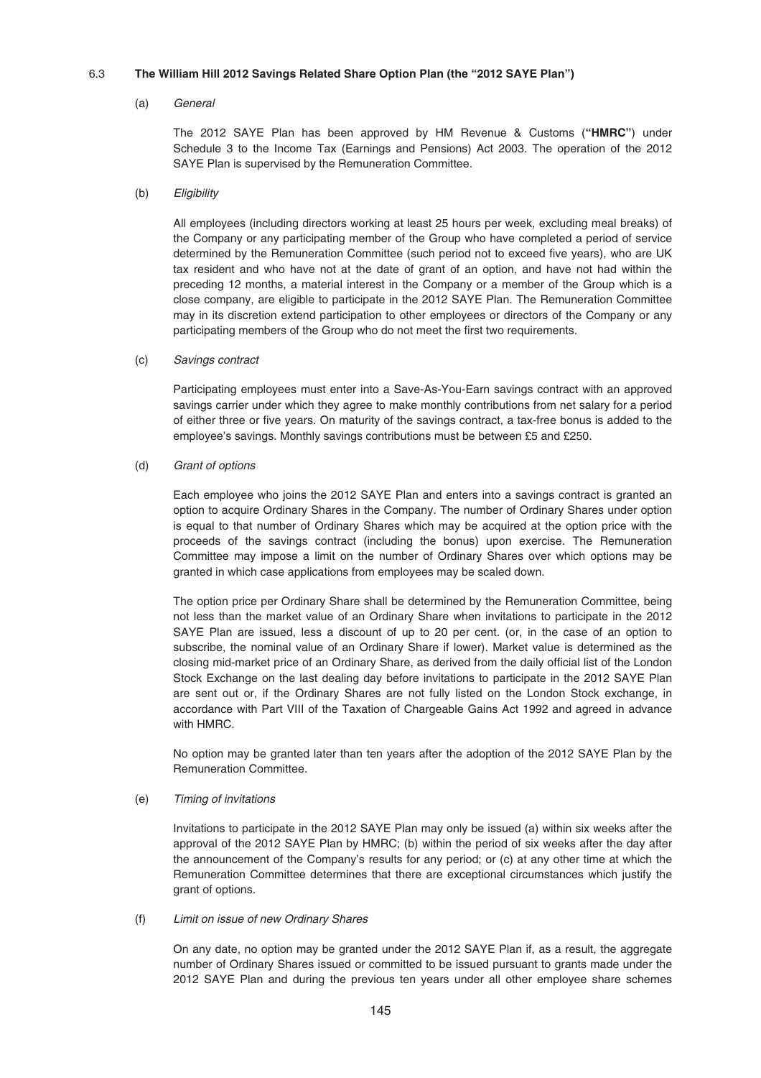## 6.3 **The William Hill 2012 Savings Related Share Option Plan (the "2012 SAYE Plan")**

### (a) General

The 2012 SAYE Plan has been approved by HM Revenue & Customs (**"HMRC"**) under Schedule 3 to the Income Tax (Earnings and Pensions) Act 2003. The operation of the 2012 SAYE Plan is supervised by the Remuneration Committee.

### (b) Eligibility

All employees (including directors working at least 25 hours per week, excluding meal breaks) of the Company or any participating member of the Group who have completed a period of service determined by the Remuneration Committee (such period not to exceed five years), who are UK tax resident and who have not at the date of grant of an option, and have not had within the preceding 12 months, a material interest in the Company or a member of the Group which is a close company, are eligible to participate in the 2012 SAYE Plan. The Remuneration Committee may in its discretion extend participation to other employees or directors of the Company or any participating members of the Group who do not meet the first two requirements.

### (c) Savings contract

Participating employees must enter into a Save-As-You-Earn savings contract with an approved savings carrier under which they agree to make monthly contributions from net salary for a period of either three or five years. On maturity of the savings contract, a tax-free bonus is added to the employee's savings. Monthly savings contributions must be between £5 and £250.

## (d) Grant of options

Each employee who joins the 2012 SAYE Plan and enters into a savings contract is granted an option to acquire Ordinary Shares in the Company. The number of Ordinary Shares under option is equal to that number of Ordinary Shares which may be acquired at the option price with the proceeds of the savings contract (including the bonus) upon exercise. The Remuneration Committee may impose a limit on the number of Ordinary Shares over which options may be granted in which case applications from employees may be scaled down.

The option price per Ordinary Share shall be determined by the Remuneration Committee, being not less than the market value of an Ordinary Share when invitations to participate in the 2012 SAYE Plan are issued, less a discount of up to 20 per cent. (or, in the case of an option to subscribe, the nominal value of an Ordinary Share if lower). Market value is determined as the closing mid-market price of an Ordinary Share, as derived from the daily official list of the London Stock Exchange on the last dealing day before invitations to participate in the 2012 SAYE Plan are sent out or, if the Ordinary Shares are not fully listed on the London Stock exchange, in accordance with Part VIII of the Taxation of Chargeable Gains Act 1992 and agreed in advance with HMRC.

No option may be granted later than ten years after the adoption of the 2012 SAYE Plan by the Remuneration Committee.

### (e) Timing of invitations

Invitations to participate in the 2012 SAYE Plan may only be issued (a) within six weeks after the approval of the 2012 SAYE Plan by HMRC; (b) within the period of six weeks after the day after the announcement of the Company's results for any period; or (c) at any other time at which the Remuneration Committee determines that there are exceptional circumstances which justify the grant of options.

### (f) Limit on issue of new Ordinary Shares

On any date, no option may be granted under the 2012 SAYE Plan if, as a result, the aggregate number of Ordinary Shares issued or committed to be issued pursuant to grants made under the 2012 SAYE Plan and during the previous ten years under all other employee share schemes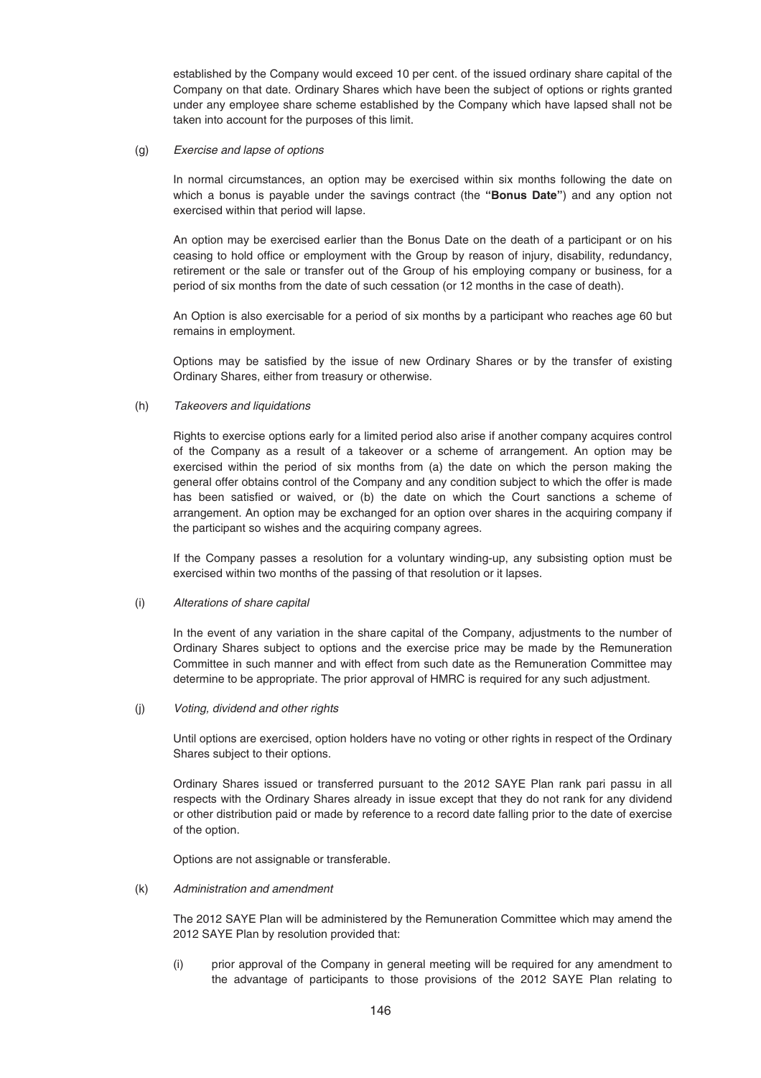established by the Company would exceed 10 per cent. of the issued ordinary share capital of the Company on that date. Ordinary Shares which have been the subject of options or rights granted under any employee share scheme established by the Company which have lapsed shall not be taken into account for the purposes of this limit.

#### (g) Exercise and lapse of options

In normal circumstances, an option may be exercised within six months following the date on which a bonus is payable under the savings contract (the **"Bonus Date"**) and any option not exercised within that period will lapse.

An option may be exercised earlier than the Bonus Date on the death of a participant or on his ceasing to hold office or employment with the Group by reason of injury, disability, redundancy, retirement or the sale or transfer out of the Group of his employing company or business, for a period of six months from the date of such cessation (or 12 months in the case of death).

An Option is also exercisable for a period of six months by a participant who reaches age 60 but remains in employment.

Options may be satisfied by the issue of new Ordinary Shares or by the transfer of existing Ordinary Shares, either from treasury or otherwise.

### (h) Takeovers and liquidations

Rights to exercise options early for a limited period also arise if another company acquires control of the Company as a result of a takeover or a scheme of arrangement. An option may be exercised within the period of six months from (a) the date on which the person making the general offer obtains control of the Company and any condition subject to which the offer is made has been satisfied or waived, or (b) the date on which the Court sanctions a scheme of arrangement. An option may be exchanged for an option over shares in the acquiring company if the participant so wishes and the acquiring company agrees.

If the Company passes a resolution for a voluntary winding-up, any subsisting option must be exercised within two months of the passing of that resolution or it lapses.

### (i) Alterations of share capital

In the event of any variation in the share capital of the Company, adjustments to the number of Ordinary Shares subject to options and the exercise price may be made by the Remuneration Committee in such manner and with effect from such date as the Remuneration Committee may determine to be appropriate. The prior approval of HMRC is required for any such adjustment.

### (j) Voting, dividend and other rights

Until options are exercised, option holders have no voting or other rights in respect of the Ordinary Shares subject to their options.

Ordinary Shares issued or transferred pursuant to the 2012 SAYE Plan rank pari passu in all respects with the Ordinary Shares already in issue except that they do not rank for any dividend or other distribution paid or made by reference to a record date falling prior to the date of exercise of the option.

Options are not assignable or transferable.

## (k) Administration and amendment

The 2012 SAYE Plan will be administered by the Remuneration Committee which may amend the 2012 SAYE Plan by resolution provided that:

(i) prior approval of the Company in general meeting will be required for any amendment to the advantage of participants to those provisions of the 2012 SAYE Plan relating to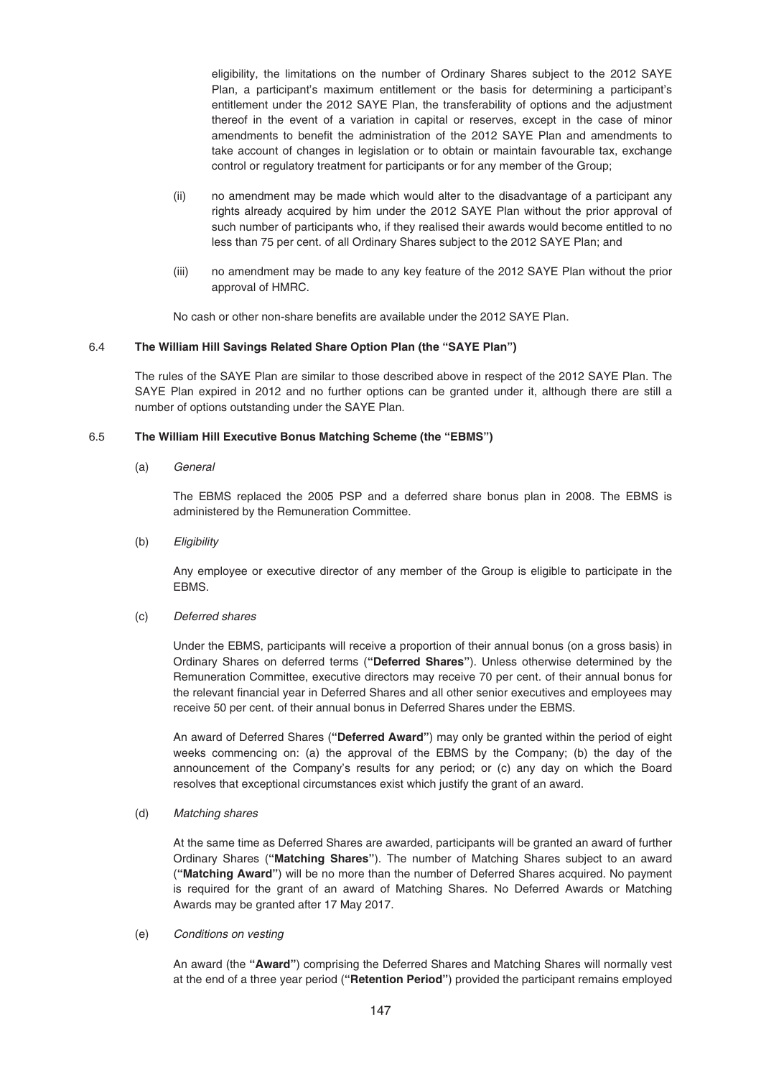eligibility, the limitations on the number of Ordinary Shares subject to the 2012 SAYE Plan, a participant's maximum entitlement or the basis for determining a participant's entitlement under the 2012 SAYE Plan, the transferability of options and the adjustment thereof in the event of a variation in capital or reserves, except in the case of minor amendments to benefit the administration of the 2012 SAYE Plan and amendments to take account of changes in legislation or to obtain or maintain favourable tax, exchange control or regulatory treatment for participants or for any member of the Group;

- (ii) no amendment may be made which would alter to the disadvantage of a participant any rights already acquired by him under the 2012 SAYE Plan without the prior approval of such number of participants who, if they realised their awards would become entitled to no less than 75 per cent. of all Ordinary Shares subject to the 2012 SAYE Plan; and
- (iii) no amendment may be made to any key feature of the 2012 SAYE Plan without the prior approval of HMRC.

No cash or other non-share benefits are available under the 2012 SAYE Plan.

### 6.4 **The William Hill Savings Related Share Option Plan (the "SAYE Plan")**

The rules of the SAYE Plan are similar to those described above in respect of the 2012 SAYE Plan. The SAYE Plan expired in 2012 and no further options can be granted under it, although there are still a number of options outstanding under the SAYE Plan.

### 6.5 **The William Hill Executive Bonus Matching Scheme (the "EBMS")**

(a) General

The EBMS replaced the 2005 PSP and a deferred share bonus plan in 2008. The EBMS is administered by the Remuneration Committee.

(b) Eligibility

Any employee or executive director of any member of the Group is eligible to participate in the EBMS.

### (c) Deferred shares

Under the EBMS, participants will receive a proportion of their annual bonus (on a gross basis) in Ordinary Shares on deferred terms (**"Deferred Shares"**). Unless otherwise determined by the Remuneration Committee, executive directors may receive 70 per cent. of their annual bonus for the relevant financial year in Deferred Shares and all other senior executives and employees may receive 50 per cent. of their annual bonus in Deferred Shares under the EBMS.

An award of Deferred Shares (**"Deferred Award"**) may only be granted within the period of eight weeks commencing on: (a) the approval of the EBMS by the Company; (b) the day of the announcement of the Company's results for any period; or (c) any day on which the Board resolves that exceptional circumstances exist which justify the grant of an award.

### (d) Matching shares

At the same time as Deferred Shares are awarded, participants will be granted an award of further Ordinary Shares (**"Matching Shares"**). The number of Matching Shares subject to an award (**"Matching Award"**) will be no more than the number of Deferred Shares acquired. No payment is required for the grant of an award of Matching Shares. No Deferred Awards or Matching Awards may be granted after 17 May 2017.

### (e) Conditions on vesting

An award (the **"Award"**) comprising the Deferred Shares and Matching Shares will normally vest at the end of a three year period (**"Retention Period"**) provided the participant remains employed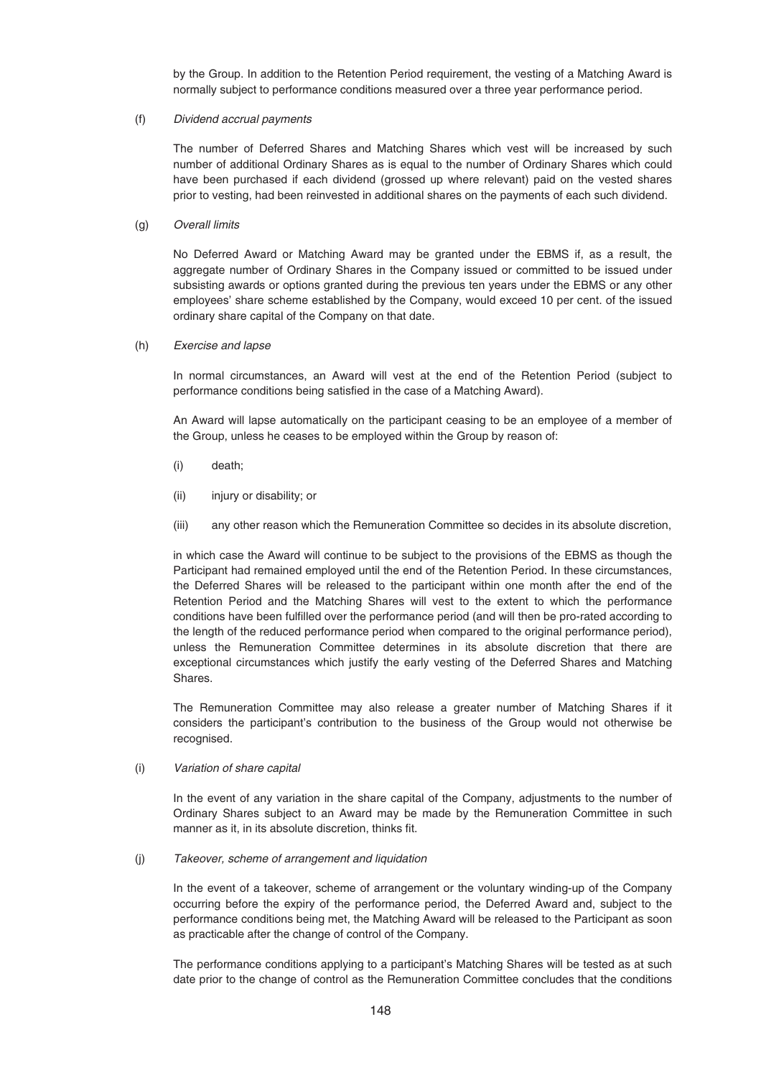by the Group. In addition to the Retention Period requirement, the vesting of a Matching Award is normally subject to performance conditions measured over a three year performance period.

### (f) Dividend accrual payments

The number of Deferred Shares and Matching Shares which vest will be increased by such number of additional Ordinary Shares as is equal to the number of Ordinary Shares which could have been purchased if each dividend (grossed up where relevant) paid on the vested shares prior to vesting, had been reinvested in additional shares on the payments of each such dividend.

#### (g) Overall limits

No Deferred Award or Matching Award may be granted under the EBMS if, as a result, the aggregate number of Ordinary Shares in the Company issued or committed to be issued under subsisting awards or options granted during the previous ten years under the EBMS or any other employees' share scheme established by the Company, would exceed 10 per cent. of the issued ordinary share capital of the Company on that date.

#### (h) Exercise and lapse

In normal circumstances, an Award will vest at the end of the Retention Period (subject to performance conditions being satisfied in the case of a Matching Award).

An Award will lapse automatically on the participant ceasing to be an employee of a member of the Group, unless he ceases to be employed within the Group by reason of:

- (i) death;
- (ii) injury or disability; or
- (iii) any other reason which the Remuneration Committee so decides in its absolute discretion,

in which case the Award will continue to be subject to the provisions of the EBMS as though the Participant had remained employed until the end of the Retention Period. In these circumstances, the Deferred Shares will be released to the participant within one month after the end of the Retention Period and the Matching Shares will vest to the extent to which the performance conditions have been fulfilled over the performance period (and will then be pro-rated according to the length of the reduced performance period when compared to the original performance period), unless the Remuneration Committee determines in its absolute discretion that there are exceptional circumstances which justify the early vesting of the Deferred Shares and Matching Shares.

The Remuneration Committee may also release a greater number of Matching Shares if it considers the participant's contribution to the business of the Group would not otherwise be recognised.

#### (i) Variation of share capital

In the event of any variation in the share capital of the Company, adjustments to the number of Ordinary Shares subject to an Award may be made by the Remuneration Committee in such manner as it, in its absolute discretion, thinks fit.

(j) Takeover, scheme of arrangement and liquidation

In the event of a takeover, scheme of arrangement or the voluntary winding-up of the Company occurring before the expiry of the performance period, the Deferred Award and, subject to the performance conditions being met, the Matching Award will be released to the Participant as soon as practicable after the change of control of the Company.

The performance conditions applying to a participant's Matching Shares will be tested as at such date prior to the change of control as the Remuneration Committee concludes that the conditions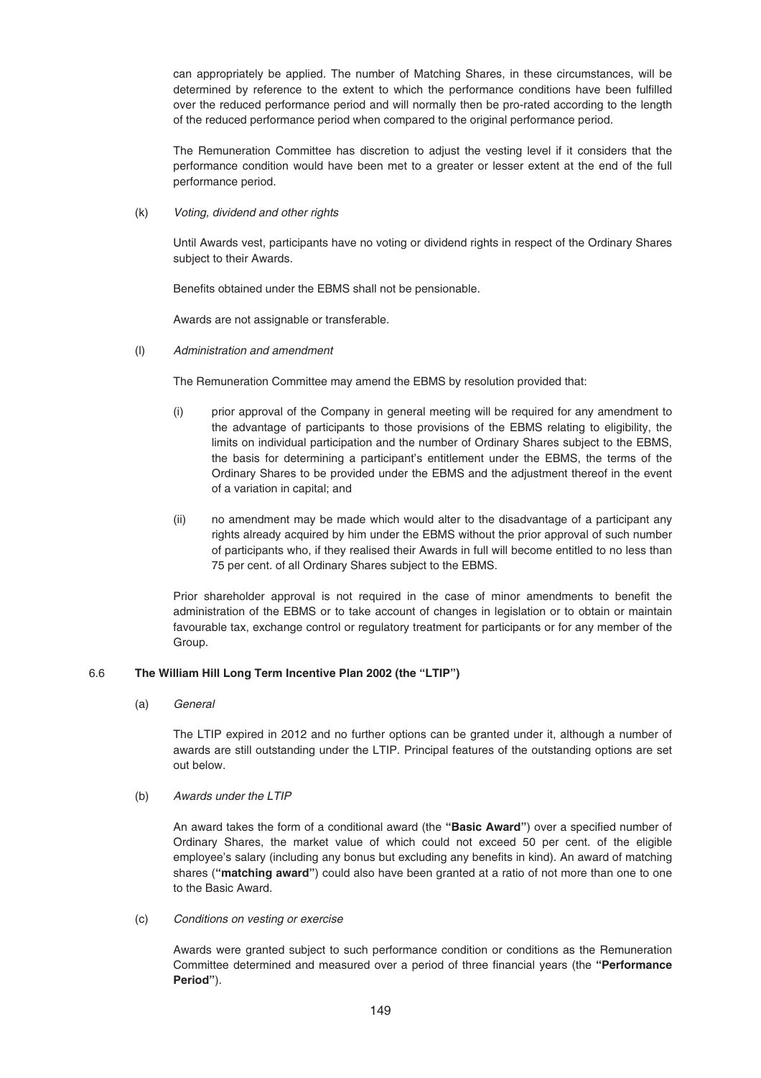can appropriately be applied. The number of Matching Shares, in these circumstances, will be determined by reference to the extent to which the performance conditions have been fulfilled over the reduced performance period and will normally then be pro-rated according to the length of the reduced performance period when compared to the original performance period.

The Remuneration Committee has discretion to adjust the vesting level if it considers that the performance condition would have been met to a greater or lesser extent at the end of the full performance period.

(k) Voting, dividend and other rights

Until Awards vest, participants have no voting or dividend rights in respect of the Ordinary Shares subject to their Awards.

Benefits obtained under the EBMS shall not be pensionable.

Awards are not assignable or transferable.

(l) Administration and amendment

The Remuneration Committee may amend the EBMS by resolution provided that:

- (i) prior approval of the Company in general meeting will be required for any amendment to the advantage of participants to those provisions of the EBMS relating to eligibility, the limits on individual participation and the number of Ordinary Shares subject to the EBMS, the basis for determining a participant's entitlement under the EBMS, the terms of the Ordinary Shares to be provided under the EBMS and the adjustment thereof in the event of a variation in capital; and
- (ii) no amendment may be made which would alter to the disadvantage of a participant any rights already acquired by him under the EBMS without the prior approval of such number of participants who, if they realised their Awards in full will become entitled to no less than 75 per cent. of all Ordinary Shares subject to the EBMS.

Prior shareholder approval is not required in the case of minor amendments to benefit the administration of the EBMS or to take account of changes in legislation or to obtain or maintain favourable tax, exchange control or regulatory treatment for participants or for any member of the Group.

# 6.6 **The William Hill Long Term Incentive Plan 2002 (the "LTIP")**

(a) General

The LTIP expired in 2012 and no further options can be granted under it, although a number of awards are still outstanding under the LTIP. Principal features of the outstanding options are set out below.

(b) Awards under the LTIP

An award takes the form of a conditional award (the **"Basic Award"**) over a specified number of Ordinary Shares, the market value of which could not exceed 50 per cent. of the eligible employee's salary (including any bonus but excluding any benefits in kind). An award of matching shares (**"matching award"**) could also have been granted at a ratio of not more than one to one to the Basic Award.

(c) Conditions on vesting or exercise

Awards were granted subject to such performance condition or conditions as the Remuneration Committee determined and measured over a period of three financial years (the **"Performance Period"**).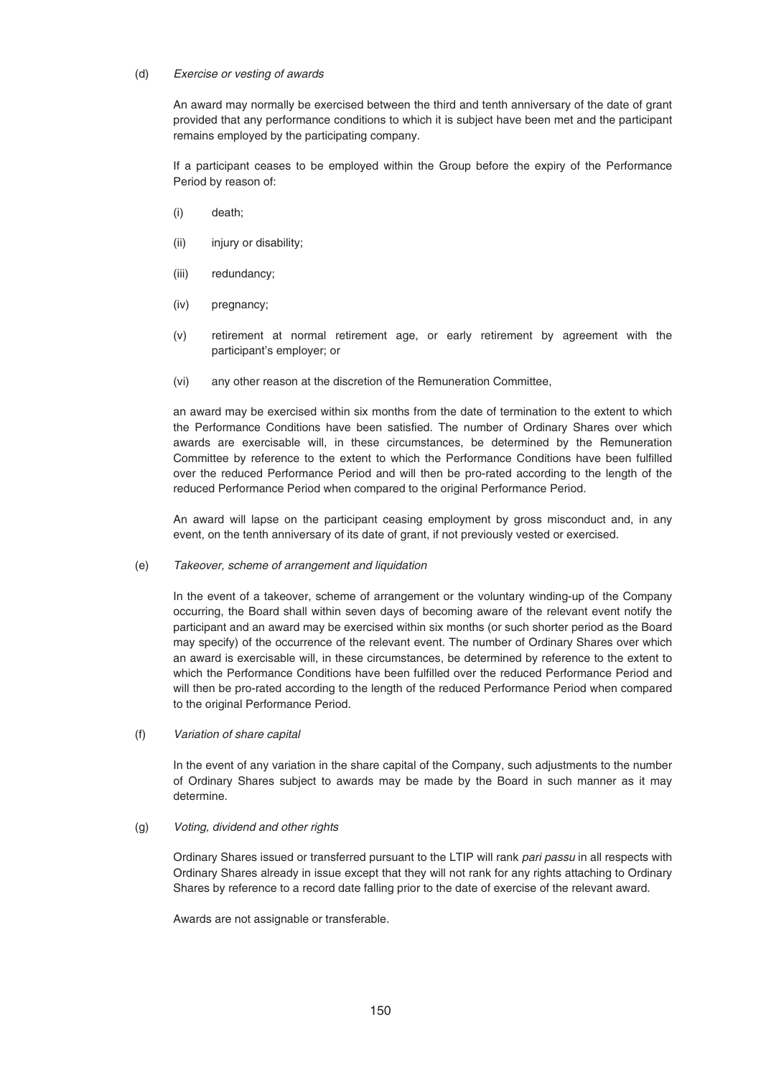### (d) Exercise or vesting of awards

An award may normally be exercised between the third and tenth anniversary of the date of grant provided that any performance conditions to which it is subject have been met and the participant remains employed by the participating company.

If a participant ceases to be employed within the Group before the expiry of the Performance Period by reason of:

- (i) death;
- (ii) injury or disability;
- (iii) redundancy;
- (iv) pregnancy;
- (v) retirement at normal retirement age, or early retirement by agreement with the participant's employer; or
- (vi) any other reason at the discretion of the Remuneration Committee,

an award may be exercised within six months from the date of termination to the extent to which the Performance Conditions have been satisfied. The number of Ordinary Shares over which awards are exercisable will, in these circumstances, be determined by the Remuneration Committee by reference to the extent to which the Performance Conditions have been fulfilled over the reduced Performance Period and will then be pro-rated according to the length of the reduced Performance Period when compared to the original Performance Period.

An award will lapse on the participant ceasing employment by gross misconduct and, in any event, on the tenth anniversary of its date of grant, if not previously vested or exercised.

### (e) Takeover, scheme of arrangement and liquidation

In the event of a takeover, scheme of arrangement or the voluntary winding-up of the Company occurring, the Board shall within seven days of becoming aware of the relevant event notify the participant and an award may be exercised within six months (or such shorter period as the Board may specify) of the occurrence of the relevant event. The number of Ordinary Shares over which an award is exercisable will, in these circumstances, be determined by reference to the extent to which the Performance Conditions have been fulfilled over the reduced Performance Period and will then be pro-rated according to the length of the reduced Performance Period when compared to the original Performance Period.

(f) Variation of share capital

In the event of any variation in the share capital of the Company, such adjustments to the number of Ordinary Shares subject to awards may be made by the Board in such manner as it may determine.

### (g) Voting, dividend and other rights

Ordinary Shares issued or transferred pursuant to the LTIP will rank pari passu in all respects with Ordinary Shares already in issue except that they will not rank for any rights attaching to Ordinary Shares by reference to a record date falling prior to the date of exercise of the relevant award.

Awards are not assignable or transferable.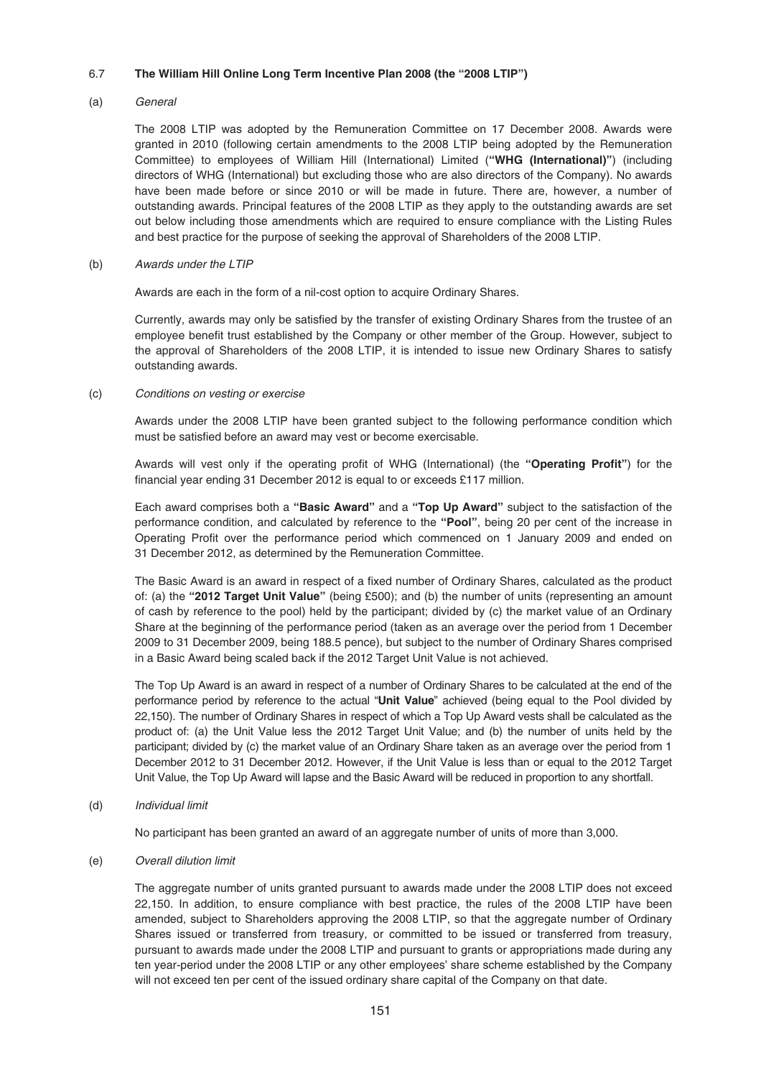## 6.7 **The William Hill Online Long Term Incentive Plan 2008 (the "2008 LTIP")**

### (a) General

The 2008 LTIP was adopted by the Remuneration Committee on 17 December 2008. Awards were granted in 2010 (following certain amendments to the 2008 LTIP being adopted by the Remuneration Committee) to employees of William Hill (International) Limited (**"WHG (International)"**) (including directors of WHG (International) but excluding those who are also directors of the Company). No awards have been made before or since 2010 or will be made in future. There are, however, a number of outstanding awards. Principal features of the 2008 LTIP as they apply to the outstanding awards are set out below including those amendments which are required to ensure compliance with the Listing Rules and best practice for the purpose of seeking the approval of Shareholders of the 2008 LTIP.

### (b) Awards under the LTIP

Awards are each in the form of a nil-cost option to acquire Ordinary Shares.

Currently, awards may only be satisfied by the transfer of existing Ordinary Shares from the trustee of an employee benefit trust established by the Company or other member of the Group. However, subject to the approval of Shareholders of the 2008 LTIP, it is intended to issue new Ordinary Shares to satisfy outstanding awards.

## (c) Conditions on vesting or exercise

Awards under the 2008 LTIP have been granted subject to the following performance condition which must be satisfied before an award may vest or become exercisable.

Awards will vest only if the operating profit of WHG (International) (the **"Operating Profit"**) for the financial year ending 31 December 2012 is equal to or exceeds £117 million.

Each award comprises both a **"Basic Award"** and a **"Top Up Award"** subject to the satisfaction of the performance condition, and calculated by reference to the **"Pool"**, being 20 per cent of the increase in Operating Profit over the performance period which commenced on 1 January 2009 and ended on 31 December 2012, as determined by the Remuneration Committee.

The Basic Award is an award in respect of a fixed number of Ordinary Shares, calculated as the product of: (a) the **"2012 Target Unit Value"** (being £500); and (b) the number of units (representing an amount of cash by reference to the pool) held by the participant; divided by (c) the market value of an Ordinary Share at the beginning of the performance period (taken as an average over the period from 1 December 2009 to 31 December 2009, being 188.5 pence), but subject to the number of Ordinary Shares comprised in a Basic Award being scaled back if the 2012 Target Unit Value is not achieved.

The Top Up Award is an award in respect of a number of Ordinary Shares to be calculated at the end of the performance period by reference to the actual "**Unit Value**" achieved (being equal to the Pool divided by 22,150). The number of Ordinary Shares in respect of which a Top Up Award vests shall be calculated as the product of: (a) the Unit Value less the 2012 Target Unit Value; and (b) the number of units held by the participant; divided by (c) the market value of an Ordinary Share taken as an average over the period from 1 December 2012 to 31 December 2012. However, if the Unit Value is less than or equal to the 2012 Target Unit Value, the Top Up Award will lapse and the Basic Award will be reduced in proportion to any shortfall.

(d) Individual limit

No participant has been granted an award of an aggregate number of units of more than 3,000.

(e) Overall dilution limit

The aggregate number of units granted pursuant to awards made under the 2008 LTIP does not exceed 22,150. In addition, to ensure compliance with best practice, the rules of the 2008 LTIP have been amended, subject to Shareholders approving the 2008 LTIP, so that the aggregate number of Ordinary Shares issued or transferred from treasury, or committed to be issued or transferred from treasury, pursuant to awards made under the 2008 LTIP and pursuant to grants or appropriations made during any ten year-period under the 2008 LTIP or any other employees' share scheme established by the Company will not exceed ten per cent of the issued ordinary share capital of the Company on that date.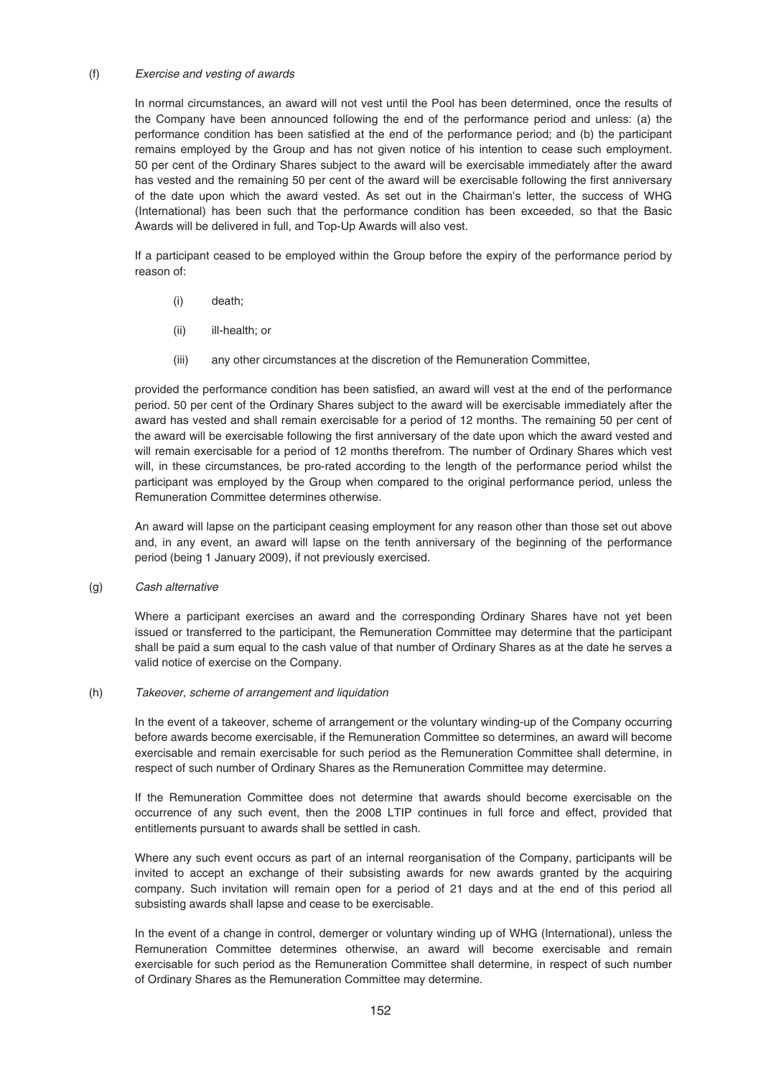#### (f) Exercise and vesting of awards

In normal circumstances, an award will not vest until the Pool has been determined, once the results of the Company have been announced following the end of the performance period and unless: (a) the performance condition has been satisfied at the end of the performance period; and (b) the participant remains employed by the Group and has not given notice of his intention to cease such employment. 50 per cent of the Ordinary Shares subject to the award will be exercisable immediately after the award has vested and the remaining 50 per cent of the award will be exercisable following the first anniversary of the date upon which the award vested. As set out in the Chairman's letter, the success of WHG (International) has been such that the performance condition has been exceeded, so that the Basic Awards will be delivered in full, and Top-Up Awards will also vest.

If a participant ceased to be employed within the Group before the expiry of the performance period by reason of:

- (i) death;
- (ii) ill-health; or
- (iii) any other circumstances at the discretion of the Remuneration Committee,

provided the performance condition has been satisfied, an award will vest at the end of the performance period. 50 per cent of the Ordinary Shares subject to the award will be exercisable immediately after the award has vested and shall remain exercisable for a period of 12 months. The remaining 50 per cent of the award will be exercisable following the first anniversary of the date upon which the award vested and will remain exercisable for a period of 12 months therefrom. The number of Ordinary Shares which vest will, in these circumstances, be pro-rated according to the length of the performance period whilst the participant was employed by the Group when compared to the original performance period, unless the Remuneration Committee determines otherwise.

An award will lapse on the participant ceasing employment for any reason other than those set out above and, in any event, an award will lapse on the tenth anniversary of the beginning of the performance period (being 1 January 2009), if not previously exercised.

(g) Cash alternative

Where a participant exercises an award and the corresponding Ordinary Shares have not yet been issued or transferred to the participant, the Remuneration Committee may determine that the participant shall be paid a sum equal to the cash value of that number of Ordinary Shares as at the date he serves a valid notice of exercise on the Company.

### (h) Takeover, scheme of arrangement and liquidation

In the event of a takeover, scheme of arrangement or the voluntary winding-up of the Company occurring before awards become exercisable, if the Remuneration Committee so determines, an award will become exercisable and remain exercisable for such period as the Remuneration Committee shall determine, in respect of such number of Ordinary Shares as the Remuneration Committee may determine.

If the Remuneration Committee does not determine that awards should become exercisable on the occurrence of any such event, then the 2008 LTIP continues in full force and effect, provided that entitlements pursuant to awards shall be settled in cash.

Where any such event occurs as part of an internal reorganisation of the Company, participants will be invited to accept an exchange of their subsisting awards for new awards granted by the acquiring company. Such invitation will remain open for a period of 21 days and at the end of this period all subsisting awards shall lapse and cease to be exercisable.

In the event of a change in control, demerger or voluntary winding up of WHG (International), unless the Remuneration Committee determines otherwise, an award will become exercisable and remain exercisable for such period as the Remuneration Committee shall determine, in respect of such number of Ordinary Shares as the Remuneration Committee may determine.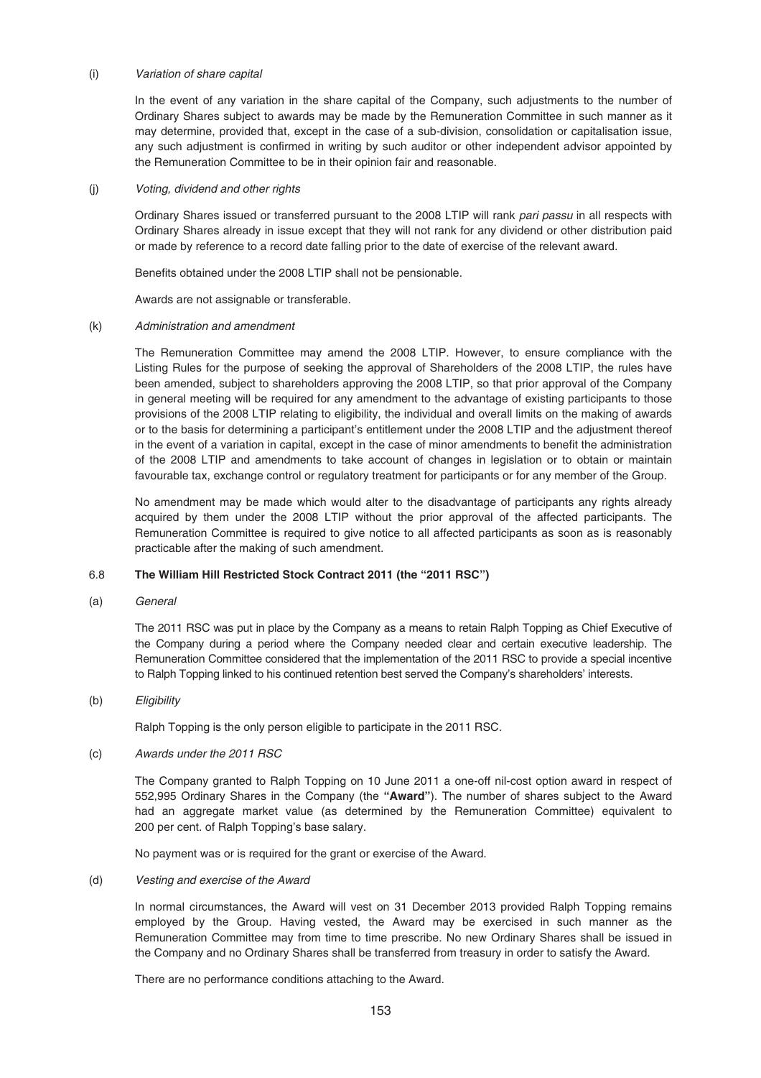### (i) Variation of share capital

In the event of any variation in the share capital of the Company, such adjustments to the number of Ordinary Shares subject to awards may be made by the Remuneration Committee in such manner as it may determine, provided that, except in the case of a sub-division, consolidation or capitalisation issue, any such adjustment is confirmed in writing by such auditor or other independent advisor appointed by the Remuneration Committee to be in their opinion fair and reasonable.

#### (j) Voting, dividend and other rights

Ordinary Shares issued or transferred pursuant to the 2008 LTIP will rank pari passu in all respects with Ordinary Shares already in issue except that they will not rank for any dividend or other distribution paid or made by reference to a record date falling prior to the date of exercise of the relevant award.

Benefits obtained under the 2008 LTIP shall not be pensionable.

Awards are not assignable or transferable.

#### (k) Administration and amendment

The Remuneration Committee may amend the 2008 LTIP. However, to ensure compliance with the Listing Rules for the purpose of seeking the approval of Shareholders of the 2008 LTIP, the rules have been amended, subject to shareholders approving the 2008 LTIP, so that prior approval of the Company in general meeting will be required for any amendment to the advantage of existing participants to those provisions of the 2008 LTIP relating to eligibility, the individual and overall limits on the making of awards or to the basis for determining a participant's entitlement under the 2008 LTIP and the adjustment thereof in the event of a variation in capital, except in the case of minor amendments to benefit the administration of the 2008 LTIP and amendments to take account of changes in legislation or to obtain or maintain favourable tax, exchange control or regulatory treatment for participants or for any member of the Group.

No amendment may be made which would alter to the disadvantage of participants any rights already acquired by them under the 2008 LTIP without the prior approval of the affected participants. The Remuneration Committee is required to give notice to all affected participants as soon as is reasonably practicable after the making of such amendment.

### 6.8 **The William Hill Restricted Stock Contract 2011 (the "2011 RSC")**

(a) General

The 2011 RSC was put in place by the Company as a means to retain Ralph Topping as Chief Executive of the Company during a period where the Company needed clear and certain executive leadership. The Remuneration Committee considered that the implementation of the 2011 RSC to provide a special incentive to Ralph Topping linked to his continued retention best served the Company's shareholders' interests.

#### (b) Eligibility

Ralph Topping is the only person eligible to participate in the 2011 RSC.

#### (c) Awards under the 2011 RSC

The Company granted to Ralph Topping on 10 June 2011 a one-off nil-cost option award in respect of 552,995 Ordinary Shares in the Company (the **"Award"**). The number of shares subject to the Award had an aggregate market value (as determined by the Remuneration Committee) equivalent to 200 per cent. of Ralph Topping's base salary.

No payment was or is required for the grant or exercise of the Award.

#### (d) Vesting and exercise of the Award

In normal circumstances, the Award will vest on 31 December 2013 provided Ralph Topping remains employed by the Group. Having vested, the Award may be exercised in such manner as the Remuneration Committee may from time to time prescribe. No new Ordinary Shares shall be issued in the Company and no Ordinary Shares shall be transferred from treasury in order to satisfy the Award.

There are no performance conditions attaching to the Award.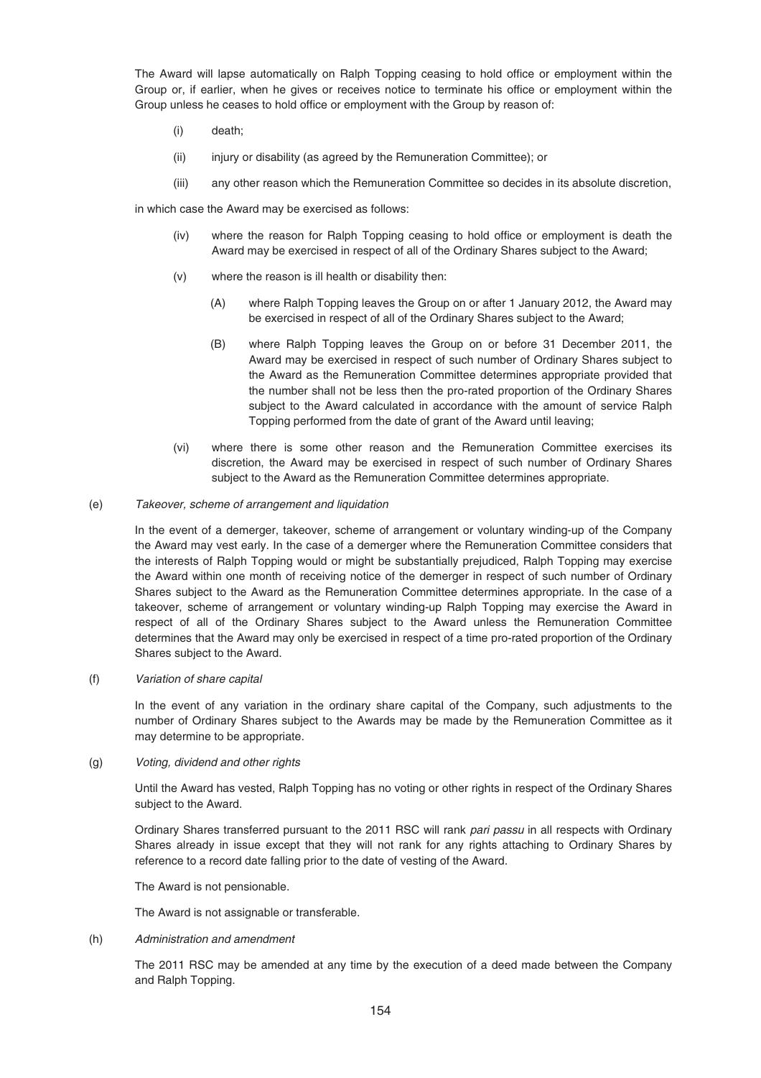The Award will lapse automatically on Ralph Topping ceasing to hold office or employment within the Group or, if earlier, when he gives or receives notice to terminate his office or employment within the Group unless he ceases to hold office or employment with the Group by reason of:

- (i) death;
- (ii) injury or disability (as agreed by the Remuneration Committee); or
- (iii) any other reason which the Remuneration Committee so decides in its absolute discretion,

in which case the Award may be exercised as follows:

- (iv) where the reason for Ralph Topping ceasing to hold office or employment is death the Award may be exercised in respect of all of the Ordinary Shares subject to the Award;
- (v) where the reason is ill health or disability then:
	- (A) where Ralph Topping leaves the Group on or after 1 January 2012, the Award may be exercised in respect of all of the Ordinary Shares subject to the Award;
	- (B) where Ralph Topping leaves the Group on or before 31 December 2011, the Award may be exercised in respect of such number of Ordinary Shares subject to the Award as the Remuneration Committee determines appropriate provided that the number shall not be less then the pro-rated proportion of the Ordinary Shares subject to the Award calculated in accordance with the amount of service Ralph Topping performed from the date of grant of the Award until leaving;
- (vi) where there is some other reason and the Remuneration Committee exercises its discretion, the Award may be exercised in respect of such number of Ordinary Shares subject to the Award as the Remuneration Committee determines appropriate.
- (e) Takeover, scheme of arrangement and liquidation

In the event of a demerger, takeover, scheme of arrangement or voluntary winding-up of the Company the Award may vest early. In the case of a demerger where the Remuneration Committee considers that the interests of Ralph Topping would or might be substantially prejudiced, Ralph Topping may exercise the Award within one month of receiving notice of the demerger in respect of such number of Ordinary Shares subject to the Award as the Remuneration Committee determines appropriate. In the case of a takeover, scheme of arrangement or voluntary winding-up Ralph Topping may exercise the Award in respect of all of the Ordinary Shares subject to the Award unless the Remuneration Committee determines that the Award may only be exercised in respect of a time pro-rated proportion of the Ordinary Shares subject to the Award.

(f) Variation of share capital

In the event of any variation in the ordinary share capital of the Company, such adjustments to the number of Ordinary Shares subject to the Awards may be made by the Remuneration Committee as it may determine to be appropriate.

(g) Voting, dividend and other rights

Until the Award has vested, Ralph Topping has no voting or other rights in respect of the Ordinary Shares subject to the Award.

Ordinary Shares transferred pursuant to the 2011 RSC will rank pari passu in all respects with Ordinary Shares already in issue except that they will not rank for any rights attaching to Ordinary Shares by reference to a record date falling prior to the date of vesting of the Award.

The Award is not pensionable.

The Award is not assignable or transferable.

(h) Administration and amendment

The 2011 RSC may be amended at any time by the execution of a deed made between the Company and Ralph Topping.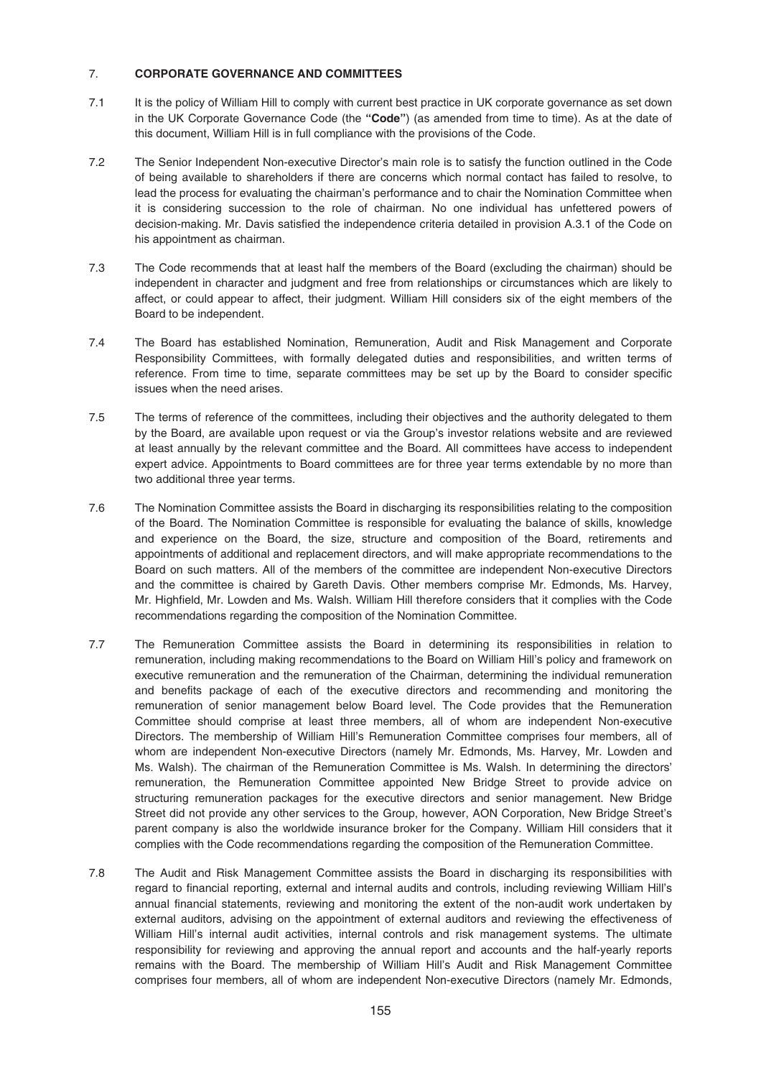## 7. **CORPORATE GOVERNANCE AND COMMITTEES**

- 7.1 It is the policy of William Hill to comply with current best practice in UK corporate governance as set down in the UK Corporate Governance Code (the **"Code"**) (as amended from time to time). As at the date of this document, William Hill is in full compliance with the provisions of the Code.
- 7.2 The Senior Independent Non-executive Director's main role is to satisfy the function outlined in the Code of being available to shareholders if there are concerns which normal contact has failed to resolve, to lead the process for evaluating the chairman's performance and to chair the Nomination Committee when it is considering succession to the role of chairman. No one individual has unfettered powers of decision-making. Mr. Davis satisfied the independence criteria detailed in provision A.3.1 of the Code on his appointment as chairman.
- 7.3 The Code recommends that at least half the members of the Board (excluding the chairman) should be independent in character and judgment and free from relationships or circumstances which are likely to affect, or could appear to affect, their judgment. William Hill considers six of the eight members of the Board to be independent.
- 7.4 The Board has established Nomination, Remuneration, Audit and Risk Management and Corporate Responsibility Committees, with formally delegated duties and responsibilities, and written terms of reference. From time to time, separate committees may be set up by the Board to consider specific issues when the need arises.
- 7.5 The terms of reference of the committees, including their objectives and the authority delegated to them by the Board, are available upon request or via the Group's investor relations website and are reviewed at least annually by the relevant committee and the Board. All committees have access to independent expert advice. Appointments to Board committees are for three year terms extendable by no more than two additional three year terms.
- 7.6 The Nomination Committee assists the Board in discharging its responsibilities relating to the composition of the Board. The Nomination Committee is responsible for evaluating the balance of skills, knowledge and experience on the Board, the size, structure and composition of the Board, retirements and appointments of additional and replacement directors, and will make appropriate recommendations to the Board on such matters. All of the members of the committee are independent Non-executive Directors and the committee is chaired by Gareth Davis. Other members comprise Mr. Edmonds, Ms. Harvey, Mr. Highfield, Mr. Lowden and Ms. Walsh. William Hill therefore considers that it complies with the Code recommendations regarding the composition of the Nomination Committee.
- 7.7 The Remuneration Committee assists the Board in determining its responsibilities in relation to remuneration, including making recommendations to the Board on William Hill's policy and framework on executive remuneration and the remuneration of the Chairman, determining the individual remuneration and benefits package of each of the executive directors and recommending and monitoring the remuneration of senior management below Board level. The Code provides that the Remuneration Committee should comprise at least three members, all of whom are independent Non-executive Directors. The membership of William Hill's Remuneration Committee comprises four members, all of whom are independent Non-executive Directors (namely Mr. Edmonds, Ms. Harvey, Mr. Lowden and Ms. Walsh). The chairman of the Remuneration Committee is Ms. Walsh. In determining the directors' remuneration, the Remuneration Committee appointed New Bridge Street to provide advice on structuring remuneration packages for the executive directors and senior management. New Bridge Street did not provide any other services to the Group, however, AON Corporation, New Bridge Street's parent company is also the worldwide insurance broker for the Company. William Hill considers that it complies with the Code recommendations regarding the composition of the Remuneration Committee.
- 7.8 The Audit and Risk Management Committee assists the Board in discharging its responsibilities with regard to financial reporting, external and internal audits and controls, including reviewing William Hill's annual financial statements, reviewing and monitoring the extent of the non-audit work undertaken by external auditors, advising on the appointment of external auditors and reviewing the effectiveness of William Hill's internal audit activities, internal controls and risk management systems. The ultimate responsibility for reviewing and approving the annual report and accounts and the half-yearly reports remains with the Board. The membership of William Hill's Audit and Risk Management Committee comprises four members, all of whom are independent Non-executive Directors (namely Mr. Edmonds,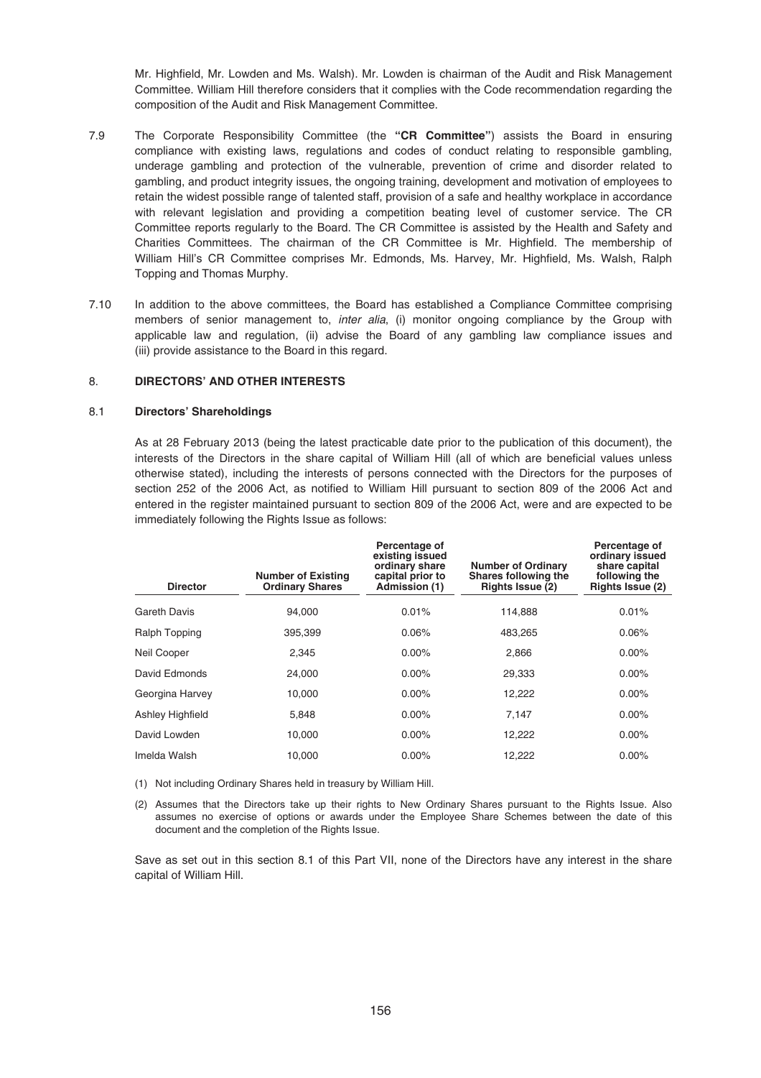Mr. Highfield, Mr. Lowden and Ms. Walsh). Mr. Lowden is chairman of the Audit and Risk Management Committee. William Hill therefore considers that it complies with the Code recommendation regarding the composition of the Audit and Risk Management Committee.

- 7.9 The Corporate Responsibility Committee (the **"CR Committee"**) assists the Board in ensuring compliance with existing laws, regulations and codes of conduct relating to responsible gambling, underage gambling and protection of the vulnerable, prevention of crime and disorder related to gambling, and product integrity issues, the ongoing training, development and motivation of employees to retain the widest possible range of talented staff, provision of a safe and healthy workplace in accordance with relevant legislation and providing a competition beating level of customer service. The CR Committee reports regularly to the Board. The CR Committee is assisted by the Health and Safety and Charities Committees. The chairman of the CR Committee is Mr. Highfield. The membership of William Hill's CR Committee comprises Mr. Edmonds, Ms. Harvey, Mr. Highfield, Ms. Walsh, Ralph Topping and Thomas Murphy.
- 7.10 In addition to the above committees, the Board has established a Compliance Committee comprising members of senior management to, *inter alia*, (i) monitor ongoing compliance by the Group with applicable law and regulation, (ii) advise the Board of any gambling law compliance issues and (iii) provide assistance to the Board in this regard.

### 8. **DIRECTORS' AND OTHER INTERESTS**

## 8.1 **Directors' Shareholdings**

As at 28 February 2013 (being the latest practicable date prior to the publication of this document), the interests of the Directors in the share capital of William Hill (all of which are beneficial values unless otherwise stated), including the interests of persons connected with the Directors for the purposes of section 252 of the 2006 Act, as notified to William Hill pursuant to section 809 of the 2006 Act and entered in the register maintained pursuant to section 809 of the 2006 Act, were and are expected to be immediately following the Rights Issue as follows:

| <b>Director</b>  | <b>Number of Existing</b><br><b>Ordinary Shares</b> | Percentage of<br>existing issued<br>ordinary share<br>capital prior to<br>Admission (1) | <b>Number of Ordinary</b><br>Shares following the<br>Rights Issue (2) | Percentage of<br>ordinary issued<br>share capital<br>following the<br><b>Rights Issue (2)</b> |
|------------------|-----------------------------------------------------|-----------------------------------------------------------------------------------------|-----------------------------------------------------------------------|-----------------------------------------------------------------------------------------------|
| Gareth Davis     | 94,000                                              | 0.01%                                                                                   | 114,888                                                               | 0.01%                                                                                         |
| Ralph Topping    | 395.399                                             | 0.06%                                                                                   | 483.265                                                               | 0.06%                                                                                         |
| Neil Cooper      | 2,345                                               | $0.00\%$                                                                                | 2,866                                                                 | $0.00\%$                                                                                      |
| David Edmonds    | 24,000                                              | $0.00\%$                                                                                | 29,333                                                                | $0.00\%$                                                                                      |
| Georgina Harvey  | 10,000                                              | $0.00\%$                                                                                | 12,222                                                                | $0.00\%$                                                                                      |
| Ashley Highfield | 5,848                                               | $0.00\%$                                                                                | 7,147                                                                 | $0.00\%$                                                                                      |
| David Lowden     | 10,000                                              | $0.00\%$                                                                                | 12,222                                                                | $0.00\%$                                                                                      |
| Imelda Walsh     | 10,000                                              | $0.00\%$                                                                                | 12,222                                                                | $0.00\%$                                                                                      |
|                  |                                                     |                                                                                         |                                                                       |                                                                                               |

(1) Not including Ordinary Shares held in treasury by William Hill.

(2) Assumes that the Directors take up their rights to New Ordinary Shares pursuant to the Rights Issue. Also assumes no exercise of options or awards under the Employee Share Schemes between the date of this document and the completion of the Rights Issue.

Save as set out in this section 8.1 of this Part VII, none of the Directors have any interest in the share capital of William Hill.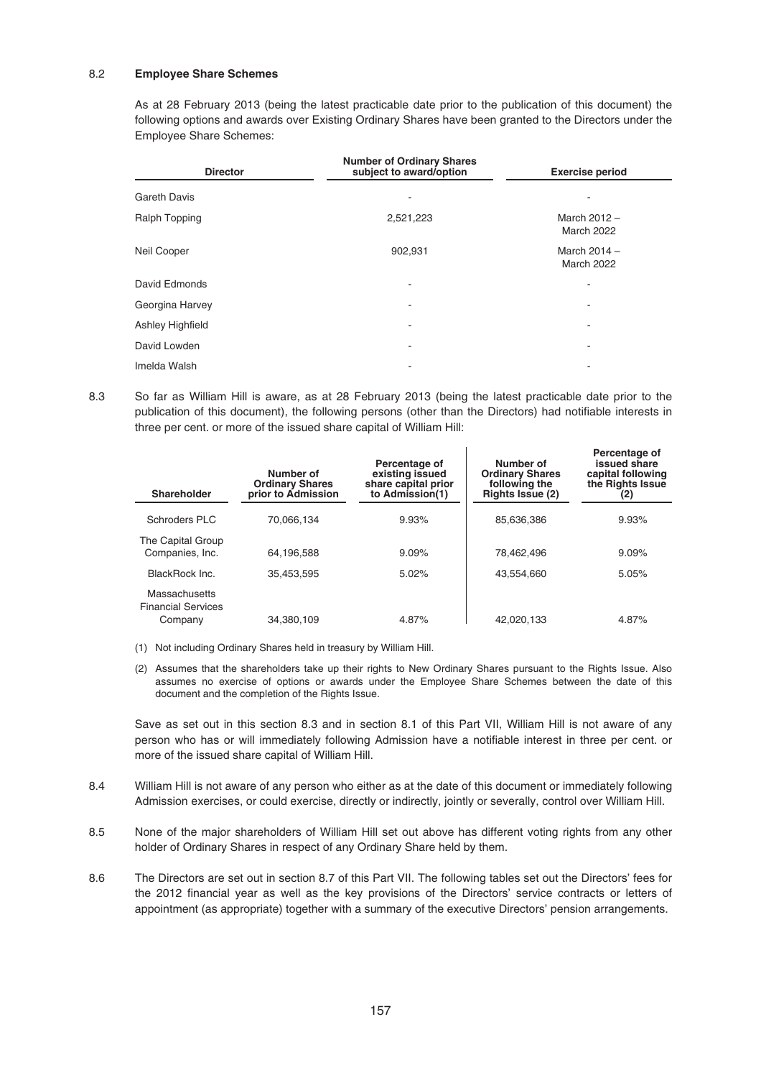## 8.2 **Employee Share Schemes**

As at 28 February 2013 (being the latest practicable date prior to the publication of this document) the following options and awards over Existing Ordinary Shares have been granted to the Directors under the Employee Share Schemes:

| <b>Director</b>     | <b>Number of Ordinary Shares</b><br>subject to award/option | <b>Exercise period</b>              |
|---------------------|-------------------------------------------------------------|-------------------------------------|
| <b>Gareth Davis</b> |                                                             |                                     |
| Ralph Topping       | 2,521,223                                                   | March $2012 -$<br><b>March 2022</b> |
| Neil Cooper         | 902,931                                                     | March $2014 -$<br><b>March 2022</b> |
| David Edmonds       | ۰                                                           | ٠                                   |
| Georgina Harvey     | ٠                                                           | ۰                                   |
| Ashley Highfield    | ۰                                                           | ٠                                   |
| David Lowden        | ۰                                                           | ۰                                   |
| Imelda Walsh        |                                                             |                                     |

8.3 So far as William Hill is aware, as at 28 February 2013 (being the latest practicable date prior to the publication of this document), the following persons (other than the Directors) had notifiable interests in three per cent. or more of the issued share capital of William Hill:

| Shareholder                                                  | Number of<br><b>Ordinary Shares</b><br>prior to Admission | Percentage of<br>existing issued<br>share capital prior<br>to Admission(1) | Number of<br><b>Ordinary Shares</b><br>following the<br>Rights Issue (2) | Percentage of<br>issued share<br>capital following<br>the Rights Issue<br>(2) |
|--------------------------------------------------------------|-----------------------------------------------------------|----------------------------------------------------------------------------|--------------------------------------------------------------------------|-------------------------------------------------------------------------------|
| Schroders PLC                                                | 70.066.134                                                | 9.93%                                                                      | 85.636.386                                                               | 9.93%                                                                         |
| The Capital Group<br>Companies, Inc.                         | 64.196.588                                                | 9.09%                                                                      | 78.462.496                                                               | 9.09%                                                                         |
| BlackRock Inc.                                               | 35.453.595                                                | 5.02%                                                                      | 43.554.660                                                               | 5.05%                                                                         |
| <b>Massachusetts</b><br><b>Financial Services</b><br>Company | 34,380,109                                                | 4.87%                                                                      | 42,020,133                                                               | 4.87%                                                                         |

- (1) Not including Ordinary Shares held in treasury by William Hill.
- (2) Assumes that the shareholders take up their rights to New Ordinary Shares pursuant to the Rights Issue. Also assumes no exercise of options or awards under the Employee Share Schemes between the date of this document and the completion of the Rights Issue.

Save as set out in this section 8.3 and in section 8.1 of this Part VII, William Hill is not aware of any person who has or will immediately following Admission have a notifiable interest in three per cent. or more of the issued share capital of William Hill.

- 8.4 William Hill is not aware of any person who either as at the date of this document or immediately following Admission exercises, or could exercise, directly or indirectly, jointly or severally, control over William Hill.
- 8.5 None of the major shareholders of William Hill set out above has different voting rights from any other holder of Ordinary Shares in respect of any Ordinary Share held by them.
- 8.6 The Directors are set out in section 8.7 of this Part VII. The following tables set out the Directors' fees for the 2012 financial year as well as the key provisions of the Directors' service contracts or letters of appointment (as appropriate) together with a summary of the executive Directors' pension arrangements.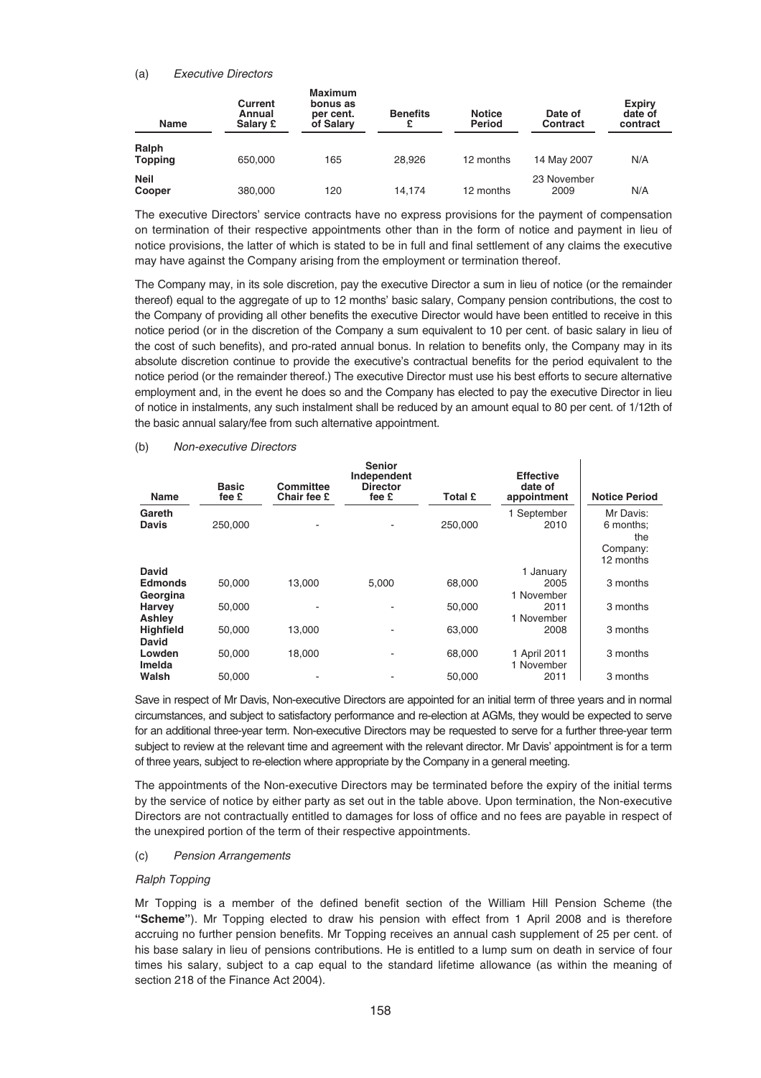### (a) Executive Directors

| <b>Name</b>             | Current<br>Annual<br>Salary £ | <b>Maximum</b><br>bonus as<br>per cent.<br>of Salary | <b>Benefits</b><br>£ | <b>Notice</b><br><b>Period</b> | Date of<br><b>Contract</b> | <b>Expiry</b><br>date of<br>contract |
|-------------------------|-------------------------------|------------------------------------------------------|----------------------|--------------------------------|----------------------------|--------------------------------------|
| Ralph<br><b>Topping</b> | 650,000                       | 165                                                  | 28.926               | 12 months                      | 14 May 2007                | N/A                                  |
| <b>Neil</b><br>Cooper   | 380,000                       | 120                                                  | 14.174               | 12 months                      | 23 November<br>2009        | N/A                                  |

The executive Directors' service contracts have no express provisions for the payment of compensation on termination of their respective appointments other than in the form of notice and payment in lieu of notice provisions, the latter of which is stated to be in full and final settlement of any claims the executive may have against the Company arising from the employment or termination thereof.

The Company may, in its sole discretion, pay the executive Director a sum in lieu of notice (or the remainder thereof) equal to the aggregate of up to 12 months' basic salary, Company pension contributions, the cost to the Company of providing all other benefits the executive Director would have been entitled to receive in this notice period (or in the discretion of the Company a sum equivalent to 10 per cent. of basic salary in lieu of the cost of such benefits), and pro-rated annual bonus. In relation to benefits only, the Company may in its absolute discretion continue to provide the executive's contractual benefits for the period equivalent to the notice period (or the remainder thereof.) The executive Director must use his best efforts to secure alternative employment and, in the event he does so and the Company has elected to pay the executive Director in lieu of notice in instalments, any such instalment shall be reduced by an amount equal to 80 per cent. of 1/12th of the basic annual salary/fee from such alternative appointment.

| Name                    | <b>Basic</b><br>fee £ | Committee<br>Chair fee £ | <b>Senior</b><br>Independent<br><b>Director</b><br>fee £ | Total £ | <b>Effective</b><br>date of<br>appointment | <b>Notice Period</b> |
|-------------------------|-----------------------|--------------------------|----------------------------------------------------------|---------|--------------------------------------------|----------------------|
| Gareth                  |                       |                          |                                                          |         | 1 September                                | Mr Davis:            |
| <b>Davis</b>            | 250,000               |                          |                                                          | 250,000 | 2010                                       | 6 months:<br>the     |
|                         |                       |                          |                                                          |         |                                            | Company:             |
|                         |                       |                          |                                                          |         |                                            | 12 months            |
| <b>David</b>            |                       |                          |                                                          |         | 1 January                                  |                      |
| <b>Edmonds</b>          | 50.000                | 13.000                   | 5.000                                                    | 68,000  | 2005                                       | 3 months             |
| Georgina                |                       |                          |                                                          |         | 1 November                                 |                      |
| <b>Harvey</b><br>Ashley | 50.000                |                          |                                                          | 50.000  | 2011<br>1 November                         | 3 months             |
| <b>Highfield</b>        | 50,000                | 13.000                   |                                                          | 63,000  | 2008                                       | 3 months             |
| David                   |                       |                          |                                                          |         |                                            |                      |
| Lowden<br>Imelda        | 50,000                | 18,000                   |                                                          | 68,000  | 1 April 2011<br>1 November                 | 3 months             |
| Walsh                   | 50.000                |                          |                                                          | 50,000  | 2011                                       | 3 months             |

# (b) Non-executive Directors

Save in respect of Mr Davis, Non-executive Directors are appointed for an initial term of three years and in normal circumstances, and subject to satisfactory performance and re-election at AGMs, they would be expected to serve for an additional three-year term. Non-executive Directors may be requested to serve for a further three-year term subject to review at the relevant time and agreement with the relevant director. Mr Davis' appointment is for a term of three years, subject to re-election where appropriate by the Company in a general meeting.

The appointments of the Non-executive Directors may be terminated before the expiry of the initial terms by the service of notice by either party as set out in the table above. Upon termination, the Non-executive Directors are not contractually entitled to damages for loss of office and no fees are payable in respect of the unexpired portion of the term of their respective appointments.

# (c) Pension Arrangements

### Ralph Topping

Mr Topping is a member of the defined benefit section of the William Hill Pension Scheme (the **"Scheme"**). Mr Topping elected to draw his pension with effect from 1 April 2008 and is therefore accruing no further pension benefits. Mr Topping receives an annual cash supplement of 25 per cent. of his base salary in lieu of pensions contributions. He is entitled to a lump sum on death in service of four times his salary, subject to a cap equal to the standard lifetime allowance (as within the meaning of section 218 of the Finance Act 2004).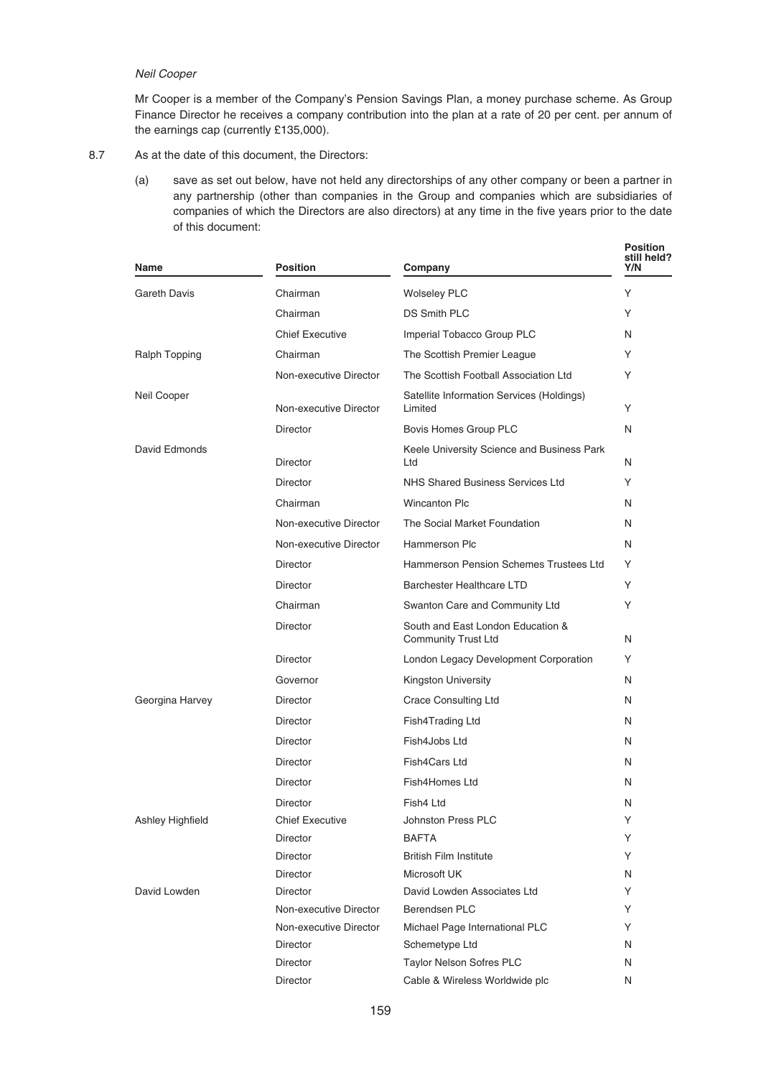## Neil Cooper

Mr Cooper is a member of the Company's Pension Savings Plan, a money purchase scheme. As Group Finance Director he receives a company contribution into the plan at a rate of 20 per cent. per annum of the earnings cap (currently £135,000).

- 8.7 As at the date of this document, the Directors:
	- (a) save as set out below, have not held any directorships of any other company or been a partner in any partnership (other than companies in the Group and companies which are subsidiaries of companies of which the Directors are also directors) at any time in the five years prior to the date of this document:

| Name                | <b>Position</b>        | Company                                                         | <b>Position</b><br>still held?<br>Y/N |
|---------------------|------------------------|-----------------------------------------------------------------|---------------------------------------|
| <b>Gareth Davis</b> | Chairman               | <b>Wolseley PLC</b>                                             | Υ                                     |
|                     | Chairman               | <b>DS Smith PLC</b>                                             | Υ                                     |
|                     | <b>Chief Executive</b> | Imperial Tobacco Group PLC                                      | N                                     |
| Ralph Topping       | Chairman               | The Scottish Premier League                                     | Y                                     |
|                     | Non-executive Director | The Scottish Football Association Ltd                           | Υ                                     |
| Neil Cooper         | Non-executive Director | Satellite Information Services (Holdings)<br>Limited            | Υ                                     |
|                     | <b>Director</b>        | Bovis Homes Group PLC                                           | N                                     |
| David Edmonds       | <b>Director</b>        | Keele University Science and Business Park<br>Ltd               | N                                     |
|                     | <b>Director</b>        | NHS Shared Business Services Ltd                                | Υ                                     |
|                     | Chairman               | <b>Wincanton Plc</b>                                            | N                                     |
|                     | Non-executive Director | The Social Market Foundation                                    | N                                     |
|                     | Non-executive Director | Hammerson Plc                                                   | N                                     |
|                     | <b>Director</b>        | Hammerson Pension Schemes Trustees Ltd                          | Y                                     |
|                     | Director               | Barchester Healthcare LTD                                       | Υ                                     |
|                     | Chairman               | Swanton Care and Community Ltd                                  | Υ                                     |
|                     | <b>Director</b>        | South and East London Education &<br><b>Community Trust Ltd</b> | N                                     |
|                     | <b>Director</b>        | London Legacy Development Corporation                           | Υ                                     |
|                     | Governor               | Kingston University                                             | N                                     |
| Georgina Harvey     | <b>Director</b>        | <b>Crace Consulting Ltd</b>                                     | N                                     |
|                     | <b>Director</b>        | Fish4Trading Ltd                                                | N                                     |
|                     | Director               | Fish4Jobs Ltd                                                   | N                                     |
|                     | <b>Director</b>        | Fish4Cars Ltd                                                   | N                                     |
|                     | <b>Director</b>        | Fish4Homes Ltd                                                  | N                                     |
|                     | <b>Director</b>        | Fish4 Ltd                                                       | N                                     |
| Ashley Highfield    | <b>Chief Executive</b> | Johnston Press PLC                                              | Υ                                     |
|                     | Director               | <b>BAFTA</b>                                                    | Υ                                     |
|                     | <b>Director</b>        | <b>British Film Institute</b>                                   | Y                                     |
|                     | Director               | Microsoft UK                                                    | N                                     |
| David Lowden        | Director               | David Lowden Associates Ltd                                     | Y                                     |
|                     | Non-executive Director | Berendsen PLC                                                   | Y                                     |
|                     | Non-executive Director | Michael Page International PLC                                  | Y                                     |
|                     | Director               | Schemetype Ltd                                                  | N                                     |
|                     | Director               | Taylor Nelson Sofres PLC                                        | N                                     |
|                     | Director               | Cable & Wireless Worldwide plc                                  | N                                     |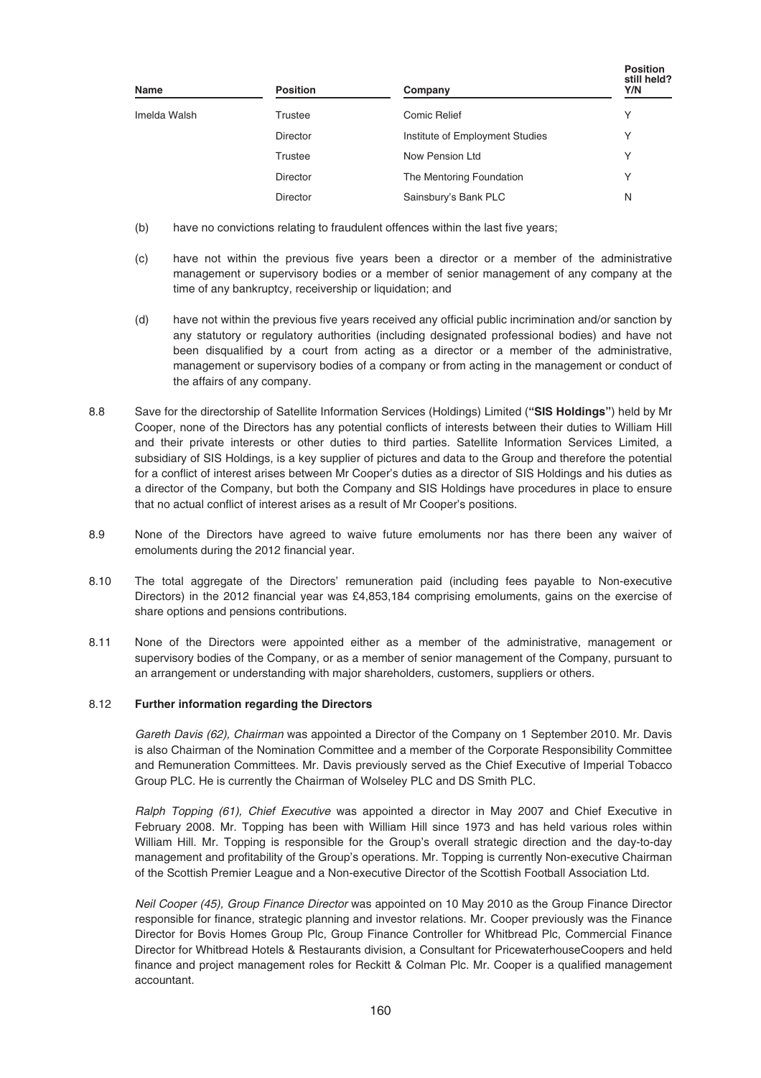| Name         | <b>Position</b> | Company                         | <b>Position</b><br>still held?<br>Y/N |
|--------------|-----------------|---------------------------------|---------------------------------------|
| Imelda Walsh | Trustee         | Comic Relief                    | Υ                                     |
|              | <b>Director</b> | Institute of Employment Studies | Υ                                     |
|              | Trustee         | Now Pension Ltd                 | ν                                     |
|              | <b>Director</b> | The Mentoring Foundation        | Υ                                     |
|              | <b>Director</b> | Sainsbury's Bank PLC            | N                                     |

- (b) have no convictions relating to fraudulent offences within the last five years;
- (c) have not within the previous five years been a director or a member of the administrative management or supervisory bodies or a member of senior management of any company at the time of any bankruptcy, receivership or liquidation; and
- (d) have not within the previous five years received any official public incrimination and/or sanction by any statutory or regulatory authorities (including designated professional bodies) and have not been disqualified by a court from acting as a director or a member of the administrative, management or supervisory bodies of a company or from acting in the management or conduct of the affairs of any company.
- 8.8 Save for the directorship of Satellite Information Services (Holdings) Limited (**"SIS Holdings"**) held by Mr Cooper, none of the Directors has any potential conflicts of interests between their duties to William Hill and their private interests or other duties to third parties. Satellite Information Services Limited, a subsidiary of SIS Holdings, is a key supplier of pictures and data to the Group and therefore the potential for a conflict of interest arises between Mr Cooper's duties as a director of SIS Holdings and his duties as a director of the Company, but both the Company and SIS Holdings have procedures in place to ensure that no actual conflict of interest arises as a result of Mr Cooper's positions.
- 8.9 None of the Directors have agreed to waive future emoluments nor has there been any waiver of emoluments during the 2012 financial year.
- 8.10 The total aggregate of the Directors' remuneration paid (including fees payable to Non-executive Directors) in the 2012 financial year was £4,853,184 comprising emoluments, gains on the exercise of share options and pensions contributions.
- 8.11 None of the Directors were appointed either as a member of the administrative, management or supervisory bodies of the Company, or as a member of senior management of the Company, pursuant to an arrangement or understanding with major shareholders, customers, suppliers or others.

# 8.12 **Further information regarding the Directors**

Gareth Davis (62), Chairman was appointed a Director of the Company on 1 September 2010. Mr. Davis is also Chairman of the Nomination Committee and a member of the Corporate Responsibility Committee and Remuneration Committees. Mr. Davis previously served as the Chief Executive of Imperial Tobacco Group PLC. He is currently the Chairman of Wolseley PLC and DS Smith PLC.

Ralph Topping (61), Chief Executive was appointed a director in May 2007 and Chief Executive in February 2008. Mr. Topping has been with William Hill since 1973 and has held various roles within William Hill. Mr. Topping is responsible for the Group's overall strategic direction and the day-to-day management and profitability of the Group's operations. Mr. Topping is currently Non-executive Chairman of the Scottish Premier League and a Non-executive Director of the Scottish Football Association Ltd.

Neil Cooper (45), Group Finance Director was appointed on 10 May 2010 as the Group Finance Director responsible for finance, strategic planning and investor relations. Mr. Cooper previously was the Finance Director for Bovis Homes Group Plc, Group Finance Controller for Whitbread Plc, Commercial Finance Director for Whitbread Hotels & Restaurants division, a Consultant for PricewaterhouseCoopers and held finance and project management roles for Reckitt & Colman Plc. Mr. Cooper is a qualified management accountant.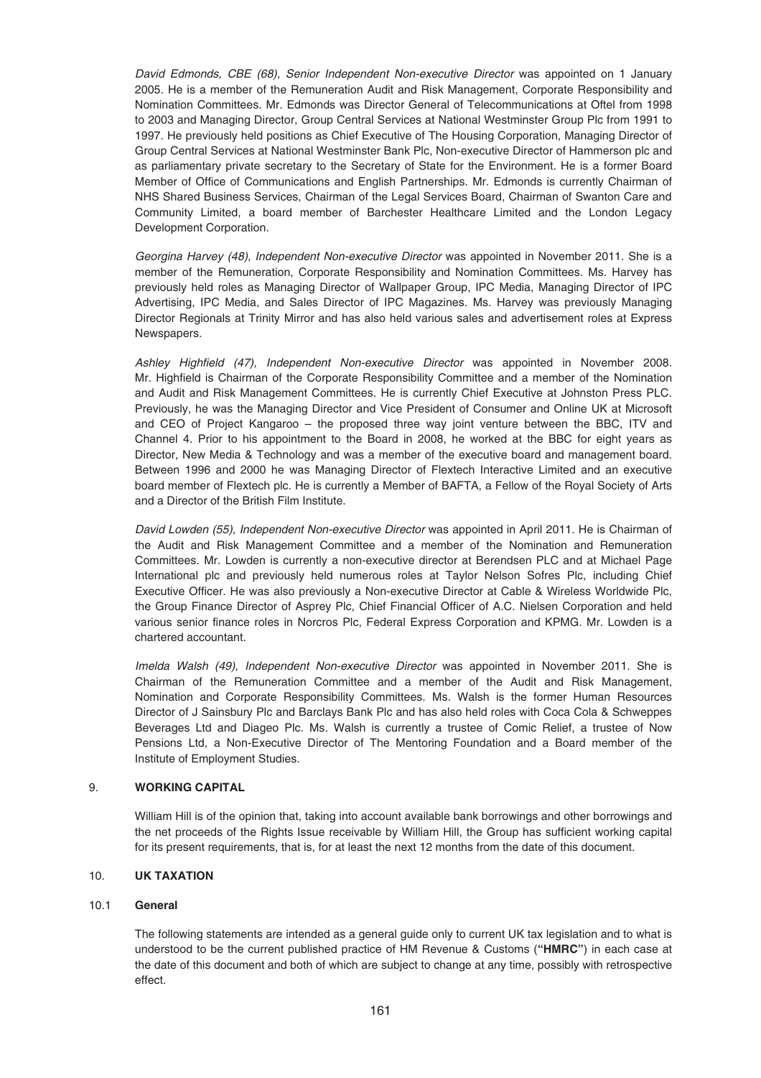David Edmonds, CBE (68), Senior Independent Non-executive Director was appointed on 1 January 2005. He is a member of the Remuneration Audit and Risk Management, Corporate Responsibility and Nomination Committees. Mr. Edmonds was Director General of Telecommunications at Oftel from 1998 to 2003 and Managing Director, Group Central Services at National Westminster Group Plc from 1991 to 1997. He previously held positions as Chief Executive of The Housing Corporation, Managing Director of Group Central Services at National Westminster Bank Plc, Non-executive Director of Hammerson plc and as parliamentary private secretary to the Secretary of State for the Environment. He is a former Board Member of Office of Communications and English Partnerships. Mr. Edmonds is currently Chairman of NHS Shared Business Services, Chairman of the Legal Services Board, Chairman of Swanton Care and Community Limited, a board member of Barchester Healthcare Limited and the London Legacy Development Corporation.

Georgina Harvey (48), Independent Non-executive Director was appointed in November 2011. She is a member of the Remuneration, Corporate Responsibility and Nomination Committees. Ms. Harvey has previously held roles as Managing Director of Wallpaper Group, IPC Media, Managing Director of IPC Advertising, IPC Media, and Sales Director of IPC Magazines. Ms. Harvey was previously Managing Director Regionals at Trinity Mirror and has also held various sales and advertisement roles at Express Newspapers.

Ashley Highfield (47), Independent Non-executive Director was appointed in November 2008. Mr. Highfield is Chairman of the Corporate Responsibility Committee and a member of the Nomination and Audit and Risk Management Committees. He is currently Chief Executive at Johnston Press PLC. Previously, he was the Managing Director and Vice President of Consumer and Online UK at Microsoft and CEO of Project Kangaroo – the proposed three way joint venture between the BBC, ITV and Channel 4. Prior to his appointment to the Board in 2008, he worked at the BBC for eight years as Director, New Media & Technology and was a member of the executive board and management board. Between 1996 and 2000 he was Managing Director of Flextech Interactive Limited and an executive board member of Flextech plc. He is currently a Member of BAFTA, a Fellow of the Royal Society of Arts and a Director of the British Film Institute.

David Lowden (55), Independent Non-executive Director was appointed in April 2011. He is Chairman of the Audit and Risk Management Committee and a member of the Nomination and Remuneration Committees. Mr. Lowden is currently a non-executive director at Berendsen PLC and at Michael Page International plc and previously held numerous roles at Taylor Nelson Sofres Plc, including Chief Executive Officer. He was also previously a Non-executive Director at Cable & Wireless Worldwide Plc, the Group Finance Director of Asprey Plc, Chief Financial Officer of A.C. Nielsen Corporation and held various senior finance roles in Norcros Plc, Federal Express Corporation and KPMG. Mr. Lowden is a chartered accountant.

Imelda Walsh (49), Independent Non-executive Director was appointed in November 2011. She is Chairman of the Remuneration Committee and a member of the Audit and Risk Management, Nomination and Corporate Responsibility Committees. Ms. Walsh is the former Human Resources Director of J Sainsbury Plc and Barclays Bank Plc and has also held roles with Coca Cola & Schweppes Beverages Ltd and Diageo Plc. Ms. Walsh is currently a trustee of Comic Relief, a trustee of Now Pensions Ltd, a Non-Executive Director of The Mentoring Foundation and a Board member of the Institute of Employment Studies.

# 9. **WORKING CAPITAL**

William Hill is of the opinion that, taking into account available bank borrowings and other borrowings and the net proceeds of the Rights Issue receivable by William Hill, the Group has sufficient working capital for its present requirements, that is, for at least the next 12 months from the date of this document.

# 10. **UK TAXATION**

### 10.1 **General**

The following statements are intended as a general guide only to current UK tax legislation and to what is understood to be the current published practice of HM Revenue & Customs (**"HMRC"**) in each case at the date of this document and both of which are subject to change at any time, possibly with retrospective effect.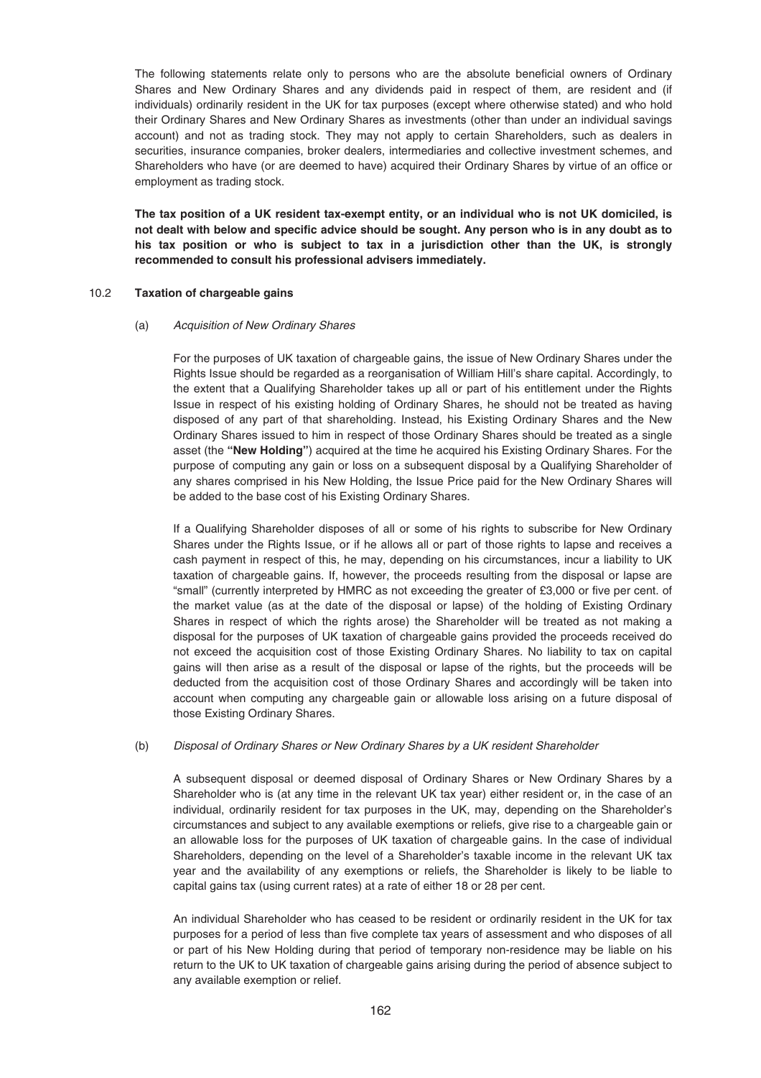The following statements relate only to persons who are the absolute beneficial owners of Ordinary Shares and New Ordinary Shares and any dividends paid in respect of them, are resident and (if individuals) ordinarily resident in the UK for tax purposes (except where otherwise stated) and who hold their Ordinary Shares and New Ordinary Shares as investments (other than under an individual savings account) and not as trading stock. They may not apply to certain Shareholders, such as dealers in securities, insurance companies, broker dealers, intermediaries and collective investment schemes, and Shareholders who have (or are deemed to have) acquired their Ordinary Shares by virtue of an office or employment as trading stock.

**The tax position of a UK resident tax-exempt entity, or an individual who is not UK domiciled, is not dealt with below and specific advice should be sought. Any person who is in any doubt as to his tax position or who is subject to tax in a jurisdiction other than the UK, is strongly recommended to consult his professional advisers immediately.**

### 10.2 **Taxation of chargeable gains**

#### (a) Acquisition of New Ordinary Shares

For the purposes of UK taxation of chargeable gains, the issue of New Ordinary Shares under the Rights Issue should be regarded as a reorganisation of William Hill's share capital. Accordingly, to the extent that a Qualifying Shareholder takes up all or part of his entitlement under the Rights Issue in respect of his existing holding of Ordinary Shares, he should not be treated as having disposed of any part of that shareholding. Instead, his Existing Ordinary Shares and the New Ordinary Shares issued to him in respect of those Ordinary Shares should be treated as a single asset (the **"New Holding"**) acquired at the time he acquired his Existing Ordinary Shares. For the purpose of computing any gain or loss on a subsequent disposal by a Qualifying Shareholder of any shares comprised in his New Holding, the Issue Price paid for the New Ordinary Shares will be added to the base cost of his Existing Ordinary Shares.

If a Qualifying Shareholder disposes of all or some of his rights to subscribe for New Ordinary Shares under the Rights Issue, or if he allows all or part of those rights to lapse and receives a cash payment in respect of this, he may, depending on his circumstances, incur a liability to UK taxation of chargeable gains. If, however, the proceeds resulting from the disposal or lapse are "small" (currently interpreted by HMRC as not exceeding the greater of £3,000 or five per cent. of the market value (as at the date of the disposal or lapse) of the holding of Existing Ordinary Shares in respect of which the rights arose) the Shareholder will be treated as not making a disposal for the purposes of UK taxation of chargeable gains provided the proceeds received do not exceed the acquisition cost of those Existing Ordinary Shares. No liability to tax on capital gains will then arise as a result of the disposal or lapse of the rights, but the proceeds will be deducted from the acquisition cost of those Ordinary Shares and accordingly will be taken into account when computing any chargeable gain or allowable loss arising on a future disposal of those Existing Ordinary Shares.

#### (b) Disposal of Ordinary Shares or New Ordinary Shares by a UK resident Shareholder

A subsequent disposal or deemed disposal of Ordinary Shares or New Ordinary Shares by a Shareholder who is (at any time in the relevant UK tax year) either resident or, in the case of an individual, ordinarily resident for tax purposes in the UK, may, depending on the Shareholder's circumstances and subject to any available exemptions or reliefs, give rise to a chargeable gain or an allowable loss for the purposes of UK taxation of chargeable gains. In the case of individual Shareholders, depending on the level of a Shareholder's taxable income in the relevant UK tax year and the availability of any exemptions or reliefs, the Shareholder is likely to be liable to capital gains tax (using current rates) at a rate of either 18 or 28 per cent.

An individual Shareholder who has ceased to be resident or ordinarily resident in the UK for tax purposes for a period of less than five complete tax years of assessment and who disposes of all or part of his New Holding during that period of temporary non-residence may be liable on his return to the UK to UK taxation of chargeable gains arising during the period of absence subject to any available exemption or relief.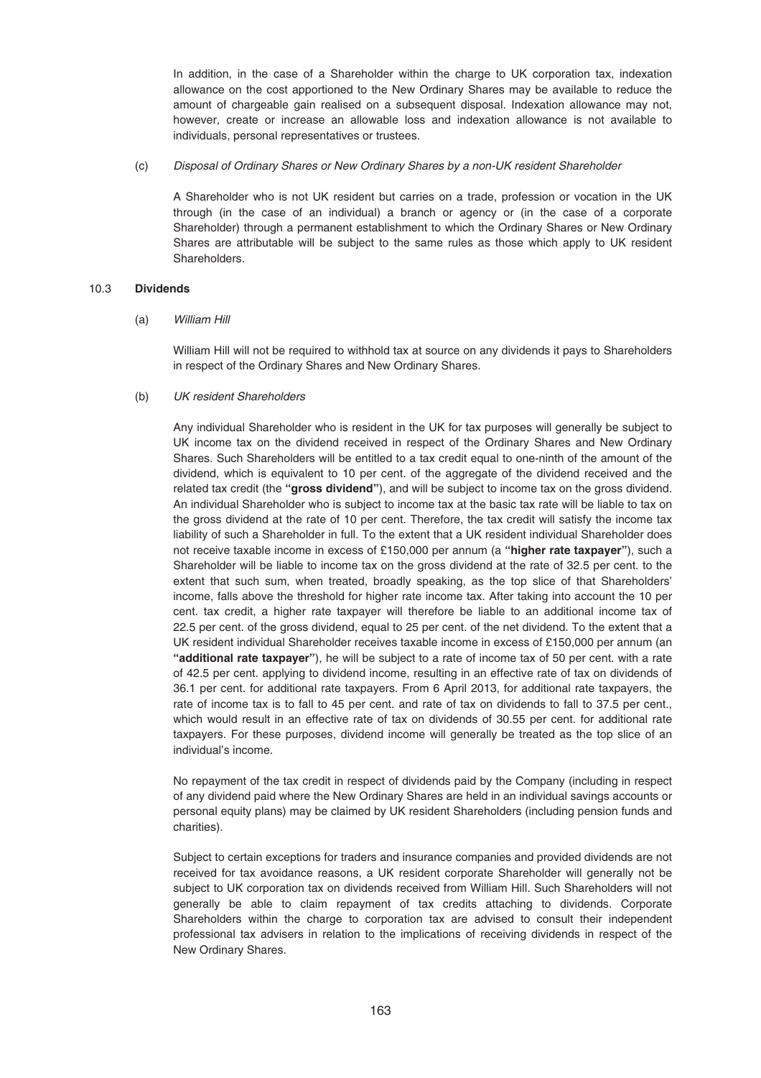In addition, in the case of a Shareholder within the charge to UK corporation tax, indexation allowance on the cost apportioned to the New Ordinary Shares may be available to reduce the amount of chargeable gain realised on a subsequent disposal. Indexation allowance may not, however, create or increase an allowable loss and indexation allowance is not available to individuals, personal representatives or trustees.

(c) Disposal of Ordinary Shares or New Ordinary Shares by a non-UK resident Shareholder

A Shareholder who is not UK resident but carries on a trade, profession or vocation in the UK through (in the case of an individual) a branch or agency or (in the case of a corporate Shareholder) through a permanent establishment to which the Ordinary Shares or New Ordinary Shares are attributable will be subject to the same rules as those which apply to UK resident Shareholders.

## 10.3 **Dividends**

(a) William Hill

William Hill will not be required to withhold tax at source on any dividends it pays to Shareholders in respect of the Ordinary Shares and New Ordinary Shares.

## (b) UK resident Shareholders

Any individual Shareholder who is resident in the UK for tax purposes will generally be subject to UK income tax on the dividend received in respect of the Ordinary Shares and New Ordinary Shares. Such Shareholders will be entitled to a tax credit equal to one-ninth of the amount of the dividend, which is equivalent to 10 per cent. of the aggregate of the dividend received and the related tax credit (the **"gross dividend"**), and will be subject to income tax on the gross dividend. An individual Shareholder who is subject to income tax at the basic tax rate will be liable to tax on the gross dividend at the rate of 10 per cent. Therefore, the tax credit will satisfy the income tax liability of such a Shareholder in full. To the extent that a UK resident individual Shareholder does not receive taxable income in excess of £150,000 per annum (a **"higher rate taxpayer"**), such a Shareholder will be liable to income tax on the gross dividend at the rate of 32.5 per cent. to the extent that such sum, when treated, broadly speaking, as the top slice of that Shareholders' income, falls above the threshold for higher rate income tax. After taking into account the 10 per cent. tax credit, a higher rate taxpayer will therefore be liable to an additional income tax of 22.5 per cent. of the gross dividend, equal to 25 per cent. of the net dividend. To the extent that a UK resident individual Shareholder receives taxable income in excess of £150,000 per annum (an **"additional rate taxpayer"**), he will be subject to a rate of income tax of 50 per cent. with a rate of 42.5 per cent. applying to dividend income, resulting in an effective rate of tax on dividends of 36.1 per cent. for additional rate taxpayers. From 6 April 2013, for additional rate taxpayers, the rate of income tax is to fall to 45 per cent. and rate of tax on dividends to fall to 37.5 per cent., which would result in an effective rate of tax on dividends of 30.55 per cent. for additional rate taxpayers. For these purposes, dividend income will generally be treated as the top slice of an individual's income.

No repayment of the tax credit in respect of dividends paid by the Company (including in respect of any dividend paid where the New Ordinary Shares are held in an individual savings accounts or personal equity plans) may be claimed by UK resident Shareholders (including pension funds and charities).

Subject to certain exceptions for traders and insurance companies and provided dividends are not received for tax avoidance reasons, a UK resident corporate Shareholder will generally not be subject to UK corporation tax on dividends received from William Hill. Such Shareholders will not generally be able to claim repayment of tax credits attaching to dividends. Corporate Shareholders within the charge to corporation tax are advised to consult their independent professional tax advisers in relation to the implications of receiving dividends in respect of the New Ordinary Shares.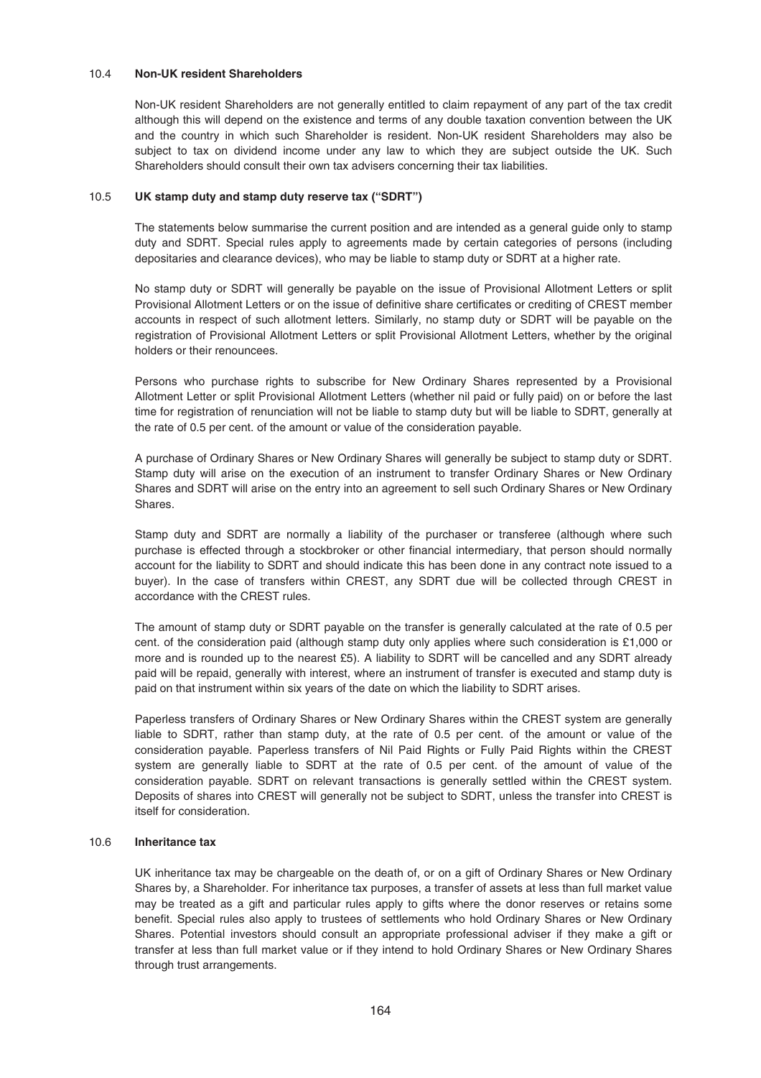### 10.4 **Non-UK resident Shareholders**

Non-UK resident Shareholders are not generally entitled to claim repayment of any part of the tax credit although this will depend on the existence and terms of any double taxation convention between the UK and the country in which such Shareholder is resident. Non-UK resident Shareholders may also be subject to tax on dividend income under any law to which they are subject outside the UK. Such Shareholders should consult their own tax advisers concerning their tax liabilities.

## 10.5 **UK stamp duty and stamp duty reserve tax ("SDRT")**

The statements below summarise the current position and are intended as a general guide only to stamp duty and SDRT. Special rules apply to agreements made by certain categories of persons (including depositaries and clearance devices), who may be liable to stamp duty or SDRT at a higher rate.

No stamp duty or SDRT will generally be payable on the issue of Provisional Allotment Letters or split Provisional Allotment Letters or on the issue of definitive share certificates or crediting of CREST member accounts in respect of such allotment letters. Similarly, no stamp duty or SDRT will be payable on the registration of Provisional Allotment Letters or split Provisional Allotment Letters, whether by the original holders or their renouncees.

Persons who purchase rights to subscribe for New Ordinary Shares represented by a Provisional Allotment Letter or split Provisional Allotment Letters (whether nil paid or fully paid) on or before the last time for registration of renunciation will not be liable to stamp duty but will be liable to SDRT, generally at the rate of 0.5 per cent. of the amount or value of the consideration payable.

A purchase of Ordinary Shares or New Ordinary Shares will generally be subject to stamp duty or SDRT. Stamp duty will arise on the execution of an instrument to transfer Ordinary Shares or New Ordinary Shares and SDRT will arise on the entry into an agreement to sell such Ordinary Shares or New Ordinary Shares.

Stamp duty and SDRT are normally a liability of the purchaser or transferee (although where such purchase is effected through a stockbroker or other financial intermediary, that person should normally account for the liability to SDRT and should indicate this has been done in any contract note issued to a buyer). In the case of transfers within CREST, any SDRT due will be collected through CREST in accordance with the CREST rules.

The amount of stamp duty or SDRT payable on the transfer is generally calculated at the rate of 0.5 per cent. of the consideration paid (although stamp duty only applies where such consideration is £1,000 or more and is rounded up to the nearest £5). A liability to SDRT will be cancelled and any SDRT already paid will be repaid, generally with interest, where an instrument of transfer is executed and stamp duty is paid on that instrument within six years of the date on which the liability to SDRT arises.

Paperless transfers of Ordinary Shares or New Ordinary Shares within the CREST system are generally liable to SDRT, rather than stamp duty, at the rate of 0.5 per cent. of the amount or value of the consideration payable. Paperless transfers of Nil Paid Rights or Fully Paid Rights within the CREST system are generally liable to SDRT at the rate of 0.5 per cent. of the amount of value of the consideration payable. SDRT on relevant transactions is generally settled within the CREST system. Deposits of shares into CREST will generally not be subject to SDRT, unless the transfer into CREST is itself for consideration.

## 10.6 **Inheritance tax**

UK inheritance tax may be chargeable on the death of, or on a gift of Ordinary Shares or New Ordinary Shares by, a Shareholder. For inheritance tax purposes, a transfer of assets at less than full market value may be treated as a gift and particular rules apply to gifts where the donor reserves or retains some benefit. Special rules also apply to trustees of settlements who hold Ordinary Shares or New Ordinary Shares. Potential investors should consult an appropriate professional adviser if they make a gift or transfer at less than full market value or if they intend to hold Ordinary Shares or New Ordinary Shares through trust arrangements.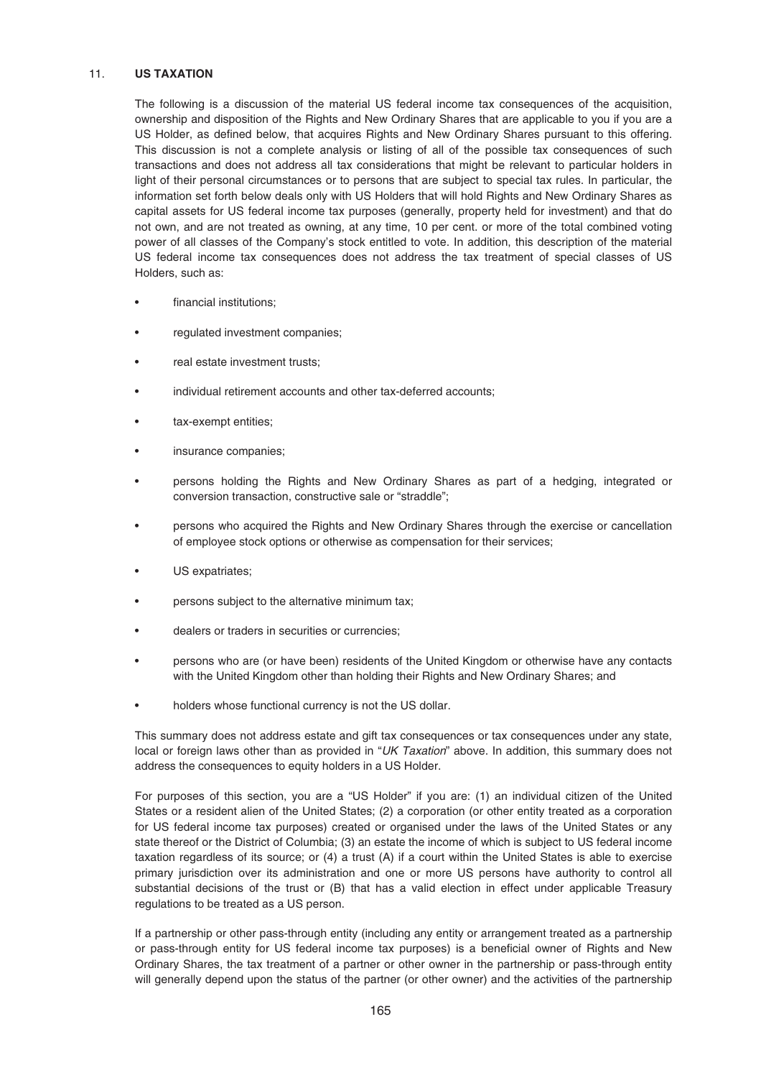### 11. **US TAXATION**

The following is a discussion of the material US federal income tax consequences of the acquisition, ownership and disposition of the Rights and New Ordinary Shares that are applicable to you if you are a US Holder, as defined below, that acquires Rights and New Ordinary Shares pursuant to this offering. This discussion is not a complete analysis or listing of all of the possible tax consequences of such transactions and does not address all tax considerations that might be relevant to particular holders in light of their personal circumstances or to persons that are subject to special tax rules. In particular, the information set forth below deals only with US Holders that will hold Rights and New Ordinary Shares as capital assets for US federal income tax purposes (generally, property held for investment) and that do not own, and are not treated as owning, at any time, 10 per cent. or more of the total combined voting power of all classes of the Company's stock entitled to vote. In addition, this description of the material US federal income tax consequences does not address the tax treatment of special classes of US Holders, such as:

- financial institutions:
- regulated investment companies;
- real estate investment trusts:
- individual retirement accounts and other tax-deferred accounts;
- tax-exempt entities:
- insurance companies;
- persons holding the Rights and New Ordinary Shares as part of a hedging, integrated or conversion transaction, constructive sale or "straddle";
- persons who acquired the Rights and New Ordinary Shares through the exercise or cancellation of employee stock options or otherwise as compensation for their services;
- US expatriates:
- persons subject to the alternative minimum tax;
- dealers or traders in securities or currencies;
- persons who are (or have been) residents of the United Kingdom or otherwise have any contacts with the United Kingdom other than holding their Rights and New Ordinary Shares; and
- holders whose functional currency is not the US dollar.

This summary does not address estate and gift tax consequences or tax consequences under any state, local or foreign laws other than as provided in "UK Taxation" above. In addition, this summary does not address the consequences to equity holders in a US Holder.

For purposes of this section, you are a "US Holder" if you are: (1) an individual citizen of the United States or a resident alien of the United States; (2) a corporation (or other entity treated as a corporation for US federal income tax purposes) created or organised under the laws of the United States or any state thereof or the District of Columbia; (3) an estate the income of which is subject to US federal income taxation regardless of its source; or (4) a trust (A) if a court within the United States is able to exercise primary jurisdiction over its administration and one or more US persons have authority to control all substantial decisions of the trust or (B) that has a valid election in effect under applicable Treasury regulations to be treated as a US person.

If a partnership or other pass-through entity (including any entity or arrangement treated as a partnership or pass-through entity for US federal income tax purposes) is a beneficial owner of Rights and New Ordinary Shares, the tax treatment of a partner or other owner in the partnership or pass-through entity will generally depend upon the status of the partner (or other owner) and the activities of the partnership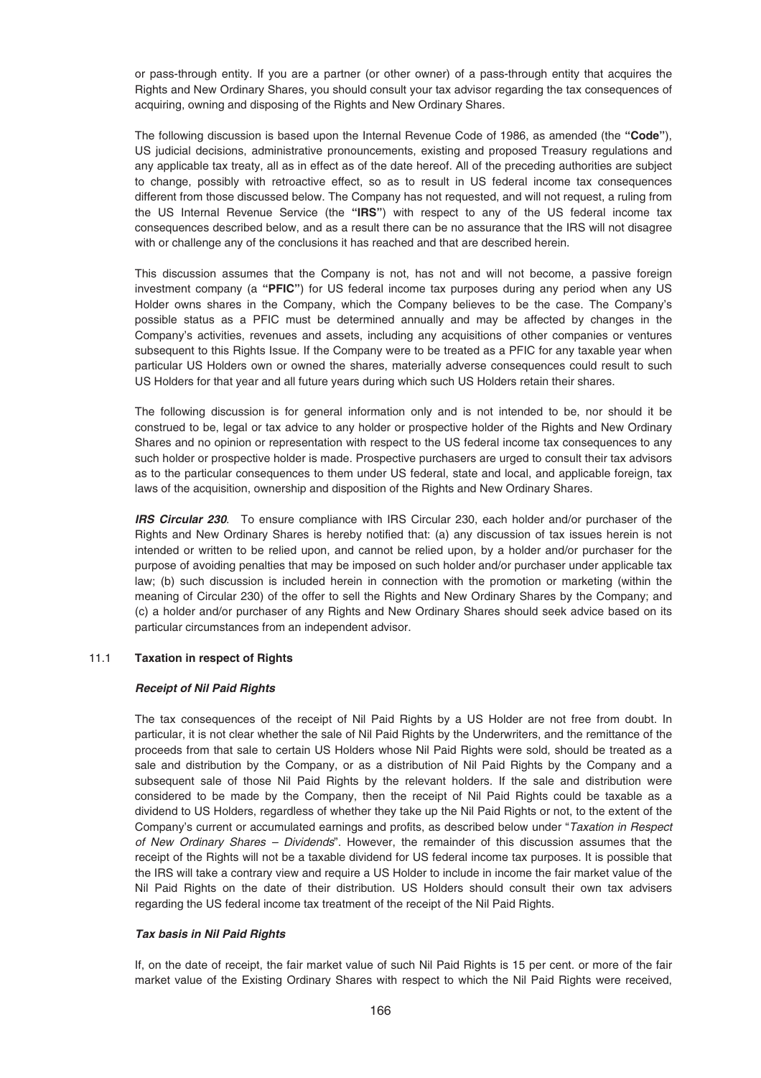or pass-through entity. If you are a partner (or other owner) of a pass-through entity that acquires the Rights and New Ordinary Shares, you should consult your tax advisor regarding the tax consequences of acquiring, owning and disposing of the Rights and New Ordinary Shares.

The following discussion is based upon the Internal Revenue Code of 1986, as amended (the **"Code"**), US judicial decisions, administrative pronouncements, existing and proposed Treasury regulations and any applicable tax treaty, all as in effect as of the date hereof. All of the preceding authorities are subject to change, possibly with retroactive effect, so as to result in US federal income tax consequences different from those discussed below. The Company has not requested, and will not request, a ruling from the US Internal Revenue Service (the **"IRS"**) with respect to any of the US federal income tax consequences described below, and as a result there can be no assurance that the IRS will not disagree with or challenge any of the conclusions it has reached and that are described herein.

This discussion assumes that the Company is not, has not and will not become, a passive foreign investment company (a **"PFIC"**) for US federal income tax purposes during any period when any US Holder owns shares in the Company, which the Company believes to be the case. The Company's possible status as a PFIC must be determined annually and may be affected by changes in the Company's activities, revenues and assets, including any acquisitions of other companies or ventures subsequent to this Rights Issue. If the Company were to be treated as a PFIC for any taxable year when particular US Holders own or owned the shares, materially adverse consequences could result to such US Holders for that year and all future years during which such US Holders retain their shares.

The following discussion is for general information only and is not intended to be, nor should it be construed to be, legal or tax advice to any holder or prospective holder of the Rights and New Ordinary Shares and no opinion or representation with respect to the US federal income tax consequences to any such holder or prospective holder is made. Prospective purchasers are urged to consult their tax advisors as to the particular consequences to them under US federal, state and local, and applicable foreign, tax laws of the acquisition, ownership and disposition of the Rights and New Ordinary Shares.

*IRS Circular 230*. To ensure compliance with IRS Circular 230, each holder and/or purchaser of the Rights and New Ordinary Shares is hereby notified that: (a) any discussion of tax issues herein is not intended or written to be relied upon, and cannot be relied upon, by a holder and/or purchaser for the purpose of avoiding penalties that may be imposed on such holder and/or purchaser under applicable tax law; (b) such discussion is included herein in connection with the promotion or marketing (within the meaning of Circular 230) of the offer to sell the Rights and New Ordinary Shares by the Company; and (c) a holder and/or purchaser of any Rights and New Ordinary Shares should seek advice based on its particular circumstances from an independent advisor.

# 11.1 **Taxation in respect of Rights**

### *Receipt of Nil Paid Rights*

The tax consequences of the receipt of Nil Paid Rights by a US Holder are not free from doubt. In particular, it is not clear whether the sale of Nil Paid Rights by the Underwriters, and the remittance of the proceeds from that sale to certain US Holders whose Nil Paid Rights were sold, should be treated as a sale and distribution by the Company, or as a distribution of Nil Paid Rights by the Company and a subsequent sale of those Nil Paid Rights by the relevant holders. If the sale and distribution were considered to be made by the Company, then the receipt of Nil Paid Rights could be taxable as a dividend to US Holders, regardless of whether they take up the Nil Paid Rights or not, to the extent of the Company's current or accumulated earnings and profits, as described below under "Taxation in Respect of New Ordinary Shares – Dividends". However, the remainder of this discussion assumes that the receipt of the Rights will not be a taxable dividend for US federal income tax purposes. It is possible that the IRS will take a contrary view and require a US Holder to include in income the fair market value of the Nil Paid Rights on the date of their distribution. US Holders should consult their own tax advisers regarding the US federal income tax treatment of the receipt of the Nil Paid Rights.

# *Tax basis in Nil Paid Rights*

If, on the date of receipt, the fair market value of such Nil Paid Rights is 15 per cent. or more of the fair market value of the Existing Ordinary Shares with respect to which the Nil Paid Rights were received,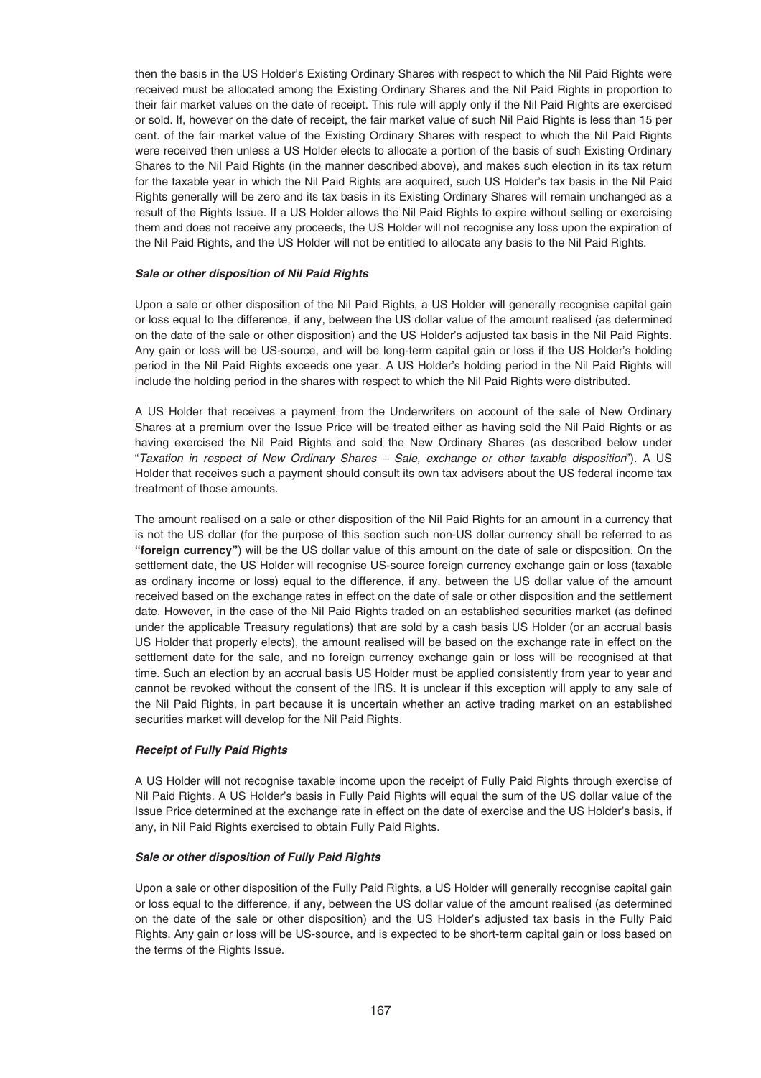then the basis in the US Holder's Existing Ordinary Shares with respect to which the Nil Paid Rights were received must be allocated among the Existing Ordinary Shares and the Nil Paid Rights in proportion to their fair market values on the date of receipt. This rule will apply only if the Nil Paid Rights are exercised or sold. If, however on the date of receipt, the fair market value of such Nil Paid Rights is less than 15 per cent. of the fair market value of the Existing Ordinary Shares with respect to which the Nil Paid Rights were received then unless a US Holder elects to allocate a portion of the basis of such Existing Ordinary Shares to the Nil Paid Rights (in the manner described above), and makes such election in its tax return for the taxable year in which the Nil Paid Rights are acquired, such US Holder's tax basis in the Nil Paid Rights generally will be zero and its tax basis in its Existing Ordinary Shares will remain unchanged as a result of the Rights Issue. If a US Holder allows the Nil Paid Rights to expire without selling or exercising them and does not receive any proceeds, the US Holder will not recognise any loss upon the expiration of the Nil Paid Rights, and the US Holder will not be entitled to allocate any basis to the Nil Paid Rights.

# *Sale or other disposition of Nil Paid Rights*

Upon a sale or other disposition of the Nil Paid Rights, a US Holder will generally recognise capital gain or loss equal to the difference, if any, between the US dollar value of the amount realised (as determined on the date of the sale or other disposition) and the US Holder's adjusted tax basis in the Nil Paid Rights. Any gain or loss will be US-source, and will be long-term capital gain or loss if the US Holder's holding period in the Nil Paid Rights exceeds one year. A US Holder's holding period in the Nil Paid Rights will include the holding period in the shares with respect to which the Nil Paid Rights were distributed.

A US Holder that receives a payment from the Underwriters on account of the sale of New Ordinary Shares at a premium over the Issue Price will be treated either as having sold the Nil Paid Rights or as having exercised the Nil Paid Rights and sold the New Ordinary Shares (as described below under "Taxation in respect of New Ordinary Shares – Sale, exchange or other taxable disposition"). A US Holder that receives such a payment should consult its own tax advisers about the US federal income tax treatment of those amounts.

The amount realised on a sale or other disposition of the Nil Paid Rights for an amount in a currency that is not the US dollar (for the purpose of this section such non-US dollar currency shall be referred to as **"foreign currency"**) will be the US dollar value of this amount on the date of sale or disposition. On the settlement date, the US Holder will recognise US-source foreign currency exchange gain or loss (taxable as ordinary income or loss) equal to the difference, if any, between the US dollar value of the amount received based on the exchange rates in effect on the date of sale or other disposition and the settlement date. However, in the case of the Nil Paid Rights traded on an established securities market (as defined under the applicable Treasury regulations) that are sold by a cash basis US Holder (or an accrual basis US Holder that properly elects), the amount realised will be based on the exchange rate in effect on the settlement date for the sale, and no foreign currency exchange gain or loss will be recognised at that time. Such an election by an accrual basis US Holder must be applied consistently from year to year and cannot be revoked without the consent of the IRS. It is unclear if this exception will apply to any sale of the Nil Paid Rights, in part because it is uncertain whether an active trading market on an established securities market will develop for the Nil Paid Rights.

# *Receipt of Fully Paid Rights*

A US Holder will not recognise taxable income upon the receipt of Fully Paid Rights through exercise of Nil Paid Rights. A US Holder's basis in Fully Paid Rights will equal the sum of the US dollar value of the Issue Price determined at the exchange rate in effect on the date of exercise and the US Holder's basis, if any, in Nil Paid Rights exercised to obtain Fully Paid Rights.

### *Sale or other disposition of Fully Paid Rights*

Upon a sale or other disposition of the Fully Paid Rights, a US Holder will generally recognise capital gain or loss equal to the difference, if any, between the US dollar value of the amount realised (as determined on the date of the sale or other disposition) and the US Holder's adjusted tax basis in the Fully Paid Rights. Any gain or loss will be US-source, and is expected to be short-term capital gain or loss based on the terms of the Rights Issue.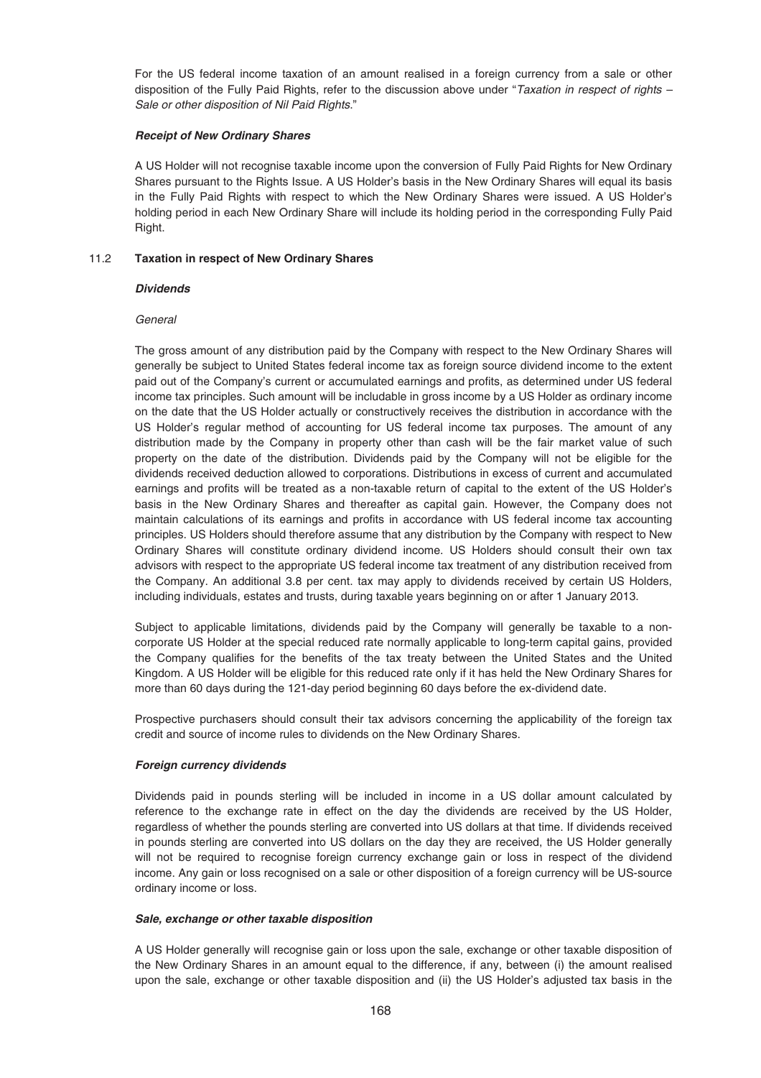For the US federal income taxation of an amount realised in a foreign currency from a sale or other disposition of the Fully Paid Rights, refer to the discussion above under "Taxation in respect of rights – Sale or other disposition of Nil Paid Rights."

### *Receipt of New Ordinary Shares*

A US Holder will not recognise taxable income upon the conversion of Fully Paid Rights for New Ordinary Shares pursuant to the Rights Issue. A US Holder's basis in the New Ordinary Shares will equal its basis in the Fully Paid Rights with respect to which the New Ordinary Shares were issued. A US Holder's holding period in each New Ordinary Share will include its holding period in the corresponding Fully Paid Right.

## 11.2 **Taxation in respect of New Ordinary Shares**

## *Dividends*

## **General**

The gross amount of any distribution paid by the Company with respect to the New Ordinary Shares will generally be subject to United States federal income tax as foreign source dividend income to the extent paid out of the Company's current or accumulated earnings and profits, as determined under US federal income tax principles. Such amount will be includable in gross income by a US Holder as ordinary income on the date that the US Holder actually or constructively receives the distribution in accordance with the US Holder's regular method of accounting for US federal income tax purposes. The amount of any distribution made by the Company in property other than cash will be the fair market value of such property on the date of the distribution. Dividends paid by the Company will not be eligible for the dividends received deduction allowed to corporations. Distributions in excess of current and accumulated earnings and profits will be treated as a non-taxable return of capital to the extent of the US Holder's basis in the New Ordinary Shares and thereafter as capital gain. However, the Company does not maintain calculations of its earnings and profits in accordance with US federal income tax accounting principles. US Holders should therefore assume that any distribution by the Company with respect to New Ordinary Shares will constitute ordinary dividend income. US Holders should consult their own tax advisors with respect to the appropriate US federal income tax treatment of any distribution received from the Company. An additional 3.8 per cent. tax may apply to dividends received by certain US Holders, including individuals, estates and trusts, during taxable years beginning on or after 1 January 2013.

Subject to applicable limitations, dividends paid by the Company will generally be taxable to a noncorporate US Holder at the special reduced rate normally applicable to long-term capital gains, provided the Company qualifies for the benefits of the tax treaty between the United States and the United Kingdom. A US Holder will be eligible for this reduced rate only if it has held the New Ordinary Shares for more than 60 days during the 121-day period beginning 60 days before the ex-dividend date.

Prospective purchasers should consult their tax advisors concerning the applicability of the foreign tax credit and source of income rules to dividends on the New Ordinary Shares.

### *Foreign currency dividends*

Dividends paid in pounds sterling will be included in income in a US dollar amount calculated by reference to the exchange rate in effect on the day the dividends are received by the US Holder, regardless of whether the pounds sterling are converted into US dollars at that time. If dividends received in pounds sterling are converted into US dollars on the day they are received, the US Holder generally will not be required to recognise foreign currency exchange gain or loss in respect of the dividend income. Any gain or loss recognised on a sale or other disposition of a foreign currency will be US-source ordinary income or loss.

### *Sale, exchange or other taxable disposition*

A US Holder generally will recognise gain or loss upon the sale, exchange or other taxable disposition of the New Ordinary Shares in an amount equal to the difference, if any, between (i) the amount realised upon the sale, exchange or other taxable disposition and (ii) the US Holder's adjusted tax basis in the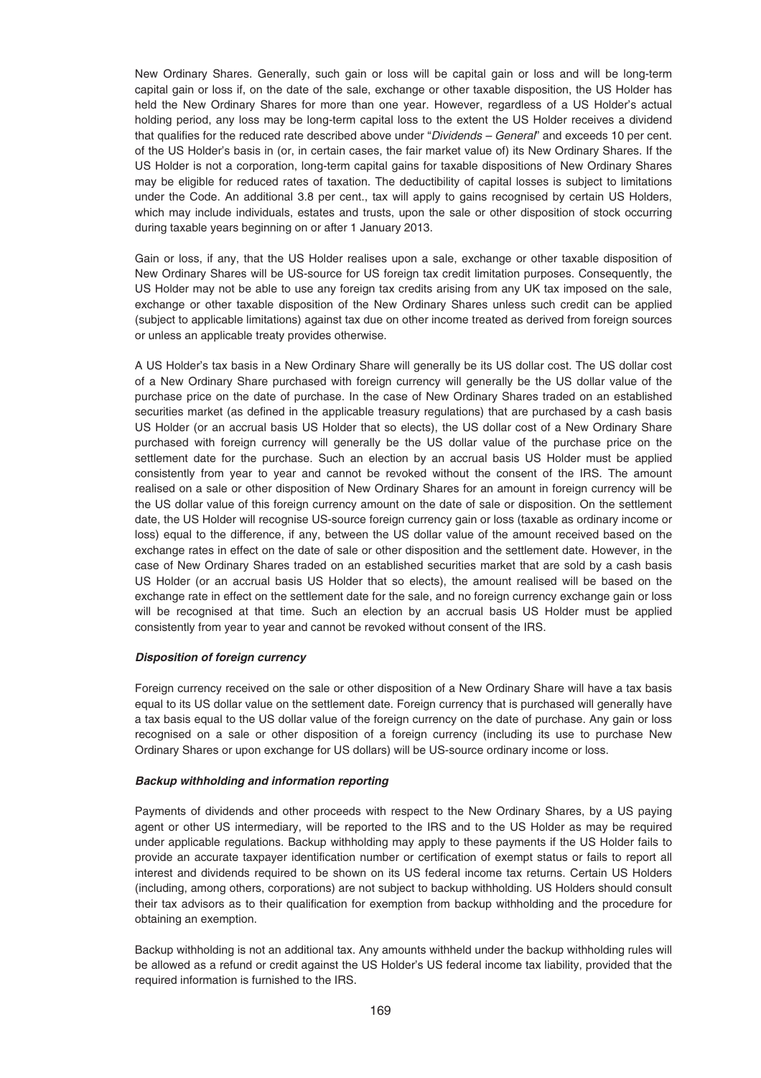New Ordinary Shares. Generally, such gain or loss will be capital gain or loss and will be long-term capital gain or loss if, on the date of the sale, exchange or other taxable disposition, the US Holder has held the New Ordinary Shares for more than one year. However, regardless of a US Holder's actual holding period, any loss may be long-term capital loss to the extent the US Holder receives a dividend that qualifies for the reduced rate described above under "Dividends – General" and exceeds 10 per cent. of the US Holder's basis in (or, in certain cases, the fair market value of) its New Ordinary Shares. If the US Holder is not a corporation, long-term capital gains for taxable dispositions of New Ordinary Shares may be eligible for reduced rates of taxation. The deductibility of capital losses is subject to limitations under the Code. An additional 3.8 per cent., tax will apply to gains recognised by certain US Holders, which may include individuals, estates and trusts, upon the sale or other disposition of stock occurring during taxable years beginning on or after 1 January 2013.

Gain or loss, if any, that the US Holder realises upon a sale, exchange or other taxable disposition of New Ordinary Shares will be US-source for US foreign tax credit limitation purposes. Consequently, the US Holder may not be able to use any foreign tax credits arising from any UK tax imposed on the sale, exchange or other taxable disposition of the New Ordinary Shares unless such credit can be applied (subject to applicable limitations) against tax due on other income treated as derived from foreign sources or unless an applicable treaty provides otherwise.

A US Holder's tax basis in a New Ordinary Share will generally be its US dollar cost. The US dollar cost of a New Ordinary Share purchased with foreign currency will generally be the US dollar value of the purchase price on the date of purchase. In the case of New Ordinary Shares traded on an established securities market (as defined in the applicable treasury regulations) that are purchased by a cash basis US Holder (or an accrual basis US Holder that so elects), the US dollar cost of a New Ordinary Share purchased with foreign currency will generally be the US dollar value of the purchase price on the settlement date for the purchase. Such an election by an accrual basis US Holder must be applied consistently from year to year and cannot be revoked without the consent of the IRS. The amount realised on a sale or other disposition of New Ordinary Shares for an amount in foreign currency will be the US dollar value of this foreign currency amount on the date of sale or disposition. On the settlement date, the US Holder will recognise US-source foreign currency gain or loss (taxable as ordinary income or loss) equal to the difference, if any, between the US dollar value of the amount received based on the exchange rates in effect on the date of sale or other disposition and the settlement date. However, in the case of New Ordinary Shares traded on an established securities market that are sold by a cash basis US Holder (or an accrual basis US Holder that so elects), the amount realised will be based on the exchange rate in effect on the settlement date for the sale, and no foreign currency exchange gain or loss will be recognised at that time. Such an election by an accrual basis US Holder must be applied consistently from year to year and cannot be revoked without consent of the IRS.

### *Disposition of foreign currency*

Foreign currency received on the sale or other disposition of a New Ordinary Share will have a tax basis equal to its US dollar value on the settlement date. Foreign currency that is purchased will generally have a tax basis equal to the US dollar value of the foreign currency on the date of purchase. Any gain or loss recognised on a sale or other disposition of a foreign currency (including its use to purchase New Ordinary Shares or upon exchange for US dollars) will be US-source ordinary income or loss.

### *Backup withholding and information reporting*

Payments of dividends and other proceeds with respect to the New Ordinary Shares, by a US paying agent or other US intermediary, will be reported to the IRS and to the US Holder as may be required under applicable regulations. Backup withholding may apply to these payments if the US Holder fails to provide an accurate taxpayer identification number or certification of exempt status or fails to report all interest and dividends required to be shown on its US federal income tax returns. Certain US Holders (including, among others, corporations) are not subject to backup withholding. US Holders should consult their tax advisors as to their qualification for exemption from backup withholding and the procedure for obtaining an exemption.

Backup withholding is not an additional tax. Any amounts withheld under the backup withholding rules will be allowed as a refund or credit against the US Holder's US federal income tax liability, provided that the required information is furnished to the IRS.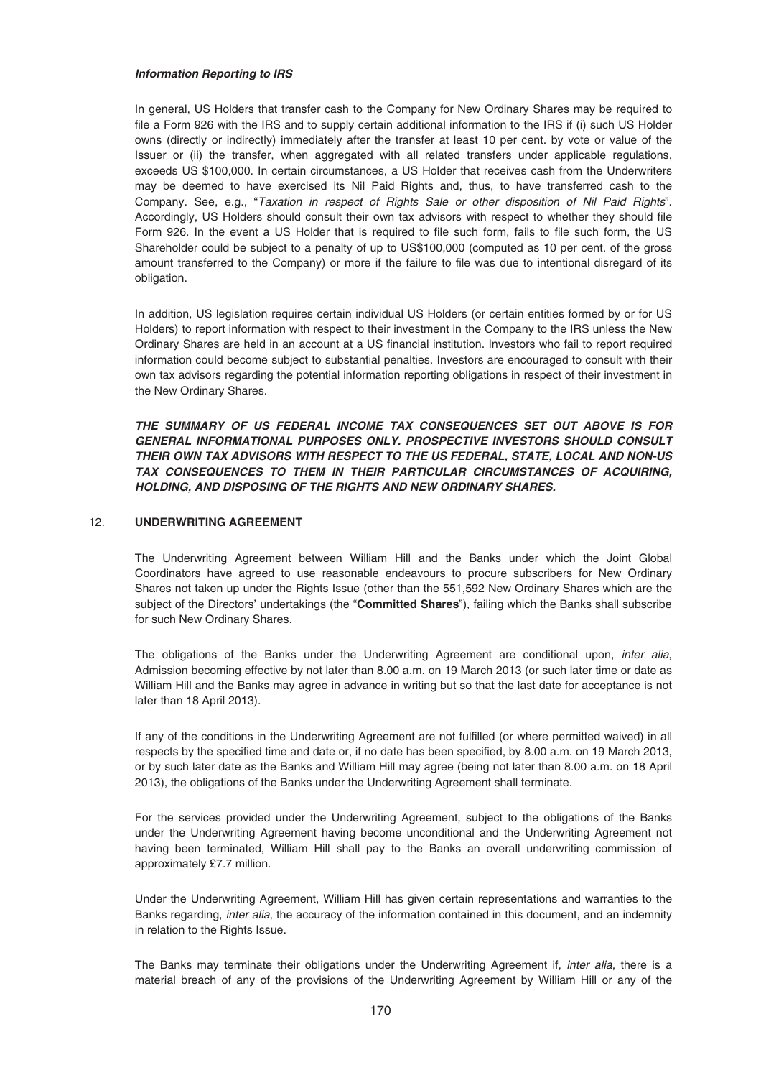### *Information Reporting to IRS*

In general, US Holders that transfer cash to the Company for New Ordinary Shares may be required to file a Form 926 with the IRS and to supply certain additional information to the IRS if (i) such US Holder owns (directly or indirectly) immediately after the transfer at least 10 per cent. by vote or value of the Issuer or (ii) the transfer, when aggregated with all related transfers under applicable regulations, exceeds US \$100,000. In certain circumstances, a US Holder that receives cash from the Underwriters may be deemed to have exercised its Nil Paid Rights and, thus, to have transferred cash to the Company. See, e.g., "Taxation in respect of Rights Sale or other disposition of Nil Paid Rights". Accordingly, US Holders should consult their own tax advisors with respect to whether they should file Form 926. In the event a US Holder that is required to file such form, fails to file such form, the US Shareholder could be subject to a penalty of up to US\$100,000 (computed as 10 per cent. of the gross amount transferred to the Company) or more if the failure to file was due to intentional disregard of its obligation.

In addition, US legislation requires certain individual US Holders (or certain entities formed by or for US Holders) to report information with respect to their investment in the Company to the IRS unless the New Ordinary Shares are held in an account at a US financial institution. Investors who fail to report required information could become subject to substantial penalties. Investors are encouraged to consult with their own tax advisors regarding the potential information reporting obligations in respect of their investment in the New Ordinary Shares.

*THE SUMMARY OF US FEDERAL INCOME TAX CONSEQUENCES SET OUT ABOVE IS FOR GENERAL INFORMATIONAL PURPOSES ONLY. PROSPECTIVE INVESTORS SHOULD CONSULT THEIR OWN TAX ADVISORS WITH RESPECT TO THE US FEDERAL, STATE, LOCAL AND NON-US TAX CONSEQUENCES TO THEM IN THEIR PARTICULAR CIRCUMSTANCES OF ACQUIRING, HOLDING, AND DISPOSING OF THE RIGHTS AND NEW ORDINARY SHARES.*

## 12. **UNDERWRITING AGREEMENT**

The Underwriting Agreement between William Hill and the Banks under which the Joint Global Coordinators have agreed to use reasonable endeavours to procure subscribers for New Ordinary Shares not taken up under the Rights Issue (other than the 551,592 New Ordinary Shares which are the subject of the Directors' undertakings (the "**Committed Shares**"), failing which the Banks shall subscribe for such New Ordinary Shares.

The obligations of the Banks under the Underwriting Agreement are conditional upon, *inter alia*, Admission becoming effective by not later than 8.00 a.m. on 19 March 2013 (or such later time or date as William Hill and the Banks may agree in advance in writing but so that the last date for acceptance is not later than 18 April 2013).

If any of the conditions in the Underwriting Agreement are not fulfilled (or where permitted waived) in all respects by the specified time and date or, if no date has been specified, by 8.00 a.m. on 19 March 2013, or by such later date as the Banks and William Hill may agree (being not later than 8.00 a.m. on 18 April 2013), the obligations of the Banks under the Underwriting Agreement shall terminate.

For the services provided under the Underwriting Agreement, subject to the obligations of the Banks under the Underwriting Agreement having become unconditional and the Underwriting Agreement not having been terminated, William Hill shall pay to the Banks an overall underwriting commission of approximately £7.7 million.

Under the Underwriting Agreement, William Hill has given certain representations and warranties to the Banks regarding, inter alia, the accuracy of the information contained in this document, and an indemnity in relation to the Rights Issue.

The Banks may terminate their obligations under the Underwriting Agreement if, inter alia, there is a material breach of any of the provisions of the Underwriting Agreement by William Hill or any of the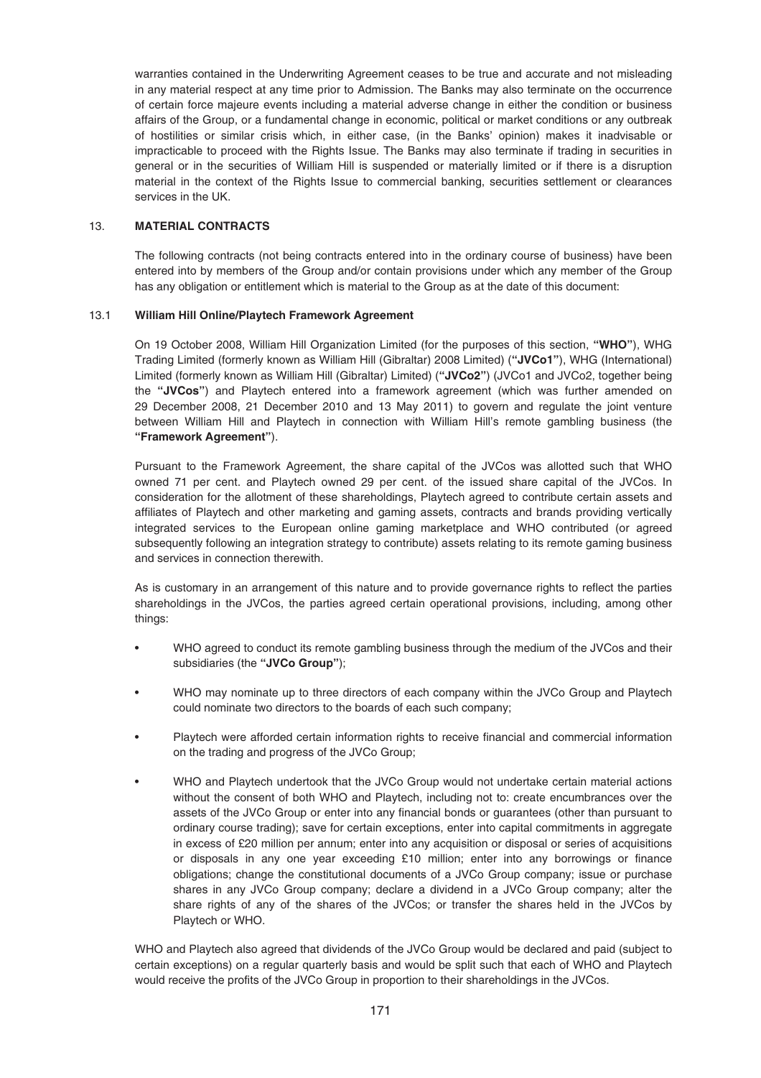warranties contained in the Underwriting Agreement ceases to be true and accurate and not misleading in any material respect at any time prior to Admission. The Banks may also terminate on the occurrence of certain force majeure events including a material adverse change in either the condition or business affairs of the Group, or a fundamental change in economic, political or market conditions or any outbreak of hostilities or similar crisis which, in either case, (in the Banks' opinion) makes it inadvisable or impracticable to proceed with the Rights Issue. The Banks may also terminate if trading in securities in general or in the securities of William Hill is suspended or materially limited or if there is a disruption material in the context of the Rights Issue to commercial banking, securities settlement or clearances services in the UK.

## 13. **MATERIAL CONTRACTS**

The following contracts (not being contracts entered into in the ordinary course of business) have been entered into by members of the Group and/or contain provisions under which any member of the Group has any obligation or entitlement which is material to the Group as at the date of this document:

## 13.1 **William Hill Online/Playtech Framework Agreement**

On 19 October 2008, William Hill Organization Limited (for the purposes of this section, **"WHO"**), WHG Trading Limited (formerly known as William Hill (Gibraltar) 2008 Limited) (**"JVCo1"**), WHG (International) Limited (formerly known as William Hill (Gibraltar) Limited) (**"JVCo2"**) (JVCo1 and JVCo2, together being the **"JVCos"**) and Playtech entered into a framework agreement (which was further amended on 29 December 2008, 21 December 2010 and 13 May 2011) to govern and regulate the joint venture between William Hill and Playtech in connection with William Hill's remote gambling business (the **"Framework Agreement"**).

Pursuant to the Framework Agreement, the share capital of the JVCos was allotted such that WHO owned 71 per cent. and Playtech owned 29 per cent. of the issued share capital of the JVCos. In consideration for the allotment of these shareholdings, Playtech agreed to contribute certain assets and affiliates of Playtech and other marketing and gaming assets, contracts and brands providing vertically integrated services to the European online gaming marketplace and WHO contributed (or agreed subsequently following an integration strategy to contribute) assets relating to its remote gaming business and services in connection therewith.

As is customary in an arrangement of this nature and to provide governance rights to reflect the parties shareholdings in the JVCos, the parties agreed certain operational provisions, including, among other things:

- WHO agreed to conduct its remote gambling business through the medium of the JVCos and their subsidiaries (the **"JVCo Group"**);
- WHO may nominate up to three directors of each company within the JVCo Group and Playtech could nominate two directors to the boards of each such company;
- Playtech were afforded certain information rights to receive financial and commercial information on the trading and progress of the JVCo Group;
- WHO and Playtech undertook that the JVCo Group would not undertake certain material actions without the consent of both WHO and Playtech, including not to: create encumbrances over the assets of the JVCo Group or enter into any financial bonds or guarantees (other than pursuant to ordinary course trading); save for certain exceptions, enter into capital commitments in aggregate in excess of £20 million per annum; enter into any acquisition or disposal or series of acquisitions or disposals in any one year exceeding £10 million; enter into any borrowings or finance obligations; change the constitutional documents of a JVCo Group company; issue or purchase shares in any JVCo Group company; declare a dividend in a JVCo Group company; alter the share rights of any of the shares of the JVCos; or transfer the shares held in the JVCos by Playtech or WHO.

WHO and Playtech also agreed that dividends of the JVCo Group would be declared and paid (subject to certain exceptions) on a regular quarterly basis and would be split such that each of WHO and Playtech would receive the profits of the JVCo Group in proportion to their shareholdings in the JVCos.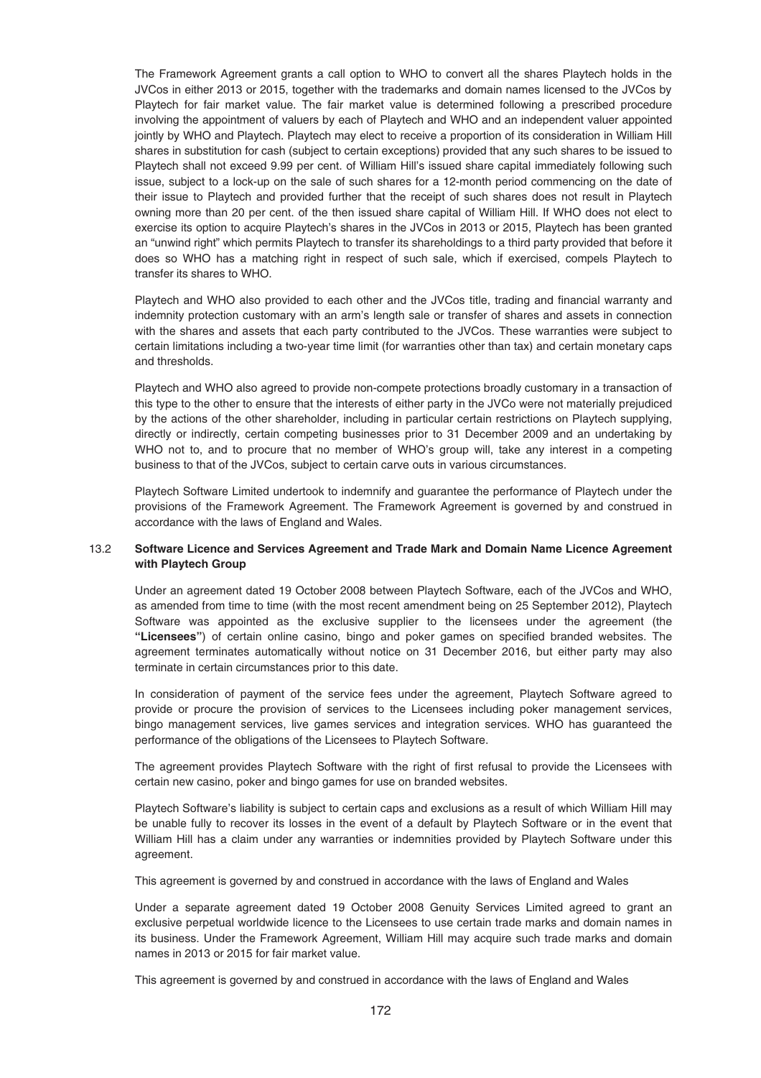The Framework Agreement grants a call option to WHO to convert all the shares Playtech holds in the JVCos in either 2013 or 2015, together with the trademarks and domain names licensed to the JVCos by Playtech for fair market value. The fair market value is determined following a prescribed procedure involving the appointment of valuers by each of Playtech and WHO and an independent valuer appointed jointly by WHO and Playtech. Playtech may elect to receive a proportion of its consideration in William Hill shares in substitution for cash (subject to certain exceptions) provided that any such shares to be issued to Playtech shall not exceed 9.99 per cent. of William Hill's issued share capital immediately following such issue, subject to a lock-up on the sale of such shares for a 12-month period commencing on the date of their issue to Playtech and provided further that the receipt of such shares does not result in Playtech owning more than 20 per cent. of the then issued share capital of William Hill. If WHO does not elect to exercise its option to acquire Playtech's shares in the JVCos in 2013 or 2015, Playtech has been granted an "unwind right" which permits Playtech to transfer its shareholdings to a third party provided that before it does so WHO has a matching right in respect of such sale, which if exercised, compels Playtech to transfer its shares to WHO.

Playtech and WHO also provided to each other and the JVCos title, trading and financial warranty and indemnity protection customary with an arm's length sale or transfer of shares and assets in connection with the shares and assets that each party contributed to the JVCos. These warranties were subject to certain limitations including a two-year time limit (for warranties other than tax) and certain monetary caps and thresholds.

Playtech and WHO also agreed to provide non-compete protections broadly customary in a transaction of this type to the other to ensure that the interests of either party in the JVCo were not materially prejudiced by the actions of the other shareholder, including in particular certain restrictions on Playtech supplying, directly or indirectly, certain competing businesses prior to 31 December 2009 and an undertaking by WHO not to, and to procure that no member of WHO's group will, take any interest in a competing business to that of the JVCos, subject to certain carve outs in various circumstances.

Playtech Software Limited undertook to indemnify and guarantee the performance of Playtech under the provisions of the Framework Agreement. The Framework Agreement is governed by and construed in accordance with the laws of England and Wales.

## 13.2 **Software Licence and Services Agreement and Trade Mark and Domain Name Licence Agreement with Playtech Group**

Under an agreement dated 19 October 2008 between Playtech Software, each of the JVCos and WHO, as amended from time to time (with the most recent amendment being on 25 September 2012), Playtech Software was appointed as the exclusive supplier to the licensees under the agreement (the **"Licensees"**) of certain online casino, bingo and poker games on specified branded websites. The agreement terminates automatically without notice on 31 December 2016, but either party may also terminate in certain circumstances prior to this date.

In consideration of payment of the service fees under the agreement, Playtech Software agreed to provide or procure the provision of services to the Licensees including poker management services, bingo management services, live games services and integration services. WHO has guaranteed the performance of the obligations of the Licensees to Playtech Software.

The agreement provides Playtech Software with the right of first refusal to provide the Licensees with certain new casino, poker and bingo games for use on branded websites.

Playtech Software's liability is subject to certain caps and exclusions as a result of which William Hill may be unable fully to recover its losses in the event of a default by Playtech Software or in the event that William Hill has a claim under any warranties or indemnities provided by Playtech Software under this agreement.

This agreement is governed by and construed in accordance with the laws of England and Wales

Under a separate agreement dated 19 October 2008 Genuity Services Limited agreed to grant an exclusive perpetual worldwide licence to the Licensees to use certain trade marks and domain names in its business. Under the Framework Agreement, William Hill may acquire such trade marks and domain names in 2013 or 2015 for fair market value.

This agreement is governed by and construed in accordance with the laws of England and Wales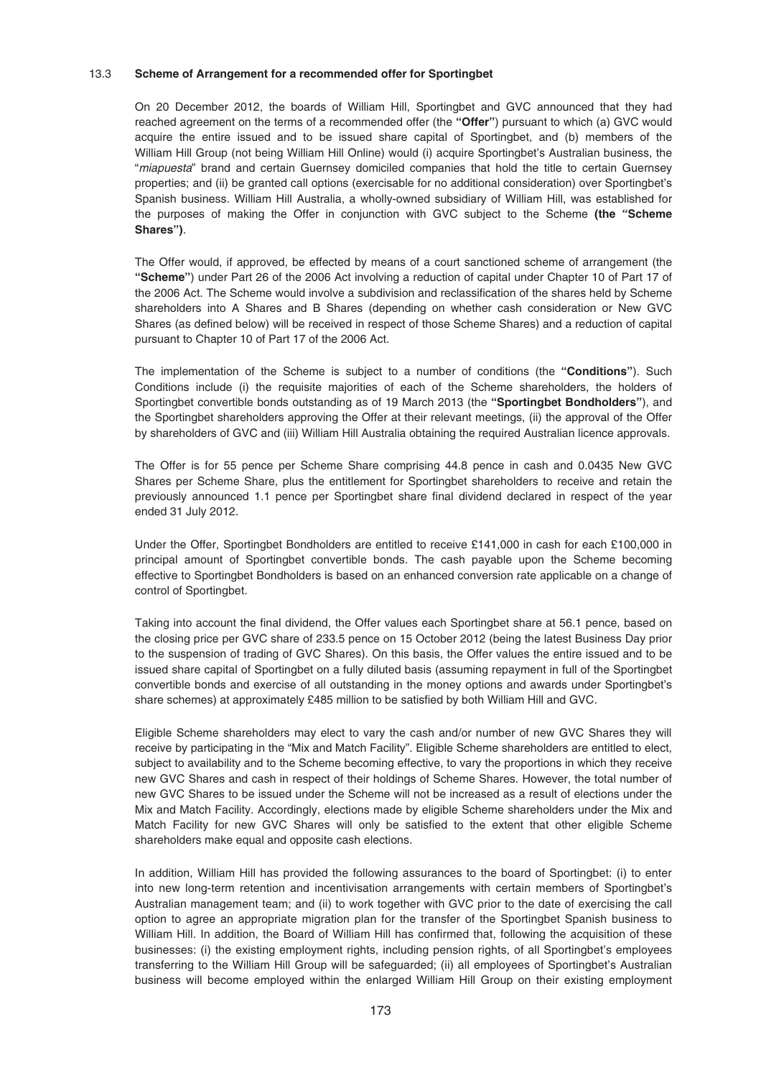### 13.3 **Scheme of Arrangement for a recommended offer for Sportingbet**

On 20 December 2012, the boards of William Hill, Sportingbet and GVC announced that they had reached agreement on the terms of a recommended offer (the **"Offer"**) pursuant to which (a) GVC would acquire the entire issued and to be issued share capital of Sportingbet, and (b) members of the William Hill Group (not being William Hill Online) would (i) acquire Sportingbet's Australian business, the "miapuesta" brand and certain Guernsey domiciled companies that hold the title to certain Guernsey properties; and (ii) be granted call options (exercisable for no additional consideration) over Sportingbet's Spanish business. William Hill Australia, a wholly-owned subsidiary of William Hill, was established for the purposes of making the Offer in conjunction with GVC subject to the Scheme **(the "Scheme Shares")**.

The Offer would, if approved, be effected by means of a court sanctioned scheme of arrangement (the **"Scheme"**) under Part 26 of the 2006 Act involving a reduction of capital under Chapter 10 of Part 17 of the 2006 Act. The Scheme would involve a subdivision and reclassification of the shares held by Scheme shareholders into A Shares and B Shares (depending on whether cash consideration or New GVC Shares (as defined below) will be received in respect of those Scheme Shares) and a reduction of capital pursuant to Chapter 10 of Part 17 of the 2006 Act.

The implementation of the Scheme is subject to a number of conditions (the **"Conditions"**). Such Conditions include (i) the requisite majorities of each of the Scheme shareholders, the holders of Sportingbet convertible bonds outstanding as of 19 March 2013 (the **"Sportingbet Bondholders"**), and the Sportingbet shareholders approving the Offer at their relevant meetings, (ii) the approval of the Offer by shareholders of GVC and (iii) William Hill Australia obtaining the required Australian licence approvals.

The Offer is for 55 pence per Scheme Share comprising 44.8 pence in cash and 0.0435 New GVC Shares per Scheme Share, plus the entitlement for Sportingbet shareholders to receive and retain the previously announced 1.1 pence per Sportingbet share final dividend declared in respect of the year ended 31 July 2012.

Under the Offer, Sportingbet Bondholders are entitled to receive £141,000 in cash for each £100,000 in principal amount of Sportingbet convertible bonds. The cash payable upon the Scheme becoming effective to Sportingbet Bondholders is based on an enhanced conversion rate applicable on a change of control of Sportingbet.

Taking into account the final dividend, the Offer values each Sportingbet share at 56.1 pence, based on the closing price per GVC share of 233.5 pence on 15 October 2012 (being the latest Business Day prior to the suspension of trading of GVC Shares). On this basis, the Offer values the entire issued and to be issued share capital of Sportingbet on a fully diluted basis (assuming repayment in full of the Sportingbet convertible bonds and exercise of all outstanding in the money options and awards under Sportingbet's share schemes) at approximately £485 million to be satisfied by both William Hill and GVC.

Eligible Scheme shareholders may elect to vary the cash and/or number of new GVC Shares they will receive by participating in the "Mix and Match Facility". Eligible Scheme shareholders are entitled to elect, subject to availability and to the Scheme becoming effective, to vary the proportions in which they receive new GVC Shares and cash in respect of their holdings of Scheme Shares. However, the total number of new GVC Shares to be issued under the Scheme will not be increased as a result of elections under the Mix and Match Facility. Accordingly, elections made by eligible Scheme shareholders under the Mix and Match Facility for new GVC Shares will only be satisfied to the extent that other eligible Scheme shareholders make equal and opposite cash elections.

In addition, William Hill has provided the following assurances to the board of Sportingbet: (i) to enter into new long-term retention and incentivisation arrangements with certain members of Sportingbet's Australian management team; and (ii) to work together with GVC prior to the date of exercising the call option to agree an appropriate migration plan for the transfer of the Sportingbet Spanish business to William Hill. In addition, the Board of William Hill has confirmed that, following the acquisition of these businesses: (i) the existing employment rights, including pension rights, of all Sportingbet's employees transferring to the William Hill Group will be safeguarded; (ii) all employees of Sportingbet's Australian business will become employed within the enlarged William Hill Group on their existing employment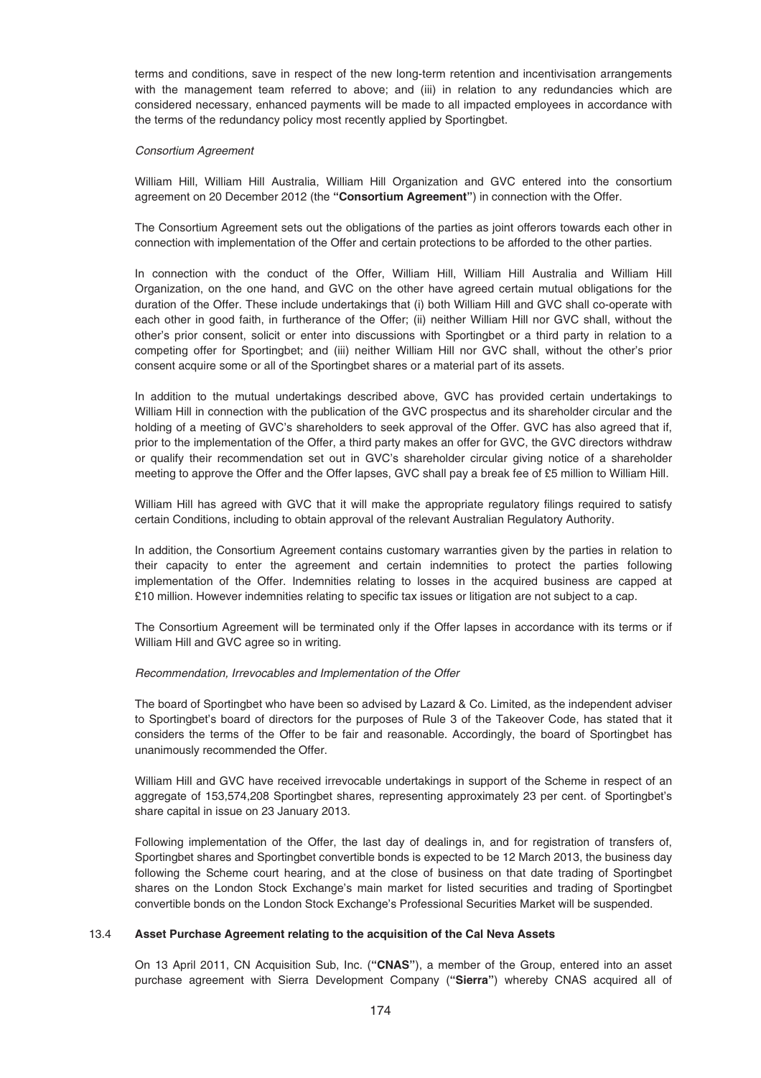terms and conditions, save in respect of the new long-term retention and incentivisation arrangements with the management team referred to above; and (iii) in relation to any redundancies which are considered necessary, enhanced payments will be made to all impacted employees in accordance with the terms of the redundancy policy most recently applied by Sportingbet.

#### Consortium Agreement

William Hill, William Hill Australia, William Hill Organization and GVC entered into the consortium agreement on 20 December 2012 (the **"Consortium Agreement"**) in connection with the Offer.

The Consortium Agreement sets out the obligations of the parties as joint offerors towards each other in connection with implementation of the Offer and certain protections to be afforded to the other parties.

In connection with the conduct of the Offer, William Hill, William Hill Australia and William Hill Organization, on the one hand, and GVC on the other have agreed certain mutual obligations for the duration of the Offer. These include undertakings that (i) both William Hill and GVC shall co-operate with each other in good faith, in furtherance of the Offer; (ii) neither William Hill nor GVC shall, without the other's prior consent, solicit or enter into discussions with Sportingbet or a third party in relation to a competing offer for Sportingbet; and (iii) neither William Hill nor GVC shall, without the other's prior consent acquire some or all of the Sportingbet shares or a material part of its assets.

In addition to the mutual undertakings described above, GVC has provided certain undertakings to William Hill in connection with the publication of the GVC prospectus and its shareholder circular and the holding of a meeting of GVC's shareholders to seek approval of the Offer. GVC has also agreed that if, prior to the implementation of the Offer, a third party makes an offer for GVC, the GVC directors withdraw or qualify their recommendation set out in GVC's shareholder circular giving notice of a shareholder meeting to approve the Offer and the Offer lapses, GVC shall pay a break fee of £5 million to William Hill.

William Hill has agreed with GVC that it will make the appropriate regulatory filings required to satisfy certain Conditions, including to obtain approval of the relevant Australian Regulatory Authority.

In addition, the Consortium Agreement contains customary warranties given by the parties in relation to their capacity to enter the agreement and certain indemnities to protect the parties following implementation of the Offer. Indemnities relating to losses in the acquired business are capped at £10 million. However indemnities relating to specific tax issues or litigation are not subject to a cap.

The Consortium Agreement will be terminated only if the Offer lapses in accordance with its terms or if William Hill and GVC agree so in writing.

### Recommendation, Irrevocables and Implementation of the Offer

The board of Sportingbet who have been so advised by Lazard & Co. Limited, as the independent adviser to Sportingbet's board of directors for the purposes of Rule 3 of the Takeover Code, has stated that it considers the terms of the Offer to be fair and reasonable. Accordingly, the board of Sportingbet has unanimously recommended the Offer.

William Hill and GVC have received irrevocable undertakings in support of the Scheme in respect of an aggregate of 153,574,208 Sportingbet shares, representing approximately 23 per cent. of Sportingbet's share capital in issue on 23 January 2013.

Following implementation of the Offer, the last day of dealings in, and for registration of transfers of, Sportingbet shares and Sportingbet convertible bonds is expected to be 12 March 2013, the business day following the Scheme court hearing, and at the close of business on that date trading of Sportingbet shares on the London Stock Exchange's main market for listed securities and trading of Sportingbet convertible bonds on the London Stock Exchange's Professional Securities Market will be suspended.

# 13.4 **Asset Purchase Agreement relating to the acquisition of the Cal Neva Assets**

On 13 April 2011, CN Acquisition Sub, Inc. (**"CNAS"**), a member of the Group, entered into an asset purchase agreement with Sierra Development Company (**"Sierra"**) whereby CNAS acquired all of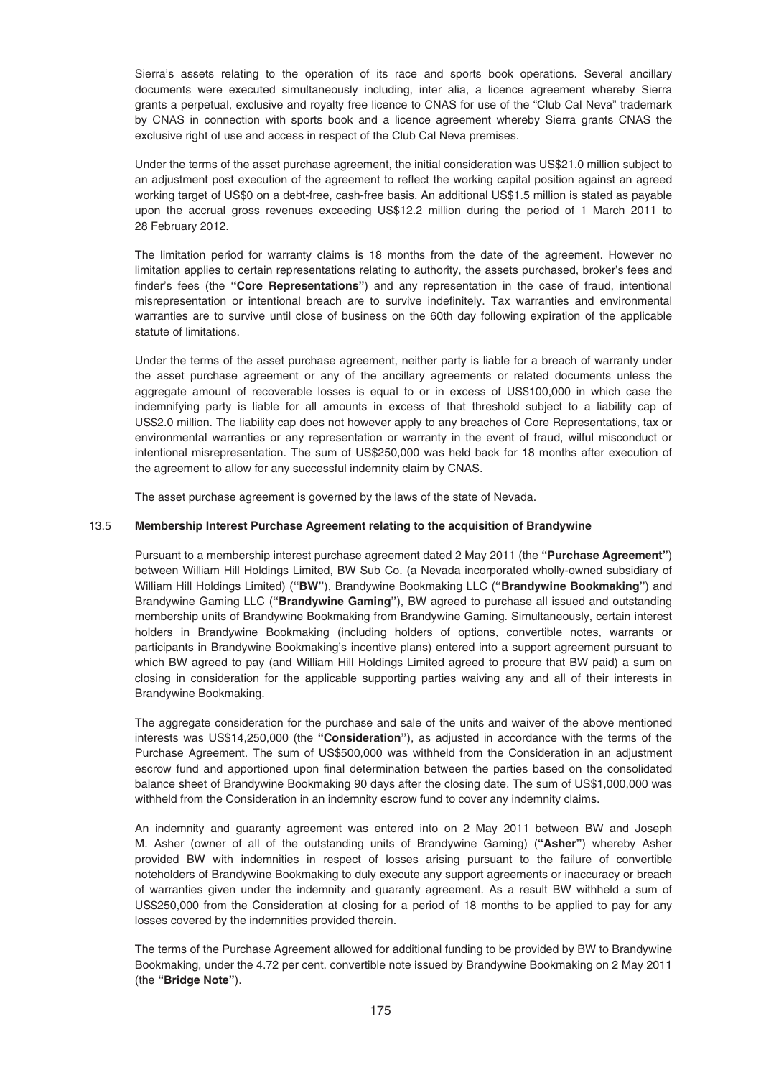Sierra's assets relating to the operation of its race and sports book operations. Several ancillary documents were executed simultaneously including, inter alia, a licence agreement whereby Sierra grants a perpetual, exclusive and royalty free licence to CNAS for use of the "Club Cal Neva" trademark by CNAS in connection with sports book and a licence agreement whereby Sierra grants CNAS the exclusive right of use and access in respect of the Club Cal Neva premises.

Under the terms of the asset purchase agreement, the initial consideration was US\$21.0 million subject to an adjustment post execution of the agreement to reflect the working capital position against an agreed working target of US\$0 on a debt-free, cash-free basis. An additional US\$1.5 million is stated as payable upon the accrual gross revenues exceeding US\$12.2 million during the period of 1 March 2011 to 28 February 2012.

The limitation period for warranty claims is 18 months from the date of the agreement. However no limitation applies to certain representations relating to authority, the assets purchased, broker's fees and finder's fees (the **"Core Representations"**) and any representation in the case of fraud, intentional misrepresentation or intentional breach are to survive indefinitely. Tax warranties and environmental warranties are to survive until close of business on the 60th day following expiration of the applicable statute of limitations.

Under the terms of the asset purchase agreement, neither party is liable for a breach of warranty under the asset purchase agreement or any of the ancillary agreements or related documents unless the aggregate amount of recoverable losses is equal to or in excess of US\$100,000 in which case the indemnifying party is liable for all amounts in excess of that threshold subject to a liability cap of US\$2.0 million. The liability cap does not however apply to any breaches of Core Representations, tax or environmental warranties or any representation or warranty in the event of fraud, wilful misconduct or intentional misrepresentation. The sum of US\$250,000 was held back for 18 months after execution of the agreement to allow for any successful indemnity claim by CNAS.

The asset purchase agreement is governed by the laws of the state of Nevada.

## 13.5 **Membership Interest Purchase Agreement relating to the acquisition of Brandywine**

Pursuant to a membership interest purchase agreement dated 2 May 2011 (the **"Purchase Agreement"**) between William Hill Holdings Limited, BW Sub Co. (a Nevada incorporated wholly-owned subsidiary of William Hill Holdings Limited) (**"BW"**), Brandywine Bookmaking LLC (**"Brandywine Bookmaking"**) and Brandywine Gaming LLC (**"Brandywine Gaming"**), BW agreed to purchase all issued and outstanding membership units of Brandywine Bookmaking from Brandywine Gaming. Simultaneously, certain interest holders in Brandywine Bookmaking (including holders of options, convertible notes, warrants or participants in Brandywine Bookmaking's incentive plans) entered into a support agreement pursuant to which BW agreed to pay (and William Hill Holdings Limited agreed to procure that BW paid) a sum on closing in consideration for the applicable supporting parties waiving any and all of their interests in Brandywine Bookmaking.

The aggregate consideration for the purchase and sale of the units and waiver of the above mentioned interests was US\$14,250,000 (the **"Consideration"**), as adjusted in accordance with the terms of the Purchase Agreement. The sum of US\$500,000 was withheld from the Consideration in an adjustment escrow fund and apportioned upon final determination between the parties based on the consolidated balance sheet of Brandywine Bookmaking 90 days after the closing date. The sum of US\$1,000,000 was withheld from the Consideration in an indemnity escrow fund to cover any indemnity claims.

An indemnity and guaranty agreement was entered into on 2 May 2011 between BW and Joseph M. Asher (owner of all of the outstanding units of Brandywine Gaming) (**"Asher"**) whereby Asher provided BW with indemnities in respect of losses arising pursuant to the failure of convertible noteholders of Brandywine Bookmaking to duly execute any support agreements or inaccuracy or breach of warranties given under the indemnity and guaranty agreement. As a result BW withheld a sum of US\$250,000 from the Consideration at closing for a period of 18 months to be applied to pay for any losses covered by the indemnities provided therein.

The terms of the Purchase Agreement allowed for additional funding to be provided by BW to Brandywine Bookmaking, under the 4.72 per cent. convertible note issued by Brandywine Bookmaking on 2 May 2011 (the **"Bridge Note"**).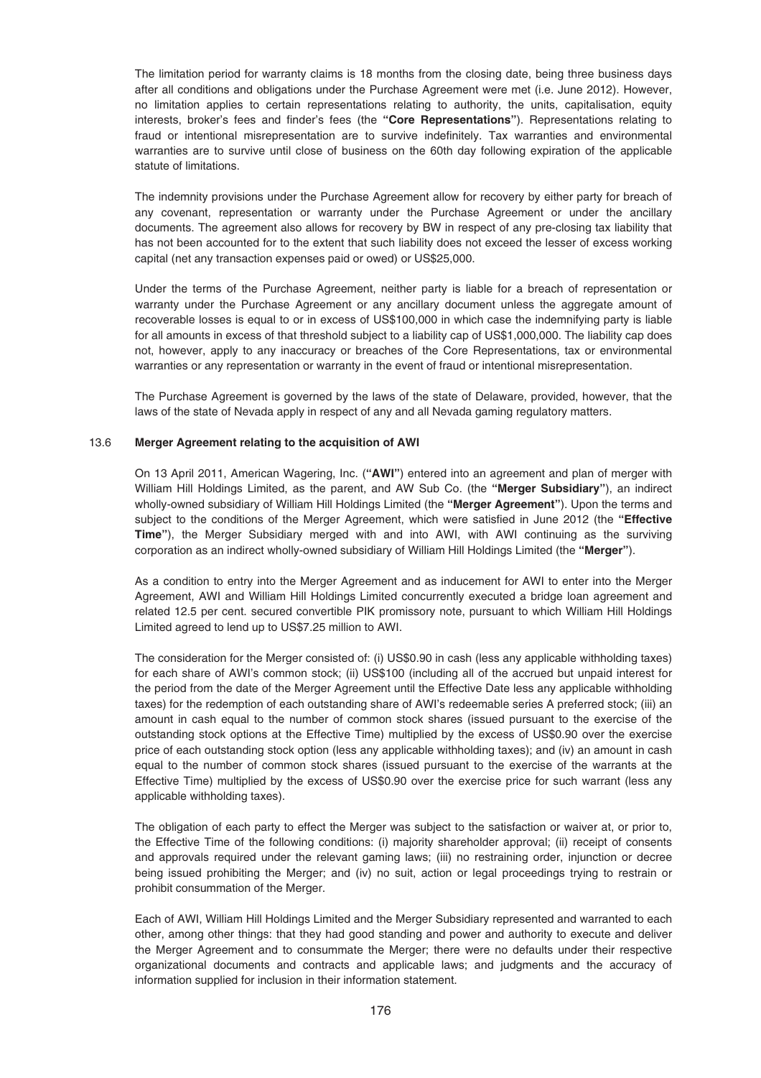The limitation period for warranty claims is 18 months from the closing date, being three business days after all conditions and obligations under the Purchase Agreement were met (i.e. June 2012). However, no limitation applies to certain representations relating to authority, the units, capitalisation, equity interests, broker's fees and finder's fees (the **"Core Representations"**). Representations relating to fraud or intentional misrepresentation are to survive indefinitely. Tax warranties and environmental warranties are to survive until close of business on the 60th day following expiration of the applicable statute of limitations.

The indemnity provisions under the Purchase Agreement allow for recovery by either party for breach of any covenant, representation or warranty under the Purchase Agreement or under the ancillary documents. The agreement also allows for recovery by BW in respect of any pre-closing tax liability that has not been accounted for to the extent that such liability does not exceed the lesser of excess working capital (net any transaction expenses paid or owed) or US\$25,000.

Under the terms of the Purchase Agreement, neither party is liable for a breach of representation or warranty under the Purchase Agreement or any ancillary document unless the aggregate amount of recoverable losses is equal to or in excess of US\$100,000 in which case the indemnifying party is liable for all amounts in excess of that threshold subject to a liability cap of US\$1,000,000. The liability cap does not, however, apply to any inaccuracy or breaches of the Core Representations, tax or environmental warranties or any representation or warranty in the event of fraud or intentional misrepresentation.

The Purchase Agreement is governed by the laws of the state of Delaware, provided, however, that the laws of the state of Nevada apply in respect of any and all Nevada gaming regulatory matters.

# 13.6 **Merger Agreement relating to the acquisition of AWI**

On 13 April 2011, American Wagering, Inc. (**"AWI"**) entered into an agreement and plan of merger with William Hill Holdings Limited, as the parent, and AW Sub Co. (the **"Merger Subsidiary"**), an indirect wholly-owned subsidiary of William Hill Holdings Limited (the **"Merger Agreement"**). Upon the terms and subject to the conditions of the Merger Agreement, which were satisfied in June 2012 (the **"Effective Time"**), the Merger Subsidiary merged with and into AWI, with AWI continuing as the surviving corporation as an indirect wholly-owned subsidiary of William Hill Holdings Limited (the **"Merger"**).

As a condition to entry into the Merger Agreement and as inducement for AWI to enter into the Merger Agreement, AWI and William Hill Holdings Limited concurrently executed a bridge loan agreement and related 12.5 per cent. secured convertible PIK promissory note, pursuant to which William Hill Holdings Limited agreed to lend up to US\$7.25 million to AWI.

The consideration for the Merger consisted of: (i) US\$0.90 in cash (less any applicable withholding taxes) for each share of AWI's common stock; (ii) US\$100 (including all of the accrued but unpaid interest for the period from the date of the Merger Agreement until the Effective Date less any applicable withholding taxes) for the redemption of each outstanding share of AWI's redeemable series A preferred stock; (iii) an amount in cash equal to the number of common stock shares (issued pursuant to the exercise of the outstanding stock options at the Effective Time) multiplied by the excess of US\$0.90 over the exercise price of each outstanding stock option (less any applicable withholding taxes); and (iv) an amount in cash equal to the number of common stock shares (issued pursuant to the exercise of the warrants at the Effective Time) multiplied by the excess of US\$0.90 over the exercise price for such warrant (less any applicable withholding taxes).

The obligation of each party to effect the Merger was subject to the satisfaction or waiver at, or prior to, the Effective Time of the following conditions: (i) majority shareholder approval; (ii) receipt of consents and approvals required under the relevant gaming laws; (iii) no restraining order, injunction or decree being issued prohibiting the Merger; and (iv) no suit, action or legal proceedings trying to restrain or prohibit consummation of the Merger.

Each of AWI, William Hill Holdings Limited and the Merger Subsidiary represented and warranted to each other, among other things: that they had good standing and power and authority to execute and deliver the Merger Agreement and to consummate the Merger; there were no defaults under their respective organizational documents and contracts and applicable laws; and judgments and the accuracy of information supplied for inclusion in their information statement.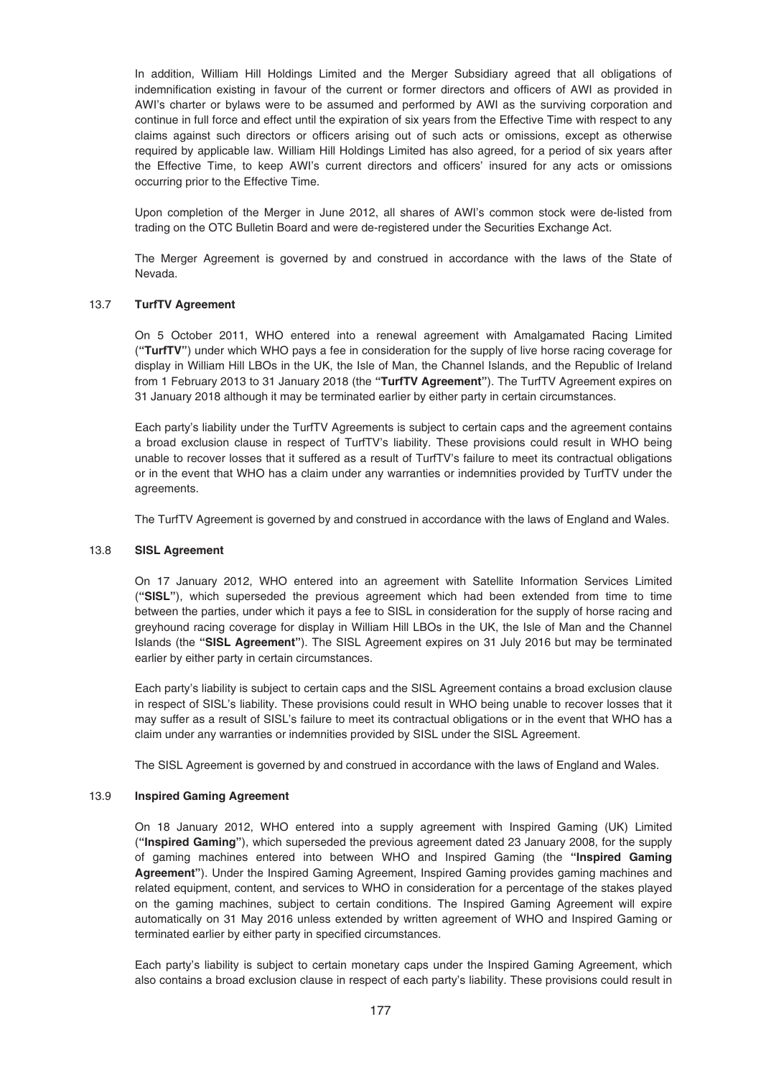In addition, William Hill Holdings Limited and the Merger Subsidiary agreed that all obligations of indemnification existing in favour of the current or former directors and officers of AWI as provided in AWI's charter or bylaws were to be assumed and performed by AWI as the surviving corporation and continue in full force and effect until the expiration of six years from the Effective Time with respect to any claims against such directors or officers arising out of such acts or omissions, except as otherwise required by applicable law. William Hill Holdings Limited has also agreed, for a period of six years after the Effective Time, to keep AWI's current directors and officers' insured for any acts or omissions occurring prior to the Effective Time.

Upon completion of the Merger in June 2012, all shares of AWI's common stock were de-listed from trading on the OTC Bulletin Board and were de-registered under the Securities Exchange Act.

The Merger Agreement is governed by and construed in accordance with the laws of the State of Nevada.

# 13.7 **TurfTV Agreement**

On 5 October 2011, WHO entered into a renewal agreement with Amalgamated Racing Limited (**"TurfTV"**) under which WHO pays a fee in consideration for the supply of live horse racing coverage for display in William Hill LBOs in the UK, the Isle of Man, the Channel Islands, and the Republic of Ireland from 1 February 2013 to 31 January 2018 (the **"TurfTV Agreement"**). The TurfTV Agreement expires on 31 January 2018 although it may be terminated earlier by either party in certain circumstances.

Each party's liability under the TurfTV Agreements is subject to certain caps and the agreement contains a broad exclusion clause in respect of TurfTV's liability. These provisions could result in WHO being unable to recover losses that it suffered as a result of TurfTV's failure to meet its contractual obligations or in the event that WHO has a claim under any warranties or indemnities provided by TurfTV under the agreements.

The TurfTV Agreement is governed by and construed in accordance with the laws of England and Wales.

### 13.8 **SISL Agreement**

On 17 January 2012, WHO entered into an agreement with Satellite Information Services Limited (**"SISL"**), which superseded the previous agreement which had been extended from time to time between the parties, under which it pays a fee to SISL in consideration for the supply of horse racing and greyhound racing coverage for display in William Hill LBOs in the UK, the Isle of Man and the Channel Islands (the **"SISL Agreement"**). The SISL Agreement expires on 31 July 2016 but may be terminated earlier by either party in certain circumstances.

Each party's liability is subject to certain caps and the SISL Agreement contains a broad exclusion clause in respect of SISL's liability. These provisions could result in WHO being unable to recover losses that it may suffer as a result of SISL's failure to meet its contractual obligations or in the event that WHO has a claim under any warranties or indemnities provided by SISL under the SISL Agreement.

The SISL Agreement is governed by and construed in accordance with the laws of England and Wales.

# 13.9 **Inspired Gaming Agreement**

On 18 January 2012, WHO entered into a supply agreement with Inspired Gaming (UK) Limited (**"Inspired Gaming"**), which superseded the previous agreement dated 23 January 2008, for the supply of gaming machines entered into between WHO and Inspired Gaming (the **"Inspired Gaming Agreement"**). Under the Inspired Gaming Agreement, Inspired Gaming provides gaming machines and related equipment, content, and services to WHO in consideration for a percentage of the stakes played on the gaming machines, subject to certain conditions. The Inspired Gaming Agreement will expire automatically on 31 May 2016 unless extended by written agreement of WHO and Inspired Gaming or terminated earlier by either party in specified circumstances.

Each party's liability is subject to certain monetary caps under the Inspired Gaming Agreement, which also contains a broad exclusion clause in respect of each party's liability. These provisions could result in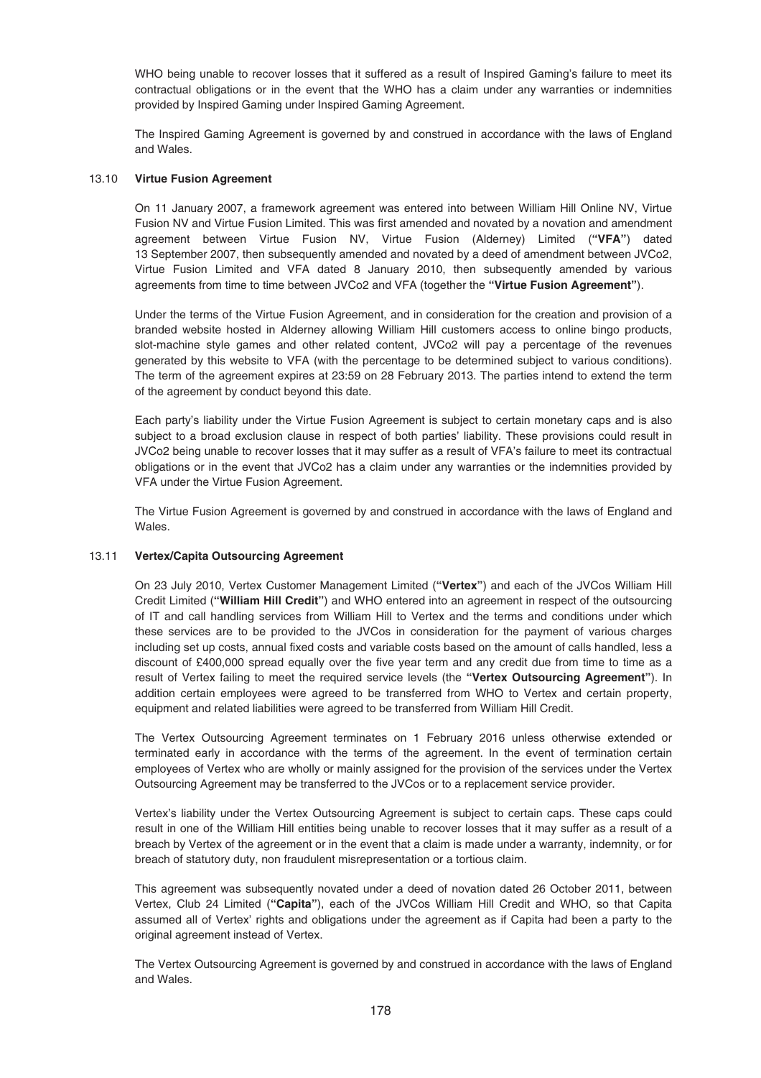WHO being unable to recover losses that it suffered as a result of Inspired Gaming's failure to meet its contractual obligations or in the event that the WHO has a claim under any warranties or indemnities provided by Inspired Gaming under Inspired Gaming Agreement.

The Inspired Gaming Agreement is governed by and construed in accordance with the laws of England and Wales.

# 13.10 **Virtue Fusion Agreement**

On 11 January 2007, a framework agreement was entered into between William Hill Online NV, Virtue Fusion NV and Virtue Fusion Limited. This was first amended and novated by a novation and amendment agreement between Virtue Fusion NV, Virtue Fusion (Alderney) Limited (**"VFA"**) dated 13 September 2007, then subsequently amended and novated by a deed of amendment between JVCo2, Virtue Fusion Limited and VFA dated 8 January 2010, then subsequently amended by various agreements from time to time between JVCo2 and VFA (together the **"Virtue Fusion Agreement"**).

Under the terms of the Virtue Fusion Agreement, and in consideration for the creation and provision of a branded website hosted in Alderney allowing William Hill customers access to online bingo products, slot-machine style games and other related content, JVCo2 will pay a percentage of the revenues generated by this website to VFA (with the percentage to be determined subject to various conditions). The term of the agreement expires at 23:59 on 28 February 2013. The parties intend to extend the term of the agreement by conduct beyond this date.

Each party's liability under the Virtue Fusion Agreement is subject to certain monetary caps and is also subject to a broad exclusion clause in respect of both parties' liability. These provisions could result in JVCo2 being unable to recover losses that it may suffer as a result of VFA's failure to meet its contractual obligations or in the event that JVCo2 has a claim under any warranties or the indemnities provided by VFA under the Virtue Fusion Agreement.

The Virtue Fusion Agreement is governed by and construed in accordance with the laws of England and Wales.

# 13.11 **Vertex/Capita Outsourcing Agreement**

On 23 July 2010, Vertex Customer Management Limited (**"Vertex"**) and each of the JVCos William Hill Credit Limited (**"William Hill Credit"**) and WHO entered into an agreement in respect of the outsourcing of IT and call handling services from William Hill to Vertex and the terms and conditions under which these services are to be provided to the JVCos in consideration for the payment of various charges including set up costs, annual fixed costs and variable costs based on the amount of calls handled, less a discount of £400,000 spread equally over the five year term and any credit due from time to time as a result of Vertex failing to meet the required service levels (the **"Vertex Outsourcing Agreement"**). In addition certain employees were agreed to be transferred from WHO to Vertex and certain property, equipment and related liabilities were agreed to be transferred from William Hill Credit.

The Vertex Outsourcing Agreement terminates on 1 February 2016 unless otherwise extended or terminated early in accordance with the terms of the agreement. In the event of termination certain employees of Vertex who are wholly or mainly assigned for the provision of the services under the Vertex Outsourcing Agreement may be transferred to the JVCos or to a replacement service provider.

Vertex's liability under the Vertex Outsourcing Agreement is subject to certain caps. These caps could result in one of the William Hill entities being unable to recover losses that it may suffer as a result of a breach by Vertex of the agreement or in the event that a claim is made under a warranty, indemnity, or for breach of statutory duty, non fraudulent misrepresentation or a tortious claim.

This agreement was subsequently novated under a deed of novation dated 26 October 2011, between Vertex, Club 24 Limited (**"Capita"**), each of the JVCos William Hill Credit and WHO, so that Capita assumed all of Vertex' rights and obligations under the agreement as if Capita had been a party to the original agreement instead of Vertex.

The Vertex Outsourcing Agreement is governed by and construed in accordance with the laws of England and Wales.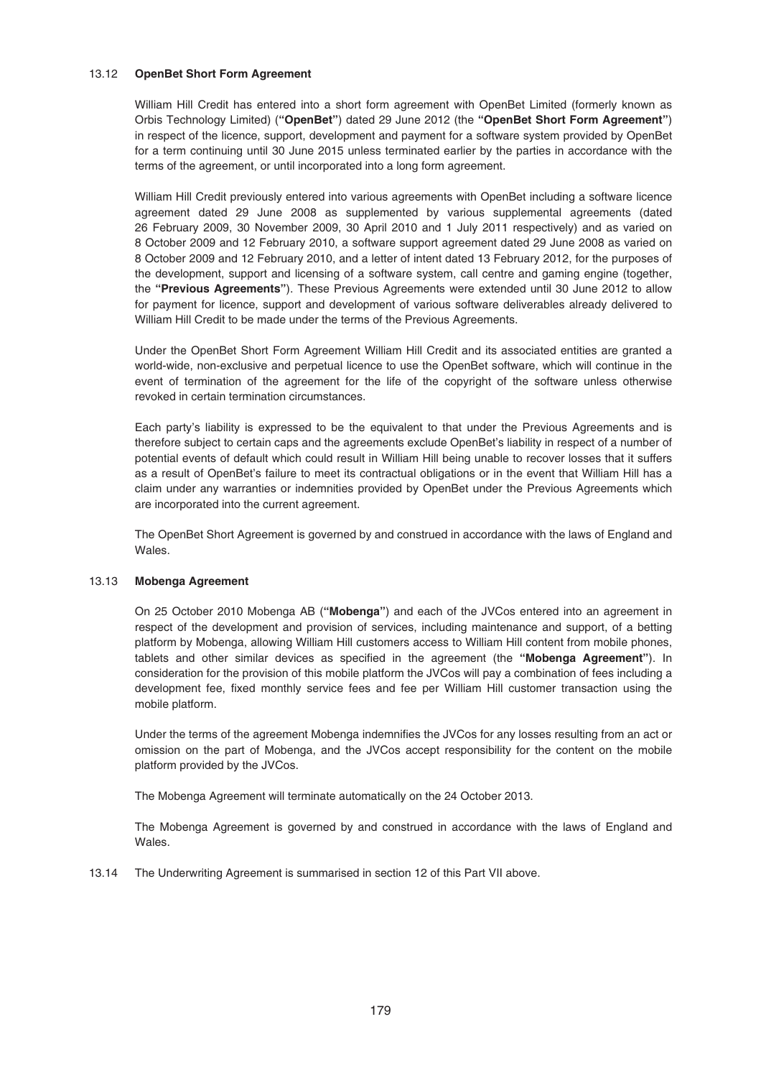# 13.12 **OpenBet Short Form Agreement**

William Hill Credit has entered into a short form agreement with OpenBet Limited (formerly known as Orbis Technology Limited) (**"OpenBet"**) dated 29 June 2012 (the **"OpenBet Short Form Agreement"**) in respect of the licence, support, development and payment for a software system provided by OpenBet for a term continuing until 30 June 2015 unless terminated earlier by the parties in accordance with the terms of the agreement, or until incorporated into a long form agreement.

William Hill Credit previously entered into various agreements with OpenBet including a software licence agreement dated 29 June 2008 as supplemented by various supplemental agreements (dated 26 February 2009, 30 November 2009, 30 April 2010 and 1 July 2011 respectively) and as varied on 8 October 2009 and 12 February 2010, a software support agreement dated 29 June 2008 as varied on 8 October 2009 and 12 February 2010, and a letter of intent dated 13 February 2012, for the purposes of the development, support and licensing of a software system, call centre and gaming engine (together, the **"Previous Agreements"**). These Previous Agreements were extended until 30 June 2012 to allow for payment for licence, support and development of various software deliverables already delivered to William Hill Credit to be made under the terms of the Previous Agreements.

Under the OpenBet Short Form Agreement William Hill Credit and its associated entities are granted a world-wide, non-exclusive and perpetual licence to use the OpenBet software, which will continue in the event of termination of the agreement for the life of the copyright of the software unless otherwise revoked in certain termination circumstances.

Each party's liability is expressed to be the equivalent to that under the Previous Agreements and is therefore subject to certain caps and the agreements exclude OpenBet's liability in respect of a number of potential events of default which could result in William Hill being unable to recover losses that it suffers as a result of OpenBet's failure to meet its contractual obligations or in the event that William Hill has a claim under any warranties or indemnities provided by OpenBet under the Previous Agreements which are incorporated into the current agreement.

The OpenBet Short Agreement is governed by and construed in accordance with the laws of England and Wales.

### 13.13 **Mobenga Agreement**

On 25 October 2010 Mobenga AB (**"Mobenga"**) and each of the JVCos entered into an agreement in respect of the development and provision of services, including maintenance and support, of a betting platform by Mobenga, allowing William Hill customers access to William Hill content from mobile phones, tablets and other similar devices as specified in the agreement (the **"Mobenga Agreement"**). In consideration for the provision of this mobile platform the JVCos will pay a combination of fees including a development fee, fixed monthly service fees and fee per William Hill customer transaction using the mobile platform.

Under the terms of the agreement Mobenga indemnifies the JVCos for any losses resulting from an act or omission on the part of Mobenga, and the JVCos accept responsibility for the content on the mobile platform provided by the JVCos.

The Mobenga Agreement will terminate automatically on the 24 October 2013.

The Mobenga Agreement is governed by and construed in accordance with the laws of England and Wales.

13.14 The Underwriting Agreement is summarised in section 12 of this Part VII above.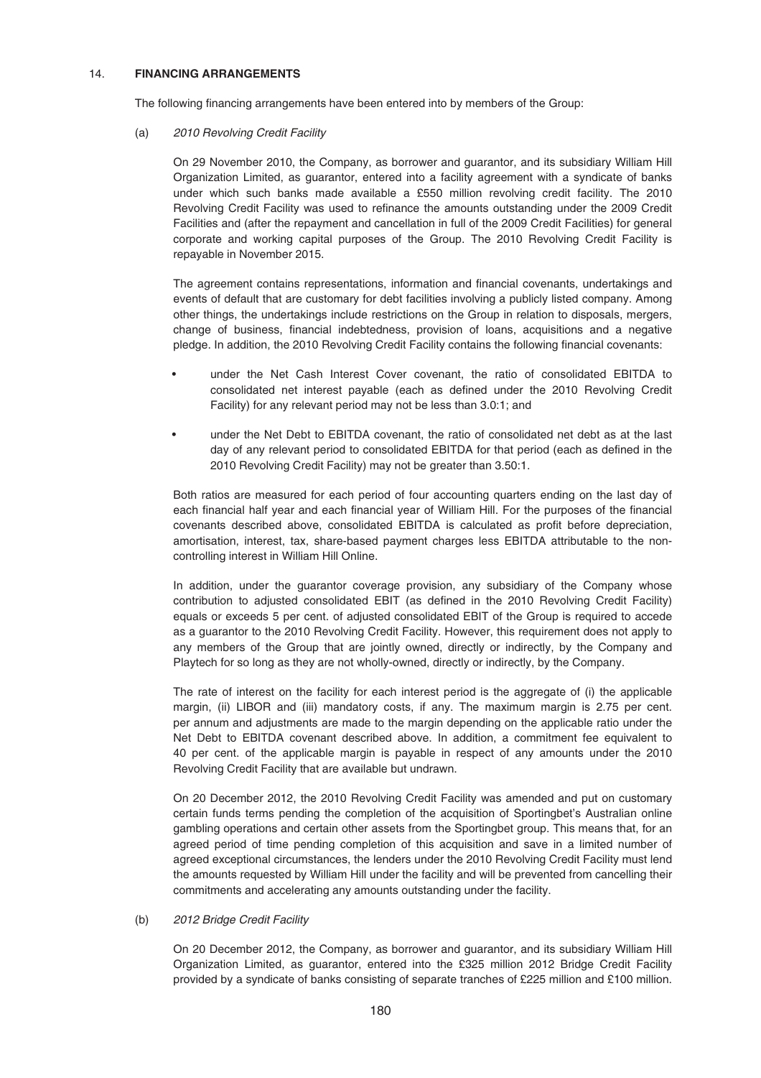# 14. **FINANCING ARRANGEMENTS**

The following financing arrangements have been entered into by members of the Group:

### (a) 2010 Revolving Credit Facility

On 29 November 2010, the Company, as borrower and guarantor, and its subsidiary William Hill Organization Limited, as guarantor, entered into a facility agreement with a syndicate of banks under which such banks made available a £550 million revolving credit facility. The 2010 Revolving Credit Facility was used to refinance the amounts outstanding under the 2009 Credit Facilities and (after the repayment and cancellation in full of the 2009 Credit Facilities) for general corporate and working capital purposes of the Group. The 2010 Revolving Credit Facility is repayable in November 2015.

The agreement contains representations, information and financial covenants, undertakings and events of default that are customary for debt facilities involving a publicly listed company. Among other things, the undertakings include restrictions on the Group in relation to disposals, mergers, change of business, financial indebtedness, provision of loans, acquisitions and a negative pledge. In addition, the 2010 Revolving Credit Facility contains the following financial covenants:

- under the Net Cash Interest Cover covenant, the ratio of consolidated EBITDA to consolidated net interest payable (each as defined under the 2010 Revolving Credit Facility) for any relevant period may not be less than 3.0:1; and
- under the Net Debt to EBITDA covenant, the ratio of consolidated net debt as at the last day of any relevant period to consolidated EBITDA for that period (each as defined in the 2010 Revolving Credit Facility) may not be greater than 3.50:1.

Both ratios are measured for each period of four accounting quarters ending on the last day of each financial half year and each financial year of William Hill. For the purposes of the financial covenants described above, consolidated EBITDA is calculated as profit before depreciation, amortisation, interest, tax, share-based payment charges less EBITDA attributable to the noncontrolling interest in William Hill Online.

In addition, under the guarantor coverage provision, any subsidiary of the Company whose contribution to adjusted consolidated EBIT (as defined in the 2010 Revolving Credit Facility) equals or exceeds 5 per cent. of adjusted consolidated EBIT of the Group is required to accede as a guarantor to the 2010 Revolving Credit Facility. However, this requirement does not apply to any members of the Group that are jointly owned, directly or indirectly, by the Company and Playtech for so long as they are not wholly-owned, directly or indirectly, by the Company.

The rate of interest on the facility for each interest period is the aggregate of (i) the applicable margin, (ii) LIBOR and (iii) mandatory costs, if any. The maximum margin is 2.75 per cent. per annum and adjustments are made to the margin depending on the applicable ratio under the Net Debt to EBITDA covenant described above. In addition, a commitment fee equivalent to 40 per cent. of the applicable margin is payable in respect of any amounts under the 2010 Revolving Credit Facility that are available but undrawn.

On 20 December 2012, the 2010 Revolving Credit Facility was amended and put on customary certain funds terms pending the completion of the acquisition of Sportingbet's Australian online gambling operations and certain other assets from the Sportingbet group. This means that, for an agreed period of time pending completion of this acquisition and save in a limited number of agreed exceptional circumstances, the lenders under the 2010 Revolving Credit Facility must lend the amounts requested by William Hill under the facility and will be prevented from cancelling their commitments and accelerating any amounts outstanding under the facility.

### (b) 2012 Bridge Credit Facility

On 20 December 2012, the Company, as borrower and guarantor, and its subsidiary William Hill Organization Limited, as guarantor, entered into the £325 million 2012 Bridge Credit Facility provided by a syndicate of banks consisting of separate tranches of £225 million and £100 million.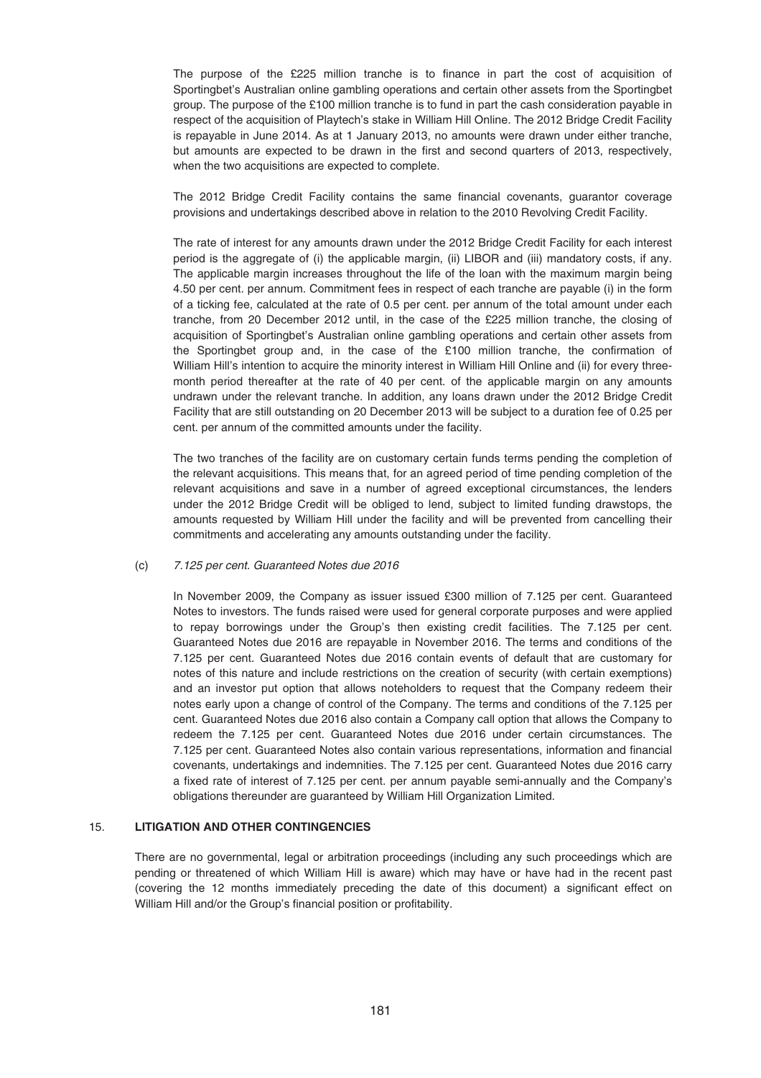The purpose of the £225 million tranche is to finance in part the cost of acquisition of Sportingbet's Australian online gambling operations and certain other assets from the Sportingbet group. The purpose of the £100 million tranche is to fund in part the cash consideration payable in respect of the acquisition of Playtech's stake in William Hill Online. The 2012 Bridge Credit Facility is repayable in June 2014. As at 1 January 2013, no amounts were drawn under either tranche, but amounts are expected to be drawn in the first and second quarters of 2013, respectively, when the two acquisitions are expected to complete.

The 2012 Bridge Credit Facility contains the same financial covenants, guarantor coverage provisions and undertakings described above in relation to the 2010 Revolving Credit Facility.

The rate of interest for any amounts drawn under the 2012 Bridge Credit Facility for each interest period is the aggregate of (i) the applicable margin, (ii) LIBOR and (iii) mandatory costs, if any. The applicable margin increases throughout the life of the loan with the maximum margin being 4.50 per cent. per annum. Commitment fees in respect of each tranche are payable (i) in the form of a ticking fee, calculated at the rate of 0.5 per cent. per annum of the total amount under each tranche, from 20 December 2012 until, in the case of the £225 million tranche, the closing of acquisition of Sportingbet's Australian online gambling operations and certain other assets from the Sportingbet group and, in the case of the £100 million tranche, the confirmation of William Hill's intention to acquire the minority interest in William Hill Online and (ii) for every threemonth period thereafter at the rate of 40 per cent. of the applicable margin on any amounts undrawn under the relevant tranche. In addition, any loans drawn under the 2012 Bridge Credit Facility that are still outstanding on 20 December 2013 will be subject to a duration fee of 0.25 per cent. per annum of the committed amounts under the facility.

The two tranches of the facility are on customary certain funds terms pending the completion of the relevant acquisitions. This means that, for an agreed period of time pending completion of the relevant acquisitions and save in a number of agreed exceptional circumstances, the lenders under the 2012 Bridge Credit will be obliged to lend, subject to limited funding drawstops, the amounts requested by William Hill under the facility and will be prevented from cancelling their commitments and accelerating any amounts outstanding under the facility.

### (c) 7.125 per cent. Guaranteed Notes due 2016

In November 2009, the Company as issuer issued £300 million of 7.125 per cent. Guaranteed Notes to investors. The funds raised were used for general corporate purposes and were applied to repay borrowings under the Group's then existing credit facilities. The 7.125 per cent. Guaranteed Notes due 2016 are repayable in November 2016. The terms and conditions of the 7.125 per cent. Guaranteed Notes due 2016 contain events of default that are customary for notes of this nature and include restrictions on the creation of security (with certain exemptions) and an investor put option that allows noteholders to request that the Company redeem their notes early upon a change of control of the Company. The terms and conditions of the 7.125 per cent. Guaranteed Notes due 2016 also contain a Company call option that allows the Company to redeem the 7.125 per cent. Guaranteed Notes due 2016 under certain circumstances. The 7.125 per cent. Guaranteed Notes also contain various representations, information and financial covenants, undertakings and indemnities. The 7.125 per cent. Guaranteed Notes due 2016 carry a fixed rate of interest of 7.125 per cent. per annum payable semi-annually and the Company's obligations thereunder are guaranteed by William Hill Organization Limited.

### 15. **LITIGATION AND OTHER CONTINGENCIES**

There are no governmental, legal or arbitration proceedings (including any such proceedings which are pending or threatened of which William Hill is aware) which may have or have had in the recent past (covering the 12 months immediately preceding the date of this document) a significant effect on William Hill and/or the Group's financial position or profitability.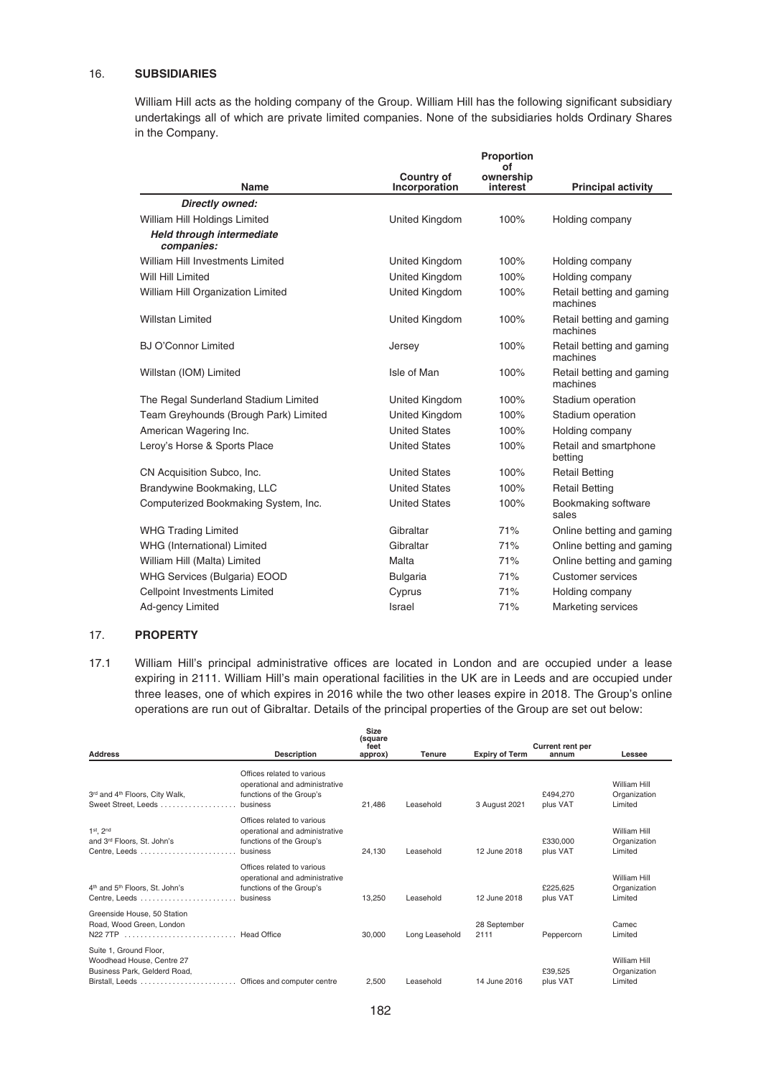# 16. **SUBSIDIARIES**

William Hill acts as the holding company of the Group. William Hill has the following significant subsidiary undertakings all of which are private limited companies. None of the subsidiaries holds Ordinary Shares in the Company.

|                                         | Proportion<br>of                   |                       |                                       |  |
|-----------------------------------------|------------------------------------|-----------------------|---------------------------------------|--|
| Name                                    | <b>Country of</b><br>Incorporation | ownership<br>interest | <b>Principal activity</b>             |  |
| Directly owned:                         |                                    |                       |                                       |  |
| William Hill Holdings Limited           | United Kingdom                     | 100%                  | Holding company                       |  |
| Held through intermediate<br>companies: |                                    |                       |                                       |  |
| William Hill Investments Limited        | United Kingdom                     | 100%                  | Holding company                       |  |
| Will Hill Limited                       | United Kingdom                     | 100%                  | Holding company                       |  |
| William Hill Organization Limited       | United Kingdom                     | 100%                  | Retail betting and gaming<br>machines |  |
| <b>Willstan Limited</b>                 | United Kingdom                     | 100%                  | Retail betting and gaming<br>machines |  |
| <b>BJ O'Connor Limited</b>              | Jersey                             | 100%                  | Retail betting and gaming<br>machines |  |
| Willstan (IOM) Limited                  | Isle of Man                        | 100%                  | Retail betting and gaming<br>machines |  |
| The Regal Sunderland Stadium Limited    | United Kingdom                     | 100%                  | Stadium operation                     |  |
| Team Greyhounds (Brough Park) Limited   | United Kingdom                     | 100%                  | Stadium operation                     |  |
| American Wagering Inc.                  | <b>United States</b>               | 100%                  | Holding company                       |  |
| Leroy's Horse & Sports Place            | <b>United States</b>               | 100%                  | Retail and smartphone<br>betting      |  |
| CN Acquisition Subco, Inc.              | <b>United States</b>               | 100%                  | <b>Retail Betting</b>                 |  |
| Brandywine Bookmaking, LLC              | <b>United States</b>               | 100%                  | <b>Retail Betting</b>                 |  |
| Computerized Bookmaking System, Inc.    | <b>United States</b>               | 100%                  | Bookmaking software<br>sales          |  |
| <b>WHG Trading Limited</b>              | Gibraltar                          | 71%                   | Online betting and gaming             |  |
| WHG (International) Limited             | Gibraltar                          | 71%                   | Online betting and gaming             |  |
| William Hill (Malta) Limited            | Malta                              | 71%                   | Online betting and gaming             |  |
| WHG Services (Bulgaria) EOOD            | <b>Bulgaria</b>                    | 71%                   | <b>Customer services</b>              |  |
| Cellpoint Investments Limited           | Cyprus                             | 71%                   | Holding company                       |  |
| Ad-gency Limited                        | Israel                             | 71%                   | Marketing services                    |  |

# 17. **PROPERTY**

17.1 William Hill's principal administrative offices are located in London and are occupied under a lease expiring in 2111. William Hill's main operational facilities in the UK are in Leeds and are occupied under three leases, one of which expires in 2016 while the two other leases expire in 2018. The Group's online operations are run out of Gibraltar. Details of the principal properties of the Group are set out below:

| <b>Address</b>                                         | <b>Description</b>             | Size<br>(square<br>feet<br>approx) | <b>Tenure</b>  | <b>Expiry of Term</b> | <b>Current rent per</b><br>annum | Lessee       |
|--------------------------------------------------------|--------------------------------|------------------------------------|----------------|-----------------------|----------------------------------|--------------|
|                                                        | Offices related to various     |                                    |                |                       |                                  |              |
|                                                        | operational and administrative |                                    |                |                       |                                  | William Hill |
| 3rd and 4th Floors, City Walk,                         | functions of the Group's       |                                    |                |                       | £494.270                         | Organization |
| Sweet Street. Leeds                                    | business                       | 21.486                             | Leasehold      | 3 August 2021         | plus VAT                         | Limited      |
|                                                        | Offices related to various     |                                    |                |                       |                                  |              |
| $1st$ , $2nd$                                          | operational and administrative |                                    |                |                       |                                  | William Hill |
| and 3rd Floors, St. John's                             | functions of the Group's       |                                    |                |                       | £330,000                         | Organization |
|                                                        | business                       | 24.130                             | Leasehold      | 12 June 2018          | plus VAT                         | Limited      |
|                                                        | Offices related to various     |                                    |                |                       |                                  |              |
|                                                        | operational and administrative |                                    |                |                       |                                  | William Hill |
| 4 <sup>th</sup> and 5 <sup>th</sup> Floors, St. John's | functions of the Group's       |                                    |                |                       | £225,625                         | Organization |
|                                                        | business                       | 13.250                             | Leasehold      | 12 June 2018          | plus VAT                         | Limited      |
| Greenside House, 50 Station                            |                                |                                    |                |                       |                                  |              |
| Road, Wood Green, London                               |                                |                                    |                | 28 September          |                                  | Camec        |
| N22 7TP  Head Office                                   |                                | 30,000                             | Long Leasehold | 2111                  | Peppercorn                       | Limited      |
|                                                        |                                |                                    |                |                       |                                  |              |
| Suite 1, Ground Floor,                                 |                                |                                    |                |                       |                                  |              |
| Woodhead House, Centre 27                              |                                |                                    |                |                       |                                  | William Hill |
| Business Park, Gelderd Road,                           |                                |                                    |                |                       | £39,525                          | Organization |
|                                                        |                                | 2.500                              | Leasehold      | 14 June 2016          | plus VAT                         | Limited      |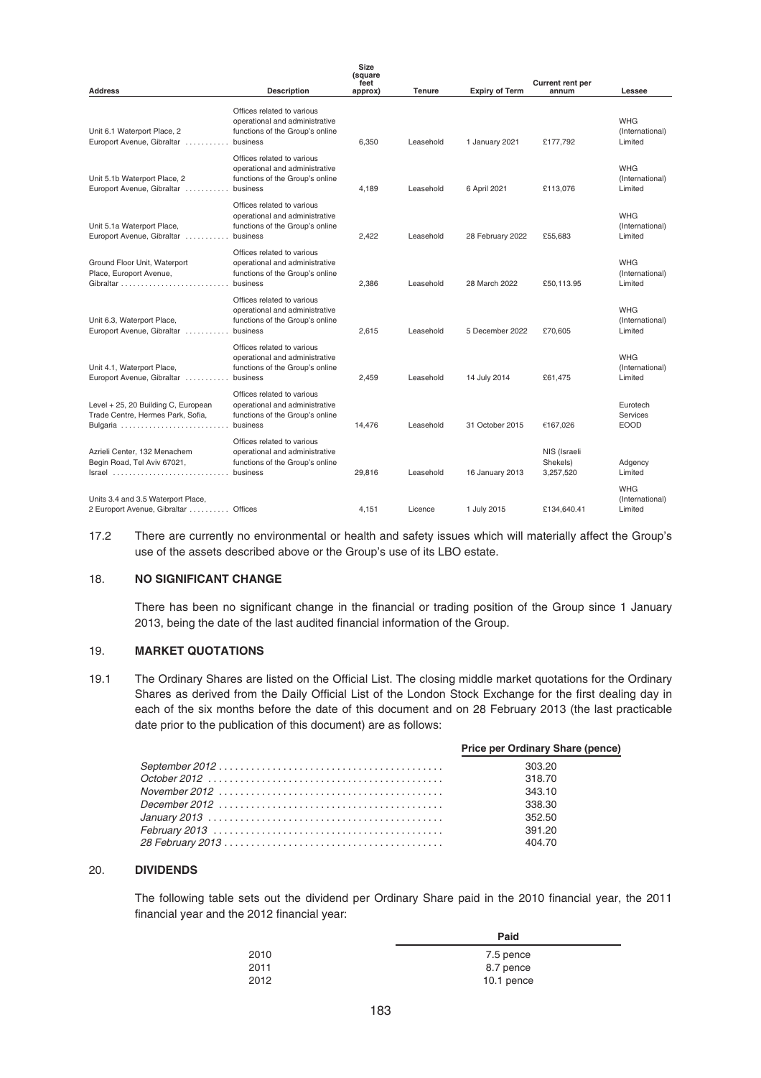| <b>Address</b>                                                                       | <b>Description</b>                                                                                          | Size<br>(square<br>feet<br>approx) | <b>Tenure</b> | <b>Expiry of Term</b> | <b>Current rent per</b><br>annum      | Lessee                                     |
|--------------------------------------------------------------------------------------|-------------------------------------------------------------------------------------------------------------|------------------------------------|---------------|-----------------------|---------------------------------------|--------------------------------------------|
| Unit 6.1 Waterport Place, 2<br>Europort Avenue, Gibraltar                            | Offices related to various<br>operational and administrative<br>functions of the Group's online<br>business | 6,350                              | Leasehold     | 1 January 2021        | £177.792                              | <b>WHG</b><br>(International)<br>Limited   |
| Unit 5.1b Waterport Place, 2<br>Europort Avenue, Gibraltar                           | Offices related to various<br>operational and administrative<br>functions of the Group's online<br>business | 4,189                              | Leasehold     | 6 April 2021          | £113,076                              | <b>WHG</b><br>(International)<br>Limited   |
| Unit 5.1a Waterport Place,<br>Europort Avenue, Gibraltar                             | Offices related to various<br>operational and administrative<br>functions of the Group's online<br>business | 2,422                              | Leasehold     | 28 February 2022      | £55.683                               | <b>WHG</b><br>(International)<br>Limited   |
| Ground Floor Unit, Waterport<br>Place, Europort Avenue,                              | Offices related to various<br>operational and administrative<br>functions of the Group's online<br>business | 2,386                              | Leasehold     | 28 March 2022         | £50,113.95                            | <b>WHG</b><br>(International)<br>Limited   |
| Unit 6.3, Waterport Place,<br>Europort Avenue, Gibraltar                             | Offices related to various<br>operational and administrative<br>functions of the Group's online<br>business | 2,615                              | Leasehold     | 5 December 2022       | £70,605                               | <b>WHG</b><br>(International)<br>Limited   |
| Unit 4.1, Waterport Place,<br>Europort Avenue, Gibraltar                             | Offices related to various<br>operational and administrative<br>functions of the Group's online<br>business | 2,459                              | Leasehold     | 14 July 2014          | £61,475                               | <b>WHG</b><br>(International)<br>Limited   |
| Level + 25, 20 Building C, European<br>Trade Centre, Hermes Park, Sofia,<br>Bulgaria | Offices related to various<br>operational and administrative<br>functions of the Group's online<br>business | 14,476                             | Leasehold     | 31 October 2015       | €167.026                              | Eurotech<br><b>Services</b><br><b>EOOD</b> |
| Azrieli Center, 132 Menachem<br>Begin Road, Tel Aviv 67021,<br>Israel                | Offices related to various<br>operational and administrative<br>functions of the Group's online<br>business | 29,816                             | Leasehold     | 16 January 2013       | NIS (Israeli<br>Shekels)<br>3,257,520 | Adgency<br>Limited                         |
| Units 3.4 and 3.5 Waterport Place,<br>2 Europort Avenue, Gibraltar  Offices          |                                                                                                             | 4.151                              | Licence       | 1 July 2015           | £134.640.41                           | <b>WHG</b><br>(International)<br>Limited   |

17.2 There are currently no environmental or health and safety issues which will materially affect the Group's use of the assets described above or the Group's use of its LBO estate.

### 18. **NO SIGNIFICANT CHANGE**

There has been no significant change in the financial or trading position of the Group since 1 January 2013, being the date of the last audited financial information of the Group.

### 19. **MARKET QUOTATIONS**

19.1 The Ordinary Shares are listed on the Official List. The closing middle market quotations for the Ordinary Shares as derived from the Daily Official List of the London Stock Exchange for the first dealing day in each of the six months before the date of this document and on 28 February 2013 (the last practicable date prior to the publication of this document) are as follows:

| Price per Ordinary Share (pence) |
|----------------------------------|
| 303.20                           |
| 318.70                           |
| 343.10                           |
| 338.30                           |
| 352.50                           |
| 391.20                           |
| 404.70                           |

#### 20. **DIVIDENDS**

l,

The following table sets out the dividend per Ordinary Share paid in the 2010 financial year, the 2011 financial year and the 2012 financial year:

|      | Paid       |
|------|------------|
| 2010 | 7.5 pence  |
| 2011 | 8.7 pence  |
| 2012 | 10.1 pence |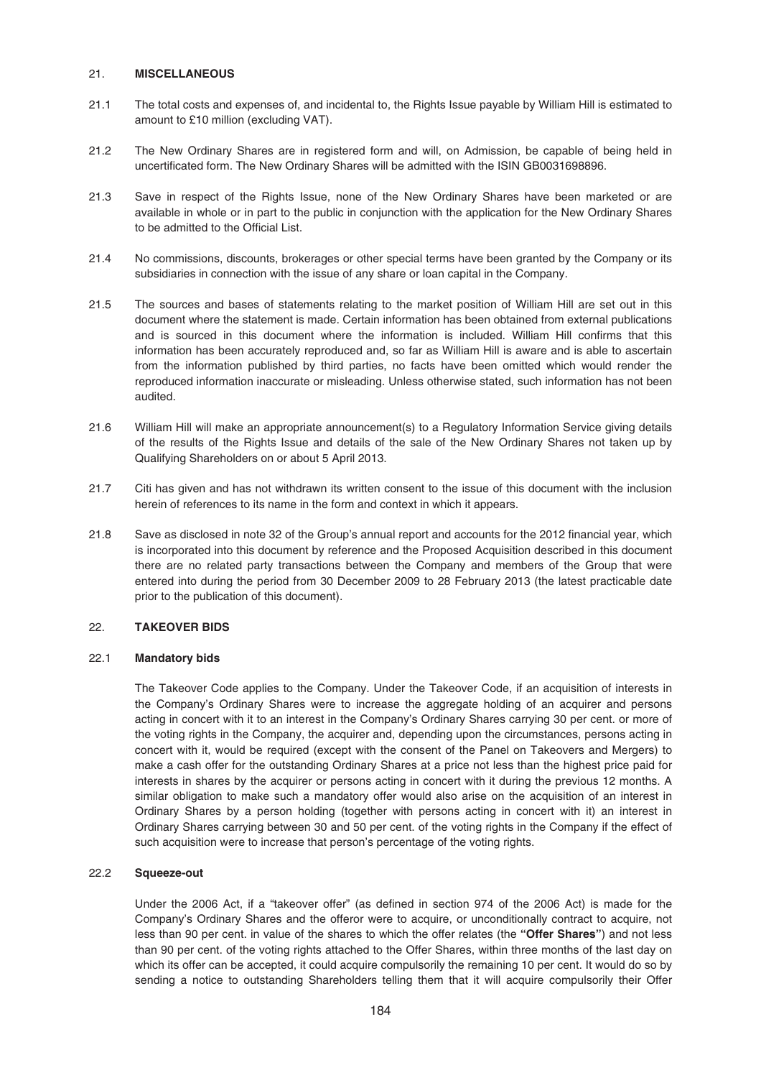### 21. **MISCELLANEOUS**

- 21.1 The total costs and expenses of, and incidental to, the Rights Issue payable by William Hill is estimated to amount to £10 million (excluding VAT).
- 21.2 The New Ordinary Shares are in registered form and will, on Admission, be capable of being held in uncertificated form. The New Ordinary Shares will be admitted with the ISIN GB0031698896.
- 21.3 Save in respect of the Rights Issue, none of the New Ordinary Shares have been marketed or are available in whole or in part to the public in conjunction with the application for the New Ordinary Shares to be admitted to the Official List.
- 21.4 No commissions, discounts, brokerages or other special terms have been granted by the Company or its subsidiaries in connection with the issue of any share or loan capital in the Company.
- 21.5 The sources and bases of statements relating to the market position of William Hill are set out in this document where the statement is made. Certain information has been obtained from external publications and is sourced in this document where the information is included. William Hill confirms that this information has been accurately reproduced and, so far as William Hill is aware and is able to ascertain from the information published by third parties, no facts have been omitted which would render the reproduced information inaccurate or misleading. Unless otherwise stated, such information has not been audited.
- 21.6 William Hill will make an appropriate announcement(s) to a Regulatory Information Service giving details of the results of the Rights Issue and details of the sale of the New Ordinary Shares not taken up by Qualifying Shareholders on or about 5 April 2013.
- 21.7 Citi has given and has not withdrawn its written consent to the issue of this document with the inclusion herein of references to its name in the form and context in which it appears.
- 21.8 Save as disclosed in note 32 of the Group's annual report and accounts for the 2012 financial year, which is incorporated into this document by reference and the Proposed Acquisition described in this document there are no related party transactions between the Company and members of the Group that were entered into during the period from 30 December 2009 to 28 February 2013 (the latest practicable date prior to the publication of this document).

# 22. **TAKEOVER BIDS**

### 22.1 **Mandatory bids**

The Takeover Code applies to the Company. Under the Takeover Code, if an acquisition of interests in the Company's Ordinary Shares were to increase the aggregate holding of an acquirer and persons acting in concert with it to an interest in the Company's Ordinary Shares carrying 30 per cent. or more of the voting rights in the Company, the acquirer and, depending upon the circumstances, persons acting in concert with it, would be required (except with the consent of the Panel on Takeovers and Mergers) to make a cash offer for the outstanding Ordinary Shares at a price not less than the highest price paid for interests in shares by the acquirer or persons acting in concert with it during the previous 12 months. A similar obligation to make such a mandatory offer would also arise on the acquisition of an interest in Ordinary Shares by a person holding (together with persons acting in concert with it) an interest in Ordinary Shares carrying between 30 and 50 per cent. of the voting rights in the Company if the effect of such acquisition were to increase that person's percentage of the voting rights.

### 22.2 **Squeeze-out**

Under the 2006 Act, if a "takeover offer" (as defined in section 974 of the 2006 Act) is made for the Company's Ordinary Shares and the offeror were to acquire, or unconditionally contract to acquire, not less than 90 per cent. in value of the shares to which the offer relates (the **"Offer Shares"**) and not less than 90 per cent. of the voting rights attached to the Offer Shares, within three months of the last day on which its offer can be accepted, it could acquire compulsorily the remaining 10 per cent. It would do so by sending a notice to outstanding Shareholders telling them that it will acquire compulsorily their Offer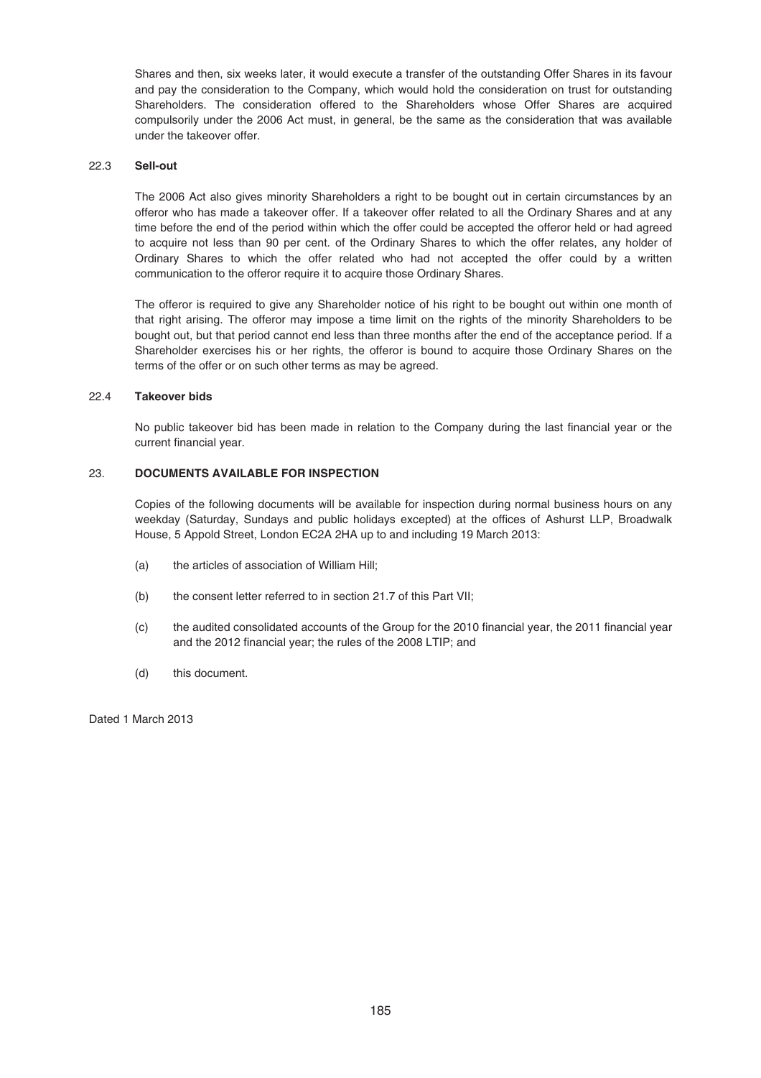Shares and then, six weeks later, it would execute a transfer of the outstanding Offer Shares in its favour and pay the consideration to the Company, which would hold the consideration on trust for outstanding Shareholders. The consideration offered to the Shareholders whose Offer Shares are acquired compulsorily under the 2006 Act must, in general, be the same as the consideration that was available under the takeover offer.

# 22.3 **Sell-out**

The 2006 Act also gives minority Shareholders a right to be bought out in certain circumstances by an offeror who has made a takeover offer. If a takeover offer related to all the Ordinary Shares and at any time before the end of the period within which the offer could be accepted the offeror held or had agreed to acquire not less than 90 per cent. of the Ordinary Shares to which the offer relates, any holder of Ordinary Shares to which the offer related who had not accepted the offer could by a written communication to the offeror require it to acquire those Ordinary Shares.

The offeror is required to give any Shareholder notice of his right to be bought out within one month of that right arising. The offeror may impose a time limit on the rights of the minority Shareholders to be bought out, but that period cannot end less than three months after the end of the acceptance period. If a Shareholder exercises his or her rights, the offeror is bound to acquire those Ordinary Shares on the terms of the offer or on such other terms as may be agreed.

### 22.4 **Takeover bids**

No public takeover bid has been made in relation to the Company during the last financial year or the current financial year.

# 23. **DOCUMENTS AVAILABLE FOR INSPECTION**

Copies of the following documents will be available for inspection during normal business hours on any weekday (Saturday, Sundays and public holidays excepted) at the offices of Ashurst LLP, Broadwalk House, 5 Appold Street, London EC2A 2HA up to and including 19 March 2013:

- (a) the articles of association of William Hill;
- (b) the consent letter referred to in section 21.7 of this Part VII;
- (c) the audited consolidated accounts of the Group for the 2010 financial year, the 2011 financial year and the 2012 financial year; the rules of the 2008 LTIP; and
- (d) this document.

Dated 1 March 2013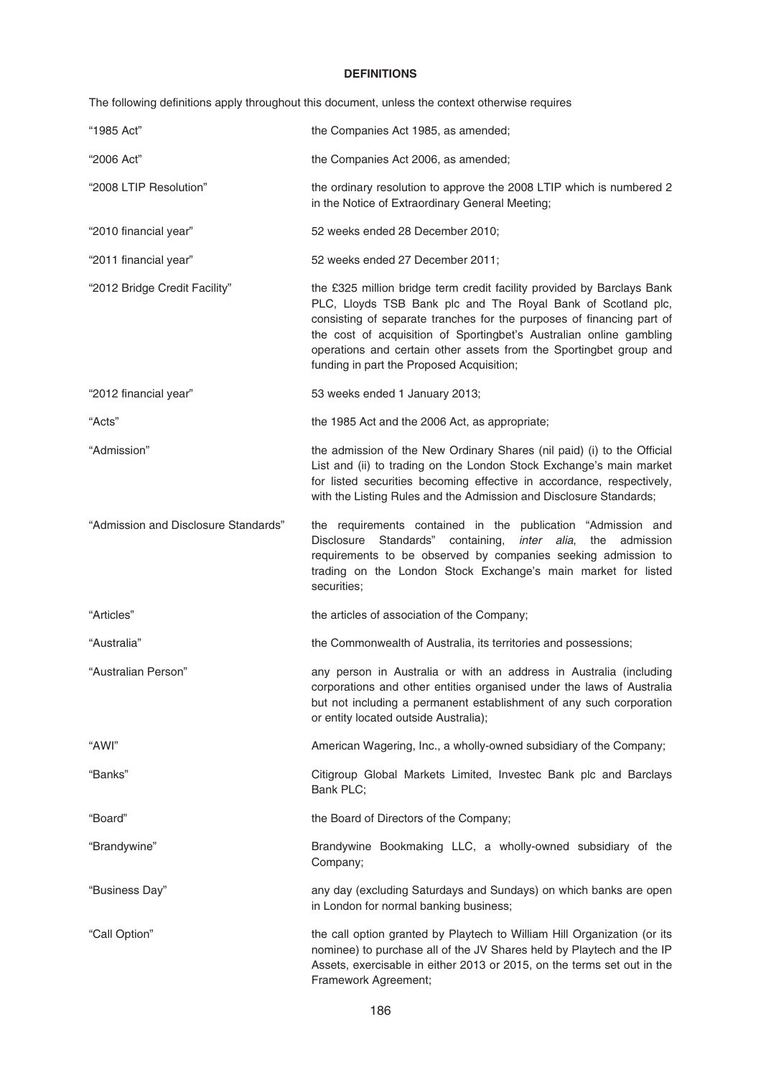# **DEFINITIONS**

The following definitions apply throughout this document, unless the context otherwise requires

| "1985 Act"                           | the Companies Act 1985, as amended;                                                                                                                                                                                                                                                                                                                                                                       |
|--------------------------------------|-----------------------------------------------------------------------------------------------------------------------------------------------------------------------------------------------------------------------------------------------------------------------------------------------------------------------------------------------------------------------------------------------------------|
| "2006 Act"                           | the Companies Act 2006, as amended;                                                                                                                                                                                                                                                                                                                                                                       |
| "2008 LTIP Resolution"               | the ordinary resolution to approve the 2008 LTIP which is numbered 2<br>in the Notice of Extraordinary General Meeting;                                                                                                                                                                                                                                                                                   |
| "2010 financial year"                | 52 weeks ended 28 December 2010;                                                                                                                                                                                                                                                                                                                                                                          |
| "2011 financial year"                | 52 weeks ended 27 December 2011;                                                                                                                                                                                                                                                                                                                                                                          |
| "2012 Bridge Credit Facility"        | the £325 million bridge term credit facility provided by Barclays Bank<br>PLC, Lloyds TSB Bank plc and The Royal Bank of Scotland plc,<br>consisting of separate tranches for the purposes of financing part of<br>the cost of acquisition of Sportingbet's Australian online gambling<br>operations and certain other assets from the Sportingbet group and<br>funding in part the Proposed Acquisition; |
| "2012 financial year"                | 53 weeks ended 1 January 2013;                                                                                                                                                                                                                                                                                                                                                                            |
| "Acts"                               | the 1985 Act and the 2006 Act, as appropriate;                                                                                                                                                                                                                                                                                                                                                            |
| "Admission"                          | the admission of the New Ordinary Shares (nil paid) (i) to the Official<br>List and (ii) to trading on the London Stock Exchange's main market<br>for listed securities becoming effective in accordance, respectively,<br>with the Listing Rules and the Admission and Disclosure Standards;                                                                                                             |
| "Admission and Disclosure Standards" | the requirements contained in the publication "Admission and<br>Disclosure Standards" containing, inter alia,<br>the<br>admission<br>requirements to be observed by companies seeking admission to<br>trading on the London Stock Exchange's main market for listed<br>securities;                                                                                                                        |
| "Articles"                           | the articles of association of the Company;                                                                                                                                                                                                                                                                                                                                                               |
| "Australia"                          | the Commonwealth of Australia, its territories and possessions;                                                                                                                                                                                                                                                                                                                                           |
| "Australian Person"                  | any person in Australia or with an address in Australia (including<br>corporations and other entities organised under the laws of Australia<br>but not including a permanent establishment of any such corporation<br>or entity located outside Australia);                                                                                                                                               |
| "AWI"                                | American Wagering, Inc., a wholly-owned subsidiary of the Company;                                                                                                                                                                                                                                                                                                                                        |
| "Banks"                              | Citigroup Global Markets Limited, Investec Bank plc and Barclays<br>Bank PLC;                                                                                                                                                                                                                                                                                                                             |
| "Board"                              | the Board of Directors of the Company;                                                                                                                                                                                                                                                                                                                                                                    |
| "Brandywine"                         | Brandywine Bookmaking LLC, a wholly-owned subsidiary of the<br>Company;                                                                                                                                                                                                                                                                                                                                   |
| "Business Day"                       | any day (excluding Saturdays and Sundays) on which banks are open<br>in London for normal banking business;                                                                                                                                                                                                                                                                                               |
| "Call Option"                        | the call option granted by Playtech to William Hill Organization (or its<br>nominee) to purchase all of the JV Shares held by Playtech and the IP<br>Assets, exercisable in either 2013 or 2015, on the terms set out in the<br>Framework Agreement;                                                                                                                                                      |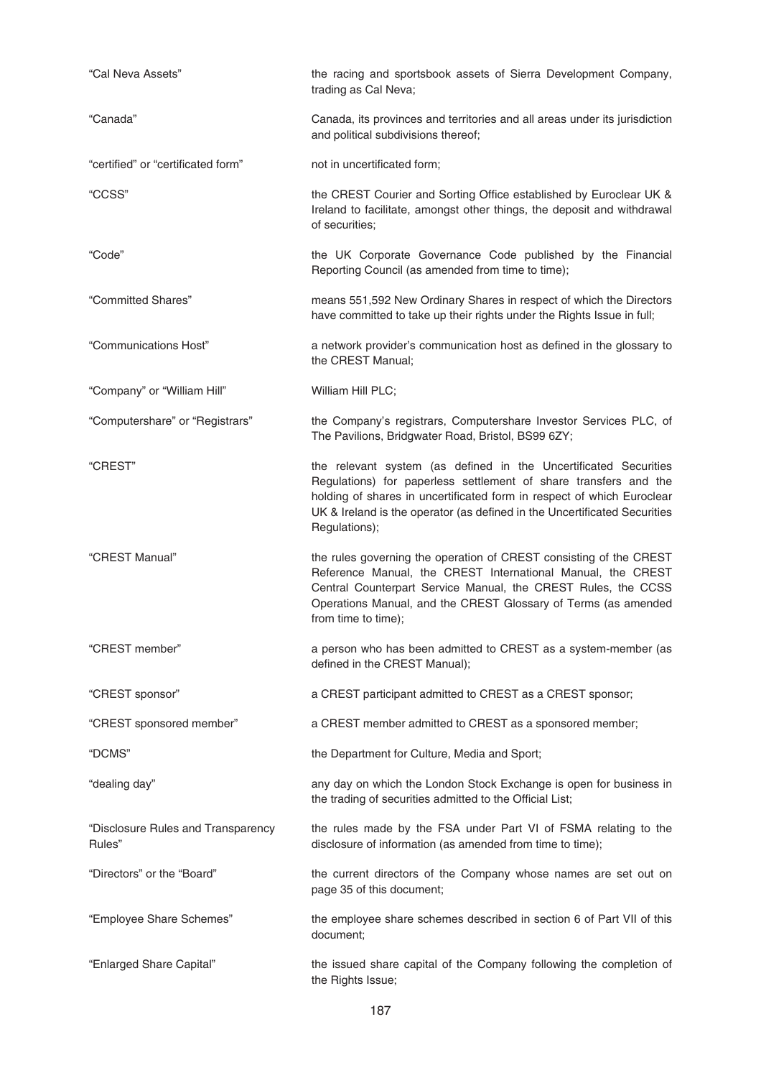| "Cal Neva Assets"                            | the racing and sportsbook assets of Sierra Development Company,<br>trading as Cal Neva;                                                                                                                                                                                                                      |
|----------------------------------------------|--------------------------------------------------------------------------------------------------------------------------------------------------------------------------------------------------------------------------------------------------------------------------------------------------------------|
| "Canada"                                     | Canada, its provinces and territories and all areas under its jurisdiction<br>and political subdivisions thereof;                                                                                                                                                                                            |
| "certified" or "certificated form"           | not in uncertificated form;                                                                                                                                                                                                                                                                                  |
| "CCSS"                                       | the CREST Courier and Sorting Office established by Euroclear UK &<br>Ireland to facilitate, amongst other things, the deposit and withdrawal<br>of securities;                                                                                                                                              |
| "Code"                                       | the UK Corporate Governance Code published by the Financial<br>Reporting Council (as amended from time to time);                                                                                                                                                                                             |
| "Committed Shares"                           | means 551,592 New Ordinary Shares in respect of which the Directors<br>have committed to take up their rights under the Rights Issue in full;                                                                                                                                                                |
| "Communications Host"                        | a network provider's communication host as defined in the glossary to<br>the CREST Manual;                                                                                                                                                                                                                   |
| "Company" or "William Hill"                  | William Hill PLC;                                                                                                                                                                                                                                                                                            |
| "Computershare" or "Registrars"              | the Company's registrars, Computershare Investor Services PLC, of<br>The Pavilions, Bridgwater Road, Bristol, BS99 6ZY;                                                                                                                                                                                      |
| "CREST"                                      | the relevant system (as defined in the Uncertificated Securities<br>Regulations) for paperless settlement of share transfers and the<br>holding of shares in uncertificated form in respect of which Euroclear<br>UK & Ireland is the operator (as defined in the Uncertificated Securities<br>Regulations); |
| "CREST Manual"                               | the rules governing the operation of CREST consisting of the CREST<br>Reference Manual, the CREST International Manual, the CREST<br>Central Counterpart Service Manual, the CREST Rules, the CCSS<br>Operations Manual, and the CREST Glossary of Terms (as amended<br>from time to time);                  |
| "CREST member"                               | a person who has been admitted to CREST as a system-member (as<br>defined in the CREST Manual);                                                                                                                                                                                                              |
| "CREST sponsor"                              | a CREST participant admitted to CREST as a CREST sponsor;                                                                                                                                                                                                                                                    |
| "CREST sponsored member"                     | a CREST member admitted to CREST as a sponsored member;                                                                                                                                                                                                                                                      |
| "DCMS"                                       | the Department for Culture, Media and Sport;                                                                                                                                                                                                                                                                 |
| "dealing day"                                | any day on which the London Stock Exchange is open for business in<br>the trading of securities admitted to the Official List;                                                                                                                                                                               |
| "Disclosure Rules and Transparency<br>Rules" | the rules made by the FSA under Part VI of FSMA relating to the<br>disclosure of information (as amended from time to time);                                                                                                                                                                                 |
| "Directors" or the "Board"                   | the current directors of the Company whose names are set out on<br>page 35 of this document;                                                                                                                                                                                                                 |
| "Employee Share Schemes"                     | the employee share schemes described in section 6 of Part VII of this<br>document;                                                                                                                                                                                                                           |
| "Enlarged Share Capital"                     | the issued share capital of the Company following the completion of<br>the Rights Issue;                                                                                                                                                                                                                     |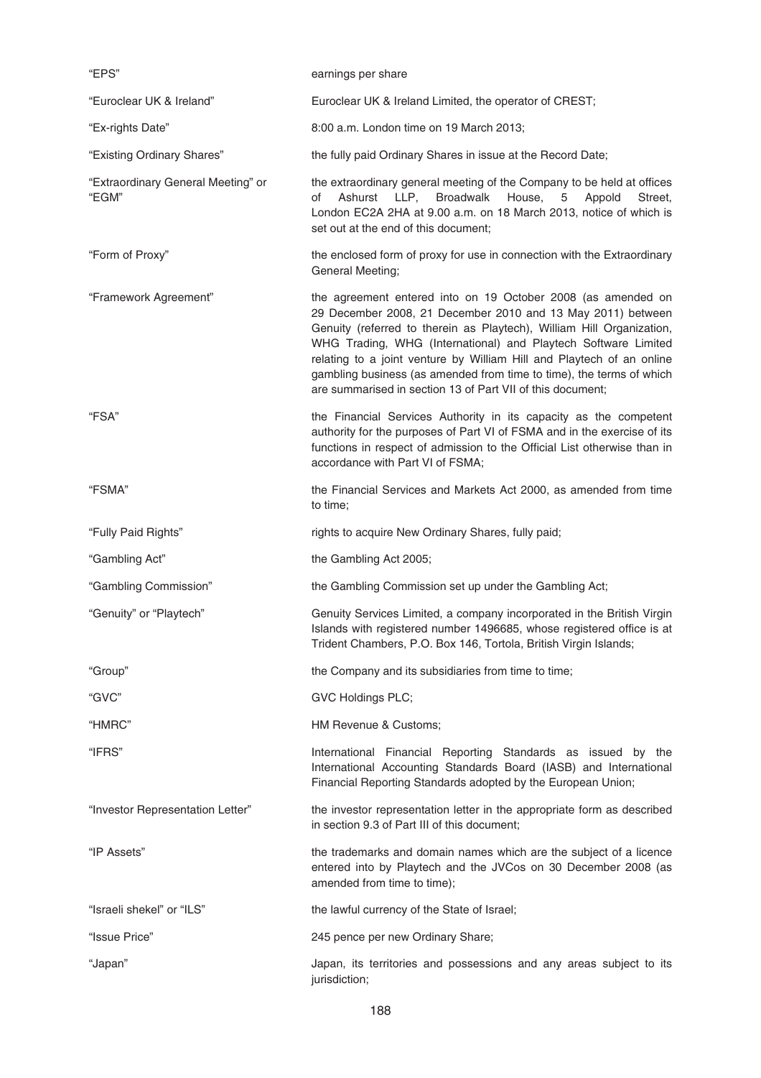| "EPS"                                       | earnings per share                                                                                                                                                                                                                                                                                                                                                                                                                                                                    |
|---------------------------------------------|---------------------------------------------------------------------------------------------------------------------------------------------------------------------------------------------------------------------------------------------------------------------------------------------------------------------------------------------------------------------------------------------------------------------------------------------------------------------------------------|
| "Euroclear UK & Ireland"                    | Euroclear UK & Ireland Limited, the operator of CREST;                                                                                                                                                                                                                                                                                                                                                                                                                                |
| "Ex-rights Date"                            | 8:00 a.m. London time on 19 March 2013;                                                                                                                                                                                                                                                                                                                                                                                                                                               |
| "Existing Ordinary Shares"                  | the fully paid Ordinary Shares in issue at the Record Date;                                                                                                                                                                                                                                                                                                                                                                                                                           |
| "Extraordinary General Meeting" or<br>"EGM" | the extraordinary general meeting of the Company to be held at offices<br>Ashurst LLP, Broadwalk<br>House,<br>5<br>Appold<br>of<br>Street,<br>London EC2A 2HA at 9.00 a.m. on 18 March 2013, notice of which is<br>set out at the end of this document;                                                                                                                                                                                                                               |
| "Form of Proxy"                             | the enclosed form of proxy for use in connection with the Extraordinary<br>General Meeting;                                                                                                                                                                                                                                                                                                                                                                                           |
| "Framework Agreement"                       | the agreement entered into on 19 October 2008 (as amended on<br>29 December 2008, 21 December 2010 and 13 May 2011) between<br>Genuity (referred to therein as Playtech), William Hill Organization,<br>WHG Trading, WHG (International) and Playtech Software Limited<br>relating to a joint venture by William Hill and Playtech of an online<br>gambling business (as amended from time to time), the terms of which<br>are summarised in section 13 of Part VII of this document; |
| "FSA"                                       | the Financial Services Authority in its capacity as the competent<br>authority for the purposes of Part VI of FSMA and in the exercise of its<br>functions in respect of admission to the Official List otherwise than in<br>accordance with Part VI of FSMA;                                                                                                                                                                                                                         |
| "FSMA"                                      | the Financial Services and Markets Act 2000, as amended from time<br>to time;                                                                                                                                                                                                                                                                                                                                                                                                         |
| "Fully Paid Rights"                         | rights to acquire New Ordinary Shares, fully paid;                                                                                                                                                                                                                                                                                                                                                                                                                                    |
| "Gambling Act"                              | the Gambling Act 2005;                                                                                                                                                                                                                                                                                                                                                                                                                                                                |
| "Gambling Commission"                       | the Gambling Commission set up under the Gambling Act;                                                                                                                                                                                                                                                                                                                                                                                                                                |
| "Genuity" or "Playtech"                     | Genuity Services Limited, a company incorporated in the British Virgin<br>Islands with registered number 1496685, whose registered office is at<br>Trident Chambers, P.O. Box 146, Tortola, British Virgin Islands;                                                                                                                                                                                                                                                                   |
| "Group"                                     | the Company and its subsidiaries from time to time;                                                                                                                                                                                                                                                                                                                                                                                                                                   |
| "GVC"                                       | <b>GVC Holdings PLC;</b>                                                                                                                                                                                                                                                                                                                                                                                                                                                              |
| "HMRC"                                      | HM Revenue & Customs;                                                                                                                                                                                                                                                                                                                                                                                                                                                                 |
| "IFRS"                                      | International Financial Reporting Standards as issued by the<br>International Accounting Standards Board (IASB) and International<br>Financial Reporting Standards adopted by the European Union;                                                                                                                                                                                                                                                                                     |
| "Investor Representation Letter"            | the investor representation letter in the appropriate form as described<br>in section 9.3 of Part III of this document;                                                                                                                                                                                                                                                                                                                                                               |
| "IP Assets"                                 | the trademarks and domain names which are the subject of a licence<br>entered into by Playtech and the JVCos on 30 December 2008 (as<br>amended from time to time);                                                                                                                                                                                                                                                                                                                   |
| "Israeli shekel" or "ILS"                   | the lawful currency of the State of Israel;                                                                                                                                                                                                                                                                                                                                                                                                                                           |
| "Issue Price"                               | 245 pence per new Ordinary Share;                                                                                                                                                                                                                                                                                                                                                                                                                                                     |
| "Japan"                                     | Japan, its territories and possessions and any areas subject to its<br>jurisdiction;                                                                                                                                                                                                                                                                                                                                                                                                  |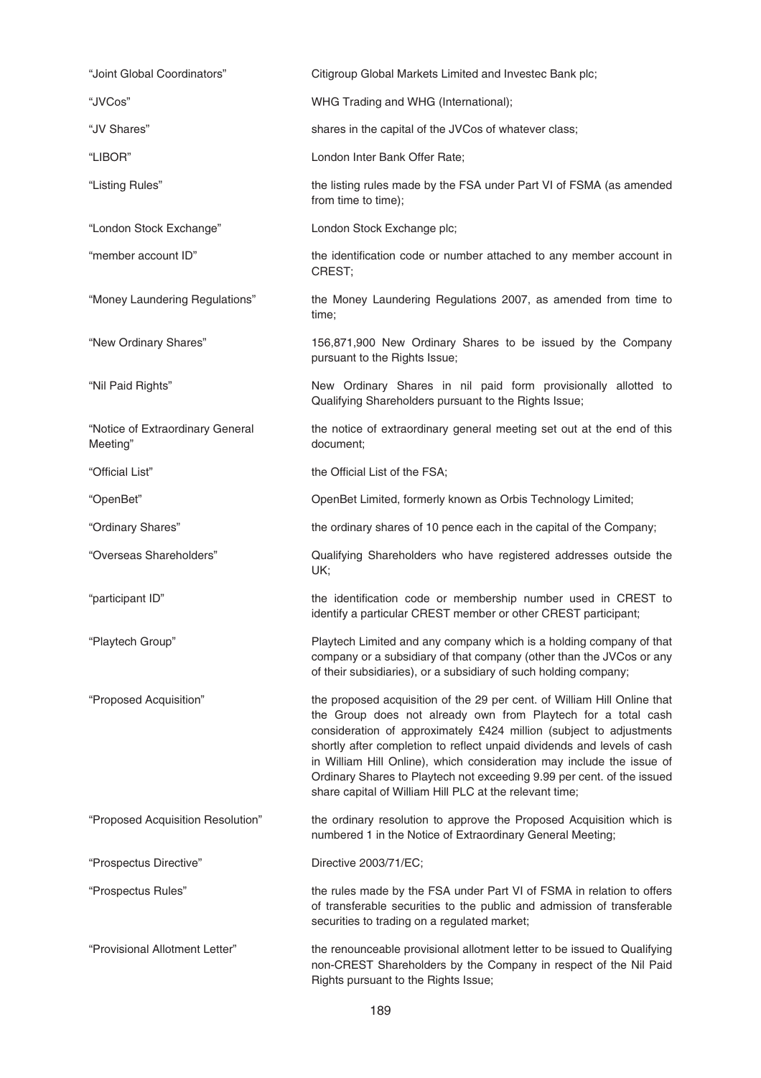| "Joint Global Coordinators"                  | Citigroup Global Markets Limited and Investec Bank plc;                                                                                                                                                                                                                                                                                                                                                                                                                                                   |
|----------------------------------------------|-----------------------------------------------------------------------------------------------------------------------------------------------------------------------------------------------------------------------------------------------------------------------------------------------------------------------------------------------------------------------------------------------------------------------------------------------------------------------------------------------------------|
| "JVCos"                                      | WHG Trading and WHG (International);                                                                                                                                                                                                                                                                                                                                                                                                                                                                      |
| "JV Shares"                                  | shares in the capital of the JVCos of whatever class;                                                                                                                                                                                                                                                                                                                                                                                                                                                     |
| "LIBOR"                                      | London Inter Bank Offer Rate;                                                                                                                                                                                                                                                                                                                                                                                                                                                                             |
| "Listing Rules"                              | the listing rules made by the FSA under Part VI of FSMA (as amended<br>from time to time);                                                                                                                                                                                                                                                                                                                                                                                                                |
| "London Stock Exchange"                      | London Stock Exchange plc;                                                                                                                                                                                                                                                                                                                                                                                                                                                                                |
| "member account ID"                          | the identification code or number attached to any member account in<br>CREST;                                                                                                                                                                                                                                                                                                                                                                                                                             |
| "Money Laundering Regulations"               | the Money Laundering Regulations 2007, as amended from time to<br>time;                                                                                                                                                                                                                                                                                                                                                                                                                                   |
| "New Ordinary Shares"                        | 156,871,900 New Ordinary Shares to be issued by the Company<br>pursuant to the Rights Issue;                                                                                                                                                                                                                                                                                                                                                                                                              |
| "Nil Paid Rights"                            | New Ordinary Shares in nil paid form provisionally allotted to<br>Qualifying Shareholders pursuant to the Rights Issue;                                                                                                                                                                                                                                                                                                                                                                                   |
| "Notice of Extraordinary General<br>Meeting" | the notice of extraordinary general meeting set out at the end of this<br>document;                                                                                                                                                                                                                                                                                                                                                                                                                       |
| "Official List"                              | the Official List of the FSA;                                                                                                                                                                                                                                                                                                                                                                                                                                                                             |
| "OpenBet"                                    | OpenBet Limited, formerly known as Orbis Technology Limited;                                                                                                                                                                                                                                                                                                                                                                                                                                              |
| "Ordinary Shares"                            | the ordinary shares of 10 pence each in the capital of the Company;                                                                                                                                                                                                                                                                                                                                                                                                                                       |
| "Overseas Shareholders"                      | Qualifying Shareholders who have registered addresses outside the<br>UK;                                                                                                                                                                                                                                                                                                                                                                                                                                  |
| "participant ID"                             | the identification code or membership number used in CREST to<br>identify a particular CREST member or other CREST participant;                                                                                                                                                                                                                                                                                                                                                                           |
| "Playtech Group"                             | Playtech Limited and any company which is a holding company of that<br>company or a subsidiary of that company (other than the JVCos or any<br>of their subsidiaries), or a subsidiary of such holding company;                                                                                                                                                                                                                                                                                           |
| "Proposed Acquisition"                       | the proposed acquisition of the 29 per cent. of William Hill Online that<br>the Group does not already own from Playtech for a total cash<br>consideration of approximately £424 million (subject to adjustments<br>shortly after completion to reflect unpaid dividends and levels of cash<br>in William Hill Online), which consideration may include the issue of<br>Ordinary Shares to Playtech not exceeding 9.99 per cent. of the issued<br>share capital of William Hill PLC at the relevant time; |
| "Proposed Acquisition Resolution"            | the ordinary resolution to approve the Proposed Acquisition which is<br>numbered 1 in the Notice of Extraordinary General Meeting;                                                                                                                                                                                                                                                                                                                                                                        |
| "Prospectus Directive"                       | Directive 2003/71/EC;                                                                                                                                                                                                                                                                                                                                                                                                                                                                                     |
| "Prospectus Rules"                           | the rules made by the FSA under Part VI of FSMA in relation to offers<br>of transferable securities to the public and admission of transferable<br>securities to trading on a regulated market;                                                                                                                                                                                                                                                                                                           |
| "Provisional Allotment Letter"               | the renounceable provisional allotment letter to be issued to Qualifying<br>non-CREST Shareholders by the Company in respect of the Nil Paid<br>Rights pursuant to the Rights Issue;                                                                                                                                                                                                                                                                                                                      |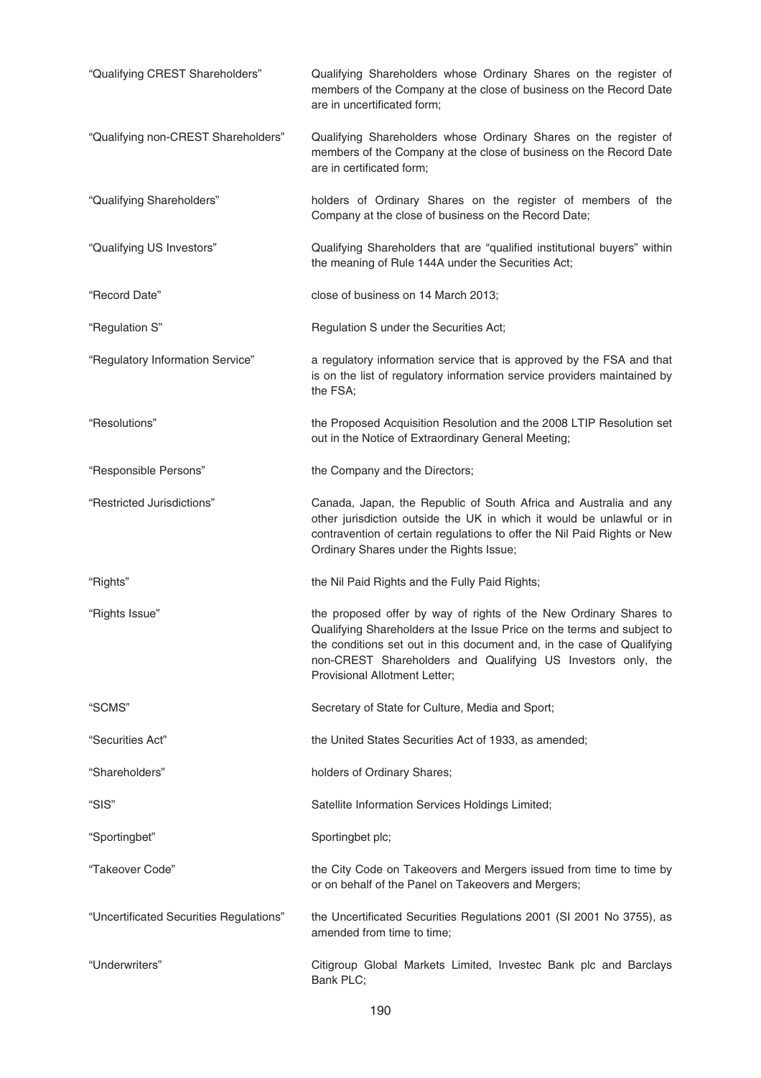| "Qualifying CREST Shareholders"         | Qualifying Shareholders whose Ordinary Shares on the register of<br>members of the Company at the close of business on the Record Date<br>are in uncertificated form;                                                                                                                                                  |
|-----------------------------------------|------------------------------------------------------------------------------------------------------------------------------------------------------------------------------------------------------------------------------------------------------------------------------------------------------------------------|
| "Qualifying non-CREST Shareholders"     | Qualifying Shareholders whose Ordinary Shares on the register of<br>members of the Company at the close of business on the Record Date<br>are in certificated form;                                                                                                                                                    |
| "Qualifying Shareholders"               | holders of Ordinary Shares on the register of members of the<br>Company at the close of business on the Record Date;                                                                                                                                                                                                   |
| "Qualifying US Investors"               | Qualifying Shareholders that are "qualified institutional buyers" within<br>the meaning of Rule 144A under the Securities Act;                                                                                                                                                                                         |
| "Record Date"                           | close of business on 14 March 2013;                                                                                                                                                                                                                                                                                    |
| "Regulation S"                          | Regulation S under the Securities Act;                                                                                                                                                                                                                                                                                 |
| "Regulatory Information Service"        | a regulatory information service that is approved by the FSA and that<br>is on the list of regulatory information service providers maintained by<br>the FSA;                                                                                                                                                          |
| "Resolutions"                           | the Proposed Acquisition Resolution and the 2008 LTIP Resolution set<br>out in the Notice of Extraordinary General Meeting;                                                                                                                                                                                            |
| "Responsible Persons"                   | the Company and the Directors;                                                                                                                                                                                                                                                                                         |
| "Restricted Jurisdictions"              | Canada, Japan, the Republic of South Africa and Australia and any<br>other jurisdiction outside the UK in which it would be unlawful or in<br>contravention of certain regulations to offer the Nil Paid Rights or New<br>Ordinary Shares under the Rights Issue;                                                      |
| "Rights"                                | the Nil Paid Rights and the Fully Paid Rights;                                                                                                                                                                                                                                                                         |
| "Rights Issue"                          | the proposed offer by way of rights of the New Ordinary Shares to<br>Qualifying Shareholders at the Issue Price on the terms and subject to<br>the conditions set out in this document and, in the case of Qualifying<br>non-CREST Shareholders and Qualifying US Investors only, the<br>Provisional Allotment Letter; |
| "SCMS"                                  | Secretary of State for Culture, Media and Sport;                                                                                                                                                                                                                                                                       |
| "Securities Act"                        | the United States Securities Act of 1933, as amended;                                                                                                                                                                                                                                                                  |
| "Shareholders"                          | holders of Ordinary Shares;                                                                                                                                                                                                                                                                                            |
| "SIS"                                   | Satellite Information Services Holdings Limited;                                                                                                                                                                                                                                                                       |
| "Sportingbet"                           | Sportingbet plc;                                                                                                                                                                                                                                                                                                       |
| "Takeover Code"                         | the City Code on Takeovers and Mergers issued from time to time by<br>or on behalf of the Panel on Takeovers and Mergers;                                                                                                                                                                                              |
| "Uncertificated Securities Regulations" | the Uncertificated Securities Regulations 2001 (SI 2001 No 3755), as<br>amended from time to time;                                                                                                                                                                                                                     |
| "Underwriters"                          | Citigroup Global Markets Limited, Investec Bank plc and Barclays<br>Bank PLC;                                                                                                                                                                                                                                          |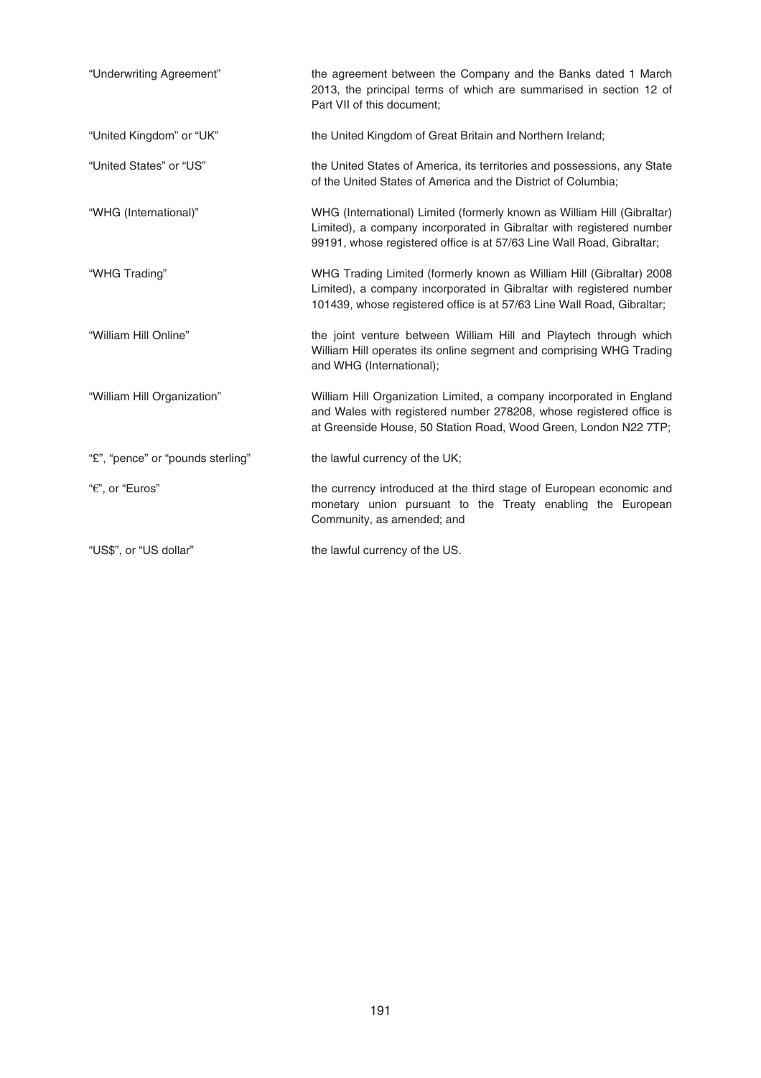| "Underwriting Agreement"          | the agreement between the Company and the Banks dated 1 March<br>2013, the principal terms of which are summarised in section 12 of<br>Part VII of this document;                                                        |
|-----------------------------------|--------------------------------------------------------------------------------------------------------------------------------------------------------------------------------------------------------------------------|
| "United Kingdom" or "UK"          | the United Kingdom of Great Britain and Northern Ireland;                                                                                                                                                                |
| "United States" or "US"           | the United States of America, its territories and possessions, any State<br>of the United States of America and the District of Columbia;                                                                                |
| "WHG (International)"             | WHG (International) Limited (formerly known as William Hill (Gibraltar)<br>Limited), a company incorporated in Gibraltar with registered number<br>99191, whose registered office is at 57/63 Line Wall Road, Gibraltar; |
| "WHG Trading"                     | WHG Trading Limited (formerly known as William Hill (Gibraltar) 2008<br>Limited), a company incorporated in Gibraltar with registered number<br>101439, whose registered office is at 57/63 Line Wall Road, Gibraltar;   |
| "William Hill Online"             | the joint venture between William Hill and Playtech through which<br>William Hill operates its online segment and comprising WHG Trading<br>and WHG (International);                                                     |
| "William Hill Organization"       | William Hill Organization Limited, a company incorporated in England<br>and Wales with registered number 278208, whose registered office is<br>at Greenside House, 50 Station Road, Wood Green, London N22 7TP;          |
| "£", "pence" or "pounds sterling" | the lawful currency of the UK;                                                                                                                                                                                           |
| "€", or "Euros"                   | the currency introduced at the third stage of European economic and<br>monetary union pursuant to the Treaty enabling the European<br>Community, as amended; and                                                         |
| "US\$", or "US dollar"            | the lawful currency of the US.                                                                                                                                                                                           |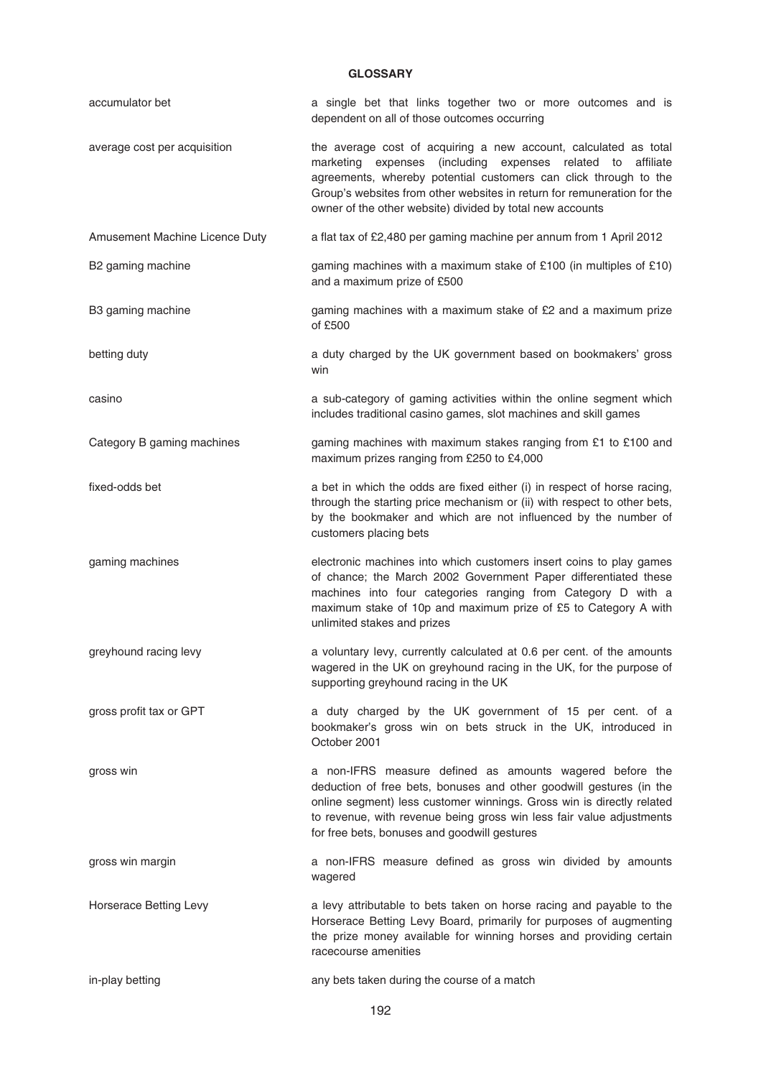# **GLOSSARY**

| accumulator bet                | a single bet that links together two or more outcomes and is<br>dependent on all of those outcomes occurring                                                                                                                                                                                                                                      |
|--------------------------------|---------------------------------------------------------------------------------------------------------------------------------------------------------------------------------------------------------------------------------------------------------------------------------------------------------------------------------------------------|
| average cost per acquisition   | the average cost of acquiring a new account, calculated as total<br>marketing<br>expenses (including expenses related to<br>affiliate<br>agreements, whereby potential customers can click through to the<br>Group's websites from other websites in return for remuneration for the<br>owner of the other website) divided by total new accounts |
| Amusement Machine Licence Duty | a flat tax of £2,480 per gaming machine per annum from 1 April 2012                                                                                                                                                                                                                                                                               |
| B2 gaming machine              | gaming machines with a maximum stake of £100 (in multiples of £10)<br>and a maximum prize of £500                                                                                                                                                                                                                                                 |
| B3 gaming machine              | gaming machines with a maximum stake of £2 and a maximum prize<br>of £500                                                                                                                                                                                                                                                                         |
| betting duty                   | a duty charged by the UK government based on bookmakers' gross<br>win                                                                                                                                                                                                                                                                             |
| casino                         | a sub-category of gaming activities within the online segment which<br>includes traditional casino games, slot machines and skill games                                                                                                                                                                                                           |
| Category B gaming machines     | gaming machines with maximum stakes ranging from £1 to £100 and<br>maximum prizes ranging from £250 to £4,000                                                                                                                                                                                                                                     |
| fixed-odds bet                 | a bet in which the odds are fixed either (i) in respect of horse racing,<br>through the starting price mechanism or (ii) with respect to other bets,<br>by the bookmaker and which are not influenced by the number of<br>customers placing bets                                                                                                  |
| gaming machines                | electronic machines into which customers insert coins to play games<br>of chance; the March 2002 Government Paper differentiated these<br>machines into four categories ranging from Category D with a<br>maximum stake of 10p and maximum prize of £5 to Category A with<br>unlimited stakes and prizes                                          |
| greyhound racing levy          | a voluntary levy, currently calculated at 0.6 per cent. of the amounts<br>wagered in the UK on greyhound racing in the UK, for the purpose of<br>supporting greyhound racing in the UK                                                                                                                                                            |
| gross profit tax or GPT        | a duty charged by the UK government of 15 per cent. of a<br>bookmaker's gross win on bets struck in the UK, introduced in<br>October 2001                                                                                                                                                                                                         |
| gross win                      | a non-IFRS measure defined as amounts wagered before the<br>deduction of free bets, bonuses and other goodwill gestures (in the<br>online segment) less customer winnings. Gross win is directly related<br>to revenue, with revenue being gross win less fair value adjustments<br>for free bets, bonuses and goodwill gestures                  |
| gross win margin               | a non-IFRS measure defined as gross win divided by amounts<br>wagered                                                                                                                                                                                                                                                                             |
| Horserace Betting Levy         | a levy attributable to bets taken on horse racing and payable to the<br>Horserace Betting Levy Board, primarily for purposes of augmenting<br>the prize money available for winning horses and providing certain<br>racecourse amenities                                                                                                          |
| in-play betting                | any bets taken during the course of a match                                                                                                                                                                                                                                                                                                       |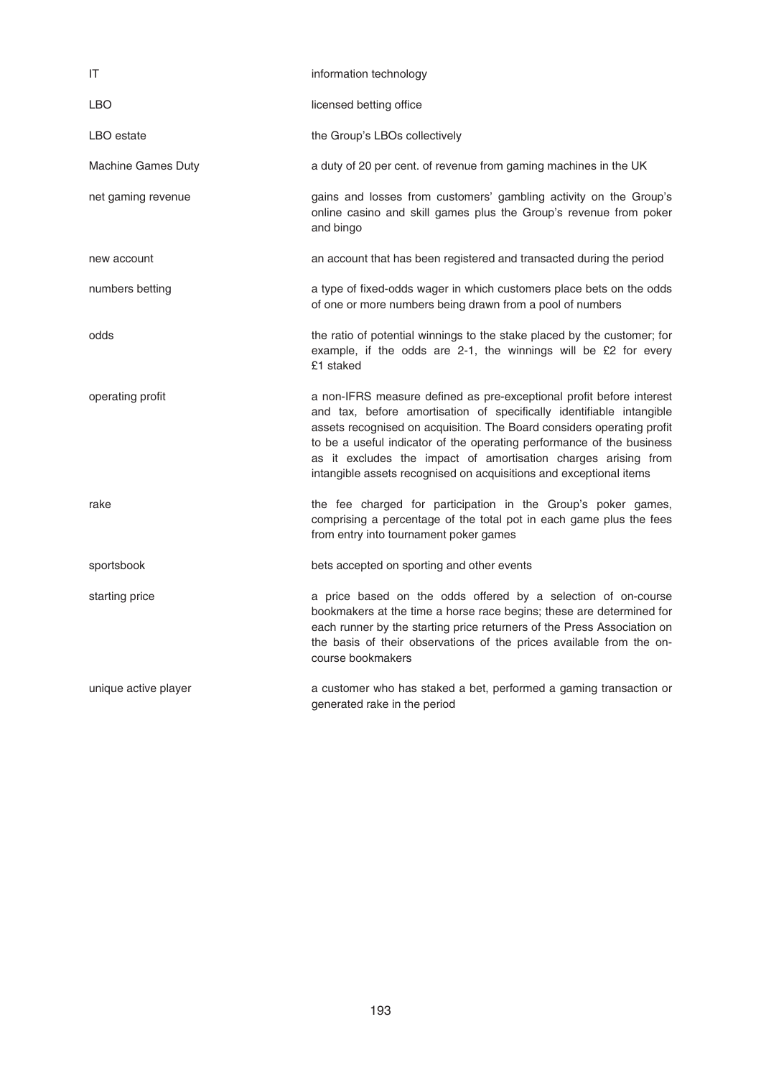| IT                        | information technology                                                                                                                                                                                                                                                                                                                                                                                                                  |
|---------------------------|-----------------------------------------------------------------------------------------------------------------------------------------------------------------------------------------------------------------------------------------------------------------------------------------------------------------------------------------------------------------------------------------------------------------------------------------|
| LBO                       | licensed betting office                                                                                                                                                                                                                                                                                                                                                                                                                 |
| LBO estate                | the Group's LBOs collectively                                                                                                                                                                                                                                                                                                                                                                                                           |
| <b>Machine Games Duty</b> | a duty of 20 per cent. of revenue from gaming machines in the UK                                                                                                                                                                                                                                                                                                                                                                        |
| net gaming revenue        | gains and losses from customers' gambling activity on the Group's<br>online casino and skill games plus the Group's revenue from poker<br>and bingo                                                                                                                                                                                                                                                                                     |
| new account               | an account that has been registered and transacted during the period                                                                                                                                                                                                                                                                                                                                                                    |
| numbers betting           | a type of fixed-odds wager in which customers place bets on the odds<br>of one or more numbers being drawn from a pool of numbers                                                                                                                                                                                                                                                                                                       |
| odds                      | the ratio of potential winnings to the stake placed by the customer; for<br>example, if the odds are 2-1, the winnings will be £2 for every<br>£1 staked                                                                                                                                                                                                                                                                                |
| operating profit          | a non-IFRS measure defined as pre-exceptional profit before interest<br>and tax, before amortisation of specifically identifiable intangible<br>assets recognised on acquisition. The Board considers operating profit<br>to be a useful indicator of the operating performance of the business<br>as it excludes the impact of amortisation charges arising from<br>intangible assets recognised on acquisitions and exceptional items |
| rake                      | the fee charged for participation in the Group's poker games,<br>comprising a percentage of the total pot in each game plus the fees<br>from entry into tournament poker games                                                                                                                                                                                                                                                          |
| sportsbook                | bets accepted on sporting and other events                                                                                                                                                                                                                                                                                                                                                                                              |
| starting price            | a price based on the odds offered by a selection of on-course<br>bookmakers at the time a horse race begins; these are determined for<br>each runner by the starting price returners of the Press Association on<br>the basis of their observations of the prices available from the on-<br>course bookmakers                                                                                                                           |
| unique active player      | a customer who has staked a bet, performed a gaming transaction or<br>generated rake in the period                                                                                                                                                                                                                                                                                                                                      |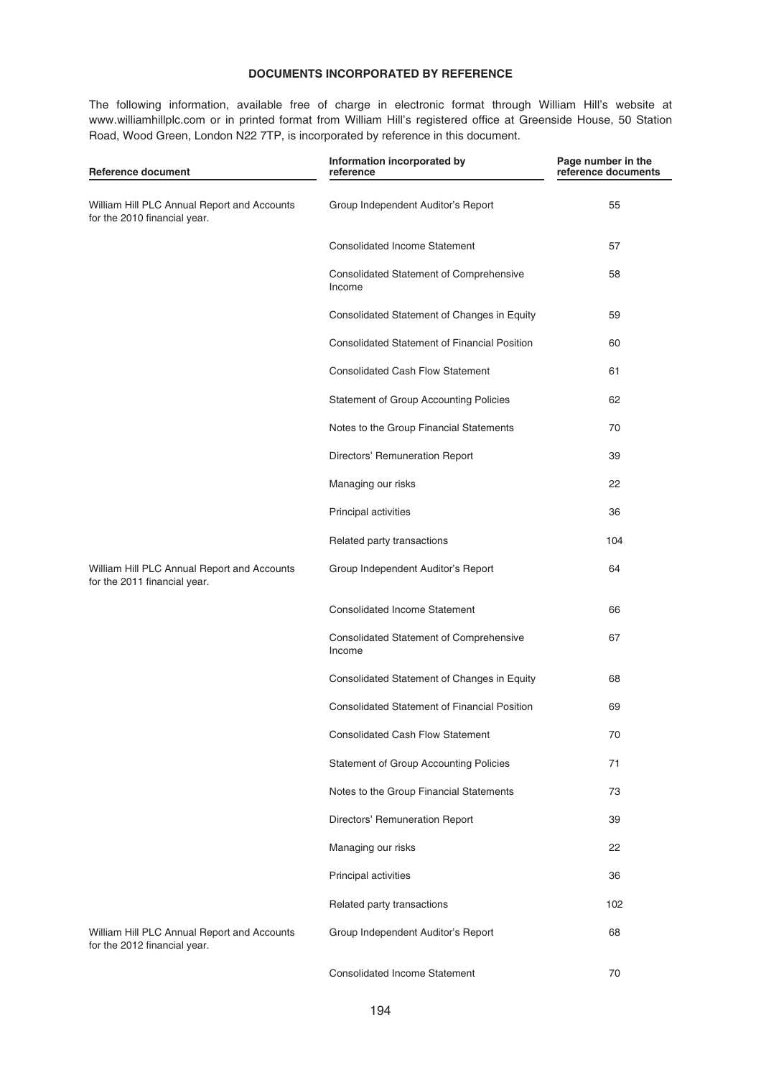# **DOCUMENTS INCORPORATED BY REFERENCE**

The following information, available free of charge in electronic format through William Hill's website at www.williamhillplc.com or in printed format from William Hill's registered office at Greenside House, 50 Station Road, Wood Green, London N22 7TP, is incorporated by reference in this document.

| Reference document                                                          | Information incorporated by<br>reference                 | Page number in the<br>reference documents |
|-----------------------------------------------------------------------------|----------------------------------------------------------|-------------------------------------------|
| William Hill PLC Annual Report and Accounts<br>for the 2010 financial year. | Group Independent Auditor's Report                       | 55                                        |
|                                                                             | <b>Consolidated Income Statement</b>                     | 57                                        |
|                                                                             | <b>Consolidated Statement of Comprehensive</b><br>Income | 58                                        |
|                                                                             | Consolidated Statement of Changes in Equity              | 59                                        |
|                                                                             | <b>Consolidated Statement of Financial Position</b>      | 60                                        |
|                                                                             | <b>Consolidated Cash Flow Statement</b>                  | 61                                        |
|                                                                             | <b>Statement of Group Accounting Policies</b>            | 62                                        |
|                                                                             | Notes to the Group Financial Statements                  | 70                                        |
|                                                                             | Directors' Remuneration Report                           | 39                                        |
|                                                                             | Managing our risks                                       | 22                                        |
|                                                                             | Principal activities                                     | 36                                        |
|                                                                             | Related party transactions                               | 104                                       |
| William Hill PLC Annual Report and Accounts<br>for the 2011 financial year. | Group Independent Auditor's Report                       | 64                                        |
|                                                                             | <b>Consolidated Income Statement</b>                     | 66                                        |
|                                                                             | <b>Consolidated Statement of Comprehensive</b><br>Income | 67                                        |
|                                                                             | Consolidated Statement of Changes in Equity              | 68                                        |
|                                                                             | <b>Consolidated Statement of Financial Position</b>      | 69                                        |
|                                                                             | <b>Consolidated Cash Flow Statement</b>                  | 70                                        |
|                                                                             | Statement of Group Accounting Policies                   | 71                                        |
|                                                                             | Notes to the Group Financial Statements                  | 73                                        |
|                                                                             | Directors' Remuneration Report                           | 39                                        |
|                                                                             | Managing our risks                                       | 22                                        |
|                                                                             | Principal activities                                     | 36                                        |
|                                                                             | Related party transactions                               | 102                                       |
| William Hill PLC Annual Report and Accounts<br>for the 2012 financial year. | Group Independent Auditor's Report                       | 68                                        |
|                                                                             | Consolidated Income Statement                            | 70                                        |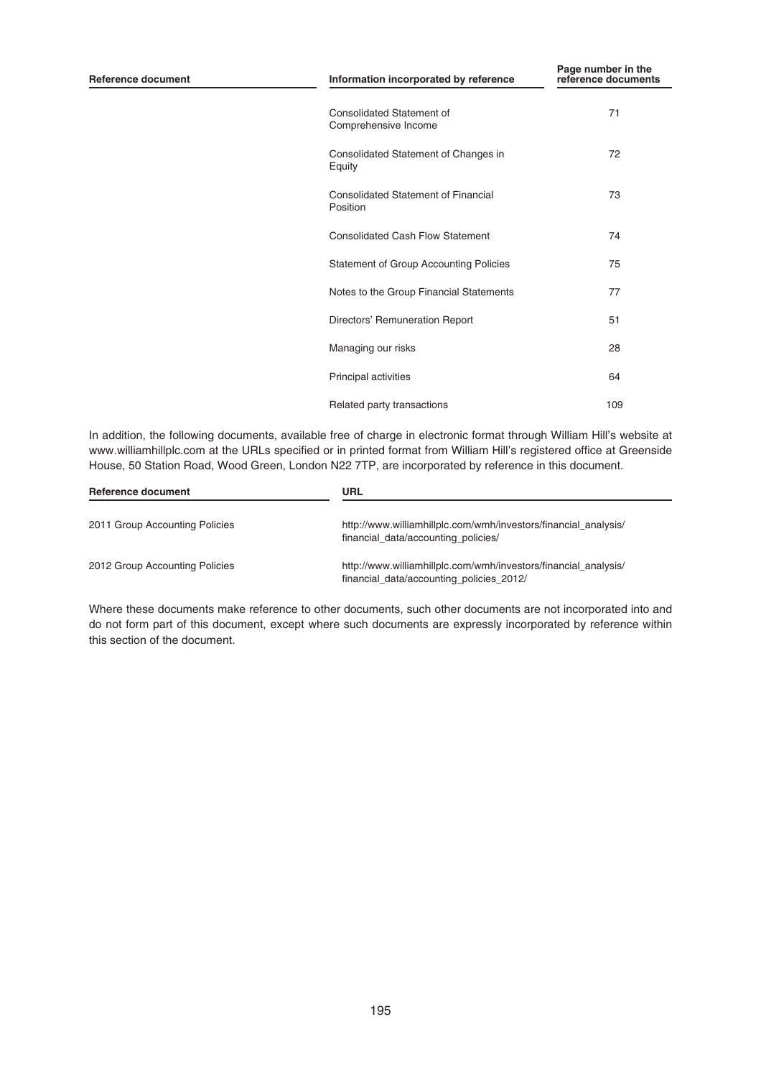| <b>Reference document</b> | Information incorporated by reference                    | Page number in the<br>reference documents |
|---------------------------|----------------------------------------------------------|-------------------------------------------|
|                           | <b>Consolidated Statement of</b><br>Comprehensive Income | 71                                        |
|                           | Consolidated Statement of Changes in<br>Equity           | 72                                        |
|                           | Consolidated Statement of Financial<br>Position          | 73                                        |
|                           | <b>Consolidated Cash Flow Statement</b>                  | 74                                        |
|                           | <b>Statement of Group Accounting Policies</b>            | 75                                        |
|                           | Notes to the Group Financial Statements                  | 77                                        |
|                           | Directors' Remuneration Report                           | 51                                        |
|                           | Managing our risks                                       | 28                                        |
|                           | Principal activities                                     | 64                                        |
|                           | Related party transactions                               | 109                                       |

In addition, the following documents, available free of charge in electronic format through William Hill's website at www.williamhillplc.com at the URLs specified or in printed format from William Hill's registered office at Greenside House, 50 Station Road, Wood Green, London N22 7TP, are incorporated by reference in this document.

| Reference document             | URL                                                                                                         |
|--------------------------------|-------------------------------------------------------------------------------------------------------------|
| 2011 Group Accounting Policies | http://www.williamhillplc.com/wmh/investors/financial_analysis/<br>financial data/accounting policies/      |
| 2012 Group Accounting Policies | http://www.williamhillplc.com/wmh/investors/financial analysis/<br>financial_data/accounting_policies_2012/ |

Where these documents make reference to other documents, such other documents are not incorporated into and do not form part of this document, except where such documents are expressly incorporated by reference within this section of the document.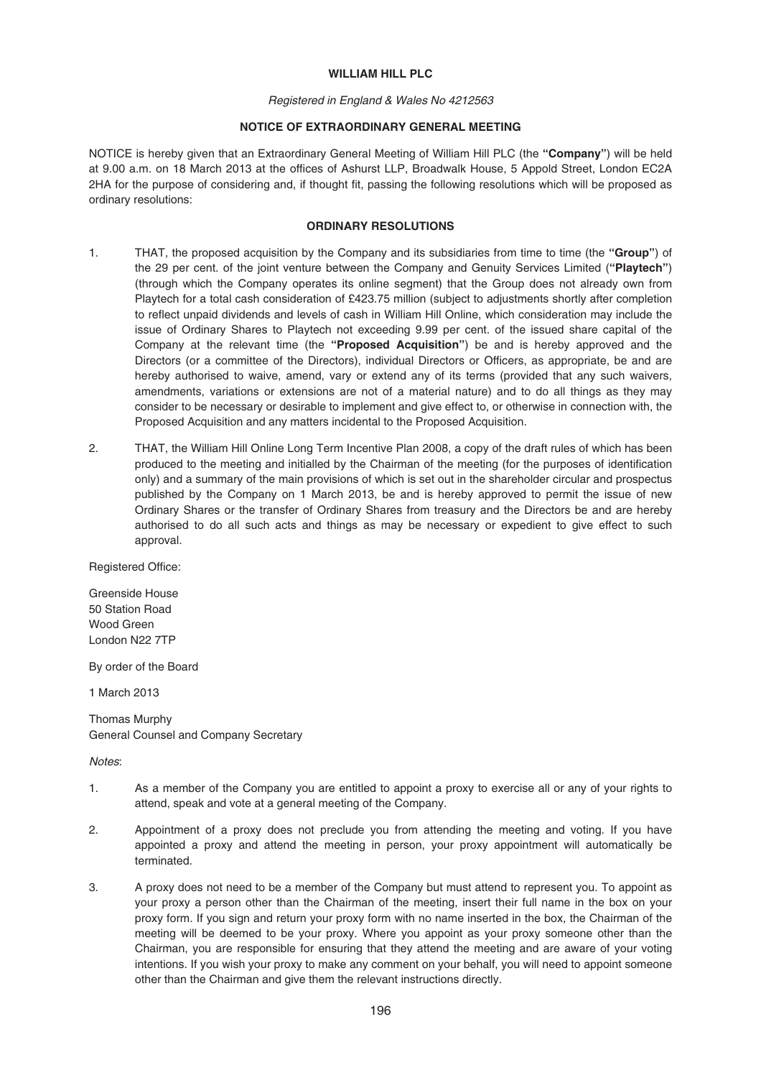### WILLIAM HILL PLC

#### Registered in England & Wales No 4212563

# **NOTICE OF EXTRAORDINARY GENERAL MEETING**

NOTICE is hereby given that an Extraordinary General Meeting of William Hill PLC (the **"Company"**) will be held at 9.00 a.m. on 18 March 2013 at the offices of Ashurst LLP, Broadwalk House, 5 Appold Street, London EC2A 2HA for the purpose of considering and, if thought fit, passing the following resolutions which will be proposed as ordinary resolutions:

### **ORDINARY RESOLUTIONS**

- 1. THAT, the proposed acquisition by the Company and its subsidiaries from time to time (the **"Group"**) of the 29 per cent. of the joint venture between the Company and Genuity Services Limited (**"Playtech"**) (through which the Company operates its online segment) that the Group does not already own from Playtech for a total cash consideration of £423.75 million (subject to adjustments shortly after completion to reflect unpaid dividends and levels of cash in William Hill Online, which consideration may include the issue of Ordinary Shares to Playtech not exceeding 9.99 per cent. of the issued share capital of the Company at the relevant time (the **"Proposed Acquisition"**) be and is hereby approved and the Directors (or a committee of the Directors), individual Directors or Officers, as appropriate, be and are hereby authorised to waive, amend, vary or extend any of its terms (provided that any such waivers, amendments, variations or extensions are not of a material nature) and to do all things as they may consider to be necessary or desirable to implement and give effect to, or otherwise in connection with, the Proposed Acquisition and any matters incidental to the Proposed Acquisition.
- 2. THAT, the William Hill Online Long Term Incentive Plan 2008, a copy of the draft rules of which has been produced to the meeting and initialled by the Chairman of the meeting (for the purposes of identification only) and a summary of the main provisions of which is set out in the shareholder circular and prospectus published by the Company on 1 March 2013, be and is hereby approved to permit the issue of new Ordinary Shares or the transfer of Ordinary Shares from treasury and the Directors be and are hereby authorised to do all such acts and things as may be necessary or expedient to give effect to such approval.

Registered Office:

Greenside House 50 Station Road Wood Green London N22 7TP

By order of the Board

1 March 2013

Thomas Murphy General Counsel and Company Secretary

Notes:

- 1. As a member of the Company you are entitled to appoint a proxy to exercise all or any of your rights to attend, speak and vote at a general meeting of the Company.
- 2. Appointment of a proxy does not preclude you from attending the meeting and voting. If you have appointed a proxy and attend the meeting in person, your proxy appointment will automatically be terminated.
- 3. A proxy does not need to be a member of the Company but must attend to represent you. To appoint as your proxy a person other than the Chairman of the meeting, insert their full name in the box on your proxy form. If you sign and return your proxy form with no name inserted in the box, the Chairman of the meeting will be deemed to be your proxy. Where you appoint as your proxy someone other than the Chairman, you are responsible for ensuring that they attend the meeting and are aware of your voting intentions. If you wish your proxy to make any comment on your behalf, you will need to appoint someone other than the Chairman and give them the relevant instructions directly.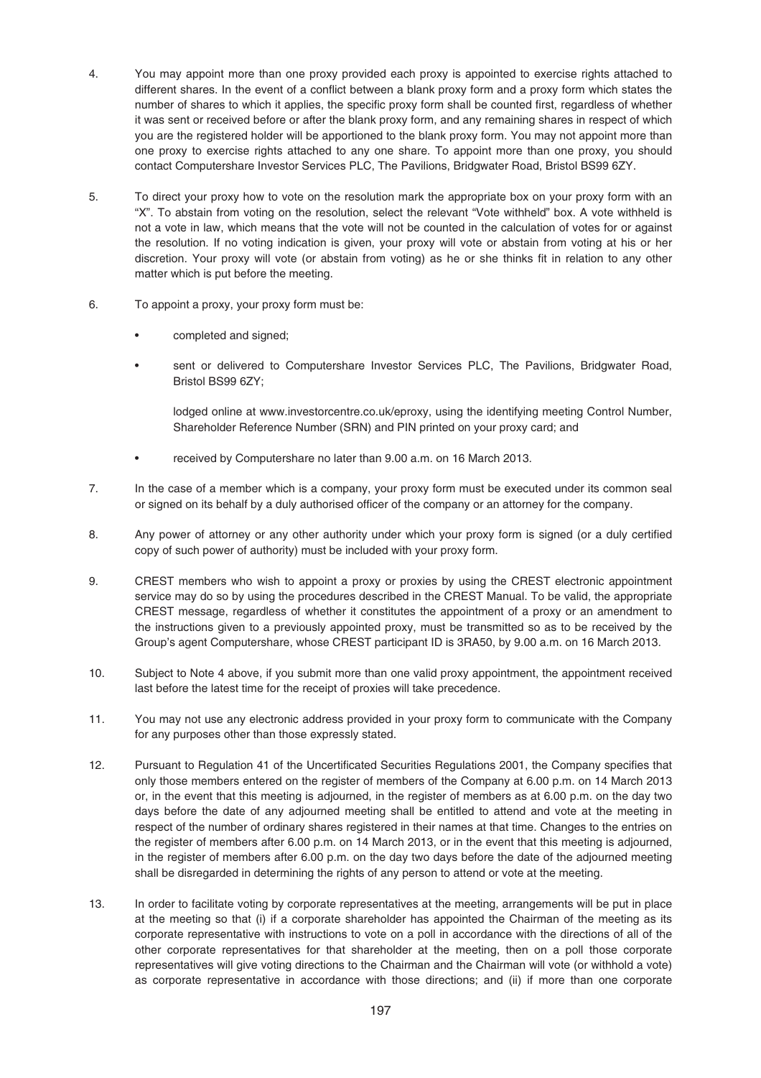- 4. You may appoint more than one proxy provided each proxy is appointed to exercise rights attached to different shares. In the event of a conflict between a blank proxy form and a proxy form which states the number of shares to which it applies, the specific proxy form shall be counted first, regardless of whether it was sent or received before or after the blank proxy form, and any remaining shares in respect of which you are the registered holder will be apportioned to the blank proxy form. You may not appoint more than one proxy to exercise rights attached to any one share. To appoint more than one proxy, you should contact Computershare Investor Services PLC, The Pavilions, Bridgwater Road, Bristol BS99 6ZY.
- 5. To direct your proxy how to vote on the resolution mark the appropriate box on your proxy form with an "X". To abstain from voting on the resolution, select the relevant "Vote withheld" box. A vote withheld is not a vote in law, which means that the vote will not be counted in the calculation of votes for or against the resolution. If no voting indication is given, your proxy will vote or abstain from voting at his or her discretion. Your proxy will vote (or abstain from voting) as he or she thinks fit in relation to any other matter which is put before the meeting.
- 6. To appoint a proxy, your proxy form must be:
	- completed and signed;
	- sent or delivered to Computershare Investor Services PLC, The Pavilions, Bridgwater Road, Bristol BS99 6ZY;

lodged online at www.investorcentre.co.uk/eproxy, using the identifying meeting Control Number, Shareholder Reference Number (SRN) and PIN printed on your proxy card; and

- received by Computershare no later than 9.00 a.m. on 16 March 2013.
- 7. In the case of a member which is a company, your proxy form must be executed under its common seal or signed on its behalf by a duly authorised officer of the company or an attorney for the company.
- 8. Any power of attorney or any other authority under which your proxy form is signed (or a duly certified copy of such power of authority) must be included with your proxy form.
- 9. CREST members who wish to appoint a proxy or proxies by using the CREST electronic appointment service may do so by using the procedures described in the CREST Manual. To be valid, the appropriate CREST message, regardless of whether it constitutes the appointment of a proxy or an amendment to the instructions given to a previously appointed proxy, must be transmitted so as to be received by the Group's agent Computershare, whose CREST participant ID is 3RA50, by 9.00 a.m. on 16 March 2013.
- 10. Subject to Note 4 above, if you submit more than one valid proxy appointment, the appointment received last before the latest time for the receipt of proxies will take precedence.
- 11. You may not use any electronic address provided in your proxy form to communicate with the Company for any purposes other than those expressly stated.
- 12. Pursuant to Regulation 41 of the Uncertificated Securities Regulations 2001, the Company specifies that only those members entered on the register of members of the Company at 6.00 p.m. on 14 March 2013 or, in the event that this meeting is adjourned, in the register of members as at 6.00 p.m. on the day two days before the date of any adjourned meeting shall be entitled to attend and vote at the meeting in respect of the number of ordinary shares registered in their names at that time. Changes to the entries on the register of members after 6.00 p.m. on 14 March 2013, or in the event that this meeting is adjourned, in the register of members after 6.00 p.m. on the day two days before the date of the adjourned meeting shall be disregarded in determining the rights of any person to attend or vote at the meeting.
- 13. In order to facilitate voting by corporate representatives at the meeting, arrangements will be put in place at the meeting so that (i) if a corporate shareholder has appointed the Chairman of the meeting as its corporate representative with instructions to vote on a poll in accordance with the directions of all of the other corporate representatives for that shareholder at the meeting, then on a poll those corporate representatives will give voting directions to the Chairman and the Chairman will vote (or withhold a vote) as corporate representative in accordance with those directions; and (ii) if more than one corporate